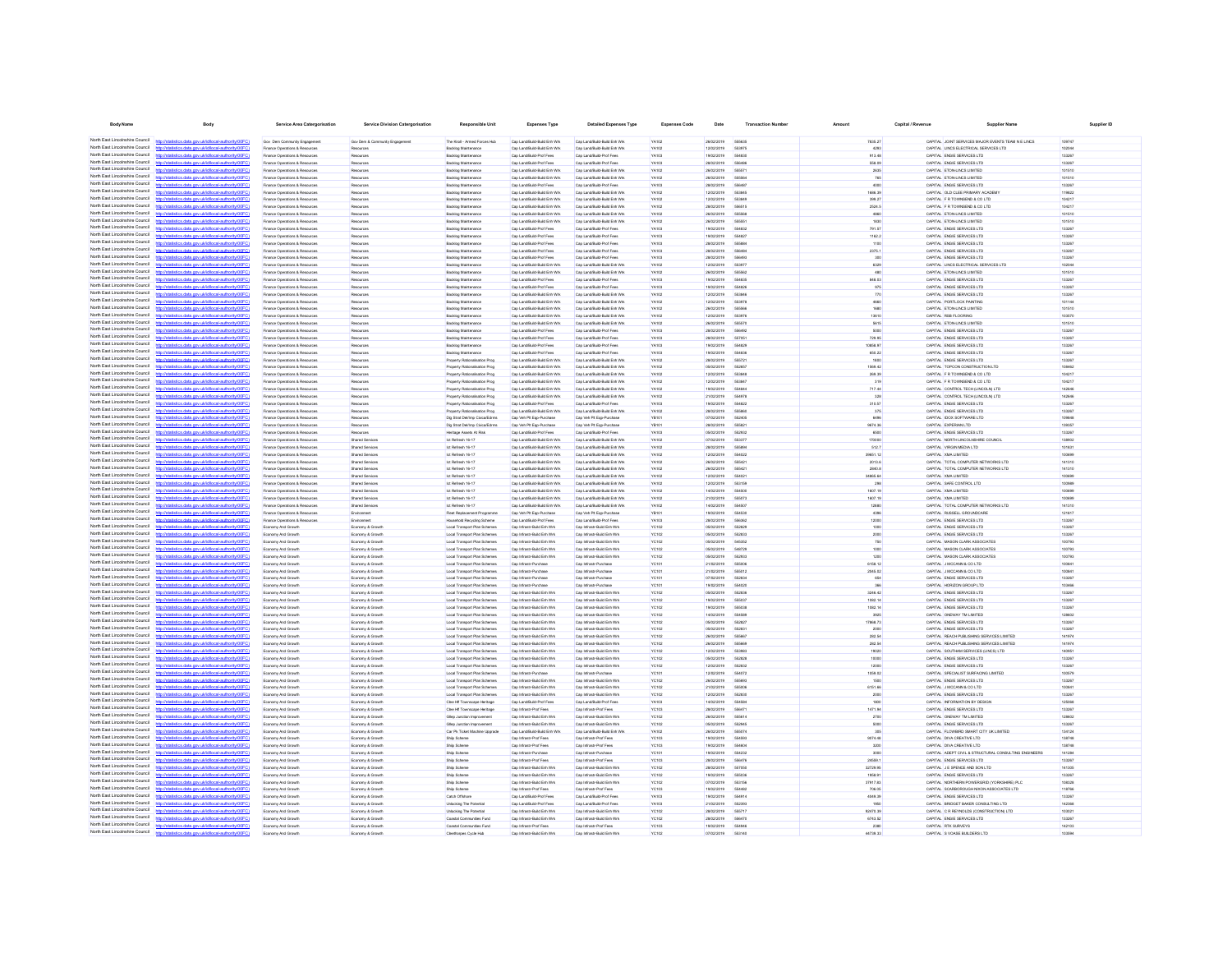| <b>Body Name</b>                                                   | Body                                                                                                                                            | <b>Service Area Catergorisation</b>                              | <b>Service Division Catergorisation</b>    | <b>Responsible Unit</b>                                         | <b>Expenses Type</b>                                         | <b>Detailed Expenses Type</b>                                  | <b>Expenses Code</b>  | Date                     | <b>Transaction Numbe</b>     | Amount             | Capital / Revenue | <b>Supplier Name</b>                                                                        | Supplier ID      |
|--------------------------------------------------------------------|-------------------------------------------------------------------------------------------------------------------------------------------------|------------------------------------------------------------------|--------------------------------------------|-----------------------------------------------------------------|--------------------------------------------------------------|----------------------------------------------------------------|-----------------------|--------------------------|------------------------------|--------------------|-------------------|---------------------------------------------------------------------------------------------|------------------|
|                                                                    |                                                                                                                                                 |                                                                  |                                            |                                                                 |                                                              |                                                                |                       |                          |                              |                    |                   |                                                                                             |                  |
| North East Lincolnshire Council                                    | North East Lincolnshire Council http://statistics.data.gov.uk/id/local-authority/00FC)<br>http://statistics.data.gov.uk/id/local-authority/00FC | Gov Dem Community Engagement<br>Finance Operations & Resources   | Gov Dem & Community Engagement<br>Reserves | The Knoll - Armed Forces Hub<br>Backlog Maintenance             | Cap Land/Build-Build Enh Wrk<br>Cap Land/Build-Build Enh Wrk | Cap Land/Build-Build Enh Wrk<br>Cap Land/Build-Build Enh Wrk   | YA102<br>YA102        | 26/02/2019<br>12/02/2019 | 666835<br>553975             | 7835.27<br>4293    |                   | CAPITAL JOINT SERVICES MAJOR EVENTS TEAM N E LINCS<br>CAPITAL LINCS ELECTRICAL SERVICES LTD | 109747<br>102044 |
| North East Lincolnshire Council                                    | tistics.data.gov.uk/id/local-authority/00FC)<br><b>http://e</b>                                                                                 | Finance Operations & Resources                                   | Resources                                  | Backlog Maintenance                                             | Cap Land/Build-Prof Fees                                     | Cap Land/Build-Prof Fees                                       | <b>YA103</b>          | 19/02/2019               | 554830                       | 913.48             |                   | CAPITAL ENGIE SERVICES LTD                                                                  | 133267           |
| North East Lincolnshire Council                                    | sting data over skildhood, autonisation                                                                                                         | Finance Onerations & Resources                                   | Resources                                  | <b>Racklon Maintenance</b>                                      | Can Land Ruld-Prof. Fees                                     | Can Land Ruild, Prof. Fees                                     | Vasna                 | pencycnec                | <b>SERARE</b>                | 558.00             |                   | CAPITAL ENGIE SERVICES LTD.                                                                 | 133267           |
| North East Lincolnshire Council                                    | ics data ony ricidiocal authority(00)                                                                                                           | Finance Operations & Resources                                   | Resources                                  | Backlog Maintenance                                             | Cap Land/Build-Build Enh Wrk                                 | Cap Land/Build-Build Enh Wrk                                   | YA102                 | 26/02/2019               | 55557                        | 2635               |                   | CAPITAL ETON-LINCS LIMITED                                                                  | 101510           |
| North East Lincolnshire Council                                    | CONTRACTOR AND INSTALLATION INTO                                                                                                                | Finance Operations & Resources                                   | Resource                                   | <b>Backlog Maintenand</b>                                       | Cap Land/Build-Build Enh Wrk                                 | Cap Land/Build-Build Enh Wrk                                   | YA102                 | 26/02/2019               | <b>COCOL</b>                 | 765                |                   | CAPITAL ETON-LINCS LIMITED                                                                  | 101510           |
| North East Lincolnshire Council<br>North East Lincolnshire Council | http://statistics.data.onv.uk/d/ocal.authority/00EC<br>http://statistics.data.oov.uk/d/ocal.authority/00EC)                                     | Finance Operations & Resources<br>Finance Operations & Resources | Resources<br>Resources                     | <b>Backlog Maintenance</b><br>Backlog Maintenanc                | Cap Land Build-Prof Fees<br>Cap Land/Build-Build Enh Wrk     | Cap Land/Build-Prof Fees<br>Cap Land/Build-Build Enh Wrk       | Vasna<br>Vasco        | pencycnec<br>encroner    | <b>SSRAR</b><br><b>GRANG</b> | 4000<br>1686.30    |                   | CAPITAL ENGIE SERVICES LTD<br>CAPITAL OLD CLEE PRIMARY ACADEMY                              | 133267<br>119822 |
| North East Lincolnshire Council                                    | tics data one uklidiocal authority/00FC                                                                                                         | Finance Operations & Resources                                   | Resource                                   | <b>Backlog Maintenanc</b>                                       | Cap Land/Build-Build Enh Wrk                                 | Cap Land/Build-Build Enh Wrk                                   | YA102                 | 12/02/2019               | <b>GRAN</b>                  | 399.27             |                   | CAPITAL F R TOWNSEND & CO LTD                                                               | 104217           |
| North East Lincolnshire Council                                    | Waterios data nov ukldih calauthoritu00EC                                                                                                       | Finance Operations & Resources                                   | Resource                                   | <b>Backlog Maintenanc</b>                                       | Cap Land/Build-Build Enh Wrk                                 | Cap Land/Build-Build Enh Wrk                                   | YA102                 | 28/02/2019               | 556515                       | 2524.5             |                   | CAPITAL F R TOWNSEND & CO LTD                                                               | 104217           |
| North East Lincolnshire Council                                    | sting data one skildhood authoritat 0000                                                                                                        | Inance Operations & Resources                                    | Resources                                  | Backlog Maintenanc                                              | Cap Land/Build-Build Enh Wrk                                 | Cap Land/Build-Build Enh Wrk                                   | YA102                 | 26/02/2019               | 55556                        | 4860               |                   | CAPITAL ETON-LINCS LIMITED                                                                  | 101510           |
| North East Lincolnshire Council                                    | //statistics.data.gov.uk/id/local-authority/00FC                                                                                                | Inance Operations & Resources                                    |                                            | <b>Backlog Maintenanc</b>                                       | Cap Land/Build-Build Enh Wrk                                 | Cap Land Build-Build Enh Wrk                                   | YA102                 | 26/02/2019               | 55555                        | 1830               |                   | CAPITAL ETON-LINCS LIMITED                                                                  | 101510           |
| North East Lincolnshire Council<br>North East Lincolnshire Council | atistics.data.gov.uk/id/local-authority/00FC<br>p://statistics.data.gov.uk/id/local-authority/00F0                                              | Finance Operations & Resources<br>Inance Operations & Resources  | Resources<br>Resources                     | Backlog Maintenano<br>Backlog Maintenance                       | Cap Land/Build-Prof Fees<br>Cap Land/Build-Prof Fees         | Cap Land/Build-Prof Fees<br>Cap Land/Build-Prof Fees           | <b>YA103</b><br>YA103 | 19/02/2019<br>19/02/2019 |                              | 791.57<br>1162.2   |                   | CAPITAL ENGIE SERVICES LTD<br>CAPITAL ENGIE SERVICES LTD                                    | 133267<br>133267 |
| North Fast Lincolnshire Council                                    | my ukłd/ocal.authority00                                                                                                                        | Finance Operations & Resources                                   | Resources                                  | Backlog Maintenance                                             | Cap Land Build-Prof Fees                                     | Cap Land/Build-Prof Fees                                       | <b>YA103</b>          | 28/02/2019               | 55588                        | 1100               |                   | CAPITAL ENGIE SERVICES LTD                                                                  | 133267           |
| North East Lincolnshire Council                                    |                                                                                                                                                 | Finance Operations & Resources                                   | Resources                                  | Backlog Maintenance                                             | Cap Land/Build-Prof Fees                                     | Cap Land/Build-Prof Fees                                       | <b>YA103</b>          | 28/02/2019               | 55648                        | 2375.1             |                   | CAPITAL ENGIE SERVICES LTD                                                                  | 133267           |
| North Fast Lincolnshire Council                                    |                                                                                                                                                 | Finance Operations & Resources                                   | Resources                                  | <b>Backlog Maintenance</b>                                      | Cap Land Build-Prof Fees                                     | Cap Land/Build-Prof Fees                                       | <b>YA103</b>          | 28/02/2019               | 556493                       | 300                |                   | CAPITAL ENGIE SERVICES LTD                                                                  | 133267           |
| North Fast Lincolnshire Council                                    | http://statistics.data.gov.uk/id/local-authority/00FC)                                                                                          | Finance Operations & Resources                                   | Resources                                  | <b>Backlog Maintenance</b>                                      | Cap Land/Build-Build Enh Wrk                                 | Cap Land/Build-Build Enh Wrk                                   | YA102                 | 12/02/2019               | 55397                        | 6329               |                   | CAPITAL LINCS ELECTRICAL SERVICES LTD                                                       | 102044           |
| North East Lincolnshire Council<br>North East Lincolnshire Council | cal-authority/0<br>stics.data.gov.uk/id/local-authority/00FC                                                                                    | Finance Operations & Resources<br>Finance Operations & Resources | Resources<br>Resources                     | <b>Backlog Maintenance</b><br><b>Backlog Maintenance</b>        | Cap Land/Build-Build Enh Wrk<br>Cap Land/Build-Prof Fees     | Cap Land/Build-Build Enh Wrk<br>Cap Land/Build-Prof Fees       | <b>YA102</b><br>YA103 | 26/02/2019<br>19/02/2019 | 555562<br>554835             | 480<br>848.03      |                   | CAPITAL ETON-LINCS LIMITED<br>CAPITAL ENGIE SERVICES LTD                                    | 101510<br>133267 |
| North Fast Lincolnshire Council                                    | ics data ony uklidiocal authority(0)                                                                                                            | Finance Operations & Resources                                   | Resources                                  | Backlog Maintenance                                             | Cap Land/Build-Prof Fees                                     | Cap Land/Build-Prof Fees                                       | <b>YA103</b>          | 19/02/2019               | 554826                       | 975                |                   | CAPITAL ENGIE SERVICES LTD                                                                  | 133267           |
| North East Lincolnshire Council                                    | stics.data.gov.uk/id/local-authority/00FC                                                                                                       | Finance Operations & Resources                                   | Resources                                  | Backlog Maintenance                                             | Cap Land/Build-Build Enh Wrk                                 | Cap Land/Build-Build Enh Wrk                                   | YA102                 | 12/02/2019               | <b>SS384R</b>                | 770                |                   | CAPITAL ENGIE SERVICES LTD                                                                  | 133267           |
| North East Lincolnshire Council                                    | istics data nov uklid/ocal.authority/00FC                                                                                                       | Finance Operations & Resources                                   | Resources                                  | Backlog Maintenance                                             | Cap Land/Build-Build Enh Wrk                                 | Cap Land/Build-Build Enh Wrk                                   | YA102                 | 12/02/2019               | 553978                       | 4660               |                   | CAPITAL PORTLOCK PAINTING                                                                   | 101144           |
| North East Lincolnshire Council<br>North East Lincolnshire Council | distics.data.gov.uk/id/local-authority/00FC)<br>http://                                                                                         | Finance Operations & Resources                                   | Resources                                  | Backlog Maintenance                                             | Cap Land/Build-Build Enh Wrk                                 | Cap Land/Build-Build Enh Wrk                                   | YA102                 | 26/02/2019               | 555566                       | 1680               |                   | CAPITAL ETON-LINCS LIMITED                                                                  | 101510           |
| North East Lincolnshire Council                                    | ation data and deliveral authoritations<br>stics.data.gov.uk/id/local-authority/00FC)                                                           | Finance Operations & Resources<br>Finance Operations & Resources | Resources<br>Resources                     | Backlog Maintenance<br>Backlog Maintenance                      | Can Land Ruild Ruid Frib Wrk<br>Cap Land/Build-Build Enh Wrk | Can Land Ruild, Ruild Frib Wrk<br>Cap Land/Build-Build Enh Wrk | Vasco<br>YA102        | encroner<br>26/02/2019   | 553976<br>555570             | 13610<br>5615      |                   | CAPITAL RSR FLOORING<br>CAPITAL ETON-LINCS LIMITED                                          | 103570<br>101510 |
| North East Lincolnshire Council                                    |                                                                                                                                                 | Finance Operations & Resources                                   |                                            | <b>Backlog Maintenand</b>                                       | Cap Land/Build-Prof Fees                                     | Cap Land/Build-Prof Fees                                       | <b>YA103</b>          | 28/02/2019               | 558402                       | 5000               |                   | CAPITAL ENGIE SERVICES LTD                                                                  | 133267           |
| North East Lincolnshire Council                                    | http://statistics.data.oov.uk/d/ocal.authority/00EC)                                                                                            | Finance Operations & Resources                                   | Resources                                  | <b>Backlog Maintenance</b>                                      | Cap Land Build-Prof Fees                                     | Cap Land/Build-Prof Fees                                       | Vasna                 | 28/02/2019               | 65705                        | 729.95             |                   | CAPITAL ENGIE SERVICES LTD                                                                  | 133267           |
| North East Lincolnshire Council                                    | "STOCK discussion and interval authorities                                                                                                      | Finance Operations & Resources                                   |                                            | Backlog Maintenanc                                              | Cap Land/Build-Prof Fees                                     | Cap Land/Build-Prof Fees                                       | <b>YA103</b>          | 19/02/2019               | <b>SS4R21</b>                | 10858.97           |                   | CAPITAL ENGIE SERVICES LTD                                                                  | 133267           |
| North East Lincolnshire Council<br>North East Lincolnshire Council | www.defabrorat.authority/DOEC                                                                                                                   | Finance Operations & Resources                                   | Resource                                   | Backlog Maintenance                                             | Cap Land Build-Prof Fees                                     | Cap Land/Build-Prof Fees                                       | <b>YA103</b>          | 19/02/2019               | <b>SS4RN</b>                 | 650.22             |                   | CAPITAL ENGIE SERVICES LTD                                                                  | 133267           |
| North East Lincolnshire Council                                    | tics data one ukldihoal authoritempf?                                                                                                           | Finance Operations & Resources<br>Finance Operations & Resources | Resources                                  | Property Rationalisation Prog<br>roperty Rationalisation Prog   | Cap Land/Build-Build Enh Wrk<br>Cap Land/Build-Build Enh Wrk | Cap Land/Build-Build Enh Wrk<br>Cap Land/Build-Build Enh Wrk   | YAt00<br>YA102        | 28/02/2019<br>05/02/2019 | 55572<br>552657              | 1800<br>1569.42    |                   | CAPITAL ENGIE SERVICES LTD<br>CAPITAL TOPCON CONSTRUCTION LT                                | 133267<br>108462 |
| North East Lincolnshire Council                                    | statistics.data.gov.uklid/local-authority/INFO                                                                                                  | Finance Operations & Resources                                   | Resources                                  | Property Rationalisation Prog                                   | Cap Land/Build-Build Enh Wrk                                 | Cap Land Build-Build Enh Wrk                                   | YA102                 | 12/02/2019               | 55384                        | 260.30             |                   | CAPITAL F R TOWNSEND & CO LTD                                                               | 104217           |
| North East Lincolnshire Council                                    | tistics.data.gov.uk/id/local-authority/00FC                                                                                                     | Finance Operations & Resources                                   | Resources                                  | Property Rationalisation Prog                                   | Cap Land/Build-Build Enh Wrk                                 | Cap Land/Build-Build Enh Wrk                                   | YAt02                 | 12/02/2019               | 55384                        | 319                |                   | CAPITAL F R TOWNSEND & CO LTD                                                               | 104217           |
| North East Lincolnshire Council                                    | http://statistics.data.gov.uk/id/local-authority/00FC                                                                                           | Finance Operations & Resources                                   | Resources                                  | roperty Rationalisation Prog                                    | Cap Land/Build-Build Enh Wrk                                 | Cap Land/Build-Build Enh Wrk                                   | YA102                 | 19/02/2019               |                              | 717.44             |                   | CAPITAL CONTROL TECH (LINCOLN) LTD                                                          | 142646           |
| North Fast Lincolnshire Council<br>North East Lincolnshire Council |                                                                                                                                                 | Finance Operations & Resources                                   | Resources                                  | Property Rationalisation Prog                                   | Cap Land/Build-Build Enh Wrk                                 | Cap Land/Build-Build Enh Wrk                                   | <b>YA102</b>          | 21/02/2019               | 554978                       | 328                |                   | CAPITAL CONTROL TECH (LINCOLN) LTD                                                          | 142646           |
| North Fast Lincolnshire Council                                    | atistics.data.gov.uk/id/local-authority/00FC                                                                                                    | Finance Operations & Resources                                   | Resources                                  | Property Rationalisation Prog                                   | Cap Land/Build-Prof Fees                                     | Cap Land/Build-Prof Fees                                       | <b>YA103</b>          | 19/02/2019               | 554823                       | 310.57             |                   | CAPITAL ENGIE SERVICES LTD                                                                  | 133267           |
| North Fast Lincolnshire Council                                    | tics.data.gov.uk/id/local-authority/00FC                                                                                                        | Finance Operations & Resources<br>Finance Operations & Resources | Resources<br>Resources                     | Property Rationalisation Prog<br>Dig Strat Del/Imp Civica/Edrms | Cap Land/Build-Build Enh Wrk<br>Cap Veh PIt Egp-Purchase     | Cap Land/Build-Build Enh Wrk<br>Cap Veh PIt Egp-Purchase       | YA102<br><b>YB101</b> | 28/02/2019<br>07/02/2019 | 555860<br>552405             | 375<br>6496        |                   | CAPITAL ENGIE SERVICES LTD<br>CAPITAL IDOX SOFTWARE LTD                                     | 133267<br>109848 |
| North Fast Lincolnshire Council                                    |                                                                                                                                                 | Finance Operations & Resources                                   | Resources                                  | Dig Strat Del/Imp Civica/Edrms                                  | Cap Veh PIt Ego-Purchase                                     | Cap Veh PIt Egp-Purchase                                       | YB101                 | 28/02/2019               | 555821                       | 9674.36            |                   | CAPITAL EXPERIAN LTD                                                                        | 139357           |
| North East Lincolnshire Council                                    | http://statistics.data.gov.uk/id/local-authority/00FC)                                                                                          | Finance Operations & Resources                                   | Resources                                  | Heritage Assets At Risk                                         | Cap Land/Build-Prof Fees                                     | Cap Land/Build-Prof Fees                                       | YA103                 | 05/02/2019               | 552932                       | 6500               |                   | CAPITAL ENGIE SERVICES LTD                                                                  | 133267           |
| North East Lincolnshire Council                                    | listics data ony uklid/ocal.authority/00FC                                                                                                      | Finance Operations & Resources                                   | <b>Shared Services</b>                     | Ict Refresh 16-17                                               | Cap Land/Build-Build Enh Wrk                                 | Cap Land/Build-Build Enh Wrk                                   | YA102                 | 07/02/2019               | 553377                       | 170000             |                   | CAPITAL NORTH LINCOLNSHIRE COUNCIL                                                          | 138902           |
| North East Lincolnshire Council<br>North East Lincolnshire Council | stics.data.gov.uk/id/local-authority/00FC<br>Oftwing that maintaining and action                                                                | Finance Operations & Resources                                   | <b>Shared Services</b>                     | Ict Refresh 16-17                                               | Cap Land/Build-Build Enh Wrk                                 | Cap Land/Build-Build Enh Wrk                                   | YA102                 | 28/02/2019               | <b>GGGROUD</b>               | 512.7              |                   | CAPITAL VIRGIN MEDIA LTD                                                                    | 101831           |
| North East Lincolnshire Council                                    | http://statistics.data.gov.uk/id/local-authority/00FC)                                                                                          | Finance Operations & Resources<br>Finance Operations & Resources | <b>Shared Services</b><br>Shared Services  | Ict Refresh 16-17<br>Ict Refresh 16-17                          | Cap Land/Build-Build Enh Wrk<br>Cap Land/Build-Build Enh Wrk | Cap Land/Build-Build Enh Wrk<br>Cap Land/Build-Build Enh Wrk   | YA102<br>YA102        | 12/02/2019<br>26/02/2019 | 554022<br>555421             | 39651.12<br>2013.6 |                   | CAPITAL XMA LIMITED<br>CAPITAL TOTAL COMPUTER NETWORKS LTD                                  | 100699<br>141310 |
| North East Lincolnshire Council                                    | Interfering state and deliveral authority (ODEC)                                                                                                | Finance Operations & Resources                                   | <b>Shared Services</b>                     | Int Refresh 16.17                                               | Can Land Rull LRull Frih Wrk                                 | Cap Land/Build-Build Enh Wrk                                   | Vasco                 | encrones                 | 55542                        | 2840 B             |                   | CAPITAL TOTAL COMPUTER NETWORKS LTD                                                         | 141310           |
| North East Lincolnshire Council                                    | http://statistics.data.gov.uk/id/local-authority/00FC)                                                                                          | Finance Operations & Resources                                   | <b>Shared Services</b>                     | Ict Refresh 16-17                                               | Cap Land/Build-Build Enh Wrk                                 | Cap Land/Build-Build Enh Wrk                                   | YA102                 | 12/02/2019               | 554021                       | 34865.64           |                   | CAPITAL XMA LIMITED                                                                         | 100699           |
| North East Lincolnshire Council                                    | detailed and any skills and automated DOCC                                                                                                      | Finance Operations & Resources                                   | <b>Shared Services</b>                     | Ict Refresh 16-17                                               | Cap Land/Build-Build Enh Wrk                                 | Cap Land/Build-Build Enh Wrk                                   | YA102                 | 12/02/2019               | 663150                       | 298                |                   | CAPITAL SAFE CONTROL LTD                                                                    | 100989           |
| North East Lincolnshire Council<br>North East Lincolnshire Council | http://statistics.data.onv.uk/d/ocal.authority/00EC)                                                                                            | Finance Operations & Resources                                   | <b>Shared Services</b>                     | Int Refresh 16.17                                               | Cap Land/Build-Build Enh Wrk                                 | Cap Land/Build-Build Enh Wrk                                   | VA102                 | 14/02/2019               | 554500<br>66507              | 1607.19            |                   | CAPITAL XMA LIMITED                                                                         | 100699           |
| North East Lincolnshire Council                                    | p://statistics.data.gov.uk/id/local-authority/00FC                                                                                              | Finance Operations & Resources<br>Finance Operations & Resource  | <b>Shared Service</b><br>Shared Service    | Ict Refresh 16-17<br>Ict Refresh 16-17                          | Cap Land/Build-Build Enh Wrk<br>Cap Land/Build-Build Enh Wrk | Cap Land/Build-Build Enh Wrk<br>Cap Land/Build-Build Enh Wrk   | <b>YA102</b><br>YA102 | 21/02/2019<br>14/02/2019 | 55450                        | 1607.19<br>12880   |                   | CAPITAL XMA LIMITED<br>CAPITAL TOTAL COMPUTER NETWORKS LTD                                  | 100605<br>141310 |
| North East Lincolnshire Council                                    | distribution state concelebritographs throughout CO                                                                                             | Finance Operations & Resources                                   | Environment                                | Fleet Replacement Programme                                     | Cap Veh Pit Egg-Purchase                                     | Cap Veh Pit Ego-Purchase                                       | YB10                  | 19/02/2019               |                              | 4396               |                   | CAPITAL RUSSELL GROUNDCARE                                                                  | 121817           |
| North East Lincolnshire Council                                    | atistics.data.gov.uk/id/local-authority/00FC                                                                                                    | Finance Operations & Resources                                   | Environment                                | sehold Recycling Scheme                                         | Cap Land/Build-Prof Fees                                     | Cap Land/Build-Prof Fees                                       | YA103                 | 28/02/2019               | 55636                        | 12000              |                   | CAPITAL ENGIE SERVICES LTD                                                                  | 133267           |
| North East Lincolnshire Council<br>North East Lincolnshire Council |                                                                                                                                                 | Economy And Growth                                               | Economy & Growth                           | Local Transport Plan Schemes                                    | Cap Infrastr-Build Enh Wrk                                   | Cap Infrastr-Build Enh Wrk                                     | YC102                 | 05/02/2019               | 552829                       | 1000               |                   | CAPITAL ENGIE SERVICES LTD                                                                  | 133267           |
| North East Lincolnshire Council                                    | gov.uk/id/local-authority/00F0                                                                                                                  | Economy And Growt                                                | Economy & Growt                            | Local Transport Plan Schemes<br>Local Transport Plan Schemes    | Cap Infrastr-Build Enh Wrk                                   | Cap Infrastr-Build Enh Wrk                                     | YC102                 | 05/02/2019               | 552833                       | 2000               |                   | CAPITAL ENGIE SERVICES LTD                                                                  | 133267           |
| North Fast Lincolnshire Council                                    | <b>CONTRACTOR</b> CONTRACTOR                                                                                                                    | Economy And Growth<br>Economy And Growth                         | Economy & Growth<br>Economy & Growth       | Local Transport Plan Schemes                                    | Cap Infrastr-Build Enh Wrk<br>Cap Infrastr-Build Enh Wrk     | Cap Infrastr-Build Enh Wrk<br>Cap Infrastr-Build Enh Wrk       | <b>YC102</b><br>YC102 | 05/02/2019<br>05/02/2019 | 545352<br>548729             | 750<br>1000        |                   | CAPITAL MASON CLARK ASSOCIATES<br>CAPITAL MASON CLARK ASSOCIATES                            | 100793<br>100793 |
| North East Lincolnshire Council                                    | //statistics.data.gov.uk/id/local-authority/00FC                                                                                                | Economy And Growt                                                | Economy & Growt                            | Local Transport Plan Schemes                                    | Cap Infrastr-Build Enh Wrk                                   | Cap Infrastr-Build Enh Wrk                                     | YC102                 | 05/02/2019               | 552933                       | 1200               |                   | CAPITAL MASON CLARK ASSOCIATES                                                              | 100793           |
| North Fast Lincolnshire Council<br>North Fast Lincolnshire Council |                                                                                                                                                 | Economy And Growth                                               | Economy & Growth                           | Local Transport Plan Schemes                                    | Cap Infrastr-Purchase                                        | Cap Infrastr-Purchase                                          | YC101                 | 21/02/2019               | 555006                       | 6158.12            |                   | CAPITAL J MCCANN & CO LTD                                                                   | 100841           |
| North East Lincolnshire Council                                    | stics.data.gov.uk/id/local-authority/00FC                                                                                                       | Economy And Growth                                               | Economy & Growth                           | Local Transport Plan Schemes                                    | Cap Infrastr-Purchase                                        | Cap Infrastr-Purchase                                          | YC101                 | 21/02/2019               | 555012                       | 2045.02            |                   | CAPITAL J MCCANN & CO LTD                                                                   | 100841           |
| North East Lincolnshire Council                                    | tistics.data.gov.uk/id/local-authority/00FC)<br>http                                                                                            | Economy And Growth<br>Economy And Growth                         | Economy & Growth<br>Economy & Growth       | Local Transport Plan Schemes<br>Local Transport Plan Schemes    | Cap Infrastr-Purchase<br>Cap Infrastr-Purchase               | Cap Infrastr-Purchase<br>Cap Infrastr-Purchase                 | <b>YC101</b><br>YC101 | 07/02/2019<br>19/02/2019 | 552834<br>554020             | 654<br>366         |                   | CAPITAL ENGIE SERVICES LTD<br>CAPITAL HORIZON GROUP LTD                                     | 133267<br>103466 |
| North East Lincolnshire Council                                    | stics data ony uklidiocal authority/00FC<br>http                                                                                                | Economy And Growth                                               | Economy & Growth                           | Local Transport Plan Schemes                                    | Cap Infrastr-Build Enh Wrk                                   | Cap Infrastr-Build Enh Wrk                                     | YC102                 | 05/02/2019               | 552836                       | 3246.42            |                   | CAPITAL ENGIE SERVICES LTD                                                                  | 133267           |
| North East Lincolnshire Council                                    | distics.data.gov.uk/id/local-authority/00FC)<br><b>Introder</b>                                                                                 | Economy And Growth                                               | Economy & Growth                           | Local Transport Plan Schemes                                    | Cap Infrastr-Build Enh Wrk                                   | Cap Infrastr-Build Enh Wrk                                     | YC102                 | 19/02/2019               | 555037                       | 1082.14            |                   | CAPITAL ENGIE SERVICES LTD                                                                  | 133267           |
| North East Lincolnshire Council                                    | Vetatistics data ony uklid/ocal.authority/00FC                                                                                                  | Economy And Growth                                               | Economy & Growth                           | Local Transport Plan Schemes                                    | Cap Infrastr-Build Enh Wrk                                   | Cap Infrastr-Build Enh Wrk                                     | YC102                 | 19/02/2019               | 555038                       | 1082.14            |                   | CAPITAL ENGIE SERVICES LTD                                                                  | 133267           |
| North East Lincolnshire Council<br>North East Lincolnshire Council | distics.data.gov.uk/id/local-authority/00FC)<br><b>http://e</b><br>mm skildhood matherinal?                                                     | Economy And Growth<br>Economy And Growth                         | Economy & Growth<br>Economy & Growth       | Local Transport Plan Schemes<br>Local Transport Plan Schemes    | Cap Infrastr-Build Enh Wrk<br>Cap Infrastr-Build Enh Wrk     | Cap Infrastr-Build Enh Wrk<br>Cap Infrastr-Build Enh Wrk       | YC102<br>YC102        | 14/02/2019<br>enerenzo   | 554589<br>552827             | 3925<br>17868.73   |                   | CAPITAL ONEWAY TM LIMITED<br>CAPITAL ENGIE SERVICES I TD.                                   | 128602<br>133267 |
| North East Lincolnshire Council                                    | tistics data one ricklificcal authorite/DOEC)<br><b>Barnette</b>                                                                                | Economy And Growth                                               | Economy & Growth                           | <b>Longl Transport Plan Schemes</b>                             | Can Infrastr, Ruikt Frih Wrk                                 | Can Infrastr, Rulet Feb Wrk                                    | vesm                  | entricities              | <b>65283</b>                 | 2000               |                   | CAPITAL ENGIE SERVICES I TD.                                                                | 133267           |
| North East Lincolnshire Council                                    | fields a state and definitional authority (OOCC)                                                                                                | Economy And Growth                                               | Economy & Growth                           | Local Transport Plan Schemes                                    | Cap Infrastr-Build Enh Wrk                                   | Cap Infrastr-Build Enh Wrk                                     | YC102                 | 26/02/2019               | SSSAK                        | 282.54             |                   | CAPITAL REACH PUBLISHING SERVICES LIMITED                                                   | 141974           |
| North East Lincolnshire Council                                    | http://statistics.data.gov.uk/id/local-authority/00FC                                                                                           | Economy And Growth                                               | Economy & Growth                           | Local Transport Plan Schemes                                    | Cap Infrastr-Build Enh Wrk                                   | Cap Infrastr-Build Enh Wrk                                     | YC102                 | 26/02/2019               | SSSARO                       | 282.54             |                   | CAPITAL REACH PUBLISHING SERVICES LIMITED                                                   | 141974           |
| North East Lincolnshire Council<br>North East Lincolnshire Council | distribution data one delidional activisibiliti CC                                                                                              | Economy And Growt                                                | Economy & Growt                            | Local Transport Plan Schemes                                    | Cap Infrastr-Build Enh Wrk                                   | Cap Infrastr-Build Enh Wrk                                     | YC102                 | 12/02/2019               | <b>SERGR</b>                 | 19020              |                   | CAPITAL SOUTHAM SERVICES (LINCS) LTD                                                        | 40951            |
| North East Lincolnshire Council                                    | latistics.data.gov.uklid/local-authority/00FC<br>tatistics data one skiddocal authority(DDEC)                                                   | Economy And Growth<br>Economy And Growt                          | Economy & Growt<br>Economy & Growt         | Local Transport Plan Schemes<br>Local Transport Plan Schemes    | Cap Infrastr-Build Enh Wrk<br>Cap Infrastr-Build Enh Wrk     | Cap Infrastr-Build Enh Wrk<br>Cap Infrastr-Build Enh Wrk       | YC102<br>YC102        | 05/02/2019<br>12/02/2019 | 552828<br>552833             | 10000<br>12000     |                   | CAPITAL ENGIE SERVICES LTD<br>CAPITAL ENGIE SERVICES LTD                                    | 133267<br>133267 |
| North East Lincolnshire Council                                    | tistics.data.gov.uk/id/local-authority/00FC                                                                                                     | Economy And Grow                                                 | Economy & Growt                            | Local Transport Plan Schemes                                    | Cap Infrastr-Purchase                                        | Cap Infrastr-Purchase                                          | YC10                  | 12/02/2019               | 55407                        | 1059.02            |                   | CAPITAL SPECIALIST SURFACING LIMITED                                                        | 100579           |
| North East Lincolnshire Council                                    |                                                                                                                                                 | Economy And Growth                                               | Economy & Growth                           | Local Transport Plan Schemes                                    | Cap Infrastr-Build Enh Wrk                                   | Cap Infrastr-Build Enh Wrk                                     | YC102                 | 26/02/2019               | 555890                       | 1500               |                   | CAPITAL ENGIE SERVICES LTD                                                                  | 133267           |
| North East Lincolnshire Council                                    | stics.data.gov.uk/id/local-authority/00FC                                                                                                       | Economy And Growt                                                | Economy & Growt                            | Local Transport Plan Schemes                                    | Cap Infrastr-Build Enh Wrk                                   | Cap Infrastr-Build Enh Wrk                                     | YC102                 | 21/02/2019               | 55500                        | 6151.66            |                   | CAPITAL J MCCANN & CO LTD                                                                   | 100841           |
| North East Lincolnshire Council<br>North Fast Lincolnshire Council |                                                                                                                                                 | Economy And Growth                                               | Economy & Growth                           | Local Transport Plan Schemes                                    | Cap Infrastr-Build Enh Wrk                                   | Cap Infrastr-Build Enh Wrk                                     | <b>YC102</b>          | 12/02/2019               | 552830                       | 2000               |                   | CAPITAL ENGIE SERVICES LTD                                                                  | 133267           |
| North East Lincolnshire Council                                    | ics.data.gov.uk/id/local-authority/00FC1                                                                                                        | Economy And Growth                                               | Economy & Growth                           | Clee Hf Townscape Heritage                                      | Cap Land Build-Prof Fees                                     | Cap Land/Build-Prof Fees                                       | <b>YA103</b>          | 14/02/2019               | 55458<br>556471              | 1800               |                   | CAPITAL INFORMATION BY DESIGN                                                               | 125068           |
| North Fast Lincolnshire Council                                    |                                                                                                                                                 | Economy And Growth<br>Economy And Growth                         | Economy & Growth<br>Economy & Growth       | Clee Hf Townscape Heritage<br>Gliep Junction Improvement        | Cap Infrastr-Prof Fees<br>Cap Infrastr-Build Enh Wrk         | Cap Infrastr-Prof Fees<br>Cap Infrastr-Build Enh Wrk           | YC103<br>YC102        | 28/02/2019<br>26/02/2019 | 555614                       | 1471.94<br>2700    |                   | CAPITAL ENGIE SERVICES LTD<br>CAPITAL ONEWAY TM LIMITED                                     | 133267<br>128602 |
| North Fast Lincolnshire Council                                    | stics data one uklidiocal authority/DDFC<br>http                                                                                                | Economy And Growth                                               | Economy & Growth                           | Gliep Junction Improvement                                      | Cap Infrastr-Build Enh Wrk                                   | Cap Infrastr-Build Enh Wrk                                     | YC102                 | 05/02/2019               | 552945                       | 5000               |                   | CAPITAL ENGIE SERVICES LTD                                                                  | 133267           |
| North East Lincolnshire Council                                    |                                                                                                                                                 | Economy And Growth                                               | Economy & Growth                           | Car Pk Ticket Machine Upgrade                                   | Cap Land/Build-Build Enh Wrk                                 | Cap Land/Build-Build Enh Wrk                                   | YA102                 | 26/02/2019               | 555074                       | 305                |                   | CAPITAL FLOWBIRD SMART CITY UK LIMITED                                                      | 134124           |
| North East Lincolnshire Council<br>North East Lincolnshire Council | stics.data.gov.uk/id/local-authority/00FC                                                                                                       | Economy And Growth                                               | Economy & Growth                           | Ship Scheme                                                     | Cap Infrastr-Prof Fees                                       | Cap Infrastr-Prof Fees                                         | YC103                 | 19/02/2019               | 554593                       | 9074.48            |                   | CAPITAL DIVA CREATIVE LTD                                                                   | 138748           |
| North East Lincolnshire Council                                    | ios data ony ukłdłocal authority<br>tistics.data.gov.uk/id/local-authority/00FC)<br><b>http://e</b>                                             | Economy And Growth<br>Economy And Growth                         | Economy & Growth<br>Economy & Growth       | Ship Scheme<br>Ship Scheme                                      | Cap Inhastr-Prof Fees<br>Cap Infrastr-Purchase               | Cap Infrastr-Prof Fees<br>Cap Infrastr-Purchase                | <b>YC103</b><br>YC101 | 19/02/2019<br>19/02/2019 | 554604<br>554232             | 3200<br>3000       |                   | CAPITAL DIVA CREATIVE LTD<br>CAPITAL ADEPT CIVIL & STRUCTURAL CONSULTING ENGINEERS          | 138748<br>141284 |
| North East Lincolnshire Council                                    | tistics data ony ricid/ocal authority/00F6                                                                                                      | Economy And Growth                                               | Economy & Growth                           | Ship Scheme                                                     | Cap Inhastr-Prof Fees                                        | Cap Infrastr-Prof Fees                                         | <b>YC103</b>          | 28/02/2019               | 556476                       | 24559.1            |                   | CAPITAL ENGIE SERVICES LTD                                                                  | 133267           |
| North East Lincolnshire Council                                    | atistics.data.oov.uk/id/local-authority/00FC)<br>http://sta                                                                                     | Economy And Growth                                               | Economy & Growth                           | Ship Scheme                                                     | Cap Infrastr-Build Enh Wrk                                   | Cap Infrastr-Build Enh Wrk                                     | YC102                 | 28/02/2019               | 557050                       | 32729.95           |                   | CAPITAL J E SPENCE AND SON LTD                                                              | 141305           |
| North East Lincolnshire Council<br>North East Lincolnshire Council | sticting state and distinguishment and collection                                                                                               | Economy And Growth                                               | Economy & Growth                           | <b>Strike Scheme</b>                                            | Cap Infrastr-Build Enh Wrk                                   | Cap Infrastr-Build Enh Wrk                                     | VC102                 | encroner                 | 555038                       | 1958.91            |                   | CAPITAL ENGIE SERVICES I TD.                                                                | 133267           |
| North East Lincolnshire Council                                    | stics data nov uklidiocal authority(DDEC)<br><b>Battery</b>                                                                                     | Fronceu And Crowth                                               | Fremeny & Growth                           | <b>Strijn Scheme</b>                                            | Can Infrastr, Ruikt Frih Wrk                                 | Can Infrastr, Rulet Feb Wrk                                    | vesm                  | encrease                 | 553158<br><b>SS44R1</b>      | 37017.83           |                   | CAPITAL MORTHERN POWERGRID (YORKSHIRE) PLC                                                  | <b>108328</b>    |
|                                                                    | North East Lincolnshire Council http://statistics.data.gov.uk/id/local-authority/00FC)                                                          | Economy And Growt<br>Economy And Growth                          | Economy & Growt<br>Economy & Growth        | Ship Scheme<br>Catch Offshore                                   | Cap Infrastr-Prof Fees<br>Cap Land/Build-Prof Fee            | Cap Infrastr-Prof Fees<br>Cap Land/Build-Prof Fees             | YC103<br>Vasna        | 19/02/2019<br>encremen   | 554914                       | 706.05<br>4049.39  |                   | CAPITAL SCARBOROUGH NIXON ASSOCIATES LTD<br>CAPITAL ENGIE SERVICES LTD                      | 118766<br>133267 |
|                                                                    | North East Lincolnshire Council   New Setwheting Hata and details and authority inner                                                           | Economy And Growt                                                | Economy & Growt                            | Unlocking The Potentia                                          | Cap Land/Build-Prof Fee                                      | Cap Land/Build-Prof Fees                                       | YA103                 | 21/02/2019               | 552393                       |                    |                   | CAPITAL BRIDGET BAKER CONSULTING LTD                                                        | 142368           |
| North East Lincolnshire Council                                    | http://statistics.data.gov.uk/id/local-authority/00FC                                                                                           | Economy And Growt                                                | Economy & Growt                            | Unlocking The Potentia                                          | Cap Infrastr-Build Enh Wr                                    | Cap Infrastr-Build Enh Wr                                      | YC102                 | 28/02/2019               | 666717                       | 92470.39           |                   | CAPITAL C R REYNOLDS (CONSTRUCTION) LTD                                                     | 103021           |
| North East Lincolnshire Council<br>North East Lincolnshire Council | istics.data.gov.ukld/local-authority/00FC                                                                                                       | Economy And Growt                                                | Economy & Growt                            | Coastal Communities Fund                                        | Cap Infrastr-Build Enh Wrk                                   | Cap Infrastr-Build Enh Wrk                                     | YC102                 | 28/02/2019               |                              | 6743.52            |                   | CAPITAL ENGIE SERVICES LTD                                                                  | 133267           |
| North East Lincolnshire Council                                    |                                                                                                                                                 | Economy And Grow<br>new And Cons                                 | Economy & Grow<br>Freemany & Great         | Coastal Communities Fund<br>ornes Curle Hith                    | Cap Infrastr-Prof Fees<br>Can Infrastr, Ruild Feb Wrk        | Cap Infrastr-Prof Fees<br>Can Infrastr, Rulet Feb We           | YC103<br>VC102        | 902/2019<br>07/02/2019   |                              | 44730.33           |                   | CAPITAL RTK SURVEYS<br>CAPITAL S VOASE BLILDERS LTD                                         | 142103           |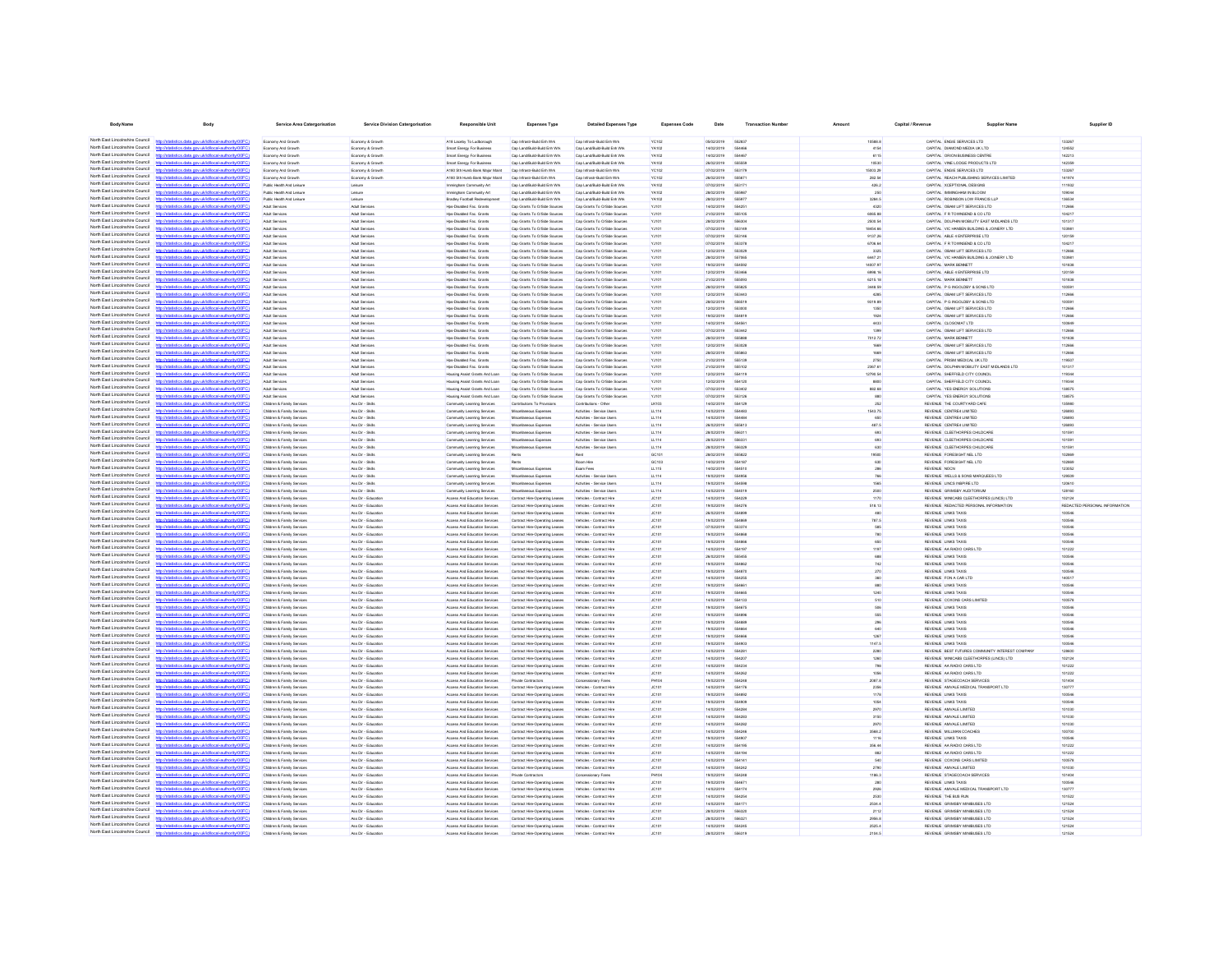| <b>Body Name</b>                                                   |                                                                                                                         | <b>Service Area Catergorisation</b>                      | <b>Service Division Catergorisation</b>      | Responsible Unit                                                 | <b>Expenses Type</b>                                             | <b>Detailed Expenses Type</b>                                | <b>Expenses Code</b>  | Date                      | <b>Transaction Nu</b>         |                        | Capital / Revenue |                                                                                   |                                        |
|--------------------------------------------------------------------|-------------------------------------------------------------------------------------------------------------------------|----------------------------------------------------------|----------------------------------------------|------------------------------------------------------------------|------------------------------------------------------------------|--------------------------------------------------------------|-----------------------|---------------------------|-------------------------------|------------------------|-------------------|-----------------------------------------------------------------------------------|----------------------------------------|
|                                                                    | North East Lincolnshire Council http://statistics.data.gov.uk/id/local-authority/00FC)                                  | <b>Economy And Growth</b>                                | Economy & Growth                             | A18 Laceby To Ludborough                                         | Cap Infrastr-Build Enh Wrk                                       | Cap Infrastr-Build Enh Wrk                                   | YC102                 | 05/02/2019                | 552837                        | 10588.8                |                   | CAPITAL ENGIE SERVICES LTD                                                        | 133267                                 |
| North East Lincolnshire Council                                    | http://statistics.data.onv.uk/d/ocal.authority/00EC                                                                     | <b>Economy And Growt</b>                                 | Economy & Growt                              | Smart Energy For Business                                        | Cap Land/Build-Build Enh Wrk                                     | Cap Land/Build-Build Enh Wrk                                 | <b>YA102</b>          | 14/02/2019                |                               | 4154                   |                   | CAPITAL DIAMOND MEDIA LK LTD                                                      | 124552                                 |
| North East Lincolnshire Council                                    | http://statistics.data.gov.uk/id/local-authority/00FC)                                                                  | <b>Economy And Growt</b>                                 | Economy & Growt                              | Smart Energy For Business                                        | Cap Land/Build-Build Enh Wrk                                     | Cap Land/Build-Build Enh Wrk                                 | YA102                 | 14/02/2019                | 554467                        | 6115                   |                   | CAPITAL ORION BUSINESS CENTR                                                      | 142213                                 |
| North East Lincolnshire Council<br>North East Lincolnshire Council | Witatistics data ony ukldihoral authority(00)                                                                           | Economy And Growth                                       | Economy & Growth                             | Smart Energy For Business                                        | Cap Land/Build-Build Enh Wrk                                     | Cap Land/Build-Build Enh Wrk                                 | <b>YA102</b>          | 26/02/2019                |                               | 10530                  |                   | CAPITAL VINE LODGE PRODUCTS LTD                                                   | 142359                                 |
| North East Lincolnshire Council                                    | istics.data.gov.ukld/local-authority/00FC                                                                               | Economy And Growt<br>Economy And Growth                  | Economy & Growt                              | A180 Sth Humb Bank Major Main<br>A180 Sth Humb Bank Major Maint  | Cap Infrastr-Build Enh Wrk<br>Cap Infrastr-Build Enh Wrk         | Cap Infrastr-Build Enh Wrk<br>Cap Infrastr-Build Enh Wrk     | <b>YC102</b><br>YC102 | 07/02/2019<br>26/02/2019  | 55317<br>66667                | 5003.29<br>282.54      |                   | CAPITAL ENGIE SERVICES LTD<br>CAPITAL REACH PUBLISHING SERVICES LIMITED           | 133267<br>141974                       |
| North Fast Lincolnshire Council                                    | Seting data over skildhood authority (DDEC                                                                              | Public Health And Leisure                                | Economy & Growth<br>Leisure                  | Immingham Community Art                                          | Cap Land/Build-Build Enh Wrk                                     | Cap Land/Build-Build Enh Wrk                                 | YA102                 | 07/02/2019                | 55317                         | 426.2                  |                   | CAPITAL XCEPTIONAL DESIGNS                                                        | 111932                                 |
| North East Lincolnshire Council                                    | http://statistics.data.gov.uk/id/local-authority/00FC                                                                   | Public Health And Leisure                                | Leisure                                      | Immingham Community Art                                          | Cap Land/Build-Build Enh Wrk                                     | Cap Land/Build-Build Enh Wrk                                 | YA102                 | 28/02/2019                | 55598                         | 250                    |                   | CAPITAL IMMINGHAM IN BLOOM                                                        | 109044                                 |
| North Fast Lincolnshire Council<br>North Fast Lincolnshire Council |                                                                                                                         | Public Health And Leisure                                | Leisure                                      | Bradley Football Redevelopment                                   | Cap Land/Build-Build Enh Wrk                                     | Cap Land/Build-Build Enh Wrk                                 | YA102                 | 28/02/2019                | 555977                        | 3284.5                 |                   | CAPITAL ROBINSON LOW FRANCIS LLP                                                  | 136534                                 |
| North East Lincolnshire Council                                    | istics.data.gov.ukfd/local-authority/00FC                                                                               | Adult Services                                           | Adult Services                               | Hos-Disabled Fac. Grants                                         | Cap Grants To O/Side Sources                                     | Cap Grants To O/Side Sources                                 | YJ101                 | 14/02/2019                | 55425                         | 4320                   |                   | CAPITAL OBAM LIFT SERVICES LTD                                                    | 112666                                 |
| North East Lincolnshire Council                                    | atistics.data.gov.uk/id/local-authority/00FC1                                                                           | Adult Services<br>Adult Services                         | Adult Services<br>Adult Services             | Hps-Disabled Fac. Grants<br>Hps-Disabled Fac. Grants             | Cap Grants To O/Side Sources<br>Cap Grants To O/Side Sources     | Cap Grants To O/Side Sources<br>Cap Grants To O/Side Sources | YJ101<br>YJ101        | 21/02/2019<br>28/02/2019  | 555105<br>55630               | 6065.88<br>2500.54     |                   | CAPITAL F R TOWNSEND & CO LTD<br>CAPITAL DOLPHIN MOBILITY EAST MIDLANDS LTD       | 104217<br>101317                       |
| North East Lincolnshire Council                                    | istics data ony uklidiocal authority/00FC                                                                               | Adult Services                                           | Adult Services                               | Hos-Disabled Fac. Grants                                         | Cap Grants To O/Side Sources                                     | Cap Grants To O/Side Sources                                 | YJ101                 | 07/02/2019                | 663140                        | 18454.66               |                   | CAPITAL VIC HANSEN BUILDING & JOINERY LTD                                         | 103981                                 |
| North East Lincolnshire Council                                    | http://statistics.data.gov.uk/id/local-authority/00FC)                                                                  | Adult Services                                           | Adult Services                               | Hps-Disabled Fac. Grants                                         | Cap Grants To O/Side Sources                                     | Cap Grants To O/Side Sources                                 | YJ101                 | 07/02/2019                | 653146                        | 9137.26                |                   | CAPITAL ABLE 4 ENTERPRISE LTD                                                     | 120159                                 |
| North East Lincolnshire Council<br>North East Lincolnshire Council | http://statistics.data.oov.uk/d/ocal.authority/00EC                                                                     | Adult Services                                           | Adult Services                               | Hos-Disabled Fac. Grants                                         | Cap Grants To O/Side Sources                                     | Cap Grants To O/Side Sources                                 | YJ101                 | 07/02/2019                | 553378                        | 6706.64                |                   | CAPITAL F R TOWNSEND & CO LTD                                                     | 104217                                 |
| North East Lincolnshire Council                                    | http://statistics.data.gov.uk/id/local-authority/00FC1<br>http://etatietica.clats.opg/dcidiocal.authority/DDEC          | Adult Services<br>Arkit Service                          | Adult Services<br>Arkit Renáres              | Hos-Disabled Fac. Grants<br>Hos-Disabled Fan Grants              | Cap Grants To O/Side Sources<br>Can Grants To Officia Sources    | Cap Grants To O/Side Sources<br>Can Grants To Officia Source | YJ101<br><b>V.HO1</b> | 12/02/2019<br>pensystems: | 553029<br>557065              | 3325<br><b>RA47 21</b> |                   | CAPITAL OBAM LIFT SERVICES LTD<br>CAPITAL VIC HANSEN BUILDING & JOINERY LTD.      | 112666<br>109981                       |
| North East Lincolnshire Council                                    | http://statistics.data.gov.uk/id/local-authority/00FC1                                                                  | Adult Services                                           | Adult Services                               | Hos-Disabled Fac. Grants                                         | Cap Grants To O/Side Sources                                     | Cap Grants To O/Side Sources                                 | YJ101                 | 19/02/2019                | 554592                        | 14007.97               |                   | CAPITAL MARK BENNETT                                                              | 101838                                 |
| North East Lincolnshire Council                                    | http://statistics.data.onv.uk/d/ocal.authority/00EC                                                                     | Adult Services                                           | Artist Renánce                               | Hos-Disabled Fac. Grants                                         | Cap Grants To O/Side Sources                                     | Cap Grants To O/Side Sources                                 | YJ101                 | enorono                   | <b>SS34R</b>                  | <b>6008 16</b>         |                   | CAPITAL ABLE 4 ENTERPRISE LTD                                                     | 120159                                 |
| North East Lincolnshire Council                                    | http://statistics.data.gov.uk/id/local-authority/00FC1                                                                  | Arkit Service                                            | Arkit Renáres                                | Hos-Disabled Fan Grants                                          | Can Grants To Officia Sources                                    | Can Grants To Officia Sources                                | Viter                 | 21/02/2019                | 555093                        | 6215 18                |                   | CAPITAL MARK RENNETT                                                              | 101838                                 |
| North East Lincolnshire Council<br>North East Lincolnshire Council | any defational authority/DOEC<br>http://statistics.data.gov.uk/id/local-authority/00FC)                                 | Adult Service                                            | Adult Services                               | Hps-Disabled Fac. Grants<br>Hos-Disabled Fac. Grants             | Cap Grants To O/Side Sources                                     | Cap Grants To O/Side Source                                  | YJ101                 | 28/02/2019<br>12/02/2019  | <b>GGGR24</b><br><b>GRAAS</b> | 3448.50                |                   | CAPITAL P G INGOLDBY & SONS LTD<br>CAPITAL OBAM LIFT SERVICES LTD                 | 100591<br>112666                       |
| North East Lincolnshire Council                                    | http://etatietics.clats.com/ddidiocal.authority/DDEC                                                                    | Adult Services<br>Adult Service                          | Adult Services<br>Adult Services             | Hps-Disabled Fac. Grants                                         | Cap Grants To O/Side Sources<br>Cap Grants To O/Side Sources     | Cap Grants To O/Side Sources<br>Cap Grants To O/Side Sources | YJ101<br>YJ101        | 28/02/2019                | 556519                        | 4285<br>9319.89        |                   | CAPITAL P G INGOLDBY & SONS LTD                                                   | 100591                                 |
| North East Lincolnshire Council                                    | http://statistics.data.gov.uk/id/local-authority/00FC                                                                   | Adult Service                                            | Adult Services                               | Hps-Disabled Fac. Grants                                         | Cap Grants To O/Side Sources                                     | Cap Grants To O/Side Sources                                 | YJ101                 | 12/02/2019                | 553000                        | 1350                   |                   | CAPITAL OBAM LIFT SERVICES LTD                                                    | 112666                                 |
| North East Lincolnshire Council                                    | r/ktatistics data ony ukidihocal authority/00FC                                                                         | Adult Services                                           | Adult Services                               | Hps-Disabled Fac. Grants                                         | Cap Grants To O/Side Sources                                     | Cap Grants To O/Side Sources                                 | YJ101                 | 19/02/2019                |                               | 1924                   |                   | CAPITAL OBAM LIFT SERVICES LTD                                                    | 112666                                 |
| North East Lincolnshire Council<br>North East Lincolnshire Council | distics.data.gov.uk/id/local-authority/00FC                                                                             | Adult Service                                            | Adult Services                               | Hps-Disabled Fac. Grants                                         | Cap Grants To O/Side Sources                                     | Cap Grants To O/Side Sources                                 | YJ101                 | 14/02/2019                | 55456                         | 4433                   |                   | CAPITAL CLOSOMAT LTD                                                              | 100849                                 |
| North East Lincolnshire Council                                    | http://statistics.data.gov.uk/id/local-authority/00FC                                                                   | Adult Services                                           | Adult Services<br>Adult Services             | Hos-Disabled Fac. Grants<br>Hps-Disabled Fac. Grants             | Cap Grants To O/Side Sources<br>Cap Grants To O/Side Sources     | Cap Grants To O/Side Sources                                 | YJ101                 | 07/02/2019<br>28/02/2019  | 55344                         | 1399<br>7012.72        |                   | CAPITAL OBAM LIFT SERVICES LTD<br>CAPITAL MARK BENNETT                            | 112666<br>101838                       |
| North East Lincolnshire Council                                    |                                                                                                                         | Adult Services<br>Adult Services                         | Adult Services                               | Hos-Disabled Fac. Grants                                         | Cap Grants To OrSide Sources                                     | Cap Grants To O/Side Sources<br>Cap Grants To O/Side Sources | YJ101<br>YJ101        | 12/02/2019                | 55588<br>553028               | 1669                   |                   | CAPITAL OBAM LIFT SERVICES LTD                                                    | 112666                                 |
| North Fast Lincolnshire Council                                    | tics data ony ricktificcal authority/00FC                                                                               | Adult Service                                            | Adult Services                               | Hos-Disabled Fac. Grants                                         | Cap Grants To O/Side Sources                                     | Cap Grants To O/Side Sources                                 | YJ101                 | 28/02/2019                | 555863                        | 1669                   |                   | CAPITAL OBAM LIFT SERVICES LTD                                                    | 112666                                 |
| North East Lincolnshire Council                                    |                                                                                                                         | Adult Services                                           | Adult Services                               | Hos-Disabled Fac. Grants                                         | Cap Grants To OrSide Sources                                     | Cap Grants To O/Side Sources                                 | YJ101                 | 21/02/2019                | 555139                        | 2750                   |                   | CAPITAL PRISM MEDICAL LK LTD                                                      | 119507                                 |
| North Fast Lincolnshire Council<br>North Fast Lincolnshire Council | definitional authority (Y)                                                                                              | Adult Services                                           | Adult Services                               | Hps-Disabled Fac. Grants                                         | Cap Grants To O/Side Sources                                     | Cap Grants To O/Side Sources                                 | YJ101                 | 21/02/2019                | 555102                        | 2367.61                |                   | CAPITAL DOLPHIN MOBILITY EAST MIDLANDS LTD                                        | 101317                                 |
| North Fast Lincolnshire Council                                    | distics.data.gov.uk/id/local-authority/00FC                                                                             | Adult Services                                           | Adult Services                               | Housing Assist Grants And Loan                                   | Cap Grants To O/Side Sources                                     | Cap Grants To O/Side Sources                                 | YJ101                 | 12/02/2019                | 554119<br>554120              | 12790.54               |                   | CAPITAL SHEFFIELD CITY COUNCIL                                                    | 119344                                 |
| North Fast Lincolnshire Council                                    | http://statistics.data.gov.uk/id/local-authority/00FC)                                                                  | Adult Services<br>Adult Services                         | Adult Services<br>Adult Services             | Housing Assist Grants And Loan<br>Housing Assist Grants And Loan | Cap Grants To O/Side Sources<br>Cap Grants To O/Side Sources     | Cap Grants To O/Side Sources<br>Cap Grants To O/Side Sources | YJ101<br>YJ101        | 12/02/2019<br>07/02/2019  | 553402                        | 8800<br>882.68         |                   | CAPITAL SHEFFIELD CITY COUNCIL<br>CAPITAL YES ENERGY SOLUTIONS                    | 119344<br>138575                       |
| North East Lincolnshire Council                                    | istics data ony ricid/ocal authority/00FC                                                                               | Adult Services                                           | Adult Services                               | Housing Assist Grants And Loan                                   | Cap Grants To O/Side Sources                                     | Cap Grants To O/Side Sources                                 | YJ101                 | 07/02/2019                | 553126                        | 880                    |                   | CAPITAL YES ENERGY SOLUTIONS                                                      | 138575                                 |
| North East Lincolnshire Council                                    | tistics.data.gov.uk/id/local-authority/00FC)                                                                            | Children & Family Service                                | Ass Dir - Skills                             | Community Learning Services                                      | Contributions To Provisions                                      | Contributions - Other                                        | LK103                 | 14/02/2019                | 554129                        | 252                    |                   | REVENUE THE COURTYARD CAFE                                                        | 135980                                 |
| North East Lincolnshire Council<br>North East Lincolnshire Council | distins data one uklidiocal authoritetture:                                                                             | Children & Family Services                               | Ass Dir - Skills                             | Community Learning Services                                      | Miscellaneous Expenses                                           | Activities - Service Users                                   | LL114                 | 14/02/2019                | 554483                        | 1543.75                |                   | REVENUE CENTRE4 LIMITED                                                           | 126893                                 |
| North East Lincolnshire Council                                    | http://statistics.data.gov.uk/id/local-authority/00FC1<br>http://statistics.data.onv.uk/d/ocal.authority/00EC           | Children & Family Services<br>Children & Family Services | Ass Dir - Skills<br>Ass Dir - Ridis          | Community Learning Services<br>Community Learning Services       | Miscellaneous Expenses<br>Misrellanenus Fynenses                 | Activities - Service Users<br>Artivities - Renére Lisers     | LL114<br>11114        | 14/02/2019<br>ennooned    | <b>SS44RA</b><br>665613       | 650<br>487.5           |                   | REVENUE CENTRE4 LIMITED<br>REVEN E CENTRE4 LIMITED.                               | 126893<br>126803                       |
| North East Lincolnshire Council                                    | http://statistics.data.gov.uk/id/local-authority/00FC1                                                                  | Children & Family Services                               | Ass Dir - Skills                             | Community Learning Services                                      | Miscellaneous Expenses                                           | Activities - Service Users                                   | LL114                 | 28/02/2019                | 556311                        | 693                    |                   | REVENUE CLEETHORPES CHILDCARE                                                     | 101591                                 |
| North East Lincolnshire Council                                    | distribution state concrete interest authoritation CO                                                                   | Children & Family Service                                | Ass Dir - Skills                             | Community Learning Services                                      | Miscellaneous Expense                                            | Activities - Service Users                                   | LL114                 | 28/02/2019                | <b>GGASS</b>                  | <b>ASS</b>             |                   | REVENUE OLEETHORPES CHLOCARE                                                      | 101501                                 |
| North East Lincolnshire Council                                    | http://statistics.data.oov.uk/id/ocal.authority/00FCI                                                                   | Children & Family Services                               | Ass Dir - Riche                              | Community Learning Services                                      | Misrellanenin Fynense                                            | Artisties - Renire Lisers                                    | 11.114                | 28/02/2019                | 698320                        | 630                    |                   | REVENUE OLEETHORPES CHLOCARE                                                      | 101501                                 |
| North East Lincolnshire Council<br>North East Lincolnshire Council | http://etatietics.clats.com/ddidiocal.authority/DDEC<br>http://statistics.data.gov.uk/id/local-authority/00FC1          | Children & Family Service                                | Ass Dir - Skills                             | Community Learning Services                                      |                                                                  |                                                              | GC101<br>GC103        | 28/02/2019<br>ernoronse   | 555822<br>654187              | 19500                  |                   | REVENUE FORESIGHT NEL LTD<br>REVENUE FORESIGHT NEL LTD                            | 102889<br>102889                       |
| North East Lincolnshire Council                                    | http://atatistics.chta.com/ddidiocal.authority/00EC                                                                     | Children & Family Service<br>Children & Family Service   | Ass Dir - Skills<br>Ass Dir - Skills         | Community Learning Services<br>Community Learning Services       | Rents<br>Miscellaneous Expenses                                  | Room Hire<br>Exam Fees                                       | LL115                 | 14/02/2019                | 654510                        | 630<br>286             | REVENLE NOCN      |                                                                                   | 123052                                 |
| North East Lincolnshire Council                                    | http://statistics.data.gov.uk/id/local-authority/00FC1                                                                  | Children & Family Service                                | Ass Dir - Skills                             | Community Learning Services                                      | Miscellaneous Expense                                            | Activities - Service User                                    | LL114                 | 19/02/2019                | 554956                        | 766                    |                   | REVENUE WELLS & SONS MARQUEES LTD                                                 | 129509                                 |
| North East Lincolnshire Council                                    | ins data ony uklidihoaliauthorisinnen                                                                                   | Children & Family Services                               | Ass Dir - Skills                             | Community Learning Services                                      | Miscellaneous Expenses                                           | Activities - Service Users                                   | LL114                 | 19/02/2019                |                               |                        |                   | REVENUE LINCS INSPIRE LTD                                                         | 120610                                 |
| North East Lincolnshire Council<br>North East Lincolnshire Council | http://statistics.data.gov.uk/id/local-authority/00FC                                                                   | Children & Family Service                                | Ass Dir - Skills                             | Community Learning Services                                      | celaneous Expenses                                               | Activities - Service Users                                   | LL114                 | 14/02/2019                | 554019                        | 2500                   |                   | REVENUE GRIMSBY AUDITORIU                                                         | 128160                                 |
| North East Lincolnshire Council                                    | tistics data ony uklidiocal authority/00F<br>istics.data.gov.uk/id/local-authority/00FC                                 | Children & Family Services<br>Children & Family Service  | Ass Dir - Educatio<br>Ass Dir - Educatio     | Access And Education Services<br>Access And Education Services   | Contract Hre-Operating Leases<br>Contract Hre-Operating Leases   | Vehicles - Contract Hire<br>Vehicles - Contract Hire         | JC101<br>JC101        | 14/02/2019<br>19/02/2019  | 55422<br>55427                | 1170<br>518.13         |                   | REVENUE MINICABS CLEETHORPES (LINCS) LTD<br>REVENUE REDACTED PERSONAL INFORMATION | 102124<br>REDACTED PERSONAL INFORMATIO |
| North East Lincolnshire Council                                    |                                                                                                                         | Children & Family Services                               | Ass Dir - Education                          | Access And Education Services                                    | Contract Hre-Operating Leases                                    | Vehicles - Contract Hire                                     | JC101                 | 26/02/2019                | 554896                        | 480                    |                   | REVENUE LINKS TAXIS                                                               | 100546                                 |
| North Fast Lincolnshire Council                                    | stics.data.gov.uk/id/local-authority/00FC                                                                               | Children & Family Services                               | Ass Dir - Education                          | Access And Education Services                                    | Contract Hire-Operating Leases                                   | Vehicles - Contract Hire                                     | JC101                 | 19/02/2019                | 55486                         | 787.5                  |                   | REVENUE LINKS TAXIS                                                               | 100546                                 |
| North East Lincolnshire Council<br>North Fast Lincolnshire Council | local-authority/00FC                                                                                                    | Children & Family Services                               | Ass Dir - Education                          | Access And Education Services                                    | Contract Hre-Operating Leases                                    | Vehicles - Contract Hire                                     | JC101                 | 07/02/2019                | 663374                        | 585                    |                   | REVENUE LINKS TAXIS                                                               | 100546                                 |
| North Fast Lincolnshire Council                                    | defettivent authority (DOEC)<br>istics data ony uklidiocal authority(00FC)                                              | Children & Family Services<br>Children & Family Services | Ass Dir - Education<br>Ass Dir - Education   | Access And Education Services<br>Access And Education Services   | Contract Hire-Operating Leases<br>Contract Hre-Operating Leases  | Vehicles - Contract Hire<br>Vehicles - Contract Hire         | JC101<br>JC101        | 19/02/2019<br>19/02/2019  | 554868<br><b>SS4RFF</b>       | 780<br>650             |                   | REVENLE LINKS TAXIS<br>REVENUE LINKS TAXIS                                        | 100546<br>100546                       |
| North East Lincolnshire Council                                    |                                                                                                                         | Children & Family Services                               | Ass Dir - Education                          | Access And Education Services                                    | Contract Hre-Operating Leases                                    | Vehicles - Contract Hire                                     | JC101                 | 14/02/2019                | 554197                        | 1197                   |                   | REVENUE AA RADIO CARS LTD                                                         | 101222                                 |
| North East Lincolnshire Council                                    | stics.data.gov.uk/id/local-authority/00FC)                                                                              | Children & Family Services                               | Ass Dir - Education                          | Access And Education Services                                    | Contract Hre-Operating Leases                                    | Vehicles - Contract Hire                                     | JC101                 | 26/02/2019                | 666456                        | 688                    |                   | REVENUE LINKS TAXIS                                                               | 100546                                 |
| North East Lincolnshire Council<br>North Fast Lincolnshire Council | calauthority <sup>100</sup>                                                                                             | Children & Family Services                               | Ass Dir - Education                          | Access And Education Services                                    | Contract Hre-Operating Leases                                    | Vehicles - Contract Hire                                     | JC101                 | 19/02/2019                | <b>SS4RRS</b>                 | 742                    |                   | REVENLE LINKS TAXIS                                                               | 100546                                 |
| North East Lincolnshire Council                                    | http://statistics.data.gov.uk/id/local-authority/00FC)                                                                  | Children & Family Services                               | Ass Dir - Education                          | Access And Education Services                                    | Contract Hire-Operating Leases                                   | Vehicles - Contract Hire                                     | JC101                 | 19/02/2019                | <b>554870</b>                 | 270                    |                   | REVENUE LINKS TAXIS                                                               | 100546                                 |
| North East Lincolnshire Council                                    | http://statistics.data.oov.uk/d/ocal.authority/00EC<br>distics.data.gov.uk/id/local-authority/00FC1<br><b>http://et</b> | Children & Family Services<br>Children & Family Services | Ass Dir - Education<br>Ass Dir - Education   | Access And Education Services<br>Access And Education Services   | Contract Hre-Operating Leases<br>Contract Hre-Operating Leases   | Vehicles - Contract Hire<br>Vehicles - Contract Hire         | JC101<br>JC101        | 14/02/2019<br>19/02/2019  | 554255<br>55466               | 360<br>880             |                   | REVENUE FON A CAR LTD<br>REVENUE LINKS TAXIS                                      | 140517<br>100546                       |
| North East Lincolnshire Council                                    | distribution data one delidional activisibiliti CC                                                                      | Children & Family Services                               | Ass Dir - Friendline                         | Anness And Education Services                                    | Contract Headmerston Leases                                      | Vehirles - Contract Hire                                     | <b>JC101</b>          | encicries                 | <b>SS4AN</b>                  | 1240                   |                   | REVEN E LINKS TAXIS                                                               | 100546                                 |
| North East Lincolnshire Council                                    | http://statistics.data.gov.uk/id/local-authority/00FC1                                                                  | Children & Family Services                               | Ass Dir - Education                          | Access And Education Services                                    | Contract Hre-Operating Leases                                    | Vehicles - Contract Hire                                     | JC101                 | 14/02/2019                | 554133                        | 510                    |                   | REVENUE COXONS CARS LIMITED                                                       | 100578                                 |
| North East Lincolnshire Council<br>North East Lincolnshire Council | http://etatietics.clats.com/ddidiocal.authority/DDEC                                                                    | <b>Children &amp; Family Service</b>                     | Ass Dir - Friungting                         | Access And Education Services                                    | Contract Hire-Operating Leases                                   | Vehicles - Contract Hire                                     | <b>JC101</b>          | sanoconse                 | <b>SS4R7P</b>                 | 506                    |                   | REVEN E LINKS TAXIS                                                               | 100546                                 |
| North East Lincolnshire Council                                    | http://statistics.data.gov.uk/id/local-authority/00FC)<br>http://statistics.data.onv.uk/d/ocal.authority/00EC           | Children & Family Senings<br>Children & Family Services  | Ass Dir - Friungting<br>Ass Dir - Education  | Anness And Education Services<br>Access And Education Services   | Contract Hre-Operating Leases<br>Contract Hire-Operating Leases  | Vehicles - Contract Hire<br>Vehicles - Contract Hire         | <b>JOSES</b><br>JC101 | sanzionia<br>19/02/2019   | 554896<br><b>GGARR</b>        | 555<br>296             |                   | REVEN E LINKS TAXIS<br>REVENUE LINKS TAXIS                                        | 100546<br>100546                       |
| North East Lincolnshire Council                                    | http://statistics.data.gov.uk/id/local-authority/00FC1                                                                  | Children & Family Service                                | Ass Dir - Education                          | Anness And Education Services                                    | Contract Hire-Operating Leases                                   | Vehicles - Contract Hire                                     | JC101                 | sanzionia                 | SS4AR                         | 640                    |                   | REVENUE LINKS TAXIS                                                               | 100546                                 |
| North East Lincolnshire Council                                    | <b>CONTRACTOR</b> AND CONTRACTOR                                                                                        | Children & Family Services                               | Ass Dir - Educatio                           | Access And Education Services                                    | Contract Hire-Operating Leases                                   | Vehicles - Contract Hire                                     | JC101                 | 19/02/2019                |                               | 1267                   |                   | REVENUE LINKS TAXIS                                                               | 100546                                 |
| North East Lincolnshire Council                                    | http://statistics.data.gov.uk/id/local-authority/00FC                                                                   | Children & Family Service                                | Ass Dir - Education                          | Access And Education Services                                    | Contract Hire-Operating Lease                                    | Vehicles - Contract Hire                                     | JC101                 | 19/02/2019                | 554900                        | 1147.5                 |                   | REVENUE LINKS TAXIS                                                               | 100546                                 |
| North East Lincolnshire Council<br>North East Lincolnshire Council | http://statistics.data.onv.uk/d/ocal.authority/00EC                                                                     | Children & Family Services                               | Ass Dir - Educatio                           | Access And Education Services                                    | Contract Hire-Operating Leases                                   | Vehicles - Contract Hire                                     | JC101                 | 14/02/2019<br>14/02/2019  | 55420                         | 2280                   |                   | REVENUE BEST FUTURES COMMUNITY INTEREST COMPAN                                    | 128600                                 |
| North East Lincolnshire Council                                    | http://statistics.data.gov.uk/id/ocal-authority/00FC)                                                                   | Children & Family Service<br>Children & Family Services  | Ass Dir - Educatio<br>Ass Dir - Education    | Access And Education Services<br>Access And Education Services   | Contract Hire-Operating Leases<br>Contract Hre-Operating Leases  | Vehicles - Contract Hire<br>Vehicles - Contract Hire         | JC101<br>JC101        | 14/02/2019                | 55423                         | 1260<br>798            |                   | REVENUE MINICABS CLEETHORPES (LINCS) LTD<br>REVENUE AA RADIO CARS LTD             | 102124<br>101222                       |
| North East Lincolnshire Council                                    | tistics.data.gov.uk/id/local-authority/00FC                                                                             | Children & Family Services                               | Ass Dir - Educatio                           | Access And Education Services                                    | Contract Hire-Operating Leases                                   | Vehicles - Contract Hire                                     | JC101                 | 14/02/2019                | 55426                         | 1056                   |                   | REVENUE AA RADIO CARS LTD                                                         | 101222                                 |
| North East Lincolnshire Council                                    |                                                                                                                         | Children & Family Services                               | Ass Dir - Education                          | Access And Education Services                                    | Private Contractors                                              | Concessionary Fares                                          | <b>PH104</b>          | 19/02/2019                | 55424                         | 2087.8                 |                   | REVENUE STAGECOACH SERVICES                                                       | 101404                                 |
| North Fast Lincolnshire Council<br>North East Lincolnshire Council | distics.data.gov.uk/id/local-authority/00FC1                                                                            | Children & Family Services                               | Ass Dir - Education                          | Access And Education Services                                    | Contract Hre-Operating Leases                                    | Vehicles - Contract Hire                                     | JC101                 | 14/02/2019                | 554176                        | 2356                   |                   | REVENUE AMVALE MEDICAL TRANSPORT LTD                                              | 130777                                 |
| North Fast Lincolnshire Council                                    | stics.data.gov.uk/id/local-authority/00FC1                                                                              | Children & Family Services                               | Ass Dir - Education                          | Access And Education Services                                    | Contract Hre-Operating Leases                                    | Vehicles - Contract Hire                                     | JC101                 | 19/02/2019                | 554892                        | 1178                   |                   | REVENUE LINKS TAXIS                                                               | 100546                                 |
| North Fast Lincolnshire Council                                    |                                                                                                                         | Children & Family Services<br>Children & Family Services | Ass Dir - Education<br>Ass Dir - Education   | Access And Education Services<br>Access And Education Services   | Contract Hire-Operating Leases<br>Contract Hre-Operating Leases  | Vehicles - Contract Hire<br>Vehicles - Contract Hire         | JC101<br>JC101        | 19/02/2019<br>14/02/2019  | 554909<br>554284              | 1054<br>2970           |                   | REVENLE LINKS TAXIS<br>REVENUE AMVALE LIMITED                                     | 100546<br>101030                       |
| North Fast Lincolnshire Council                                    |                                                                                                                         | Children & Family Services                               | Ass Dir - Education                          | Access And Education Services                                    | Contract Hre-Operating Leases                                    | Vehicles - Contract Hire                                     | JC101                 | 14/02/2019                | 554283                        | 3150                   |                   | REVENUE AMVALE LIMITED                                                            | 101030                                 |
| North Fast Lincolnshire Council                                    | http://statistics.data.oov.uk/d/ocal.authority/00ECI                                                                    | Children & Family Services                               | Ass Dir - Education                          | Access And Education Services                                    | Contract Hre-Operating Leases                                    | Vehicles - Contract Hire                                     | JC101                 | 14/02/2019                | 554282                        | 2970                   |                   | REVENUE AMVALE LIMITED                                                            | 101030                                 |
| North East Lincolnshire Council<br>North East Lincolnshire Council | fistins data ony riklidingal authority/00EC                                                                             | Children & Family Services                               | Ass Dir - Education                          | Access And Education Services                                    | Contract Hre-Operating Leases                                    | Vehicles - Contract Hire                                     | JC101                 | 14/02/2019                | 554246                        | 3568.2                 |                   | REVENUE MILLMAN COACHES                                                           | 100700                                 |
| North East Lincolnshire Council                                    | http://statistics.data.gov.uk/id/local-authority/00FC)<br>http://statistics.data.onv.uk/id/ocal.authority/00EC          | Children & Family Services<br>Children & Family Services | Ass Dir - Education<br>Ass Dir - Education   | Access And Education Services<br>Access And Education Services   | Contract Hire-Operating Leases<br>Contract Hire-Operating Leases | Vehicles - Contract Hire<br>Vehicles - Contract Hire         | JC101<br>JC101        | 19/02/2019<br>14/02/2019  | 554907<br>554195              | 1116<br>356.44         |                   | REVENUE LINKS TAXIS<br>REVENUE AA RADIO CARS LTD                                  | 100546<br>101222                       |
| North East Lincolnshire Council                                    | http://statistics.data.gov.uk/id/local-authority/00FC1                                                                  | Children & Family Services                               | Ass Dir - Education                          | Access And Education Services                                    | Contract Hre-Operating Leases                                    | Vehicles - Contract Hire                                     | JC101                 | 14/02/2019                | 554194                        | 882                    |                   | REVENUE AA RADIO CARS LTD                                                         | 101222                                 |
| North East Lincolnshire Council                                    | http://etatietica.clats.opg/dcidiocal.authority/DDEC                                                                    | Children & Family Services                               | Ass Dir - Friungting                         | Anness And Education Services                                    | Contract Hira-Oneration Leases                                   | Vehirles - Contract Hire                                     | <b>JOSES</b>          | encomar                   | 55414                         | 540                    |                   | REVENLE COXONS CARS LIMITED                                                       | 100578                                 |
| North East Lincolnshire Council                                    | http://statistics.data.gov.uk/id/local-authority/00FC1                                                                  | Children & Family Services                               | Ass Dir - Education                          | Access And Education Services                                    | Contract Hire-Operating Leases                                   | Vehicles - Contract Hire                                     | JC101                 | 14/02/2019                | 554242                        | 2790                   |                   | REVENUE AMVALE LIMITED                                                            | 101030                                 |
| North East Lincolnshire Council<br>North East Lincolnshire Council | http://etatietica.clats.com/ddid/scal.authority/00EC<br>http://statistics.data.onv.uk/id/ocal.authority/00FCI           | Children & Family Service<br>Children & Family Services  | Ass Dir - Friungting<br>Ass Dir - Friungting | Access And Education Services<br>Anness And Education Services   | Private Contractors<br>Contract Hire-Operating Leases            | Concessionary Fares<br>Vehirles - Contract Hire              | PHIM<br><b>JC101</b>  | encicries<br>sanzionia    | 554248<br><b>SS4R7</b>        | 1186.3                 |                   | REVENUE STAGECOACH SERVICES<br>REVEN E LINKS TAXIS                                | 101404<br>100546                       |
| North East Lincolnshire Council                                    |                                                                                                                         | Children & Family Service                                | Ass Dir - Education                          | Access And Education Services                                    | Contract Hre-Operating Lease                                     | Vehicles - Contract Hire                                     | JC101                 | 14/02/2019                | 654174                        | 280<br>2926            |                   | REVENUE AMVALE MEDICAL TRANSPORT LTD                                              | 130777                                 |
|                                                                    | North East Lincolnshire Council http://statistics.data.gov.uk/id/local-authority/00FC)                                  | Children & Family Service                                | Ass Dir - Education                          | Access And Education Services                                    | Contract Hre-Operating Leases                                    | Vehicles - Contract Hire                                     | <b>JC101</b>          | sampronse                 | 55425                         | 2530                   |                   | REVENUE THE BUS RUN                                                               | 101522                                 |
|                                                                    | North East Lincolnshire Council   New Setwhetics Anti-Any defictive at authority inner                                  | Children & Family Service                                | Ass Dir - Educatio                           | Access And Education Services                                    | Contract Hire-Operating Leases                                   | Vehicles - Contract Hire                                     | JC101                 | 14/02/2019                | 65417                         | 2534.4                 |                   | REVENUE GRIMSBY MINBUSES LTD                                                      | 121524                                 |
| North East Lincolnshire Council<br>North East Lincolnshire Council | http://statistics.data.gov.uk/id/local-authority/00FC                                                                   | Children & Family Service                                | Ass Dir - Educatio                           | Access And Education Services                                    | Contract Hire-Operating Lease                                    | Vehicles - Contract Hire                                     | JC101                 | 28/02/2019                | 55632                         | 2112                   |                   | REVENUE GRIMSBY MINBUSES LTD                                                      | 121524                                 |
| North East Lincolnshire Council                                    | p://statistics.data.gov.uk/id/local-authority/00FC<br>http://statistics.data.gov.uk/id/local-authority/00FC1            | Children & Family Services<br>Children & Family Services | Ass Dir - Educatio<br>Ass Dir - Educatio     | Access And Education Services<br>Access And Education Services   | Contract Hre-Operating Leases<br>Contract Hire-Operating Leases  | Vehicles - Contract Hire                                     | JC101                 | 28/02/2019<br>14/02/2019  | 55424                         | 2956.8<br>2525.4       |                   | REVENUE GRIMSBY MINBUSES LTD<br>REVENUE GRIMSBY MINBUSES LTD                      | 121524<br>121524                       |
| North East Lincolnshire Council                                    |                                                                                                                         | Nirkan & Family See                                      | Ass Dir., Friung                             | cress And Education Services                                     |                                                                  |                                                              | <b>JC101</b>          | 28/02/2019                |                               | 2104.5                 |                   | REVEN E. GRIMSRY MINRI ISES LTD                                                   | 121524                                 |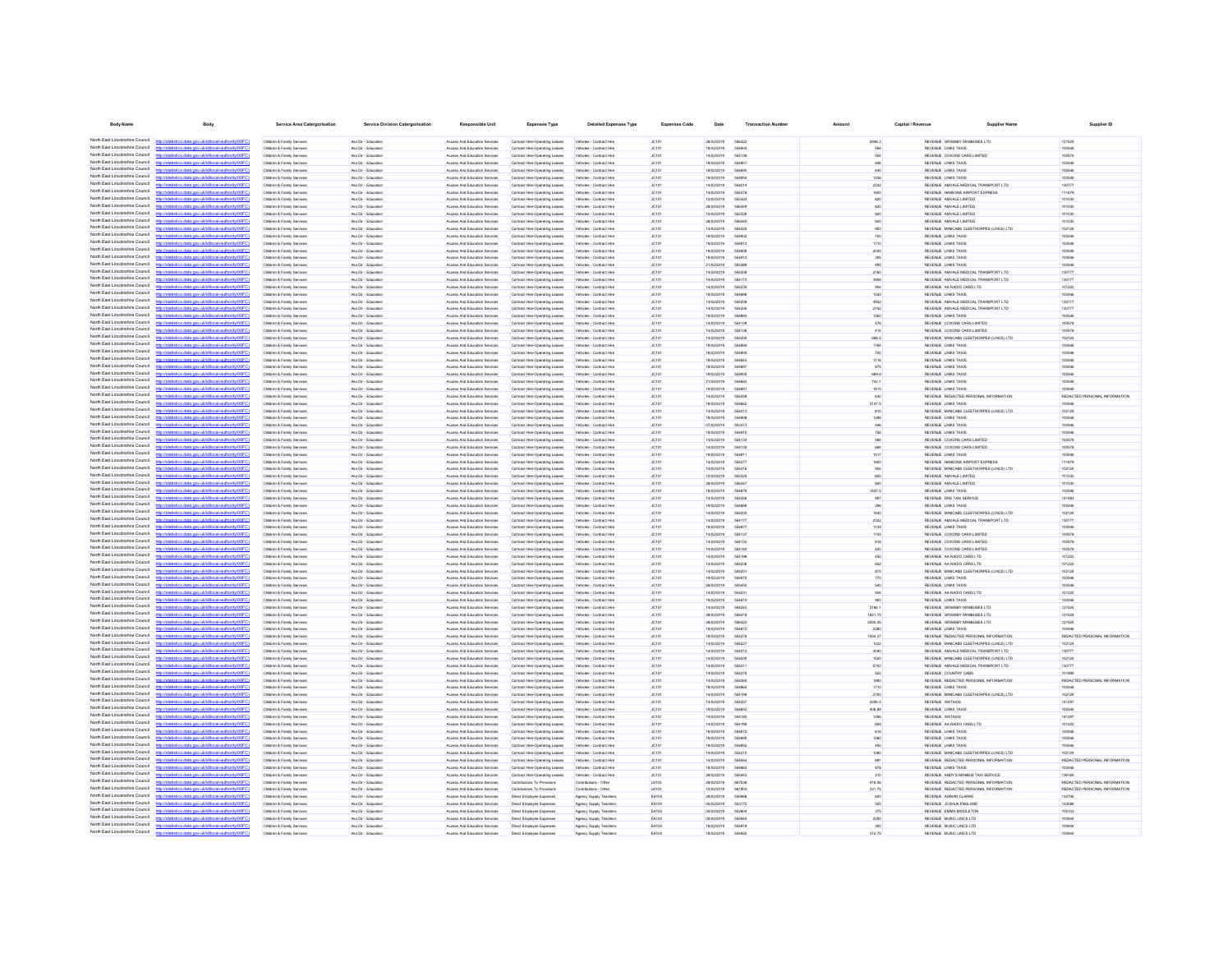| <b>Body Name</b>                                                   | Body                                                                                                                                                                             | <b>Service Area Catergorisation</b>                                | Service Division Catergorisation            | Responsible Unit                                               | <b>Expenses Type</b>                                             | <b>Detailed Expenses Type</b>                        | <b>Expenses Code</b>  | Date                     | <b>Transaction Numbe</b> | Amount             | Capital / Revenue | <b>Supplier Name</b>                                                             | Supplier ID                   |
|--------------------------------------------------------------------|----------------------------------------------------------------------------------------------------------------------------------------------------------------------------------|--------------------------------------------------------------------|---------------------------------------------|----------------------------------------------------------------|------------------------------------------------------------------|------------------------------------------------------|-----------------------|--------------------------|--------------------------|--------------------|-------------------|----------------------------------------------------------------------------------|-------------------------------|
|                                                                    | North East Lincolnshire Council http://statistics.data.gov.uk/id/local-authority/00FC)                                                                                           | Children & Family Services                                         | Ass Dir - Friungting                        | Anness And Education Services                                  | Contract Hire-Oneration Leases                                   | Vehicles - Contract Hire                             | Licens.               | 28/02/2019               | 556322                   | 2046.3             |                   | BEVEN E GRIMSRY MINRI ISES I TO                                                  | 121524                        |
| North East Lincolnshire Council                                    |                                                                                                                                                                                  | Children & Family Services                                         | Ass Dir - Education                         | Access And Education Services                                  | Contract Hre-Operating Leases                                    | Vehicles - Contract Hire                             | JC101                 | 19/02/2019               | <b>55490</b>             | 594                |                   | REVENUE LINKS TAXIS                                                              | 100546                        |
| North East Lincolnshire Council                                    | http://statistics.data.oov.uk/d/ocal.authority/00EC)                                                                                                                             | Children & Family Service                                          | Ass Dir - Education                         | Anness And Education Services                                  | Contract Hire-Operating Leases                                   | Vehicles - Contract Hire                             | <b>JC101</b>          | 14/02/2019               | 654138                   | <b>SO4</b>         |                   | REVEN E COXONS CARS LIMITED                                                      | 100578                        |
| North East Lincolnshire Council                                    | distribution data and debtivershed to discrimination                                                                                                                             | Children & Family Service                                          | Ass Dir - Education                         | Access And Education Services                                  | Contract Hire-Operating Leases                                   | Vehicles - Contract Hire                             | JC101                 | 19/02/2019               | <b>SS400</b>             | 846                |                   | REVENUE LINKS TAXIS                                                              | 100546                        |
| North East Lincolnshire Council<br>North East Lincolnshire Council | nny vid idioent nationis (DOEC)                                                                                                                                                  | Children & Family Service<br>Children & Family Services            | Ass Dir - Education<br>Ass Dir - Educatio   | Access And Education Services<br>Access And Education Services | Contract Hire-Operating Leases<br>Contract Hre-Operating Leases  | Vehicles - Contract Hire<br>Vehicles - Contract Hire | <b>JC101</b><br>JC101 | 19/02/2019<br>19/02/2019 | 55489                    | 440<br>1236        |                   | REVENUE LINKS TAXIS<br>REVENUE LINKS TAXIS                                       | 100546<br>100546              |
| North East Lincolnshire Council                                    | http://statistics.data.oov.uk/d/ocal.authority/00FCI                                                                                                                             | Children & Family Service                                          | Ass Dir - Education                         | Access And Education Services                                  | Contract Hire-Operating Leases                                   | Vehicles - Contract Hire                             | JC101                 | 14/02/2019               | 55421                    | 2232               |                   | REVENUE AMVALE MEDICAL TRANSPORT LTD                                             | 130777                        |
| North East Lincolnshire Council                                    | http://statistics.data.gov.ukild/local-authority/00FC                                                                                                                            | Children & Family Service                                          | Ass Dir - Educatio                          | Access And Education Services                                  | Contract Hire-Operating Leases                                   | Vehicles - Contract Hire                             | JC101                 | 14/02/2019               | 554278                   | 1800               |                   | REVENUE HANSONS AIRPORT EXPRESS                                                  | 111879                        |
| North East Lincolnshire Council<br>North East Lincolnshire Council | tistics.data.gov.uk/id/local-authority/00FC                                                                                                                                      | Children & Family Services                                         | Ass Dir - Educatio                          | Access And Education Services                                  | Contract Hre-Operating Leases                                    | Vehicles - Contract Hire                             | JC101                 | 12/02/2019               | 55232                    | 820                |                   | REVENJE AMVALE LIMITED                                                           | 101030                        |
| North Fast Lincolnshire Council                                    | latistics.data.gov.uk/id/local-authority/00FC1<br>nv ukldincal authority00F                                                                                                      | Children & Family Services<br>Children & Family Service            | Ass Dir - Educatio<br>Ass Dir - Education   | Access And Education Services<br>Access And Education Services | Contract Hre-Operating Leases<br>Contract Hre-Operating Leases   | Vehicles - Contract Hire<br>Vehicles - Contract Hire | JC101<br>JC101        | 28/02/2019<br>12/02/2019 | 55232                    | 820<br>820         |                   | REVENJE AMVALE LIMITED<br>REVENUE AMVALE LIMITED                                 | 101030<br>101030              |
| North East Lincolnshire Council                                    | //statistics.data.gov.uk/id/local-authority/00FC)                                                                                                                                | Children & Family Services                                         | Ass Dir - Educatio                          | Access And Education Services                                  | Contract Hre-Operating Leases                                    | Vehicles - Contract Hire                             | JC101                 | 28/02/2019               | 55634                    | 820                |                   | REVENJE AMVALE LIMITED                                                           | 101030                        |
| North Fast Lincolnshire Council                                    |                                                                                                                                                                                  | Children & Family Services                                         | Ass Dir - Education                         | Access And Education Services                                  | Contract Hire-Operating Leases                                   | Vehicles - Contract Hire                             | JC101                 | 14/02/2019               | 554225                   | 900                |                   | REVENUE MINICABS CLEETHORPES (LINCS) LTD                                         | 102124                        |
| North Fast Lincolnshire Council                                    | tics.data.gov.uk/id/local-authority/00FC1                                                                                                                                        | Children & Family Services                                         | Ass Dir - Education                         | Access And Education Services                                  | Contract Hre-Operating Leases                                    | Vehicles - Contract Hire                             | JC101                 | 19/02/2019               | 554902                   | 700                |                   | REVENUE LINKS TAXIS                                                              | 100546                        |
| North East Lincolnshire Council<br>North Fast Lincolnshire Council | http://statistics.data.gov.uk/id/local-authority/00FC)                                                                                                                           | Children & Family Services                                         | Ass Dir - Education                         | Access And Education Services                                  | Contract Hire-Operating Leases                                   | Vehicles - Contract Hire                             | JC101                 | 19/02/2019               | 554913                   | 1710               |                   | REVENUE LINKS TAXIS                                                              | 100546                        |
| North East Lincolnshire Council                                    | stics data nov uklidiocal authority(DDFC)                                                                                                                                        | Children & Family Services<br>Children & Family Services           | Ass Dir - Education<br>Ass Dir - Education  | Access And Education Services<br>Access And Education Services | Contract Hre-Operating Leases<br>Contract Hre-Operating Leases   | Vehicles - Contract Hire<br>Vehicles - Contract Hire | JC101<br>JC101        | 19/02/2019<br>19/02/2019 | 554906<br>554912         | 2040<br>395        |                   | REVENUE LINKS TAXIS<br>REVENUE LINKS TAXIS                                       | 100546<br>100546              |
| North East Lincolnshire Council                                    | stics.data.gov.uk/id/local-authority/00FC)                                                                                                                                       | Children & Family Services                                         | Ass Dir - Education                         | Access And Education Services                                  | Contract Hire-Operating Leases                                   | Vehicles - Contract Hire                             | JC101                 | 21/02/2019               | 666380                   | 496                |                   | REVENUE LINKS TAXIS                                                              | 100546                        |
| North East Lincolnshire Council                                    | stics data ony ukld/ocal authority/00                                                                                                                                            | Children & Family Services                                         | Ass Dir - Education                         | Access And Education Services                                  | Contract Hre-Operating Leases                                    | Vehicles - Contract Hire                             | JC101                 | 14/02/2019               | 554208                   | 2160               |                   | REVENLE AMVALE MEDICAL TRANSPORT LTD                                             | 130777                        |
| North East Lincolnshire Council<br>North East Lincolnshire Council | tistics.data.gov.uk/id/local-authority/00FC)<br>http<br>sting data over skildhood, authorital00EC                                                                                | Children & Family Services<br><b>Children &amp; Family Service</b> | Ass Dir - Education<br>Ass Dir - Friungting | Access And Education Services<br>Anness And Education Services | Contract Hre-Operating Leases<br>Contract Hire-Operating Leases  | Vehicles - Contract Hire<br>Vehirles - Contract Hire | JC101<br><b>JC101</b> | 14/02/2019<br>ennoonst   | 554173<br>654235         | 3906<br>954        |                   | REVENLE AMVALE MEDICAL TRANSPORT LTD<br>REVEN E. 44 BARIO CARS ITD               | 130777<br>101222              |
| North East Lincolnshire Council                                    | http://statistics.data.gov.uk/id/local-authority/00FC)                                                                                                                           | Children & Family Service                                          | Ass Dir - Education                         | Access And Education Services                                  | Contract Hire-Operating Leases                                   | Vehicles - Contract Hire                             | JC101                 | 19/02/2019               | 554898                   | 1530               |                   | REVENUE LINKS TAXIS                                                              | 100546                        |
| North East Lincolnshire Council                                    | Interfering data over skildhood, authority(DDCC)                                                                                                                                 | Children & Family Service                                          | Ass Dir - Education                         | Access And Education Services                                  | Contract Hre-Operating Leases                                    | Vehicles - Contract Hire                             | JC101                 | 14/02/2019               | 554200                   | 4932               |                   | REVENUE AMVALE MEDICAL TRANSPORT LTD                                             | 130777                        |
| North East Lincolnshire Council                                    | http://statistics.data.oov.uk/d/ocal.authority/00EC)                                                                                                                             | Children & Family Service                                          | Ass Dir - Friungting                        | Anness And Education Services                                  | Contract Hre-Operating Leases                                    | Vehicles - Contract Hire                             | <b>JC101</b>          | 14/02/2019               | 554206                   | 2142               |                   | REVEN E AMVALE MEDICAL TRANSPORT I TO                                            | 130777                        |
| North East Lincolnshire Council<br>North East Lincolnshire Council | www.defabrication.dhocks/DOD<br>http://statistics.data.oov.uk/id/ocal.authority/00FCI                                                                                            | Children & Family Service                                          | Ass Dir - Education                         | Access And Education Services                                  | Contract Hire-Operating Leases                                   | Vehicles - Contract Hire                             | JC101                 | 19/02/2019<br>14/02/2019 | <b>SS4RM</b><br>6541%    | 1260               |                   | REVENUE LINKS TAXIS                                                              | 100546<br>100578              |
| North East Lincolnshire Council                                    | distribution data and debtivershed to discrimination                                                                                                                             | Children & Family Service<br>Children & Family Services            | Ass Dir - Education<br>Ass Dir - Educatio   | Access And Education Services<br>Access And Education Services | Contract Hire-Operating Leases<br>Contract Hire-Operating Leases | Vehicles - Contract Hire<br>Vehicles - Contract Hire | <b>JC101</b><br>JC101 | 14/02/2019               |                          | 576<br>414         |                   | REVENUE COXONS CARS LIMITED<br>REVENUE COXONS CARS LIMITED                       | 100578                        |
| North East Lincolnshire Council                                    | atistics.data.gov.uk/id/local-authority/00FC1                                                                                                                                    | Children & Family Service                                          | Ass Dir - Education                         | Access And Education Services                                  | Contract Hire-Operating Leases                                   | Vehicles - Contract Hire                             | JC101                 | 14/02/2019               | 55420                    | 688.5              |                   | REVENUE MINICABS CLEETHORPES (LINCS) LTD                                         | 102124                        |
| North East Lincolnshire Council                                    |                                                                                                                                                                                  | Children & Family Services                                         | Ass Dir - Educatio                          | Access And Education Services                                  | Contract Hre-Operating Leases                                    | Vehicles - Contract Hire                             | JC101                 | 19/02/2019               |                          | 1764               |                   | REVENUE LINKS TAXIS                                                              | 100546                        |
| North East Lincolnshire Council<br>North East Lincolnshire Council | stics.data.gov.uk/id/local-authority/00FC                                                                                                                                        | Children & Family Services                                         | Ass Dir - Educatio                          | Access And Education Services                                  | Contract Hire-Operating Leases                                   | Vehicles - Contract Hire                             | JC101                 | 19/02/2019               | 554900                   | 720                |                   | REVENUE LINKS TAXIS                                                              | 100546                        |
| North East Lincolnshire Council                                    | ony ukidihcatauthority/00E0                                                                                                                                                      | Children & Family Services<br>Children & Family Services           | Ass Dir - Education<br>Ass Dir - Education  | Access And Education Services<br>Access And Education Services | Contract Hire-Operating Leases<br>Contract Hre-Operating Leases  | Vehicles - Contract Hire                             | JC101<br>JC101        | 19/02/2019<br>19/02/2019 | 554843<br>55489          | 1116<br>875        |                   | REVENUE LINKS TAXIS<br>REVENUE LINKS TAXIS                                       | 100546<br>100546              |
| North East Lincolnshire Council                                    | atistics.data.gov.uk/id/local-authority/00FC1                                                                                                                                    | Children & Family Services                                         | Ass Dir - Educatio                          | Access And Education Services                                  | Contract Hre-Operating Leases                                    | Vehicles - Contract Hire<br>Vehicles - Contract Hire | JC101                 | 19/02/2019               |                          | 669.8              |                   | REVENUE LINKS TAXIS                                                              | 100546                        |
| North Fast Lincolnshire Council                                    |                                                                                                                                                                                  | Children & Family Service                                          | Ass Dir - Education                         | Access And Education Services                                  | Contract Hire-Operating Leases                                   | Vehicles - Contract Hire                             | JC101                 | 21/02/2019               | 554663                   | 742.1              |                   | REVENUE LINKS TAXIS                                                              | 100546                        |
| North Fast Lincolnshire Council                                    | tatistics.data.gov.uklid/local-authority/00FC)                                                                                                                                   | Children & Family Services                                         | Ass Dir - Education                         | Access And Education Services                                  | Contract Hre-Operating Leases                                    | Vehicles - Contract Hire                             | JC101                 | 19/02/2019               | 55489                    | 1615               |                   | REVENUE LINKS TAXIS                                                              | 100546                        |
| North East Lincolnshire Council<br>North East Lincolnshire Council |                                                                                                                                                                                  | Children & Family Services                                         | Ass Dir - Education                         | Access And Education Services                                  | Contract Hre-Operating Leases                                    | Vehicles - Contract Hire                             | JC101                 | 14/02/2019               | 554258                   | 630                |                   | REVENUE REDACTED PERSONAL INFORMATION                                            | REDACTED PERSONAL INFORMATION |
| North Fast Lincolnshire Council                                    | tics.data.gov.uk/id/local-authority/00FC1                                                                                                                                        | Children & Family Services<br>Children & Family Services           | Ass Dir - Education<br>Ass Dir - Education  | Access And Education Services<br>Access And Education Services | Contract Hre-Operating Leases<br>Contract Hre-Operating Leases   | Vehicles - Contract Hire<br>Vehicles - Contract Hire | JC101<br>JC101        | 19/02/2019<br>14/02/2019 | 554662<br>554213         | 3147.5<br>810      |                   | REVENUE LINKS TAXIS<br>REVENUE MINICABS CLEETHORPES (LINCS) LTD                  | 100546<br>102124              |
| North East Lincolnshire Council                                    | http://statistics.data.gov.uk/id/local-authority/00FC)                                                                                                                           | Children & Family Services                                         | Ass Dir - Education                         | Access And Education Services                                  | Contract Hre-Operating Leases                                    | Vehicles - Contract Hire                             | JC101                 | 19/02/2019               | 554908                   | 1296               |                   | REVENUE LINKS TAXIS                                                              | 100546                        |
| North East Lincolnshire Council                                    | listics data ony uklid/ocal.authority/00FC!                                                                                                                                      | Children & Family Services                                         | Ass Dir - Education                         | Access And Education Services                                  | Contract Hre-Operating Leases                                    | Vehicles - Contract Hire                             | JC101                 | 07/02/2019               | 553373                   | 546                |                   | REVENUE LINKS TAXIS                                                              | 100546                        |
| North East Lincolnshire Council<br>North East Lincolnshire Council | istics.data.gov.uk/id/local-authority/00FC)<br>http://                                                                                                                           | Children & Family Services                                         | Ass Dir - Education                         | Access And Education Services                                  | Contract Hre-Operating Leases                                    | Vehicles - Contract Hire                             | JC101                 | 19/02/2019               | 554910                   | 756                |                   | REVENUE LINKS TAXIS                                                              | 100546                        |
| North East Lincolnshire Council                                    | tistins data ony uklid/ocal authority/00F<br>tistics.data.gov.uk/id/local-authority/00FC)<br>https                                                                               | Children & Family Service<br>Children & Family Services            | Ass Dir - Education<br>Ass Dir - Education  | Access And Education Services<br>Access And Education Services | Contract Hre-Operating Leases<br>Contract Hre-Operating Leases   | Vehicles - Contract Hire<br>Vehicles - Contract Hire | JC101<br>JC101        | 14/02/2019<br>14/02/2019 | 554134<br>554135         | 584<br>684         |                   | REVENUE COXONS CARS LIMITED<br>REVENJE COXONS CARS LIMITED                       | 100578<br>100578              |
| North East Lincolnshire Council                                    | now deliveral authority (00)                                                                                                                                                     | Children & Family Service                                          | Ass Dir - Friungting                        | Access And Education Services                                  | Contract Hre-Operating Leases                                    | Vehicles - Contract Hire                             | <b>AC101</b>          | sanoonse                 | 65491                    | 1517               |                   | REVENUE LINKS TAXIS                                                              | 100546                        |
| North East Lincolnshire Council                                    | http://statistics.data.oov.uk/d/ocal.authority/00EC)                                                                                                                             | Children & Family Service                                          | Ass Dir - Friungting                        | Anness And Education Services                                  | Contract Hre-Operating Leases                                    | Vehicles - Contract Hire                             | <b>JC101</b>          | 14/02/2019               | 654277                   | 1800               |                   | REVEN E HANSONS AIRPORT EXPRESS                                                  | 111870                        |
| North East Lincolnshire Council<br>North East Lincolnshire Council | Intelligible with one delighteral authority (ODEC)                                                                                                                               | Children & Family Services                                         | Ass Dir - Education                         | Access And Education Services                                  | Contract Hire-Operating Leases                                   | Vehicles - Contract Hire                             | JC101                 | 14/02/2019               | 654216                   | 954                |                   | REVENUE MINICABS CLEETHORPES (LINCS) LTD                                         | 102124                        |
| North East Lincolnshire Council                                    | atistics.data.gov.uk/id/local-authority/00FC1<br><b>CONTRACTOR</b> COMPANY AND THE CONTRACTOR                                                                                    | Children & Family Service<br>Children & Family Service             | Ass Dir - Education<br>Ass Dir - Educatio   | Anness And Education Services<br>Access And Education Services | Contract Hre-Operating Leases<br>Contract Hire-Operating Leases  | Vehicles - Contract Hire<br>Vehicles - Contract Hire | <b>JOSES</b><br>JC101 | 12/02/2019<br>28/02/2019 | 662326<br><b>SERRE</b>   | 820<br>820         |                   | REVEN E AMVALE LIMITED<br>REVENUE AMVALE LIMITED                                 | soson<br>101030               |
| North East Lincolnshire Council                                    | http://statistics.data.gov.uk/id/local-authority/00FC1                                                                                                                           | Children & Family Service                                          | Ass Dir - Education                         | Access And Education Services                                  | Contract Hire-Operating Leases                                   | Vehicles - Contract Hire                             | JC101                 | 19/02/2019               | 554878                   | 1427.5             |                   | REVENUE LINKS TAXIS                                                              | 100546                        |
| North East Lincolnshire Council                                    | distribution data one delidioent authoritat (DCC)                                                                                                                                | Children & Family Services                                         | Ass Dir - Educatio                          | Access And Education Services                                  | Contract Hre-Operating Leases                                    | Vehicles - Contract Hire                             | JC101                 | 14/02/2019               |                          | 897                |                   | REVENUE DRS TAXI SERVICE                                                         | 141083                        |
| North East Lincolnshire Council<br>North East Lincolnshire Council | distics.data.gov.uk/id/local-authority/00FC1                                                                                                                                     | Children & Family Service                                          | Ass Dir - Educatio                          | Access And Education Services                                  | Contract Hire-Operating Leases                                   | Vehicles - Contract Hire                             | JC101                 | 19/02/2019               | 55488                    | 296                |                   | REVENUE LINKS TAXIS                                                              | 100546                        |
| North East Lincolnshire Council                                    | istics.data.gov.uk/id/local-authority/00FC)                                                                                                                                      | Children & Family Service<br>Children & Family Services            | Ass Dir - Education<br>Ass Dir - Educatio   | Access And Education Services<br>Access And Education Services | Contract Hre-Operating Leases<br>Contract Hre-Operating Leases   | Vehicles - Contract Hire<br>Vehicles - Contract Hire | JC101<br>JC101        | 14/02/2019<br>14/02/2019 | 554200                   | 1440<br>2322       |                   | REVENUE MINICABS CLEETHORPES (LINCS) LTD<br>REVENUE AMVALE MEDICAL TRANSPORT LTD | 102124<br>130777              |
| North East Lincolnshire Council                                    |                                                                                                                                                                                  | Children & Family Services                                         | Ass Dir - Education                         | Access And Education Services                                  | Contract Hire-Operating Leases                                   | Vehicles - Contract Hire                             | JC101                 | 19/02/2019               | <b>55487</b>             | 1139               |                   | REVENUE LINKS TAXIS                                                              | 100546                        |
| North Fast Lincolnshire Council<br>North East Lincolnshire Council | <b>CONTRACTOR</b> CONTRACTOR                                                                                                                                                     | Children & Family Service                                          | Ass Dir - Education                         | Access And Education Services                                  | Contract Hre-Operating Leases                                    | Vehicles - Contract Hire                             | JC101                 | 14/02/2019               | 55413                    | 1155               |                   | REVENUE COXONS CARS LIMITED                                                      | 100578                        |
| North Fast Lincolnshire Council                                    |                                                                                                                                                                                  | Children & Family Services<br>Children & Family Service            | Ass Dir - Education<br>Ass Dir - Education  | Access And Education Services<br>Access And Education Services | Contract Hre-Operating Leases<br>Contract Hire-Operating Leases  | Vehicles - Contract Hire<br>Vehicles - Contract Hire | JC101<br>JC101        | 14/02/2019<br>14/02/2019 | 554132<br>554140         | 816<br>420         |                   | REVENUE COXONS CARS LIMITED<br>REVENUE COXONS CARS LIMITED                       | 100578<br>100578              |
| North Fast Lincolnshire Council                                    | http://statistics.data.gov.uk/id/local-authority/00FC)                                                                                                                           | Children & Family Service                                          | Ass Dir - Education                         | Access And Education Services                                  | Contract Hre-Operating Leases                                    | Vehicles - Contract Hire                             | JC101                 | 14/02/2019               | 554196                   | 450                |                   | REVENUE AA RADIO CARS LTD                                                        | 101222                        |
| North East Lincolnshire Council                                    |                                                                                                                                                                                  | Children & Family Services                                         | Ass Dir - Education                         | Access And Education Services                                  | Contract Hire-Operating Leases                                   | Vehicles - Contract Hire                             | JC101                 | 14/02/2019               | 554236                   | 602                |                   | REVENUE AA RADIO CARS LTD                                                        | 101222                        |
| North East Lincolnshire Council<br>North East Lincolnshire Council | stics.data.gov.uk/id/local-authority/00FC1                                                                                                                                       | Children & Family Services                                         | Ass Dir - Education                         | Access And Education Services                                  | Contract Hire-Operating Leases                                   | Vehicles - Contract Hire                             | JC101                 | 14/02/2019               | 554201                   | 875                |                   | REVENUE MINICABS CLEETHORPES (LINCS) LTD                                         | 102124                        |
| North East Lincolnshire Council                                    | http://statistics.data.gov.uk/id/local-authority/00FC)                                                                                                                           | Children & Family Services<br>Children & Family Services           | Ass Dir - Education<br>Ass Dir - Education  | Access And Education Services<br>Access And Education Services | Contract Hre-Operating Leases<br>Contract Hre-Operating Leases   | Vehicles - Contract Hire<br>Vehicles - Contract Hire | JC101<br>JC101        | 19/02/2019<br>26/02/2019 | <b>654670</b><br>555450  | 770<br>540         |                   | REVENUE LINKS TAXIS<br>REVENUE LINKS TAXIS                                       | 100546<br>100546              |
| North East Lincolnshire Council                                    | http://statistics.data.oov.uk/d/ocal.authority/00ECI                                                                                                                             | Children & Family Services                                         | Ass Dir - Education                         | Access And Education Services                                  | Contract Hre-Operating Leases                                    | Vehicles - Contract Hire                             | JC101                 | 14/02/2019               | 554231                   | 504                |                   | REVENUE AA RADIO CARS LTD                                                        | 101222                        |
| North East Lincolnshire Council                                    | istics.data.gov.uk/id/local-authority/00FC)<br>http://                                                                                                                           | Children & Family Services                                         | Ass Dir - Education                         | Access And Education Services                                  | Contract Hre-Operating Leases                                    | Vehicles - Contract Hire                             | JC101                 | 19/02/2019               | 554874                   | 900                |                   | REVENUE LINKS TAXIS                                                              | 100546                        |
| North East Lincolnshire Council                                    | <b>Setting also any skilled book as thorning DDS</b>                                                                                                                             | <b>Children &amp; Family Service</b>                               | Ass Dir - Friungting                        | Anness And Education Services                                  | Contract Hre-Operating Leases                                    | Vehirles - Contract Hire                             | <b>JOSES</b>          | 14/02/2019               | 554243                   | 2188.1             |                   | BEVEN E GRIMSRY MINRI ISES I TO                                                  | 121524                        |
| North East Lincolnshire Council<br>North East Lincolnshire Council | http://statistics.data.gov.uk/id/local-authority/00FC)<br>now ideal discoulant book (000                                                                                         | Children & Family Service<br>Children & Family Services            | Ass Dir - Education<br>Ass Dir - Education  | Access And Education Services<br>Access And Education Services | Contract Hire-Operating Leases<br>Contract Hire-Operating Leases | Vehicles - Contract Hire<br>Vehicles - Contract Hire | JC101<br>JC101        | 28/02/2019<br>28/02/2019 | 556318<br>698329         | 1821.75<br>2550.45 |                   | REVENUE GRIMSBY MINBUSES LTD<br>REVENUE GRIMSBY MINBUSES LTD                     | 121524<br>121524              |
| North East Lincolnshire Council                                    | http://statistics.data.oov.uk/d/ocal.authority/00EC)                                                                                                                             | Children & Family Service                                          | Ass Dir - Education                         | Anness And Education Services                                  | Contract Hire-Operating Leases                                   | Vehicles - Contract Hire                             | <b>JC101</b>          | sanzonse                 | 554872                   | 2280               |                   | REVEN E LINKS TAXIS                                                              | 100546                        |
| North East Lincolnshire Council                                    | r/ktatistics data ony uklidiocal authority/00FCI                                                                                                                                 | Children & Family Service                                          | Ass Dir - Education                         | Access And Education Services                                  | Contract Hire-Operating Leases                                   | Vehicles - Contract Hire                             | JC101                 | 19/02/2019               | 554276                   | 1554.37            |                   | REVENUE REDACTED PERSONAL INFORMATION                                            | REDACTED PERSONAL INFORMATION |
| North East Lincolnshire Council                                    | http://statistics.data.gov.uk/id/local-authority/00FC                                                                                                                            | Children & Family Service                                          | Ass Dir - Education                         | Access And Education Services                                  | Contract Hire-Operating Leases                                   | Vehicles - Contract Hire                             | <b>JC101</b>          | 14/02/2019               | 554227                   | 1022               |                   | REVENUE MINICABS CLEETHORPES (LINCS) LTD                                         | 102124                        |
| North East Lincolnshire Council<br>North East Lincolnshire Council | onu ukildhood authoris (MEC)<br>istics data one uklidiocal authoritempEC                                                                                                         | Children & Family Services<br>Children & Family Service            | Ass Dir - Educatio<br>Ass Dir - Educatio    | Access And Education Services<br>Access And Education Services | Contract Hre-Operating Leases<br>Contract Hire-Operating Leases  | Vehicles - Contract Hire<br>Vehicles - Contract Hire | JC101<br>JC101        | 14/02/2019<br>14/02/2019 | 554212<br>55420          | 3040<br>1520       |                   | REVENUE AMVALE MEDICAL TRANSPORT LTD<br>REVENUE MINICABS CLEETHORPES (LINCS) LTD | 130777<br>102124              |
| North East Lincolnshire Council                                    | interior data any skidhood autooristication                                                                                                                                      | Children & Family Services                                         | Ass Dir - Education                         | Access And Education Services                                  | Contract Hre-Operating Leases                                    | Vehicles - Contract Hire                             | JC101                 | 14/02/2019               | 55421                    | 5700               |                   | REVENUE AMVALE MEDICAL TRANSPORT LTD                                             | 130777                        |
| North East Lincolnshire Council                                    | atistics.data.gov.uk/id/local-authority/00FC)                                                                                                                                    | Children & Family Services                                         | Ass Dir - Educatio                          | Access And Education Services                                  | Contract Hire-Operating Leases                                   | Vehicles - Contract Hire                             | JC101                 | 14/02/2019               | 55427                    | 522                |                   | REVENUE COUNTRY CABS                                                             |                               |
| North East Lincolnshire Council                                    |                                                                                                                                                                                  | Children & Family Service                                          | Ass Dir - Education                         | Access And Education Services                                  | Contract Hre-Operating Leases                                    | Vehicles - Contract Hire                             | JC101                 | 14/02/2019               | 554260                   | 1900               |                   | REVENUE REDACTED PERSONAL INFORMATION                                            | REDACTED PERSONAL INFORMATION |
| North East Lincolnshire Council<br>North East Lincolnshire Council | stics.data.gov.uk/id/local-authority/00FC)                                                                                                                                       | Children & Family Services                                         | Ass Dir - Education                         | Access And Education Services                                  | Contract Hre-Operating Leases                                    | Vehicles - Contract Hire                             | JC101                 | 19/02/2019               | 55486                    | 1710               |                   | REVENUE LINKS TAXIS                                                              | 100546                        |
| North Fast Lincolnshire Council                                    | tics.data.gov.uk/id/local-authority/00FC)                                                                                                                                        | Children & Family Services<br>Children & Family Services           | Ass Dir - Education<br>Ass Dir - Education  | Access And Education Services<br>Access And Education Services | Contract Hre-Operating Leases<br>Contract Hire-Operating Leases  | Vehicles - Contract Hire<br>Vehicles - Contract Hire | JC101<br>JC101        | 14/02/2019<br>14/02/2019 | 554199<br>55425          | 2700<br>3256.5     |                   | REVENUE MINICABS CLEETHORPES (LINCS) LTD<br>REVENJE WATAXIS                      | 102124<br>141297              |
| North Fast Lincolnshire Council                                    |                                                                                                                                                                                  | Children & Family Services                                         | Ass Dir - Education                         | Access And Education Services                                  | Contract Hre-Operating Leases                                    | Vehicles - Contract Hire                             | JC101                 | 19/02/2019               | 554853                   | 406.89             |                   | REVENUE LINKS TAXIS                                                              | 100546                        |
| North Fast Lincolnshire Council                                    |                                                                                                                                                                                  | Children & Family Service                                          | Ass Dir - Education                         | Access And Education Services                                  | Contract Hire-Operating Leases                                   | Vehicles - Contract Hire                             | JC101                 | 14/02/2019               | 554180                   | 1296               |                   | REVENLE WATAXIS                                                                  | 141297                        |
| North Fast Lincolnshire Council<br>North East Lincolnshire Council | istics.data.gov.uk/id/local-authority/00FC1                                                                                                                                      | Children & Family Services                                         | Ass Dir - Education                         | Access And Education Services                                  | Contract Hre-Operating Leases                                    | Vehicles - Contract Hire                             | JC101                 | 14/02/2019               | 554196                   | 658                |                   | REVENUE AA RADIO CARS LTD                                                        | 101222                        |
| North East Lincolnshire Council                                    | nov uklo<br>stics.data.gov.uk/id/local-authority/00FC)                                                                                                                           | Children & Family Services<br>Children & Family Services           | Ass Dir - Education<br>Ass Dir - Education  | Access And Education Services<br>Access And Education Services | Contract Hre-Operating Leases<br>Contract Hire-Operating Leases  | Vehicles - Contract Hire<br>Vehicles - Contract Hire | JC101<br>JC101        | 19/02/2019<br>19/02/2019 | <b>SS4R72</b><br>554895  | 616<br>1260        |                   | REVENUE LINKS TAXIS<br>REVENUE LINKS TAXIS                                       | 100546<br>100546              |
| North East Lincolnshire Council                                    | tics data ony ukldincal authority                                                                                                                                                | Children & Family Services                                         | Ass Dir - Education                         | Access And Education Services                                  | Contract Hre-Operating Leases                                    | Vehicles - Contract Hire                             | JC101                 | 19/02/2019               | 554852                   | 450                |                   | REVENUE LINKS TAXIS                                                              | 100546                        |
| North East Lincolnshire Council                                    | http://statistics.data.gov.uk/id/local-authority/00FC)                                                                                                                           | Children & Family Services                                         | Ass Dir - Education                         | Access And Education Services                                  | Contract Hre-Operating Leases                                    | Vehicles - Contract Hire                             | JC101                 | 14/02/2019               | 554210                   | 1080               |                   | REVENUE MINICABS CLEETHORPES (LINCS) LTD                                         | 102124                        |
| North East Lincolnshire Council<br>North East Lincolnshire Council | http://statistics.data.onv.uk/d/ocal.authority/00EC                                                                                                                              | Children & Family Service                                          | Ass Dir - Education                         | Access And Education Services                                  | Contract Hre-Operating Leases                                    | Vehicles - Contract Hire                             | JC101                 | 14/02/2019               | 554064                   | 891                |                   | REVENUE REDACTED PERSONAL INFORMATION                                            | REDACTED PERSONAL INFORMATION |
| North East Lincolnshire Council                                    | http://statistics.data.gov.uk/id/local-authority/00FC)<br>statistics state and skildared activities (OOE                                                                         | Children & Family Service<br>Children & Family Service             | Ass Dir - Education<br>Ass Dir - Education  | Access And Education Services<br>Access And Education Services | Contract Hre-Operating Leases<br>Contract Hre-Operating Leases   | Vehicles - Contract Hire<br>Vehicles - Contract Hire | JC101<br><b>JC101</b> | 19/02/2019<br>26/02/2019 | 554863<br><b>SSSA45</b>  | 878<br>310         |                   | REVENUE LINKS TAXIS<br>REVENUE ANDY'S MINIBUS TAXI SERVICE                       | 100546<br>136184              |
| North East Lincolnshire Council                                    | listics data ony rickfdlocal authority(DDEC)<br><b>Banch</b>                                                                                                                     | <b>Children &amp; Family Service</b>                               | Ass Dir - Friungting                        | Anness And Education Services                                  | Contributions To Provisions                                      | Contributions - Other                                | LK103                 | 28/02/2019               | 667536                   | 418.06             |                   | REVEN E REDACTED PERSONAL INFORMATION                                            | REDACTED PERSONAL INFORMATION |
| North East Lincolnshire Council                                    |                                                                                                                                                                                  | Children & Family Service                                          | Ass Dir - Education                         | Access And Education Services                                  | Contributions To Provisions                                      | Contributions - Other                                | LK103                 | 12/02/2019               | 661903                   | 331.75             |                   | REVENUE REDACTED PERSONAL INFORMATION                                            | REDACTED PERSONAL INFORMATION |
|                                                                    | North East Lincolnshire Council http://statistics.data.gov.uk/id/local-authority/00FC)<br>North East Lincolnshire Council   New Setwhetics Anti-Any defictive at authority inner | Children & Family Service                                          | Ass Dir - Education                         | Access And Education Services                                  | Direct Employee Expense                                          | Agency Supply Teacher                                | EA104                 | 28/02/2019               | 555958                   | 600                |                   | REVENUE ADRIAN CLARKE                                                            | 132706                        |
| North East Lincolnshire Council                                    | http://statistics.data.gov.uk/id/local-authority/00FC)                                                                                                                           | Children & Family Service<br>Children & Family Service             | Ass Dir - Educatio<br>Ass Dir - Education   | Access And Education Services<br>Access And Education Services | Direct Employee Expense<br>Direct Employee Expense               | Agency Supply Teacher<br>Agency Supply Teacher       | EA104<br>EA104        | 05/02/2019<br>05/02/2019 | 553172<br>55290          | 625<br>375         |                   | REVENUE JOSHUA ENGLAND<br>REVENJE EMMA MIDDLETON                                 | 122088<br>106103              |
| North East Lincolnshire Council                                    | statistics.data.gov.uk/id/local-authority/00FC                                                                                                                                   | Children & Family Services                                         | Ass Dir - Education                         | Access And Education Services                                  | Direct Employee Expenses                                         | Agency Supply Teachers                               | EA104                 | 05/02/2019               |                          | 2250               |                   | REVENUE MUSIC LINCS LTD                                                          | 100944                        |
| North East Lincolnshire Council                                    | distics.data.gov.uk/id/local-authority/00FC1                                                                                                                                     | Children & Family Service                                          | Ass Dir - Educatio                          | Access And Education Services                                  | Direct Employee Expenses                                         | Agency Supply Teachers                               | EA104                 | 19/02/2019               | 554915                   |                    |                   | REVENUE MUSIC LINCS LTD                                                          | 100944                        |
| North East Lincolnshire Council                                    |                                                                                                                                                                                  | Nirkan & Family Service                                            | Ass Dir - Friend                            | cress And Education Services                                   | Direct Fords                                                     |                                                      | <b>FA104</b>          | 19/02/2019               |                          | 312.75             |                   | REVEN E. MUSIC UNOS LTD                                                          |                               |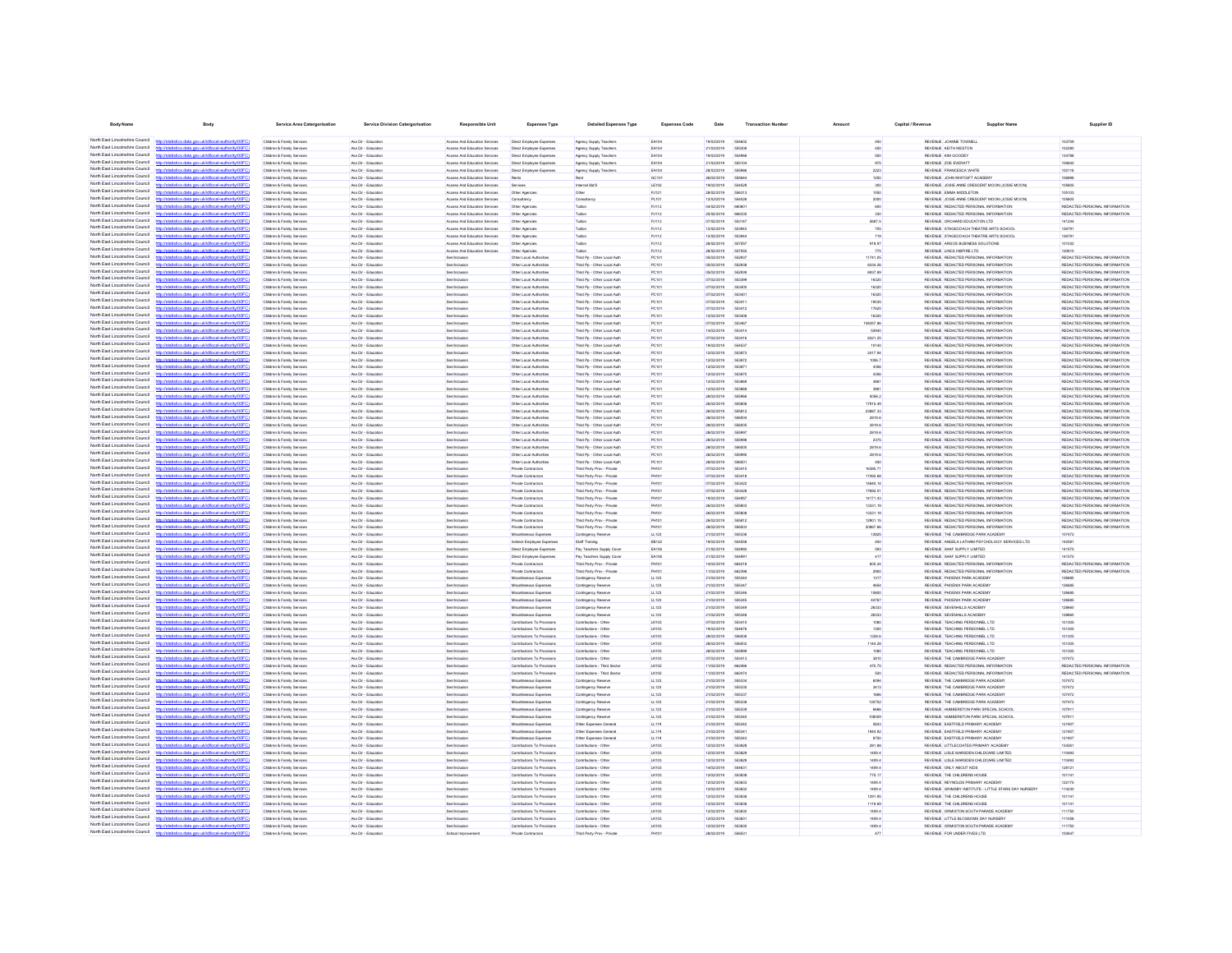| <b>Body Name</b>                                                   | Body                                                                                                                                                                             | Service Area Catergorisation                             | Service Division Catergorisation            | Responsible Unit                                               | Expenses Type                                              | <b>Detailed Expenses Type</b>                              | <b>Expenses Code</b>         | Date                     | <b>Transaction Number</b> | Amount               | Capital / Revenue | <b>Supplier Name</b>                                                           | Supplier ID                                                    |
|--------------------------------------------------------------------|----------------------------------------------------------------------------------------------------------------------------------------------------------------------------------|----------------------------------------------------------|---------------------------------------------|----------------------------------------------------------------|------------------------------------------------------------|------------------------------------------------------------|------------------------------|--------------------------|---------------------------|----------------------|-------------------|--------------------------------------------------------------------------------|----------------------------------------------------------------|
|                                                                    | North East Lincolnshire Council http://statistics.data.gov.ukild/ocal-authority/00FC)                                                                                            | Children & Family Services                               | Ass Dir - Education                         | Access And Education Services                                  | Direct Employee Expenses                                   | Agency Supply Teachers                                     | EA104                        | 19/02/2019               | 554802                    | 450                  |                   | REVENUE JOANNE TOWNELL                                                         | 103709                                                         |
| North East Lincolnshire Council                                    | http://statistics.data.onv.uk/d/ocal.authority/00FCI                                                                                                                             | Children & Family Services                               | Ass Dir - Education                         | Access And Education Services                                  | Direct Employee Expenses                                   | Agency Supply Teachers                                     | EA104                        | 21/02/2019               | 555306                    | 450                  |                   | REVENUE KEITH WESTON                                                           | 102280                                                         |
| North East Lincolnshire Council                                    | http://statistics.data.gov.uk/id/local-authority/00FC)                                                                                                                           | Children & Family Services                               | Ass Dir - Education                         | Access And Education Services                                  | Direct Employee Expenses                                   | Agency Supply Teachers                                     | EA104                        | 19/02/2019               | 554966                    | 550                  |                   | REVENUE KIM GOODEY                                                             | 134788                                                         |
| North East Lincolnshire Council                                    | Seting state and skillshood authoritatiODD                                                                                                                                       | Children & Family Services                               | Ass Dir - Friungting                        | Anness And Education Services                                  | Direct Employee Expenses                                   | Agency Supply Teachers                                     | FA104                        | 21/02/2019               | 55510                     | 975                  |                   | REVEN E 20F EVERATT                                                            | 106842                                                         |
| North East Lincolnshire Council<br>North East Lincolnshire Council | tics data ony rickthocal authority(00EC)                                                                                                                                         | Children & Family Services                               | Ass Dir - Education                         | Access And Education Services                                  | Direct Employee Expenses                                   | Agency Supply Teachers                                     | EA104                        | 28/02/2019               | 55508                     | 2223                 |                   | REVENUE FRANCESCA WHITE                                                        | 102116                                                         |
| North East Lincolnshire Council                                    | http://ataliation.clats.com/ddid/oost.authoris/00001<br>http://statistics.data.oov.uk/id/ocal.authority/00FCI                                                                    | Children & Family Services<br>Children & Family Services | Ass Dir - Education<br>Ass Dir - Friungting | Access And Education Services<br>Anness And Education Services | Rents<br>Renáres                                           | Rent<br>Internal Sta'S                                     | GC101<br>LE102               | 26/02/2019<br>sanaransa  | SSSRA<br>554526           | 1250<br>300          |                   | REVENUE JOHN WHITGIFT ACADEMY<br>REVENUE JOSIE ANNE CRESCENT MOON (JOSIE MOON  | 106898<br>106805                                               |
| North East Lincolnshire Council                                    | http://statistics.data.oov.uk/d/ocal.authority/00EC)                                                                                                                             | Children & Family Services                               | Ass Dir - Friungting                        | Access And Education Services                                  | Other Agencies                                             | Other                                                      | PJ121                        | ernsysnes                | 698311                    | 1050                 |                   | REVEN E FMMA MIDDI FTON                                                        | 105103                                                         |
| North East Lincolnshire Council                                    | tics data ony uklidiocal authority(DDFC)                                                                                                                                         | Children & Family Service                                | Ass Dir - Education                         | Access And Education Services                                  | Consultancy                                                | Consultan                                                  | PL101                        | 12/02/2019               | 554026                    | 2000                 |                   | REVENUE JOSIE ANNE CRESCENT MOON (JOSIE MOON                                   | 105805                                                         |
| North East Lincolnshire Council                                    | http://statistics.data.oov.uk/id/ocal.authority/00FCI                                                                                                                            | Children & Family Services                               | Ass Dir - Education                         | Access And Education Services                                  | Other Agencie                                              | Tubles                                                     | PJ112                        | 04/02/2019               | eenen                     | 600                  |                   | REVENUE REDACTED PERSONAL INFORMATION                                          | REDACTED PERSONAL INFORMATION                                  |
| North East Lincolnshire Council<br>North East Lincolnshire Council | distribution data one delidioent authoritat (DCC)<br>http://statistics.data.gov.uk/id/local-authority/00FC)                                                                      | Children & Family Services                               | Ass Dir - Education                         | <b>Access And Education Services</b>                           | Other Agencies                                             | Tubbe                                                      | <b>PJ112</b>                 | 25/02/2019               | 66833<br>55314            | 330                  |                   | REVENUE REDACTED PERSONAL INFORMATION                                          | REDACTED PERSONAL INFORMATIO<br>141244                         |
| North East Lincolnshire Council                                    | //statistics.data.gov.uk/id/local-authority/00FC                                                                                                                                 | Children & Family Service<br>Children & Family Services  | Ass Dir - Educatio<br>Ass Dir - Education   | Access And Education Services<br>Access And Education Services | Other Agencie<br>Other Agencies                            | Tution<br>Tubion                                           | PJ112<br><b>PJ112</b>        | 07/02/2019<br>12/02/2019 |                           | 5687.5<br>706        |                   | REVENUE ORCHARD EDUCATION LTD<br>REVENUE STAGECOACH THEATRE ARTS SCHOOL        | 126791                                                         |
| North East Lincolnshire Council                                    | //statistics.data.gov.uk/id/local-authority/00F0                                                                                                                                 | Children & Family Services                               | Ass Dir - Educatio                          | Access And Education Services                                  | Other Agencies                                             | Tubion                                                     | <b>PJ112</b>                 | 12/02/2019               |                           | 719                  |                   | REVENUE STAGECOACH THEATRE ARTS SCHOOL                                         | 12679                                                          |
| North Fast Lincolnshire Council                                    |                                                                                                                                                                                  | Children & Family Services                               | Ass Dir - Education                         | Access And Education Services                                  | Other Agencies                                             | Tubion                                                     | PJ112                        | 28/02/2019               | 55705                     | 919.97               |                   | REVENUE ARGOS BUSINESS SOLUTIONS                                               | 101032                                                         |
| North East Lincolnshire Council                                    | tatistics.data.gov.uk/id/local-authority/00FC1                                                                                                                                   | Children & Family Services                               | Ass Dir - Education                         | Access And Education Services                                  | Other Agencies                                             | Tuition                                                    | PJ112                        | 28/02/2019               | 55705                     | 775                  |                   | REVENUE LINCS INSPIRE LTD                                                      | 120610                                                         |
| North Fast Lincolnshire Council<br>North Fast Lincolnshire Council | http://statistics.data.gov.uk/id/local-authority/00FC)                                                                                                                           | Children & Family Services                               | Ass Dir - Education<br>Ass Dir - Education  | Senfindusion                                                   | Other Local Authorities                                    | Third Pp - Other Local Auth                                | PC101                        | 05/02/2019               | 552937                    | 11741.05<br>8334.26  |                   | REVENUE REDACTED PERSONAL INFORMATION<br>REVENUE REDACTED PERSONAL INFORMATION | REDACTED PERSONAL INFORMATION<br>REDACTED PERSONAL INFORMATION |
| North East Lincolnshire Council                                    | av.ukld/ocal-authority/                                                                                                                                                          | Children & Family Services<br>Children & Family Services | Ass Dir - Education                         | Senfindusion<br>Senfindusion                                   | Other Local Authorities<br>Other Local Authorities         | Third Pp - Other Local Auth<br>Third Pp - Other Local Auth | PC101<br>PC101               | 05/02/2019<br>05/02/2019 | 552938<br>552931          | 6937.89              |                   | REVENUE REDACTED PERSONAL INFORMATION                                          | REDACTED PERSONAL INFORMATION                                  |
| North East Lincolnshire Council                                    | stics.data.gov.uk/id/local-authority/00FC)                                                                                                                                       | Children & Family Services                               | Ass Dir - Education                         | Sen/Indusion                                                   | Other Local Authorities                                    | Third Pp - Other Local Auth                                | PC101                        | 07/02/2019               | 553396                    | 16320                |                   | REVENUE REDACTED PERSONAL INFORMATION                                          | REDACTED PERSONAL INFORMATION                                  |
| North Fast Lincolnshire Council                                    | tics data one uklidiocal authoritetti                                                                                                                                            | Children & Family Services                               | Ass Dir - Education                         | Senfindusion                                                   | Other Local Authorities                                    | Third Po - Other Local Auth                                | PC101                        | 07/02/2019               | 553400                    | 16320                |                   | REVENUE REDACTED PERSONAL INFORMATION                                          | REDACTED PERSONAL INFORMATION                                  |
| North East Lincolnshire Council<br>North East Lincolnshire Council | http://statistics.data.gov.uk/id/local-authority/00FC)                                                                                                                           | Children & Family Services                               | Ass Dir - Education                         | Senfindusion                                                   | Other Local Authorities                                    | Third Po - Other Local Auth                                | PC101                        | 07/02/2019               | 663401                    | 16320                |                   | REVENUE REDACTED PERSONAL INFORMATION                                          | REDACTED PERSONAL INFORMATION                                  |
| North East Lincolnshire Council                                    | http://statistics.data.oov.uk/d/ocal.authority/00EC<br>distics.data.gov.uk/id/local-authority/00FC)<br><b>Introder</b>                                                           | Children & Family Services<br>Children & Family Services | Ass Dir - Education<br>Ass Dir - Education  | Sen/Inclusion<br>Senfindusion                                  | Other Local Authorities<br>Other Local Authorities         | Third Po - Other Local Auth<br>Third Po - Other Local Auth | PC101<br>PC101               | 07/02/2019<br>07/02/2019 | 663411<br>553412          | 19035<br>17625       |                   | REVENUE REDACTED PERSONAL INFORMATION<br>REVENUE REDACTED PERSONAL INFORMATION | REDACTED PERSONAL INFORMATION<br>REDACTED PERSONAL INFORMATION |
| North East Lincolnshire Council                                    | Officeiroda un Jesophioka uno eteb anital                                                                                                                                        | <b>Children &amp; Family Renáred</b>                     | Ass Dir - Friungting                        | <b>Renderé roire</b>                                           | Other Local Authorities                                    | Third Po - Other Local Auth                                | <b>PC101</b>                 | 1202/2019                | 553401                    | 16320                |                   | REVEN E REDACTED PERSONAL INFORMATION                                          | REDACTED PERSONAL INFORMATION                                  |
| North East Lincolnshire Council                                    | http://statistics.data.gov.uk/id/local-authority/00FC)                                                                                                                           | Children & Family Services                               | Ass Dir - Education                         | Senfinalusion                                                  | Other Local Authorities                                    | Third Po - Other Local Auth                                | PC101                        | 07/02/2019               | 553467                    | 108357.86            |                   | REVENUE REDACTED PERSONAL INFORMATION                                          | REDACTED PERSONAL INFORMATION                                  |
| North East Lincolnshire Council                                    | International electric computabilities and another in (DOCC)                                                                                                                     | Children & Family Service                                | Ass Dir - Education                         | <b>Renditoria suiz</b>                                         | Other Local Authorities                                    | Third Pp - Other Local Auth                                | PC101                        | 14/02/2019               | 663414                    | 52940                |                   | REVENUE REDACTED PERSONAL INFORMATION                                          | REDACTED PERSONAL INFORMATION                                  |
| North East Lincolnshire Council<br>North East Lincolnshire Council | http://statistics.data.gov.uk/id/local-authority/00FC)<br>http://ataliation.clats.com/ddid/oost.authoris/00001                                                                   | Children & Family Services                               | Ass Dir - Education                         | <b>Renderé roire</b>                                           | Other Local Authorities                                    | Third Po - Other Local Auth                                | PC101                        | 07/02/2019               | 663416                    | 8321.25              |                   | REVENUE REDACTED PERSONAL INFORMATION                                          | REDUCTED PERSONAL INFORMATION                                  |
| North East Lincolnshire Council                                    | ing data any skidingsi suthoris (DDCC)                                                                                                                                           | Children & Family Service<br>Children & Family Service   | Ass Dir - Educatio<br>Ass Dir - Education   | Sen/Inclusion                                                  | Other Local Authorities<br>Other Local Authorities         | Third Pp - Other Local Auth<br>Third Pp - Other Local Auth | PC101<br>PC101               | 19/02/2019<br>12/02/2019 | <b>GGASS</b><br>663871    | 10140<br>2417.94     |                   | REVENUE REDACTED PERSONAL INFORMATION<br>REVENUE REDACTED PERSONAL INFORMATION | REDACTED PERSONAL INFORMATION<br>REDACTED PERSONAL INFORMATION |
| North East Lincolnshire Council                                    |                                                                                                                                                                                  | Children & Family Services                               | Ass Dir - Education                         |                                                                | Other Local Authoritie                                     | Third Pp - Other Local Auth                                | PC101                        | 12/02/2019               |                           | 1006.7               |                   | REVENUE REDACTED PERSONAL INFORMATION                                          | REDACTED PERSONAL INFORMATION                                  |
| North East Lincolnshire Council                                    | <b>Contract Administration of the Contract Administration</b>                                                                                                                    | Children & Family Services                               | Ass Dir - Educatio                          |                                                                | Other Local Authoritie                                     | Third Pp - Other Local Auth                                | PC101                        | 12/02/2019               | 55387                     | 4356                 |                   | REVENUE REDACTED PERSONAL INFORMATION                                          | REDACTED PERSONAL INFORMATION                                  |
| North East Lincolnshire Council                                    | p://statistics.data.gov.uk/id/local-authority/00FC                                                                                                                               | Children & Family Service                                | Ass Dir - Educatio                          |                                                                | Other Local Authoritie                                     | Third Pp - Other Local Auth                                | PC101                        | 12/02/2019               | 55387                     | 4356                 |                   | REVENUE REDACTED PERSONAL INFORMATION                                          | REDACTED PERSONAL INFORMATION                                  |
| North East Lincolnshire Council<br>North East Lincolnshire Council | //statistics.data.gov.uk/id/local-authority/00FC                                                                                                                                 | Children & Family Services                               | Ass Dir - Educatio                          |                                                                | Other Local Authoritie                                     | Third Pp - Other Local Auth                                | PC101                        | 12/02/2019               |                           |                      |                   | REVENUE REDACTED PERSONAL INFORMATION                                          | REDACTED PERSONAL INFORMATION                                  |
| North Fast Lincolnshire Council                                    | p://statistics.data.gov.uk/id/local-authority/00F0                                                                                                                               | Children & Family Services<br>Children & Family Services | Ass Dir - Educatio<br>Ass Dir - Education   | <b>Ben/Inclusion</b>                                           | Other Local Authoritie<br>Other Local Authorities          | Third Pp - Other Local Auth<br>Third Pp - Other Local Auth | PC101<br>PC101               | 12/02/2019<br>28/02/2019 | 55596                     | 5056.2               |                   | REVENUE REDACTED PERSONAL INFORMATION<br>REVENUE REDACTED PERSONAL INFORMATION | REDACTED PERSONAL INFORMATION<br>REDACTED PERSONAL INFORMATION |
| North East Lincolnshire Council                                    | stics.data.gov.uk/id/local-authority/00FC1                                                                                                                                       | Children & Family Services                               | Ass Dir - Education                         | <b>Ben/Inclusion</b>                                           | Other Local Authorities                                    | Third Pp - Other Local Auth                                | PC101                        | 26/02/2019               | 55580                     | 17915.49             |                   | REVENUE REDACTED PERSONAL INFORMATION                                          | REDACTED PERSONAL INFORMATION                                  |
| North Fast Lincolnshire Council                                    |                                                                                                                                                                                  | Children & Family Services                               | Ass Dir - Education                         | Senfindusion                                                   | Other Local Authorities                                    | Third Pp - Other Local Auth                                | PC101                        | 26/02/2019               | 555812                    | 23887.33             |                   | REVENUE REDACTED PERSONAL INFORMATION                                          | REDACTED PERSONAL INFORMATION                                  |
| North Fast Lincolnshire Council                                    | http://statistics.data.gov.uk/id/local-authority/00FC)                                                                                                                           | Children & Family Services                               | Ass Dir - Education                         | <b>Ben/Inclusion</b>                                           | Other Local Authorities                                    | Third Pp - Other Local Auth                                | PC101                        | 28/02/2019               | 55600                     | 2819.6               |                   | REVENUE REDACTED PERSONAL INFORMATION                                          | REDACTED PERSONAL INFORMATION                                  |
| North East Lincolnshire Council<br>North East Lincolnshire Council | tics.data.gov.uk/id/local-authority/01                                                                                                                                           | Children & Family Services                               | Ass Dir - Education                         | Senfindusion                                                   | Other Local Authorities                                    | Third Pp - Other Local Auth                                | PC101                        | 28/02/2019               | 556005                    | 2819.6               |                   | REVENUE REDACTED PERSONAL INFORMATION                                          | REDACTED PERSONAL INFORMATION                                  |
| North East Lincolnshire Council                                    | stics.data.gov.uk/id/local-authority/00FC)<br>tics data ony ukldiocal authority                                                                                                  | Children & Family Services<br>Children & Family Services | Ass Dir - Education<br>Ass Dir - Education  | Senfindusion<br>Senfindusion                                   | Other Local Authorities<br>Other Local Authorities         | Third Pp - Other Local Auth<br>Third Po - Other Local Auth | PC101<br>PC101               | 28/02/2019<br>28/02/2019 | 555997<br>555008          | 2819.6<br>2375       |                   | REVENUE REDACTED PERSONAL INFORMATION<br>REVENUE REDACTED PERSONAL INFORMATION | REDACTED PERSONAL INFORMATION<br>REDACTED PERSONAL INFORMATION |
| North East Lincolnshire Council                                    | http://statistics.data.gov.uk/id/local-authority/00FC)                                                                                                                           | Children & Family Services                               | Ass Dir - Education                         | Senfindusion                                                   | Other Local Authorities                                    | Third Po - Other Local Auth                                | PC101                        | 28/02/2019               | <b>SS6000</b>             | 2819.6               |                   | REVENUE REDACTED PERSONAL INFORMATION                                          | REDACTED PERSONAL INFORMATION                                  |
| North East Lincolnshire Council                                    | http://statistics.data.onv.uk/d/ocal.authority/00EC                                                                                                                              | Children & Family Services                               | Ass Dir - Education                         | Sen/Inclusion                                                  | Other Local Authorities                                    | Third Po - Other Local Auth                                | PC101                        | 28/02/2019               | 555004                    | 2819.6               |                   | REVENUE REDACTED PERSONAL INFORMATION                                          | REDACTED PERSONAL INFORMATION                                  |
| North East Lincolnshire Council<br>North East Lincolnshire Council | http://statistics.data.gov.uk/id/local-authority/00FC)                                                                                                                           | Children & Family Services                               | Ass Dir - Education                         | Senfindusion                                                   | Other Local Authorities                                    | Third Po - Other Local Auth                                | PC101                        | 28/02/2019               | 55600                     | 450                  |                   | REVENUE REDACTED PERSONAL INFORMATION                                          | REDACTED PERSONAL INFORMATION                                  |
| North East Lincolnshire Council                                    | Officer data and deliveral section and with<br>distics.data.gov.uk/id/local-authority/00FC)<br>http://                                                                           | Children & Family Services<br>Children & Family Services | Ass Dir - Friunatine<br>Ass Dir - Education | <b>Renderé roire</b><br>Sen/Indusion                           | Private Contractors<br>Private Contractors                 | Third Party Prov - Private<br>Third Party Prov - Private   | PHIM<br>PH101                | ernsystem<br>07/02/2019  | 663415<br>553418          | 16385.71<br>17492.68 |                   | REVEN E REDACTED PERSONAL INFORMATION<br>REVENUE REDACTED PERSONAL INFORMATION | REDACTED PERSONAL INFORMATION<br>REDACTED PERSONAL INFORMATION |
| North East Lincolnshire Council                                    | now rick id food, and social DOEC                                                                                                                                                | Children & Family Service                                | Ass Dir - Education                         | <b>Renditoris role</b>                                         | Private Contractors                                        | Third Party Prov - Private                                 | <b>PH101</b>                 | 07/02/2019               | 553421                    | 14840.14             |                   | REVENUE REDACTED PERSONAL INFORMATION                                          | REDACTED PERSONAL INFORMATION                                  |
| North East Lincolnshire Council                                    | http://statistics.data.gov.uk/id/local-authority/00FC)                                                                                                                           | Children & Family Services                               | Ass Dir - Education                         | <b>Renderé roire</b>                                           | Private Contractors                                        | Third Party Prov - Private                                 | PHIM                         | 07/02/2019               | 663421                    | 17692.01             |                   | REVENUE REDACTED PERSONAL INFORMATION                                          | REDACTED PERSONAL INFORMATION                                  |
| North East Lincolnshire Council                                    | http://ataliation.clats.com/ddid/oost.authoris/00001                                                                                                                             | Children & Family Service                                | Ass Dir - Educatio                          |                                                                | Private Contractors                                        | Third Party Prov - Private                                 | PH101                        | 19/02/2019               | 55405                     | 14171.43             |                   | REVENUE REDACTED PERSONAL INFORMATION                                          | REDACTED PERSONAL INFORMATION                                  |
| North East Lincolnshire Council<br>North East Lincolnshire Council | http://statistics.data.gov.uk/id/local-authority/00FC                                                                                                                            | Children & Family Service                                | Ass Dir - Education                         | <b>Renderé roire</b>                                           | Private Contractor:                                        | Third Party Prov - Private                                 | <b>PH101</b>                 | 26/02/2019               | 665801                    | 13331.19             |                   | REVENUE REDACTED PERSONAL INFORMATION                                          | REDACTED PERSONAL INFORMATION                                  |
| North East Lincolnshire Council                                    | distics.data.gov.uk/id/local-authority/00FC1                                                                                                                                     | Children & Family Services<br>Children & Family Services | Ass Dir - Education<br>Ass Dir - Educatio   |                                                                | Private Contractors<br>Private Contractor:                 | Third Party Prov - Private<br>Third Party Prov - Private   | <b>PH101</b><br>PH101        | 26/02/2019<br>26/02/2019 | 55581                     | 13331.19<br>12901.15 |                   | REVENUE REDACTED PERSONAL INFORMATION<br>REVENUE REDACTED PERSONAL INFORMATION | REDACTED PERSONAL INFORMATION<br>REDACTED PERSONAL INFORMATIO  |
| North East Lincolnshire Council                                    |                                                                                                                                                                                  | Children & Family Services                               | Ass Dir - Education                         |                                                                | Private Contractors                                        | Third Party Prov - Private                                 | <b>PH101</b>                 | 28/02/2019               | 55600                     | 20867.66             |                   | REVENUE REDACTED PERSONAL INFORMATION                                          | REDACTED PERSONAL INFORMATION                                  |
| North East Lincolnshire Council                                    | tistics data ony ricidiocal authority/00FC                                                                                                                                       | Children & Family Services                               | Ass Dir - Education                         |                                                                | Miscellaneous Expenses                                     | Contingency Reserve                                        | LL123                        | 21/02/2019               | 55533                     | 12825                |                   | REVENUE THE CAMBRIDGE PARK ACADEM                                              | 107472                                                         |
| North East Lincolnshire Council<br>North Fast Lincolnshire Council |                                                                                                                                                                                  | Children & Family Services                               | Ass Dir - Education                         | Senfindusion                                                   | Indirect Employee Expenses                                 | Staff Training                                             | EB122                        | 19/02/2019               | 554558                    | 400                  |                   | REVENUE ANGELA LATHAM PSYCHOLOGY SERVICES LTD                                  | 142581                                                         |
| North East Lincolnshire Council                                    | ny uklidihozalauthorityi00F                                                                                                                                                      | Children & Family Services<br>Children & Family Services | Ass Dir - Education<br>Ass Dir - Education  | Sen/Inclusion                                                  | Direct Employee Expenses                                   | Pay Teachers Supply Cover<br>Pay Teachers Supply Cove      | EA106<br>EA106               | 21/02/2019<br>21/02/2019 | 554990                    | 593<br>417           |                   | REVENUE SAAF SUPPLY LIMITED<br>REVENUE SAAF SUPPLY LIMITED                     | 141575<br>141575                                               |
| North Fast Lincolnshire Council                                    |                                                                                                                                                                                  | Children & Family Services                               | Ass Dir - Education                         | <b>Ben/Inclusion</b><br>Senfindusion                           | Direct Employee Expenses<br>Private Contractors            | Third Party Prov - Private                                 | <b>PH101</b>                 | 14/02/2019               | 55499<br>664218           | 605.24               |                   | REVENUE REDACTED PERSONAL INFORMATION                                          | REDACTED PERSONAL INFORMATION                                  |
| North Fast Lincolnshire Council                                    | http://statistics.data.gov.uk/id/local-authority/00FC)                                                                                                                           | Children & Family Services                               | Ass Dir - Education                         | <b>Ben/Inclusion</b>                                           | Private Contractors                                        | Third Party Prov - Private                                 | <b>PH101</b>                 | 11/02/2019               | 662396                    | 2900                 |                   | REVENUE REDACTED PERSONAL INFORMATION                                          | REDACTED PERSONAL INFORMATION                                  |
| North East Lincolnshire Council                                    | tics.data.gov.uk/id/local-authority/00FC<br>http                                                                                                                                 | Children & Family Services                               | Ass Dir - Education                         | Senfindusion                                                   | Miscellaneous Expenses                                     | Contingency Reserve                                        | LL123                        | 21/02/2019               | 55534                     | 1317                 |                   | REVENUE PHOENIX PARK ACADEMY                                                   | 126685                                                         |
| North East Lincolnshire Council<br>North East Lincolnshire Council | stics.data.gov.uk/id/local-authority/00FC)                                                                                                                                       | Children & Family Services                               | Ass Dir - Education                         | Senfindusion                                                   | Miscelaneous Expenses                                      | Contingency Reserve                                        | LL123                        | 21/02/2019               | 555347                    | 4654                 |                   | REVENUE PHOENIX PARK ACADEMY                                                   | 126685                                                         |
| North East Lincolnshire Council                                    | tics data one uklidiocal authoritell<br>http://statistics.data.gov.uk/id/local-authority/00FC)                                                                                   | Children & Family Services<br>Children & Family Services | Ass Dir - Education<br>Ass Dir - Education  | Senfindusion<br>Senfindusion                                   | Miscellaneous Expenses<br>Miscellaneous Expenses           | Contingency Reserve<br>Contingency Reserve                 | LL123<br>LL123               | 21/02/2019<br>21/02/2019 | <b>GGGSA</b><br>SSSSA     | 15800<br>44767       |                   | REVENUE PHOENIX PARK ACADEMY<br>REVENUE PHOENIX PARK ACADEMY                   | 126685<br>126685                                               |
| North East Lincolnshire Council                                    | http://statistics.data.onv.uk/d/ocal.authority/00EC                                                                                                                              | Children & Family Services                               | Ass Dir - Education                         | Sen/Inclusion                                                  | Miscellaneous Expenses                                     | Contingency Reserve                                        | LL123                        | 21/02/2019               | 555346                    | 26333                |                   | REVENUE SEVENHILLS ACADEMY                                                     | 128660                                                         |
| North East Lincolnshire Council                                    | http://statistics.data.gov.uk/id/local-authority/00FC)                                                                                                                           | Children & Family Services                               | Ass Dir - Education                         | Senfindusion                                                   | Miscellaneous Expenses                                     | Contingency Reserve                                        | LL123                        | 21/02/2019               | 55534                     | 26333                |                   | REVENUE SEVENHILLS ACADEMY                                                     | 128660                                                         |
| North East Lincolnshire Council<br>North East Lincolnshire Council | Interfection states are a skilled from Laudhorina (100)                                                                                                                          | Children & Family Services                               | Ass Dir - Friunaties                        | <b>Renderé roire</b>                                           | Contributions To Provision                                 | Contributions - Other                                      | LIK103                       | ernsystem                | 663410                    | 1080                 |                   | REVENUE TEACHING PERSONNELL TD                                                 | 101305                                                         |
| North East Lincolnshire Council                                    | listics data ony rickfdlocal authority(DDEC)<br><b>Banch</b>                                                                                                                     | Children & Family Services                               | Ass Dir - Friunatine                        | <b>Renderé raine</b>                                           | Contributions To Provisions                                | Contributions - Other                                      | Lichte.                      | 19/02/2019               | 554676                    | 1300                 |                   | REVENUE TEACHING PERSONNELL TO                                                 | 101305                                                         |
|                                                                    | North East Lincolnshire Council http://statistics.data.gov.uk/id/local-authority/00FC)                                                                                           | Children & Family Service<br>Children & Family Services  | Ass Dir - Education<br>Ass Dir - Education  | Sen/Inclusio<br><b>Renderé roire</b>                           | Contributions To Provision<br>Contributions To Provisions  | Contributions - Othe<br>Contributions - Other              | <b>LK103</b><br><b>LK103</b> | 28/02/2019<br>28/02/2019 | 55600<br>ssento           | 1328.6<br>1144.28    |                   | REVENUE TEACHING PERSONNEL LTD<br>REVENUE TEACHING PERSONNEL LTD               | 101305<br>101305                                               |
| North East Lincolnshire Council                                    | Interdetationics data consideribocal authority(0000)                                                                                                                             | Children & Family Service                                | Ass Dir - Educatio                          |                                                                | Contributions To Provision                                 | Contributions - Othe                                       | LK103                        | 28/02/2019               |                           | 1080                 |                   | REVENUE TEACHING PERSONNEL LTD                                                 | 101305                                                         |
| North East Lincolnshire Council                                    | http://statistics.data.gov.uk/id/local-authority/00FC                                                                                                                            | Children & Family Service                                | Ass Dir - Education                         | <b>Renderé roire</b>                                           | Contributions To Provision                                 | Contributions - Othe                                       | LK103                        | 07/02/2019               | 553413                    | 3810                 |                   | REVENUE THE CAMBRIDGE PARK ACADEM                                              | 107472                                                         |
| North East Lincolnshire Council                                    |                                                                                                                                                                                  | Children & Family Services                               | Ass Dir - Education                         |                                                                | Contributions To Provisions                                | Contributions - Third Secto                                | LK102                        | 11/02/2019               |                           | 470.75               |                   | REVENUE REDACTED PERSONAL INFORMATION                                          | REDACTED PERSONAL INFORMATIO                                   |
| North East Lincolnshire Council<br>North East Lincolnshire Council | distics.data.gov.uk/id/local-authority/00FC1                                                                                                                                     | Children & Family Services                               | Ass Dir - Educatio                          |                                                                | Contributions To Provisi                                   | Contributions - Third Secto                                | LK102                        | 11/02/2019               | 66247                     | 520                  |                   | REVENUE REDACTED PERSONAL INFORMATION                                          | REDACTED PERSONAL INFORMATIO                                   |
| North East Lincolnshire Council                                    | tistics.data.gov.uk/id/local-authority/00FC)                                                                                                                                     | Children & Family Services<br>Children & Family Services | Ass Dir - Education<br>Ass Dir - Education  |                                                                | Miscellaneous Expenses<br>Miscellaneous Expenses           | Contingency Reserve<br>Contingency Reserve                 | LL123<br>LL123               | 21/02/2019<br>21/02/2019 | 66633<br>55533            | 6094<br>3413         |                   | REVENUE THE CAMBRIDGE PARK ACADEMY<br>REVENUE THE CAMBRIDGE PARK ACADEM        | 107472<br>107472                                               |
| North East Lincolnshire Council                                    |                                                                                                                                                                                  | Children & Family Services                               | Ass Dir - Education                         | <b>Ben/Inclusion</b>                                           | Miscelaneous Expenses                                      | Contingency Reserve                                        | LL123                        | 21/02/2019               | 55533                     | 1666                 |                   | REVENUE THE CAMBRIDGE PARK ACADEMY                                             | 107472                                                         |
| North Fast Lincolnshire Council                                    | tics.data.gov.uk/id/local-authority/00FC1                                                                                                                                        | Children & Family Services                               | Ass Dir - Education                         | Senfindusion                                                   | Miscellaneous Expenses                                     | Contingency Reserve                                        | LL123                        | 21/02/2019               | 55533                     | 135752               |                   | REVENUE THE CAMBRIDGE PARK ACADEM                                              | 107472                                                         |
| North East Lincolnshire Council<br>North Fast Lincolnshire Council |                                                                                                                                                                                  | Children & Family Services                               | Ass Dir - Education                         | Senfindusion                                                   | Miscellaneous Expenses                                     | Contingency Reserve                                        | LL123                        | 21/02/2019               | 55533                     | 6666                 |                   | REVENUE HUMBERSTON PARK SPECIAL SCHOOL                                         | 107911                                                         |
| North Fast Lincolnshire Council                                    | stics data nov uklidiocal authority(DDFC)                                                                                                                                        | Children & Family Services                               | Ass Dir - Education                         | Senfindusion                                                   | Miscellaneous Expenses                                     | Contingency Reserve                                        | LL123                        | 21/02/2019               | 555346<br>666342          | 108009               |                   | REVENUE HUMBERSTON PARK SPECIAL SCHOOL                                         | 107911                                                         |
| North East Lincolnshire Council                                    | http                                                                                                                                                                             | Children & Family Services<br>Children & Family Services | Ass Dir - Education<br>Ass Dir - Education  | Senfindusion<br><b>Renderé roire</b>                           | Miscellaneous Expenses<br>Miscellaneous Expenses           | Other Expenses General<br>Other Expenses General           | LL119<br>LL119               | 21/02/2019<br>21/02/2019 | 55534                     | 5833<br>1944.92      |                   | REVENUE EASTFIELD PRIMARY ACADEMY<br>REVENUE EASTFIELD PRIMARY ACADEMY         | 121907<br>121907                                               |
| North East Lincolnshire Council                                    | tistics.data.gov.uk/id/local-authority/00FC)<br>http://                                                                                                                          | Children & Family Services                               | Ass Dir - Education                         | Senfindusion                                                   | Miscelaneous Expenses                                      | Other Expenses General                                     | LL119                        | 21/02/2019               | 555343                    | 8750                 |                   | REVENUE EASTFIELD PRIMARY ACADEMY                                              | 121907                                                         |
| North East Lincolnshire Council                                    | stics data ony uklidiocal authority(1)                                                                                                                                           | Children & Family Services                               | Ass Dir - Education                         | Senfindusion                                                   | Contributions To Provisions                                | Contributions - Other                                      | LK103                        | 12/02/2019               | 663826                    | 281.88               |                   | REVENUE LITTLECOATES PRIMARY ACADEMY                                           | 134261                                                         |
| North East Lincolnshire Council<br>North East Lincolnshire Council | tistics.data.gov.uk/id/local-authority/00FC)<br><b>Introder</b>                                                                                                                  | Children & Family Services                               | Ass Dir - Education                         | Senfindusion                                                   | Contributions To Provisions                                | Contributions - Other                                      | LK103                        | 12/02/2019               | 653829                    | 1409.4               |                   | REVENUE LISLE MARSDEN CHILDCARE LIMITED                                        | 110493                                                         |
| North East Lincolnshire Council                                    | http://statistics.data.onv.uk/d/ocal.authority/00EC<br>http://statistics.data.gov.uk/id/local-authority/00FC)                                                                    | Children & Family Services<br>Children & Family Services | Ass Dir - Education<br>Ass Dir - Education  | Sen/Inclusion<br>Senfindusion                                  | Contributions To Provisions<br>Contributions To Provisions | Contributions - Other<br>Contributions - Other             | LK103<br>LK103               | 12/02/2019<br>14/02/2019 | 55382<br>55463            | 1409.4<br>1409.4     |                   | REVENUE LISLE MARSDEN CHILDCARE LIMITED<br>REVENUE ONLY ABOUT KIDS             | 110493<br>128121                                               |
| North East Lincolnshire Council                                    | CONTRACTOR and more defendant activities (OCC)                                                                                                                                   | Children & Family Services                               | Ass Dir - Friunaties                        | <b>Renderé roire</b>                                           | Contributions To Provisions                                | Contributions - Other                                      | LIK103                       | entropers                | <b>GRARM</b>              | 775.17               |                   | REVENUE THE CHILDRENS HOUSE                                                    | 101141                                                         |
| North East Lincolnshire Council                                    | http://statistics.data.onv.uk/d/ocal.authority/00EC)                                                                                                                             | <b>Children &amp; Family Renáred</b>                     | Ass Dir - Friunatine                        | <b>Renderé roire</b>                                           | Contributions To Provisions                                | Contributions - Other                                      | Lichte.                      | 12/02/2019               | <b>GRARY</b>              | 1409.4               |                   | REVENLE, REYNOLDS PRIMARY ACADEMY                                              | 122175                                                         |
| North East Lincolnshire Council                                    |                                                                                                                                                                                  | Children & Family Service                                | Ass Dir - Educatio                          |                                                                | Contributions To Provision                                 | Contributions - Othe                                       | <b>LK103</b>                 | 12/02/2019               | <b>GRARY</b>              | 1409.4               |                   | REVENUE GRIMSBY INSTITUTE - LITTLE STARS DAY NURSERY                           | 114230                                                         |
|                                                                    | North East Lincolnshire Council http://statistics.data.gov.uk/id/local-authority/00FC)<br>North East Lincolnshire Council   New Setwhetics Anti-Any defictive at authority inner | Children & Family Services                               | Ass Dir - Education                         | <b>Renderé roire</b>                                           | Contributions To Provisions                                | Contributions - Other                                      | <b>LK103</b>                 | 12/02/2019               | <b>GRARM</b>              | 1291.95              |                   | REVENUE THE CHILDRENS HOUSE                                                    | 101141                                                         |
|                                                                    | North East Lincolnshire Council http://statistics.data.gov.uk/id/local-authority/00FC                                                                                            | Children & Family Service<br>Children & Family Service   | Ass Dir - Educatio<br>Ass Dir - Educatio    | Senfindusio                                                    | Contributions To Provision<br>Contributions To Provision   | Contributions - Othe<br>Contributions - Othe               | LK103<br>LK103               | 12/02/2019<br>12/02/2019 | 55383<br>55383            | 1119.69<br>1409.4    |                   | REVENUE THE CHILDRENS HOUSE<br>REVENUE ORMISTON SOUTH PARADE ACADEMY           | 101141<br>111750                                               |
| North East Lincolnshire Council                                    | //statistics.data.gov.uk/id/local-authority/00FC                                                                                                                                 | Children & Family Services                               | Ass Dir - Educatio                          |                                                                | Contributions To Provisions                                | Contributions - Other                                      | <b>LK103</b>                 | 12/02/2019               |                           | 1409.4               |                   | REVENUE LITTLE BLOSSOMS DAY NURSERY                                            | 111068                                                         |
| North East Lincolnshire Council                                    | atistics.data.gov.uk/id/local-authority/00FC1                                                                                                                                    | Children & Family Services                               | Ass Dir - Educatio                          |                                                                | contributions To Provisions                                | Contributions - Othe                                       | LK103                        | 12/02/2019               |                           | 1409.4               |                   | REVENUE ORMISTON SOUTH PARADE ACADEMY                                          | 111750                                                         |
| North East Lincolnshire Council                                    |                                                                                                                                                                                  | <b>Jüldson &amp; Family Renáre</b>                       | Ass Dir - Friendt                           |                                                                | Private Contractors                                        | Third Party Prov., Pr.                                     | PHILIP                       | 28/02/2019               |                           | 477                  |                   | REVENUE FOR UNDER FIVES LTD.                                                   | 100847                                                         |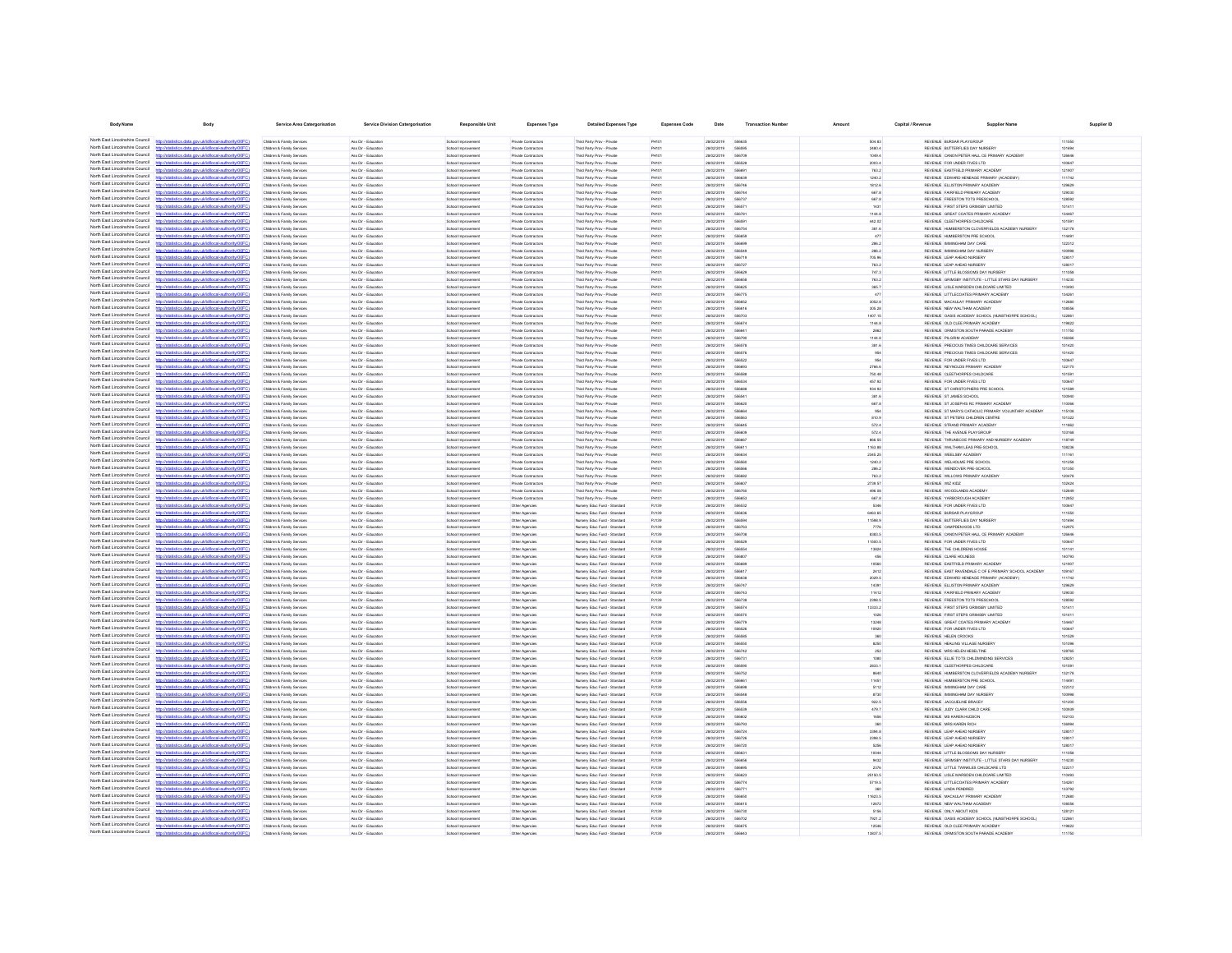| <b>Body Name</b>                                                   | Body                                                                                                                                           | Service Area Catergorisation                                       | <b>Service Division Catergorisation</b>      | <b>Responsible Unit</b>                         | <b>Expenses Type</b>                       | <b>Detailed Expenses Type</b>                                 | <b>Expenses Code</b>           | Date                     | <b>Transaction Numbe</b>      | Amount            | Capital / Revenue | <b>Supplier Name</b>                                                                      | Supplier ID      |
|--------------------------------------------------------------------|------------------------------------------------------------------------------------------------------------------------------------------------|--------------------------------------------------------------------|----------------------------------------------|-------------------------------------------------|--------------------------------------------|---------------------------------------------------------------|--------------------------------|--------------------------|-------------------------------|-------------------|-------------------|-------------------------------------------------------------------------------------------|------------------|
|                                                                    |                                                                                                                                                |                                                                    |                                              |                                                 |                                            |                                                               |                                |                          |                               |                   |                   |                                                                                           |                  |
| North East Lincolnshire Council                                    | North East Lincolnshire Council http://statistics.data.gov.ukild/ocal-authority/00FC)<br>http://statistics.data.gov.uk/id/local-authority/00FC | Children & Family Services<br>Children & Family Services           | Ass Dir - Education<br>Ass Dir - Education   | School Improvement<br>School Improvement        | Private Contractors<br>Private Contractors | Third Party Prov - Private<br>Third Party Prov - Private      | PH101<br>PH101                 | 28/02/2019<br>28/02/2019 | 556635<br>556595              | 504.83<br>2480.4  |                   | REVENUE BURSAR PLAYGROUP<br>REVENUE BUTTERFLIES DAY NURSERY                               | 111550<br>101694 |
| North East Lincolnshire Council                                    | http://statistics.data.gov.uk/id/local-authority/00FC)                                                                                         | Children & Family Services                                         | Ass Dir - Education                          | School Improvement                              | Private Contractors                        | Third Party Prov - Private                                    | PH101                          | 28/02/2019               | 556709                        | 1049.4            |                   | REVENUE CANON PETER HALL CE PRIMARY ACADEMY                                               | 126646           |
| North East Lincolnshire Council                                    | Seting data and delivery laugheritating?                                                                                                       | Children & Family Services                                         | Ass Dir - Friendline                         | <b>School Improvement</b>                       | Private Contractors                        | Third Party Prov - Private                                    | PHILI                          | 28/02/2019               | <b>SEAR2R</b>                 | 2003.4            |                   | REVEN E FOR UNDER FIVES ITD.                                                              | 100647           |
| North East Lincolnshire Council                                    | tics data ony ricidiocal authority/00EC                                                                                                        | Children & Family Services                                         | Ass Dir - Education                          | School Improvement                              | Private Contractors                        | Third Party Prov - Private                                    | PH101                          | 28/02/2019               | 55669                         | 763.2             |                   | REVENUE EASTFIELD PRIMARY ACADEMY                                                         | 121907           |
| North East Lincolnshire Council<br>North East Lincolnshire Council | "STOCK discussion and interval authorities<br>http://statistics.data.onv.uk/d/ocal.authority/00EC                                              | Children & Family Services<br><b>Children &amp; Family Service</b> | Ass Dir - Education<br>Ass Dir - Friendline  | School Improvement                              | Private Contractors<br>Private Contractors | Third Party Prov - Private<br>Third Party Prov - Private      | PH101<br>PHIM                  | 28/02/2019<br>28/02/2019 | <b>GRAR'M</b><br>556746       | 1240.2<br>1812.6  |                   | REVENUE EDWARD HENEAGE PRIMARY (ACADEMY)<br>REVENUE ELLISTON PRIMARY ACADEMY              | 111742<br>129629 |
| North East Lincolnshire Council                                    | http://statistics.data.oov.uk/d/ocal.authority/00EC)                                                                                           | Children & Family Service                                          | Ass Dir - Friendline                         | School Improvement<br>School Improvement        | Private Contractors                        | Third Party Prov - Private                                    | PHIM                           | 28/02/2019               | 556744                        | 667.8             |                   | REVEN E FAIREIR D'RIMARY ACADEMY                                                          | 129090           |
| North East Lincolnshire Council                                    | listics data ony uklid/ocal.authority/00FC                                                                                                     | Children & Family Service                                          | Ass Dir - Education                          | School Improvement                              | Private Contractors                        | Third Party Prov - Private                                    | PH101                          | 28/02/2019               | 698733                        | 667.8             |                   | REVENUE FREESTON TOTS PRESCHOOL                                                           | 128592           |
| North East Lincolnshire Council                                    | http://statistics.data.onv.uk/id/ocal.authority/00EC                                                                                           | Children & Family Service                                          | Ass Dir - Education                          | School Improvement                              | Private Contractors                        | Third Party Prov - Private                                    | PHIL                           | 28/02/2019               | <b>SSAS7</b>                  | 1431              |                   | REVENUE FIRST STEPS GRIMSBY LIMITED                                                       | 101411           |
| North East Lincolnshire Council<br>North East Lincolnshire Council | Seting data and delivery laugheritating?                                                                                                       | Children & Family Service                                          | Ass Dir - Educatio                           | School Improveme                                | Private Contractor                         | Third Party Prov - Private                                    | PHIO                           | 28/02/2019               | 55678                         | 1144.8            |                   | REVENUE GREAT COATES PRIMARY ACADEMY                                                      | 134467           |
| North East Lincolnshire Council                                    | p://statistics.data.gov.uk/id/local-authority/00F0<br>//statistics.data.gov.uk/id/local-authority/00FC                                         | Children & Family Service<br>Children & Family Services            | Ass Dir - Educatio<br>Ass Dir - Educatio     | School Improveme<br>School Improvemen           | Private Contractor<br>Private Contractors  | Third Party Prov - Private<br>Third Party Prov - Private      | PH10<br>PH10                   | 28/02/2019<br>28/02/2019 | 55659<br>55675                | 442.02<br>381.6   |                   | REVENUE CLEETHORPES CHILDCARE<br>REVENUE HUMBERSTON CLOVERFIELDS ACADEMY NURSER           | 01591<br>132178  |
| North East Lincolnshire Council                                    | http://statistics.data.gov.uk/id/local-authority/00FC                                                                                          | Children & Family Service                                          | Ass Dir - Educatio                           | School Improvemen                               | Private Contractors                        | Third Party Prov - Private                                    | H10                            | 28/02/2019               |                               | 477               |                   | REVENUE HUMBERSTON PRE SCHOOL                                                             | 14491            |
| North Fast Lincolnshire Council                                    | nny i klidingalai thoritu00F                                                                                                                   | Children & Family Services                                         | Ass Dir - Education                          | School Improvement                              | Private Contractors                        | Third Party Prov - Private                                    | PH101                          | 28/02/2019               | 55669                         | 286.2             |                   | REVENUE IMMINGHAM DAY CARE                                                                | 122312           |
| North East Lincolnshire Council                                    |                                                                                                                                                | Children & Family Services                                         | Ass Dir - Education                          | School Improvement                              | Private Contractors                        | Third Party Prov - Private                                    | PH10                           | 28/02/2019               | 55654                         | 286.2             |                   | REVENUE IMMINGHAM DAY NURSERY                                                             | 100998           |
| North Fast Lincolnshire Council<br>North Fast Lincolnshire Council | http://statistics.data.gov.uk/id/local-authority/00FC)                                                                                         | Children & Family Services                                         | Ass Dir - Education                          | School Improvement                              | Private Contractors                        | Third Party Prov - Private                                    | <b>PH101</b>                   | 28/02/2019               | 556719                        | 706.96            |                   | REVENUE LEAP AHEAD NURSERY                                                                | 128017           |
| North East Lincolnshire Council                                    | Mocal-authority/00FC<br>tics.data.gov.uk/io                                                                                                    | Children & Family Services<br>Children & Family Services           | Ass Dir - Education<br>Ass Dir - Education   | School Improvement<br>School Improvement        | Private Contractors<br>Private Contractors | Third Party Prov - Private<br>Third Party Prov - Private      | <b>PH101</b><br><b>PH101</b>   | 28/02/2019<br>28/02/2019 | 556727<br>556629              | 763.2<br>747.3    |                   | REVENUE LEAP AHEAD NURSERY<br>REVENUE LITTLE BLOSSOMS DAY NURSERY                         | 128017<br>111058 |
| North East Lincolnshire Council                                    | stics.data.gov.uk/id/local-authority/00FC                                                                                                      | Children & Family Services                                         | Ass Dir - Education                          | School Improvement                              | Private Contractors                        | Third Party Prov - Private                                    | PH101                          | 28/02/2019               | 556658                        | 763.2             |                   | REVENUE GRIMSBY INSTITUTE - LITTLE STARS DAY NURSERY                                      | 114230           |
| North Fast Lincolnshire Council                                    | ics data ony ukldingal authority@                                                                                                              | Children & Family Services                                         | Ass Dir - Education                          | School Improvement                              | Private Contractors                        | Third Party Prov - Private                                    | <b>PH101</b>                   | 28/02/2019               | <b>SSAROS</b>                 | 365.7             |                   | REVENUE LISLE MARSDEN CHILDCARE LIMITED                                                   | 110493           |
| North East Lincolnshire Council<br>North East Lincolnshire Council | tistics.data.gov.uk/id/local-authority/00FC)                                                                                                   | Children & Family Services                                         | Ass Dir - Education                          | School Improvement                              | Private Contractors                        | Third Party Prov - Private                                    | <b>PH101</b>                   | 28/02/2019               | 556775                        | 477               |                   | REVENUE LITTLECOATES PRIMARY ACADEMY                                                      | 134261           |
| North East Lincolnshire Council                                    | tistics data ony rigidiocal authority(00FC)<br>http://statistics.data.gov.uk/id/local-authority/00FC)                                          | Children & Family Services<br>Children & Family Services           | Ass Dir - Education<br>Ass Dir - Education   | School Improvement<br>School Improvement        | Private Contractors<br>Private Contractors | Third Party Prov - Private<br>Third Party Prov - Private      | <b>PH101</b><br><b>PH101</b>   | 28/02/2019<br>28/02/2019 | 556652<br>556616              | 3052.8<br>305.28  |                   | REVENUE MACAULAY PRIMARY ACADEMY<br>REVENUE NEW WALTHAM ACADEMY                           | 112680<br>108556 |
| North East Lincolnshire Council                                    | tatistics data one deliberation development                                                                                                    | <b>Children &amp; Family Service</b>                               | Ass Dir - Friendline                         | <b>School Improvement</b>                       | Private Contractors                        | Third Party Prov - Private                                    | PHIM                           | pencycnec                | 698703                        | 1407.15           |                   | REVEN E OASS ACADEMY SCHOOL IN INSTHORPE SCHOOL).                                         | 122881           |
| North East Lincolnshire Council                                    | stics.data.gov.uk/id/local-authority/00FC)                                                                                                     | Children & Family Services                                         | Ass Dir - Education                          | School Improvement                              | Private Contractors                        | Third Party Prov - Private                                    | PH101                          | 28/02/2019               | 556674                        | 1144.8            |                   | REVENUE OLD CLEE PRIMARY ACADEMY                                                          | 119822           |
| North East Lincolnshire Council                                    |                                                                                                                                                | Children & Family Services                                         | Ass Dir - Education                          | School Improvement                              | Private Contractors                        | Third Party Prov - Private                                    | PH101                          | 28/02/2019               | <b>SSARA</b>                  | 2862              |                   | REVENUE ORMISTON SOUTH PARADE ACADEMY                                                     | 111750           |
| North East Lincolnshire Council<br>North East Lincolnshire Council | http://statistics.data.oov.uk/d/ocal.authority/00EC)                                                                                           | Children & Family Service                                          | Ass Dir - Education                          | School Improvement                              | Private Contractors                        | Third Party Prov - Private                                    | PHIM                           | 28/02/2019               | 556790                        | 1144.8            |                   | REVENUE PILGRIM ACADEMY                                                                   | 136366           |
| North East Lincolnshire Council                                    | OZietatistica data oso ukidistoral authoritumDC<br>fine state one skildhood authoritainnEC                                                     | Children & Family Service                                          | Ass Dir - Educatio                           | School Improvement                              | Private Contractors                        | Third Party Prov - Private                                    | PHIO                           | 28/02/2019<br>28/02/2019 | 656571                        | 381.6             |                   | REVENUE PRECIOUS TIMES CHILDCARE SERVICES                                                 | 101420           |
| North East Lincolnshire Council                                    |                                                                                                                                                | Children & Family Service<br>Children & Family Services            | Ass Dir - Education<br>Ass Dir - Educatio    | School Improvement<br>School Improvement        | Private Contractors<br>Private Contractors | Third Party Prov - Private<br>Third Party Prov - Private      | PH101                          | 28/02/2019               | 556576                        | 954               |                   | REVENUE PRECIOUS TIMES CHILDCARE SERVICES<br>REVENUE FOR UNDER FIVES LTD                  | 101420           |
| North East Lincolnshire Council                                    | tics data ony rickthocal authority(00EC)                                                                                                       | Children & Family Services                                         | Ass Dir - Educatio                           | School Improvemen                               | Private Contractor                         | Third Party Prov - Private                                    | PHIO                           | 28/02/2019               | 55669                         | 2766.6            |                   | REVENUE REYNOLDS PRIMARY ACADEM                                                           | 122175           |
| North East Lincolnshire Council                                    | .<br>//statistics.data.gov.uk/id/local-authority/00FC                                                                                          | Children & Family Service                                          | Ass Dir - Educatio                           | School Improveme                                | Private Contractor                         | Third Party Prov - Private                                    | PH10                           | 28/02/2019               | 55658                         | 750.48            |                   | REVENUE CLEETHORPES CHILDCARE                                                             | 01501            |
| North East Lincolnshire Council                                    | //statistics.data.gov.uk/id/local-authority/00FC                                                                                               | Children & Family Services                                         | Ass Dir - Educatio                           | School Improvemen                               | Private Contractors                        | Third Party Prov - Private                                    | PH10                           | 28/02/2019               | 55653                         | 457.92            |                   | REVENUE FOR UNDER FIVES LTD                                                               | 00647            |
| North East Lincolnshire Council<br>North Fast Lincolnshire Council | http://statistics.data.gov.uk/id/local-authority/00FC<br>gov.uk/id/ocal-authority/00F                                                          | Children & Family Service                                          | Ass Dir - Educatio                           | <b>School Improvement</b>                       | Private Contractors                        | Third Party Prov - Private                                    | PH10                           | 28/02/2019               |                               | 934.92            |                   | REVENUE ST CHRISTOPHERS PRE SCHOOL                                                        | 121589           |
| North East Lincolnshire Council                                    | http://statistics.data.gov.uk/id/local-authority/00FC                                                                                          | Children & Family Services<br>Children & Family Services           | Ass Dir - Education<br>Ass Dir - Educatio    | School Improvement<br>School Improvemen         | Private Contractors<br>Private Contractors | Third Party Prov - Private<br>Third Party Prov - Private      | PH101<br>PH10                  | 28/02/2019<br>28/02/2019 | 55654<br>55662                | 381.6<br>667.8    |                   | REVENUE ST JAMES SCHOOL<br>REVENUE ST JOSEPH'S RC PRIMARY ACADEMY                         | 100940<br>110066 |
| North Fast Lincolnshire Council                                    |                                                                                                                                                | Children & Family Services                                         | Ass Dir - Education                          | School Improvement                              | Private Contractors                        | Third Party Prov - Private                                    | <b>PH101</b>                   | 28/02/2019               | 55666                         | 954               |                   | REVENUE ST MARYS CATHOLIC PRIMARY VOLUNTARY ACADEMY                                       | 115108           |
| North Fast Lincolnshire Council                                    | tics.data.gov.uk/id/local-authority/00FC                                                                                                       | Children & Family Services                                         | Ass Dir - Education                          | School Improvement                              | Private Contractors                        | Third Party Prov - Private                                    | <b>PH101</b>                   | 28/02/2019               | 556563                        | 810.9             |                   | REVENUE ST PETERS CHILDREN CENTRE                                                         | 101322           |
| North Fast Lincolnshire Council                                    |                                                                                                                                                | Children & Family Services                                         | Ass Dir - Education                          | School Improvement                              | Private Contractors                        | Third Party Prov - Private                                    | <b>PH101</b>                   | 28/02/2019               | 556645                        | 572.4             |                   | REVENUE STRAND PRIMARY ACADEMY                                                            | 111882           |
| North East Lincolnshire Council<br>North East Lincolnshire Council | http://statistics.data.gov.uk/id/local-authority/00FC)                                                                                         | Children & Family Services                                         | Ass Dir - Education                          | School Improvement                              | Private Contractors                        | Third Party Prov - Private                                    | PH101                          | 28/02/2019               | 556609                        | 572.4             |                   | REVENUE THE AVENUE PLAYGROUP                                                              | 103168           |
| North East Lincolnshire Council                                    | http://statistics.data.onv.uk/d/ocal.authority/00EC<br>stics.data.gov.uk/id/local-authority/00FC)                                              | Children & Family Services<br>Children & Family Services           | Ass Dir - Education<br>Ass Dir - Education   | School Improvement<br>School Improvement        | Private Contractors<br>Private Contractors | Third Party Prov - Private<br>Third Party Prov - Private      | <b>PH101</b><br><b>PH101</b>   | 28/02/2019<br>28/02/2019 | <b>SSARR7</b><br><b>GRAA1</b> | 866.55<br>1163.88 |                   | REVENUE THRUNSCOE PRIMARY AND NURSERY ACADEMY<br>REVENUE WALTHAM LEAS PRE-SCHOOL          | 118749<br>108236 |
| North East Lincolnshire Council                                    | listics data ony uklid/ocal.authority/00                                                                                                       | Children & Family Services                                         | Ass Dir - Education                          | School Improvement                              | Private Contractors                        | Third Party Prov - Private                                    | <b>PH101</b>                   | 28/02/2019               | 556634                        | 2345.25           |                   | REVENUE WEELSBY ACADEMY                                                                   | 111161           |
| North East Lincolnshire Council                                    | http://statistics.data.gov.uk/id/local-authority/00FC)                                                                                         | Children & Family Services                                         | Ass Dir - Education                          | School Improvement                              | Private Contractors                        | Third Party Prov - Private                                    | <b>PH101</b>                   | 28/02/2019               | 556560                        | 1240.2            |                   | REVENUE WELHOLME PRE SCHOOL                                                               | 101258           |
| North East Lincolnshire Council                                    | Interdetationics data and defalaced authoritainnEC                                                                                             | Children & Family Service                                          | Ass Dir - Friendline                         | School Improvement                              | Private Contractors                        | Third Party Prov - Private                                    | PHILIP                         | pencycnec                | SSASAR                        | 288.2             |                   | REVEN E WENDOVER PREJSOHOOL                                                               | 101350           |
| North East Lincolnshire Council<br>North East Lincolnshire Council | http://statistics.data.gov.uk/id/local-authority/00FC)                                                                                         | Children & Family Service                                          | Ass Dir - Education                          | School Improvement                              | Private Contractors                        | Third Party Prov - Private                                    | PH101                          | 28/02/2019               | 556682                        | 763.2             |                   | REVENUE WILLOWS PRIMARY ACADEMY                                                           | 120478           |
| North East Lincolnshire Council                                    | Untaileting state and delighteral authority(0000)<br>http://statistics.data.gov.uk/id/local-authority/00FC)                                    | Children & Family Services<br>Children & Family Service            | Ass Dir - Education<br>Ass Dir - Education   | School Improvement<br>School Improvement        | Private Contractors<br>Private Contractors | Third Party Prov - Private<br>Third Party Prov - Private      | PHIL<br>PHILI                  | 28/02/2019<br>28/02/2019 | <b>SSARD</b><br>556760        | 2739.57<br>496.08 |                   | REVENUE WIZ KIDZ<br>REVENUE WOODLANDS ACADEMY                                             | 100424<br>132649 |
| North East Lincolnshire Council                                    |                                                                                                                                                | Children & Family Services                                         | Ass Dir - Educatio                           | School Improvement                              | Private Contractor                         | Third Party Prov - Private                                    | PHIO                           | 28/02/2019               | <b>SSARS</b>                  | 667.8             |                   | REVENUE YARBOROUGH ACADEMY                                                                | 112852           |
| North East Lincolnshire Council                                    | http://statistics.data.gov.uk/id/local-authority/00FC                                                                                          | Children & Family Service                                          | Ass Dir - Education                          | School Improvement                              | Other Agencies                             | Nursery Educ Fund - Standard                                  | PJ139                          | 28/02/2019               | 556532                        | 5346              |                   | REVENUE FOR UNDER FIVES LTD                                                               | 100647           |
| North East Lincolnshire Council                                    | distribution data con delidiocal authority(DOEC)                                                                                               | Children & Family Services                                         | Ass Dir - Educatio                           | School Improvement                              | Other Agencies                             | Nursery Educ Fund - Standard                                  | PJ139                          | 28/02/2019               |                               | 6463.65           |                   | REVENUE BURSAR PLAYGROUP                                                                  | 111550           |
| North East Lincolnshire Council<br>North East Lincolnshire Council | http://statistics.data.gov.uk/id/local-authority/00FC                                                                                          | Children & Family Service<br>Children & Family Services            | Ass Dir - Educatio<br>Ass Dir - Education    | School Improvemen                               | Other Agencies                             | Nursery Educ Fund - Standard<br>Nursery Educ Fund - Standard  | PJ139                          | 28/02/2019<br>28/02/2019 | 55659                         | 11598.9           |                   | REVENUE BUTTERFLIES DAY NURSER*<br>REVENUE CAMPDEN KIDS LTD                               | 01694            |
| North East Lincolnshire Council                                    | stics.data.gov.uk/id/local-authority/00FC                                                                                                      | Children & Family Services                                         | Ass Dir - Educatio                           | School Improvement<br>School Improvement        | Other Agencies<br>Other Agencies           | Nursery Educ Fund - Standard                                  | PJ139<br>PJ139                 | 28/02/2019               | 556763<br>55670               | 7776<br>8383.5    |                   | REVENUE CANON PETER HALL CE PRIMARY ACADEMY                                               | 132975<br>126646 |
| North East Lincolnshire Council                                    |                                                                                                                                                | Children & Family Services                                         | Ass Dir - Education                          | School Improvement                              | Other Agencies                             | Nursery Educ Fund - Standard                                  | PJ139                          | 28/02/2019               | 556529                        | 11500.5           |                   | REVENUE FOR UNDER FIVES LTD                                                               | 100647           |
| North Fast Lincolnshire Council                                    | <b>Contract Adventure the chain (ODC)</b>                                                                                                      | Children & Family Services                                         | Ass Dir - Education                          | School Improvement                              | Other Agencies                             | Nursery Educ Fund - Standard                                  | PJ139                          | 28/02/2019               | 55655                         | 13824             |                   | REVENUE THE CHILDRENS HOUSE                                                               | 101141           |
| North East Lincolnshire Council<br>North Fast Lincolnshire Council | http://statistics.data.gov.uk/id/local-authority/00FC                                                                                          | Children & Family Services                                         | Ass Dir - Educatio                           | School Improvement                              | Other Agencies                             | Nursery Educ Fund - Standard                                  | PJ139                          | 28/02/2019               | 55680                         | 456               |                   | REVENUE CLARE HOLNESS                                                                     | 140793           |
| North Fast Lincolnshire Council                                    | stics.data.gov.uk/id/local-authority/00FC                                                                                                      | Children & Family Services<br>Children & Family Services           | Ass Dir - Education<br>Ass Dir - Education   | School Improvement<br>School Improvement        | Other Agencies<br>Other Agencies           | Nursery Educ Fund - Standard<br>Nursery Educ Fund - Standard  | PJ139<br>PJ139                 | 28/02/2019<br>28/02/2019 | 556688<br>55661               | 10560<br>2412     |                   | REVENUE EASTFIELD PRIMARY ACADEMY<br>REVENUE EAST RAVENDALE C OF E PRIMARY SCHOOL ACADEMY | 121907<br>109167 |
| North East Lincolnshire Council                                    |                                                                                                                                                | Children & Family Services                                         | Ass Dir - Education                          | School Improvement                              | Other Agencies                             | Nursery Educ Fund - Standard                                  | PJ139                          | 28/02/2019               | 556638                        | 2029.5            |                   | REVENUE EDWARD HENEAGE PRIMARY (ACADEMY)                                                  | 111742           |
| North East Lincolnshire Council                                    | tistics.data.gov.uk/id/local-authority/00FC)<br>http://                                                                                        | Children & Family Services                                         | Ass Dir - Education                          | School Improvement                              | Other Agencies                             | Nursery Educ Fund - Standard                                  | PJ139                          | 28/02/2019               | 556747                        | 14391             |                   | REVENUE ELLISTON PRIMARY ACADEMY                                                          | 129629           |
| North East Lincolnshire Council                                    | listics data one uklidiocal authoritempt?<br><b>http://e</b>                                                                                   | Children & Family Services                                         | Ass Dir - Education                          | School Improvement                              | Other Agencies                             | Nursery Educ Fund - Standard                                  | PJ139                          | 28/02/2019               | 556743                        | 11412             |                   | REVENUE FAIRFIELD PRIMARY ACADEMY                                                         | 129030           |
| North East Lincolnshire Council<br>North East Lincolnshire Council | http://statistics.data.gov.uk/id/local-authority/00FC)                                                                                         | Children & Family Services                                         | Ass Dir - Education                          | School Improvement                              | Other Agencies                             | Nursery Educ Fund - Standard                                  | PJ139                          | 28/02/2019               | 556738                        | 2398.5            |                   | REVENUE FREESTON TOTS PRESCHOOL                                                           | 128592           |
| North East Lincolnshire Council                                    | http://statistics.data.gov.uk/id/local-authority/00FC<br>http://statistics.data.gov.uk/id/local-authority/00FC)                                | Children & Family Services<br>Children & Family Services           | Ass Dir - Education<br>Ass Dir - Education   | School Improvement<br>School Improvement        | Other Agencies<br>Other Agencies           | Nursery Educ Fund - Standard<br>Nursery Educ Fund - Standard  | PJ139<br>PJ139                 | 28/02/2019<br>28/02/2019 | 556574<br>556570              | 13333.2<br>1026   |                   | REVENUE FIRST STEPS GRIMSBY LIMITED<br>REVENUE FIRST STEPS GRIMSBY LIMITED                | 101411<br>101411 |
| North East Lincolnshire Council                                    | Officer when the collection was interested                                                                                                     | Children & Family Service                                          | Ass Dir - Friendline                         | School Improvement                              | Other Agencies                             | Nursery Educ Fund - Standard                                  | <b>P.I139</b>                  | 28/02/2019               | 698779                        | 13248             |                   | REVENUE GREAT COATES PRIMARY ACADEMY                                                      | 134467           |
| North East Lincolnshire Council                                    | http://statistics.data.oov.uk/d/ocal.authority/00EC)                                                                                           | <b>Children &amp; Family Service</b>                               | Ass Dir - Friendline                         | School Improvement                              | Other Agencies                             | Ninsery Frien Fund - Standard                                 | <b>P.I130</b>                  | 28/02/2019               | 556526                        | 10920             |                   | REVEN E FOR UNDER FIVES LTD.                                                              | 100647           |
| North East Lincolnshire Council                                    | distribution state and delighteral activities (DOCC)                                                                                           | Children & Family Service                                          | Ass Dir - Education                          | School Improvement                              | Other Agencies                             | Nursery Educ Fund - Standard                                  | PJ139                          | 28/02/2019               | <b><i>SEASH</i></b>           | 360               |                   | REVENUE HELEN CROOKS                                                                      | 101529           |
| North East Lincolnshire Council<br>North East Lincolnshire Council | http://statistics.data.gov.uk/id/local-authority/00FC<br>OZietatistica data oso ukidistoral authoritumDC                                       | Children & Family Service                                          | Ass Dir - Friendline                         | School Improvement                              | Other Agencies                             | Nursery Educ Fund - Standard                                  | <b>P.I130</b>                  | 28/02/2019<br>28/02/2019 | 556550<br><b>SS674</b>        | 8250<br>252       |                   | REVENUE HEALING VILLAGE NURSERY<br>REVENUE MRS HELEN HESELTINE                            | 101098<br>128765 |
| North East Lincolnshire Council                                    | http://statistics.data.gov.uk/id/local-authority/00FC1                                                                                         | Children & Family Services<br>Children & Family Service            | Ass Dir - Educatio<br>Ass Dir - Education    | School Improvement<br>School Improvement        | Other Agencie<br>Other Agencie             | Nursery Educ Fund - Standard<br>Nursery Educ Fund - Standard  | PJ139<br>PJ139                 | 28/02/2019               | 55673                         | 1080              |                   | REVENUE ELLIE TOTS CHILDMINDING SERVICES                                                  | 128251           |
| North East Lincolnshire Council                                    | distribution state concretible calculationship (DOEC)                                                                                          | Children & Family Services                                         | Ass Dir - Educatio                           | School Improvement                              | Other Agencies                             | Nursery Educ Fund - Standard                                  | PJ139                          | 28/02/2019               |                               | 2833.1            |                   | REVENUE CLEETHORPES CHILDCARE                                                             | 01591            |
| North East Lincolnshire Council                                    | http://statistics.data.gov.uk/id/local-authority/00FC                                                                                          | Children & Family Services                                         | Ass Dir - Educatio                           | School Improvemen                               | Other Agencies                             | Nursery Educ Fund - Standard                                  | PJ139                          | 28/02/2019               | 55675                         | 8640              |                   | REVENUE HUMBERSTON CLOVERFIELDS ACADEMY NURSER                                            | 132178           |
| North East Lincolnshire Council                                    |                                                                                                                                                | Children & Family Services                                         | Ass Dir - Education                          | School Improvement                              | Other Agencies                             | Nursery Educ Fund - Standard                                  | PJ139                          | 28/02/2019               | <b>5566</b>                   | 11451             |                   | REVENUE HUMBERSTON PRE SCHOOL                                                             | 114491           |
| North East Lincolnshire Council<br>North East Lincolnshire Council | istics.data.gov.uk/id/local-authority/00FC                                                                                                     | Children & Family Services                                         | Ass Dir - Educatio                           | School Improvement                              | Other Agencies                             | Nursery Educ Fund - Standard                                  | PJ139                          | 28/02/2019               |                               | 5112              |                   | REVENUE IMMINGHAM DAY CARE                                                                | 122312           |
| North Fast Lincolnshire Council                                    | tics.data.gov.uk/id/local-authority/00FC                                                                                                       | Children & Family Services<br>Children & Family Services           | Ass Dir - Education<br>Ass Dir - Education   | School Improvement<br>School Improvement        | Other Agencies<br>Other Agencies           | Nursery Educ Fund - Standard<br>Nursery Educ Fund - Standard  | PJ139<br>PJ139                 | 28/02/2019<br>28/02/2019 | 55654<br>556556               | 8730<br>922.5     |                   | REVENUE IMMINGHAM DAY NURSERY<br>REVENUE JACQUELINE BRACEY                                | 100998<br>101200 |
| North East Lincolnshire Council                                    |                                                                                                                                                | Children & Family Services                                         | Ass Dir - Education                          | School Improvement                              | Other Agencies                             | Nursery Educ Fund - Standard                                  | PJ139                          | 28/02/2019               | 666539                        | 479.7             |                   | REVENUE JUDY CLARK CHILD CARE                                                             | 100939           |
| North Fast Lincolnshire Council                                    |                                                                                                                                                | Children & Family Services                                         | Ass Dir - Education                          | School Improvement                              | Other Agencies                             | Nursery Educ Fund - Standard                                  | PJ139                          | 28/02/2019               | 556602                        | 1656              |                   | REVENUE MS KAREN HUDSON                                                                   | 102103           |
| North Fast Lincolnshire Council                                    | stics data ony uklidiocal authority/00FC<br>https                                                                                              | Children & Family Services                                         | Ass Dir - Education                          | School Improvement                              | Other Agencies                             | Nursery Educ Fund - Standard                                  | PJ139                          | 28/02/2019               | 556793                        | 360               |                   | REVENUE MRS KAREN RICH                                                                    | 136994           |
| North East Lincolnshire Council<br>North East Lincolnshire Council |                                                                                                                                                | Children & Family Services                                         | Ass Dir - Education                          | School Improvement                              | Other Agencies                             | Nursery Educ Fund - Standard                                  | PJ139                          | 28/02/2019               | 556724                        | 3394.8            |                   | REVENUE LEAP AHEAD NURSERY                                                                | 128017           |
| North East Lincolnshire Council                                    | stics.data.gov.uk/id/local-authority/00FC)<br>tics data ony ukidihoal authority!"                                                              | Children & Family Services<br>Children & Family Services           | Ass Dir - Education<br>Ass Dir - Education   | School Improvement<br>School Improvement        | Other Agencies<br>Other Agencies           | Nursery Educ Fund - Standard<br>Nursery Educ Fund - Standard  | PJ139<br>PJ139                 | 28/02/2019<br>28/02/2019 | 556726<br>556720              | 2398.5<br>5256    |                   | REVENUE LEAP AHEAD NURSERY<br>REVENUE LEAP AHEAD NURSERY                                  | 128017<br>128017 |
| North East Lincolnshire Council                                    | http://statistics.data.gov.uk/id/local-authority/00FC)                                                                                         | Children & Family Services                                         | Ass Dir - Education                          | School Improvement                              | Other Agencies                             | Nursery Educ Fund - Standard                                  | PJ139                          | 28/02/2019               | 556631                        | 10044             |                   | REVENUE LITTLE BLOSSOMS DAY NURSERY                                                       | 111058           |
| North East Lincolnshire Council                                    | http://statistics.data.onv.uk/d/ocal.authority/00EC                                                                                            | Children & Family Services                                         | Ass Dir - Education                          | School Improvement                              | Other Agencies                             | Nursery Educ Fund - Standard                                  | PJ139                          | 28/02/2019               | 556656                        | 9432              |                   | REVENUE GRIMSBY INSTITUTE - LITTLE STARS DAY NJRSERY                                      | 114230           |
| North East Lincolnshire Council<br>North East Lincolnshire Council | http://statistics.data.gov.uk/id/local-authority/00FC)                                                                                         | Children & Family Services                                         | Ass Dir - Education                          | School Improvement                              | Other Agencies                             | Nursery Educ Fund - Standard                                  | PJ139                          | 28/02/2019               | 556695                        | 2376              |                   | REVENUE LITTLE TWINKLES CHILDCARE LTD                                                     | 122217           |
| North East Lincolnshire Council                                    | distribution state and skildhood, authorital OOD<br>tistics data one ricklificcal authorite/DOEC)<br><b>Batter State</b>                       | Children & Family Service<br><b>Children &amp; Family Service</b>  | Ass Dir - Friendline<br>Ass Dir - Friendline | School Improvement<br>School Improvement        | Other Agencies<br>Other Agencies           | Nursery Educ Fund - Standard<br>Ninsery Frien Fund - Standard | <b>P.I139</b><br><b>P.I130</b> | 28/02/2019<br>28/02/2019 | <b>SSRR23</b><br>556774       | 25150.5<br>5719.5 |                   | REVENUE LISLE MARSDEN CHILDCARE LIMITED<br>REVENUE LITTLECOATES PRIMARY ACADEMY           | 110493<br>134261 |
| North East Lincolnshire Council                                    |                                                                                                                                                | Children & Family Service                                          | Ass Dir - Education                          | School Improvement                              | Other Agencie                              | Nursery Educ Fund - Standard                                  | PJ139                          | 28/02/2019               | 69877                         |                   |                   | REVENUE LINDA PENDRED                                                                     | 133792           |
|                                                                    | North East Lincolnshire Council http://statistics.data.gov.uk/id/local-authority/00FC)                                                         | Children & Family Service                                          | Ass Dir - Education                          | School Improvement                              | Other Agencies                             | Nursery Educ Fund - Standard                                  | PJ139                          | 28/02/2019               | 556650                        | 11623.5           |                   | REVENUE MACAULAY PRIMARY ACADEMY                                                          | 112680           |
|                                                                    | North East Lincolnshire Council   New Setwheting Hata and details and authority inner                                                          | Children & Family Service                                          | Ass Dir - Educatio                           | School Improveme                                | Other Agencie                              | Nursery Educ Fund - Standard                                  | PJ139                          | 28/02/2019               | 556615                        | 12672             |                   | REVENUE NEW WALTHAM ACADEMY                                                               | 108556           |
| North East Lincolnshire Council<br>North East Lincolnshire Council | http://statistics.data.gov.uk/id/local-authority/00FC                                                                                          | Children & Family Service                                          | Ass Dir - Educatio                           | School Improvement                              | Other Agencies                             | Nursery Educ Fund - Standard                                  | PJ139                          | 28/02/2019               | 556730                        | 5156              |                   | REVENUE ONLY ABOUT KIDS                                                                   | 128121           |
| North East Lincolnshire Council                                    | //statistics.data.gov.uk/id/local-authority/00FC<br>http://statistics.data.gov.uk/id/local-authority/00FC)                                     | Children & Family Services<br>Children & Family Services           | Ass Dir - Educatio<br>Ass Dir - Educatio     | School Improvement<br><b>School Improvement</b> | Other Agencies<br>Other Agencies           | Nursery Educ Fund - Standard<br>Nursery Educ Fund - Standard  | PJ139<br>PJ139                 | 28/02/2019<br>28/02/2019 | 556679                        | 7021.2            |                   | REVENUE OASIS ACADEMY SCHOOL (NUNSTHORPE SCHOOL)<br>REVENUE OLD CLEE PRIMARY ACADEMY      | 122861<br>19822  |
| North East Lincolnshire Council                                    |                                                                                                                                                | <b>Yelvinen &amp; Family Sening</b>                                | Ass Dir - Friungs                            |                                                 | Other Anencies                             | Ninsery Frise Fund - Standard                                 | P.I139                         | 28/02/2019               |                               | 13837.5           |                   | REVEN E. ORMSTON SOUTH PARADE ACADEMY                                                     | 111750           |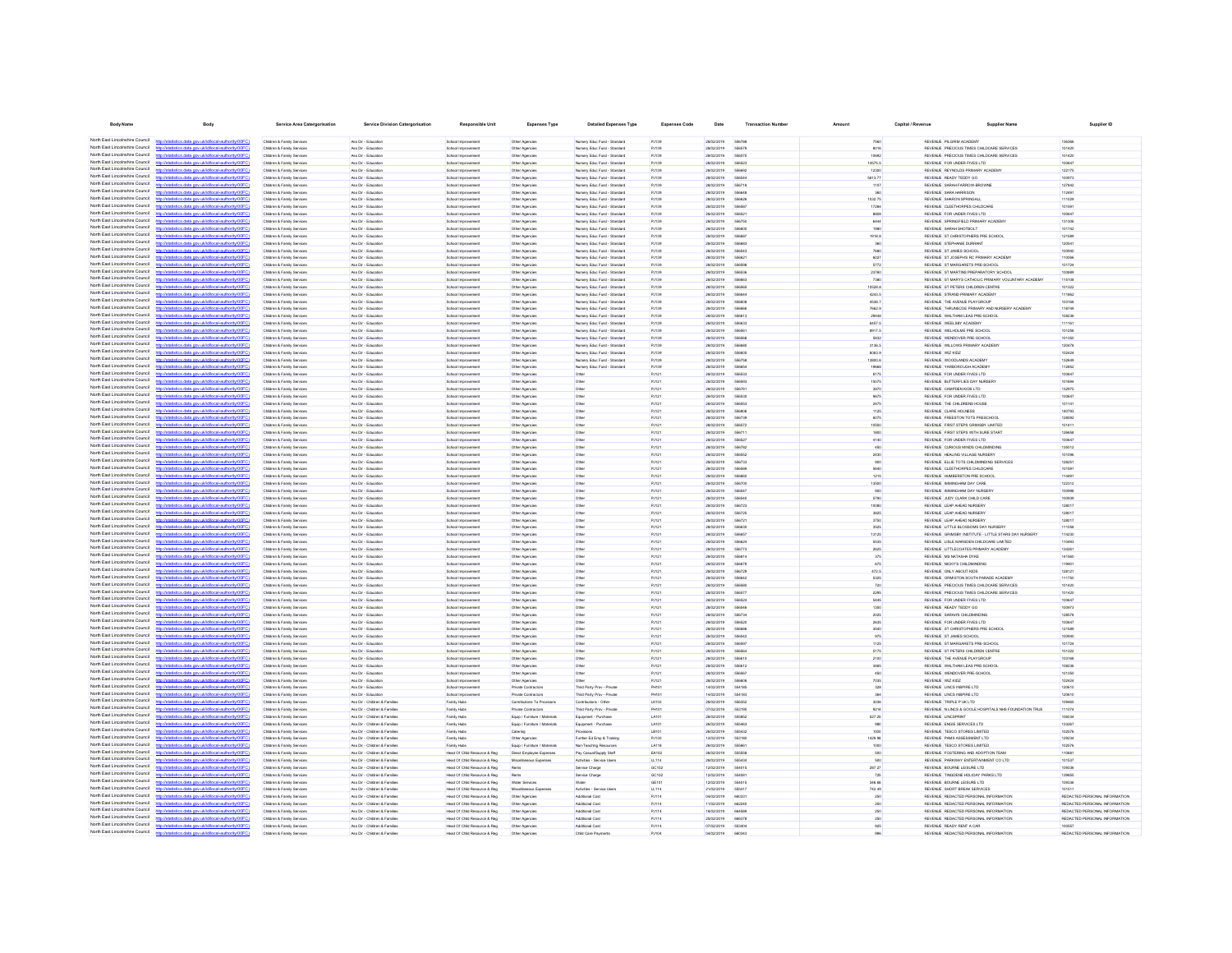| <b>Body Name</b>                                                   | Body                                                                                                                                             | <b>Service Area Catergorisation</b>                                | Service Division Catergorisation                               | <b>Responsible Unit</b>                                       | Expenses Type                                      | <b>Detailed Expenses Type</b>                                | <b>Expenses Code</b>  | Date                               | <b>Transaction Number</b>     | Amount           | Capital / Revenue | <b>Supplier Name</b>                                                                         | Supplier ID                                                    |
|--------------------------------------------------------------------|--------------------------------------------------------------------------------------------------------------------------------------------------|--------------------------------------------------------------------|----------------------------------------------------------------|---------------------------------------------------------------|----------------------------------------------------|--------------------------------------------------------------|-----------------------|------------------------------------|-------------------------------|------------------|-------------------|----------------------------------------------------------------------------------------------|----------------------------------------------------------------|
|                                                                    | North East Lincolnshire Council http://statistics.data.gov.ukild/local-authority/00FC)                                                           | Children & Family Services                                         | Ass Dir - Friungtinn                                           | <b>School Improvement</b>                                     | Other Agencies                                     | Nimsery Frien Fund - Standard                                | P.1139                | announce                           | 656788                        | 7560             |                   | REVEN E. PILGRIM ACADEMY                                                                     | 136366                                                         |
| North East Lincolnshire Council                                    |                                                                                                                                                  | Children & Family Service                                          | Ass Dir - Education                                            | School Improvement                                            | Other Agencies                                     | Nursery Educ Fund - Standard                                 | PJ139                 | 28/02/2019                         | 556570                        | 8016             |                   | REVENUE PRECIOUS TIMES CHILDCARE SERVICES                                                    | 101420                                                         |
| North East Lincolnshire Council                                    | http://statistics.data.gov.uk/id/local-authority/00FC)                                                                                           | Children & Family Services                                         | Ass Dir - Education                                            | School Improvement                                            | Other Agencies                                     | Nursery Educ Fund - Standard                                 | P.1139                | 28/02/2019                         | <b>SEASTE</b>                 | 10992            |                   | REVENUE PRECIOUS TIMES CHILDCARE SERVICES                                                    | 101420                                                         |
| North East Lincolnshire Council<br>North East Lincolnshire Council | Interdetationics data consideribocal authority(ODCC)                                                                                             | Children & Family Service                                          | Ass Dir - Educatio                                             | School Improvement                                            | Other Agencie                                      | Nursery Educ Fund - Standard                                 | Putas                 | 28/02/2019                         | <b>SSAS2</b>                  | 14575.5          |                   | REVENUE FOR UNDER FIVES LTD                                                                  | 100647                                                         |
| North East Lincolnshire Council                                    | the data and debidonal autoritation of                                                                                                           | Children & Family Service<br>Children & Family Services            | Ass Dir - Education<br>Ass Dir - Educatio                      | School Improvement<br>School Improvement                      | Other Agencies<br>Other Agencies                   | Nursery Educ Fund - Standard<br>Nursery Educ Fund - Standard | PJ139<br>PJ139        | 28/02/2019<br>28/02/2019           | SSARS                         | 12300<br>5813.77 |                   | REVENUE REYNOLDS PRIMARY ACADEMY<br>REVENUE READY TEDDY GO                                   | 122175<br>100973                                               |
| North East Lincolnshire Council                                    | ting state and delighteral authority (ODC)                                                                                                       | <b>Children &amp; Family Service</b>                               | Ass Dir - Educatio                                             | <b>School Improvement</b>                                     | Other Agencies                                     | Nursery Educ Fund - Standard                                 | PJ139                 | 28/02/2019                         | 556718                        | 1107             |                   | REVENUE SARAH FARROW-BROWN                                                                   | 127842                                                         |
| North East Lincolnshire Council                                    | //statistics.data.gov.uk/id/local-authority/00F                                                                                                  | Children & Family Service                                          | Ass Dir - Educatio                                             | School Improvement                                            | Other Agencie                                      | Nursery Educ Fund - Standard                                 | PJ135                 | 28/02/2019                         | 55664                         |                  |                   | REVENUE SARA HARRISON                                                                        | 112491                                                         |
| North East Lincolnshire Council<br>North East Lincolnshire Council | <b>Vistatistics data ony rigidiocal authority/DDFC</b><br>http://statistics.data.gov.uk/id/ocal-authority/00FC)                                  | Children & Family Service<br><b>Children &amp; Family Service</b>  | Ass Dir - Educatio<br>Ass Dir - Educatio                       | <b>School Improvement</b><br><b>School Improvement</b>        | Other Agencies<br>Other Agencies                   | Nursery Educ Fund - Standard<br>Nursery Educ Fund - Standard | PJ139<br>PJ135        | 28/02/2019<br>28/02/2019           | 55662                         | 1032.75<br>1728  |                   | REVENUE SHARON SPRINGALI<br>REVENUE CLEETHORPES CHILDCARE                                    | 111029<br>10150                                                |
| North Fast Lincolnshire Council                                    | my ukidihcalauthority(00EC)                                                                                                                      | Children & Family Services                                         | Ass Dir - Education                                            | School Improvement                                            | Other Agencies                                     | Nursery Educ Fund - Standard                                 | PJ139                 | 28/02/2019                         | 55652                         | 8808             |                   | REVENUE FOR UNDER FIVES LTD                                                                  | 10064                                                          |
| North East Lincolnshire Council                                    | istics.data.gov.uk/id/local-authority/00FC)                                                                                                      | Children & Family Services                                         | Ass Dir - Education                                            | School Improvement                                            | Other Agencies                                     | Nursery Educ Fund - Standard                                 | PJ139                 | 28/02/2019                         | 55675                         | 644              |                   | REVENUE SPRINGFIELD PRIMARY ACADEM                                                           | 131306                                                         |
| North Fast Lincolnshire Council<br>North Fast Lincolnshire Council |                                                                                                                                                  | Children & Family Services                                         | Ass Dir - Education                                            | School Improvement                                            | Other Agencies                                     | Nursery Educ Fund - Standard                                 | PJ139                 | 28/02/2019                         | 556600                        | 1980             |                   | REVENUE SARAH SHOTBOLT                                                                       | 101742                                                         |
| North East Lincolnshire Council                                    | statistics.data.gov.uk/id/local-authority/00FC)<br>ov.uk/id/ocal-authority/l                                                                     | Children & Family Services<br>Children & Family Services           | Ass Dir - Education<br>Ass Dir - Education                     | School Improvement<br>School Improvement                      | Other Agencies<br>Other Agencies                   | Nursery Educ Fund - Standard<br>Nursery Educ Fund - Standard | PJ139<br>PJ139        | 28/02/2019<br>28/02/2019           | 55668<br>556683               | 1918.8<br>360    |                   | REVENUE ST CHRISTOPHERS PRE SCHOOL<br>REVENUE STEPHANIE DURRANT                              | 121589<br>120541                                               |
| North East Lincolnshire Council                                    | tistics.data.gov.uk/id/local-authority/00FC)                                                                                                     | Children & Family Services                                         | Ass Dir - Education                                            | School Improvement                                            | Other Agencies                                     | Nursery Educ Fund - Standard                                 | PJ139                 | 28/02/2019                         | 556543                        | 7680             |                   | REVENUE ST JAMES SCHOOL                                                                      | 100940                                                         |
| North East Lincolnshire Council                                    | tics data ony uklidiocal authority(00F)                                                                                                          | Children & Family Services                                         | Ass Dir - Education                                            | School Improvement                                            | Other Agencies                                     | Nursery Educ Fund - Standard                                 | PJ139                 | 28/02/2019                         | <b>SSRR21</b>                 | 6027             |                   | REVENUE ST JOSEPH'S RC PRIMARY ACADEMY                                                       | 110066                                                         |
| North East Lincolnshire Council                                    | istics data ony ricidiocal authority(00FC).<br><b>Introder</b>                                                                                   | Children & Family Services                                         | Ass Dir - Education                                            | School Improvement                                            | Other Agencies                                     | Nursery Educ Fund - Standard                                 | PJ139                 | 28/02/2019                         | <b>SSASS</b>                  | 5772             |                   | REVENUE ST MARGARETS PRE-SCHOOL                                                              | 101724                                                         |
| North East Lincolnshire Council<br>North East Lincolnshire Council | listatistics data ony uklidiocal authority(DDFC)<br>https<br>http://statistics.data.gov.uk/id/local-authority/00FC)                              | Children & Family Services<br>Children & Family Services           | Ass Dir - Education<br>Ass Dir - Education                     | School Improvement<br>School Improvement                      | Other Agencies<br>Other Agencies                   | Nursery Educ Fund - Standard<br>Nursery Educ Fund - Standard | PJ139<br>PJ139        | 28/02/2019<br>28/02/2019           | 556536<br>556663              | 23760<br>7380    |                   | REVENUE ST MARTINS PREPARATORY SCHOOL<br>REVENUE ST MARYS CATHOLIC PRIMARY VOLUNTARY ACADEMY | 100889<br>115108                                               |
| North East Lincolnshire Council                                    | detailed and any skills scalar traditional and                                                                                                   | Children & Family Services                                         | Ass Dir - Friungtinn                                           | School Improvement                                            | Other Agencies                                     | Nimsery Frien Fund - Standard                                | P.1139                | <b>SANSYSTER</b>                   | SEASAR                        | <b>8 85201</b>   |                   | REVENUE ST PETERS CHILDREN CENTRE                                                            | 101322                                                         |
| North East Lincolnshire Council                                    | distics.data.gov.uk/id/local-authority/00FC)<br>http://s                                                                                         | Children & Family Services                                         | Ass Dir - Education                                            | School Improvement                                            | Other Agencies                                     | Nursery Educ Fund - Standard                                 | PJ139                 | 28/02/2019                         | 556644                        | 4243.5           |                   | REVENUE STRAND PRIMARY ACADEMY                                                               | 111862                                                         |
| North East Lincolnshire Council<br>North East Lincolnshire Council | http://statistics.data.gov.uk/id/local-authority/00FC)                                                                                           | Children & Family Service                                          | Ass Dir - Education<br>Ass Dir - Friungtinn                    | School Improvement                                            | Other Agencies                                     | Nursery Educ Fund - Standard                                 | PJ139<br>P.1139       | 28/02/2019<br>28/02/2019           | SSAAN                         | 4538.7           |                   | REVENUE THE AVENUE PLAYGROUP                                                                 | 103168<br>118749                                               |
| North East Lincolnshire Council                                    | Wateriotics data nov uklidiocal authority (00FC)                                                                                                 | Children & Family Senings<br>Children & Family Service             | Ass Dir - Education                                            | School Improvement<br>School Improvement                      | Other Agencies<br>Other Agencie                    | Nursery Educ Fund - Standard<br>Nursery Educ Fund - Standard | PJ139                 | 28/02/2019                         | SSAAN<br>556611               | 7662.9<br>20448  |                   | REVENLE THRUNSCOE PRIMARY AND NURSERY ACADEMY<br>REVENUE WALTHAM LEAS PRE-SCHOOL             | 108236                                                         |
| North East Lincolnshire Council                                    | http://statistics.data.gov.uk/id/local-authority/00FC                                                                                            | Children & Family Services                                         | Ass Dir - Education                                            | School Improvement                                            | Other Agencies                                     | Nursery Educ Fund - Standard                                 | PJ139                 | 28/02/2019                         | <b>SSAR33</b>                 | 6457.5           |                   | REVENUE WEELSBY ACADEMY                                                                      | 111161                                                         |
| North East Lincolnshire Council                                    |                                                                                                                                                  | Children & Family Service                                          | Ass Dir - Educatio                                             | School Improvement                                            | Other Agencies                                     | Nursery Educ Fund - Standard                                 | PJ139                 | 28/02/2019                         |                               | 8917.5           |                   | REVENUE WELHOLME PRE SCHOOL                                                                  | 101258                                                         |
| North East Lincolnshire Council<br>North East Lincolnshire Council | http://statistics.data.gov.uk/id/local-authority/00FC1<br>distribution data one delibloomlassification (DOC)                                     | Children & Family Service                                          | Ass Dir - Education                                            | <b>School Improvement</b>                                     | Other Agencies                                     | Nursery Educ Fund - Standard                                 | Putas                 | 28/02/2019                         | ssasa                         | 5832             |                   | REVENUE WENDOVER PRE-SCHOOL                                                                  | 101350                                                         |
| North East Lincolnshire Council                                    | Interdetationics data consideribocal authority(ODCC)                                                                                             | Children & Family Services<br>Children & Family Service            | Ass Dir - Education<br>Ass Dir - Educatio                      | School Improvement<br><b>School Improvement</b>               | Other Agencies<br>Other Agencies                   | Nursery Educ Fund - Standard<br>Nursery Educ Fund - Standard | PJ139<br>PJ135        | 28/02/2019<br>28/02/2019           |                               | 3136.5<br>6063.9 |                   | REVENUE WILLOWS PRIMARY ACADEMY<br>REVENUE WIZ KIDZ                                          | 120478<br>102424                                               |
| North East Lincolnshire Council                                    |                                                                                                                                                  | Children & Family Services                                         | Ass Dir - Education                                            | School Improvement                                            | Other Agencies                                     | Nursery Educ Fund - Standard                                 | PJ139                 | 28/02/2019                         | 556758                        | 13800.6          |                   | REVENUE WOODLANDS ACADEMY                                                                    | 132649                                                         |
| North East Lincolnshire Council                                    | stics.data.gov.uk/id/local-authority/00F                                                                                                         | Children & Family Services                                         | Ass Dir - Education                                            | <b>School Improvement</b>                                     | Other Agencies                                     | Nursery Educ Fund - Standard                                 | PJ139                 | 28/02/2019                         | 55665                         | 19668            |                   | REVENUE YARBOROUGH ACADEM                                                                    | 112852                                                         |
| North East Lincolnshire Council<br>North Fast Lincolnshire Council | istics.data.gov.uk/id/local-authority/00FC                                                                                                       | Children & Family Services                                         | Ass Dir - Educatio                                             | <b>School Improvement</b>                                     | Other Agencies                                     |                                                              | PJ121                 | 28/02/2019                         |                               | 8175             |                   | REVENUE FOR UNDER FIVES LTD                                                                  | 10064                                                          |
| North Fast Lincolnshire Council                                    | http://statistics.data.gov.uk/id/local-authority/00FC]                                                                                           | Children & Family Services<br>Children & Family Services           | Ass Dir - Education<br>Ass Dir - Education                     | School Improvement<br>School Improvement                      | Other Agencies<br>Other Agencies                   | Other<br>Othe                                                | PJ121<br>PJ121        | 28/02/2019<br>28/02/2019           | 556593<br>55676               | 15075<br>3870    |                   | REVENUE BUTTERFLIES DAY NURSERY<br>REVENUE CAMPDEN KIDS LTD                                  | 101694<br>132975                                               |
| North East Lincolnshire Council                                    | ov.ukld/local-authorit                                                                                                                           | Children & Family Services                                         | Ass Dir - Education                                            | School Improvement                                            | Other Agencies                                     | Other                                                        | PJ121                 | 28/02/2019                         | 556530                        | 9675             |                   | REVENUE FOR UNDER FIVES LTD                                                                  | 100647                                                         |
| North East Lincolnshire Council                                    | tistics.data.gov.ukfd/local-authority/00FC)                                                                                                      | Children & Family Services                                         | Ass Dir - Education                                            | School Improvement                                            | Other Agencies                                     | Other                                                        | PJ121                 | 28/02/2019                         | 696553                        | 2475             |                   | REVENUE THE CHILDRENS HOUSE                                                                  | 101141                                                         |
| North East Lincolnshire Council<br>North East Lincolnshire Council | nny uklidingalauthorityiD                                                                                                                        | Children & Family Services                                         | Ass Dir - Education                                            | School Improvement                                            | Other Agencies                                     | Other                                                        | PJ121                 | 28/02/2019                         | <b>SSRADE</b>                 | 1125             |                   | REVENUE CLARE HOLNESS                                                                        | 140793                                                         |
| North East Lincolnshire Council                                    | http://statistics.data.gov.uk/id/local-authority/00FC)<br>istics data ony ukld/ocal authority/00FC!<br><b>Introder</b>                           | Children & Family Services<br>Children & Family Services           | Ass Dir - Education<br>Ass Dir - Education                     | School Improvement<br>School Improvement                      | Other Agencies<br>Other Agencies                   | Other<br>Other                                               | PJ121<br>PJ121        | 28/02/2019<br>28/02/2019           | 556739<br>556572              | 6075<br>10500    |                   | REVENUE FREESTON TOTS PRESCHOOL<br>REVENUE FIRST STEPS GRIMSBY LIMITED                       | 128592<br>101411                                               |
| North East Lincolnshire Council                                    | http://statistics.data.gov.uk/id/local-authority/00FC)                                                                                           | Children & Family Services                                         | Ass Dir - Education                                            | School Improvement                                            | Other Agencies                                     | Other                                                        | PJ121                 | 28/02/2019                         | 556711                        | 1800             |                   | REVENUE FIRST STEPS WITH SURE START                                                          | 126658                                                         |
| North East Lincolnshire Council                                    | http://statistics.data.onv.uk/d/ocal.authority/00EC                                                                                              | Children & Family Services                                         | Ass Dir - Education                                            | School Improvement                                            | Other Agencies                                     | Other                                                        | PJ121                 | 28/02/2019                         | 556527                        | 4140             |                   | REVENUE FOR UNDER FIVES LTD                                                                  | 100647                                                         |
| North East Lincolnshire Council<br>North East Lincolnshire Council | distics.data.gov.uk/id/local-authority/00FC)<br><b>http://et</b>                                                                                 | Children & Family Services                                         | Ass Dir - Education                                            | School Improvement                                            | Other Agencies                                     | Other                                                        | PJ121                 | 28/02/2019                         | 556782                        | 450              |                   | REVENUE CURIOUS MINDS CHILDMINDING                                                           | 135012                                                         |
| North East Lincolnshire Council                                    | and the field construction in the<br>http://statistics.data.onv.uk/d/ocal.authority/00EC)                                                        | Children & Family Service<br>Children & Family Services            | Ass Dir - Friunaties<br>Ass Dir - Friungtinn                   | School Improvement<br>School Improvement                      | Other Agencies<br>Other Agencies                   | Other<br>Other                                               | P.1121<br>P.1121      | <b>28022019</b><br><b>28022019</b> | <b>SEARS</b><br>656733        | 2430<br>onn      |                   | REVENUE HEALING VILLAGE NURSERY<br>REVEN E ELLIE TOTS OHLOMNONG SERVICES                     | 101096<br>128251                                               |
| North East Lincolnshire Council                                    | listatistics data one skildhood authoritatOOCO                                                                                                   | Children & Family Service                                          | Ass Dir - Education                                            | School Improvement                                            | Other Agencies                                     | Other                                                        | PJ121                 | 28/02/2019                         | <b><i>SEARAS</i></b>          | 5640             |                   | REVENUE CLEETHORPES CHILDCARE                                                                | 101591                                                         |
| North East Lincolnshire Council                                    | http://statistics.data.gov.uk/id/local-authority/00FC1                                                                                           | Children & Family Services                                         | Ass Dir - Friunaties                                           | School Improvement                                            | Other Agencies                                     | Other                                                        | PJ121                 | <b>28022019</b>                    | <b>SSARRO</b>                 | 1215             |                   | REVENLE HUMBERSTON PRE SCHOOL                                                                | 114491                                                         |
| North East Lincolnshire Council<br>North East Lincolnshire Council |                                                                                                                                                  | <b>Children &amp; Family Service</b>                               | Ass Dir - Educatio                                             | School Improvement                                            | Other Agencies                                     | Othe                                                         | PJ121                 | 28/02/2019                         | 556706                        | 13500            |                   | REVENUE IMMINGHAM DAY CARE                                                                   | 122312                                                         |
| North East Lincolnshire Council                                    | http://statistics.data.gov.uk/id/local-authority/00FC)<br>http://etatietica.clats.com/ddidiocal.authority/DDEC                                   | Children & Family Service<br>Children & Family Services            | Ass Dir - Education<br>Ass Dir - Educatio                      | School Improvement<br>School Improvement                      | Other Agencies<br>Other Agencies                   | Othe<br>Othe                                                 | PJ121<br>PJ121        | 28/02/2019<br>28/02/2019           | 556547                        | 900<br>5790      |                   | REVENUE IMMINGHAM DAY NURSERY<br>REVENUE JUDY CLARK CHILD CARE                               | 100998<br>100939                                               |
| North East Lincolnshire Council                                    | http://statistics.data.gov.uk/id/local-authority/00FC1                                                                                           | <b>Children &amp; Family Service</b>                               | Ass Dir - Educatio                                             | <b>School Improvement</b>                                     | Other Agencies                                     | Othe                                                         | PJ121                 | 28/02/2019                         | 55672                         | 10080            |                   | REVENUE LEAP AHEAD NURSERY                                                                   | 128017                                                         |
| North East Lincolnshire Council                                    |                                                                                                                                                  | Children & Family Services                                         | Ass Dir - Education                                            | School Improvement                                            | Other Agencies                                     | Other                                                        | PJ121                 | 28/02/2019                         | 556725                        | 3825             |                   | REVENUE LEAP AHEAD NURSERY                                                                   | 128017                                                         |
| North East Lincolnshire Council<br>North East Lincolnshire Council | istics.data.gov.ukld/local-authority/00FC)                                                                                                       | Children & Family Services                                         | Ass Dir - Education                                            | <b>School Improvement</b>                                     | Other Agencies                                     | Other                                                        | PJ121                 | 28/02/2019                         | 55672                         | 3750             |                   | REVENUE LEAP AHEAD NURSERY                                                                   | 128017                                                         |
| North Fast Lincolnshire Council                                    | <b>CONTRACTOR</b> COMPANY AND THE CONTRACTOR                                                                                                     | Children & Family Services<br>Children & Family Services           | Ass Dir - Education<br>Ass Dir - Education                     | School Improvement<br>School Improvement                      | Other Agencies<br>Other Agencies                   | Other<br>Other                                               | PJ121<br>PJ121        | 28/02/2019<br>28/02/2019           | 556630<br>556657              | 3525<br>13125    |                   | REVENUE LITTLE BLOSSOMS DAY NURSERY<br>REVENUE GRIMSBY INSTITUTE - LITTLE STARS DAY NURSERY  | 111058<br>114230                                               |
| North East Lincolnshire Council                                    | cs.data.gov.uk/id/local-authority/0                                                                                                              | Children & Family Services                                         | Ass Dir - Education                                            | School Improvement                                            | Other Agencies                                     | Other                                                        | PJ121                 | 28/02/2019                         | 556624                        | 5636             |                   | REVENUE LISLE MARSDEN CHILDCARE LIMITED                                                      | 110493                                                         |
| North Fast Lincolnshire Council<br>North Fast Lincolnshire Council |                                                                                                                                                  | Children & Family Services                                         | Ass Dir - Education                                            | School Improvement                                            | Other Agencies                                     | Other                                                        | PJ121                 | 28/02/2019                         | 556773                        | 2625             |                   | REVENUE LITTLECOATES PRIMARY ACADEMY                                                         | 134261                                                         |
| North East Lincolnshire Council                                    | stics.data.gov.uk/id/local-authority/00FC1                                                                                                       | Children & Family Services                                         | Ass Dir - Education                                            | School Improvement                                            | Other Agencies                                     | Other                                                        | PJ121                 | 28/02/2019                         | 556814<br>556679              | 375<br>675       |                   | REVENUE MS NATASHA DYKE                                                                      | 141560                                                         |
| North East Lincolnshire Council                                    | http://statistics.data.gov.uk/id/local-authority/00FC)                                                                                           | Children & Family Services<br>Children & Family Services           | Ass Dir - Education<br>Ass Dir - Education                     | School Improvement<br>School Improvement                      | Other Agencies<br>Other Agencies                   | Other<br>Other                                               | PJ121<br>PJ121        | 28/02/2019<br>28/02/2019           | 556729                        | 472.5            |                   | REVENUE NICKY'S CHILDMINDING<br>REVENUE ONLY ABOUT KIDS                                      | 119901<br>128121                                               |
| North East Lincolnshire Council                                    | tics data ony uklidiocal authority(DDFC)<br>http:                                                                                                | Children & Family Services                                         | Ass Dir - Education                                            | School Improvement                                            | Other Agencies                                     | Other                                                        | PJ121                 | 28/02/2019                         | <b>SSAA12</b>                 | 5325             |                   | REVENUE ORMISTON SOUTH PARADE ACADEMY                                                        | 111750                                                         |
| North East Lincolnshire Council                                    | http://statistics.data.gov.uk/id/local-authority/00FC)                                                                                           | Children & Family Services                                         | Ass Dir - Education                                            | School Improvement                                            | Other Agencies                                     | Other                                                        | PJ121                 | 28/02/2019                         | <b><i><u>GRASH</u></i></b>    | 720              |                   | REVENUE PRECIOUS TIMES CHILDCARE SERVICES                                                    | 101420                                                         |
| North East Lincolnshire Council<br>North East Lincolnshire Council | http://statistics.data.oov.uk/d/ocal.authority/00EC<br>distics.data.gov.uk/id/local-authority/00FC)<br><b>Introder</b>                           | Children & Family Services<br>Children & Family Services           | Ass Dir - Education<br>Ass Dir - Education                     | School Improvement<br>School Improvement                      | Other Agencies<br>Other Agencies                   | Other<br>Other                                               | PJ121<br>PJ121        | 28/02/2019<br>28/02/2019           | 558577<br>556524              | 2295<br>5445     |                   | REVENUE PRECIOUS TIMES CHILDCARE SERVICES<br>REVENUE FOR UNDER FIVES LTD                     | 101420<br>100647                                               |
| North East Lincolnshire Council                                    | This data and skillscal activities and                                                                                                           | <b>Children &amp; Family Renáred</b>                               | Ass Dir - Friungtinn                                           | School Improvement                                            | Other Agencies                                     | Other                                                        | P.1121                | <b>28022019</b>                    | <b>SSAS4</b>                  | 1350             |                   | REVEN E READY TEDDY GO                                                                       | 100923                                                         |
| North East Lincolnshire Council                                    | http://statistics.data.gov.uk/id/local-authority/00FC)                                                                                           | Children & Family Services                                         | Ass Dir - Education                                            | School Improvement                                            | Other Agencies                                     | Other                                                        | PJ121                 | 28/02/2019                         | 556734                        | 2025             |                   | REVENUE SARAH'S CHILDMINDING                                                                 | 128578                                                         |
| North East Lincolnshire Council                                    | listatistics data one skildhood authoritatOOCO                                                                                                   | Children & Family Services                                         | Ass Dir - Education                                            | School Improvement                                            | Other Agencies                                     | Other                                                        | PJ121                 | 28/02/2019                         | <b>SEAR20</b>                 | 2635             |                   | REVENUE FOR UNDER FIVES LTD                                                                  | 100647                                                         |
| North East Lincolnshire Council<br>North East Lincolnshire Council | http://statistics.data.oov.uk/id/ocal.authority/00FCI                                                                                            | Children & Family Services<br><b>Children &amp; Family Service</b> | Ass Dir - Friunaties<br>Ass Dir - Educatio                     | School Improvement<br>School Improvement                      | Other Agencies<br>Other Agencies                   | Other<br>Othe                                                | P.1121<br>PJ121       | 28/02/2019<br>28/02/2019           | <b>GGARAI</b><br><b>SSASA</b> | 3540<br>975      |                   | REVENUE ST CHRISTOPHERS PRE SCHOOL<br>REVENUE ST JAMES SCHOOL                                | 121589<br>100940                                               |
| North East Lincolnshire Council                                    | http://statistics.data.gov.uk/id/local-authority/00FC]                                                                                           | Children & Family Service                                          | Ass Dir - Education                                            | School Improvement                                            | Other Agencies                                     | Other                                                        | PJ121                 | 28/02/2019                         | <b>SSASS</b>                  | 1125             |                   | REVENUE ST MARGARETS PRE-SCHOOL                                                              | 101724                                                         |
| North East Lincolnshire Council                                    | Interdetationics data consideribocal authority(ODCC)                                                                                             | <b>Children &amp; Family Service</b>                               | Ass Dir - Educatio                                             | School Improvement                                            | Other Agencies                                     |                                                              | PJ121                 | 28/02/2019                         |                               | 5175             |                   | REVENUE ST PETERS CHILDREN CENTRE                                                            | 101322                                                         |
| North East Lincolnshire Council<br>North East Lincolnshire Council | distics.data.gov.uk/id/local-authority/00FC1                                                                                                     | <b>Children &amp; Family Service</b>                               | Ass Dir - Education                                            | <b>School Improvement</b>                                     | Other Agencies                                     | Othe                                                         | PJ121                 | 28/02/2019                         | 556611                        | 2100             |                   | REVENUE THE AVENUE PLAYGROUP                                                                 | 103168                                                         |
| North East Lincolnshire Council                                    | istics.data.gov.ukld/local-authority/00FC)                                                                                                       | Children & Family Services<br>Children & Family Services           | Ass Dir - Education<br>Ass Dir - Education                     | <b>School Improvement</b><br><b>School Improvement</b>        | Other Agencies<br>Other Agencies                   | Other<br>Other                                               | PJ121<br>PJ121        | 28/02/2019<br>28/02/2019           | 556567                        | 3465<br>450      |                   | REVENUE WALTHAM LEAS PRE-SCHOOL<br>REVENUE WENDOVER PRE-SCHOOL                               | 108236<br>101350                                               |
| North East Lincolnshire Council                                    |                                                                                                                                                  | Children & Family Services                                         | Ass Dir - Education                                            | School Improvement                                            | Other Agencies                                     | Other                                                        | PJ121                 | 28/02/2019                         | 556606                        | 7035             |                   | REVENUE WIZ KIDZ                                                                             | 102424                                                         |
| North East Lincolnshire Council                                    | stics.data.gov.uk/id/local-authority/00FC]                                                                                                       | Children & Family Services                                         | Ass Dir - Education                                            | School Improvement                                            | Private Contractors                                | Third Party Prov - Private                                   | PH101                 | 14/02/2019                         | 554185                        | 328              |                   | REVENUE LINCS INSPIRE LTD                                                                    | 120610                                                         |
| North East Lincolnshire Council<br>North Fast Lincolnshire Council |                                                                                                                                                  | Children & Family Services                                         | Ass Dir - Education                                            | School Improvement                                            | Private Contractors                                | Third Party Prov - Private                                   | <b>PH101</b>          | 14/02/2019                         | 554183                        | 364              |                   | REVENUE LINCS INSPIRE LTD                                                                    | 120610                                                         |
| North Fast Lincolnshire Council                                    | stics.data.gov.uk/id/local-authority/00FC1                                                                                                       | Children & Family Services<br>Children & Family Services           | Ass Dir - Children & Families<br>Ass Dir - Children & Families | Family Hubs<br>Family Hubs                                    | Contributions To Provisions<br>Private Contractors | Contributions - Other<br>Third Party Prov - Private          | <b>LK103</b><br>PH101 | 28/02/2019<br>07/02/2019           | 556352<br>553190              | 3036<br>9214     |                   | REVENUE TRIPLE P UK LTD<br>REVENUE N LINCS & GOOLE HOSPITALS NHS FOUNDATION TRUS             | 109465<br>111074                                               |
| North Fast Lincolnshire Council                                    |                                                                                                                                                  | Children & Family Services                                         | Ass Dir - Children & Families                                  | Family Hubs                                                   | Equip / Furniture / Materials                      | Equipment - Purchase                                         | LA101                 | 28/02/2019                         | 555852                        | 527.25           |                   | REVENUE LINCSPRINT                                                                           | 106034                                                         |
| North Fast Lincolnshire Council                                    | istics data ony riklid/ocal.authority/00FCI<br>http:                                                                                             | Children & Family Services                                         | Ass Dir - Children & Families                                  | Family Hubs                                                   | Equip / Furniture / Materials                      | Equipment - Purchase                                         | LA101                 | 26/02/2019                         | 555463                        | 980              |                   | REVENUE ENGIE SERVICES LTD                                                                   | 133267                                                         |
| North East Lincolnshire Council<br>North East Lincolnshire Council |                                                                                                                                                  | Children & Family Services                                         | Ass Dir - Children & Families                                  | Family Hubs                                                   | Catering                                           | Provisions                                                   | LB101                 | 26/02/2019                         | 666433                        | 1000             |                   | REVENUE TESCO STORES LIMITED                                                                 | 102576                                                         |
| North East Lincolnshire Council                                    | http://statistics.data.gov.uk/id/local-authority/00FC)<br>tistics data ony rickld/ocal.authority/00FC                                            | Children & Family Services<br>Children & Family Services           | Ass Dir - Children & Families<br>Ass Dir - Children & Families | Family Hubs<br>Family Hubs                                    | Other Agencies<br>Equip / Furniture / Materials    | Further Ed Emp & Training<br>Non-Teaching Resources          | PJ130<br>LA118        | 12/02/2019<br>26/02/2019           | 553180<br><b>SSSRE</b>        | 1429.98<br>1000  |                   | REVENUE PAMS ASSESSMENT LTD<br>REVENUE TESCO STORES LIMITED                                  | 129234<br>102576                                               |
| North East Lincolnshire Council                                    | distics.data.gov.uk/id/local-authority/00FC)<br><b>Introder</b>                                                                                  | Children & Family Services                                         | Ass Dir - Children & Families                                  | Head Of Child Resource & Reg                                  | Direct Employee Expenses                           | Pay Casual/Supply Staff                                      | EA102                 | 26/02/2019                         | <b>ARARAS</b>                 | 500              |                   | REVENUE FOSTERING AND ADOPTION TEAM                                                          | 110681                                                         |
| North East Lincolnshire Council                                    | tistics data ony rigidiocal authority(00F)                                                                                                       | Children & Family Services                                         | Ass Dir - Children & Families                                  | Head Of Child Resource & Reg.                                 | Miscellaneous Expenses                             | Activities - Service Users                                   | LL114                 | 28/02/2019                         | 555434                        | 500              |                   | REVENUE PARKWAY ENTERTAINMENT CO LTD                                                         | 101537                                                         |
| North East Lincolnshire Council<br>North East Lincolnshire Council | http://statistics.data.gov.uk/id/local-authority/00FC)<br>distribution state and delighteral activities (DOCC)                                   | Children & Family Services                                         | Ass Dir - Children & Families<br>Ass Dir - Ohirkan & Familian  | Head Of Child Resource & Reg                                  | Rents                                              | Service Charge                                               | GC102                 | 12/02/2019<br>12/02/2019           | 554015                        | 287.27           |                   | REVENUE BOURNE LEISURE LTD<br>REVENUE TINGDENE HOLIDAY PARKS LTD                             | 109336<br>130855                                               |
| North East Lincolnshire Council                                    | http://statistics.data.onv.uk/id/ocal.authority/00ECV                                                                                            | Children & Family Services<br><b>Children &amp; Family Renáred</b> | Ass Dir - Children & Families                                  | Head Of Child Resource & Reg.<br>Head Of Child Resource & Ren | Rents<br>Water Services                            | Service Charg<br>Woter                                       | GC102<br>GE101        | 12/02/2019                         | <b>SS408</b><br>554015        | 725<br>346.68    |                   | REVENUE ROUBNE LEISURE LTD                                                                   | 102336                                                         |
| North East Lincolnshire Council                                    |                                                                                                                                                  | Children & Family Service                                          | Ass Dir - Children & Families                                  | Head Of Child Resource & Reg                                  |                                                    | Activities - Service User                                    | LL114                 | 21/02/2019                         | 66641                         | 742.49           |                   | REVENUE SHORT BREAK SERVICES                                                                 | 101511                                                         |
|                                                                    | North East Lincolnshire Council http://statistics.data.gov.uk/id/local-authority/00FC)                                                           | Children & Family Service                                          | Ass Dir - Children & Families                                  | Head Of Child Resource & Reg                                  | Other Agencies                                     | Additional Cos                                               | P.Itsa                | 04/02/2019                         | <b>BROSS</b>                  | 250              |                   | REVENUE REDACTED PERSONAL INFORMATION                                                        | REDACTED PERSONAL INFORMATION                                  |
| North East Lincolnshire Council                                    | North East Lincolnshire Council   New Setwhetics Anti-Any defictive at authority inner<br>http://statistics.data.gov.uk/id/local-authority/00FC] | <b>Children &amp; Family Service</b><br>Children & Family Service  | Ass Dir - Children & Families<br>Ass Dir - Children & Families | Head Of Child Resource & Reg<br>Head Of Child Resource & Reg  | Other Agencies                                     | Additional Cos<br>Additional Cos                             | PJ114<br>PJ114        | 11/02/2019<br>18/02/2019           | 66224<br>66458                |                  |                   | REVENUE REDACTED PERSONAL INFORMATION<br>REVENUE REDACTED PERSONAL INFORMATION               | REDACTED PERSONAL INFORMATION<br>REDACTED PERSONAL INFORMATION |
| North East Lincolnshire Council                                    | //statistics.data.gov.uk/id/local-authority/00FC1                                                                                                | Children & Family Services                                         | Ass Dir - Children & Families                                  | Head Of Child Resource & Reg                                  | Other Agencie<br>Other Agencies                    | Additional Cost                                              | PJ114                 | 25/02/2019                         |                               |                  |                   | REVENUE REDACTED PERSONAL INFORMATION                                                        | REDACTED PERSONAL INFORMATION                                  |
| North East Lincolnshire Council                                    | distics.data.gov.uk/id/local-authority/00FC1                                                                                                     | Children & Family Service                                          | Ass Dir - Children & Familie                                   | Head Of Child Resource & Reg                                  | Other Agencies                                     | ddisonal Cos                                                 |                       | 07/02/2019                         |                               |                  |                   | REVENUE READY RENT A CAR                                                                     | 100557                                                         |
| North East Lincolnshire Council                                    |                                                                                                                                                  | Writen & Family Renáre                                             | Ass Dir - Children & Familie                                   | Heart Of Child Resource & Ren                                 |                                                    | Child Care Pay                                               | P-HO4                 | Photograph                         |                               |                  |                   | REVEN E REDACTED PERSONAL                                                                    | <b>REDACTED</b>                                                |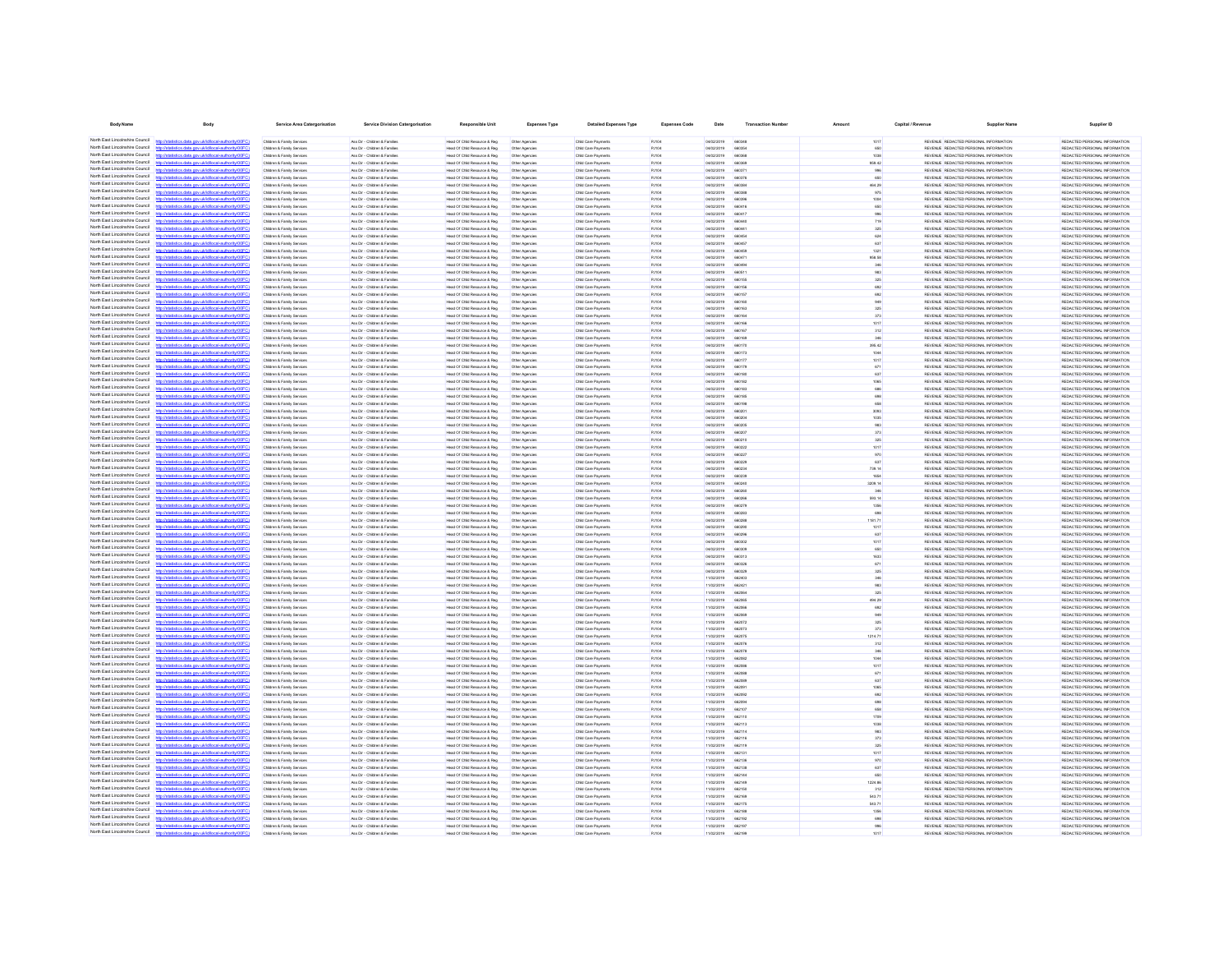| <b>Body Name</b>                                                   | <b>Body</b>                                                                                           | Service Area Catergorisation                                                 | <b>Service Division Catergorisation</b>                        | <b>Responsible Unit</b>                                        | <b>Expenses Type</b>             | <b>Detailed Expenses Type</b>              | <b>Expenses Code</b>  | Date                     | <b>Transaction Numbe</b> | Amount         | Capital / Revenue | <b>Supplier Name</b>                                                           | <b>Supplier ID</b>                                             |
|--------------------------------------------------------------------|-------------------------------------------------------------------------------------------------------|------------------------------------------------------------------------------|----------------------------------------------------------------|----------------------------------------------------------------|----------------------------------|--------------------------------------------|-----------------------|--------------------------|--------------------------|----------------|-------------------|--------------------------------------------------------------------------------|----------------------------------------------------------------|
|                                                                    | North East Lincolnshire Council http://statistics.data.gov.uk/d/local-authority/00FC)                 | Children & Family Services                                                   | Ass Dir - Children & Families                                  | Head Of Child Resource & Reg.                                  | Other Agencies                   | Child Care Payments                        | PJ104                 | 04/02/2019               | <b>BRO345</b>            | 1017           |                   | REVENUE REDACTED PERSONAL INFORMATION                                          | REDACTED PERSONAL INFORMATION                                  |
| North East Lincolnshire Council                                    | http://statistics.data.oov.uk/d/ocal.authority/00EC                                                   | Children & Family Services                                                   | Ass Dir - Children & Families                                  | Head Of Child Resource & Reg                                   | Other Agencies                   | Child Care Payments                        | PJ104                 | 04/02/2019               | 660354                   | 650            |                   | REVENUE REDACTED PERSONAL INFORMATION                                          | REDACTED PERSONAL INFORMATION                                  |
| North East Lincolnshire Council                                    | tistics.data.gov.uk/id/local-authority/00FC)<br><b>http://e</b>                                       | Children & Family Services                                                   | Ass Dir - Children & Families                                  | Head Of Child Resource & Reg                                   | Other Agencies                   | Child Care Payments                        | PJ104                 | 04/02/2019               | 660368                   | 1038           |                   | REVENUE REDACTED PERSONAL INFORMATION                                          | REDACTED PERSONAL INFORMATION                                  |
| North East Lincolnshire Council<br>North East Lincolnshire Council | the state and debiddend actively in                                                                   | Children & Family Services                                                   | Ass Dir - Children & Families                                  | Head Of Child Resource & Reg                                   | Other Agencies                   | Child Care Payments                        | <b>P.I104</b>         | 04/02/2019               | 660360                   | 959.42         |                   | REVEN E. REDUCTED PERSONAL INFORMATION                                         | REDACTED PERSONAL INFORMATION                                  |
| North East Lincolnshire Council                                    | tics data ony rickdocal authority<br>fields a state and definitional authority (OOCC)                 | Children & Family Services<br>Children & Family Service                      | Ass Dir - Children & Families<br>Ass Dir - Children & Families | Head Of Child Resource & Reg<br>Head Of Child Resource & Reg   | Other Agencies<br>Other Agencies | Child Care Payments<br>Child Care Payments | PJ104<br><b>PJ104</b> | 04/02/2019<br>04/02/2019 | 660371<br>660376         | 996<br>650     |                   | REVENUE REDACTED PERSONAL INFORMATION<br>REVENUE REDACTED PERSONAL INFORMATION | REDACTED PERSONAL INFORMATION<br>REDACTED PERSONAL INFORMATION |
| North East Lincolnshire Council                                    | CONTRACTOR IN A 1999 In the United States of the United States                                        | Children & Family Service                                                    | Ass Dir - Children & Families                                  | Head Of Child Resource & Reg                                   | Other Agencies                   | Child Care Payments                        | PJ104                 | 04/02/2019               | <b>BROSS</b>             | 464.29         |                   | REVENUE REDACTED PERSONAL INFORMATION                                          | REDACTED PERSONAL INFORMATION                                  |
| North East Lincolnshire Council                                    | http://statistics.data.oov.uk/d/ocal.authority/00FCI                                                  | Children & Family Service                                                    | Ass Dir - Children & Families                                  | Head Of Child Resource & Reg                                   | Other Agencies                   | Child Care Payments                        | P-HO4                 | erricional               | 660388                   | 975            |                   | REVEN E REDACTED PERSONAL INFORMATION                                          | REDACTED PERSONAL INFORMATION                                  |
| North East Lincolnshire Council<br>North East Lincolnshire Council | now defetivent authority (DDE)                                                                        | Children & Family Service                                                    | Ass Dir - Children & Families                                  | Head Of Child Resource & Reg                                   | Other Agencie                    | Child Care Payment                         | PJ104                 | 04/02/2019               | 66039                    | 1004           |                   | REVENUE REDACTED PERSONAL INFORMATION                                          | REDACTED PERSONAL INFORMATION                                  |
| North East Lincolnshire Council                                    | r/ktatistics data ony uklidiocal authority/00FCI<br><b>CONTRACTOR</b> CONTRACTOR CONTRACTOR           | Children & Family Service<br><b>Children &amp; Family Service</b>            | Ass Dir - Children & Families<br>Ass Dir - Children & Famile   | Head Of Child Resource & Reg<br>lead Of Child Resource & Reg   | Other Agencie<br>Other Agencie   | Child Care Payment<br>Child Care Payment   | PJ104<br>PJ104        | 04/02/2019<br>04/02/2019 | 660416<br>66041          | 650            |                   | REVENUE REDACTED PERSONAL INFORMATION<br>REVENUE REDACTED PERSONAL INFORMATION | REDACTED PERSONAL INFORMATION<br>REDACTED PERSONAL INFORMATION |
| North East Lincolnshire Council                                    | //statistics.data.gov.uk/id/local-authority/00FC                                                      | <b>Children &amp; Family Service</b>                                         | Ass Dir - Children & Familie                                   | Head Of Child Resource & Reg                                   | Other Agencie                    | Child Care Payment                         | <b>PJ104</b>          | 04/02/2019               |                          |                |                   | REVENUE REDACTED PERSONAL INFORMATION                                          | REDACTED PERSONAL INFORMATION                                  |
| North East Lincolnshire Council                                    |                                                                                                       | Children & Family Service                                                    | Ass Dir - Children & Famile                                    | Head Of Child Resource & Reg                                   | Other Agencies                   | Child Care Payment                         | PJ104                 | 04/02/2019               | 66044                    |                |                   | REVENUE REDACTED PERSONAL INFORMATION                                          | REDACTED PERSONAL INFORMATION                                  |
| North East Lincolnshire Council<br>North Fast Lincolnshire Council |                                                                                                       | Children & Family Services                                                   | Ass Dir - Children & Families                                  | Head Of Child Resource & Reg                                   | Other Agencies                   | Child Care Payment                         | PJ104                 | 04/02/2019               |                          |                |                   | REVENUE REDACTED PERSONAL INFORMATION                                          | REDACTED PERSONAL INFORMATION                                  |
| North East Lincolnshire Council                                    | stics.data.gov.uk/id/local-authority/00FC1                                                            | Children & Family Services<br>Children & Family Services                     | Ass Dir - Children & Families<br>Ass Dir - Children & Families | Head Of Child Resource & Reg.<br>Head Of Child Resource & Reg  | Other Agencies                   | Child Care Payments<br>Child Care Payments | PJ104                 | 04/02/2019<br>04/02/2019 | 66045                    | 637            |                   | REVENUE REDACTED PERSONAL INFORMATION<br>REVENUE REDACTED PERSONAL INFORMATION | REDACTED PERSONAL INFORMATION<br>REDACTED PERSONAL INFORMATION |
| North Fast Lincolnshire Council                                    |                                                                                                       | Children & Family Services                                                   | Ass Dir - Children & Families                                  | Head Of Child Resource & Reg                                   | Other Agencies<br>Other Agencies | Child Care Payments                        | PJ104<br>PJ104        | 04/02/2019               | 660450<br>660471         | 1321<br>958.58 |                   | REVENUE REDACTED PERSONAL INFORMATION                                          | REDACTED PERSONAL INFORMATION                                  |
| North Fast Lincolnshire Council                                    | distics.data.gov.uk/id/local-authority/00FC1                                                          | Children & Family Services                                                   | Ass Dir - Children & Families                                  | Head Of Child Resource & Reg                                   | Other Agencies                   | Child Care Payments                        | PJ104                 | 04/02/2019               | 660494                   | 346            |                   | REVENUE REDACTED PERSONAL INFORMATION                                          | REDACTED PERSONAL INFORMATION                                  |
| North East Lincolnshire Council                                    |                                                                                                       | Children & Family Services                                                   | Ass Dir - Children & Families                                  | Head Of Child Resource & Reg                                   | Other Agencies                   | Child Care Payments                        | PJ104                 | 04/02/2019               | 660511                   | 983            |                   | REVENUE REDACTED PERSONAL INFORMATION                                          | REDACTED PERSONAL INFORMATION                                  |
| North East Lincolnshire Council<br>North Fast Lincolnshire Council | stics.data.gov.uk/id/local-authority/00FC)                                                            | Children & Family Services                                                   | Ass Dir - Children & Families                                  | Head Of Child Resource & Reg                                   | Other Agencies                   | Child Care Payments                        | PJ104                 | 04/02/2019               | 660155                   | 325            |                   | REVENUE REDACTED PERSONAL INFORMATION                                          | REDACTED PERSONAL INFORMATION                                  |
| North East Lincolnshire Council                                    | distics.data.gov.uk/id/local-authority/00FC1<br><b>http://e</b>                                       | Children & Family Services<br>Children & Family Services                     | Ass Dir - Children & Families<br>Ass Dir - Children & Families | Head Of Child Resource & Reg<br>Head Of Child Resource & Reg.  | Other Agencies<br>Other Agencies | Child Care Payments<br>Child Care Payments | PJ104<br>PJ104        | 04/02/2019<br>04/02/2019 | 660156<br>660157         | 692<br>692     |                   | REVENUE REDACTED PERSONAL INFORMATION<br>REVENUE REDACTED PERSONAL INFORMATION | REDACTED PERSONAL INFORMATION<br>REDACTED PERSONAL INFORMATION |
| North East Lincolnshire Council                                    | listics data ony uklidiocal authority DOF                                                             | Children & Family Services                                                   | Ass Dir - Children & Families                                  | Head Of Child Resource & Reg.                                  | Other Agencies                   | Child Care Payments                        | PJ104                 | 04/02/2019               | 660160                   | 949            |                   | REVENUE REDACTED PERSONAL INFORMATION                                          | REDACTED PERSONAL INFORMATION                                  |
| North East Lincolnshire Council                                    | stics.data.gov.uk/id/local-authority/00FC1                                                            | Children & Family Services                                                   | Ass Dir - Children & Families                                  | Head Of Child Resource & Reg.                                  | Other Agencies                   | Child Care Payments                        | PJ104                 | 04/02/2019               | 660163                   | 325            |                   | REVENUE REDACTED PERSONAL INFORMATION                                          | REDACTED PERSONAL INFORMATION                                  |
| North East Lincolnshire Council                                    |                                                                                                       | Children & Family Service                                                    | Ass Dir - Children & Families                                  | Head Of Child Resource & Reg                                   | Other Agencies                   | Child Care Payments                        | P-HO4                 | 04/02/2019               | <b>BRO1RA</b>            | 373            |                   | REVEN E REDACTED PERSONAL INFORMATION                                          | REDACTED PERSONAL INFORMATION                                  |
| North East Lincolnshire Council<br>North East Lincolnshire Council | istics.data.gov.uk/id/local-authority/00FC1                                                           | Children & Family Services                                                   | Ass Dir - Children & Families                                  | Head Of Child Resource & Reg                                   | Other Agencies                   | Child Care Payments                        | PJ104                 | 04/02/2019               | 660166<br>660167         | 1017           |                   | REVENUE REDACTED PERSONAL INFORMATION                                          | REDACTED PERSONAL INFORMATION                                  |
| North East Lincolnshire Council                                    | http://statistics.data.gov.uk/id/local-authority/00FC1                                                | Children & Family Service<br>Children & Family Service                       | Ass Dir - Children & Families<br>Ass Dir - Children & Families | Head Of Child Resource & Reg<br>Head Of Child Resource & Reg   | Other Agencie<br>Other Agencies  | Child Care Payments<br>Child Care Payments | PJ104<br>PJ104        | 04/02/2019<br>04/02/2019 | 660160                   | 312            |                   | REVENUE REDACTED PERSONAL INFORMATION<br>REVENUE REDACTED PERSONAL INFORMATION | REDACTED PERSONAL INFORMATION<br>REDACTED PERSONAL INFORMATION |
| North East Lincolnshire Council                                    | distribution state concretible calculationship (DOEC)                                                 | Children & Family Service                                                    | Ass Dir - Children & Families                                  | Head Of Child Resource & Reg                                   | Other Agencie                    | Child Care Payment                         | PJ104                 | 04/02/2019               | 66017                    | 395.42         |                   | REVENUE REDACTED PERSONAL INFORMATION                                          | REDACTED PERSONAL INFORMATION                                  |
| North East Lincolnshire Council                                    |                                                                                                       | Children & Family Service                                                    | Ass Dir - Children & Families                                  | Head Of Child Resource & Reg                                   | Other Agencie                    | Child Care Payment                         | PJ104                 | 04/02/2019               | 660173                   | 1044           |                   | REVENUE REDACTED PERSONAL INFORMATION                                          | REDACTED PERSONAL INFORMATION                                  |
| North East Lincolnshire Council                                    |                                                                                                       | Children & Family Services                                                   | Ass Dir - Children & Families                                  | Head Of Child Resource & Reg                                   | Other Agencies                   | Child Care Payments                        | PJ104                 | 04/02/2019               |                          |                |                   | REVENUE REDACTED PERSONAL INFORMATION                                          | REDACTED PERSONAL INFORMATION                                  |
| North East Lincolnshire Council<br>North East Lincolnshire Council | Vstatistics.data.gov.uk/id/local-authority/00                                                         | <b>Children &amp; Family Service</b><br><b>Children &amp; Family Service</b> | Ass Dir - Children & Famile<br>Ass Dir - Children & Familie    | lead Of Child Resource & Reg<br>Head Of Child Resource & Reg   | Other Agencies<br>Other Agencie  | Child Care Payment<br>Child Care Payment   | PJ104<br><b>PJ104</b> | 04/02/2019<br>04/02/2019 |                          | 671            |                   | REVENUE REDACTED PERSONAL INFORMATION<br>REVENUE REDACTED PERSONAL INFORMATION | REDACTED PERSONAL INFORMATION<br>REDACTED PERSONAL INFORMATION |
| North East Lincolnshire Council                                    |                                                                                                       | Children & Family Service                                                    | Ass Dir - Children & Famile                                    | Head Of Child Resource & Reg                                   | Other Agencies                   | Child Care Payment                         | PJ104                 | 04/02/2019               | 660182                   |                |                   | REVENUE REDACTED PERSONAL INFORMATION                                          | REDACTED PERSONAL INFORMATION                                  |
| North East Lincolnshire Council                                    | distics.data.gov.uk/id/local-authority/00F                                                            | Children & Family Service                                                    | Ass Dir - Children & Families                                  | Head Of Child Resource & Reg                                   | Other Agencies                   | Child Care Payment                         | PJ104                 | 04/02/2019               | 66018                    |                |                   | REVENUE REDACTED PERSONAL INFORMATION                                          | REDACTED PERSONAL INFORMATION                                  |
| North Fast Lincolnshire Council                                    |                                                                                                       | Children & Family Services                                                   | Ass Dir - Children & Families                                  | Head Of Child Resource & Reg.                                  | Other Agencies                   | Child Care Payments                        | PJ104                 | 04/02/2019               | 660185                   |                |                   | REVENUE REDACTED PERSONAL INFORMATION                                          | REDACTED PERSONAL INFORMATION                                  |
| North East Lincolnshire Council<br>North Fast Lincolnshire Council |                                                                                                       | Children & Family Services                                                   | Ass Dir - Children & Families                                  | Head Of Child Resource & Reg                                   | Other Agencies                   | Child Care Payments                        | PJ104                 | 04/02/2019               | 660196                   |                |                   | REVENUE REDACTED PERSONAL INFORMATION                                          | REDACTED PERSONAL INFORMATION                                  |
| North Fast Lincolnshire Council                                    | http://statistics.data.gov.uk/id/local-authority/00FC)                                                | Children & Family Services<br>Children & Family Services                     | Ass Dir - Children & Families<br>Ass Dir - Children & Families | Head Of Child Resource & Reg<br>Head Of Child Resource & Reg   | Other Agencies                   | Child Care Payments                        | PJ104                 | 04/02/2019<br>04/02/2019 | 660201<br>660204         | 3093<br>1035   |                   | REVENUE REDACTED PERSONAL INFORMATION<br>REVENUE REDACTED PERSONAL INFORMATION | REDACTED PERSONAL INFORMATION<br>REDACTED PERSONAL INFORMATION |
| North East Lincolnshire Council                                    |                                                                                                       | Children & Family Services                                                   | Ass Dir - Children & Families                                  | Head Of Child Resource & Reg                                   | Other Agencies<br>Other Agencies | Child Care Payments<br>Child Care Payments | PJ104<br>PJ104        | 04/02/2019               | 660205                   | 983            |                   | REVENUE REDACTED PERSONAL INFORMATION                                          | REDACTED PERSONAL INFORMATION                                  |
| North East Lincolnshire Council                                    | stics.data.gov.uk/id/local-authority/00FC1                                                            | Children & Family Services                                                   | Ass Dir - Children & Families                                  | Head Of Child Resource & Reg                                   | Other Agencies                   | Child Care Payments                        | PJ104                 | 04/02/2019               | 660207                   | 373            |                   | REVENUE REDACTED PERSONAL INFORMATION                                          | REDACTED PERSONAL INFORMATION                                  |
| North East Lincolnshire Council                                    |                                                                                                       | Children & Family Services                                                   | Ass Dir - Children & Families                                  | Head Of Child Resource & Reg                                   | Other Agencies                   | Child Care Payments                        | PJ104                 | 04/02/2019               | 660210                   | 325            |                   | REVENUE REDACTED PERSONAL INFORMATION                                          | REDACTED PERSONAL INFORMATION                                  |
| North East Lincolnshire Council                                    | tistics.data.gov.uk/id/local-authority/00FC1<br><b>http://e</b>                                       | Children & Family Services                                                   | Ass Dir - Children & Families                                  | Head Of Child Resource & Reg                                   | Other Agencies                   | Child Care Payments                        | PJ104                 | 04/02/2019               | 660222                   | 1017           |                   | REVENUE REDACTED PERSONAL INFORMATION                                          | REDACTED PERSONAL INFORMATION                                  |
| North East Lincolnshire Council<br>North East Lincolnshire Council | istics data ony uklidiocal authority (005<br>istics.data.gov.uk/id/local-authority/00FC1              | Children & Family Services<br>Children & Family Services                     | Ass Dir - Children & Families<br>Ass Dir - Children & Families | Head Of Child Resource & Reg.<br>Head Of Child Resource & Reg. | Other Agencies<br>Other Agencies | Child Care Payments<br>Child Care Payments | PJ104<br>PJ104        | 04/02/2019<br>04/02/2019 | 660227<br>660229         | 970<br>637     |                   | REVENUE REDACTED PERSONAL INFORMATION<br>REVENUE REDACTED PERSONAL INFORMATION | REDACTED PERSONAL INFORMATION<br>REDACTED PERSONAL INFORMATION |
| North East Lincolnshire Council                                    |                                                                                                       | Children & Family Service                                                    | Ass Dir - Children & Families                                  | Head Of Child Resource & Reg                                   | Other Agencies                   | Child Care Payments                        | P-HO4                 | 04/02/2019               | 660234                   | 739.14         |                   | REVEN E REDACTED PERSONAL INFORMATION                                          | REDACTED PERSONAL INFORMATION                                  |
| North East Lincolnshire Council                                    | the data and debidonal autoritation of                                                                | Children & Family Services                                                   | Ass Dir - Children & Families                                  | Head Of Child Resource & Reg                                   | Other Agencies                   | Child Care Payments                        | PJ104                 | 04/02/2019               | 660239                   | 1654           |                   | REVENUE REDACTED PERSONAL INFORMATION                                          | REDACTED PERSONAL INFORMATION                                  |
| North East Lincolnshire Council                                    |                                                                                                       | Children & Family Service                                                    | Ass Dir - Children & Families                                  | Head Of Child Resource & Reg                                   | Other Agencie                    | Child Care Payment                         | PJ104                 | 04/02/2019               | 66024                    | 3209.14        |                   | REVENUE REDACTED PERSONAL INFORMATION                                          | REDACTED PERSONAL INFORMATION                                  |
| North East Lincolnshire Council<br>North East Lincolnshire Council | http://statistics.data.gov.uk/id/local-authority/00FC1                                                | Children & Family Service                                                    | Ass Dir - Children & Families                                  | Head Of Child Resource & Reg                                   | Other Agencies                   | Child Care Payments                        | PJ104                 | 04/02/2019               | 660260                   |                |                   | REVENUE REDACTED PERSONAL INFORMATION                                          | REDACTED PERSONAL INFORMATION                                  |
| North East Lincolnshire Council                                    | distribution data and debtivershed to distribution (CC)<br>istics.data.gov.uk/id/local-authority/00FC | Children & Family Service<br>Children & Family Service                       | Ass Dir - Children & Families<br>Ass Dir - Children & Families | Head Of Child Resource & Reg<br>Head Of Child Resource & Reg   | Other Agencie<br>Other Agencie   | Child Care Payment<br>Child Care Payment   | PJ104<br>PJ104        | 04/02/2019<br>04/02/2019 | 660279                   | 593.14<br>1356 |                   | REVENUE REDACTED PERSONAL INFORMATION<br>REVENUE REDACTED PERSONAL INFORMATION | REDACTED PERSONAL INFORMATION<br>REDACTED PERSONAL INFORMATION |
| North East Lincolnshire Council                                    |                                                                                                       | Children & Family Services                                                   | Ass Dir - Children & Families                                  | Head Of Child Resource & Reg                                   | Other Agencies                   | Child Care Payments                        | PJ104                 | 04/02/2019               | 66028                    |                |                   | REVENUE REDACTED PERSONAL INFORMATION                                          | REDACTED PERSONAL INFORMATION                                  |
| North East Lincolnshire Council                                    | stics.data.gov.uk/id/local-authority/00FC                                                             | Children & Family Services                                                   | Ass Dir - Children & Families                                  | Head Of Child Resource & Reg                                   | Other Agencies                   | Child Care Payments                        | PJ104                 | 04/02/2019               |                          | 1181.71        |                   | REVENUE REDACTED PERSONAL INFORMATION                                          | REDACTED PERSONAL INFORMATION                                  |
| North East Lincolnshire Council                                    |                                                                                                       | Children & Family Services                                                   | Ass Dir - Children & Families                                  | Head Of Child Resource & Reg                                   | Other Agencies                   | Child Care Payments                        | PJ104                 | 04/02/2019               | 660290                   | 1017           |                   | REVENUE REDACTED PERSONAL INFORMATION                                          | REDACTED PERSONAL INFORMATION                                  |
| North East Lincolnshire Council<br>North East Lincolnshire Council | the data and delaboration thorning ODD                                                                | Children & Family Services                                                   | Ass Dir - Children & Famile                                    | Head Of Child Resource & Reg                                   | Other Agencies                   | Child Care Payments                        | PJ104                 | 04/02/2019               | 66029                    | 637            |                   | REVENUE REDACTED PERSONAL INFORMATION                                          | REDACTED PERSONAL INFORMATION                                  |
| North Fast Lincolnshire Council                                    |                                                                                                       | Children & Family Services<br>Children & Family Services                     | Ass Dir - Children & Families<br>Ass Dir - Children & Families | Head Of Child Resource & Reg.<br>Head Of Child Resource & Reg. | Other Agencies<br>Other Agencies | Child Care Payments<br>Child Care Payments | PJ104<br>PJ104        | 04/02/2019<br>04/02/2019 | 660302<br>660309         | 1017<br>650    |                   | REVENUE REDACTED PERSONAL INFORMATION<br>REVENUE REDACTED PERSONAL INFORMATION | REDACTED PERSONAL INFORMATION<br>REDACTED PERSONAL INFORMATION |
| North East Lincolnshire Council                                    |                                                                                                       | Children & Family Services                                                   | Ass Dir - Children & Families                                  | Head Of Child Resource & Reg                                   | Other Agencies                   | Child Care Payments                        | PJ104                 | 04/02/2019               | 660313                   | 1633           |                   | REVENUE REDACTED PERSONAL INFORMATION                                          | REDACTED PERSONAL INFORMATION                                  |
| North Fast Lincolnshire Council                                    |                                                                                                       | Children & Family Services                                                   | Ass Dir - Children & Families                                  | Head Of Child Resource & Reg                                   | Other Agencies                   | Child Care Payments                        | PJ104                 | 04/02/2019               | 660326                   | 671            |                   | REVENUE REDACTED PERSONAL INFORMATION                                          | REDACTED PERSONAL INFORMATION                                  |
| North Fast Lincolnshire Council<br>North East Lincolnshire Council | http://statistics.data.gov.uk/id/local-authority/00FC)                                                | Children & Family Services                                                   | Ass Dir - Children & Families                                  | Head Of Child Resource & Reg                                   | Other Agencies                   | Child Care Payments                        | PJ104                 | 04/02/2019               | 660329                   | 325            |                   | REVENUE REDACTED PERSONAL INFORMATION                                          | REDACTED PERSONAL INFORMATION                                  |
| North East Lincolnshire Council                                    | stics.data.gov.uk/id/local-authority/00FC)                                                            | Children & Family Services<br>Children & Family Services                     | Ass Dir - Children & Families<br>Ass Dir - Children & Families | Head Of Child Resource & Reg<br>Head Of Child Resource & Reg   | Other Agencies<br>Other Agencies | Child Care Payments<br>Child Care Payments | PJ104<br>PJ104        | 11/02/2019<br>11/02/2019 | 662403<br>662421         | 346<br>983     |                   | REVENUE REDACTED PERSONAL INFORMATION<br>REVENUE REDACTED PERSONAL INFORMATION | REDACTED PERSONAL INFORMATION<br>REDACTED PERSONAL INFORMATION |
| North East Lincolnshire Council                                    |                                                                                                       | Children & Family Services                                                   | Ass Dir - Children & Families                                  | Head Of Child Resource & Reg                                   | Other Agencies                   | Child Care Payments                        | PJ104                 | 11/02/2019               | <b>BROOK</b>             | 325            |                   | REVENUE REDACTED PERSONAL INFORMATION                                          | REDACTED PERSONAL INFORMATION                                  |
| North East Lincolnshire Council                                    | stics data ony uklidiocal authority(DDFC)<br>http                                                     | Children & Family Services                                                   | Ass Dir - Children & Families                                  | Head Of Child Resource & Reg.                                  | Other Agencies                   | Child Care Payments                        | PJ104                 | 11/02/2019               | 662065                   | 494.29         |                   | REVENUE REDACTED PERSONAL INFORMATION                                          | REDACTED PERSONAL INFORMATION                                  |
| North East Lincolnshire Council                                    | stics data ony uklidiocal authority(0)                                                                | Children & Family Services                                                   | Ass Dir - Children & Families                                  | Head Of Child Resource & Reg                                   | Other Agencies                   | Child Care Payments                        | PJ104                 | 11/02/2019               | 662066                   | 692            |                   | REVENUE REDACTED PERSONAL INFORMATION                                          | REDACTED PERSONAL INFORMATION                                  |
| North East Lincolnshire Council<br>North East Lincolnshire Council | tistics.data.gov.uk/id/local-authority/00FC1<br>the state and deliveral activated                     | Children & Family Services<br>Children & Family Service                      | Ass Dir - Children & Families<br>Ass Dir - Children & Families | Head Of Child Resource & Reg.<br>Head Of Child Resource & Reg  | Other Agencies<br>Other Agencies | Child Care Payments<br>Child Care Payments | PJ104<br>PJ104        | 11/02/2019<br>11/02/2019 | 662069<br>662072         | 949<br>325     |                   | REVENUE REDACTED PERSONAL INFORMATION<br>REVEN E REDACTED PERSONAL INFORMATION | REDACTED PERSONAL INFORMATION<br>REDACTED PERSONAL INFORMATION |
| North East Lincolnshire Council                                    | tics data ony uklidiocal authority(DDFC)                                                              | Children & Family Senings                                                    | Ass Dir - Ohirkan & Familian                                   | Head Of Child Resource & Ren                                   | Other Anennier                   | Child Care Payments                        | <b>P.HOA</b>          | 11/02/2019               | 662073                   | 373            |                   | REVENUE REDACTED PERSONAL INFORMATION                                          | REDACTED PERSONAL INFORMATION                                  |
| North East Lincolnshire Council                                    |                                                                                                       | Children & Family Service                                                    | Ass Dir - Children & Families                                  | Head Of Child Resource & Reg                                   | Other Agencie                    | Child Care Payment                         | PJ104                 | 11/02/2019               | 662079                   | 1214.71        |                   | REVENUE REDACTED PERSONAL INFORMATION                                          | REDACTED PERSONAL INFORMATION                                  |
| North East Lincolnshire Council                                    | http://statistics.data.gov.uk/id/local-authority/00FC1                                                | Children & Family Service                                                    | Ass Dir - Children & Families                                  | Head Of Child Resource & Reg                                   | Other Agencies                   | Child Care Payments                        | PJ104                 | 11/02/2019               | 662076                   | 312            |                   | REVENUE REDACTED PERSONAL INFORMATION                                          | REDACTED PERSONAL INFORMATION                                  |
| North East Lincolnshire Council<br>North East Lincolnshire Council | distribution data one delidioent authoritat (DCC)                                                     | <b>Children &amp; Family Service</b>                                         | Ass Dir - Children & Families                                  | Head Of Child Resource & Reg                                   | Other Agencie                    | Child Care Payment                         | PJ104                 | 11/02/2019               | 66207                    |                |                   | REVENUE REDACTED PERSONAL INFORMATION                                          | REDACTED PERSONAL INFORMATION                                  |
| North East Lincolnshire Council                                    | stics.data.gov.uk/id/local-authority/00FC                                                             | Children & Family Service<br>Children & Family Services                      | Ass Dir - Children & Families<br>Ass Dir - Children & Families | Head Of Child Resource & Reg<br>Head Of Child Resource & Reg   | Other Agencie                    | Child Care Payment<br>Child Care Payments  | PJ104<br>PJ104        | 11/02/2019<br>11/02/2019 | 662082                   | 1044           |                   | REVENUE REDACTED PERSONAL INFORMATION<br>REVENUE REDACTED PERSONAL INFORMATION | REDACTED PERSONAL INFORMATION<br>REDACTED PERSONAL INFORMATION |
| North East Lincolnshire Council                                    |                                                                                                       | Children & Family Services                                                   | Ass Dir - Children & Families                                  | lead Of Child Resource & Reg                                   | Other Agencies<br>Other Agencies | Child Care Payments                        | PJ104                 | 11/02/2019               |                          |                |                   | REVENUE REDACTED PERSONAL INFORMATION                                          | REDACTED PERSONAL INFORMATION                                  |
| North East Lincolnshire Council                                    |                                                                                                       | Children & Family Services                                                   | Ass Dir - Children & Families                                  | Head Of Child Resource & Reg                                   | Other Agencies                   | Child Care Payments                        | PJ104                 | 11/02/2019               | 662089                   | 637            |                   | REVENUE REDACTED PERSONAL INFORMATION                                          | REDACTED PERSONAL INFORMATION                                  |
| North East Lincolnshire Council                                    | stics.data.gov.uk/id/local-authority/00FC                                                             | Children & Family Services                                                   | Ass Dir - Children & Families                                  | Head Of Child Resource & Reg                                   | Other Agencies                   | Child Care Payments                        | PJ104                 | 11/02/2019               | 66209                    | 1065           |                   | REVENUE REDACTED PERSONAL INFORMATION                                          | REDACTED PERSONAL INFORMATION                                  |
| North East Lincolnshire Council<br>North Fast Lincolnshire Council |                                                                                                       | Children & Family Services                                                   | Ass Dir - Children & Families                                  | Head Of Child Resource & Reg                                   | Other Agencies                   | Child Care Payments                        | PJ104                 | 11/02/2019               | 662092                   | 692            |                   | REVENUE REDACTED PERSONAL INFORMATION                                          | REDACTED PERSONAL INFORMATION                                  |
| North East Lincolnshire Council                                    | tics.data.gov.uk/id/local-authority/00FC1                                                             | Children & Family Services<br>Children & Family Services                     | Ass Dir - Children & Families<br>Ass Dir - Children & Families | Head Of Child Resource & Reg<br>Head Of Child Resource & Reg   | Other Agencies<br>Other Agencies | Child Care Payments<br>Child Care Payments | PJ104<br>PJ104        | 11/02/2019<br>11/02/2019 | 662094<br>662107         | 698<br>658     |                   | REVENUE REDACTED PERSONAL INFORMATION<br>REVENUE REDACTED PERSONAL INFORMATION | REDACTED PERSONAL INFORMATION<br>REDACTED PERSONAL INFORMATION |
| North Fast Lincolnshire Council                                    |                                                                                                       | Children & Family Services                                                   | Ass Dir - Children & Families                                  | Head Of Child Resource & Reg                                   | Other Agencies                   | Child Care Payments                        | PJ104                 | 11/02/2019               | 662110                   | 1709           |                   | REVENUE REDACTED PERSONAL INFORMATION                                          | REDACTED PERSONAL INFORMATION                                  |
| North Fast Lincolnshire Council                                    | tics data ony uklidiocal authority(DDFC)                                                              | Children & Family Services                                                   | Ass Dir - Children & Families                                  | Head Of Child Resource & Reg                                   | Other Agencies                   | Child Care Payments                        | PJ104                 | 11/02/2019               | 662113                   | 1038           |                   | REVENUE REDACTED PERSONAL INFORMATION                                          | REDACTED PERSONAL INFORMATION                                  |
| North East Lincolnshire Council                                    |                                                                                                       | Children & Family Services                                                   | Ass Dir - Children & Families                                  | Head Of Child Resource & Reg                                   | Other Agencies                   | Child Care Payments                        | PJ104                 | 11/02/2019               | 662114                   | 983            |                   | REVENUE REDACTED PERSONAL INFORMATION                                          | REDACTED PERSONAL INFORMATION                                  |
| North East Lincolnshire Council<br>North East Lincolnshire Council | stics.data.gov.uk/id/local-authority/00FC)                                                            | Children & Family Services                                                   | Ass Dir - Children & Families                                  | Head Of Child Resource & Reg                                   | Other Agencies                   | Child Care Payments                        | PJ104                 | 11/02/2019               | 662116                   | 373            |                   | REVENUE REDACTED PERSONAL INFORMATION                                          | REDACTED PERSONAL INFORMATION                                  |
| North East Lincolnshire Council                                    | tics data ony uklidiocal authority(00FC)                                                              | Children & Family Services<br>Children & Family Services                     | Ass Dir - Children & Families<br>Ass Dir - Children & Families | Head Of Child Resource & Reg<br>Head Of Child Resource & Reg   | Other Agencies<br>Other Agencies | Child Care Payments<br>Child Care Payments | PJ104<br>PJ104        | 11/02/2019<br>11/02/2019 | 662119<br>662131         | 325<br>1017    |                   | REVENUE REDACTED PERSONAL INFORMATION<br>REVENUE REDACTED PERSONAL INFORMATION | REDACTED PERSONAL INFORMATION<br>REDACTED PERSONAL INFORMATION |
| North East Lincolnshire Council                                    | stins data ony uklidiocal authority                                                                   | Children & Family Services                                                   | Ass Dir - Children & Families                                  | Head Of Child Resource & Reg                                   | Other Agencies                   | Child Care Payments                        | PJ104                 | 11/02/2019               | 662136                   | 970            |                   | REVENUE REDACTED PERSONAL INFORMATION                                          | REDACTED PERSONAL INFORMATION                                  |
| North East Lincolnshire Council                                    | distics.data.gov.uk/id/local-authority/00FC1<br><b>http://etg</b>                                     | Children & Family Services                                                   | Ass Dir - Children & Families                                  | Head Of Child Resource & Reg.                                  | Other Agencies                   | Child Care Payments                        | PJ104                 | 11/02/2019               | 662138                   | 637            |                   | REVENUE REDACTED PERSONAL INFORMATION                                          | REDACTED PERSONAL INFORMATION                                  |
| North East Lincolnshire Council<br>North East Lincolnshire Council | ation state and skiddepal authorities                                                                 | Children & Family Service                                                    | Ass Dir - Children & Families                                  | Head Of Child Resource & Reg                                   | Other Agencies                   | Child Care Payments                        | PJ104                 | 11/02/2019               | 662144                   | 650            |                   | REVENUE REDACTED PERSONAL INFORMATION                                          | REDACTED PERSONAL INFORMATION                                  |
| North East Lincolnshire Council                                    | stics data ony uklidiocal authority(DDFC)                                                             | Children & Family Service<br>Children & Family Service                       | Ass Dir - Ohirkan & Familian<br>Ass Dir - Children & Families  | Head Of Child Resource & Ren                                   | Other Anennier                   | Child Care Payments                        | <b>P.HOA</b><br>PJ104 | 11/02/2019<br>11/02/2019 | 662149<br>662150         | 1224 86<br>312 |                   | REVENUE REDACTED PERSONAL INFORMATION<br>REVENUE REDACTED PERSONAL INFORMATION | REDACTED PERSONAL INFORMATION<br>REDACTED PERSONAL INFORMATION |
| North East Lincolnshire Council                                    | http://statistics.data.gov.uk/id/local-authority/00FC1                                                | Children & Family Service                                                    | Ass Dir - Children & Families                                  | Head Of Child Resource & Reg<br>Head Of Child Resource & Reg   | Other Agencie<br>Other Agencies  | Child Care Payment<br>Child Care Payments  | PJ104                 | 11/02/2019               | 662169                   | 543.71         |                   | REVENUE REDACTED PERSONAL INFORMATION                                          | REDACTED PERSONAL INFORMATION                                  |
| North East Lincolnshire Council                                    | http://etatietics.clats.ong.uk/difecal.authoris/00EC                                                  | <b>Children &amp; Family Service</b>                                         | Ass Dir - Children & Families                                  | Head Of Child Resource & Reg                                   | Other Agencies                   | Child Care Payment                         |                       | 11/02/2019               | 662175                   | 543.71         |                   | REVENUE REDACTED PERSONAL INFORMATION                                          | REDACTED PERSONAL INFORMATION                                  |
| North East Lincolnshire Council                                    | tistics.data.gov.uk/id/local-authority/00FC                                                           | <b>Children &amp; Family Service</b>                                         | Ass Dir - Children & Families                                  | Head Of Child Resource & Reg                                   | Other Agencie                    | Child Care Payment                         | PJ104                 | 11/02/2019               | 662188                   | 1356           |                   | REVENUE REDACTED PERSONAL INFORMATION                                          | REDACTED PERSONAL INFORMATION                                  |
| North East Lincolnshire Council<br>North East Lincolnshire Council |                                                                                                       | Children & Family Services                                                   | Ass Dir - Children & Families                                  | Head Of Child Resource & Reg                                   | Other Agencies                   | Child Care Payments                        | PJ104                 | 11/02/2019               | 66219                    |                |                   | REVENUE REDACTED PERSONAL INFORMATION                                          | REDACTED PERSONAL INFORMATION                                  |
| North East Lincolnshire Council                                    | stics.data.gov.uk/id/local-authority/00FC1                                                            | Children & Family Service<br>hikhan & Family René                            | Ass Dir - Children & Famile<br>Ass Dir - Children & Familie    | Head Of Child Resource & Reg<br>lead Of Child Resource & Ren   |                                  | Child Care Payment<br>Child Care Paymer    | P.ItOA                | 11/02/2019<br>11/02/2019 |                          |                |                   | REVENUE REDACTED PERSONAL INFORMATION<br>REVEN E REDACTED PERSONAL INFORM      | REDACTED PERSONAL INFORMATION<br>REDACTED PERSONAL INFORMATION |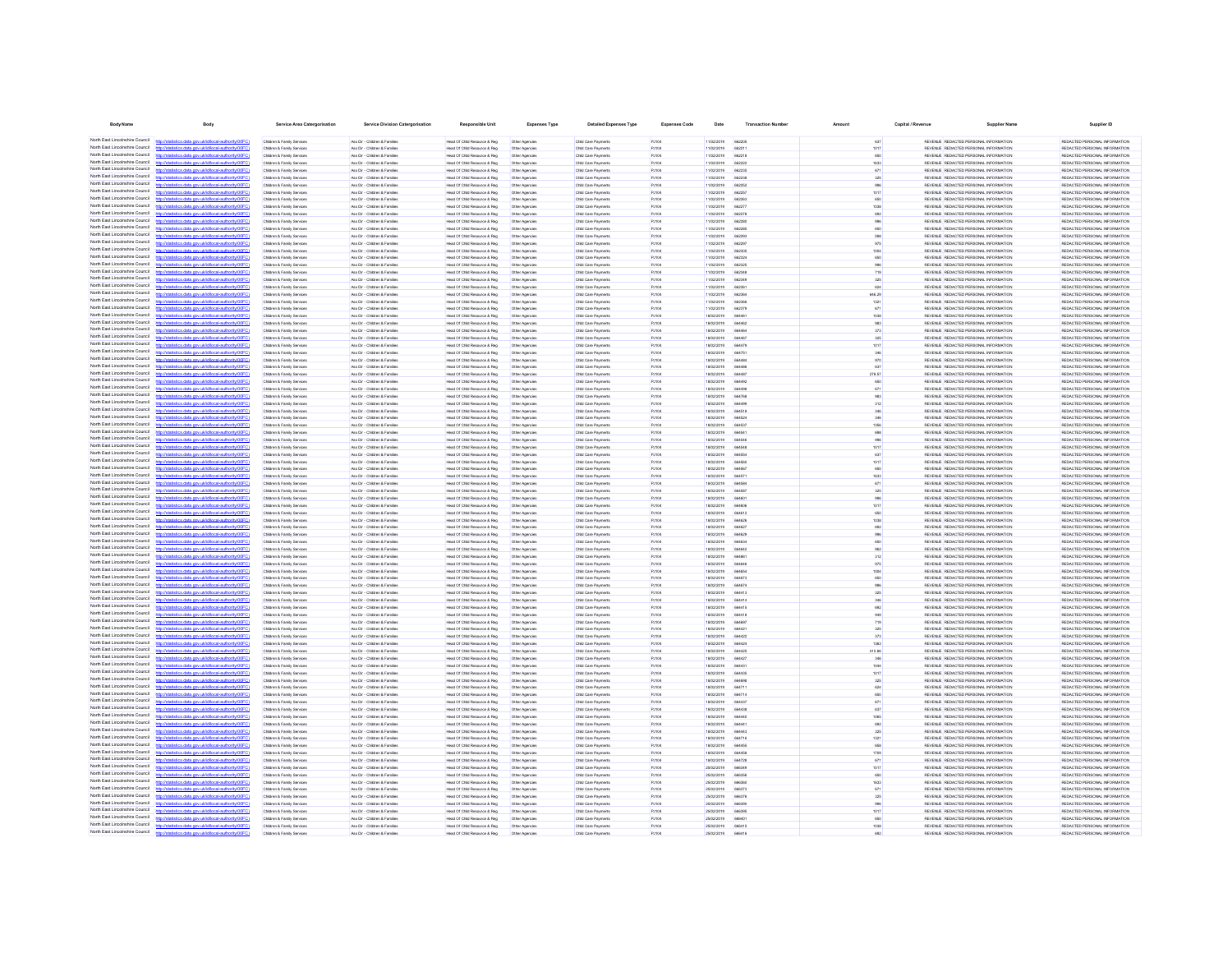| <b>Body Name</b>                                                   | Body                                                                                                               | Service Area Catergorisation                                       | Service Division Catergorisatio                                | <b>Responsible Unit</b>                                        | <b>Expenses Type</b>             | <b>Detailed Expenses Type</b>              | <b>Expenses Code</b> | Date                     | <b>Transaction Numbe</b> |               | Capital / Revenue | <b>Supplier Nam</b>                                                            | <b>Supplier ID</b>                                             |
|--------------------------------------------------------------------|--------------------------------------------------------------------------------------------------------------------|--------------------------------------------------------------------|----------------------------------------------------------------|----------------------------------------------------------------|----------------------------------|--------------------------------------------|----------------------|--------------------------|--------------------------|---------------|-------------------|--------------------------------------------------------------------------------|----------------------------------------------------------------|
| North Fast Lincolnshire Council                                    | distics.data.gov.uk/id/local-authority/00FC)                                                                       | Children & Family Services                                         | Ass Dir - Children & Familes                                   | Head Of Child Resource & Reg                                   | Other Agencies                   | Child Care Payments                        | PJ104                | 11/02/2019               | 662205                   | 637           |                   | REVENUE REDACTED PERSONAL INFORMATION                                          | REDACTED PERSONAL INFORMATION                                  |
| North East Lincolnshire Council                                    |                                                                                                                    | Children & Family Services                                         | Ass Dir - Children & Families                                  | Head Of Child Resource & Reg                                   | Other Agencies                   | Child Care Payments                        | <b>PJ104</b>         | 11/02/2019               | 662211                   | 1017          |                   | REVENUE REDACTED PERSONAL INFORMATION                                          | REDACTED PERSONAL INFORMATION                                  |
| North Fast Lincolnshire Council                                    | http://statistics.data.gov.uk/id/local-authority/00FC)                                                             | Children & Family Services                                         | Ass Dir - Children & Families                                  | Head Of Child Resource & Reg                                   | Other Agencies                   | Child Care Payments                        | PJ104                | 11/02/2019               | 662218                   | 650           |                   | REVENUE REDACTED PERSONAL INFORMATION                                          | REDACTED PERSONAL INFORMATION                                  |
| North Fast Lincolnshire Council                                    | stics data ony rikld/ocal.authority/00FC                                                                           | Children & Family Services                                         | Ass Dir - Children & Families                                  | Head Of Child Resource & Reg                                   | Other Agencies                   | Child Care Payments                        | PJ104                | 11/02/2019               | 660000                   | 1633          |                   | REVENUE REDACTED PERSONAL INFORMATION                                          | REDACTED PERSONAL INFORMATION                                  |
| North East Lincolnshire Council<br>North East Lincolnshire Council |                                                                                                                    | Children & Family Services                                         | Ass Dir - Children & Families                                  | Head Of Child Resource & Reg                                   | Other Agencies                   | Child Care Payments                        | PJ104                | 11/02/2019               | 662235                   | 671           |                   | REVENUE REDACTED PERSONAL INFORMATION                                          | REDACTED PERSONAL INFORMATION                                  |
| North East Lincolnshire Council                                    | listics data ony uklidiocal authority (OFC)<br>tics data ony uklidiocal authorit                                   | Children & Family Services<br>Children & Family Services           | Ass Dir - Children & Families<br>Ass Dir - Children & Families | Head Of Child Resource & Reg.<br>Head Of Child Resource & Reg. | Other Agencies<br>Other Agencies | Child Care Payments<br>Child Care Payments | PJ104<br>PJ104       | 11/02/2019<br>11/02/2019 | 662238<br>662252         | 325<br>996    |                   | REVENUE REDACTED PERSONAL INFORMATION<br>REVENUE REDACTED PERSONAL INFORMATION | REDACTED PERSONAL INFORMATION<br>REDACTED PERSONAL INFORMATION |
| North East Lincolnshire Council                                    | http://statistics.data.gov.uk/id/local-authority/00FC1                                                             | Children & Family Services                                         | Ass Dir - Children & Families                                  | Head Of Child Resource & Reg.                                  | Other Agencies                   | Child Care Payments                        | PJ104                | 11/02/2019               | 662257                   | 1017          |                   | REVENUE REDACTED PERSONAL INFORMATION                                          | REDACTED PERSONAL INFORMATION                                  |
| North East Lincolnshire Council                                    | stics.data.gov.uk/id/local-authority/00FC                                                                          | Children & Family Services                                         | Ass Dir - Children & Families                                  | Head Of Child Resource & Reg                                   | Other Agencies                   | Child Care Payments                        | PJ104                | 11/02/2019               | 662263                   | 650           |                   | REVENUE REDACTED PERSONAL INFORMATION                                          | REDACTED PERSONAL INFORMATION                                  |
| North East Lincolnshire Council<br>North East Lincolnshire Council | Vstatistics.data.gov.uk/id/local-authority/00FC1                                                                   | Children & Family Services                                         | Ass Dir - Children & Families                                  | Head Of Child Resource & Reg.                                  | Other Agencies                   | Child Care Payments                        | PJ104                | 11/02/2019               | 662277                   | 1038          |                   | REVENUE REDACTED PERSONAL INFORMATION                                          | REDACTED PERSONAL INFORMATION                                  |
| North East Lincolnshire Council                                    | ting state over skildforml.authority(00<br>http://statistics.data.oov.uk/d/ocal.authority/00FCI                    | Children & Family Service<br>Children & Family Service             | Ass Dir - Children & Families<br>Ass Dir - Children & Families | Head Of Child Resource & Reg<br>Head Of Child Resource & Reg   | Other Agencies<br>Other Agencies | Child Care Payments<br>Child Care Payments | PJ104<br>PJ104       | 11/02/2019<br>11/02/2019 | 662278<br><b>BROOM</b>   | 602<br>998    |                   | REVENUE REDACTED PERSONAL INFORMATION<br>REVENUE REDACTED PERSONAL INFORMATION | REDACTED PERSONAL INFORMATION<br>REDACTED PERSONAL INFORMATION |
| North East Lincolnshire Council                                    |                                                                                                                    | Children & Family Service                                          | Ass Dir - Children & Families                                  | Head Of Child Resource & Reg                                   | Other Agencie                    | Child Care Payment                         | PJ104                | 11/02/2019               | 66228                    | 650           |                   | REVENUE REDACTED PERSONAL INFORMATION                                          | REDACTED PERSONAL INFORMATION                                  |
| North East Lincolnshire Council                                    | http://statistics.data.gov.uk/id/local-authority/00FC                                                              | Children & Family Service                                          | Ass Dir - Children & Families                                  | Head Of Child Resource & Reg                                   | Other Agencie                    | Child Care Payment                         | PJ104                | 11/02/2019               | 662293                   |               |                   | REVENUE REDACTED PERSONAL INFORMATION                                          | REDACTED PERSONAL INFORMATION                                  |
| North East Lincolnshire Council                                    | distribution data con deletional autocologica?                                                                     | <b>Children &amp; Family Service</b>                               | Ass Dir - Children & Famile                                    | lead Of Child Resource & Reg                                   |                                  | Child Care Payment                         | PJ104                | 11/02/2019               | 66229                    |               |                   | REVENUE REDACTED PERSONAL INFORMATION                                          | REDACTED PERSONAL INFORMATION                                  |
| North East Lincolnshire Council                                    | //statistics.data.gov.uk/id/local-authority/00F                                                                    | <b>Children &amp; Family Service</b>                               | Ass Dir - Children & Families                                  | Head Of Child Resource & Reg                                   | Other Agencies                   | Child Care Payment                         | <b>PJ104</b>         | 11/02/2019               | 66230                    |               |                   | REVENUE REDACTED PERSONAL INFORMATION                                          | REDACTED PERSONAL INFORMATION                                  |
| North East Lincolnshire Council<br>North East Lincolnshire Council | //statistics.data.gov.uk/id/local-authority/00FC1                                                                  | Children & Family Services<br>Children & Family Services           | Ass Dir - Children & Famile<br>Ass Dir - Children & Families   | Head Of Child Resource & Reg<br>Head Of Child Resource & Reg   | Other Agencies<br>Other Agencies | Child Care Payments<br>Child Care Payments | PJ104<br>PJ104       | 11/02/2019<br>11/02/2019 | 662324<br>662325         |               |                   | REVENUE REDACTED PERSONAL INFORMATION<br>REVENUE REDACTED PERSONAL INFORMATION | REDACTED PERSONAL INFORMATION<br>REDACTED PERSONAL INFORMATION |
| North Fast Lincolnshire Council                                    |                                                                                                                    | Children & Family Services                                         | Ass Dir - Children & Families                                  | Head Of Child Resource & Reg.                                  | Other Agencies                   | Child Care Payments                        | PJ104                | 11/02/2019               | 662348                   | 719           |                   | REVENUE REDACTED PERSONAL INFORMATION                                          | REDACTED PERSONAL INFORMATION                                  |
| North East Lincolnshire Council                                    | stics.data.gov.uk/id/local-authority/00FC)                                                                         | Children & Family Services                                         | Ass Dir - Children & Families                                  | Head Of Child Resource & Reg                                   | Other Agencies                   | Child Care Payments                        | PJ104                | 11/02/2019               | 662349                   | 325           |                   | REVENUE REDACTED PERSONAL INFORMATION                                          | REDACTED PERSONAL INFORMATION                                  |
| North East Lincolnshire Council                                    |                                                                                                                    | Children & Family Services                                         | Ass Dir - Children & Families                                  | Head Of Child Resource & Reg                                   | Other Agencies                   | Child Care Payments                        | PJ104                | 11/02/2019               | 662361                   | 624           |                   | REVENUE REDACTED PERSONAL INFORMATION                                          | REDACTED PERSONAL INFORMATION                                  |
| North Fast Lincolnshire Council<br>North Fast Lincolnshire Council | stics.data.gov.uk/id/local-authority/00FC)                                                                         | Children & Family Services                                         | Ass Dir - Children & Families                                  | Head Of Child Resource & Reg                                   | Other Agencies                   | Child Care Payments                        | PJ104                | 11/02/2019               | 662364                   | 646.29        |                   | REVENUE REDACTED PERSONAL INFORMATION                                          | REDACTED PERSONAL INFORMATION                                  |
| North East Lincolnshire Council                                    | atistics.data.gov.uk/id/local-authority/00FC)<br>http://sta                                                        | Children & Family Services<br>Children & Family Services           | Ass Dir - Children & Families<br>Ass Dir - Children & Families | Head Of Child Resource & Reg<br>Head Of Child Resource & Reg   | Other Agencies<br>Other Agencies | Child Care Payments<br>Child Care Payments | PJ104<br>PJ104       | 11/02/2019<br>11/02/2019 | 662366<br>662379         | 1321<br>671   |                   | REVENUE REDACTED PERSONAL INFORMATION<br>REVENUE REDACTED PERSONAL INFORMATION | REDACTED PERSONAL INFORMATION<br>REDACTED PERSONAL INFORMATION |
| North Fast Lincolnshire Council                                    | Oftwing that include the stab acts                                                                                 | Children & Family Services                                         | Ass Dir - Children & Families                                  | Head Of Child Resource & Reg.                                  | Other Agencies                   | Child Care Payments                        | PJ104                | 18/02/2019               | <b>BRAAR1</b>            | 1038          |                   | REVENUE REDACTED PERSONAL INFORMATION                                          | REDACTED PERSONAL INFORMATION                                  |
| North East Lincolnshire Council                                    | tics data ony uklidiocal authority(00FC)                                                                           | Children & Family Services                                         | Ass Dir - Children & Families                                  | Head Of Child Resource & Reg.                                  | Other Agencies                   | Child Care Payments                        | PJ104                | 18/02/2019               | <b>RRAARD</b>            | 983           |                   | REVENUE REDACTED PERSONAL INFORMATION                                          | REDACTED PERSONAL INFORMATION                                  |
| North East Lincolnshire Counci                                     | ony ukłdłocal authority                                                                                            | Children & Family Services                                         | Ass Dir - Children & Families                                  | Head Of Child Resource & Reg                                   | Other Agencies                   | Child Care Payments                        | PJ104                | 18/02/2019               | <b>RALLAN</b>            | 373           |                   | REVENUE REDACTED PERSONAL INFORMATION                                          | REDACTED PERSONAL INFORMATION                                  |
| North East Lincolnshire Council<br>North East Lincolnshire Council | http://statistics.data.gov.uk/id/local-authority/00FC)                                                             | Children & Family Services                                         | Ass Dir - Children & Families                                  | Head Of Child Resource & Reg.                                  | Other Agencies                   | Child Care Payments                        | PJ104                | 18/02/2019               | 664467                   | 325           |                   | REVENUE REDACTED PERSONAL INFORMATION                                          | REDACTED PERSONAL INFORMATION                                  |
| North East Lincolnshire Council                                    | sticting state over definitional authority (OOCC)<br>ing data any skidingsi suthoris (DDCC)                        | Children & Family Service<br>Children & Family Senings             | Ass Dir - Children & Families<br>Ass Dir - Ohirkan & Familian  | Head Of Child Resource & Reg<br>Head Of Child Resource & Reg   | Other Agencies<br>Other Agencies | Child Care Payments<br>Child Care Payments | PJ104<br>PJ104       | 18/02/2019<br>18/02/2019 | 664470<br>664751         | 1017<br>348   |                   | REVENUE REDACTED PERSONAL INFORMATION<br>REVENUE REDACTED PERSONAL INFORMATION | REDACTED PERSONAL INFORMATION<br>REDACTED PERSONAL INFORMATION |
| North East Lincolnshire Council                                    |                                                                                                                    | Children & Family Service                                          | Ass Dir - Children & Families                                  | Head Of Child Resource & Reg                                   | Other Agencie                    | Child Care Payment                         | PJ104                | 18/02/2019               |                          | 970           |                   | REVENUE REDACTED PERSONAL INFORMATION                                          | REDACTED PERSONAL INFORMATION                                  |
| North East Lincolnshire Council                                    |                                                                                                                    | Children & Family Service                                          | Ass Dir - Children & Families                                  | Head Of Child Resource & Reg                                   | Other Agencies                   | Child Care Payments                        | PJ104                | 18/02/2019               | 664486                   | 637           |                   | REVENUE REDACTED PERSONAL INFORMATION                                          | REDACTED PERSONAL INFORMATION                                  |
| North East Lincolnshire Council                                    | http://statistics.data.oov.uk/d/ocal.authority/00FCI                                                               | Children & Family Service                                          | Ass Dir - Children & Families                                  | Head Of Child Resource & Reg                                   | Other Agencies                   | Child Care Payments                        | PJ104                | 18/02/2019               | <b>GRAART</b>            | 278.57        |                   | REVENUE REDACTED PERSONAL INFORMATION                                          | REDACTED PERSONAL INFORMATION                                  |
| North East Lincolnshire Council                                    |                                                                                                                    | <b>Children &amp; Family Service</b>                               | Ass Dir - Children & Famile                                    | lead Of Child Resource & Reg                                   |                                  | Child Care Payment                         | PJ104                | 18/02/2019               | 66449                    | 650           |                   | REVENUE REDACTED PERSONAL INFORMATION                                          | REDACTED PERSONAL INFORMATION                                  |
| North East Lincolnshire Council<br>North East Lincolnshire Council | //statistics.data.gov.uk/id/local-authority/00F<br>distics.data.gov.uk/id/local-authority/00F0                     | Children & Family Service                                          | Ass Dir - Children & Familie                                   | Head Of Child Resource & Reg                                   | Other Agencie                    | Child Care Payment                         | PJ104                | 18/02/2019               | 66449                    | 671           |                   | REVENUE REDACTED PERSONAL INFORMATION                                          | REDACTED PERSONAL INFORMATION                                  |
| North East Lincolnshire Council                                    | distics.data.gov.uk/id/local-authority/00F                                                                         | Children & Family Service<br>Children & Family Services            | Ass Dir - Children & Famile<br>Ass Dir - Children & Families   | Head Of Child Resource & Reg<br>Head Of Child Resource & Reg   | Other Agencies<br>Other Agencies | Child Care Payment<br>Child Care Payment   | PJ104<br>PJ104       | 18/02/2019<br>18/02/2019 | 66476                    | 312           |                   | REVENUE REDACTED PERSONAL INFORMATION<br>REVENUE REDACTED PERSONAL INFORMATION | REDACTED PERSONAL INFORMATION<br>REDACTED PERSONAL INFORMATION |
| North East Lincolnshire Council                                    |                                                                                                                    | Children & Family Services                                         | Ass Dir - Children & Families                                  | Head Of Child Resource & Reg                                   | Other Agencies                   | Child Care Payments                        | PJ104                | 18/02/2019               | 664518                   |               |                   | REVENUE REDACTED PERSONAL INFORMATION                                          | REDACTED PERSONAL INFORMATION                                  |
| North East Lincolnshire Council                                    | statistics.data.gov.uk/id/local-authority/00FC1                                                                    | Children & Family Services                                         | Ass Dir - Children & Families                                  | Head Of Child Resource & Reg                                   | Other Agencies                   | Child Care Payments                        | PJ104                | 18/02/2019               | 66452                    |               |                   | REVENUE REDACTED PERSONAL INFORMATION                                          | REDACTED PERSONAL INFORMATION                                  |
| North Fast Lincolnshire Council<br>North Fast Lincolnshire Council |                                                                                                                    | Children & Family Services                                         | Ass Dir - Children & Families                                  | Head Of Child Resource & Reg                                   | Other Agencies                   | Child Care Payments                        | PJ104                | 18/02/2019               | 664537                   | 1356          |                   | REVENUE REDACTED PERSONAL INFORMATION                                          | REDACTED PERSONAL INFORMATION                                  |
| North East Lincolnshire Council                                    | stics.data.gov.uk/id/local-authority/00FC1                                                                         | Children & Family Services                                         | Ass Dir - Children & Families                                  | Head Of Child Resource & Reg                                   | Other Agencies                   | Child Care Payments                        | PJ104                | 18/02/2019               | 66454                    |               |                   | REVENUE REDACTED PERSONAL INFORMATION                                          | REDACTED PERSONAL INFORMATION                                  |
| North East Lincolnshire Council                                    | stics.data.gov.uk/id/local-authority/00FC)                                                                         | Children & Family Services<br>Children & Family Services           | Ass Dir - Children & Families<br>Ass Dir - Children & Families | Head Of Child Resource & Reg<br>Head Of Child Resource & Reg   | Other Agencies<br>Other Agencies | Child Care Payments<br>Child Care Payments | PJ104<br>PJ104       | 18/02/2019<br>18/02/2019 | 664546<br>664548         | 996<br>1017   |                   | REVENUE REDACTED PERSONAL INFORMATION<br>REVENUE REDACTED PERSONAL INFORMATION | REDACTED PERSONAL INFORMATION<br>REDACTED PERSONAL INFORMATION |
| North East Lincolnshire Council                                    |                                                                                                                    | Children & Family Services                                         | Ass Dir - Children & Families                                  | Head Of Child Resource & Reg                                   | Other Agencies                   | Child Care Payments                        | PJ104                | 18/02/2019               | <b>BRASSA</b>            | 637           |                   | REVENUE REDACTED PERSONAL INFORMATION                                          | REDACTED PERSONAL INFORMATION                                  |
| North East Lincolnshire Council                                    | distics.data.gov.uk/id/local-authority/00FC1<br><b>http://etg</b>                                                  | Children & Family Services                                         | Ass Dir - Children & Families                                  | Head Of Child Resource & Reg.                                  | Other Agencies                   | Child Care Payments                        | PJ104                | 18/02/2019               | <b>BRASSO</b>            | 1017          |                   | REVENUE REDACTED PERSONAL INFORMATION                                          | REDACTED PERSONAL INFORMATION                                  |
| North East Lincolnshire Council                                    | istics data ony uklidiocal authority DOF                                                                           | Children & Family Services                                         | Ass Dir - Children & Families                                  | Head Of Child Resource & Reg.                                  | Other Agencies                   | Child Care Payments                        | PJ104                | 18/02/2019               | 664567                   | 650           |                   | REVENUE REDACTED PERSONAL INFORMATION                                          | REDACTED PERSONAL INFORMATION                                  |
| North East Lincolnshire Council<br>North East Lincolnshire Council | stics.data.gov.uk/id/local-authority/00FC1                                                                         | Children & Family Services                                         | Ass Dir - Children & Families                                  | Head Of Child Resource & Reg.                                  | Other Agencies                   | Child Care Payments                        | PJ104                | 18/02/2019<br>18/02/2019 | 664571                   | 1633          |                   | REVENUE REDACTED PERSONAL INFORMATION                                          | REDACTED PERSONAL INFORMATION<br>REDACTED PERSONAL INFORMATION |
| North East Lincolnshire Council                                    | http://statistics.data.gov.uk/id/local-authority/00FC)                                                             | Children & Family Service<br>Children & Family Services            | Ass Dir - Children & Families<br>Ass Dir - Children & Families | Head Of Child Resource & Reg<br>Head Of Child Resource & Reg   | Other Agencies<br>Other Agencies | Child Care Payments<br>Child Care Payments | PJ104<br>PJ104       | 18/02/2019               | <b>ARASS</b><br>664587   | 671<br>325    |                   | REVENUE REDACTED PERSONAL INFORMATION<br>REVENUE REDACTED PERSONAL INFORMATION | REDACTED PERSONAL INFORMATION                                  |
| North East Lincolnshire Council                                    | ation state and definitional authoritation                                                                         | Children & Family Service                                          | Ass Dir - Children & Families                                  | Head Of Child Resource & Reg                                   | Other Agencie                    | Child Care Payments                        | PJ104                | 18/02/2019               | RAIRD                    | 998           |                   | REVENUE REDACTED PERSONAL INFORMATION                                          | REDACTED PERSONAL INFORMATION                                  |
| North East Lincolnshire Council                                    | tistics.data.gov.uk/id/local-authority/00FC1                                                                       | Children & Family Service                                          | Ass Dir - Children & Families                                  | Head Of Child Resource & Reg                                   | Other Agencies                   | Child Care Payments                        | PJ104                | 18/02/2019               | RAIRDE                   | 1017          |                   | REVENUE REDACTED PERSONAL INFORMATION                                          | REDACTED PERSONAL INFORMATION                                  |
| North East Lincolnshire Council                                    |                                                                                                                    | <b>Children &amp; Family Service</b>                               | Ass Dir - Children & Familie                                   | Head Of Child Resource & Reg                                   | Other Agencies                   | Child Care Payment                         | PJ104                | 18/02/2019               |                          |               |                   | REVENUE REDACTED PERSONAL INFORMATION                                          | REDACTED PERSONAL INFORMATION                                  |
| North East Lincolnshire Council<br>North East Lincolnshire Council | http://statistics.data.gov.uk/id/local-authority/00FC<br>distribution state concretible coloration the infinite CO | Children & Family Service                                          | Ass Dir - Children & Families                                  | lead Of Child Resource & Rep                                   | Other Agencie                    | Child Care Payment                         | PJ104                | 18/02/2019               | 66462                    | 1038          |                   | REVENUE REDACTED PERSONAL INFORMATION                                          | REDACTED PERSONAL INFORMATION                                  |
| North East Lincolnshire Council                                    | <b>CONTRACTOR</b> COMPANY AND INCOME.                                                                              | Children & Family Services<br><b>Children &amp; Family Service</b> | Ass Dir - Children & Families<br>Ass Dir - Children & Famile   | Head Of Child Resource & Reg<br>Head Of Child Resource & Reg   | Other Agencies<br>Other Agencies | Child Care Payments<br>Child Care Payment  | PJ104<br>PJ104       | 18/02/2019<br>18/02/2019 |                          |               |                   | REVENUE REDACTED PERSONAL INFORMATION<br>REVENUE REDACTED PERSONAL INFORMATION | REDACTED PERSONAL INFORMATION<br>REDACTED PERSONAL INFORMATION |
| North East Lincolnshire Council                                    |                                                                                                                    | Children & Family Services                                         | Ass Dir - Children & Families                                  | Head Of Child Resource & Reg                                   | Other Agencies                   | Child Care Payments                        | PJ104                | 18/02/2019               | 664634                   |               |                   | REVENUE REDACTED PERSONAL INFORMATION                                          | REDACTED PERSONAL INFORMATION                                  |
| North East Lincolnshire Council                                    |                                                                                                                    | Children & Family Services                                         | Ass Dir - Children & Families                                  | Head Of Child Resource & Reg                                   | Other Agencies                   | Child Care Payments                        | PJ104                | 18/02/2019               | 664642                   |               |                   | REVENUE REDACTED PERSONAL INFORMATION                                          | REDACTED PERSONAL INFORMATION                                  |
| North East Lincolnshire Council<br>North Fast Lincolnshire Council |                                                                                                                    | Children & Family Service                                          | Ass Dir - Children & Families                                  | Head Of Child Resource & Reg                                   | Other Agencies                   | Child Care Payments                        | PJ104                | 18/02/2019               |                          |               |                   | REVENUE REDACTED PERSONAL INFORMATION                                          | REDACTED PERSONAL INFORMATION                                  |
| North East Lincolnshire Council                                    | atistics.data.gov.uk/id/local-authority/00FC                                                                       | Children & Family Services<br>Children & Family Services           | Ass Dir - Children & Families<br>Ass Dir - Children & Families | Head Of Child Resource & Reg<br>Head Of Child Resource & Reg   | Other Agencies<br>Other Agencies | Child Care Payments<br>Child Care Payments | PJ104<br>PJ104       | 18/02/2019<br>18/02/2019 | 66464<br>66465           | 975           |                   | REVENUE REDACTED PERSONAL INFORMATION<br>REVENUE REDACTED PERSONAL INFORMATION | REDACTED PERSONAL INFORMATION<br>REDACTED PERSONAL INFORMATION |
| North East Lincolnshire Council                                    |                                                                                                                    | Children & Family Services                                         | Ass Dir - Children & Families                                  | Head Of Child Resource & Reg                                   | Other Agencies                   | Child Care Payments                        | PJ104                | 18/02/2019               | 664673                   | 650           |                   | REVENUE REDACTED PERSONAL INFORMATION                                          | REDACTED PERSONAL INFORMATION                                  |
| North East Lincolnshire Council                                    | istics.data.gov.uk/id/local-authority/00FC1                                                                        | Children & Family Services                                         | Ass Dir - Children & Families                                  | Head Of Child Resource & Reg                                   | Other Agencies                   | Child Care Payments                        | PJ104                | 18/02/2019               | 664674                   |               |                   | REVENUE REDACTED PERSONAL INFORMATION                                          | REDACTED PERSONAL INFORMATION                                  |
| North East Lincolnshire Council                                    |                                                                                                                    | Children & Family Services                                         | Ass Dir - Children & Families                                  | Head Of Child Resource & Reg.                                  | Other Agencies                   | Child Care Payments                        | PJ104                | 18/02/2019               | 664413                   | 325           |                   | REVENUE REDACTED PERSONAL INFORMATION                                          | REDACTED PERSONAL INFORMATION                                  |
| North East Lincolnshire Council<br>North East Lincolnshire Council | stics.data.gov.uk/id/local-authority/00FC)                                                                         | Children & Family Services                                         | Ass Dir - Children & Families                                  | Head Of Child Resource & Reg                                   | Other Agencies                   | Child Care Payments                        | PJ104                | 18/02/2019               | 664414                   |               |                   | REVENUE REDACTED PERSONAL INFORMATION                                          | REDACTED PERSONAL INFORMATION                                  |
| North East Lincolnshire Council                                    | stics data ony ukldiocal authority(1)<br>distics.data.gov.uk/id/local-authority/00FC1<br><b>http://etg</b>         | Children & Family Services<br>Children & Family Services           | Ass Dir - Children & Families<br>Ass Dir - Children & Families | Head Of Child Resource & Reg.<br>Head Of Child Resource & Reg. | Other Agencies<br>Other Agencies | Child Care Payments<br>Child Care Payments | PJ104<br>PJ104       | 18/02/2019<br>18/02/2019 | 664415<br>664418         | 692<br>0.49   |                   | REVENUE REDACTED PERSONAL INFORMATION<br>REVENUE REDACTED PERSONAL INFORMATION | REDACTED PERSONAL INFORMATION<br>REDACTED PERSONAL INFORMATION |
| North East Lincolnshire Council                                    | Seting state and skillshood authority (IOC)                                                                        | Children & Family Services                                         | Ass Dir - Children & Families                                  | Head Of Child Resource & Reg                                   | Other Agencies                   | Child Care Payments                        | PJ104                | 18/02/2019               | 664697                   | 719           |                   | REVENUE REDACTED PERSONAL INFORMATION                                          | REDACTED PERSONAL INFORMATION                                  |
| North East Lincolnshire Council                                    | stics.data.gov.uk/id/local-authority/00FC1                                                                         | Children & Family Services                                         | Ass Dir - Children & Families                                  | Head Of Child Resource & Reg.                                  | Other Agencies                   | Child Care Payments                        | PJ104                | 18/02/2019               | 664421                   | 325           |                   | REVENUE REDACTED PERSONAL INFORMATION                                          | REDACTED PERSONAL INFORMATION                                  |
| North East Lincolnshire Council                                    |                                                                                                                    | Children & Family Service                                          | Ass Dir - Children & Families                                  | Head Of Child Resource & Reg                                   | Other Agencie                    | Child Care Payments                        | PJ104                | 18/02/2019               | 664420                   | 373           |                   | REVENUE REDACTED PERSONAL INFORMATION                                          | REDACTED PERSONAL INFORMATION                                  |
| North East Lincolnshire Council<br>North East Lincolnshire Council | http://statistics.data.oov.uk/d/ocal.authority/00EC)<br>datinting state one skildhood authority/0000               | Children & Family Service                                          | Ass Dir - Children & Families                                  | Head Of Child Resource & Reg                                   | Other Agencies                   | Child Care Payments                        | PJ104                | ernsysner                | <b>AR4424</b>            | 1363          |                   | REVENUE REDACTED PERSONAL INFORMATION                                          | REDACTED PERSONAL INFORMATION                                  |
| North East Lincolnshire Council                                    | tistics.data.gov.uk/id/local-authority/00FC                                                                        | Children & Family Service<br>Children & Family Service             | Ass Dir - Children & Families<br>Ass Dir - Children & Families | Head Of Child Resource & Reg<br>Head Of Child Resource & Reg   | Other Agencie<br>Other Agencies  | Child Care Payment<br>Child Care Payment   | PJ104<br>PJ104       | 18/02/2019<br>18/02/2019 | 66442<br>664427          | 410.86<br>346 |                   | REVENUE REDACTED PERSONAL INFORMATION<br>REVENUE REDACTED PERSONAL INFORMATION | REDACTED PERSONAL INFORMATION<br>REDACTED PERSONAL INFORMATION |
| North East Lincolnshire Council                                    |                                                                                                                    | Children & Family Service                                          | Ass Dir - Children & Families                                  | Head Of Child Resource & Reg                                   | Other Agencies                   | Child Care Payment                         | PJ104                | 18/02/2019               |                          |               |                   | REVENUE REDACTED PERSONAL INFORMATION                                          | REDACTED PERSONAL INFORMATION                                  |
| North East Lincolnshire Council                                    | stics.data.gov.uk/id/local-authority/00F                                                                           | <b>Children &amp; Family Service</b>                               | Ass Dir - Children & Famile                                    | lead Of Child Resource & Reg                                   |                                  | Child Care Payment                         | PJ104                | 18/02/2019               | 66443                    | 1017          |                   | REVENUE REDACTED PERSONAL INFORMATION                                          | REDACTED PERSONAL INFORMATION                                  |
| North East Lincolnshire Council                                    |                                                                                                                    | Children & Family Services                                         | Ass Dir - Children & Families                                  | Head Of Child Resource & Reg                                   | Other Agencies                   | Child Care Payments                        | PJ104                | 18/02/2019               | 66469                    | 325           |                   | REVENUE REDACTED PERSONAL INFORMATION                                          | REDACTED PERSONAL INFORMATION                                  |
| North East Lincolnshire Council<br>North East Lincolnshire Council | stics.data.gov.uk/id/local-authority/00FC                                                                          | Children & Family Service                                          | Ass Dir - Children & Famile                                    | Head Of Child Resource & Reg                                   | Other Agencies                   | Child Care Payment                         | PJ104                | 18/02/2019               |                          | 624           |                   | REVENUE REDACTED PERSONAL INFORMATION                                          | REDACTED PERSONAL INFORMATION                                  |
| North Fast Lincolnshire Council                                    | tics.data.gov.uk/id/local-authority/00FC)                                                                          | Children & Family Services                                         | Ass Dir - Children & Families                                  | Head Of Child Resource & Reg                                   | Other Agencies                   | Child Care Payments                        | PJ104                | 18/02/2019               | 664714                   | 650           |                   | REVENUE REDACTED PERSONAL INFORMATION                                          | REDACTED PERSONAL INFORMATION                                  |
| North East Lincolnshire Council                                    |                                                                                                                    | Children & Family Services<br>Children & Family Services           | Ass Dir - Children & Families<br>Ass Dir - Children & Families | Head Of Child Resource & Reg<br>Head Of Child Resource & Reg   | Other Agencies<br>Other Agencies | Child Care Payments<br>Child Care Payments | PJ104<br>PJ104       | 18/02/2019<br>18/02/2019 | 664437<br>664438         | 671<br>637    |                   | REVENUE REDACTED PERSONAL INFORMATION<br>REVENUE REDACTED PERSONAL INFORMATION | REDACTED PERSONAL INFORMATION<br>REDACTED PERSONAL INFORMATION |
| North Fast Lincolnshire Council                                    |                                                                                                                    | Children & Family Services                                         | Ass Dir - Children & Families                                  | Head Of Child Resource & Reg                                   | Other Agencies                   | Child Care Payments                        | PJ104                | 18/02/2019               | 664440                   | 1065          |                   | REVENUE REDACTED PERSONAL INFORMATION                                          | REDACTED PERSONAL INFORMATION                                  |
| North Fast Lincolnshire Council                                    | ics data ony ukidiocal authority                                                                                   | Children & Family Services                                         | Ass Dir - Children & Families                                  | Head Of Child Resource & Reg                                   | Other Agencies                   | Child Care Payments                        | PJ104                | 18/02/2019               | <b>GRAAA1</b>            | 602           |                   | REVENUE REDACTED PERSONAL INFORMATION                                          | REDACTED PERSONAL INFORMATION                                  |
| North East Lincolnshire Council                                    |                                                                                                                    | Children & Family Services                                         | Ass Dir - Children & Families                                  | Head Of Child Resource & Reg                                   | Other Agencies                   | Child Care Payments                        | PJ104                | 18/02/2019               | 664443                   | 325           |                   | REVENUE REDACTED PERSONAL INFORMATION                                          | REDACTED PERSONAL INFORMATION                                  |
| North East Lincolnshire Council<br>North East Lincolnshire Council | istics.data.gov.uk/id/local-authority/00FC)                                                                        | Children & Family Services<br>Children & Family Services           | Ass Dir - Children & Families<br>Ass Dir - Children & Families | Head Of Child Resource & Reg<br>Head Of Child Resource & Reg.  | Other Agencies<br>Other Agencies | Child Care Payments<br>Child Care Payments | PJ104<br>PJ104       | 18/02/2019<br>18/02/2019 | 664716<br><b>ARAASS</b>  | 1321<br>658   |                   | REVENUE REDACTED PERSONAL INFORMATION<br>REVENUE REDACTED PERSONAL INFORMATION | REDACTED PERSONAL INFORMATION<br>REDACTED PERSONAL INFORMATION |
| North East Lincolnshire Council                                    | tics data ony uklidiocal authority(00FC)                                                                           | Children & Family Services                                         | Ass Dir - Children & Families                                  | Head Of Child Resource & Reg.                                  | Other Agencies                   | Child Care Payments                        | PJ104                | 18/02/2019               | <b>ARAAS</b>             | 1709          |                   | REVENUE REDACTED PERSONAL INFORMATION                                          | REDACTED PERSONAL INFORMATION                                  |
| North East Lincolnshire Council                                    | istics data ony uklidiocal authority                                                                               | Children & Family Services                                         | Ass Dir - Children & Families                                  | Head Of Child Resource & Reg.                                  | Other Agencies                   | Child Care Payments                        | PJ104                | 18/02/2019               | 664728                   | 671           |                   | REVENUE REDACTED PERSONAL INFORMATION                                          | REDACTED PERSONAL INFORMATION                                  |
| North East Lincolnshire Council                                    | http://statistics.data.gov.uk/id/local-authority/00FC1                                                             | Children & Family Services                                         | Ass Dir - Children & Families                                  | Head Of Child Resource & Reg.                                  | Other Agencies                   | Child Care Payments                        | PJ104                | 25/02/2019               | 666349                   | 1017          |                   | REVENUE REDACTED PERSONAL INFORMATION                                          | REDACTED PERSONAL INFORMATION                                  |
| North East Lincolnshire Council<br>North East Lincolnshire Council | statistics state one skildhood active/Artist                                                                       | Children & Family Service                                          | Ass Dir - Children & Families                                  | Head Of Child Resource & Reg                                   | Other Agencies                   | Child Care Payments                        | P-HO4                | 25/02/2019               | 666356                   | 650           |                   | REVEN E REDACTED PERSONAL INFORMATION                                          | REDACTED PERSONAL INFORMATION                                  |
| North East Lincolnshire Council                                    | http://<br>istics.data.gov.uk/id/local-authority/00FC1                                                             | Children & Family Services<br>Children & Family Service            | Ass Dir - Children & Families<br>Ass Dir - Children & Families | Head Of Child Resource & Reg                                   | Other Agencies                   | Child Care Payments                        | PJ104<br>PJ104       | 25/02/2019<br>25/02/2019 | 666360<br>666375         | 1633<br>671   |                   | REVENUE REDACTED PERSONAL INFORMATION<br>REVENUE REDACTED PERSONAL INFORMATION | REDACTED PERSONAL INFORMATION<br>REDACTED PERSONAL INFORMATION |
| North East Lincolnshire Council                                    | http://statistics.data.gov.uk/id/local-authority/00FC1                                                             | Children & Family Service                                          | Ass Dir - Children & Families                                  | Head Of Child Resource & Reg<br>Head Of Child Resource & Reg   | Other Agencie<br>Other Agencies  | Child Care Payment<br>Child Care Payments  | PJ104                | 25/02/2019               | 666376                   |               |                   | REVENUE REDACTED PERSONAL INFORMATION                                          | REDACTED PERSONAL INFORMATION                                  |
|                                                                    | North East Lincolnshire Council   New Versieting data and details at the Burneting                                 | <b>Children &amp; Family Service</b>                               | Ass Dir - Children & Families                                  | Head Of Child Resource & Reg                                   | Other Agencie                    | Child Care Payment                         | PJ104                | 25/02/2019               | 66839                    |               |                   | REVENUE REDACTED PERSONAL INFORMATION                                          | REDACTED PERSONAL INFORMATION                                  |
| North East Lincolnshire Council                                    | http://statistics.data.gov.uk/id/local-authority/00FC                                                              | <b>Children &amp; Family Service</b>                               | Ass Dir - Children & Families                                  | Head Of Child Resource & Reg                                   | Other Agencie                    | Child Care Payment                         | PJ104                | 25/02/2019               | 666395                   |               |                   | REVENUE REDACTED PERSONAL INFORMATION                                          | REDACTED PERSONAL INFORMATION                                  |
| North East Lincolnshire Council<br>North East Lincolnshire Council |                                                                                                                    | Children & Family Services                                         | Ass Dir - Children & Families                                  | Head Of Child Resource & Reg                                   | Other Agencies                   | Child Care Payments                        | PJ104                | 25/02/2019               |                          |               |                   | REVENUE REDACTED PERSONAL INFORMATION                                          | REDACTED PERSONAL INFORMATION                                  |
| North East Lincolnshire Council                                    | stics.data.gov.uk/id/local-authority/00FC1                                                                         | Children & Family Service<br>hikhan & Family Sand                  | Ass Dir - Children & Famile<br>Ass Dir - Children & Family     | Head Of Child Resource & Reg<br>lead Of Child Resource & Ren   |                                  | Child Care Payment<br>Child Care Paym      | P.I104               | 25/02/2019<br>25/02/2019 |                          |               |                   | REVENUE REDACTED PERSONAL INFORMATION<br>REVENUE, REDACTED PERSONAL INFORM     | REDACTED PERSONAL INFORMATION<br>REDACTED PERSONAL INFORMATION |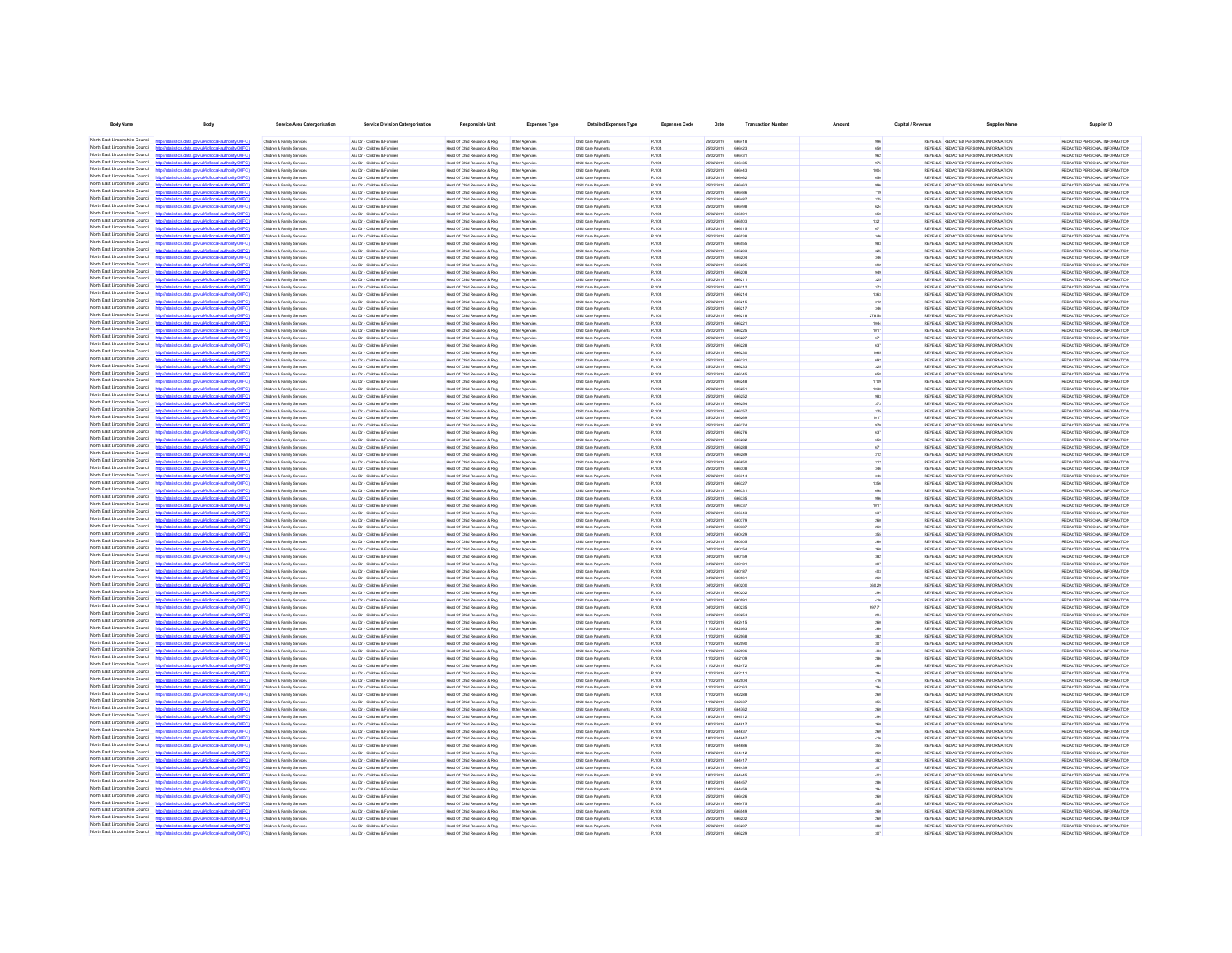| <b>Body Name</b>                                                   | <b>Body</b>                                                                                                    | Service Area Catergorisation                                                 | <b>Service Division Catergorisation</b>                        | <b>Responsible Unit</b>                                        | Expenses Type                    | <b>Detailed Expenses Type</b>              | <b>Expenses Code</b>         | Date                     | <b>Transaction Number</b>      |                | Capital / Revenue | <b>Supplier Nam</b>                                                            | Supplier ID                                                    |
|--------------------------------------------------------------------|----------------------------------------------------------------------------------------------------------------|------------------------------------------------------------------------------|----------------------------------------------------------------|----------------------------------------------------------------|----------------------------------|--------------------------------------------|------------------------------|--------------------------|--------------------------------|----------------|-------------------|--------------------------------------------------------------------------------|----------------------------------------------------------------|
| North Fast Lincolnshire Council                                    | istics.data.gov.uk/id/local-authority/00FC)                                                                    | Children & Family Services                                                   | Ass Dir - Children & Families                                  | Head Of Child Resource & Reg                                   | Other Agencies                   | Child Care Payments                        | PJ104                        | 25/02/2019               | 666418                         |                |                   | REVENUE REDACTED PERSONAL INFORMATION                                          | REDACTED PERSONAL INFORMATION                                  |
| North East Lincolnshire Council                                    |                                                                                                                | Children & Family Services                                                   | Ass Dir - Children & Families                                  | Head Of Child Resource & Reg                                   | Other Agencies                   | Child Care Payments                        | PJ104                        | 25/02/2019               | 666423                         | 650            |                   | REVENUE REDACTED PERSONAL INFORMATION                                          | REDACTED PERSONAL INFORMATION                                  |
| North Fast Lincolnshire Council                                    | http://statistics.data.gov.uk/id/local-authority/00FC)                                                         | Children & Family Services                                                   | Ass Dir - Children & Families                                  | Head Of Child Resource & Reg                                   | Other Agencies                   | Child Care Payments                        | PJ104                        | 25/02/2019               | 666431                         |                |                   | REVENUE REDACTED PERSONAL INFORMATION                                          | REDACTED PERSONAL INFORMATION                                  |
| North Fast Lincolnshire Council                                    | stics data ony rickfdocal authority/00FC                                                                       | Children & Family Services                                                   | Ass Dir - Children & Families                                  | Head Of Child Resource & Reg                                   | Other Agencies                   | Child Care Payments                        | PJ104                        | 25/02/2019               | 666435                         | 975            |                   | REVENUE REDACTED PERSONAL INFORMATION                                          | REDACTED PERSONAL INFORMATION                                  |
| North East Lincolnshire Council<br>North East Lincolnshire Council | istics data nov uklid/ocal.authority/00FC                                                                      | Children & Family Services<br>Children & Family Services                     | Ass Dir - Children & Families<br>Ass Dir - Children & Families | Head Of Child Resource & Reg<br>Head Of Child Resource & Reg   | Other Agencies<br>Other Agencies | Child Care Payments<br>Child Care Payments | PJ104<br>PJ104               | 25/02/2019<br>25/02/2019 | <b>REBAAS</b><br><b>REPARD</b> | 1004<br>650    |                   | REVENUE REDACTED PERSONAL INFORMATION<br>REVENUE REDACTED PERSONAL INFORMATION | REDACTED PERSONAL INFORMATION<br>REDACTED PERSONAL INFORMATION |
| North East Lincolnshire Council                                    | ios data ony uklidiocal authorit                                                                               | Children & Family Services                                                   | Ass Dir - Children & Families                                  | Head Of Child Resource & Reg                                   | Other Agencies                   | Child Care Payments                        | PJ104                        | 25/02/2019               | 666463                         |                |                   | REVENUE REDACTED PERSONAL INFORMATION                                          | REDACTED PERSONAL INFORMATION                                  |
| North East Lincolnshire Council                                    | http://statistics.data.gov.uk/id/local-authority/00FC1                                                         | Children & Family Services                                                   | Ass Dir - Children & Families                                  | Head Of Child Resource & Reg                                   | Other Agencies                   | Child Care Payments                        | PJ104                        | 25/02/2019               | <b>ARRAN</b>                   | 719            |                   | REVENUE REDACTED PERSONAL INFORMATION                                          | REDACTED PERSONAL INFORMATION                                  |
| North East Lincolnshire Council<br>North East Lincolnshire Council | tics data one uklidiocal authority/00FC                                                                        | Children & Family Service                                                    | Ass Dir - Children & Families                                  | Head Of Child Resource & Reg.                                  | Other Agencies                   | Child Care Payments                        | PJ104                        | 25/02/2019               | 66648                          | 325            |                   | REVENUE REDACTED PERSONAL INFORMATION                                          | REDACTED PERSONAL INFORMATION                                  |
| North East Lincolnshire Council                                    | Vstatistics.data.gov.uk/id/local-authority/00FC1<br>ting state over skildforml.authority(00                    | Children & Family Services<br>Children & Family Service                      | Ass Dir - Children & Families<br>Ass Dir - Children & Families | Head Of Child Resource & Reg<br>Head Of Child Resource & Reg   | Other Agencies<br>Other Agencie  | Child Care Payments<br>Child Care Payments | PJ104<br>PJ104               | 25/02/2019<br>25/02/2019 | 666498<br><b>ARRSO</b>         | 624<br>650     |                   | REVENUE REDACTED PERSONAL INFORMATION<br>REVENUE REDACTED PERSONAL INFORMATION | REDACTED PERSONAL INFORMATION<br>REDACTED PERSONAL INFORMATION |
| North East Lincolnshire Council                                    | http://statistics.data.oov.uk/d/ocal.authority/00FCI                                                           | Children & Family Service                                                    | Ass Dir - Children & Families                                  | Head Of Child Resource & Reg.                                  | Other Agencie                    | Child Care Payments                        | P.ItOA                       | 25/02/2019               | ARASO                          | 132            |                   | REVENUE REDACTED PERSONAL INFORMATION                                          | REDACTED PERSONAL INFORMATION                                  |
| North East Lincolnshire Council                                    |                                                                                                                | Children & Family Service                                                    | Ass Dir - Children & Familie                                   | Head Of Child Resource & Reg                                   | Other Agencie                    | Child Care Payment                         | PJ104                        | 25/02/2019               | 666519                         | 671            |                   | REVENUE REDACTED PERSONAL INFORMATION                                          | REDACTED PERSONAL INFORMATION                                  |
| North East Lincolnshire Council<br>North East Lincolnshire Council | http://statistics.data.gov.uk/id/local-authority/00FC<br>distribution data and debthood activities (DDC)       | Children & Family Service                                                    | Ass Dir - Children & Familie                                   | Head Of Child Resource & Reg                                   | Other Agencie                    | Child Care Payment                         | PJ104                        | 25/02/2019               | <b>ARRA'S</b>                  |                |                   | REVENUE REDACTED PERSONAL INFORMATION                                          | REDACTED PERSONAL INFORMATION                                  |
| North East Lincolnshire Council                                    | //statistics.data.gov.uk/id/local-authority/00F                                                                | <b>Children &amp; Family Service</b><br><b>Children &amp; Family Service</b> | Ass Dir - Children & Famile<br>Ass Dir - Children & Famile     | Head Of Child Resource & Reg<br>Head Of Child Resource & Reg   | Other Agencie                    | Child Care Payment<br>Child Care Payment   | <b>PJ104</b><br><b>PJ104</b> | 25/02/2019<br>25/02/2019 | 66655<br>66620                 |                |                   | REVENUE REDACTED PERSONAL INFORMATION<br>REVENUE REDACTED PERSONAL INFORMATION | REDACTED PERSONAL INFORMATION<br>REDACTED PERSONAL INFORMATION |
| North East Lincolnshire Council                                    |                                                                                                                | Children & Family Services                                                   | Ass Dir - Children & Familie                                   | Head Of Child Resource & Reg                                   | Other Agencies                   | Child Care Payments                        | <b>PJ104</b>                 | 25/02/2019               | 66620                          |                |                   | REVENUE REDACTED PERSONAL INFORMATION                                          | REDACTED PERSONAL INFORMATION                                  |
| North East Lincolnshire Council                                    | //statistics.data.gov.uk/id/local-authority/00FC1                                                              | Children & Family Services                                                   | Ass Dir - Children & Famile                                    | Head Of Child Resource & Reg                                   | Other Agencies                   | Child Care Payments                        | PJ104                        | 25/02/2019               | 6620                           |                |                   | REVENUE REDACTED PERSONAL INFORMATION                                          | REDACTED PERSONAL INFORMATION                                  |
| North Fast Lincolnshire Council<br>North East Lincolnshire Council |                                                                                                                | Children & Family Services                                                   | Ass Dir - Children & Families                                  | Head Of Child Resource & Reg                                   | Other Agencies                   | Child Care Payments                        | PJ104                        | 25/02/2019               | 66620                          |                |                   | REVENUE REDACTED PERSONAL INFORMATION                                          | REDACTED PERSONAL INFORMATION                                  |
| North East Lincolnshire Council                                    | tics.data.gov.uk/id/local-authority/00FC)                                                                      | Children & Family Services<br>Children & Family Services                     | Ass Dir - Children & Families<br>Ass Dir - Children & Families | Head Of Child Resource & Reg<br>Head Of Child Resource & Reg.  | Other Agencies<br>Other Agencies | Child Care Payments<br>Child Care Payments | PJ104<br>PJ104               | 25/02/2019<br>25/02/2019 | 66621<br>666212                | 373            |                   | REVENUE REDACTED PERSONAL INFORMATION<br>REVENUE REDACTED PERSONAL INFORMATION | REDACTED PERSONAL INFORMATION<br>REDACTED PERSONAL INFORMATION |
| North Fast Lincolnshire Council                                    | stics.data.gov.uk/id/local-authority/00FC)                                                                     | Children & Family Services                                                   | Ass Dir - Children & Families                                  | Head Of Child Resource & Reg                                   | Other Agencies                   | Child Care Payments                        | PJ104                        | 25/02/2019               | 666214                         | 1363           |                   | REVENUE REDACTED PERSONAL INFORMATION                                          | REDACTED PERSONAL INFORMATION                                  |
| North Fast Lincolnshire Council                                    |                                                                                                                | Children & Family Services                                                   | Ass Dir - Children & Families                                  | Head Of Child Resource & Reg                                   | Other Agencies                   | Child Care Payments                        | PJ104                        | 25/02/2019               | 666219                         | 312            |                   | REVENUE REDACTED PERSONAL INFORMATION                                          | REDACTED PERSONAL INFORMATION                                  |
| North East Lincolnshire Council<br>North Fast Lincolnshire Council | tistics.data.gov.uk/id/local-authority/00FC)<br>http://sta                                                     | Children & Family Services                                                   | Ass Dir - Children & Families                                  | Head Of Child Resource & Reg                                   | Other Agencies                   | Child Care Payments                        | PJ104                        | 25/02/2019               | 666217                         | 346            |                   | REVENUE REDACTED PERSONAL INFORMATION                                          | REDACTED PERSONAL INFORMATION                                  |
| North East Lincolnshire Council                                    | tics data ony uklidiocal authority(00F)<br>tics data ony uklidiocal authority(00FC)                            | Children & Family Services<br>Children & Family Services                     | Ass Dir - Children & Families<br>Ass Dir - Children & Families | Head Of Child Resource & Reg<br>Head Of Child Resource & Reg   | Other Agencies<br>Other Agencies | Child Care Payments<br>Child Care Payments | PJ104<br>PJ104               | 25/02/2019<br>25/02/2019 | 666218<br>666221               | 278.58<br>1044 |                   | REVENUE REDACTED PERSONAL INFORMATION<br>REVENUE REDACTED PERSONAL INFORMATION | REDACTED PERSONAL INFORMATION<br>REDACTED PERSONAL INFORMATION |
| North East Lincolnshire Counci                                     |                                                                                                                | Children & Family Service                                                    | Ass Dir - Children & Families                                  | Head Of Child Resource & Reg.                                  | Other Agencies                   | Child Care Payments                        | <b>PJ104</b>                 | 25/02/2019               | 666225                         | 1017           |                   | REVENUE REDACTED PERSONAL INFORMATION                                          | REDACTED PERSONAL INFORMATION                                  |
| North East Lincolnshire Council                                    | http://statistics.data.gov.uk/id/ocal-authority/00FC)                                                          | Children & Family Services                                                   | Ass Dir - Children & Families                                  | Head Of Child Resource & Reg                                   | Other Agencies                   | Child Care Payments                        | PJ104                        | 25/02/2019               | 666227                         | 671            |                   | REVENUE REDACTED PERSONAL INFORMATION                                          | REDACTED PERSONAL INFORMATION                                  |
| North East Lincolnshire Council<br>North East Lincolnshire Council | digiting state and definitional authority (ODCC)<br>ing data any skidingsi suthoris (DDCC)                     | Children & Family Service<br>Children & Family Senings                       | Ass Dir - Children & Families<br>Ass Dir - Children & Families | Head Of Child Resource & Reg<br>Head Of Child Resource & Reg   | Other Agencie                    | Child Care Payments                        | PJ104<br>P.HOA               | 25/02/2019<br>2502/2019  | 66622<br><b>ARR230</b>         | 637            |                   | REVENUE REDACTED PERSONAL INFORMATION<br>REVENUE REDACTED PERSONAL INFORMATION | REDACTED PERSONAL INFORMATION<br>REDACTED PERSONAL INFORMATION |
| North East Lincolnshire Council                                    |                                                                                                                | Children & Family Service                                                    | Ass Dir - Children & Families                                  | Head Of Child Resource & Reg                                   | Other Agencies<br>Other Agencie  | Child Care Payments<br>Child Care Payment  | <b>PJ104</b>                 | 25/02/2019               | 66623                          | 1065<br>692    |                   | REVENUE REDACTED PERSONAL INFORMATION                                          | REDACTED PERSONAL INFORMATION                                  |
| North East Lincolnshire Council                                    |                                                                                                                | Children & Family Service                                                    | Ass Dir - Children & Families                                  | Head Of Child Resource & Reg                                   | Other Agencie                    | Child Care Payments                        | PJ104                        | 25/02/2019               | 666233                         | 325            |                   | REVENUE REDACTED PERSONAL INFORMATION                                          | REDACTED PERSONAL INFORMATION                                  |
| North East Lincolnshire Council                                    | http://statistics.data.oov.uk/d/ocal.authority/00FCI                                                           | Children & Family Service                                                    | Ass Dir - Children & Families                                  | Head Of Child Resource & Reg                                   | Other Agencie                    | Child Care Payments                        | PJ104                        | 25/02/2019               | <b>BRR2A</b>                   | <b>ASR</b>     |                   | REVENUE REDACTED PERSONAL INFORMATION                                          | REDACTED PERSONAL INFORMATION                                  |
| North East Lincolnshire Council<br>North East Lincolnshire Council |                                                                                                                | <b>Children &amp; Family Service</b>                                         | Ass Dir - Children & Familie                                   | Head Of Child Resource & Reg                                   | Other Agencie                    | Child Care Payment                         | <b>PJ104</b>                 | 25/02/2019               | 66624                          | 1706           |                   | REVENUE REDACTED PERSONAL INFORMATION                                          | REDACTED PERSONAL INFORMATION                                  |
| North East Lincolnshire Council                                    | //statistics.data.gov.uk/id/local-authority/00FC<br>istics.data.gov.uk/id/local-authority/00F                  | Children & Family Service<br>Children & Family Service                       | Ass Dir - Children & Familie<br>Ass Dir - Children & Famile    | Head Of Child Resource & Reg<br>Head Of Child Resource & Reg   | Other Agencie<br>Other Agencie   | Child Care Payment<br>Child Care Payments  | PJ104<br><b>PJ104</b>        | 25/02/2019<br>25/02/2019 | 6625<br>66625                  |                |                   | REVENUE REDACTED PERSONAL INFORMATION<br>REVENUE REDACTED PERSONAL INFORMATION | REDACTED PERSONAL INFORMATION<br>REDACTED PERSONAL INFORMATION |
| North East Lincolnshire Council                                    | stics.data.gov.uk/id/local-authority/00F                                                                       | Children & Family Service                                                    | Ass Dir - Children & Famile                                    | Head Of Child Resource & Reg                                   | Other Agencie                    | Child Care Payment                         | <b>PJ104</b>                 | 25/02/2019               |                                |                |                   | REVENUE REDACTED PERSONAL INFORMATION                                          | REDACTED PERSONAL INFORMATION                                  |
| North East Lincolnshire Council                                    |                                                                                                                | Children & Family Services                                                   | Ass Dir - Children & Families                                  | Head Of Child Resource & Reg                                   | Other Agencies                   | Child Care Payments                        | <b>PJ104</b>                 | 25/02/2019               | 66825                          | 325            |                   | REVENUE REDACTED PERSONAL INFORMATION                                          | REDACTED PERSONAL INFORMATION                                  |
| North East Lincolnshire Council<br>North Fast Lincolnshire Council | tatistics.data.gov.ukld/local-authority/00FC1                                                                  | Children & Family Services                                                   | Ass Dir - Children & Families                                  | Head Of Child Resource & Reg                                   | Other Agencies                   | Child Care Payments                        | PJ104                        | 25/02/2019               | 66626                          |                |                   | REVENUE REDACTED PERSONAL INFORMATION                                          | REDACTED PERSONAL INFORMATION                                  |
| North Fast Lincolnshire Council                                    | stics.data.gov.uk/id/local-authority/00FC1                                                                     | Children & Family Services<br>Children & Family Services                     | Ass Dir - Children & Families<br>Ass Dir - Children & Families | Head Of Child Resource & Reg<br>Head Of Child Resource & Reg   | Other Agencies<br>Other Agencies | Child Care Payments<br>Child Care Payments | PJ104<br>PJ104               | 25/02/2019<br>25/02/2019 | 666274<br>666276               | 970<br>637     |                   | REVENUE REDACTED PERSONAL INFORMATION<br>REVENUE REDACTED PERSONAL INFORMATION | REDACTED PERSONAL INFORMATION<br>REDACTED PERSONAL INFORMATION |
| North East Lincolnshire Council                                    |                                                                                                                | Children & Family Services                                                   | Ass Dir - Children & Families                                  | Head Of Child Resource & Reg                                   | Other Agencies                   | Child Care Payments                        | PJ104                        | 25/02/2019               | 666282                         | 650            |                   | REVENUE REDACTED PERSONAL INFORMATION                                          | REDACTED PERSONAL INFORMATION                                  |
| North East Lincolnshire Council                                    | stics.data.gov.uk/id/local-authority/00FC)                                                                     | Children & Family Services                                                   | Ass Dir - Children & Families                                  | Head Of Child Resource & Reg                                   | Other Agencies                   | Child Care Payments                        | PJ104                        | 25/02/2019               | 666288                         | 671            |                   | REVENUE REDACTED PERSONAL INFORMATION                                          | REDACTED PERSONAL INFORMATION                                  |
| North East Lincolnshire Council<br>North East Lincolnshire Council |                                                                                                                | Children & Family Services                                                   | Ass Dir - Children & Families                                  | Head Of Child Resource & Reg                                   | Other Agencies                   | Child Care Payments                        | PJ104                        | 25/02/2019               | 666289                         | 312            |                   | REVENUE REDACTED PERSONAL INFORMATION                                          | REDACTED PERSONAL INFORMATION                                  |
| North East Lincolnshire Council                                    | distics.data.gov.uk/id/local-authority/00FC1<br><b>http://etc</b><br>istics data ony uklidiocal authority(00F) | Children & Family Services<br>Children & Family Services                     | Ass Dir - Children & Families<br>Ass Dir - Children & Families | Head Of Child Resource & Reg<br>Head Of Child Resource & Reg   | Other Agencies<br>Other Agencies | Child Care Payments<br>Child Care Payments | PJ104<br>PJ104               | 25/02/2019<br>25/02/2019 | 666650<br>666306               | 312<br>346     |                   | REVENUE REDACTED PERSONAL INFORMATION<br>REVENUE REDACTED PERSONAL INFORMATION | REDACTED PERSONAL INFORMATION<br>REDACTED PERSONAL INFORMATION |
| North East Lincolnshire Council                                    | stics.data.gov.uk/id/local-authority/00FC1                                                                     | Children & Family Services                                                   | Ass Dir - Children & Families                                  | Head Of Child Resource & Reg                                   | Other Agencies                   | Child Care Payments                        | PJ104                        | 25/02/2019               | 666314                         | 346            |                   | REVENUE REDACTED PERSONAL INFORMATION                                          | REDACTED PERSONAL INFORMATION                                  |
| North East Lincolnshire Council                                    |                                                                                                                | Children & Family Service                                                    | Ass Dir - Children & Families                                  | Head Of Child Resource & Reg.                                  | Other Agencie                    | Child Care Payments                        | P.ItOA                       | 25/02/2019               | ARR32                          | 1958           |                   | REVEN E REDACTED PERSONAL INFORMATION                                          | REDACTED PERSONAL INFORMATION                                  |
| North East Lincolnshire Council<br>North East Lincolnshire Council | http://statistics.data.gov.uk/id/local-authority/00FC)                                                         | Children & Family Services                                                   | Ass Dir - Children & Families                                  | Head Of Child Resource & Reg.                                  | Other Agencies                   | Child Care Payments                        | <b>PJ104</b>                 | 25/02/2019               | 66633                          | 698            |                   | REVENUE REDACTED PERSONAL INFORMATION                                          | REDACTED PERSONAL INFORMATION                                  |
| North East Lincolnshire Council                                    | tistics.data.gov.uk/id/local-authority/00FC1                                                                   | Children & Family Service<br>Children & Family Service                       | Ass Dir - Children & Families<br>Ass Dir - Children & Families | Head Of Child Resource & Reg<br>Head Of Child Resource & Reg   | Other Agencie<br>Other Agencie   | Child Care Payments<br>Child Care Payments | PJ104<br><b>PJ104</b>        | 25/02/2019<br>25/02/2019 | <b>ARRSW</b><br><b>ARRSS</b>   | 1017           |                   | REVENUE REDACTED PERSONAL INFORMATION<br>REVENUE REDACTED PERSONAL INFORMATION | REDACTED PERSONAL INFORMATION<br>REDACTED PERSONAL INFORMATION |
| North East Lincolnshire Council                                    |                                                                                                                | <b>Children &amp; Family Service</b>                                         | Ass Dir - Children & Famile                                    | Head Of Child Resource & Reg                                   | Other Agencie                    | Child Care Payment                         | <b>PJ104</b>                 | 25/02/2019               |                                |                |                   | REVENUE REDACTED PERSONAL INFORMATION                                          | REDACTED PERSONAL INFORMATION                                  |
| North East Lincolnshire Council                                    | http://statistics.data.gov.uk/id/local-authority/00FC                                                          | Children & Family Service                                                    | Ass Dir - Children & Families                                  | lead Of Child Resource & Reg                                   | Other Agencie                    | Child Care Payment                         | PJ104                        | 04/02/2019               | 66037                          |                |                   | REVENUE REDACTED PERSONAL INFORMATION                                          | REDACTED PERSONAL INFORMATION                                  |
| North East Lincolnshire Council<br>North East Lincolnshire Council | distribution state concretible coloration the infinite CO                                                      | Children & Family Services                                                   | Ass Dir - Children & Families                                  | Head Of Child Resource & Reg                                   | Other Agencies                   | Child Care Payments                        | PJ104                        | 04/02/2019               |                                |                |                   | REVENUE REDACTED PERSONAL INFORMATION                                          | REDACTED PERSONAL INFORMATION                                  |
| North East Lincolnshire Council                                    |                                                                                                                | <b>Children &amp; Family Service</b><br>Children & Family Services           | Ass Dir - Children & Famile<br>Ass Dir - Children & Families   | Head Of Child Resource & Reg<br>Head Of Child Resource & Reg   | Other Agencie<br>Other Agencies  | Child Care Payment<br>Child Care Payments  | <b>PJ104</b><br>PJ104        | 04/02/2019<br>04/02/2019 | 660505                         |                |                   | REVENUE REDACTED PERSONAL INFORMATION<br>REVENUE REDACTED PERSONAL INFORMATION | REDACTED PERSONAL INFORMATION<br>REDACTED PERSONAL INFORMATION |
| North East Lincolnshire Council                                    |                                                                                                                | Children & Family Service                                                    | Ass Dir - Children & Families                                  | Head Of Child Resource & Reg                                   | Other Agencies                   | Child Care Payments                        | PJ104                        | 04/02/2019               | 66015                          |                |                   | REVENUE REDACTED PERSONAL INFORMATION                                          | REDACTED PERSONAL INFORMATION                                  |
| North East Lincolnshire Council                                    |                                                                                                                | Children & Family Service                                                    | Ass Dir - Children & Famile                                    | Head Of Child Resource & Reg                                   | Other Agencies                   | Child Care Payments                        | PJ104                        | 04/02/2019               | 660150                         |                |                   | REVENUE REDACTED PERSONAL INFORMATION                                          | REDACTED PERSONAL INFORMATION                                  |
| North Fast Lincolnshire Council<br>North East Lincolnshire Council | itistics.data.gov.uk/id/local-authority/00FC                                                                   | Children & Family Services                                                   | Ass Dir - Children & Families                                  | Head Of Child Resource & Reg<br>Head Of Child Resource & Reg   | Other Agencies                   | Child Care Payments                        | PJ104                        | 04/02/2019               | 66018                          | 307            |                   | REVENUE REDACTED PERSONAL INFORMATION<br>REVENUE REDACTED PERSONAL INFORMATION | REDACTED PERSONAL INFORMATION                                  |
| North East Lincolnshire Council                                    |                                                                                                                | Children & Family Services<br>Children & Family Services                     | Ass Dir - Children & Families<br>Ass Dir - Children & Families | Head Of Child Resource & Reg                                   | Other Agencies<br>Other Agencies | Child Care Payments<br>Child Care Payments | PJ104<br>PJ104               | 04/02/2019<br>04/02/2019 | 66018<br>66056                 |                |                   | REVENUE REDACTED PERSONAL INFORMATION                                          | REDACTED PERSONAL INFORMATION<br>REDACTED PERSONAL INFORMATION |
| North East Lincolnshire Council                                    | istics.data.gov.uk/id/local-authority/00FC1                                                                    | Children & Family Services                                                   | Ass Dir - Children & Families                                  | Head Of Child Resource & Reg                                   | Other Agencies                   | Child Care Payments                        | PJ104                        | 04/02/2019               | 660200                         | 360.29         |                   | REVENUE REDACTED PERSONAL INFORMATION                                          | REDACTED PERSONAL INFORMATION                                  |
| North East Lincolnshire Council                                    |                                                                                                                | Children & Family Services                                                   | Ass Dir - Children & Families                                  | Head Of Child Resource & Reg.                                  | Other Agencies                   | Child Care Payments                        | PJ104                        | 04/02/2019               | eenong                         | 294            |                   | REVENUE REDACTED PERSONAL INFORMATION                                          | REDACTED PERSONAL INFORMATION                                  |
| North East Lincolnshire Council<br>North East Lincolnshire Council | stics.data.gov.uk/id/local-authority/00FC)                                                                     | Children & Family Services                                                   | Ass Dir - Children & Families                                  | Head Of Child Resource & Reg                                   | Other Agencies                   | Child Care Payments                        | PJ104                        | 04/02/2019               | 66059                          | 416            |                   | REVENUE REDACTED PERSONAL INFORMATION                                          | REDACTED PERSONAL INFORMATION                                  |
| North East Lincolnshire Council                                    | stics data ony uklid/ocal.authority/00FC<br>distics.data.gov.uk/id/local-authority/00FC1<br><b>Introdeta</b>   | Children & Family Services<br>Children & Family Services                     | Ass Dir - Children & Families<br>Ass Dir - Children & Families | Head Of Child Resource & Reg.<br>Head Of Child Resource & Reg. | Other Agencies<br>Other Agencies | Child Care Payments<br>Child Care Payments | PJ104<br>PJ104               | 04/02/2019<br>04/02/2019 | 660235<br>660254               | 997.71<br>294  |                   | REVENUE REDACTED PERSONAL INFORMATION<br>REVENUE REDACTED PERSONAL INFORMATION | REDACTED PERSONAL INFORMATION<br>REDACTED PERSONAL INFORMATION |
| North East Lincolnshire Council                                    | fields and sound in the state of the final                                                                     | Children & Family Services                                                   | Ass Dir - Children & Families                                  | Head Of Child Resource & Reg.                                  | Other Agencies                   | Child Care Payments                        | <b>PJ104</b>                 | 11/02/2019               | 662415                         | 260            |                   | REVENUE REDACTED PERSONAL INFORMATION                                          | REDACTED PERSONAL INFORMATION                                  |
| North East Lincolnshire Council                                    | stics.data.gov.uk/id/local-authority/00FC1                                                                     | Children & Family Services                                                   | Ass Dir - Children & Families                                  | Head Of Child Resource & Reg.                                  | Other Agencies                   | Child Care Payments                        | PJ104                        | 11/02/2019               | 662063                         | 260            |                   | REVENUE REDACTED PERSONAL INFORMATION                                          | REDACTED PERSONAL INFORMATION                                  |
| North East Lincolnshire Council<br>North East Lincolnshire Council | http://statistics.data.onv.uk/d/ocal.authority/00EC)                                                           | Children & Family Service                                                    | Ass Dir - Children & Families<br>Ass Dir - Ohirkan & Familian  | Head Of Child Resource & Reg                                   | Other Agencie                    | Child Care Payments                        | PJ104<br>P.HOA               | 11/02/2019<br>enerente   | <b>BROOK</b>                   |                |                   | REVENUE REDACTED PERSONAL INFORMATION                                          | REDACTED PERSONAL INFORMATION                                  |
| North East Lincolnshire Council                                    | 10000 and was a stabilized and collected                                                                       | Children & Family Sening<br>Children & Family Service                        | Ass Dir - Children & Families                                  | Head Of Child Resource & Reg<br>Head Of Child Resource & Reg   | Other Agencies<br>Other Agencie  | Child Care Payments<br>Child Care Payment  | <b>PJ104</b>                 | 11/02/2019               | esonar<br>66209                |                |                   | REVENUE REDACTED PERSONAL INFORMATION<br>REVENUE REDACTED PERSONAL INFORMATION | REDACTED PERSONAL INFORMATION<br>REDACTED PERSONAL INFORMATION |
| North East Lincolnshire Council                                    | istics.data.gov.uk/id/local-authority/00FC                                                                     | Children & Family Service                                                    | Ass Dir - Children & Families                                  | Head Of Child Resource & Reg                                   | Other Agencie                    | Child Care Payment                         | PJ104                        | 11/02/2019               | 662109                         |                |                   | REVENUE REDACTED PERSONAL INFORMATION                                          | REDACTED PERSONAL INFORMATION                                  |
| North East Lincolnshire Council                                    |                                                                                                                | Children & Family Service                                                    | Ass Dir - Children & Famile                                    | Head Of Child Resource & Reg                                   | Other Agencies                   | Child Care Payments                        | <b>PJ104</b>                 | 11/02/2019               |                                |                |                   | REVENUE REDACTED PERSONAL INFORMATION                                          | REDACTED PERSONAL INFORMATION                                  |
| North East Lincolnshire Council<br>North East Lincolnshire Council | stics.data.gov.uk/id/local-authority/00F                                                                       | <b>Children &amp; Family Service</b>                                         | Ass Dir - Children & Familie                                   | lead Of Child Resource & Reg                                   |                                  | Child Care Payment                         | <b>PJ104</b>                 | 11/02/2019               | 66211                          |                |                   | REVENUE REDACTED PERSONAL INFORMATION                                          | REDACTED PERSONAL INFORMATION                                  |
| North East Lincolnshire Council                                    | stics.data.gov.uk/id/local-authority/00FC                                                                      | Children & Family Services<br>Children & Family Service                      | Ass Dir - Children & Families<br>Ass Dir - Children & Famile   | Head Of Child Resource & Reg<br>Head Of Child Resource & Reg   | Other Agencies<br>Other Agencies | Child Care Payments<br>Child Care Payments | PJ104<br><b>PJ104</b>        | 11/02/2019<br>11/02/2019 | 66250<br>662163                |                |                   | REVENUE REDACTED PERSONAL INFORMATION<br>REVENUE REDACTED PERSONAL INFORMATION | REDACTED PERSONAL INFORMATION<br>REDACTED PERSONAL INFORMATION |
| North East Lincolnshire Council                                    |                                                                                                                | Children & Family Services                                                   | Ass Dir - Children & Families                                  | Head Of Child Resource & Reg.                                  | Other Agencies                   | Child Care Payments                        | PJ104                        | 11/02/2019               | 662288                         |                |                   | REVENUE REDACTED PERSONAL INFORMATION                                          | REDACTED PERSONAL INFORMATION                                  |
| North Fast Lincolnshire Council                                    | tics.data.gov.uk/id/local-authority/00FC)                                                                      | Children & Family Services                                                   | Ass Dir - Children & Families                                  | Head Of Child Resource & Reg                                   | Other Agencies                   | Child Care Payments                        | PJ104                        | 11/02/2019               | 66233                          |                |                   | REVENUE REDACTED PERSONAL INFORMATION                                          | REDACTED PERSONAL INFORMATION                                  |
| North East Lincolnshire Council<br>North Fast Lincolnshire Council |                                                                                                                | Children & Family Services                                                   | Ass Dir - Children & Families                                  | Head Of Child Resource & Reg                                   | Other Agencies                   | Child Care Payments                        | PJ104                        | 18/02/2019               | 664762                         |                |                   | REVENUE REDACTED PERSONAL INFORMATION                                          | REDACTED PERSONAL INFORMATION                                  |
| North Fast Lincolnshire Council                                    | ios data ony ukłdłocal authority                                                                               | Children & Family Services<br>Children & Family Services                     | Ass Dir - Children & Families<br>Ass Dir - Children & Families | Head Of Child Resource & Reg<br>Head Of Child Resource & Reg   | Other Agencies<br>Other Agencies | Child Care Payments<br>Child Care Payments | PJ104<br>PJ104               | 18/02/2019<br>18/02/2019 | 664512<br>664817               |                |                   | REVENUE REDACTED PERSONAL INFORMATION<br>REVENUE REDACTED PERSONAL INFORMATION | REDACTED PERSONAL INFORMATION<br>REDACTED PERSONAL INFORMATION |
| North East Lincolnshire Council                                    |                                                                                                                | Children & Family Services                                                   | Ass Dir - Children & Families                                  | Head Of Child Resource & Reg                                   | Other Agencies                   | Child Care Payments                        | PJ104                        | 18/02/2019               | 664637                         |                |                   | REVENUE REDACTED PERSONAL INFORMATION                                          | REDACTED PERSONAL INFORMATION                                  |
| North East Lincolnshire Council                                    | istics.data.gov.uk/id/local-authority/00FC)                                                                    | Children & Family Services                                                   | Ass Dir - Children & Families                                  | Head Of Child Resource & Reg                                   | Other Agencies                   | Child Care Payments                        | PJ104                        | 18/02/2019               | 664847                         |                |                   | REVENUE REDACTED PERSONAL INFORMATION                                          | REDACTED PERSONAL INFORMATION                                  |
| North East Lincolnshire Council<br>North East Lincolnshire Council |                                                                                                                | Children & Family Services                                                   | Ass Dir - Children & Families                                  | Head Of Child Resource & Reg.                                  | Other Agencies                   | Child Care Payments                        | PJ104                        | 18/02/2019               | <b>ARARR</b>                   | 355            |                   | REVENUE REDACTED PERSONAL INFORMATION                                          | REDACTED PERSONAL INFORMATION                                  |
| North East Lincolnshire Council                                    | tics data ony uklidiocal authority(00FC)<br>stics data ony uklidiocal authority!                               | Children & Family Services<br>Children & Family Services                     | Ass Dir - Children & Families<br>Ass Dir - Children & Families | Head Of Child Resource & Reg.<br>Head Of Child Resource & Reg. | Other Agencies<br>Other Agencies | Child Care Payments<br>Child Care Payments | PJ104<br>PJ104               | 18/02/2019<br>18/02/2019 | 664412<br>664417               |                |                   | REVENUE REDACTED PERSONAL INFORMATION<br>REVENUE REDACTED PERSONAL INFORMATION | REDACTED PERSONAL INFORMATION<br>REDACTED PERSONAL INFORMATION |
| North East Lincolnshire Council                                    | http://statistics.data.gov.uk/id/local-authority/00FC1                                                         | Children & Family Services                                                   | Ass Dir - Children & Families                                  | Head Of Child Resource & Reg.                                  | Other Agencies                   | Child Care Payments                        | PJ104                        | 18/02/2019               | 664439                         |                |                   | REVENUE REDACTED PERSONAL INFORMATION                                          | REDACTED PERSONAL INFORMATION                                  |
| North East Lincolnshire Council                                    | diction data and delivery in the distribu-                                                                     | Children & Family Service                                                    | Ass Dir - Children & Families                                  | Head Of Child Resource & Reg.                                  | Other Agencie                    | Child Care Payments                        | P.ItOA                       | encroner                 | GOLLAR                         |                |                   | REVEN E REDACTED PERSONAL INFORMATION                                          | REDACTED PERSONAL INFORMATION                                  |
| North East Lincolnshire Council                                    | http://<br>istics.data.gov.uk/id/local-authority/00FC1                                                         | Children & Family Services                                                   | Ass Dir - Children & Families                                  | Head Of Child Resource & Reg                                   | Other Agencies                   | Child Care Payments                        | PJ104                        | 18/02/2019               | 664457                         |                |                   | REVENUE REDACTED PERSONAL INFORMATION                                          | REDACTED PERSONAL INFORMATION                                  |
| North East Lincolnshire Council<br>North East Lincolnshire Council | http://statistics.data.gov.uk/id/local-authority/00FC1                                                         | Children & Family Service<br>Children & Family Service                       | Ass Dir - Children & Families<br>Ass Dir - Children & Families | Head Of Child Resource & Reg<br>Head Of Child Resource & Reg   | Other Agencie<br>Other Agencie   | Child Care Payment<br>Child Care Payments  | PJ104<br>PJ104               | 18/02/2019<br>25/02/2019 | 666426                         |                |                   | REVENUE REDACTED PERSONAL INFORMATION<br>REVENUE REDACTED PERSONAL INFORMATION | REDACTED PERSONAL INFORMATION<br>REDACTED PERSONAL INFORMATION |
|                                                                    | North East Lincolnshire Council   New Setwheting Hata and details and authority inner                          | <b>Children &amp; Family Service</b>                                         | Ass Dir - Children & Families                                  | Head Of Child Resource & Reg                                   | Other Agencie                    | Child Care Payment                         | <b>PJ104</b>                 | 25/02/2019               | 66647                          |                |                   | REVENUE REDACTED PERSONAL INFORMATION                                          | REDACTED PERSONAL INFORMATION                                  |
| North East Lincolnshire Council                                    | distics.data.gov.uk/id/local-authority/00FC                                                                    | <b>Children &amp; Family Service</b>                                         | Ass Dir - Children & Families                                  | Head Of Child Resource & Reg                                   | Other Agencie                    | Child Care Payment                         | <b>PJ104</b>                 | 25/02/2019               | 66654                          |                |                   | REVENUE REDACTED PERSONAL INFORMATION                                          | REDACTED PERSONAL INFORMATION                                  |
| North East Lincolnshire Council<br>North East Lincolnshire Council |                                                                                                                | Children & Family Services                                                   | Ass Dir - Children & Families                                  | Head Of Child Resource & Reg                                   | Other Agencies                   | Child Care Payments                        | PJ104                        | 25/02/2019               |                                |                |                   | REVENUE REDACTED PERSONAL INFORMATION                                          | REDACTED PERSONAL INFORMATION                                  |
| North East Lincolnshire Council                                    | stics.data.gov.uk/id/local-authority/00FC1                                                                     | Children & Family Service<br>hikhan & Family René                            | Ass Dir - Children & Familie<br>Ass Dir - Children & Familie   | Head Of Child Resource & Reg<br>Head Of Child Resource & Ren-  | Other Agencie                    | Child Care Payment<br>Child Care Paymen    | P-HO4                        | 25/02/2019<br>25/02/2019 |                                |                |                   | REVENUE REDACTED PERSONAL INFORMATION<br>REVENLIE REDACTED PERSONAL INFOR      | REDACTED PERSONAL INFORMATION<br>REDACTED PERSONAL INFORMATION |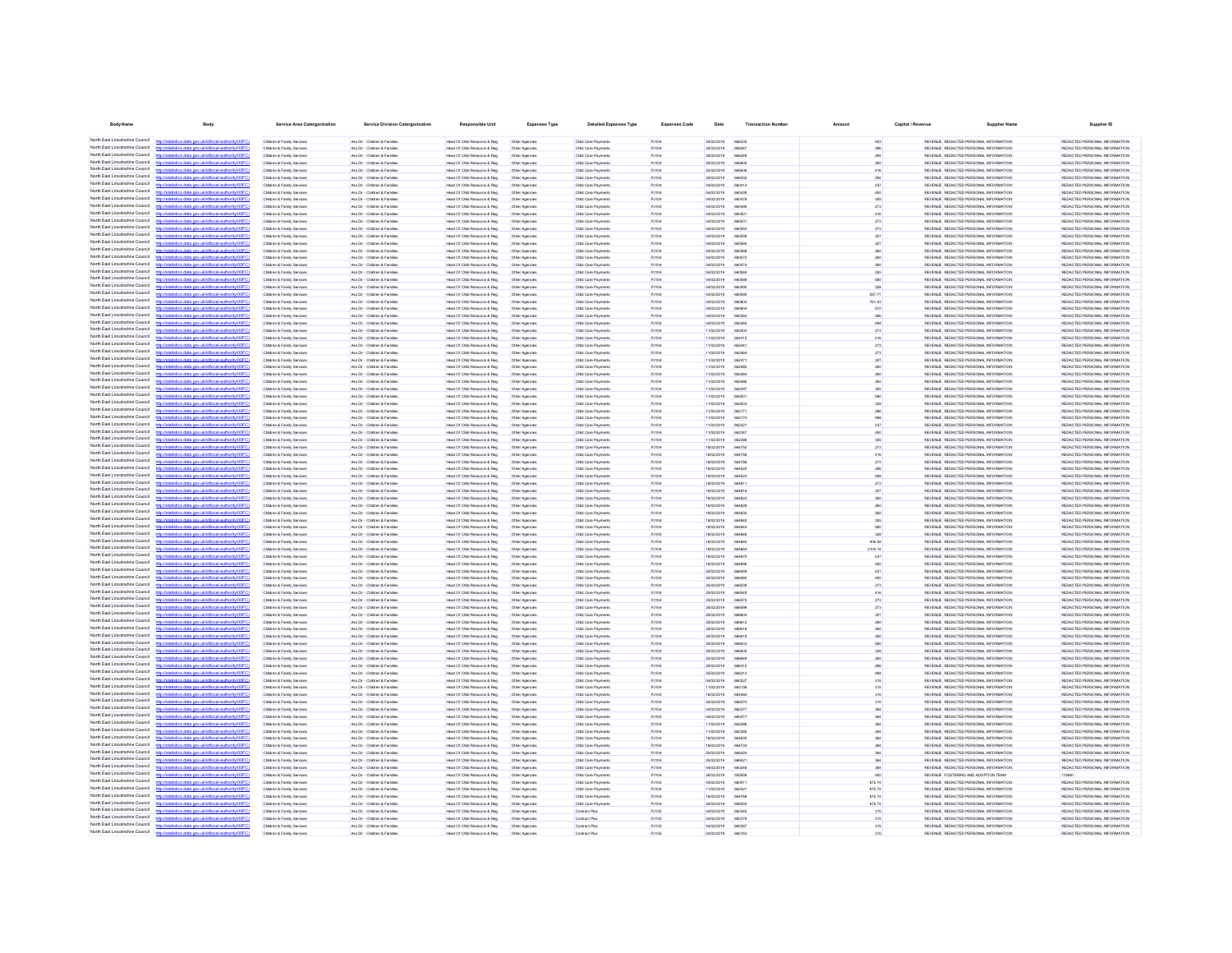| <b>Body Name</b>                                                   | <b>Body</b>                                                                                                    | Service Area Catergorisation                                                 | <b>Service Division Catergorisation</b>                        | <b>Responsible Unit</b>                                       | Expenses Type                    | <b>Detailed Expenses Type</b>              | <b>Expenses Code</b>         | Date                     | <b>Transaction Number</b>    |                  | Capital / Revenue | <b>Supplier Nam</b>                                                            | Supplier ID                                                    |
|--------------------------------------------------------------------|----------------------------------------------------------------------------------------------------------------|------------------------------------------------------------------------------|----------------------------------------------------------------|---------------------------------------------------------------|----------------------------------|--------------------------------------------|------------------------------|--------------------------|------------------------------|------------------|-------------------|--------------------------------------------------------------------------------|----------------------------------------------------------------|
| North Fast Lincolnshire Council                                    | istics.data.gov.uk/id/local-authority/00FC)                                                                    | Children & Family Services                                                   | Ass Dir - Children & Families                                  | Head Of Child Resource & Reg                                  | Other Agencies                   | Child Care Payments                        | PJ104                        | 25/02/2019               | 666235                       | 403              |                   | REVENUE REDACTED PERSONAL INFORMATION                                          | REDACTED PERSONAL INFORMATION                                  |
| North East Lincolnshire Council                                    |                                                                                                                | Children & Family Services                                                   | Ass Dir - Children & Families                                  | Head Of Child Resource & Reg                                  | Other Agencies                   | Child Care Payments                        | PJ104                        | 25/02/2019               | 666247                       | 286              |                   | REVENUE REDACTED PERSONAL INFORMATION                                          | REDACTED PERSONAL INFORMATION                                  |
| North Fast Lincolnshire Council                                    | http://statistics.data.gov.uk/id/local-authority/00FC)                                                         | Children & Family Services                                                   | Ass Dir - Children & Families                                  | Head Of Child Resource & Reg                                  | Other Agencies                   | Child Care Payments                        | PJ104                        | 25/02/2019               | 666249                       |                  |                   | REVENUE REDACTED PERSONAL INFORMATION                                          | REDACTED PERSONAL INFORMATION                                  |
| North Fast Lincolnshire Council                                    | stics data ony rickfdocal authority/00FC                                                                       | Children & Family Services                                                   | Ass Dir - Children & Families                                  | Head Of Child Resource & Reg                                  | Other Agencies                   | Child Care Payments                        | PJ104                        | 25/02/2019               | <b>BRANCH</b>                | 260              |                   | REVENUE REDACTED PERSONAL INFORMATION                                          | REDACTED PERSONAL INFORMATION                                  |
| North East Lincolnshire Council<br>North East Lincolnshire Council | istics data nov uklid/ocal.authority/00FC                                                                      | Children & Family Services<br>Children & Family Services                     | Ass Dir - Children & Families<br>Ass Dir - Children & Families | Head Of Child Resource & Reg<br>Head Of Child Resource & Reg. | Other Agencies<br>Other Agencies | Child Care Payments<br>Child Care Payments | PJ104<br>PJ104               | 25/02/2019<br>25/02/2019 | 666836<br>666302             | 418<br>204       |                   | REVENUE REDACTED PERSONAL INFORMATION<br>REVENUE REDACTED PERSONAL INFORMATION | REDACTED PERSONAL INFORMATION<br>REDACTED PERSONAL INFORMATION |
| North East Lincolnshire Council                                    | ios data ony uklidiocal authorit                                                                               | Children & Family Services                                                   | Ass Dir - Children & Families                                  | Head Of Child Resource & Reg.                                 | Other Agencies                   | Child Care Payments                        | PJ104                        | 04/02/2019               | 660413                       | 437              |                   | REVENUE REDACTED PERSONAL INFORMATION                                          | REDACTED PERSONAL INFORMATION                                  |
| North East Lincolnshire Council                                    | http://statistics.data.gov.uk/id/local-authority/00FC1                                                         | Children & Family Services                                                   | Ass Dir - Children & Families                                  | Head Of Child Resource & Reg.                                 | Other Agencies                   | Child Care Payments                        | PJ104                        | 04/02/2019               | 660430                       | 450              |                   | REVENUE REDACTED PERSONAL INFORMATION                                          | REDACTED PERSONAL INFORMATION                                  |
| North East Lincolnshire Council<br>North East Lincolnshire Council | tics data one uklidiocal authority/00FC                                                                        | Children & Family Service                                                    | Ass Dir - Children & Families                                  | Head Of Child Resource & Reg.                                 | Other Agencies                   | Child Care Payments                        | PJ104                        | 04/02/2019               | 660478                       | 355              |                   | REVENUE REDACTED PERSONAL INFORMATION                                          | REDACTED PERSONAL INFORMATION                                  |
| North East Lincolnshire Council                                    | Vstatistics.data.gov.uk/id/local-authority/00FC1<br>ting state over skildforml.authority(00                    | Children & Family Services<br>Children & Family Service                      | Ass Dir - Children & Families<br>Ass Dir - Children & Families | Head Of Child Resource & Reg.<br>Head Of Child Resource & Reg | Other Agencies<br>Other Agencie  | Child Care Payments<br>Child Care Payments | PJ104<br>PJ104               | 04/02/2019<br>04/02/2019 | 660495<br>eensn              | 273<br>418       |                   | REVENUE REDACTED PERSONAL INFORMATION<br>REVENUE REDACTED PERSONAL INFORMATION | REDACTED PERSONAL INFORMATION<br>REDACTED PERSONAL INFORMATION |
| North East Lincolnshire Council                                    | http://statistics.data.oov.uk/d/ocal.authority/00FCI                                                           | Children & Family Service                                                    | Ass Dir - Children & Families                                  | Head Of Child Resource & Reg.                                 | Other Agencie                    | Child Care Payments                        | P.ItOA                       | 04/02/2019               | eenss                        | 273              |                   | REVEN E REDACTED PERSONAL INFORMATION                                          | REDACTED PERSONAL INFORMATION                                  |
| North East Lincolnshire Council                                    |                                                                                                                | Children & Family Service                                                    | Ass Dir - Children & Familie                                   | Head Of Child Resource & Reg                                  | Other Agencie                    | Child Care Payment                         | PJ104                        | 04/02/2019               | 66055                        | 273              |                   | REVENUE REDACTED PERSONAL INFORMATION                                          | REDACTED PERSONAL INFORMATION                                  |
| North East Lincolnshire Council<br>North East Lincolnshire Council | http://statistics.data.gov.uk/id/local-authority/00FC<br>distribution data and debthood activities (DDC)       | Children & Family Service                                                    | Ass Dir - Children & Families                                  | Head Of Child Resource & Reg                                  | Other Agencie                    | Child Care Payment                         | PJ104                        | 04/02/2019               | 66059                        |                  |                   | REVENUE REDACTED PERSONAL INFORMATION                                          | REDACTED PERSONAL INFORMATION                                  |
| North East Lincolnshire Council                                    | //statistics.data.gov.uk/id/local-authority/00F                                                                | <b>Children &amp; Family Service</b><br><b>Children &amp; Family Service</b> | Ass Dir - Children & Famile<br>Ass Dir - Children & Famile     | Head Of Child Resource & Reg<br>Head Of Child Resource & Reg  | Other Agencie                    | Child Care Payment<br>Child Care Payment   | <b>PJ104</b><br><b>PJ104</b> | 04/02/2019<br>04/02/2019 |                              |                  |                   | REVENUE REDACTED PERSONAL INFORMATION<br>REVENUE REDACTED PERSONAL INFORMATION | REDACTED PERSONAL INFORMATION<br>REDACTED PERSONAL INFORMATION |
| North East Lincolnshire Council                                    |                                                                                                                | Children & Family Services                                                   | Ass Dir - Children & Familie                                   | Head Of Child Resource & Reg                                  | Other Agencies                   | Child Care Payments                        | <b>PJ104</b>                 | 04/02/2019               | 66057                        |                  |                   | REVENUE REDACTED PERSONAL INFORMATION                                          | REDACTED PERSONAL INFORMATION                                  |
| North East Lincolnshire Council                                    | //statistics.data.gov.uk/id/local-authority/00FC1                                                              | Children & Family Services                                                   | Ass Dir - Children & Famile                                    | Head Of Child Resource & Reg                                  | Other Agencies                   | Child Care Payments                        | PJ104                        | 04/02/2019               | 6057                         |                  |                   | REVENUE REDACTED PERSONAL INFORMATION                                          | REDACTED PERSONAL INFORMATION                                  |
| North Fast Lincolnshire Council<br>North East Lincolnshire Council |                                                                                                                | Children & Family Services                                                   | Ass Dir - Children & Families                                  | Head Of Child Resource & Reg.                                 | Other Agencies                   | Child Care Payments                        | PJ104                        | 04/02/2019               | 66058                        |                  |                   | REVENUE REDACTED PERSONAL INFORMATION                                          | REDACTED PERSONAL INFORMATION                                  |
| North East Lincolnshire Council                                    | tics.data.gov.uk/id/local-authority/00FC)                                                                      | Children & Family Services<br>Children & Family Services                     | Ass Dir - Children & Families<br>Ass Dir - Children & Families | Head Of Child Resource & Reg<br>Head Of Child Resource & Reg. | Other Agencies<br>Other Agencies | Child Care Payments<br>Child Care Payments | PJ104<br>PJ104               | 04/02/2019<br>04/02/2019 | 66058<br>660590              | 328              |                   | REVENUE REDACTED PERSONAL INFORMATION<br>REVENUE REDACTED PERSONAL INFORMATION | REDACTED PERSONAL INFORMATION<br>REDACTED PERSONAL INFORMATION |
| North Fast Lincolnshire Council                                    | stics.data.gov.uk/id/local-authority/00FC)                                                                     | Children & Family Services                                                   | Ass Dir - Children & Families                                  | Head Of Child Resource & Reg                                  | Other Agencies                   | Child Care Payments                        | PJ104                        | 04/02/2019               | 660595                       | 257.71           |                   | REVENUE REDACTED PERSONAL INFORMATION                                          | REDACTED PERSONAL INFORMATION                                  |
| North Fast Lincolnshire Council                                    |                                                                                                                | Children & Family Services                                                   | Ass Dir - Children & Families                                  | Head Of Child Resource & Reg                                  | Other Agencies                   | Child Care Payments                        | PJ104                        | 04/02/2019               | eeneng                       | 761.43           |                   | REVENUE REDACTED PERSONAL INFORMATION                                          | REDACTED PERSONAL INFORMATION                                  |
| North East Lincolnshire Council<br>North Fast Lincolnshire Council | tistics.data.gov.uk/id/local-authority/00FC)<br>http://sta                                                     | Children & Family Services                                                   | Ass Dir - Children & Families                                  | Head Of Child Resource & Reg                                  | Other Agencies                   | Child Care Payments                        | PJ104                        | 04/02/2019               | 660604                       | 572              |                   | REVENUE REDACTED PERSONAL INFORMATION                                          | REDACTED PERSONAL INFORMATION                                  |
| North East Lincolnshire Council                                    | tics data ony uklidiocal authority(00F)<br>tics data ony uklidiocal authority(00FC)                            | Children & Family Services<br>Children & Family Services                     | Ass Dir - Children & Families<br>Ass Dir - Children & Families | Head Of Child Resource & Reg<br>Head Of Child Resource & Reg  | Other Agencies<br>Other Agencies | Child Care Payments<br>Child Care Payments | PJ104<br>PJ104               | 04/02/2019<br>04/02/2019 | 660262<br>660265             | 286<br>498       |                   | REVENUE REDACTED PERSONAL INFORMATION<br>REVENUE REDACTED PERSONAL INFORMATION | REDACTED PERSONAL INFORMATION<br>REDACTED PERSONAL INFORMATION |
| North East Lincolnshire Counci                                     |                                                                                                                | Children & Family Service                                                    | Ass Dir - Children & Families                                  | Head Of Child Resource & Reg.                                 | Other Agencies                   | Child Care Payments                        | <b>PJ104</b>                 | 11/02/2019               | 66240                        | 273              |                   | REVENUE REDACTED PERSONAL INFORMATION                                          | REDACTED PERSONAL INFORMATION                                  |
| North East Lincolnshire Council                                    | http://statistics.data.gov.uk/id/ocal-authority/00FC)                                                          | Children & Family Services                                                   | Ass Dir - Children & Families                                  | Head Of Child Resource & Reg                                  | Other Agencies                   | Child Care Payments                        | PJ104                        | 11/02/2019               | 662410                       | 416              |                   | REVENUE REDACTED PERSONAL INFORMATION                                          | REDACTED PERSONAL INFORMATION                                  |
| North East Lincolnshire Council<br>North East Lincolnshire Council | Seting state and skillshood authoritation of<br>ing data any skidingsi suthoris (DDCC)                         | Children & Family Service<br>Children & Family Senings                       | Ass Dir - Children & Families<br>Ass Dir - Children & Families | Head Of Child Resource & Reg<br>Head Of Child Resource & Reg  | Other Agencie                    | Child Care Payments                        | PJ104<br>P.HOA               | 11/02/2019<br>11/02/2019 | <b>RROAA</b><br><b>AROAN</b> | 273              |                   | REVENUE REDACTED PERSONAL INFORMATION<br>REVENUE REDACTED PERSONAL INFORMATION | REDACTED PERSONAL INFORMATION<br>REDACTED PERSONAL INFORMATION |
| North East Lincolnshire Council                                    |                                                                                                                | Children & Family Service                                                    | Ass Dir - Children & Families                                  | Head Of Child Resource & Reg.                                 | Other Agencies<br>Other Agencie  | Child Care Payments<br>Child Care Payment  | <b>PJ104</b>                 | 11/02/2019               | 66247                        | 273              |                   | REVENUE REDACTED PERSONAL INFORMATION                                          | REDACTED PERSONAL INFORMATION                                  |
| North East Lincolnshire Council                                    |                                                                                                                | Children & Family Service                                                    | Ass Dir - Children & Families                                  | Head Of Child Resource & Reg                                  | Other Agencie                    | Child Care Payments                        | PJ104                        | 11/02/2019               | 66248                        |                  |                   | REVENUE REDACTED PERSONAL INFORMATION                                          | REDACTED PERSONAL INFORMATION                                  |
| North East Lincolnshire Council                                    | http://statistics.data.oov.uk/d/ocal.authority/00FCI                                                           | Children & Family Service                                                    | Ass Dir - Children & Families                                  | Head Of Child Resource & Reg                                  | Other Agencie                    | Child Care Payments                        | PJ104                        | 11/02/2019               | <b>AROAN</b>                 |                  |                   | REVENUE REDACTED PERSONAL INFORMATION                                          | REDACTED PERSONAL INFORMATION                                  |
| North East Lincolnshire Council<br>North East Lincolnshire Council |                                                                                                                | <b>Children &amp; Family Service</b>                                         | Ass Dir - Children & Familie                                   | Head Of Child Resource & Reg                                  | Other Agencie                    | Child Care Payment                         | <b>PJ104</b>                 | 11/02/2019               | 66248                        |                  |                   | REVENUE REDACTED PERSONAL INFORMATION                                          | REDACTED PERSONAL INFORMATION                                  |
| North East Lincolnshire Council                                    | //statistics.data.gov.uk/id/local-authority/00FC<br>istics.data.gov.uk/id/local-authority/00F                  | Children & Family Service<br>Children & Family Service                       | Ass Dir - Children & Familie<br>Ass Dir - Children & Famile    | Head Of Child Resource & Reg<br>Head Of Child Resource & Reg  | Other Agencie<br>Other Agencie   | Child Care Payment<br>Child Care Payments  | PJ104<br><b>PJ104</b>        | 11/02/2019<br>11/02/2019 | 66249                        |                  |                   | REVENUE REDACTED PERSONAL INFORMATION<br>REVENUE REDACTED PERSONAL INFORMATION | REDACTED PERSONAL INFORMATION<br>REDACTED PERSONAL INFORMATION |
| North East Lincolnshire Council                                    | stics.data.gov.uk/id/local-authority/00F                                                                       | Children & Family Service                                                    | Ass Dir - Children & Famile                                    | Head Of Child Resource & Reg                                  | Other Agencie                    | Child Care Payments                        | <b>PJ104</b>                 | 11/02/2019               |                              |                  |                   | REVENUE REDACTED PERSONAL INFORMATION                                          | REDACTED PERSONAL INFORMATION                                  |
| North East Lincolnshire Council                                    |                                                                                                                | Children & Family Services                                                   | Ass Dir - Children & Families                                  | Head Of Child Resource & Reg                                  | Other Agencies                   | Child Care Payments                        | <b>PJ104</b>                 | 11/02/2019               | 66217                        |                  |                   | REVENUE REDACTED PERSONAL INFORMATION                                          | REDACTED PERSONAL INFORMATION                                  |
| North East Lincolnshire Council<br>North Fast Lincolnshire Council | tatistics.data.gov.ukld/local-authority/00FC1                                                                  | Children & Family Services                                                   | Ass Dir - Children & Families                                  | Head Of Child Resource & Reg                                  | Other Agencies                   | Child Care Payments                        | PJ104                        | 11/02/2019               | 66217                        |                  |                   | REVENUE REDACTED PERSONAL INFORMATION                                          | REDACTED PERSONAL INFORMATION                                  |
| North Fast Lincolnshire Council                                    | stics.data.gov.uk/id/local-authority/00FC1                                                                     | Children & Family Services<br>Children & Family Services                     | Ass Dir - Children & Families<br>Ass Dir - Children & Families | Head Of Child Resource & Reg<br>Head Of Child Resource & Reg  | Other Agencies<br>Other Agencies | Child Care Payments<br>Child Care Payments | PJ104<br>PJ104               | 11/02/2019<br>11/02/2019 | 662321<br>662347             | 437              |                   | REVENUE REDACTED PERSONAL INFORMATION<br>REVENUE REDACTED PERSONAL INFORMATION | REDACTED PERSONAL INFORMATION<br>REDACTED PERSONAL INFORMATION |
| North East Lincolnshire Council                                    |                                                                                                                | Children & Family Services                                                   | Ass Dir - Children & Families                                  | Head Of Child Resource & Reg                                  | Other Agencies                   | Child Care Payments                        | PJ104                        | 11/02/2019               | 66238                        | 355              |                   | REVENUE REDACTED PERSONAL INFORMATION                                          | REDACTED PERSONAL INFORMATION                                  |
| North East Lincolnshire Council                                    | stics.data.gov.uk/id/local-authority/00FC)                                                                     | Children & Family Services                                                   | Ass Dir - Children & Families                                  | Head Of Child Resource & Reg                                  | Other Agencies                   | Child Care Payments                        | PJ104                        | 18/02/2019               | 664752                       | 273              |                   | REVENUE REDACTED PERSONAL INFORMATION                                          | REDACTED PERSONAL INFORMATION                                  |
| North East Lincolnshire Council<br>North East Lincolnshire Council |                                                                                                                | Children & Family Services                                                   | Ass Dir - Children & Families                                  | Head Of Child Resource & Reg                                  | Other Agencies                   | Child Care Payments                        | PJ104                        | 18/02/2019               | 664758                       | 416              |                   | REVENUE REDACTED PERSONAL INFORMATION                                          | REDACTED PERSONAL INFORMATION                                  |
| North East Lincolnshire Council                                    | distics.data.gov.uk/id/local-authority/00FC1<br><b>http://etc</b><br>istics data ony uklidiocal authority(00F) | Children & Family Services<br>Children & Family Services                     | Ass Dir - Children & Families<br>Ass Dir - Children & Families | Head Of Child Resource & Reg<br>Head Of Child Resource & Reg  | Other Agencies<br>Other Agencies | Child Care Payments<br>Child Care Payments | PJ104<br>PJ104               | 18/02/2019<br>18/02/2019 | 664788<br>664520             | 273<br>286       |                   | REVENUE REDACTED PERSONAL INFORMATION<br>REVENUE REDACTED PERSONAL INFORMATION | REDACTED PERSONAL INFORMATION<br>REDACTED PERSONAL INFORMATION |
| North East Lincolnshire Council                                    | stics.data.gov.uk/id/local-authority/00FC1                                                                     | Children & Family Services                                                   | Ass Dir - Children & Families                                  | Head Of Child Resource & Reg                                  | Other Agencies                   | Child Care Payments                        | PJ104                        | 18/02/2019               | 664523                       | 498              |                   | REVENUE REDACTED PERSONAL INFORMATION                                          | REDACTED PERSONAL INFORMATION                                  |
| North East Lincolnshire Council                                    |                                                                                                                | Children & Family Service                                                    | Ass Dir - Children & Families                                  | Head Of Child Resource & Reg.                                 | Other Agencie                    | Child Care Payments                        | P.ItOA                       | 18/02/2019               | <b>ARAS1</b>                 | 273              |                   | REVEN E REDACTED PERSONAL INFORMATION                                          | REDACTED PERSONAL INFORMATION                                  |
| North East Lincolnshire Council<br>North East Lincolnshire Council | http://statistics.data.gov.uk/id/local-authority/00FC)                                                         | Children & Family Services                                                   | Ass Dir - Children & Families                                  | Head Of Child Resource & Reg.                                 | Other Agencies                   | Child Care Payments                        | <b>PJ104</b>                 | 18/02/2019               | 664816                       | 307              |                   | REVENUE REDACTED PERSONAL INFORMATION                                          | REDACTED PERSONAL INFORMATION                                  |
| North East Lincolnshire Council                                    | distics.data.gov.uk/id/local-authority/00FC1                                                                   | Children & Family Service<br>Children & Family Service                       | Ass Dir - Children & Families<br>Ass Dir - Children & Families | Head Of Child Resource & Reg<br>Head Of Child Resource & Reg  | Other Agencie<br>Other Agencie   | Child Care Payments<br>Child Care Payments | PJ104<br><b>PJ104</b>        | 18/02/2019<br>encroner   | 66482v<br>664826             |                  |                   | REVENUE REDACTED PERSONAL INFORMATION<br>REVENUE REDACTED PERSONAL INFORMATION | REDACTED PERSONAL INFORMATION<br>REDACTED PERSONAL INFORMATION |
| North East Lincolnshire Council                                    |                                                                                                                | <b>Children &amp; Family Service</b>                                         | Ass Dir - Children & Famile                                    | Head Of Child Resource & Reg                                  | Other Agencie                    | Child Care Payment                         | <b>PJ104</b>                 | 18/02/2019               |                              |                  |                   | REVENUE REDACTED PERSONAL INFORMATION                                          | REDACTED PERSONAL INFORMATION                                  |
| North East Lincolnshire Council                                    | http://statistics.data.gov.uk/id/local-authority/00FC                                                          | Children & Family Service                                                    | Ass Dir - Children & Families                                  | lead Of Child Resource & Reg                                  | Other Agencie                    | Child Care Payment                         | PJ104                        | 18/02/2019               | 66484                        |                  |                   | REVENUE REDACTED PERSONAL INFORMATION                                          | REDACTED PERSONAL INFORMATION                                  |
| North East Lincolnshire Council<br>North East Lincolnshire Council | distribution state concretible coloration the infinite CO                                                      | Children & Family Services                                                   | Ass Dir - Children & Families                                  | Head Of Child Resource & Reg                                  | Other Agencies                   | Child Care Payments                        | PJ104                        | 18/02/2019               |                              |                  |                   | REVENUE REDACTED PERSONAL INFORMATION                                          | REDACTED PERSONAL INFORMATION                                  |
| North East Lincolnshire Council                                    |                                                                                                                | <b>Children &amp; Family Service</b><br>Children & Family Services           | Ass Dir - Children & Famile<br>Ass Dir - Children & Families   | Head Of Child Resource & Reg<br>Head Of Child Resource & Reg  | Other Agencie<br>Other Agencies  | Child Care Payment<br>Child Care Payments  | <b>PJ104</b><br>PJ104        | 18/02/2019<br>18/02/2019 |                              | 408.58           |                   | REVENUE REDACTED PERSONAL INFORMATION<br>REVENUE REDACTED PERSONAL INFORMATION | REDACTED PERSONAL INFORMATION<br>REDACTED PERSONAL INFORMATION |
| North East Lincolnshire Council                                    |                                                                                                                | Children & Family Service                                                    | Ass Dir - Children & Families                                  | Head Of Child Resource & Reg                                  | Other Agencies                   | Child Care Payments                        | PJ104                        | 18/02/2019               |                              | 2104.14          |                   | REVENUE REDACTED PERSONAL INFORMATION                                          | REDACTED PERSONAL INFORMATION                                  |
| North East Lincolnshire Council<br>North Fast Lincolnshire Council |                                                                                                                | Children & Family Service                                                    | Ass Dir - Children & Famile                                    | Head Of Child Resource & Reg                                  | Other Agencies                   | Child Care Payments                        | PJ104                        | 18/02/2019               |                              |                  |                   | REVENUE REDACTED PERSONAL INFORMATION                                          | REDACTED PERSONAL INFORMATION                                  |
| North East Lincolnshire Council                                    | itistics.data.gov.uk/id/local-authority/00FC                                                                   | Children & Family Services<br>Children & Family Services                     | Ass Dir - Children & Families<br>Ass Dir - Children & Families | Head Of Child Resource & Reg<br>Head Of Child Resource & Reg  | Other Agencies                   | Child Care Payments                        | PJ104<br>PJ104               | 18/02/2019<br>25/02/2019 | 664696                       | 450              |                   | REVENUE REDACTED PERSONAL INFORMATION<br>REVENUE REDACTED PERSONAL INFORMATION | REDACTED PERSONAL INFORMATION<br>REDACTED PERSONAL INFORMATION |
| North East Lincolnshire Council                                    |                                                                                                                | Children & Family Services                                                   | Ass Dir - Children & Families                                  | Head Of Child Resource & Reg                                  | Other Agencies<br>Other Agencies | Child Care Payments<br>Child Care Payments | PJ104                        | 25/02/2019               | 66645<br>666485              | 450              |                   | REVENUE REDACTED PERSONAL INFORMATION                                          | REDACTED PERSONAL INFORMATION                                  |
| North East Lincolnshire Council                                    | stics.data.gov.uk/id/local-authority/00FC1                                                                     | Children & Family Services                                                   | Ass Dir - Children & Families                                  | Head Of Child Resource & Reg                                  | Other Agencies                   | Child Care Payments                        | PJ104                        | 25/02/2019               | 666539                       | 273              |                   | REVENUE REDACTED PERSONAL INFORMATION                                          | REDACTED PERSONAL INFORMATION                                  |
| North East Lincolnshire Council                                    |                                                                                                                | Children & Family Services                                                   | Ass Dir - Children & Families                                  | Head Of Child Resource & Reg                                  | Other Agencies                   | Child Care Payments                        | PJ104                        | 25/02/2019               | <b>ARRS45</b>                | 416              |                   | REVENUE REDACTED PERSONAL INFORMATION                                          | REDACTED PERSONAL INFORMATION                                  |
| North East Lincolnshire Council<br>North East Lincolnshire Council | stics.data.gov.uk/id/local-authority/00FC)<br>stics data ony uklid/ocal.authority/00FC                         | Children & Family Services<br>Children & Family Services                     | Ass Dir - Children & Families<br>Ass Dir - Children & Families | Head Of Child Resource & Reg<br>Head Of Child Resource & Reg  | Other Agencies                   | Child Care Payments<br>Child Care Payments | PJ104<br>PJ104               | 25/02/2019<br>25/02/2019 | 666579<br><b>ARASSO</b>      | 273              |                   | REVENUE REDACTED PERSONAL INFORMATION<br>REVENUE REDACTED PERSONAL INFORMATION | REDACTED PERSONAL INFORMATION<br>REDACTED PERSONAL INFORMATION |
| North East Lincolnshire Council                                    | distics.data.gov.uk/id/local-authority/00FC1<br><b>Introdeta</b>                                               | Children & Family Services                                                   | Ass Dir - Children & Families                                  | Head Of Child Resource & Reg                                  | Other Agencies<br>Other Agencies | Child Care Payments                        | PJ104                        | 25/02/2019               | 666604                       | 273<br>307       |                   | REVENUE REDACTED PERSONAL INFORMATION                                          | REDACTED PERSONAL INFORMATION                                  |
| North East Lincolnshire Council                                    | fields and sound in the state of the final                                                                     | Children & Family Services                                                   | Ass Dir - Children & Families                                  | Head Of Child Resource & Reg.                                 | Other Agencies                   | Child Care Payments                        | <b>PJ104</b>                 | 25/02/2019               | 666612                       | 260              |                   | REVENUE REDACTED PERSONAL INFORMATION                                          | REDACTED PERSONAL INFORMATION                                  |
| North East Lincolnshire Council                                    | stics.data.gov.uk/id/local-authority/00FC1                                                                     | Children & Family Services                                                   | Ass Dir - Children & Families                                  | Head Of Child Resource & Reg                                  | Other Agencies                   | Child Care Payments                        | PJ104                        | 25/02/2019               | 666616                       | 260              |                   | REVENUE REDACTED PERSONAL INFORMATION                                          | REDACTED PERSONAL INFORMATION                                  |
| North East Lincolnshire Council<br>North East Lincolnshire Council | http://statistics.data.onv.uk/d/ocal.authority/00EC)                                                           | Children & Family Service<br>Children & Family Service                       | Ass Dir - Children & Families<br>Ass Dir - Ohirkan & Familian  | Head Of Child Resource & Reg<br>Head Of Child Resource & Reg  | Other Agencie<br>Other Agencies  | Child Care Payments<br>Child Care Payments | PJ104<br>P.HOA               | 25/02/2019<br>25/02/2019 | GRAA1<br><b>ARRAIN</b>       |                  |                   | REVENUE REDACTED PERSONAL INFORMATION<br>REVENUE REDACTED PERSONAL INFORMATION | REDACTED PERSONAL INFORMATION<br>REDACTED PERSONAL INFORMATION |
| North East Lincolnshire Council                                    | 10000 and was a stabilized and collected                                                                       | Children & Family Service                                                    | Ass Dir - Children & Families                                  | Head Of Child Resource & Reg                                  | Other Agencie                    | Child Care Payment                         | <b>PJ104</b>                 | 25/02/2019               | 66683                        |                  |                   | REVENUE REDACTED PERSONAL INFORMATION                                          | REDACTED PERSONAL INFORMATION                                  |
| North East Lincolnshire Council                                    | istics.data.gov.uk/id/local-authority/00FC                                                                     | Children & Family Service                                                    | Ass Dir - Children & Families                                  | Head Of Child Resource & Reg                                  | Other Agencie                    | Child Care Payment                         | PJ104                        | 25/02/2019               | GRAFIA                       |                  |                   | REVENUE REDACTED PERSONAL INFORMATION                                          | REDACTED PERSONAL INFORMATION                                  |
| North East Lincolnshire Council                                    |                                                                                                                | Children & Family Service                                                    | Ass Dir - Children & Famile                                    | Head Of Child Resource & Reg                                  | Other Agencies                   | Child Care Payments                        | <b>PJ104</b>                 | 25/02/2019               |                              |                  |                   | REVENUE REDACTED PERSONAL INFORMATION                                          | REDACTED PERSONAL INFORMATION                                  |
| North East Lincolnshire Council<br>North East Lincolnshire Council | stics.data.gov.uk/id/local-authority/00F                                                                       | <b>Children &amp; Family Service</b><br>Children & Family Services           | Ass Dir - Children & Famile<br>Ass Dir - Children & Families   | lead Of Child Resource & Reg<br>Head Of Child Resource & Reg  |                                  | Child Care Payment<br>Child Care Payments  | <b>PJ104</b><br>PJ104        | 25/02/2019<br>04/02/2019 | 666313<br>68022              |                  |                   | REVENUE REDACTED PERSONAL INFORMATION<br>REVENUE REDACTED PERSONAL INFORMATION | REDACTED PERSONAL INFORMATION<br>REDACTED PERSONAL INFORMATION |
| North East Lincolnshire Council                                    | stics.data.gov.uk/id/local-authority/00FC                                                                      | Children & Family Service                                                    | Ass Dir - Children & Famile                                    | Head Of Child Resource & Reg                                  | Other Agencies<br>Other Agencies | Child Care Payments                        | <b>PJ104</b>                 | 11/02/2019               | 66213                        |                  |                   | REVENUE REDACTED PERSONAL INFORMATION                                          | REDACTED PERSONAL INFORMATION                                  |
| North East Lincolnshire Council                                    |                                                                                                                | Children & Family Services                                                   | Ass Dir - Children & Families                                  | Head Of Child Resource & Reg.                                 | Other Agencies                   | Child Care Payments                        | PJ104                        | 18/02/2019               | 66448                        | 315              |                   | REVENUE REDACTED PERSONAL INFORMATION                                          | REDACTED PERSONAL INFORMATION                                  |
| North Fast Lincolnshire Council                                    | tics.data.gov.uk/id/local-authority/00FC)                                                                      | Children & Family Services                                                   | Ass Dir - Children & Families                                  | Head Of Child Resource & Reg                                  | Other Agencies                   | Child Care Payments                        | PJ104                        | 25/02/2019               | 66627                        | 315              |                   | REVENUE REDACTED PERSONAL INFORMATION                                          | REDACTED PERSONAL INFORMATION                                  |
| North East Lincolnshire Council<br>North Fast Lincolnshire Council |                                                                                                                | Children & Family Services<br>Children & Family Services                     | Ass Dir - Children & Families<br>Ass Dir - Children & Families | Head Of Child Resource & Reg<br>Head Of Child Resource & Reg  | Other Agencies<br>Other Agencies | Child Care Payments<br>Child Care Payments | PJ104<br>PJ104               | 04/02/2019<br>04/02/2019 | 660377<br>660477             |                  |                   | REVENUE REDACTED PERSONAL INFORMATION<br>REVENUE REDACTED PERSONAL INFORMATION | REDACTED PERSONAL INFORMATION<br>REDACTED PERSONAL INFORMATION |
| North Fast Lincolnshire Council                                    | ios data ony ukłdłocal authority                                                                               | Children & Family Services                                                   | Ass Dir - Children & Families                                  | Head Of Child Resource & Reg                                  | Other Agencies                   | Child Care Payments                        | PJ104                        | 11/02/2019               | 662286                       |                  |                   | REVENUE REDACTED PERSONAL INFORMATION                                          | REDACTED PERSONAL INFORMATION                                  |
| North East Lincolnshire Council                                    |                                                                                                                | Children & Family Services                                                   | Ass Dir - Children & Families                                  | Head Of Child Resource & Reg                                  | Other Agencies                   | Child Care Payments                        | PJ104                        | 11/02/2019               | 662385                       |                  |                   | REVENUE REDACTED PERSONAL INFORMATION                                          | REDACTED PERSONAL INFORMATION                                  |
| North East Lincolnshire Council<br>North East Lincolnshire Council | istics.data.gov.uk/id/local-authority/00FC)                                                                    | Children & Family Services                                                   | Ass Dir - Children & Families                                  | Head Of Child Resource & Reg                                  | Other Agencies                   | Child Care Payments                        | PJ104                        | 18/02/2019               | 664635                       |                  |                   | REVENUE REDACTED PERSONAL INFORMATION                                          | REDACTED PERSONAL INFORMATION                                  |
| North East Lincolnshire Council                                    | tics data ony uklidiocal authority(00FC)                                                                       | Children & Family Services<br>Children & Family Services                     | Ass Dir - Children & Families<br>Ass Dir - Children & Families | Head Of Child Resource & Reg<br>Head Of Child Resource & Reg  | Other Agencies<br>Other Agencies | Child Care Payments<br>Child Care Payments | PJ104<br>PJ104               | 18/02/2019<br>25/02/2019 | 66473<br>666424              |                  |                   | REVENUE REDACTED PERSONAL INFORMATION<br>REVENUE REDACTED PERSONAL INFORMATION | REDACTED PERSONAL INFORMATION<br>REDACTED PERSONAL INFORMATION |
| North East Lincolnshire Council                                    | stics data ony uklidiocal authority!                                                                           | Children & Family Services                                                   | Ass Dir - Children & Families                                  | Head Of Child Resource & Reg                                  | Other Agencies                   | Child Care Payments                        | PJ104                        | 25/02/2019               | 66652                        |                  |                   | REVENUE REDACTED PERSONAL INFORMATION                                          | REDACTED PERSONAL INFORMATION                                  |
| North East Lincolnshire Council                                    | http://statistics.data.gov.uk/id/local-authority/00FC1                                                         | Children & Family Services                                                   | Ass Dir - Children & Families                                  | Head Of Child Resource & Reg                                  | Other Agencies                   | Child Care Payments                        | PJ104                        | 04/02/2019               | 660246                       |                  |                   | REVENUE REDACTED PERSONAL INFORMATION                                          | REDACTED PERSONAL INFORMATION                                  |
| North East Lincolnshire Council<br>North East Lincolnshire Council | diction data and delivery in the distribu-                                                                     | Children & Family Service                                                    | Ass Dir - Children & Families                                  | Head Of Child Resource & Reg.                                 | Other Agencie                    | Child Care Payments                        | P.ItOA                       | <b>26022019</b>          | <b>ARAAA</b>                 | $\sim$           |                   | REVENUE FORTERING AND ADOPTION TEAM                                            | 110681                                                         |
| North East Lincolnshire Council                                    | http://<br>istics.data.gov.uk/id/local-authority/00FC1                                                         | Children & Family Services<br>Children & Family Service                      | Ass Dir - Children & Families<br>Ass Dir - Children & Families | Head Of Child Resource & Reg<br>Head Of Child Resource & Reg  | Other Agencies<br>Other Agencie  | Child Care Payments<br>Child Care Payment  | PJ104<br>PJ104               | 04/02/2019<br>11/02/2019 | 66051<br>66242               | 875.74<br>875.74 |                   | REVENUE REDACTED PERSONAL INFORMATION<br>REVENUE REDACTED PERSONAL INFORMATION | REDACTED PERSONAL INFORMATION<br>REDACTED PERSONAL INFORMATION |
| North East Lincolnshire Council                                    | http://statistics.data.gov.uk/id/local-authority/00FC1                                                         | Children & Family Service                                                    | Ass Dir - Children & Families                                  | Head Of Child Resource & Reg                                  | Other Agencie                    | Child Care Payment                         | PJ104                        | 18/02/2019               | 664768                       | 875.74           |                   | REVENUE REDACTED PERSONAL INFORMATION                                          | REDACTED PERSONAL INFORMATION                                  |
|                                                                    | North East Lincolnshire Council   New Setwheting Hata and details and authority inner                          | <b>Children &amp; Family Service</b>                                         | Ass Dir - Children & Families                                  | Head Of Child Resource & Reg                                  | Other Agencie                    | Child Care Paymen                          |                              | 25/02/2019               |                              | 875.74           |                   | REVENUE REDACTED PERSONAL INFORMATION                                          | REDACTED PERSONAL INFORMATION                                  |
| North East Lincolnshire Council<br>North East Lincolnshire Council | distics.data.gov.uk/id/local-authority/00FC                                                                    | <b>Children &amp; Family Service</b>                                         | Ass Dir - Children & Families                                  | Head Of Child Resource & Reg                                  | Other Agencie                    | Contract Plus                              | PJ135                        | 04/02/2019               | 660345                       |                  |                   | REVENUE REDACTED PERSONAL INFORMATION                                          | REDACTED PERSONAL INFORMATION                                  |
| North East Lincolnshire Council                                    | stics.data.gov.uk/id/local-authority/00FC1                                                                     | Children & Family Services<br>Children & Family Service                      | Ass Dir - Children & Families<br>Ass Dir - Children & Famile   | Head Of Child Resource & Reg<br>Head Of Child Resource & Reg  | Other Agencies<br>Other Agencie  | Contract Plus                              | PJ135                        | 04/02/2019<br>04/02/2019 |                              |                  |                   | REVENUE REDACTED PERSONAL INFORMATION<br>REVENUE REDACTED PERSONAL INFORMATION | REDACTED PERSONAL INFORMATION<br>REDACTED PERSONAL INFORMATION |
| North East Lincolnshire Council                                    |                                                                                                                | hikhan & Family René                                                         | Ass Dir - Children & Familie                                   | Head Of Child Resource & Ren-                                 |                                  | Contract Plus                              | <b>P.I135</b>                | 04/02/2019               |                              |                  |                   | REVENLIE REDACTED PERSONAL INFOR                                               | REDACTED PERSONAL INFORMATION                                  |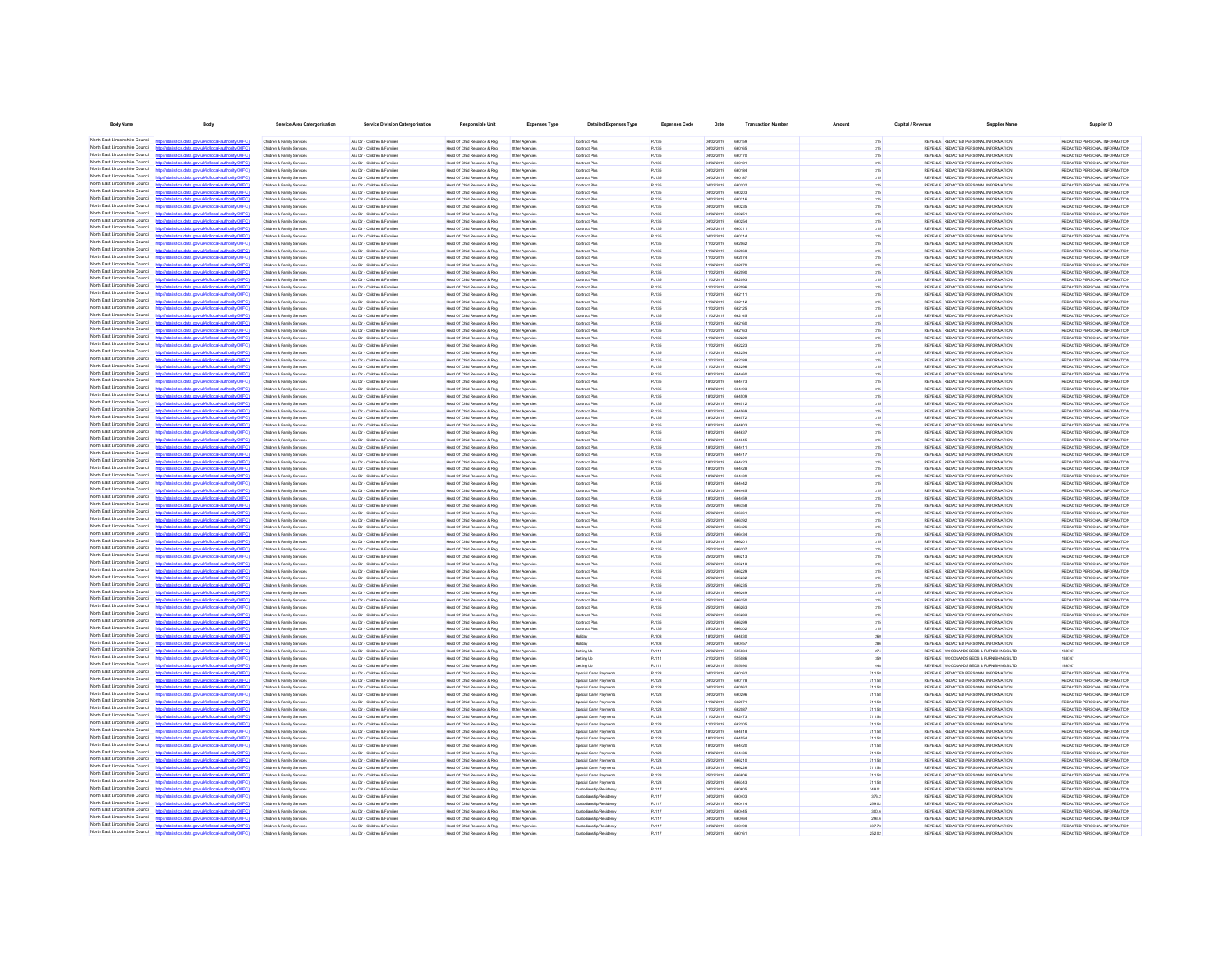| <b>Body Nam</b>                                                    | <b>Body</b>                                                                                                                                                                                                                                                                                  | Service Area Catergorisatio                              | <b>Service Division Catergorisatio</b>                         |                                                                | <b>Expenses Type</b>             | <b>Detailed Expenses Type</b>                      | <b>Expenses Code</b>  | Date                     |                              |                  | Capital / Revenue |                                                                                      | Supplier ID                                                    |
|--------------------------------------------------------------------|----------------------------------------------------------------------------------------------------------------------------------------------------------------------------------------------------------------------------------------------------------------------------------------------|----------------------------------------------------------|----------------------------------------------------------------|----------------------------------------------------------------|----------------------------------|----------------------------------------------------|-----------------------|--------------------------|------------------------------|------------------|-------------------|--------------------------------------------------------------------------------------|----------------------------------------------------------------|
| North East Lincolnshire Council                                    | atistics.data.gov.uk/id/local-authority/00FC)                                                                                                                                                                                                                                                | Children & Family Services                               | Ass Dir - Children & Families                                  | Head Of Child Resource & Reg                                   | Other Agencies                   | Contract Plus                                      | <b>PJ135</b>          | 04/02/2019               | 66015                        | 315              |                   | REVENUE REDACTED PERSONAL INFORMATION                                                | REDACTED PERSONAL INFORMATION                                  |
| North East Lincolnshire Council                                    | distics.data.gov.uk/id/local-authority/00F                                                                                                                                                                                                                                                   | Children & Family Services                               | Ass Dir - Children & Families                                  | Head Of Child Resource & Reg                                   | Other Agencies                   | Contract Plus                                      | PJ135                 | 04/02/2019               | 660165                       | 315              |                   | REVENUE REDACTED PERSONAL INFORMATION                                                | REDACTED PERSONAL INFORMATION                                  |
| North East Lincolnshire Council                                    | stics.data.gov.uk/id/local-authority/00FC1                                                                                                                                                                                                                                                   | Children & Family Services                               | Ass Dir - Children & Famile                                    | Head Of Child Resource & Reg                                   | Other Agencies                   | Contract Plus                                      | PJ135                 | 04/02/2019               | 660170                       | 315              |                   | REVENUE REDACTED PERSONAL INFORMATION                                                | REDACTED PERSONAL INFORMATION                                  |
| North East Lincolnshire Council<br>North Fast Lincolnshire Council |                                                                                                                                                                                                                                                                                              | Children & Family Services                               | Ass Dir - Children & Familie                                   | Head Of Child Resource & Reg.                                  | Other Agencies                   | Contract Plus                                      | PJ135                 | 04/02/2019               | 66018                        | 315              |                   | REVENUE REDACTED PERSONAL INFORMATION                                                | REDACTED PERSONAL INFORMATION                                  |
| North East Lincolnshire Council                                    |                                                                                                                                                                                                                                                                                              | Children & Family Services<br>Children & Family Services | Ass Dir - Children & Familie<br>Ass Dir - Children & Families  | Head Of Child Resource & Reg<br>Head Of Child Resource & Reg.  | Other Agencies<br>Other Agencies | Contract Plus<br>Contract Plus                     | PJ135<br>PJ135        | 04/02/2019<br>04/02/2019 | 66018<br>66018               | 315<br>315       |                   | REVENUE REDACTED PERSONAL INFORMATION<br>REVENUE REDACTED PERSONAL INFORMATION       | REDACTED PERSONAL INFORMATION<br>REDACTED PERSONAL INFORMATION |
| North East Lincolnshire Council                                    |                                                                                                                                                                                                                                                                                              | Children & Family Services                               | Ass Dir - Children & Families                                  | Head Of Child Resource & Reg                                   | Other Agencies                   | Contract Plus                                      | PJ135                 | 04/02/2019               | 66020                        | 315              |                   | REVENUE REDACTED PERSONAL INFORMATION                                                | REDACTED PERSONAL INFORMATION                                  |
| North Fast Lincolnshire Council                                    | ics.data.gov.uk/id/local-authority/00FC1                                                                                                                                                                                                                                                     | Children & Family Services                               | Ass Dir - Children & Familie                                   | Head Of Child Resource & Reg                                   | Other Agencies                   | Contract Plus                                      | PJ135                 | 04/02/2019               | 660200                       | 315              |                   | REVENUE REDACTED PERSONAL INFORMATION                                                | REDACTED PERSONAL INFORMATION                                  |
| North East Lincolnshire Council<br>North East Lincolnshire Council |                                                                                                                                                                                                                                                                                              | Children & Family Services                               | Ass Dir - Children & Families                                  | Head Of Child Resource & Reg.                                  | Other Agencies                   | Contract Plus                                      | PJ135                 | 04/02/2019               | 660216                       | 315              |                   | REVENUE REDACTED PERSONAL INFORMATION                                                | REDACTED PERSONAL INFORMATION                                  |
| North East Lincolnshire Council                                    | istics.data.gov.uk/id/local-authority/00FC1<br>stics.data.gov.uk/id/local-authority/00FC<br>https                                                                                                                                                                                            | Children & Family Services<br>Children & Family Services | Ass Dir - Children & Families<br>Ass Dir - Children & Families | Head Of Child Resource & Reg<br>Head Of Child Resource & Reg.  | Other Agencies<br>Other Agencies | Contract Plus<br>Contract Plus                     | PJ135<br>PJ135        | 04/02/2019<br>04/02/2019 | 660235<br>66025              | 315<br>315       |                   | REVENUE REDACTED PERSONAL INFORMATION<br>REVENUE REDACTED PERSONAL INFORMATION       | REDACTED PERSONAL INFORMATION<br>REDACTED PERSONAL INFORMATION |
| North East Lincolnshire Council                                    | istics.data.gov.uk/id/local-authority/00FC1                                                                                                                                                                                                                                                  | Children & Family Services                               | Ass Dir - Children & Families                                  | Head Of Child Resource & Reg.                                  | Other Agencies                   | Contract Plus                                      | PJ135                 | 04/02/2019               | <b>BROOK</b>                 | 315              |                   | REVENUE REDACTED PERSONAL INFORMATION                                                | REDACTED PERSONAL INFORMATION                                  |
| North East Lincolnshire Council                                    | ting state and deletional authority (00                                                                                                                                                                                                                                                      | Children & Family Service                                | Ass Dir - Children & Families                                  | Head Of Child Resource & Reg                                   | Other Agencies                   | Contract Plus                                      | PJ135                 | 04/02/2019               | 66031                        | 315              |                   | REVENUE REDACTED PERSONAL INFORMATION                                                | REDACTED PERSONAL INFORMATION                                  |
| North East Lincolnshire Council<br>North East Lincolnshire Council | istics data ony riklid/ocal.authority/00FCI                                                                                                                                                                                                                                                  | Children & Family Services                               | Ass Dir - Children & Families                                  | Head Of Child Resource & Reg.                                  | Other Agencies                   | Contract Plus                                      | PJ135                 | 04/02/2019               | 660314                       | 315              |                   | REVENUE REDACTED PERSONAL INFORMATION                                                | REDACTED PERSONAL INFORMATION                                  |
| North East Lincolnshire Council                                    | ting state over definitional authority (ODE<br>http://statistics.data.oov.uk/d/ocal.authority/00FCI                                                                                                                                                                                          | Children & Family Service<br>Children & Family Service   | Ass Dir - Children & Familie<br>Ass Dir - Children & Familie   | Head Of Child Resource & Red<br>Head Of Child Resource & Reg   | Other Agencie<br>Other Agencie   | Contract Plu<br>Contract Plus                      | PJ135<br>PJ135        | 11/02/2019<br>11/02/2019 | <b>BRODE</b><br><b>BROOK</b> | 315<br>315       |                   | REVENUE REDACTED PERSONAL INFORMATION<br>REVENUE REDACTED PERSONAL INFORMATION       | REDACTED PERSONAL INFORMATION<br>REDACTED PERSONAL INFORMATION |
| North East Lincolnshire Council                                    | ting state and debtificant authoritation CO                                                                                                                                                                                                                                                  | Children & Family Service                                | Ass Dir - Children & Famile                                    | Head Of Child Resource & Reg                                   | Other Agencie                    | Contract Plu                                       | PJ135                 | 11/02/2019               | 66207                        | 315              |                   | REVENUE REDACTED PERSONAL INFORMATION                                                | REDACTED PERSONAL INFORMATIO                                   |
| North East Lincolnshire Council                                    | tatistics.data.gov.uk/id/local-authority/00F0                                                                                                                                                                                                                                                | Children & Family Service                                | Ass Dir - Children & Familie                                   | Head Of Child Resource & Reg                                   | Other Agencie                    | Contract Plu                                       | PJ135                 | 11/02/2019               | 66207                        | 315              |                   | REVENUE REDACTED PERSONAL INFORMATION                                                | REDACTED PERSONAL INFORMATION                                  |
| North East Lincolnshire Council<br>North East Lincolnshire Council |                                                                                                                                                                                                                                                                                              | Children & Family Services                               | Ass Dir - Children & Famile                                    | Head Of Child Resource & Reg                                   | Other Agencie                    | Contract Plu                                       | <b>PJ135</b>          | 11/02/2019               |                              | 315              |                   | REVENUE REDACTED PERSONAL INFORMATION                                                | REDACTED PERSONAL INFORMATION                                  |
| North East Lincolnshire Council                                    |                                                                                                                                                                                                                                                                                              | Children & Family Services<br>Children & Family Services | Ass Dir - Children & Famile<br>Ass Dir - Children & Famile     | Head Of Child Resource & Reg<br>Head Of Child Resource & Reg   | Other Agencies                   | Contract Plu<br>Contract Plus                      | <b>PJ135</b><br>PJ135 | 11/02/2019<br>11/02/2019 | 66209                        | 315<br>315       |                   | REVENUE REDACTED PERSONAL INFORMATION<br>REVENUE REDACTED PERSONAL INFORMATION       | REDACTED PERSONAL INFORMATION<br>REDACTED PERSONAL INFORMATION |
| North East Lincolnshire Council                                    | tistics.data.gov.uk/id/local-authority/00FC                                                                                                                                                                                                                                                  | Children & Family Services                               | Ass Dir - Children & Famile                                    | Head Of Child Resource & Reg                                   | Other Agencies<br>Other Agencies | Contract Plus                                      | PJ135                 | 11/02/2019               | 66211                        | 315              |                   | REVENUE REDACTED PERSONAL INFORMATION                                                | REDACTED PERSONAL INFORMATION                                  |
| North East Lincolnshire Council                                    |                                                                                                                                                                                                                                                                                              | Children & Family Services                               | Ass Dir - Children & Familie                                   | Head Of Child Resource & Reg.                                  | Other Agencies                   | Contract Plus                                      | PJ135                 | 11/02/2019               | 662112                       | 315              |                   | REVENUE REDACTED PERSONAL INFORMATION                                                | REDACTED PERSONAL INFORMATION                                  |
| North Fast Lincolnshire Council<br>North East Lincolnshire Council |                                                                                                                                                                                                                                                                                              | Children & Family Services                               | Ass Dir - Children & Families                                  | Head Of Child Resource & Reg                                   | Other Agencies                   | Contract Plus                                      | PJ135                 | 11/02/2019               | 66212                        | 315              |                   | REVENUE REDACTED PERSONAL INFORMATION                                                | REDACTED PERSONAL INFORMATION                                  |
| North East Lincolnshire Council                                    | http://statistics.data.gov.uk/id/local-authority/00FC)                                                                                                                                                                                                                                       | Children & Family Services<br>Children & Family Services | Ass Dir - Children & Families<br>Ass Dir - Children & Families | Head Of Child Resource & Reg<br>Head Of Child Resource & Reg   | Other Agencies<br>Other Agencies | Contract Plus<br>Contract Plus                     | PJ135<br>PJ135        | 11/02/2019<br>11/02/2019 | 662145<br>662160             | 315<br>315       |                   | REVENUE REDACTED PERSONAL INFORMATION<br>REVENUE REDACTED PERSONAL INFORMATION       | REDACTED PERSONAL INFORMATION<br>REDACTED PERSONAL INFORMATION |
| North Fast Lincolnshire Council                                    | tics data ony rickldocal authority/00F6                                                                                                                                                                                                                                                      | Children & Family Services                               | Ass Dir - Children & Families                                  | Head Of Child Resource & Reg                                   | Other Agencies                   | Contract Plus                                      | PJ135                 | 11/02/2019               | 662163                       | 315              |                   | REVENUE REDACTED PERSONAL INFORMATION                                                | REDACTED PERSONAL INFORMATION                                  |
| North East Lincolnshire Council                                    | tics.data.gov.uk/id/local-authority/00FC1                                                                                                                                                                                                                                                    | Children & Family Services                               | Ass Dir - Children & Families                                  | Head Of Child Resource & Reg                                   | Other Agencies                   | Contract Plus                                      | PJ135                 | 11/02/2019               | 66222                        | 315              |                   | REVENUE REDACTED PERSONAL INFORMATION                                                | REDACTED PERSONAL INFORMATION                                  |
| North East Lincolnshire Council                                    | tics data ony uklidiocal authority!                                                                                                                                                                                                                                                          | Children & Family Services                               | Ass Dir - Children & Families                                  | Head Of Child Resource & Reg                                   | Other Agencies                   | Contract Plus                                      | PJ135                 | 11/02/2019               | 66222                        | 315              |                   | REVENUE REDACTED PERSONAL INFORMATION                                                | REDACTED PERSONAL INFORMATION                                  |
| North East Lincolnshire Council<br>North East Lincolnshire Council | Officer when a provided do compared with                                                                                                                                                                                                                                                     | Children & Family Services<br>Children & Family Service  | Ass Dir - Children & Families<br>Ass Dir - Children & Families | Head Of Child Resource & Reg.<br>Head Of Child Resource & Reg  | Other Agencies<br>Other Agencie  | Contract Plus<br>Contract Plus                     | PJ135                 | 11/02/2019<br>11/02/2019 | 66225<br><b>AR22Rd</b>       | 315<br>315       |                   | REVENUE REDACTED PERSONAL INFORMATION<br>REVENUE REDACTED PERSONAL INFORMATION       | REDACTED PERSONAL INFORMATION<br>REDUCTED PERSONAL INFORMATION |
| North East Lincolnshire Council                                    | Officer this absorb this is von steh anti-                                                                                                                                                                                                                                                   | Children & Family Services                               | Ass Dir - Children & Families                                  | Head Of Child Resource & Reg                                   | Other Agencies                   | Contract Plus                                      | <b>PJ135</b><br>PJ135 | 11/02/2019               | 66229                        | 315              |                   | REVENUE REDACTED PERSONAL INFORMATION                                                | REDACTED PERSONAL INFORMATION                                  |
| North East Lincolnshire Council                                    | //statistics.data.gov.uk/id/local-authority/00FC                                                                                                                                                                                                                                             | Children & Family Service                                | Ass Dir - Children & Families                                  | Head Of Child Resource & Reg.                                  | Other Agencies                   | Contract Plus                                      | PJ135                 | 18/02/2019               | <b>RRAARI</b>                | 315              |                   | REVENUE REDACTED PERSONAL INFORMATION                                                | REDACTED PERSONAL INFORMATION                                  |
| North East Lincolnshire Council                                    | ing state and skiddens lauthoritains?                                                                                                                                                                                                                                                        | Children & Family Service                                | Ass Dir - Children & Familie                                   | Head Of Child Resource & Reg                                   | Other Agencie                    | Contract Plu                                       | PJ135                 | 18/02/2019               | <b>AR447</b>                 | 315              |                   | REVENUE REDACTED PERSONAL INFORMATION                                                | REDACTED PERSONAL INFORMATION                                  |
| North East Lincolnshire Council<br>North East Lincolnshire Council | listics data ony uklid/ocal.authority/00FC!                                                                                                                                                                                                                                                  | Children & Family Service<br>Children & Family Service   | Ass Dir - Children & Familie<br>Ass Dir - Children & Familie   | Head Of Child Resource & Reg<br>lead Of Child Resource & Reg   | Other Agencie<br>Other Agencie   | Contract Plus<br>Contract Plu                      | PJ135<br>PJ135        | 18/02/2019<br>18/02/2019 | <b>AR449</b><br>66450        | 315<br>315       |                   | REVENUE REDACTED PERSONAL INFORMATION<br>REVENUE REDACTED PERSONAL INFORMATION       | REDACTED PERSONAL INFORMATION<br>REDACTED PERSONAL INFORMATIO  |
| North East Lincolnshire Council                                    | http://statistics.data.gov.uk/id/local-authority/00F0                                                                                                                                                                                                                                        | Children & Family Service                                | Ass Dir - Children & Familie                                   | Head Of Child Resource & Reg                                   | Other Agencie                    | Contract Plu                                       | PJ135                 | 18/02/2019               | 664512                       | 315              |                   | REVENUE REDACTED PERSONAL INFORMATION                                                | REDACTED PERSONAL INFORMATION                                  |
| North East Lincolnshire Council                                    | inter data one skidhood autoonistiCC                                                                                                                                                                                                                                                         | Children & Family Service                                | Ass Dir - Children & Famile                                    | Head Of Child Resource & Reg                                   | Other Agencie                    | Contract Plu                                       | <b>PJ135</b>          | 18/02/2019               |                              | 315              |                   | REVENUE REDACTED PERSONAL INFORMATION                                                | REDACTED PERSONAL INFORMATIO                                   |
| North East Lincolnshire Council<br>North East Lincolnshire Council | p://statistics.data.gov.uk/id/local-authority/00F0                                                                                                                                                                                                                                           | Children & Family Service                                | Ass Dir - Children & Famile                                    | Head Of Child Resource & Reg                                   | Other Agencie                    | Contract Plu                                       | <b>PJ135</b>          | 18/02/2019               | 66457                        | 315              |                   | REVENUE REDACTED PERSONAL INFORMATION                                                | REDACTED PERSONAL INFORMATIO                                   |
| North East Lincolnshire Council                                    |                                                                                                                                                                                                                                                                                              | Children & Family Services<br>Children & Family Services | Ass Dir - Children & Familie<br>Ass Dir - Children & Famile    | Head Of Child Resource & Reg<br>Head Of Child Resource & Reg   | Other Agencies<br>Other Agencies | Contract Plus<br>Contract Plus                     | PJ135<br>PJ135        | 18/02/2019<br>18/02/2019 | 66460                        | 315<br>315       |                   | REVENUE REDACTED PERSONAL INFORMATION<br>REVENUE REDACTED PERSONAL INFORMATION       | REDACTED PERSONAL INFORMATION<br>REDACTED PERSONAL INFORMATION |
| North Fast Lincolnshire Council                                    |                                                                                                                                                                                                                                                                                              | Children & Family Services                               | Ass Dir - Children & Familie                                   | Head Of Child Resource & Reg                                   | Other Agencies                   | Contract Plus                                      | PJ135                 | 18/02/2019               | 66464                        | 315              |                   | REVENUE REDACTED PERSONAL INFORMATION                                                | REDACTED PERSONAL INFORMATION                                  |
| North Fast Lincolnshire Council                                    | distics.data.gov.uk/id/local-authority/00FC1                                                                                                                                                                                                                                                 | Children & Family Services                               | Ass Dir - Children & Families                                  | Head Of Child Resource & Reg                                   | Other Agencies                   | Contract Plus                                      | PJ135                 | 18/02/2019               | 66441                        | 315              |                   | REVENUE REDACTED PERSONAL INFORMATION                                                | REDACTED PERSONAL INFORMATION                                  |
| North East Lincolnshire Council                                    |                                                                                                                                                                                                                                                                                              | Children & Family Services                               | Ass Dir - Children & Families                                  | Head Of Child Resource & Reg                                   | Other Agencies                   | Contract Plus                                      | PJ135                 | 18/02/2019               | 66441                        | 315              |                   | REVENUE REDACTED PERSONAL INFORMATION                                                | REDACTED PERSONAL INFORMATION                                  |
| North East Lincolnshire Council<br>North Fast Lincolnshire Council | tics.data.gov.uk/id/local-authority/00FC1                                                                                                                                                                                                                                                    | Children & Family Services<br>Children & Family Services | Ass Dir - Children & Families<br>Ass Dir - Children & Families | Head Of Child Resource & Reg<br>Head Of Child Resource & Reg.  | Other Agencies<br>Other Agencies | Contract Plus<br>Contract Plus                     | PJ135<br>PJ135        | 18/02/2019<br>18/02/2019 | 66442<br><b>AR4421</b>       | 315<br>315       |                   | REVENUE REDACTED PERSONAL INFORMATION<br>REVENUE REDACTED PERSONAL INFORMATION       | REDACTED PERSONAL INFORMATION<br>REDACTED PERSONAL INFORMATION |
| North East Lincolnshire Council                                    | stics data ony rickldocal authority(DDFC)                                                                                                                                                                                                                                                    | Children & Family Services                               | Ass Dir - Children & Families                                  | Head Of Child Resource & Reg                                   | Other Agencies                   | Contract Plus                                      | PJ135                 | 18/02/2019               | 66443                        | 315              |                   | REVENUE REDACTED PERSONAL INFORMATION                                                | REDACTED PERSONAL INFORMATION                                  |
| North East Lincolnshire Council                                    | stics data ony uklidiocal authority(00                                                                                                                                                                                                                                                       | Children & Family Services                               | Ass Dir - Children & Families                                  | Head Of Child Resource & Reg.                                  | Other Agencies                   | Contract Plus                                      | PJ135                 | 18/02/2019               | <b>RRAAA</b> *               | 315              |                   | REVENUE REDACTED PERSONAL INFORMATION                                                | REDACTED PERSONAL INFORMATION                                  |
| North East Lincolnshire Council<br>North East Lincolnshire Council | stics.data.gov.uk/id/local-authority/00FC1                                                                                                                                                                                                                                                   | Children & Family Services                               | Ass Dir - Children & Families                                  | Head Of Child Resource & Reg.                                  | Other Agencies                   | Contract Plus                                      | PJ135                 | 18/02/2019               | 66444                        | 315              |                   | REVENUE REDACTED PERSONAL INFORMATION                                                | REDACTED PERSONAL INFORMATION                                  |
| North East Lincolnshire Council                                    | the state area debiddential actively if<br>stics.data.gov.uk/id/local-authority/00FC1                                                                                                                                                                                                        | Children & Family Services<br>Children & Family Services | Ass Dir - Children & Families<br>Ass Dir - Children & Families | Head Of Child Resource & Reg<br>Head Of Child Resource & Reg   | Other Agencie<br>Other Agencies  | Contract Plus<br>Contract Plus                     | PJ135<br>PJ135        | sensystems<br>25/02/2019 | GOAKER<br>66635              | 315<br>315       |                   | REVEN E REDACTED PERSONAL INFORMATION<br>REVENUE REDACTED PERSONAL INFORMATION       | REDUCTED PERSONAL INFORMATION<br>REDACTED PERSONAL INFORMATION |
| North East Lincolnshire Council                                    |                                                                                                                                                                                                                                                                                              | Children & Family Service                                | Ass Dir - Children & Familie                                   | Head Of Child Resource & Reg                                   | Other Agencie                    | Contract Plu                                       | PJ135                 | 25/02/2019               | <b>ARR3R</b>                 | 315              |                   | REVENUE REDACTED PERSONAL INFORMATION                                                | REDACTED PERSONAL INFORMATION                                  |
| North East Lincolnshire Council                                    | http://statistics.data.oov.uk/id/ocal.authority/00FCI                                                                                                                                                                                                                                        | Children & Family Service                                | Ass Dir - Children & Familie                                   | Head Of Child Resource & Red                                   | Other Agencie                    | Contract Plu                                       | PJ135                 | 25/02/2019               | <b>ARRSD</b>                 | 315              |                   | REVENUE REDACTED PERSONAL INFORMATION                                                | REDACTED PERSONAL INFORMATION                                  |
| North East Lincolnshire Council                                    | distribution data and debtivershed to distribution (CC)                                                                                                                                                                                                                                      | Children & Family Service                                | Ass Dir - Children & Famile                                    | Head Of Child Resource & Reg                                   | Other Agencie                    | Contract Plu                                       | <b>PJ135</b>          | 25/02/2019               |                              | 315              |                   | REVENUE REDACTED PERSONAL INFORMATION                                                | REDACTED PERSONAL INFORMATION                                  |
| North East Lincolnshire Council<br>North East Lincolnshire Council |                                                                                                                                                                                                                                                                                              | Children & Family Service                                | Ass Dir - Children & Familie                                   | Head Of Child Resource & Reg                                   | Other Agencie                    | Contract Plu                                       | PJ135                 | 25/02/2019               | 66643                        | 315              |                   | REVENUE REDACTED PERSONAL INFORMATION                                                | REDACTED PERSONAL INFORMATIO                                   |
| North East Lincolnshire Council                                    |                                                                                                                                                                                                                                                                                              | Children & Family Services<br>Children & Family Services | Ass Dir - Children & Famile<br>Ass Dir - Children & Famile     | Head Of Child Resource & Reg<br>lead Of Child Resource & Reg   | Other Agencies<br>Other Agencie  | Contract Plus<br>Contract Plu                      | PJ135<br><b>PJ135</b> | 25/02/2019<br>25/02/2019 |                              | 315<br>315       |                   | REVENUE REDACTED PERSONAL INFORMATION<br>REVENUE REDACTED PERSONAL INFORMATION       | REDACTED PERSONAL INFORMATION<br>REDACTED PERSONAL INFORMATION |
| North East Lincolnshire Council                                    |                                                                                                                                                                                                                                                                                              | Children & Family Service                                | Ass Dir - Children & Famile                                    | Head Of Child Resource & Reg                                   | Other Agencie                    | Contract Plu                                       | <b>PJ135</b>          | 25/02/2019               | 66621                        | 315              |                   | REVENUE REDACTED PERSONAL INFORMATION                                                | REDACTED PERSONAL INFORMATION                                  |
| North East Lincolnshire Council                                    |                                                                                                                                                                                                                                                                                              | Children & Family Services                               | Ass Dir - Children & Familie                                   | Head Of Child Resource & Reg                                   | Other Agencies                   | Contract Plus                                      | PJ135                 | 25/02/2019               | 66621                        | 315              |                   | REVENUE REDACTED PERSONAL INFORMATION                                                | REDACTED PERSONAL INFORMATION                                  |
| North East Lincolnshire Council<br>North Fast Lincolnshire Council | tatistics.data.gov.uk/id/local-authority/00FC                                                                                                                                                                                                                                                | Children & Family Services                               | Ass Dir - Children & Famile                                    | Head Of Child Resource & Reg<br>Head Of Child Resource & Reg.  | Other Agencies                   | Contract Plu                                       | PJ135                 | 25/02/2019               | 66622<br>66623               | 315              |                   | REVENUE REDACTED PERSONAL INFORMATION<br>REVENUE REDACTED PERSONAL INFORMATION       | REDACTED PERSONAL INFORMATION<br>REDACTED PERSONAL INFORMATION |
| North Fast Lincolnshire Council                                    |                                                                                                                                                                                                                                                                                              | Children & Family Services<br>Children & Family Services | Ass Dir - Children & Familie<br>Ass Dir - Children & Families  | Head Of Child Resource & Reg                                   | Other Agencies<br>Other Agencies | Contract Plus<br>Contract Plus                     | PJ135<br>PJ135        | 25/02/2019<br>25/02/2019 | 66623                        | 315<br>315       |                   | REVENUE REDACTED PERSONAL INFORMATION                                                | REDACTED PERSONAL INFORMATION                                  |
| North Fast Lincolnshire Council                                    |                                                                                                                                                                                                                                                                                              | Children & Family Services                               | Ass Dir - Children & Families                                  | Head Of Child Resource & Reg                                   | Other Agencies                   | Contract Plus                                      | PJ135                 | 25/02/2019               | 666246                       | 315              |                   | REVENUE REDACTED PERSONAL INFORMATION                                                | REDACTED PERSONAL INFORMATION                                  |
| North East Lincolnshire Council                                    | distics.data.gov.uk/id/local-authority/00FC)<br>http://st                                                                                                                                                                                                                                    | Children & Family Services                               | Ass Dir - Children & Families                                  | Head Of Child Resource & Reg                                   | Other Agencies                   | Contract Plus                                      | PJ135                 | 25/02/2019               | 66625                        | 315              |                   | REVENUE REDACTED PERSONAL INFORMATION                                                | REDACTED PERSONAL INFORMATION                                  |
| North East Lincolnshire Council<br>North East Lincolnshire Council | heal.authority(f)<br>tins data one uklid                                                                                                                                                                                                                                                     | Children & Family Services                               | Ass Dir - Children & Families                                  | Head Of Child Resource & Reg                                   | Other Agencies                   | Contract Plus                                      | PJ135                 | 25/02/2019               | <b>BRADE</b>                 | 315              |                   | REVENUE REDACTED PERSONAL INFORMATION                                                | REDACTED PERSONAL INFORMATION                                  |
| North East Lincolnshire Council                                    | stics.data.gov.uk/id/local-authority/00FC)<br>stics data ony uklidiocal authority                                                                                                                                                                                                            | Children & Family Services<br>Children & Family Services | Ass Dir - Children & Families<br>Ass Dir - Children & Families | Head Of Child Resource & Reg<br>Head Of Child Resource & Reg.  | Other Agencies<br>Other Agencies | Contract Plus<br>Contract Plus                     | PJ135<br>PJ135        | 25/02/2019<br>25/02/2019 | 666283<br>66629              | 315<br>315       |                   | REVENUE REDACTED PERSONAL INFORMATION<br>REVENUE REDACTED PERSONAL INFORMATION       | REDACTED PERSONAL INFORMATION<br>REDACTED PERSONAL INFORMATION |
| North East Lincolnshire Council                                    | tics data ony uklidiocal authority(00FC)                                                                                                                                                                                                                                                     | Children & Family Services                               | Ass Dir - Children & Families                                  | Head Of Child Resource & Reg.                                  | Other Agencies                   | Contract Plus                                      | PJ135                 | 25/02/2019               | 666302                       | 315              |                   | REVENUE REDACTED PERSONAL INFORMATION                                                | REDACTED PERSONAL INFORMATION                                  |
| North East Lincolnshire Council                                    |                                                                                                                                                                                                                                                                                              | Children & Family Service                                | Ass Dir - Children & Familie                                   | Head Of Child Resource & Reg                                   | Other Agencie                    |                                                    | PJ108                 | ernovans                 | <b>ARAR'M</b>                | 260              |                   | REVENUE REDACTED PERSONAL INFORMATION                                                | REDACTED PERSONAL INFORMATION                                  |
| North East Lincolnshire Council<br>North East Lincolnshire Council | http://statistics.data.gov.uk/id/local-authority/00FC1                                                                                                                                                                                                                                       | Children & Family Services                               | Ass Dir - Children & Families                                  | Head Of Child Resource & Reg                                   | Other Agencies                   | Holiday                                            | <b>PJ108</b>          | 04/02/2019               | 660457                       | 286              |                   | REVENUE REDACTED PERSONAL INFORMATION                                                | REDACTED PERSONAL INFORMATION                                  |
| North East Lincolnshire Council                                    | ation data any sicildary description of<br>istics data ony riklid/ocal.authority/00FCI                                                                                                                                                                                                       | Children & Family Service<br>Children & Family Service   | Ass Dir - Children & Famile<br>Ass Dir - Children & Familie    | Head Of Child Resource & Reg<br>Head Of Child Resource & Reg   | Other Agencie<br>Other Agencies  | Setting Up<br>Setting Up                           | PJ111<br><b>PJ111</b> | 26/02/2019<br>21/02/2019 | 55508<br>555086              | 274<br>350       |                   | REVENUE WOODLANDS BEDS & FURNISHINGS LTD<br>REVENUE WOODLANDS BEDS & FURNISHINGS LTD | 138747<br>138747                                               |
| North East Lincolnshire Council                                    |                                                                                                                                                                                                                                                                                              | Children & Family Service                                | Ass Dir - Children & Famile                                    | Head Of Child Resource & Reg                                   | Other Agencie                    | Setting Up                                         | PJ11                  | 26/02/2019               |                              |                  |                   | REVENLE WOODLANDS BEDS & FURNISHINGS LTD                                             | 138747                                                         |
| North East Lincolnshire Council                                    | http://statistics.data.gov.uk/id/local-authority/00F0                                                                                                                                                                                                                                        | Children & Family Service                                | Ass Dir - Children & Familie                                   | lead Of Child Resource & Reg                                   |                                  | Special Carer Paymen                               | PJ128                 | 04/02/2019               | 660163                       | 711.58           |                   | REVENUE REDACTED PERSONAL INFORMATION                                                | REDACTED PERSONAL INFORMATIO                                   |
| North East Lincolnshire Council<br>North East Lincolnshire Council | distribution data con deletional autocologica?                                                                                                                                                                                                                                               | Children & Family Services                               | Ass Dir - Children & Famile                                    | Head Of Child Resource & Reg                                   | Other Agencies                   | Special Carer Payments                             | PJ128                 | 04/02/2019               | 66017                        | 711.58           |                   | REVENUE REDACTED PERSONAL INFORMATION                                                | REDACTED PERSONAL INFORMATION                                  |
| North East Lincolnshire Council                                    | istics.data.gov.uk/id/local-authority/00F0                                                                                                                                                                                                                                                   | Children & Family Service<br>Children & Family Services  | Ass Dir - Children & Famile<br>Ass Dir - Children & Famile     | Head Of Child Resource & Reg<br>Head Of Child Resource & Reg   | Other Agencie<br>Other Agencies  | Special Carer Payments<br>Special Carer Payments   | PJ128<br>PJ128        | 04/02/2019<br>04/02/2019 | 66029                        | 711.58<br>711.58 |                   | REVENUE REDACTED PERSONAL INFORMATION<br>REVENUE REDACTED PERSONAL INFORMATION       | REDACTED PERSONAL INFORMATION<br>REDACTED PERSONAL INFORMATION |
| North East Lincolnshire Council                                    | tics.data.gov.uk/id/local-authority/00FC                                                                                                                                                                                                                                                     | Children & Family Services                               | Ass Dir - Children & Familie                                   | Head Of Child Resource & Reg                                   | Other Agencies                   | Special Carer Payments                             | PJ128                 | 11/02/2019               | 66207                        | 711.58           |                   | REVENUE REDACTED PERSONAL INFORMATION                                                | REDACTED PERSONAL INFORMATION                                  |
| North East Lincolnshire Council                                    |                                                                                                                                                                                                                                                                                              | Children & Family Services                               | Ass Dir - Children & Families                                  | Head Of Child Resource & Reg                                   | Other Agencies                   | Special Carer Payments                             | PJ128                 | 11/02/2019               | 66208                        | 711.58           |                   | REVENUE REDACTED PERSONAL INFORMATION                                                | REDACTED PERSONAL INFORMATION                                  |
| North Fast Lincolnshire Council<br>North Fast Lincolnshire Council |                                                                                                                                                                                                                                                                                              | Children & Family Services                               | Ass Dir - Children & Familie                                   | Head Of Child Resource & Reg                                   | Other Agencies                   | Special Carer Payments                             | PJ128                 | 11/02/2019               | 662473                       | 711.58           |                   | REVENUE REDACTED PERSONAL INFORMATION                                                | REDACTED PERSONAL INFORMATION                                  |
| North East Lincolnshire Council                                    |                                                                                                                                                                                                                                                                                              | Children & Family Services                               | Ass Dir - Children & Families                                  | Head Of Child Resource & Reg                                   | Other Agencies                   | Special Carer Payments                             | PJ128                 | 11/02/2019               | 66220<br>664818              | 711.58           |                   | REVENUE REDACTED PERSONAL INFORMATION                                                | REDACTED PERSONAL INFORMATION                                  |
| North East Lincolnshire Council                                    | stics.data.gov.uk/id/local-authority/00FC1                                                                                                                                                                                                                                                   | Children & Family Services<br>Children & Family Services | Ass Dir - Children & Families<br>Ass Dir - Children & Families | Head Of Child Resource & Reg<br>Head Of Child Resource & Reg   | Other Agencies<br>Other Agencies | Special Carer Payments<br>Special Carer Payments   | PJ128<br>PJ128        | 18/02/2019<br>18/02/2019 | 66455                        | 711.58<br>711.58 |                   | REVENUE REDACTED PERSONAL INFORMATION<br>REVENUE REDACTED PERSONAL INFORMATION       | REDACTED PERSONAL INFORMATION<br>REDACTED PERSONAL INFORMATION |
| North East Lincolnshire Council                                    |                                                                                                                                                                                                                                                                                              | Children & Family Services                               | Ass Dir - Children & Families                                  | Head Of Child Resource & Reg                                   | Other Agencies                   | Special Carer Payments                             | PJ128                 | 18/02/2019               | <b>AR4426</b>                | 711.58           |                   | REVENUE REDACTED PERSONAL INFORMATION                                                | REDACTED PERSONAL INFORMATION                                  |
| North East Lincolnshire Council                                    | stics.data.gov.uk/id/local-authority/00FC1                                                                                                                                                                                                                                                   | Children & Family Services                               | Ass Dir - Children & Families                                  | Head Of Child Resource & Reg                                   | Other Agencies                   | Special Carer Payments                             | PJ128                 | 18/02/2019               | 66443                        | 711.58           |                   | REVENUE REDACTED PERSONAL INFORMATION                                                | REDACTED PERSONAL INFORMATION                                  |
| North East Lincolnshire Council<br>North East Lincolnshire Council | istics data ony uklidiocal authority(00<br>tistics.data.gov.uk/id/local-authority/00FC1<br><b>http://e</b>                                                                                                                                                                                   | Children & Family Services<br>Children & Family Services | Ass Dir - Children & Families<br>Ass Dir - Children & Families | Head Of Child Resource & Reg.<br>Head Of Child Resource & Reg. | Other Agencies<br>Other Agencies | Special Carer Payments<br>Special Carer Payments   | PJ128<br>PJ128        | 25/02/2019<br>25/02/2019 | 66621<br>666226              | 711.58<br>711.58 |                   | REVENUE REDACTED PERSONAL INFORMATION<br>REVENUE REDACTED PERSONAL INFORMATION       | REDACTED PERSONAL INFORMATION<br>REDACTED PERSONAL INFORMATION |
| North East Lincolnshire Council                                    | tieting state and children lauthorital???                                                                                                                                                                                                                                                    | Children & Family Service                                | Ass Dir - Children & Families                                  | Head Of Child Resource & Reg                                   | Other Agencie                    | Special Carer Payments                             | PJ128                 | 25/02/2019               | <b>ARRADE</b>                | 711.58           |                   | REVEN E REDACTED PERSONAL INFORMATION                                                | REDUCTED PERSONAL INFORMATION                                  |
| North East Lincolnshire Council                                    | stics.data.gov.uk/id/local-authority/00FC1                                                                                                                                                                                                                                                   | Children & Family Services                               | Ass Dir - Children & Families                                  | Head Of Child Resource & Reg                                   | Other Agencies                   | Special Carer Payments                             | PJ128                 | 25/02/2019               | 666343                       | 711.58           |                   | REVENUE REDACTED PERSONAL INFORMATION                                                | REDACTED PERSONAL INFORMATION                                  |
| North East Lincolnshire Council                                    |                                                                                                                                                                                                                                                                                              | Children & Family Service                                | Ass Dir - Children & Familie                                   | Head Of Child Resource & Reg                                   | Other Agencie                    | Custodianship/Resident                             | PJ117                 | 04/02/2019               | eenen                        | 348.01           |                   | REVENUE REDACTED PERSONAL INFORMATION                                                | REDACTED PERSONAL INFORMATION                                  |
| North East Lincolnshire Council<br>North East Lincolnshire Council | http://statistics.data.oov.uk/d/ocal.authority/00ECI<br><b>Manufacturing and service in the contract of the service of the service of the service of the service of the service of the service of the service of the service of the service of the service of the service of the service</b> | Children & Family Service                                | Ass Dir - Children & Familie                                   | Head Of Child Resource & Red                                   | Other Agencie                    | Custodianship/Residenc                             | PJ117                 | 04/02/2019               | eenam                        | 376.2            |                   | REVENUE REDACTED PERSONAL INFORMATION                                                | REDACTED PERSONAL INFORMATION                                  |
| North East Lincolnshire Council                                    | tistics.data.gov.uk/id/local-authority/00FC                                                                                                                                                                                                                                                  | Children & Family Service<br>Children & Family Service   | Ass Dir - Children & Famile<br>Ass Dir - Children & Familie    | Head Of Child Resource & Reg<br>Head Of Child Resource & Reg   | Other Agencie<br>Other Agencie   | Custodianship/Residence<br>Custodianship/Residence | PJ117<br>PJ117        | 04/02/2019<br>04/02/2019 | 66041<br>66044               | 250.02<br>300.6  |                   | REVENUE REDACTED PERSONAL INFORMATION<br>REVENUE REDACTED PERSONAL INFORMATION       | REDACTED PERSONAL INFORMATION<br>REDACTED PERSONAL INFORMATION |
| North East Lincolnshire Council                                    |                                                                                                                                                                                                                                                                                              | Children & Family Services                               | Ass Dir - Children & Famile                                    | Head Of Child Resource & Reg                                   | Other Agencies                   | Custodianship/Residency                            | PJ117                 | 04/02/2019               |                              | 293.6            |                   | REVENUE REDACTED PERSONAL INFORMATION                                                | REDACTED PERSONAL INFORMATION                                  |
| North East Lincolnshire Council                                    | stics.data.gov.uk/id/local-authority/00FC1                                                                                                                                                                                                                                                   | Children & Family Service                                | Ass Dir - Children & Famile                                    | Head Of Child Resource & Reg                                   |                                  | Custodianship/Residency                            | PJ117                 | 04/02/2019               |                              | 337.73           |                   | REVENUE REDACTED PERSONAL INFORMATION                                                | REDACTED PERSONAL INFORMATION                                  |
| North East Lincolnshire Council                                    |                                                                                                                                                                                                                                                                                              | Nirken & Family Servi                                    | Ass Dir - Children & Family                                    | lead Of Child Resource & Ren                                   |                                  |                                                    | P.I117                | 04/02/2019               |                              | 252.02           |                   | REVEN E. REDACTED PERSONAL INFORM                                                    | REDACTED PERSONAL INFORMATION                                  |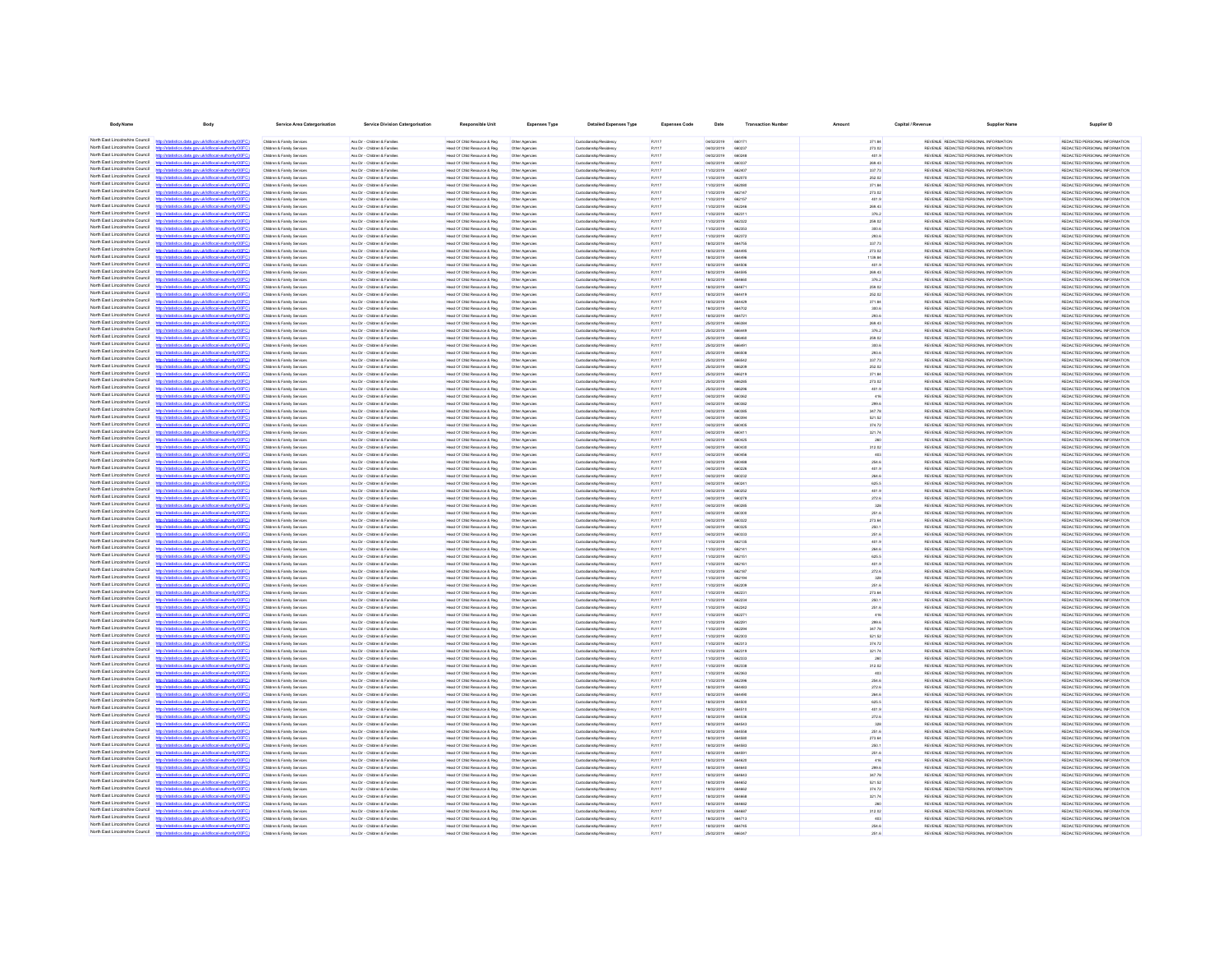| <b>Body Name</b>                                                                      | Body                                                                                                     | Service Area Catergorisation                                                 | <b>Service Division Catergorisation</b>                        | <b>Responsible Unit</b>                                       | Expenses Type                    | <b>Detailed Expenses Type</b>                      | <b>Expenses Code</b>           | Date                            | <b>Transaction Number</b>    |                  | Capital / Revenue | <b>Supplier Nam</b>                                                            | Supplier ID                                                    |
|---------------------------------------------------------------------------------------|----------------------------------------------------------------------------------------------------------|------------------------------------------------------------------------------|----------------------------------------------------------------|---------------------------------------------------------------|----------------------------------|----------------------------------------------------|--------------------------------|---------------------------------|------------------------------|------------------|-------------------|--------------------------------------------------------------------------------|----------------------------------------------------------------|
| North Fast Lincolnshire Council                                                       | istics.data.gov.uk/id/local-authority/00FC)                                                              | Children & Family Services                                                   | Ass Dir - Children & Families                                  | Head Of Child Resource & Reg                                  | Other Agencies                   |                                                    | PJ117                          | 04/02/2019                      | 66017                        | 371.84           |                   | REVENUE REDACTED PERSONAL INFORMATION                                          | REDACTED PERSONAL INFORMATION                                  |
| North East Lincolnshire Council                                                       |                                                                                                          | Children & Family Services                                                   | Ass Dir - Children & Families                                  | Head Of Child Resource & Reg                                  | Other Agencies                   | Custodianship/Residency<br>Custodianship/Residency | PJ117                          | 04/02/2019                      | 660237                       | 273.02           |                   | REVENUE REDACTED PERSONAL INFORMATION                                          | REDACTED PERSONAL INFORMATION                                  |
| North Fast Lincolnshire Council                                                       | http://statistics.data.gov.uk/id/local-authority/00FC)                                                   | Children & Family Services                                                   | Ass Dir - Children & Families                                  | Head Of Child Resource & Reg                                  | Other Agencies                   | Custodianship/Residency                            | PJ117                          | 04/02/2019                      | 660248                       | 401.9            |                   | REVENUE REDACTED PERSONAL INFORMATION                                          | REDACTED PERSONAL INFORMATION                                  |
| North Fast Lincolnshire Council                                                       | stics data ony rikld/ocal.authority/00FC                                                                 | Children & Family Services                                                   | Ass Dir - Children & Families                                  | Head Of Child Resource & Reg                                  | Other Agencies                   | Custodianship/Residence                            | PJ117                          | 04/02/2019                      | <b>BROSS</b>                 | 269.43           |                   | REVENUE REDACTED PERSONAL INFORMATION                                          | REDACTED PERSONAL INFORMATION                                  |
| North East Lincolnshire Council<br>North East Lincolnshire Council                    | istics data ony uklid/ocal.authority/00FC                                                                | Children & Family Services<br>Children & Family Services                     | Ass Dir - Children & Families<br>Ass Dir - Children & Families | Head Of Child Resource & Reg<br>Head Of Child Resource & Reg  | Other Agencies<br>Other Agencies | Custodianship/Residency<br>Custodianship/Residence | PJ117<br>PJ117                 | 11/02/2019<br>11/02/2019        | <b>BROAD</b><br>662070       | 337.73<br>252.02 |                   | REVENUE REDACTED PERSONAL INFORMATION<br>REVENUE REDACTED PERSONAL INFORMATION | REDACTED PERSONAL INFORMATION<br>REDACTED PERSONAL INFORMATION |
| North East Lincolnshire Council                                                       | ios data ony uklidiocal authorit                                                                         | Children & Family Services                                                   | Ass Dir - Children & Families                                  | Head Of Child Resource & Reg                                  | Other Agencies                   | Custodianship/Residence                            | PJ117                          | 11/02/2019                      | 662080                       | 371.84           |                   | REVENUE REDACTED PERSONAL INFORMATION                                          | REDACTED PERSONAL INFORMATION                                  |
| North East Lincolnshire Council                                                       | http://statistics.data.gov.uk/id/local-authority/00FC1                                                   | Children & Family Services                                                   | Ass Dir - Children & Families                                  | Head Of Child Resource & Reg                                  | Other Agencies                   | Custodianship/Residence                            | PJ117                          | 11/02/2019                      | 662147                       | 273.02           |                   | REVENUE REDACTED PERSONAL INFORMATION                                          | REDACTED PERSONAL INFORMATION                                  |
| North East Lincolnshire Council<br>North East Lincolnshire Council                    | stics.data.gov.uk/id/local-authority/00FC                                                                | Children & Family Service                                                    | Ass Dir - Children & Families                                  | Head Of Child Resource & Reg.                                 | Other Agencies                   | Custodianship/Residence                            | PJ117                          | 11/02/2019                      | 662157                       | 401.9            |                   | REVENUE REDACTED PERSONAL INFORMATION                                          | REDACTED PERSONAL INFORMATION                                  |
| North East Lincolnshire Council                                                       | statistics.data.gov.uk/id/local-authority/00FC1<br>ting state over skildforml.authoritalOC               | Children & Family Services<br>Children & Family Service                      | Ass Dir - Children & Families<br>Ass Dir - Children & Families | Head Of Child Resource & Reg<br>Head Of Child Resource & Reg  | Other Agencies<br>Other Agencie  | Custodianship/Residence<br>Custodianship/Residenc  | PJ117<br>PJ117                 | 11/02/2019<br>11/02/2019        | 662246<br>66231              | 269.43<br>376.2  |                   | REVENUE REDACTED PERSONAL INFORMATION<br>REVENUE REDACTED PERSONAL INFORMATION | REDACTED PERSONAL INFORMATION<br>REDACTED PERSONAL INFORMATION |
| North East Lincolnshire Council                                                       | http://statistics.data.oov.uk/d/ocal.authority/00FCI                                                     | Children & Family Service                                                    | Ass Dir - Children & Families                                  | Head Of Child Resource & Reg.                                 | Other Agencie                    | Custodianship/Residence                            | <b>P.I117</b>                  | 11/02/2019                      | 662322                       | 259.02           |                   | REVENUE REDACTED PERSONAL INFORMATION                                          | REDACTED PERSONAL INFORMATION                                  |
| North East Lincolnshire Council                                                       |                                                                                                          | Children & Family Service                                                    | Ass Dir - Children & Familie                                   | Head Of Child Resource & Reg                                  | Other Agencie                    | Custodianship/Residence                            | PJ117                          | 11/02/2019                      | 66235                        | 300.6            |                   | REVENUE REDACTED PERSONAL INFORMATION                                          | REDACTED PERSONAL INFORMATION                                  |
| North East Lincolnshire Council<br>North East Lincolnshire Council                    | http://statistics.data.gov.uk/id/local-authority/00FC<br>distribution data and debthood activities (DDC) | Children & Family Service                                                    | Ass Dir - Children & Familie                                   | Head Of Child Resource & Reg                                  | Other Agencie                    | Custodianship/Residenc                             | PJ117                          | 11/02/2019                      | 662373                       | 293.6            |                   | REVENUE REDACTED PERSONAL INFORMATION                                          | REDACTED PERSONAL INFORMATION                                  |
| North East Lincolnshire Council                                                       | //statistics.data.gov.uk/id/local-authority/00F                                                          | <b>Children &amp; Family Service</b><br><b>Children &amp; Family Service</b> | Ass Dir - Children & Family<br>Ass Dir - Children & Famile     | Head Of Child Resource & Reg<br>Head Of Child Resource & Reg  | Other Agencie                    | Custodianship/Residenc<br>Custodianship/Residency  | PJ117<br>PJ117                 | 18/02/2019<br>18/02/2019        | 664755                       | 337.73<br>273.02 |                   | REVENUE REDACTED PERSONAL INFORMATION<br>REVENUE REDACTED PERSONAL INFORMATION | REDACTED PERSONAL INFORMATION<br>REDACTED PERSONAL INFORMATION |
| North East Lincolnshire Council                                                       |                                                                                                          | Children & Family Service                                                    | Ass Dir - Children & Familie                                   | Head Of Child Resource & Reg                                  | Other Agencies                   | Custodianship/Residency                            | PJ117                          | 18/02/2019                      | 6449                         | 1139.84          |                   | REVENUE REDACTED PERSONAL INFORMATION                                          | REDACTED PERSONAL INFORMATION                                  |
| North East Lincolnshire Council                                                       | //statistics.data.gov.uk/id/local-authority/00FC1                                                        | Children & Family Service                                                    | Ass Dir - Children & Famile                                    | Head Of Child Resource & Reg                                  | Other Agencies                   | Custodianship/Residency                            | PJ117                          | 18/02/2019                      |                              | 401.9            |                   | REVENUE REDACTED PERSONAL INFORMATION                                          | REDACTED PERSONAL INFORMATION                                  |
| North Fast Lincolnshire Council<br>North East Lincolnshire Council                    |                                                                                                          | Children & Family Services                                                   | Ass Dir - Children & Families                                  | Head Of Child Resource & Reg                                  | Other Agencies                   | Custodianship/Residency                            | PJ117                          | 18/02/2019                      | 664595                       | 269.43           |                   | REVENUE REDACTED PERSONAL INFORMATION                                          | REDACTED PERSONAL INFORMATION                                  |
| North East Lincolnshire Council                                                       | stics.data.gov.uk/id/local-authority/00FC)                                                               | Children & Family Services<br>Children & Family Services                     | Ass Dir - Children & Families<br>Ass Dir - Children & Families | Head Of Child Resource & Reg<br>Head Of Child Resource & Reg. | Other Agencies<br>Other Agencies | Custodianship/Residency<br>Custodianship/Residency | PJ117<br>PJ117                 | 18/02/2019<br>18/02/2019        | 66467                        | 376.2<br>259.02  |                   | REVENUE REDACTED PERSONAL INFORMATION<br>REVENUE REDACTED PERSONAL INFORMATION | REDACTED PERSONAL INFORMATION<br>REDACTED PERSONAL INFORMATION |
| North Fast Lincolnshire Council                                                       | stics.data.gov.uk/id/local-authority/00FC1                                                               | Children & Family Services                                                   | Ass Dir - Children & Families                                  | Head Of Child Resource & Reg                                  | Other Agencies                   | Custodianship/Residency                            | PJ117                          | 18/02/2019                      | 664419                       | 252.02           |                   | REVENUE REDACTED PERSONAL INFORMATION                                          | REDACTED PERSONAL INFORMATION                                  |
| North Fast Lincolnshire Council                                                       |                                                                                                          | Children & Family Services                                                   | Ass Dir - Children & Families                                  | Head Of Child Resource & Reg                                  | Other Agencies                   | Custodianship/Residence                            | PJ117                          | 18/02/2019                      | <b>AR4420</b>                | 371.84           |                   | REVENUE REDACTED PERSONAL INFORMATION                                          | REDACTED PERSONAL INFORMATION                                  |
| North East Lincolnshire Council<br>North Fast Lincolnshire Council                    | http://statistics.data.gov.uk/id/local-authority/00FC)<br>stics data ony uklidiocal authority(00F)       | Children & Family Services                                                   | Ass Dir - Children & Families                                  | Head Of Child Resource & Reg                                  | Other Agencies                   | Custodianship/Residency                            | PJ117                          | 18/02/2019                      | 664702                       | 300.6            |                   | REVENUE REDACTED PERSONAL INFORMATION                                          | REDACTED PERSONAL INFORMATION                                  |
| North East Lincolnshire Council                                                       | tics data ony uklidiocal authority(00FC)                                                                 | Children & Family Services<br>Children & Family Services                     | Ass Dir - Children & Families<br>Ass Dir - Children & Families | Head Of Child Resource & Reg<br>Head Of Child Resource & Reg  | Other Agencies<br>Other Agencies | Custodianship/Residence<br>Custodianship/Residence | PJ117<br>PJ117                 | 18/02/2019<br>25/02/2019        | 664721<br><b>ARRSA</b>       | 293.6<br>269.43  |                   | REVENUE REDACTED PERSONAL INFORMATION<br>REVENUE REDACTED PERSONAL INFORMATION | REDACTED PERSONAL INFORMATION<br>REDACTED PERSONAL INFORMATION |
| North East Lincolnshire Counci                                                        | ony ukłdócal authority                                                                                   | Children & Family Service                                                    | Ass Dir - Children & Families                                  | Head Of Child Resource & Reg.                                 | Other Agencies                   | Custodianship/Residence                            | PJ117                          | 25/02/2019                      | 66644                        | 376.2            |                   | REVENUE REDACTED PERSONAL INFORMATION                                          | REDACTED PERSONAL INFORMATION                                  |
| North East Lincolnshire Council                                                       | http://statistics.data.gov.uk/id/ocal-authority/00FC)                                                    | Children & Family Services                                                   | Ass Dir - Children & Families                                  | Head Of Child Resource & Reg                                  | Other Agencies                   | Custodianship/Residence                            | PJ117                          | 25/02/2019                      | 666460                       | 259.02           |                   | REVENUE REDACTED PERSONAL INFORMATION                                          | REDACTED PERSONAL INFORMATION                                  |
| North East Lincolnshire Council<br>North East Lincolnshire Council                    | digiting state and definitional authority (ODCC)<br>fine state and definitional authority (DOEC)         | Children & Family Service<br>Children & Family Service                       | Ass Dir - Children & Families<br>Ass Dir - Ohirkan & Familian  | Head Of Child Resource & Reg<br>Head Of Child Resource & Reg  | Other Agencie                    | Custodianship/Residence<br>Custodianship/Residence | <b>P.I117</b><br><b>P.H.17</b> | 25/02/2019<br><b>25/02/2019</b> | <b>ARRAS</b><br><b>ARRSO</b> | 300.6<br>293.6   |                   | REVENUE REDACTED PERSONAL INFORMATION<br>REVENUE REDACTED PERSONAL INFORMATION | REDACTED PERSONAL INFORMATION<br>REDACTED PERSONAL INFORMATION |
| North East Lincolnshire Council                                                       |                                                                                                          | <b>Children &amp; Family Service</b>                                         | Ass Dir - Children & Famile                                    | Head Of Child Resource & Reg                                  | Other Agencies<br>Other Agencie  | Custodianship/Residence                            | PJ117                          | 25/02/2019                      | 666543                       | 337.73           |                   | REVENUE REDACTED PERSONAL INFORMATION                                          | REDACTED PERSONAL INFORMATION                                  |
| North East Lincolnshire Council                                                       |                                                                                                          | Children & Family Service                                                    | Ass Dir - Children & Families                                  | Head Of Child Resource & Reg                                  | Other Agencie                    | Custodianship/Residence                            | PJ117                          | 25/02/2019                      | 66620                        | 252.02           |                   | REVENUE REDACTED PERSONAL INFORMATION                                          | REDACTED PERSONAL INFORMATION                                  |
| North East Lincolnshire Council                                                       | http://statistics.data.oov.uk/d/ocal.authority/00FCI                                                     | Children & Family Service                                                    | Ass Dir - Children & Families                                  | Head Of Child Resource & Reg                                  | Other Agencie                    | Custodianship/Residenc                             | PJ117                          | 25/02/2019                      | 666210                       | 371.84           |                   | REVENUE REDACTED PERSONAL INFORMATION                                          | REDACTED PERSONAL INFORMATION                                  |
| North East Lincolnshire Council<br>North East Lincolnshire Council                    | //statistics.data.gov.uk/id/local-authority/00F                                                          | <b>Children &amp; Family Service</b>                                         | Ass Dir - Children & Familie                                   | lead Of Child Resource & Reg                                  | Other Agencie                    | Custodianship/Residency                            | PJ117                          | 25/02/2019                      | 66628                        | 273.02           |                   | REVENUE REDACTED PERSONAL INFORMATION                                          | REDACTED PERSONAL INFORMATION                                  |
| North East Lincolnshire Council                                                       | istics.data.gov.uk/id/local-authority/00F                                                                | <b>Children &amp; Family Service</b><br><b>Children &amp; Family Service</b> | Ass Dir - Children & Familie<br>Ass Dir - Children & Famile    | Head Of Child Resource & Reg<br>Head Of Child Resource & Reg  | Other Agencie<br>Other Agencie   | Custodianship/Residenc<br>Custodianship/Residenc   | PJ117<br>PJ117                 | 25/02/2019<br>04/02/2019        |                              | 401.9<br>416     |                   | REVENUE REDACTED PERSONAL INFORMATION<br>REVENUE REDACTED PERSONAL INFORMATION | REDACTED PERSONAL INFORMATION<br>REDACTED PERSONAL INFORMATION |
| North East Lincolnshire Council                                                       | stics.data.gov.uk/id/local-authority/00F                                                                 | Children & Family Service                                                    | Ass Dir - Children & Famile                                    | Head Of Child Resource & Reg                                  | Other Agencie                    | Custodianship/Residency                            | PJ117                          | 04/02/2019                      |                              | 299.6            |                   | REVENUE REDACTED PERSONAL INFORMATION                                          | REDACTED PERSONAL INFORMATION                                  |
| North East Lincolnshire Council                                                       |                                                                                                          | Children & Family Services                                                   | Ass Dir - Children & Famile                                    | Head Of Child Resource & Reg                                  | Other Agencies                   | Custodianship/Residency                            | PJ117                          | 04/02/2019                      | 66038                        | 347.78           |                   | REVENUE REDACTED PERSONAL INFORMATION                                          | REDACTED PERSONAL INFORMATION                                  |
| North East Lincolnshire Council<br>North Fast Lincolnshire Council                    | tatistics.data.gov.ukld/local-authority/00FC1                                                            | Children & Family Services                                                   | Ass Dir - Children & Families                                  | Head Of Child Resource & Reg                                  | Other Agencies                   | Custodianship/Residency                            | PJ117                          | 04/02/2019                      |                              | 521.52           |                   | REVENUE REDACTED PERSONAL INFORMATION                                          | REDACTED PERSONAL INFORMATION                                  |
| North Fast Lincolnshire Council                                                       | stics.data.gov.uk/id/local-authority/00FC1                                                               | Children & Family Services<br>Children & Family Services                     | Ass Dir - Children & Families<br>Ass Dir - Children & Families | Head Of Child Resource & Reg<br>Head Of Child Resource & Reg  | Other Agencies<br>Other Agencies | Custodianship/Residency<br>Custodianship/Residency | PJ117<br>PJ117                 | 04/02/2019<br>04/02/2019        | 660405<br>66041              | 374.72<br>321.74 |                   | REVENUE REDACTED PERSONAL INFORMATION<br>REVENUE REDACTED PERSONAL INFORMATION | REDACTED PERSONAL INFORMATION<br>REDACTED PERSONAL INFORMATION |
| North East Lincolnshire Council                                                       |                                                                                                          | Children & Family Services                                                   | Ass Dir - Children & Families                                  | Head Of Child Resource & Reg                                  | Other Agencies                   | Custodianship/Residency                            | PJ117                          | 04/02/2019                      | 660429                       | 260              |                   | REVENUE REDACTED PERSONAL INFORMATION                                          | REDACTED PERSONAL INFORMATION                                  |
| North East Lincolnshire Council                                                       | stics.data.gov.uk/id/local-authority/00FC)                                                               | Children & Family Services                                                   | Ass Dir - Children & Families                                  | Head Of Child Resource & Reg                                  | Other Agencies                   | Custodianship/Residency                            | PJ117                          | 04/02/2019                      | 660430                       | 312.02           |                   | REVENUE REDACTED PERSONAL INFORMATION                                          | REDACTED PERSONAL INFORMATION                                  |
| North East Lincolnshire Council<br>North East Lincolnshire Council                    |                                                                                                          | Children & Family Services                                                   | Ass Dir - Children & Families                                  | Head Of Child Resource & Reg                                  | Other Agencies                   | Custodianship/Residence                            | PJ117                          | 04/02/2019                      | <b>BROADS</b>                | 403              |                   | REVENUE REDACTED PERSONAL INFORMATION                                          | REDACTED PERSONAL INFORMATION                                  |
| <b>Introducts</b><br>North East Lincolnshire Council                                  | distics.data.gov.uk/id/local-authority/00FC1<br>istics data ony uklid/ocal.authority/00F                 | Children & Family Services<br>Children & Family Services                     | Ass Dir - Children & Families<br>Ass Dir - Children & Families | Head Of Child Resource & Reg<br>Head Of Child Resource & Reg  | Other Agencies<br>Other Agencies | Custodianship/Residence<br>Custodianship/Residence | PJ117<br>PJ117                 | 04/02/2019<br>04/02/2019        | 660488<br>660226             | 254.6<br>401.9   |                   | REVENUE REDACTED PERSONAL INFORMATION<br>REVENUE REDACTED PERSONAL INFORMATION | REDACTED PERSONAL INFORMATION<br>REDACTED PERSONAL INFORMATION |
| North East Lincolnshire Council                                                       | stics.data.gov.uk/id/local-authority/00FC1                                                               | Children & Family Services                                                   | Ass Dir - Children & Families                                  | Head Of Child Resource & Reg                                  | Other Agencies                   | Custodianship/Residence                            | PJ117                          | 04/02/2019                      | 660232                       | 264.6            |                   | REVENUE REDACTED PERSONAL INFORMATION                                          | REDACTED PERSONAL INFORMATION                                  |
| North East Lincolnshire Council                                                       |                                                                                                          | Children & Family Service                                                    | Ass Dir - Children & Families                                  | Head Of Child Resource & Reg.                                 | Other Agencie                    | Custodianship/Residence                            | <b>P.I117</b>                  | nunsionse                       | 66024                        | <b>ROSS</b>      |                   | REVEN E REDACTED PERSONAL INFORMATION                                          | REDACTED PERSONAL INFORMATION                                  |
| North East Lincolnshire Council<br>North East Lincolnshire Council                    | http://statistics.data.gov.uk/id/local-authority/00FC)<br>ation data any skidhood autookal0000           | Children & Family Services                                                   | Ass Dir - Children & Families                                  | Head Of Child Resource & Reg                                  | Other Agencies                   | Custodianship/Residency                            | PJ117                          | 04/02/2019                      | 660252                       | 401.9            |                   | REVENUE REDACTED PERSONAL INFORMATION                                          | REDACTED PERSONAL INFORMATION                                  |
| North East Lincolnshire Council                                                       | tistics.data.gov.uk/id/local-authority/00FC1                                                             | Children & Family Service<br>Children & Family Service                       | Ass Dir - Children & Families<br>Ass Dir - Children & Families | Head Of Child Resource & Reg<br>Head Of Child Resource & Reg  | Other Agencie<br>Other Agencie   | Custodianship/Residenc<br>Custodianship/Residency  | PJ117<br>PJ117                 | 04/02/2019<br>ernsysne          | 660278<br><b>BROOM</b>       | 272.6<br>328     |                   | REVENUE REDACTED PERSONAL INFORMATION<br>REVENUE REDACTED PERSONAL INFORMATION | REDACTED PERSONAL INFORMATION<br>REDACTED PERSONAL INFORMATION |
| North East Lincolnshire Council                                                       |                                                                                                          | <b>Children &amp; Family Service</b>                                         | Ass Dir - Children & Famile                                    | Head Of Child Resource & Reg                                  | Other Agencie                    | Custodianship/Residence                            | PJ117                          | 04/02/2019                      |                              | 251.6            |                   | REVENUE REDACTED PERSONAL INFORMATION                                          | REDACTED PERSONAL INFORMATION                                  |
| North East Lincolnshire Council                                                       | http://statistics.data.gov.uk/id/local-authority/00FC                                                    | Children & Family Service                                                    | Ass Dir - Children & Familie                                   | lead Of Child Resource & Reg                                  | Other Agencie                    | Custodianship/Residenc                             | PJ117                          | 04/02/2019                      | 66032                        | 273.64           |                   | REVENUE REDACTED PERSONAL INFORMATION                                          | REDACTED PERSONAL INFORMATION                                  |
| North East Lincolnshire Council<br>North East Lincolnshire Council                    | distribution state concretible coloration the infinite CO<br><b>CONTRACTOR</b> CONTRACTOR CONTRACTOR     | Children & Family Services                                                   | Ass Dir - Children & Families                                  | Head Of Child Resource & Reg                                  | Other Agencies                   | Custodianship/Residency                            | PJ117                          | 04/02/2019                      |                              | 250.1            |                   | REVENUE REDACTED PERSONAL INFORMATION                                          | REDACTED PERSONAL INFORMATION                                  |
| North East Lincolnshire Council                                                       |                                                                                                          | <b>Children &amp; Family Service</b><br>Children & Family Services           | Ass Dir - Children & Family<br>Ass Dir - Children & Families   | Head Of Child Resource & Reg<br>Head Of Child Resource & Reg  | Other Agencie<br>Other Agencies  | Custodianship/Residency<br>Custodianship/Residency | PJ117<br>PJ117                 | 04/02/2019<br>11/02/2019        | 662135                       | 251.6<br>401.9   |                   | REVENUE REDACTED PERSONAL INFORMATION<br>REVENUE REDACTED PERSONAL INFORMATION | REDACTED PERSONAL INFORMATION<br>REDACTED PERSONAL INFORMATION |
| North East Lincolnshire Council                                                       |                                                                                                          | Children & Family Service                                                    | Ass Dir - Children & Familie                                   | Head Of Child Resource & Reg                                  | Other Agencies                   | Custodianship/Residenc                             | PJ117                          | 11/02/2019                      | 66214                        | 264.6            |                   | REVENUE REDACTED PERSONAL INFORMATION                                          | REDACTED PERSONAL INFORMATION                                  |
| North East Lincolnshire Council                                                       |                                                                                                          | Children & Family Service                                                    | Ass Dir - Children & Famile                                    | Head Of Child Resource & Reg                                  | Other Agencies                   | Custodianship/Residency                            | PJ117                          | 11/02/2019                      | 66215                        | 625.5            |                   | REVENUE REDACTED PERSONAL INFORMATION                                          | REDACTED PERSONAL INFORMATION                                  |
| North Fast Lincolnshire Council<br>North East Lincolnshire Council                    | atistics.data.gov.uk/id/local-authority/00FC                                                             | Children & Family Services<br>Children & Family Services                     | Ass Dir - Children & Families<br>Ass Dir - Children & Families | Head Of Child Resource & Reg<br>Head Of Child Resource & Reg  | Other Agencies                   | Custodianship/Residency                            | PJ117<br>PJ117                 | 11/02/2019<br>11/02/2019        | 66216                        | 401.9<br>272.6   |                   | REVENUE REDACTED PERSONAL INFORMATION<br>REVENUE REDACTED PERSONAL INFORMATION | REDACTED PERSONAL INFORMATION<br>REDACTED PERSONAL INFORMATION |
| North East Lincolnshire Council                                                       |                                                                                                          | Children & Family Services                                                   | Ass Dir - Children & Families                                  | Head Of Child Resource & Reg                                  | Other Agencies<br>Other Agencies | Custodianship/Residency<br>Custodianship/Residency | PJ117                          | 11/02/2019                      | 66218<br>66219               | 328              |                   | REVENUE REDACTED PERSONAL INFORMATION                                          | REDACTED PERSONAL INFORMATION                                  |
| North East Lincolnshire Council                                                       | istics.data.gov.uk/id/local-authority/00FC1                                                              | Children & Family Services                                                   | Ass Dir - Children & Families                                  | Head Of Child Resource & Reg                                  | Other Agencies                   | Custodianship/Residency                            | PJ117                          | 11/02/2019                      | 662209                       | 251.6            |                   | REVENUE REDACTED PERSONAL INFORMATION                                          | REDACTED PERSONAL INFORMATION                                  |
| North East Lincolnshire Council                                                       |                                                                                                          | Children & Family Services                                                   | Ass Dir - Children & Families                                  | Head Of Child Resource & Reg                                  | Other Agencies                   | Custodianship/Residence                            | PJ117                          | 11/02/2019                      | 662231                       | 273.64           |                   | REVENUE REDACTED PERSONAL INFORMATION                                          | REDACTED PERSONAL INFORMATION                                  |
| North East Lincolnshire Council<br>North East Lincolnshire Council                    | stics.data.gov.uk/id/local-authority/00FC)<br>stics data ony uklidiocal authority/00F                    | Children & Family Services<br>Children & Family Services                     | Ass Dir - Children & Families<br>Ass Dir - Children & Families | Head Of Child Resource & Reg<br>Head Of Child Resource & Reg  | Other Agencies                   | Custodianship/Residency<br>Custodianship/Residence | PJ117<br>PJ117                 | 11/02/2019<br>11/02/2019        | 662234<br>662242             | 250.1<br>251.6   |                   | REVENUE REDACTED PERSONAL INFORMATION<br>REVENUE REDACTED PERSONAL INFORMATION | REDACTED PERSONAL INFORMATION<br>REDACTED PERSONAL INFORMATION |
| North East Lincolnshire Council<br><b>Introducts</b>                                  | distics.data.gov.uk/id/local-authority/00FC1                                                             | Children & Family Services                                                   | Ass Dir - Children & Families                                  | Head Of Child Resource & Reg                                  | Other Agencies<br>Other Agencies | Custodianship/Residence                            | PJ117                          | 11/02/2019                      | 662271                       | 416              |                   | REVENUE REDACTED PERSONAL INFORMATION                                          | REDACTED PERSONAL INFORMATION                                  |
| North East Lincolnshire Council                                                       | fields and sound in the state of the final                                                               | Children & Family Service                                                    | Ass Dir - Children & Families                                  | Head Of Child Resource & Reg.                                 | Other Agencies                   | Custodianship/Residence                            | PJ117                          | 11/02/2019                      | 66229                        | 299.6            |                   | REVENUE REDACTED PERSONAL INFORMATION                                          | REDACTED PERSONAL INFORMATION                                  |
| North East Lincolnshire Council                                                       | stics.data.gov.uk/id/local-authority/00FC1                                                               | Children & Family Services                                                   | Ass Dir - Children & Families                                  | Head Of Child Resource & Reg                                  | Other Agencies                   | Custodianship/Residence                            | PJ117                          | 11/02/2019                      | 66229                        | 347.78           |                   | REVENUE REDACTED PERSONAL INFORMATION                                          | REDACTED PERSONAL INFORMATION                                  |
| North East Lincolnshire Council<br>North East Lincolnshire Council                    | http://statistics.data.onv.uk/d/ocal.authority/00EC)                                                     | Children & Family Service<br>Children & Family Service                       | Ass Dir - Children & Families<br>Ass Dir - Ohirkan & Familian  | Head Of Child Resource & Reg<br>Head Of Child Resource & Reg  | Other Agencie                    | Custodianship/Resident                             | PJ117<br><b>P.I117</b>         | 11/02/2019<br>enerente          | <b>AR2300</b><br>662313      | 521.52           |                   | REVENUE REDACTED PERSONAL INFORMATION<br>REVENUE REDACTED PERSONAL INFORMATION | REDACTED PERSONAL INFORMATION<br>REDACTED PERSONAL INFORMATION |
| North East Lincolnshire Council                                                       | CONTRACTOR and provided the contractor of the laters                                                     | Children & Family Service                                                    | Ass Dir - Children & Famile                                    | Head Of Child Resource & Reg                                  | Other Agencies<br>Other Agencie  | Custodianship/Residency<br>Custodianship/Residenc  | PJ117                          | 11/02/2019                      | 662319                       | 374.72<br>321.74 |                   | REVENUE REDACTED PERSONAL INFORMATION                                          | REDACTED PERSONAL INFORMATION                                  |
| North East Lincolnshire Council                                                       | distics.data.gov.uk/id/local-authority/00FC                                                              | Children & Family Service                                                    | Ass Dir - Children & Families                                  | Head Of Child Resource & Reg                                  | Other Agencie                    | Custodianship/Residenc                             | PJ117                          | 11/02/2019                      | 662333                       | 260              |                   | REVENUE REDACTED PERSONAL INFORMATION                                          | REDACTED PERSONAL INFORMATION                                  |
| North East Lincolnshire Council                                                       |                                                                                                          | <b>Children &amp; Family Service</b>                                         | Ass Dir - Children & Famile                                    | Head Of Child Resource & Reg                                  | Other Agencie                    | Custodianship/Residency                            | PJ117                          | 11/02/2019                      |                              | 312.02           |                   | REVENUE REDACTED PERSONAL INFORMATION                                          | REDACTED PERSONAL INFORMATION                                  |
| North East Lincolnshire Council<br>North East Lincolnshire Council                    | stics.data.gov.uk/id/local-authority/00F                                                                 | <b>Children &amp; Family Service</b>                                         | Ass Dir - Children & Famile                                    | lead Of Child Resource & Reg                                  |                                  | Custodianship/Residenc                             | PJ117                          | 11/02/2019                      | 66236                        |                  |                   | REVENUE REDACTED PERSONAL INFORMATION                                          | REDACTED PERSONAL INFORMATION                                  |
| North East Lincolnshire Council                                                       | stics.data.gov.uk/id/local-authority/00FC                                                                | Children & Family Services<br>Children & Family Service                      | Ass Dir - Children & Families<br>Ass Dir - Children & Famile   | Head Of Child Resource & Reg<br>Head Of Child Resource & Reg  | Other Agencies<br>Other Agencies | Custodianship/Residency<br>Custodianship/Residency | PJ117<br>PJ117                 | 11/02/2019<br>18/02/2019        | 66239                        | 254.6<br>272.6   |                   | REVENUE REDACTED PERSONAL INFORMATION<br>REVENUE REDACTED PERSONAL INFORMATION | REDACTED PERSONAL INFORMATION<br>REDACTED PERSONAL INFORMATION |
| North East Lincolnshire Council                                                       |                                                                                                          | Children & Family Services                                                   | Ass Dir - Children & Families                                  | Head Of Child Resource & Reg                                  | Other Agencies                   | Custodianship/Residency                            | PJ117                          | 18/02/2019                      | 664496                       | 264.6            |                   | REVENUE REDACTED PERSONAL INFORMATION                                          | REDACTED PERSONAL INFORMATION                                  |
| North Fast Lincolnshire Council                                                       | tics.data.gov.uk/id/local-authority/00FC)                                                                | Children & Family Services                                                   | Ass Dir - Children & Families                                  | Head Of Child Resource & Reg                                  | Other Agencies                   | Custodianship/Residency                            | PJ117                          | 18/02/2019                      | 66450                        | 625.5            |                   | REVENUE REDACTED PERSONAL INFORMATION                                          | REDACTED PERSONAL INFORMATION                                  |
| North East Lincolnshire Council<br>North Fast Lincolnshire Council                    |                                                                                                          | Children & Family Services                                                   | Ass Dir - Children & Families                                  | Head Of Child Resource & Reg                                  | Other Agencies                   | Custodianship/Residency                            | PJ117                          | 18/02/2019                      | 664510                       | 401.9            |                   | REVENUE REDACTED PERSONAL INFORMATION                                          | REDACTED PERSONAL INFORMATION                                  |
| North Fast Lincolnshire Council                                                       | ics data ony ukld/ocal authority                                                                         | Children & Family Services<br>Children & Family Services                     | Ass Dir - Children & Families<br>Ass Dir - Children & Families | Head Of Child Resource & Reg<br>Head Of Child Resource & Reg  | Other Agencies<br>Other Agencies | Custodianship/Residency<br>Custodianship/Residence | PJ117<br>PJ117                 | 18/02/2019<br>18/02/2019        | 664536<br><b>ARASAS</b>      | 272.6<br>328     |                   | REVENUE REDACTED PERSONAL INFORMATION<br>REVENUE REDACTED PERSONAL INFORMATION | REDACTED PERSONAL INFORMATION<br>REDACTED PERSONAL INFORMATION |
| North East Lincolnshire Council                                                       |                                                                                                          | Children & Family Services                                                   | Ass Dir - Children & Families                                  | Head Of Child Resource & Reg                                  | Other Agencies                   | Custodianship/Residency                            | PJ117                          | 18/02/2019                      | 66455                        | 251.6            |                   | REVENUE REDACTED PERSONAL INFORMATION                                          | REDACTED PERSONAL INFORMATION                                  |
| North East Lincolnshire Council                                                       | istics.data.gov.uk/id/local-authority/00FC)                                                              | Children & Family Services                                                   | Ass Dir - Children & Families                                  | Head Of Child Resource & Reg                                  | Other Agencies                   | Custodianship/Residency                            | PJ117                          | 18/02/2019                      | 664580                       | 273.64           |                   | REVENUE REDACTED PERSONAL INFORMATION                                          | REDACTED PERSONAL INFORMATION                                  |
| North East Lincolnshire Council<br>North East Lincolnshire Council                    | tics data ony uklidiocal authority(00FC)                                                                 | Children & Family Services<br>Children & Family Services                     | Ass Dir - Children & Families<br>Ass Dir - Children & Families | Head Of Child Resource & Reg<br>Head Of Child Resource & Reg  | Other Agencies<br>Other Agencies | Custodianship/Residence<br>Custodianship/Residence | PJ117<br>PJ117                 | 18/02/2019<br>18/02/2019        | <b>ARASS</b><br><b>AR459</b> | 250.1<br>251.6   |                   | REVENUE REDACTED PERSONAL INFORMATION<br>REVENUE REDACTED PERSONAL INFORMATION | REDACTED PERSONAL INFORMATION<br>REDACTED PERSONAL INFORMATION |
| North East Lincolnshire Council                                                       | stics data ony uklidiocal authority!                                                                     | Children & Family Service                                                    | Ass Dir - Children & Families                                  | Head Of Child Resource & Reg                                  | Other Agencies                   | Custodianship/Residence                            | PJ117                          | 18/02/2019                      | 664620                       | 416              |                   | REVENUE REDACTED PERSONAL INFORMATION                                          | REDACTED PERSONAL INFORMATION                                  |
| North East Lincolnshire Council                                                       | http://statistics.data.gov.uk/id/local-authority/00FC1                                                   | Children & Family Services                                                   | Ass Dir - Children & Families                                  | Head Of Child Resource & Reg                                  | Other Agencies                   | Custodianship/Residence                            | PJ117                          | 18/02/2019                      | 664640                       | 299.6            |                   | REVENUE REDACTED PERSONAL INFORMATION                                          | REDACTED PERSONAL INFORMATION                                  |
| North East Lincolnshire Council                                                       | diction data and diddiscal authoritating                                                                 | Children & Family Service                                                    | Ass Dir - Children & Families                                  | Head Of Child Resource & Reg.                                 | Other Agencie                    | Custodianship/Residence                            | <b>P.I117</b>                  | sanovano                        | <b>GRAFIE</b>                | 347.78           |                   | REVEN E REDACTED PERSONAL INFORMATION                                          | REDACTED PERSONAL INFORMATION                                  |
| North East Lincolnshire Council<br>http:/<br>North East Lincolnshire Council          | istics.data.gov.uk/id/local-authority/00FC1                                                              | Children & Family Service                                                    | Ass Dir - Children & Families                                  | Head Of Child Resource & Reg                                  | Other Agencies                   | Custodianship/Residence                            | PJ117                          | 18/02/2019                      | 664652                       | 521.52           |                   | REVENUE REDACTED PERSONAL INFORMATION                                          | REDACTED PERSONAL INFORMATION                                  |
| North East Lincolnshire Council                                                       | http://statistics.data.gov.uk/id/local-authority/00FC1                                                   | Children & Family Service<br>Children & Family Service                       | Ass Dir - Children & Familie<br>Ass Dir - Children & Families  | Head Of Child Resource & Reg<br>Head Of Child Resource & Red  | Other Agencie<br>Other Agencie   | Custodianship/Residenc<br>Custodianship/Residenc   | PJ117<br>PJ117                 | 18/02/2019<br>18/02/2019        | <b>ARARE</b>                 | 374.72<br>321.74 |                   | REVENUE REDACTED PERSONAL INFORMATION<br>REVENUE REDACTED PERSONAL INFORMATION | REDACTED PERSONAL INFORMATION<br>REDACTED PERSONAL INFORMATION |
| North East Lincolnshire Council   New Setwheting Hata and details and authority inner |                                                                                                          | <b>Children &amp; Family Service</b>                                         | Ass Dir - Children & Famile                                    | Head Of Child Resource & Reg                                  | Other Agencie                    | Custodianship/Residenc                             | PJ117                          | 18/02/2019                      |                              |                  |                   | REVENUE REDACTED PERSONAL INFORMATION                                          | REDACTED PERSONAL INFORMATION                                  |
| North East Lincolnshire Council                                                       | http://statistics.data.gov.uk/id/local-authority/00FC                                                    | <b>Children &amp; Family Service</b>                                         | Ass Dir - Children & Famile                                    | Head Of Child Resource & Reg                                  | Other Agencie                    | Custodianship/Residence                            | PJ117                          | 18/02/2019                      | <b>IAAAR</b>                 | 312.02           |                   | REVENUE REDACTED PERSONAL INFORMATION                                          | REDACTED PERSONAL INFORMATION                                  |
| North East Lincolnshire Council<br>North East Lincolnshire Council                    |                                                                                                          | Children & Family Services                                                   | Ass Dir - Children & Families                                  | Head Of Child Resource & Reg                                  | Other Agencies                   | Custodianship/Residency                            | PJ117                          | 18/02/2019                      |                              |                  |                   | REVENUE REDACTED PERSONAL INFORMATION                                          | REDACTED PERSONAL INFORMATION                                  |
| North East Lincolnshire Council                                                       | istics.data.gov.uk/id/local-authority/00FC1                                                              | Children & Family Service<br>Writen & Family Servi                           | Ass Dir - Children & Famile<br>Ass Dir - Children & Family     | Head Of Child Resource & Reg<br>Head Of Child Resource & Ren- |                                  | Custodianship/Residence                            | <b>P.I117</b>                  | 8/02/2019<br>25/02/2019         |                              | 254.6<br>251 B   |                   | REVENUE REDACTED PERSONAL INFORMATION<br>REVEN E REDACTED PERSONAL INFOR       | REDACTED PERSONAL INFORMATION<br>REDACTED PERSONAL INFORMATION |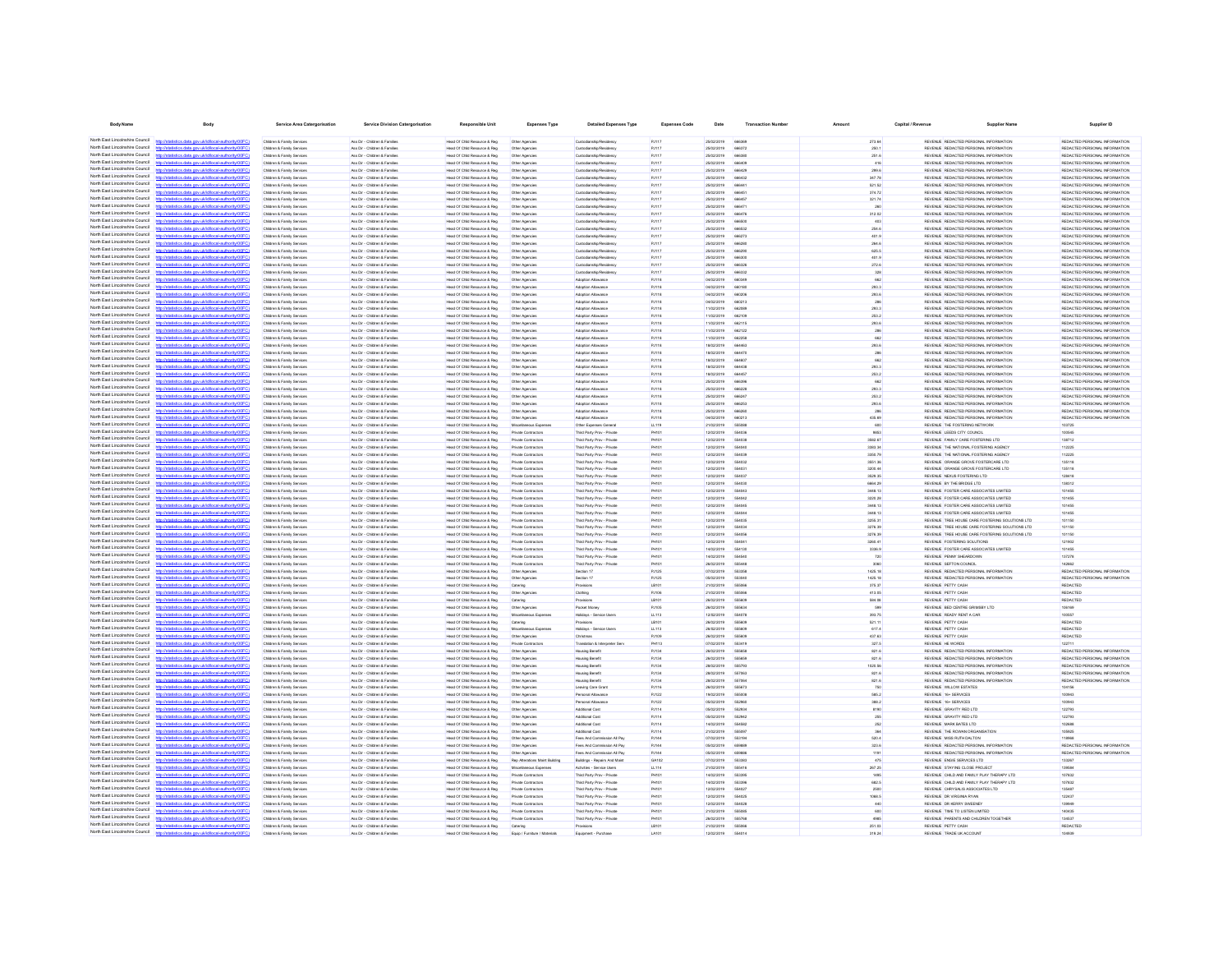| <b>Body Name</b>                                                   | <b>Body</b>                                                                                                         | Service Area Catergorisation                                       | <b>Service Division Catergorisation</b>                        | <b>Responsible Unit</b>                                       | Expenses Type                              | <b>Detailed Expenses Type</b>                              | <b>Expenses Code</b>           | Date                     | <b>Transaction Number</b>     |                           | Capital / Revenue | <b>Supplier Nam</b>                                                                                | Supplier ID                                                    |
|--------------------------------------------------------------------|---------------------------------------------------------------------------------------------------------------------|--------------------------------------------------------------------|----------------------------------------------------------------|---------------------------------------------------------------|--------------------------------------------|------------------------------------------------------------|--------------------------------|--------------------------|-------------------------------|---------------------------|-------------------|----------------------------------------------------------------------------------------------------|----------------------------------------------------------------|
| North Fast Lincolnshire Council                                    | istics.data.gov.uk/id/local-authority/00FC)                                                                         | Children & Family Services                                         | Ass Dir - Children & Families                                  | Head Of Child Resource & Reg                                  | Other Agencies                             | Custodianship/Residency                                    | PJ117                          | 25/02/2019               | 666360                        | 273.64                    |                   | REVENUE REDACTED PERSONAL INFORMATION                                                              | REDACTED PERSONAL INFORMATION                                  |
| North East Lincolnshire Council                                    |                                                                                                                     | Children & Family Services                                         | Ass Dir - Children & Families                                  | Head Of Child Resource & Reg                                  | Other Agencies                             | Custodianship/Residency                                    | PJ117                          | 25/02/2019               | 666372                        | 250.1                     |                   | REVENUE REDACTED PERSONAL INFORMATION                                                              | REDACTED PERSONAL INFORMATION                                  |
| North Fast Lincolnshire Council                                    | http://statistics.data.gov.uk/id/local-authority/00FC)                                                              | Children & Family Services                                         | Ass Dir - Children & Familes                                   | Head Of Child Resource & Reg                                  | Other Agencies                             | Custodianship/Residency                                    | PJ117                          | 25/02/2019               | 666380                        | 251.6                     |                   | REVENUE REDACTED PERSONAL INFORMATION                                                              | REDACTED PERSONAL INFORMATION                                  |
| North Fast Lincolnshire Council                                    | stics data ony rickfdocal authority/00FC                                                                            | Children & Family Services                                         | Ass Dir - Children & Families                                  | Head Of Child Resource & Reg                                  | Other Agencies                             | Custodianship/Residence                                    | PJ117                          | 25/02/2019               | <b>REBADE</b>                 | 416                       |                   | REVENUE REDACTED PERSONAL INFORMATION                                                              | REDACTED PERSONAL INFORMATION                                  |
| North East Lincolnshire Council<br>North East Lincolnshire Council |                                                                                                                     | Children & Family Services                                         | Ass Dir - Children & Families                                  | Head Of Child Resource & Reg                                  | Other Agencies                             | Custodianship/Residency                                    | PJ117                          | 25/02/2019               | <b>ARRAZO</b>                 | 299.6                     |                   | REVENUE REDACTED PERSONAL INFORMATION                                                              | REDACTED PERSONAL INFORMATION                                  |
| North East Lincolnshire Council                                    | stics data ony uklid/ocal-authority/00FC<br>ios data ony ukłdłocal authority<br>http                                | Children & Family Services<br>Children & Family Services           | Ass Dir - Children & Families<br>Ass Dir - Children & Families | Head Of Child Resource & Reg<br>Head Of Child Resource & Reg  | Other Agencies<br>Other Agencies           | Custodianship/Residence<br>Custodianship/Residency         | PJ117<br>PJ117                 | 25/02/2019<br>25/02/2019 | 666432<br>66644               | 347.78<br>521.52          |                   | REVENUE REDACTED PERSONAL INFORMATION<br>REVENUE REDACTED PERSONAL INFORMATION                     | REDACTED PERSONAL INFORMATION<br>REDACTED PERSONAL INFORMATION |
| North East Lincolnshire Council                                    | http://statistics.data.gov.uk/id/local-authority/00FC1                                                              | Children & Family Services                                         | Ass Dir - Children & Families                                  | Head Of Child Resource & Reg                                  | Other Agencies                             | Custodianship/Residence                                    | PJ117                          | 25/02/2019               | <b>ARRAS</b>                  | 374.72                    |                   | REVENUE REDACTED PERSONAL INFORMATION                                                              | REDACTED PERSONAL INFORMATION                                  |
| North East Lincolnshire Council                                    | stics.data.gov.uk/id/local-authority/00FC                                                                           | Children & Family Services                                         | Ass Dir - Children & Families                                  | Head Of Child Resource & Reg.                                 | Other Agencies                             | Custodianship/Residence                                    | PJ117                          | 25/02/2019               | 666457                        | 321.74                    |                   | REVENUE REDACTED PERSONAL INFORMATION                                                              | REDACTED PERSONAL INFORMATION                                  |
| North East Lincolnshire Council<br>North East Lincolnshire Council | Vstatistics.data.gov.uk/id/local-authority/00FC1                                                                    | Children & Family Services                                         | Ass Dir - Children & Families                                  | Head Of Child Resource & Reg                                  | Other Agencies                             | Custodianship/Residence                                    | PJ117                          | 25/02/2019               | 66647                         | 260                       |                   | REVENUE REDACTED PERSONAL INFORMATION                                                              | REDACTED PERSONAL INFORMATION                                  |
| North East Lincolnshire Council                                    | ting state over skildforml.authority(00<br>http://statistics.data.oov.uk/d/ocal.authority/00FCI                     | Children & Family Service<br>Children & Family Service             | Ass Dir - Children & Families<br>Ass Dir - Children & Families | Head Of Child Resource & Reg<br>Head Of Child Resource & Reg. | Other Agencie<br>Other Agencie             | Custodianship/Residence<br>Custodianship/Residence         | <b>P.H.17</b><br><b>P.I117</b> | 25/02/2019<br>25/02/2019 | <b>BRA47F</b><br>ARASO        | 312.02<br>403             |                   | REVENUE REDACTED PERSONAL INFORMATION<br>REVEN E REDACTED PERSONAL INFORMATION                     | REDACTED PERSONAL INFORMATION<br>REDACTED PERSONAL INFORMATION |
| North East Lincolnshire Council                                    | www.defabrooml.neathorizatOOEC                                                                                      | Children & Family Service                                          | Ass Dir - Children & Families                                  | Head Of Child Resource & Reg                                  | Other Agencie                              | Custodianship/Residenc                                     | PJ117                          | 25/02/2019               | 666532                        | 254.6                     |                   | REVENUE REDACTED PERSONAL INFORMATION                                                              | REDACTED PERSONAL INFORMATION                                  |
| North East Lincolnshire Council                                    | http://statistics.data.gov.uk/id/local-authority/00FC                                                               | Children & Family Service                                          | Ass Dir - Children & Families                                  | Head Of Child Resource & Reg                                  | Other Agencie                              | Custodianship/Residenc                                     | PJ117                          | 25/02/2019               | 66627                         | 401.9                     |                   | REVENUE REDACTED PERSONAL INFORMATION                                                              | REDACTED PERSONAL INFORMATION                                  |
| North East Lincolnshire Council                                    | distribution data con deletional autocologica?                                                                      | <b>Children &amp; Family Service</b>                               | Ass Dir - Children & Familie                                   | Head Of Child Resource & Reg                                  |                                            | Custodianship/Residenc                                     | PJ117                          | 25/02/2019               | 66628                         | 264.6                     |                   | REVENUE REDACTED PERSONAL INFORMATION                                                              | REDACTED PERSONAL INFORMATION                                  |
| North East Lincolnshire Council                                    | //statistics.data.gov.uk/id/local-authority/00FC                                                                    | <b>Children &amp; Family Service</b>                               | Ass Dir - Children & Famile                                    | Head Of Child Resource & Reg                                  | Other Agencie                              | Custodianship/Residence                                    | PJ117                          | 25/02/2019               | 66629                         | 625.5                     |                   | REVENUE REDACTED PERSONAL INFORMATION                                                              | REDACTED PERSONAL INFORMATION                                  |
| North East Lincolnshire Council<br>North East Lincolnshire Council | //statistics.data.gov.uk/id/local-authority/00FC1                                                                   | Children & Family Services<br>Children & Family Service            | Ass Dir - Children & Familie<br>Ass Dir - Children & Families  | Head Of Child Resource & Reg<br>Head Of Child Resource & Reg  | Other Agencies<br>Other Agencies           | Custodianship/Residency<br>Custodianship/Residency         | PJ117<br>PJ117                 | 25/02/2019<br>25/02/2019 | 66630                         | 401.9<br>272.6            |                   | REVENUE REDACTED PERSONAL INFORMATION<br>REVENUE REDACTED PERSONAL INFORMATION                     | REDACTED PERSONAL INFORMATION<br>REDACTED PERSONAL INFORMATION |
| North Fast Lincolnshire Council                                    |                                                                                                                     | Children & Family Services                                         | Ass Dir - Children & Families                                  | Head Of Child Resource & Reg.                                 | Other Agencies                             | Custodianship/Residence                                    | PJ117                          | 25/02/2019               | 666332                        | 328                       |                   | REVENUE REDACTED PERSONAL INFORMATION                                                              | REDACTED PERSONAL INFORMATION                                  |
| North East Lincolnshire Council                                    | stics.data.gov.uk/id/local-authority/00FC)                                                                          | Children & Family Services                                         | Ass Dir - Children & Families                                  | Head Of Child Resource & Reg                                  | Other Agencies                             | Adoption Allowance                                         | PJ118                          | 04/02/2019               | 66034                         | 662                       |                   | REVENUE REDACTED PERSONAL INFORMATION                                                              | REDACTED PERSONAL INFORMATION                                  |
| North East Lincolnshire Council                                    |                                                                                                                     | Children & Family Services                                         | Ass Dir - Children & Families                                  | Head Of Child Resource & Reg.                                 | Other Agencies                             | Adoption Allowance                                         | PJ118                          | 04/02/2019               | 660180                        | 293.3                     |                   | REVENUE REDACTED PERSONAL INFORMATION                                                              | REDACTED PERSONAL INFORMATION                                  |
| North Fast Lincolnshire Council<br>North Fast Lincolnshire Council | stics.data.gov.uk/id/local-authority/00FC)                                                                          | Children & Family Services                                         | Ass Dir - Children & Families                                  | Head Of Child Resource & Reg                                  | Other Agencies                             | Adoption Allowance                                         | PJ118                          | 04/02/2019               | 660206                        | 293.6                     |                   | REVENUE REDACTED PERSONAL INFORMATION                                                              | REDACTED PERSONAL INFORMATION                                  |
| North East Lincolnshire Council                                    | http://statistics.data.gov.uk/id/local-authority/00FC)                                                              | Children & Family Services<br>Children & Family Services           | Ass Dir - Children & Families<br>Ass Dir - Children & Families | Head Of Child Resource & Reg<br>Head Of Child Resource & Reg  | Other Agencies<br>Other Agencies           | Adoption Allowance<br>Adoption Allowance                   | PJ118<br>PJ118                 | 04/02/2019<br>11/02/2019 | 660213<br>662089              | 288<br>293.3              |                   | REVENUE REDACTED PERSONAL INFORMATION<br>REVENUE REDACTED PERSONAL INFORMATION                     | REDACTED PERSONAL INFORMATION<br>REDACTED PERSONAL INFORMATION |
| North Fast Lincolnshire Council                                    | stics data ony uklid/ocal.authority/00FC                                                                            | Children & Family Services                                         | Ass Dir - Children & Families                                  | Head Of Child Resource & Reg                                  | Other Agencies                             | Adoption Allowance                                         | PJ118                          | 11/02/2019               | 662109                        | 253.2                     |                   | REVENUE REDACTED PERSONAL INFORMATION                                                              | REDACTED PERSONAL INFORMATION                                  |
| North East Lincolnshire Council                                    | tics data ony uklidiocal authority(00FC)                                                                            | Children & Family Services                                         | Ass Dir - Children & Families                                  | Head Of Child Resource & Reg                                  | Other Agencies                             | Adoption Allowance                                         | PJ118                          | 11/02/2019               | 662115                        | 293.6                     |                   | REVENUE REDACTED PERSONAL INFORMATION                                                              | REDACTED PERSONAL INFORMATION                                  |
| North East Lincolnshire Counci                                     | ony ukłdłocal authority!                                                                                            | Children & Family Services                                         | Ass Dir - Children & Families                                  | Head Of Child Resource & Reg.                                 | Other Agencies                             | Adoption Allowance                                         | PJ118                          | 11/02/2019               | 662122                        | 288                       |                   | REVENUE REDACTED PERSONAL INFORMATION                                                              | REDACTED PERSONAL INFORMATION                                  |
| North East Lincolnshire Council<br>North East Lincolnshire Council | http://statistics.data.gov.uk/id/ocal-authority/00FC)                                                               | Children & Family Services                                         | Ass Dir - Children & Families                                  | Head Of Child Resource & Reg                                  | Other Agencies                             | Adoption Allowance                                         | PJ118                          | 11/02/2019               | 662258                        | 662                       |                   | REVENUE REDACTED PERSONAL INFORMATION                                                              | REDACTED PERSONAL INFORMATION                                  |
| North East Lincolnshire Council                                    | digiting state and definitional authority (ODCC)<br>fine state and definitional authority (DOEC)                    | Children & Family Service<br>Children & Family Senings             | Ass Dir - Children & Families<br>Ass Dir - Children & Families | Head Of Child Resource & Reg.<br>Head Of Child Resource & Reg | Other Agencie<br>Other Agencies            | <b>Advertise Allewance</b><br><b>Advertisin Allewance</b>  | <b>P.ITSK</b><br><b>P.ITSR</b> | 18/02/2019<br>encroner   | <b>BRAAR</b><br><b>AR4470</b> | 293.6<br>288              |                   | REVENUE REDACTED PERSONAL INFORMATION<br>REVENUE REDACTED PERSONAL INFORMATION                     | REDACTED PERSONAL INFORMATION<br>REDACTED PERSONAL INFORMATION |
| North East Lincolnshire Council                                    |                                                                                                                     | Children & Family Service                                          | Ass Dir - Children & Families                                  | Head Of Child Resource & Reg                                  | Other Agencie                              | Adoption Allowanc                                          | Putte                          | 18/02/2019               | <b>GRAFIT</b>                 | 662                       |                   | REVENUE REDACTED PERSONAL INFORMATION                                                              | REDACTED PERSONAL INFORMATION                                  |
| North East Lincolnshire Council                                    | and the followed authority (f)                                                                                      | Children & Family Service                                          | Ass Dir - Children & Families                                  | Head Of Child Resource & Reg                                  | Other Agencie                              | Adoption Allowance                                         | PJ118                          | 18/02/2019               | <b>ARAA'N</b>                 | 293.3                     |                   | REVENUE REDACTED PERSONAL INFORMATION                                                              | REDACTED PERSONAL INFORMATION                                  |
| North East Lincolnshire Council                                    | http://statistics.data.oov.uk/d/ocal.authority/00FCI                                                                | Children & Family Service                                          | Ass Dir - Children & Families                                  | Head Of Child Resource & Reg                                  | Other Agencie                              | Adoption Allowance                                         | PJ118                          | 18/02/2019               | <b>ARAAS</b>                  | 253.2                     |                   | REVENUE REDACTED PERSONAL INFORMATION                                                              | REDACTED PERSONAL INFORMATION                                  |
| North East Lincolnshire Council                                    | <b>CONTRACTOR</b> CONTRACTOR CONTRACTOR                                                                             | <b>Children &amp; Family Service</b>                               | Ass Dir - Children & Familie                                   | lead Of Child Resource & Reg                                  | Other Agencie                              | <b>Adoption Allowanc</b>                                   | Putte                          | 25/02/2019               | 66839                         | 662                       |                   | REVENUE REDACTED PERSONAL INFORMATION                                                              | REDACTED PERSONAL INFORMATION                                  |
| North East Lincolnshire Council<br>North East Lincolnshire Council | //statistics.data.gov.uk/id/local-authority/00FC<br>distics.data.gov.uk/id/local-authority/00FC                     | Children & Family Service                                          | Ass Dir - Children & Familie                                   | Head Of Child Resource & Reg                                  | Other Agencie                              | Adoption Allowand                                          | Putte                          | 25/02/2019               | 66622                         | 293.3                     |                   | REVENUE REDACTED PERSONAL INFORMATION                                                              | REDACTED PERSONAL INFORMATION                                  |
| North East Lincolnshire Council                                    | istics.data.gov.uk/id/local-authority/00F                                                                           | Children & Family Service<br>Children & Family Service             | Ass Dir - Children & Famile<br>Ass Dir - Children & Famile     | Head Of Child Resource & Reg<br>Head Of Child Resource & Reg  | Other Agencies<br>Other Agencies           | Adoption Allowance<br>Adoption Allowance                   | Putte<br>Putte                 | 25/02/2019<br>25/02/2019 | 666247                        | 253.2<br>293.6            |                   | REVENUE REDACTED PERSONAL INFORMATION<br>REVENUE REDACTED PERSONAL INFORMATION                     | REDACTED PERSONAL INFORMATION<br>REDACTED PERSONAL INFORMATION |
| North East Lincolnshire Council                                    |                                                                                                                     | Children & Family Services                                         | Ass Dir - Children & Families                                  | Head Of Child Resource & Reg                                  | Other Agencies                             | Adoption Allowance                                         | PJ118                          | 25/02/2019               | 66626                         | 286                       |                   | REVENUE REDACTED PERSONAL INFORMATION                                                              | REDACTED PERSONAL INFORMATION                                  |
| North East Lincolnshire Council                                    | statistics.data.gov.uk/id/local-authority/00FC1                                                                     | Children & Family Services                                         | Ass Dir - Children & Families                                  | Head Of Child Resource & Reg                                  | Other Agencies                             | Adoption Allowance                                         | Putte                          | 04/02/2019               | 660213                        | 435.69                    |                   | REVENUE REDACTED PERSONAL INFORMATION                                                              | REDACTED PERSONAL INFORMATION                                  |
| North Fast Lincolnshire Council<br>North Fast Lincolnshire Council |                                                                                                                     | Children & Family Services                                         | Ass Dir - Children & Families                                  | Head Of Child Resource & Reg                                  | Miscellaneous Expense                      | Other Expenses General                                     | LL119                          | 21/02/2019               | 555088                        | 600                       |                   | REVENUE THE FOSTERING NETWORK                                                                      | 103725                                                         |
| North East Lincolnshire Council                                    | stics.data.gov.uk/id/local-authority/00FC1                                                                          | Children & Family Services                                         | Ass Dir - Children & Families                                  | Head Of Child Resource & Reg                                  | Private Contractors                        | Third Party Prov - Private                                 | PH101                          | 12/02/2019               | 554036                        | 9853                      |                   | REVENUE LEEDS CITY COUNCIL                                                                         | 100545                                                         |
| North East Lincolnshire Council                                    | stics.data.gov.uk/id/local-authority/00FC)                                                                          | Children & Family Services<br>Children & Family Services           | Ass Dir - Children & Families<br>Ass Dir - Children & Families | Head Of Child Resource & Reg<br>Head Of Child Resource & Reg  | Private Contractors<br>Private Contractors | Third Party Prov - Private<br>Third Party Prov - Private   | <b>PH101</b><br><b>PH101</b>   | 12/02/2019<br>12/02/2019 | 554038<br>554040              | 3582.67<br>3383.34        |                   | REVENUE FAMILY CARE FOSTERING LTD<br>REVENUE THE NATIONAL FOSTERING AGENCY                         | 138712<br>112225                                               |
| North East Lincolnshire Council                                    |                                                                                                                     | Children & Family Services                                         | Ass Dir - Children & Families                                  | Head Of Child Resource & Reg                                  | Private Contractors                        | Third Party Prov - Private                                 | PH101                          | 12/02/2019               | <b>SS4030</b>                 | 3350.79                   |                   | REVENUE THE NATIONAL FOSTERING AGENCY                                                              | 112225                                                         |
| North East Lincolnshire Council                                    | distics.data.gov.uk/id/local-authority/00FC)<br><b>Introducts</b>                                                   | Children & Family Services                                         | Ass Dir - Children & Families                                  | Head Of Child Resource & Reg                                  | Private Contractors                        | Third Party Prov - Private                                 | PH101                          | 12/02/2019               | <b>SS4032</b>                 | 3551.36                   |                   | REVENUE ORANGE GROVE FOSTERCARE LTD                                                                | 135118                                                         |
| North East Lincolnshire Council                                    | istics data ony rickfdhoal authority/DDFC                                                                           | Children & Family Services                                         | Ass Dir - Children & Families                                  | Head Of Child Resource & Reg                                  | Private Contractors                        | Third Party Prov - Private                                 | PH101                          | 12/02/2019               | <b>SS403</b>                  | 3200.44                   |                   | REVENUE ORANGE GROVE FOSTERCARE LTD                                                                | 135118                                                         |
| North East Lincolnshire Council<br>North East Lincolnshire Council | stics.data.gov.uk/id/local-authority/00FC1                                                                          | Children & Family Services                                         | Ass Dir - Children & Families                                  | Head Of Child Resource & Reg                                  | Private Contractors<br>Private Contractors | Third Party Prov - Private                                 | PH101                          | 12/02/2019<br>12/02/2019 | 654037                        | 3529.35                   |                   | REVENUE NEXUS FOSTERING LTD                                                                        | 128418<br>138312                                               |
| North East Lincolnshire Council                                    | http://statistics.data.gov.uk/id/local-authority/00FC)                                                              | Children & Family Service<br>Children & Family Services            | Ass Dir - Children & Families<br>Ass Dir - Children & Families | Head Of Child Resource & Reg.<br>Head Of Child Resource & Reg | Private Contractors                        | Third Party Prov - Private<br>Third Party Prov - Private   | PHIL<br>PH101                  | 12/02/2019               | <b>SS403</b><br>554043        | <b>6664.29</b><br>3448.13 |                   | REVENUE BY THE BRIDGE LTD<br>REVENUE FOSTER CARE ASSOCIATES LIMITED                                | 101455                                                         |
| North East Lincolnshire Council                                    | ation data and deliveral autocological CC                                                                           | Children & Family Service                                          | Ass Dir - Children & Families                                  | Head Of Child Resource & Reg                                  | Private Contractor:                        | Third Party Prov - Private                                 | PH101                          | 12/02/2019               | 554043                        | 3220.28                   |                   | REVENUE FOSTER CARE ASSOCIATES LIMITED                                                             | 101455                                                         |
| North East Lincolnshire Council                                    | http://statistics.data.gov.uk/id/local-authority/00FC1                                                              | Children & Family Services                                         | Ass Dir - Ohirkan & Familian                                   | Head Of Child Resource & Reg                                  | Private Contractors                        | Third Party Prov - Private                                 | PHIL                           | 12/02/2019               | 554045                        | 3448.13                   |                   | REVENUE FOSTER CARE ASSOCIATES LIMITED                                                             | 101455                                                         |
| North East Lincolnshire Council                                    |                                                                                                                     | <b>Children &amp; Family Service</b>                               | Ass Dir - Children & Famile                                    | Head Of Child Resource & Reg                                  | Private Contractor:                        | Third Party Prov - Private                                 | PHIO                           | 12/02/2019               |                               | 3448.13                   |                   | REVENUE FOSTER CARE ASSOCIATES LIMITED                                                             | 101455                                                         |
| North East Lincolnshire Council<br>North East Lincolnshire Council | http://statistics.data.gov.uk/id/local-authority/00FC<br>distribution state concretible coloration the distribution | Children & Family Service                                          | Ass Dir - Children & Families                                  | lead Of Child Resource & Reg                                  | Private Contractor:                        | Third Party Prov - Private                                 | PH101                          | 12/02/2019               | 554035                        | 3255.31                   |                   | REVENUE TREE HOUSE CARE FOSTERING SOLUTIONS LTD                                                    | 101150                                                         |
| North East Lincolnshire Council                                    | <b>CONTRACTOR</b> CONTRACTOR                                                                                        | Children & Family Services<br><b>Children &amp; Family Service</b> | Ass Dir - Children & Families<br>Ass Dir - Children & Famile   | Head Of Child Resource & Reg<br>Head Of Child Resource & Reg  | Private Contractors<br>Private Contractor: | Third Party Prov - Private<br>Third Party Prov - Privat    | PH10<br>PHIO                   | 12/02/2019<br>12/02/2019 |                               | 3276.39<br>3276.39        |                   | REVENUE TREE HOUSE CARE FOSTERING SOLUTIONS LTD<br>REVENUE TREE HOUSE CARE FOSTERING SOLUTIONS LTD | 101150<br>101150                                               |
| North East Lincolnshire Council                                    |                                                                                                                     | Children & Family Services                                         | Ass Dir - Children & Families                                  | Head Of Child Resource & Reg                                  | Private Contractors                        | Third Party Prov - Private                                 | PH10                           | 12/02/2019               | 55404                         | 3260.41                   |                   | REVENUE FOSTERING SOLUTIONS                                                                        | 121902                                                         |
| North East Lincolnshire Council                                    | ov.ukld/local-authority/00F                                                                                         | Children & Family Service                                          | Ass Dir - Children & Families                                  | Head Of Child Resource & Reg                                  | Private Contractor:                        | Third Party Prov - Private                                 | PH10                           | 14/02/2019               | 554130                        | 3336.9                    |                   | REVENUE FOSTER CARE ASSOCIATES LIMITED                                                             | 101455                                                         |
| North East Lincolnshire Council<br>North Fast Lincolnshire Council |                                                                                                                     | Children & Family Service                                          | Ass Dir - Children & Famile                                    | Head Of Child Resource & Reg                                  | Private Contractor:                        | Third Party Prov - Private                                 | PH10                           | 14/02/2019               |                               | 720                       |                   | REVENUE PENNY SHEARDOWN                                                                            | 137278                                                         |
| North East Lincolnshire Council                                    | atistics.data.gov.uk/id/local-authority/00FC]                                                                       | Children & Family Services<br>Children & Family Services           | Ass Dir - Children & Families<br>Ass Dir - Children & Families | Head Of Child Resource & Reg<br>Head Of Child Resource & Reg  | Private Contractor:<br>Other Agencies      | Third Party Prov - Private<br>Section 17                   | PH101<br>PJ125                 | 26/02/2019<br>07/02/2019 | 55544<br>553351               | 3060<br>1425.18           |                   | REVENUE SEFTON COUNCIL<br>REVENUE REDACTED PERSONAL INFORMATION                                    | 142662<br>REDACTED PERSONAL INFORMATION                        |
| North Fast Lincolnshire Council                                    |                                                                                                                     | Children & Family Services                                         | Ass Dir - Children & Families                                  | Head Of Child Resource & Reg                                  | Other Agencies                             | Section 17                                                 | <b>PJ125</b>                   | 05/02/2019               | 553040                        | 1425.18                   |                   | REVENUE REDACTED PERSONAL INFORMATION                                                              | REDACTED PERSONAL INFORMATION                                  |
| North Fast Lincolnshire Council                                    | istics.data.gov.uk/id/local-authority/00FC1                                                                         | Children & Family Services                                         | Ass Dir - Children & Families                                  | Head Of Child Resource & Reg                                  | Catering                                   | Provisions                                                 | LB101                          | 21/02/2019               | 555086                        | 375.37                    |                   | REVENUE PETTY CASH                                                                                 | <b>REDACTED</b>                                                |
| North East Lincolnshire Council                                    |                                                                                                                     | Children & Family Services                                         | Ass Dir - Children & Families                                  | Head Of Child Resource & Reg                                  | Other Agencies                             | Clothing                                                   | PJ106                          | 21/02/2019               | 555094                        | 413.05                    |                   | REVENUE PETTY CASH                                                                                 | <b>REDACTED</b>                                                |
| North East Lincolnshire Council<br>North East Lincolnshire Council | stics.data.gov.uk/id/local-authority/00FC)                                                                          | Children & Family Services                                         | Ass Dir - Children & Families                                  | Head Of Child Resource & Reg                                  | Catering                                   | Provisions                                                 | LB101                          | 26/02/2019               | 555609                        | 584.08                    |                   | REVENUE PETTY CASH                                                                                 | REDACTED                                                       |
| North East Lincolnshire Council                                    | stics data ony rickfdocal authority/00FC<br>distics.data.gov.uk/id/local-authority/00FC)<br><b>Introducts</b>       | Children & Family Services<br>Children & Family Services           | Ass Dir - Children & Families<br>Ass Dir - Children & Families | Head Of Child Resource & Reg<br>Head Of Child Resource & Reg  | Other Agencies<br>Misrellanenus Fynens     | Pocket Money<br>Holdays - Service Users                    | PJ105<br>LL113                 | 26/02/2019<br>12/02/2019 | 555634<br>554078              | 599<br>393.75             |                   | REVENUE BED CENTRE GRIMSBY LTD<br>REVENUE READY RENT A CAR                                         | 106169<br>100557                                               |
| North East Lincolnshire Council                                    | fields and sound ideas in a thorough                                                                                | Children & Family Services                                         | Ass Dir - Children & Families                                  | Head Of Child Resource & Reg.                                 | Catering                                   | Provisions                                                 | LB101                          | 26/02/2019               | 555609                        | 521.11                    |                   | REVENUE PETTY CASH                                                                                 | <b>REDACTED</b>                                                |
| North East Lincolnshire Council                                    | stics.data.gov.uk/id/local-authority/00FC1                                                                          | Children & Family Services                                         | Ass Dir - Children & Families                                  | Head Of Child Resource & Reg                                  | Misrellanenus Fynens                       | Holidays - Service Users                                   | LL113                          | 26/02/2019               | 555609                        | 617.4                     |                   | REVENUE PETTY CASH                                                                                 | <b>REDACTED</b>                                                |
| North East Lincolnshire Council                                    |                                                                                                                     | Children & Family Service                                          | Ass Dir - Children & Families                                  | Head Of Child Resource & Reg                                  | Other Agencies                             | Christmas                                                  | PJ109                          | 26/02/2019               | 555808                        | 437.63                    |                   | REVENUE PETTY CASH                                                                                 | <b>REDACTED</b>                                                |
| North East Lincolnshire Council<br>North East Lincolnshire Council | http://statistics.data.onv.uk/d/ocal.authority/00EC)<br>CONTRACTOR and provided the contractor of the laters        | Children & Family Sening                                           | Ass Dir - Ohirkan & Familian                                   | Head Of Child Resource & Reg                                  | Private Cretractor                         | Translation & Interneter Ser                               | PHIS                           | oznaransa                | 663410                        | 327.5                     |                   | REVEN E HE WORDS                                                                                   | 120711                                                         |
| North East Lincolnshire Council                                    | distics.data.gov.uk/id/local-authority/00FC                                                                         | Children & Family Service<br>Children & Family Service             | Ass Dir - Children & Families<br>Ass Dir - Children & Families | Head Of Child Resource & Reg<br>Head Of Child Resource & Reg  | Other Agencies<br>Other Agencies           | Housing Benefit<br><b>Housing Benefit</b>                  | PJ134<br>PJ134                 | 26/02/2019<br>26/02/2019 | 55565<br>SSSASS               | 821.6<br>821.6            |                   | REVENUE REDACTED PERSONAL INFORMATION<br>REVENUE REDACTED PERSONAL INFORMATION                     | REDACTED PERSONAL INFORMATION<br>REDACTED PERSONAL INFORMATION |
| North East Lincolnshire Council                                    |                                                                                                                     | Children & Family Service                                          | Ass Dir - Children & Families                                  | Head Of Child Resource & Reg                                  | Other Agencies                             | Housing Benefi                                             | PJ134                          | 28/02/2019               | 555790                        | 1020.56                   |                   | REVENUE REDACTED PERSONAL INFORMATION                                                              | REDACTED PERSONAL INFORMATION                                  |
| North East Lincolnshire Council                                    | istics.data.gov.uk/id/local-authority/00FC                                                                          | <b>Children &amp; Family Service</b>                               | Ass Dir - Children & Familie                                   | lead Of Child Resource & Reg                                  |                                            | lousing Benefi                                             | <b>PJ134</b>                   | 28/02/2019               | 55706                         | 821.6                     |                   | REVENUE REDACTED PERSONAL INFORMATION                                                              | REDACTED PERSONAL INFORMATION                                  |
| North East Lincolnshire Council                                    |                                                                                                                     | Children & Family Services                                         | Ass Dir - Children & Families                                  | Head Of Child Resource & Reg                                  | Other Agencies                             | <b>Housing Benefit</b>                                     | PJ134                          | 28/02/2019               | 55706                         | 821.6                     |                   | REVENUE REDACTED PERSONAL INFORMATION                                                              | REDACTED PERSONAL INFORMATION                                  |
| North East Lincolnshire Council<br>North East Lincolnshire Council | stics.data.gov.uk/id/local-authority/00FC1                                                                          | Children & Family Service                                          | Ass Dir - Children & Famile                                    | Head Of Child Resource & Reg                                  | Other Agencies                             | Leaving Care Gran                                          | Putte                          | 26/02/2019               | 55567                         | 750                       |                   | REVENUE WILLOW ESTATES                                                                             |                                                                |
| North Fast Lincolnshire Council                                    | tics.data.gov.uk/id/local-authority/00FC)                                                                           | Children & Family Services<br>Children & Family Services           | Ass Dir - Children & Families<br>Ass Dir - Children & Families | Head Of Child Resource & Reg.<br>Head Of Child Resource & Reg | Other Agencies                             | Personal Allowance<br>Personal Allowance                   | PJ122<br>PJ122                 | 19/02/2019<br>05/02/2019 | 55500<br>55298                | 585.2<br>388.2            |                   | REVENUE 16+ SERVICES<br>REVENUE 16+ SERVICES                                                       | 100943<br>100943                                               |
| North East Lincolnshire Council                                    |                                                                                                                     | Children & Family Services                                         | Ass Dir - Children & Families                                  | Head Of Child Resource & Reg                                  | Other Agencies<br>Other Agencies           | Additional Cost                                            | PJ114                          | 05/02/2019               | 552934                        | 8190                      |                   | REVENUE GRAVITY RED LTD                                                                            | 122793                                                         |
| North Fast Lincolnshire Council                                    |                                                                                                                     | Children & Family Services                                         | Ass Dir - Children & Families                                  | Head Of Child Resource & Reg                                  | Other Agencies                             | Additional Cost                                            | PJ114                          | 05/02/2019               | 552942                        | 255                       |                   | REVENUE GRAVITY RED LTD                                                                            | 122793                                                         |
| North Fast Lincolnshire Council                                    | ics data ony ukldihoal authority                                                                                    | Children & Family Services                                         | Ass Dir - Children & Families                                  | Head Of Child Resource & Reg                                  | Other Agencies                             | Additional Cost                                            | PJ114                          | 14/02/2019               | 554582                        | 252                       |                   | REVENUE MARK BATES LTD                                                                             | 102688                                                         |
| North East Lincolnshire Council<br>North East Lincolnshire Council |                                                                                                                     | Children & Family Services                                         | Ass Dir - Children & Families                                  | Head Of Child Resource & Reg                                  | Other Agencies                             | Additional Cost                                            | PJ114                          | 21/02/2019               | 55509                         | 364                       |                   | REVENUE THE ROWAN ORGANISATION                                                                     | 105925                                                         |
| North East Lincolnshire Council                                    | istics.data.gov.uk/id/local-authority/00FC)                                                                         | Children & Family Services<br>Children & Family Services           | Ass Dir - Children & Families<br>Ass Dir - Children & Families | Head Of Child Resource & Reg<br>Head Of Child Resource & Reg  | Other Agencies<br>Other Agencies           | Fees And Commission All Pay<br>Fees And Commission All Pay | PJ144<br>PJ144                 | 07/02/2019<br>05/02/2019 | 55319<br><b>ARGRAY</b>        | 520.4<br>323.6            |                   | REVENUE MISS RUTH DALTON<br>REVENUE REDACTED PERSONAL INFORMATION                                  | 118968<br>REDACTED PERSONAL INFORMATION                        |
| North East Lincolnshire Council                                    | stics data ony uklidiocal authority(DDFC)                                                                           | Children & Family Services                                         | Ass Dir - Children & Families                                  | Head Of Child Resource & Reg                                  | Other Agencies                             | Fees And Commission All Pay                                | PJ144                          | 05/02/2019               | <b>ASGRES</b>                 | 1191                      |                   | REVENUE REDACTED PERSONAL INFORMATION                                                              | REDACTED PERSONAL INFORMATION                                  |
| North East Lincolnshire Council                                    | istics data ony uklid/ocal authority(f)                                                                             | Children & Family Services                                         | Ass Dir - Children & Families                                  | Head Of Child Resource & Reg                                  | Rep Alterations Maint Building             | Buildings - Repairs And Maint                              | GA102                          | 07/02/2019               | 553383                        | 475                       |                   | REVENUE ENGIE SERVICES LTD                                                                         | 133267                                                         |
| North East Lincolnshire Council<br>North East Lincolnshire Council | http://statistics.data.gov.uk/id/ocal-authority/00FC)                                                               | Children & Family Services                                         | Ass Dir - Children & Families                                  | Head Of Child Resource & Reg                                  | Miscellaneous Expenses                     | Activities - Service Users                                 | LL114                          | 21/02/2019               | 555416                        | 267.25                    |                   | REVENUE STAYING CLOSE PROJECT                                                                      | 139584                                                         |
| North East Lincolnshire Council                                    | detailed and a considerable contract and alternative<br>http:/<br>istics.data.gov.uk/id/local-authority/00FC1       | <b>Children &amp; Family Service</b><br>Children & Family Services | Ass Dir - Children & Families<br>Ass Dir - Children & Families | Head Of Child Resource & Reg<br>Head Of Child Resource & Reg  | Private Contractors<br>Private Contractors | Third Party Prov - Private<br>Third Party Prov - Private   | PHIL<br>PH101                  | ernoronse<br>14/02/2019  | 663304<br>553396              | 1495<br>682.5             |                   | REVENUE CHILD AND FAMILY PLAY THERAPY LTD<br>REVENUE CHILD AND FAMILY PLAY THERAPY LTD             | 107832<br>107832                                               |
| North East Lincolnshire Council                                    |                                                                                                                     | Children & Family Service                                          | Ass Dir - Children & Families                                  | Head Of Child Resource & Reg                                  | Private Contractor:                        | Third Party Prov - Privat                                  | PH101                          | 12/02/2019               | 554023                        | 2500                      |                   | REVENUE CHRYSALIS ASSOCIATES LTD                                                                   | 135487                                                         |
| North East Lincolnshire Council                                    | http://statistics.data.gov.uk/id/local-authority/00FC1                                                              | Children & Family Service                                          | Ass Dir - Children & Families                                  | Head Of Child Resource & Red                                  | Private Contractor:                        | Third Party Prov - Private                                 | PHIL                           | 12/02/2019               | 554025                        | 1068.5                    |                   | REVENUE DR VIRGINA RYAN                                                                            | 122437                                                         |
|                                                                    | North East Lincolnshire Council   New Setwheting Hata and details and authority inner                               | <b>Children &amp; Family Service</b>                               | Ass Dir - Children & Families                                  | Head Of Child Resource & Reg                                  | Private Contractor                         | Third Party Prov - Privat                                  |                                | 12/02/2019               | 554020                        | 440                       |                   | REVENUE DR KERRY SWEENEY                                                                           | 139949                                                         |
| North East Lincolnshire Council<br>North East Lincolnshire Council | http://statistics.data.gov.uk/id/local-authority/00FC)                                                              | Children & Family Service                                          | Ass Dir - Children & Families                                  | Head Of Child Resource & Reg                                  | Private Contractor                         | Third Party Prov - Private                                 | PH10                           | 21/02/2019               | 55508                         | 600                       |                   | REVENUE TIME TO LISTEN LIMITED                                                                     | 140435                                                         |
| North East Lincolnshire Council                                    | istics.data.gov.uk/id/local-authority/00FC1                                                                         | Children & Family Services<br>Children & Family Service            | Ass Dir - Children & Families<br>Ass Dir - Children & Familie  | Head Of Child Resource & Reg<br>Head Of Child Resource & Reg  | Private Contractors<br>Catering            | Third Party Prov - Private                                 |                                | 26/02/2019<br>21/02/2019 |                               | 251.03                    |                   | REVENUE PARENTS AND CHILDREN TOGETHER<br>REVENLE PETTY CAS                                         | 134537<br><b>REDACTED</b>                                      |
| North East Lincolnshire Council                                    |                                                                                                                     | Writen & Family René                                               | Ass Dir - Children & Familie                                   | Heart Of Child Resource & Ren                                 | Four- / Furniture / Mo                     | Freinmert - Perr                                           | 1.4101                         | 12/02/2019               |                               | 319.24                    |                   | REVEN E TRADE LK ACCOLI                                                                            |                                                                |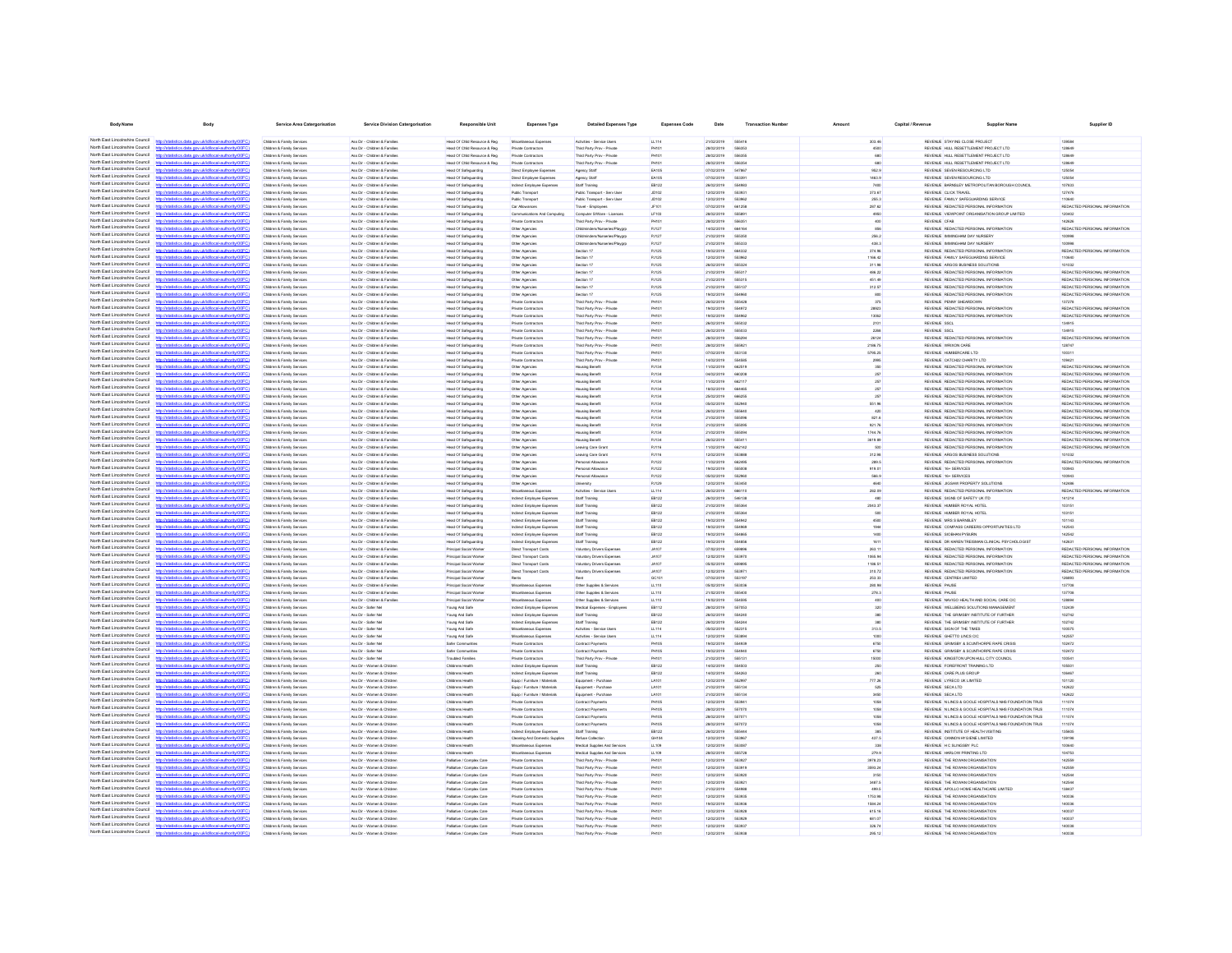| <b>Body Name</b>                                                   | Body                                                                                                                                             | <b>Service Area Catergorisation</b>                                          | Service Division Catergorisation                               | Responsible Unit                                       | <b>Expenses Type</b>                                           | <b>Detailed Expenses Type</b>                            | <b>Expenses Code</b>    | Date                     | <b>Transaction Number</b> | Amount            | Capital / Revenue | <b>Supplier Name</b>                                                                  | Supplier ID                                                    |
|--------------------------------------------------------------------|--------------------------------------------------------------------------------------------------------------------------------------------------|------------------------------------------------------------------------------|----------------------------------------------------------------|--------------------------------------------------------|----------------------------------------------------------------|----------------------------------------------------------|-------------------------|--------------------------|---------------------------|-------------------|-------------------|---------------------------------------------------------------------------------------|----------------------------------------------------------------|
|                                                                    | North East Lincolnshire Council http://statistics.data.gov.uk/d/local-authority/00FC)                                                            | Children & Family Services                                                   | Ass Dir - Children & Families                                  | Head Of Child Resource & Reg                           | Misrellanenus Evropses                                         | Artisties - Service Lisers                               | 11.114                  | encronic                 | 665416                    | 303.46            |                   | REVENLE, STAYING CLOSE PROJECT                                                        | 130584                                                         |
| North East Lincolnshire Council                                    |                                                                                                                                                  | Children & Family Service                                                    | Ass Dir - Children & Families                                  | Head Of Child Resource & Reg                           | Private Contractors                                            | Third Party Prov - Private                               | PH101                   | 28/02/2019               | 698965                    | 4500              |                   | REVENUE HULL RESETTLEMENT PROJECT LTD                                                 | 128649                                                         |
| North East Lincolnshire Council                                    | http://statistics.data.gov.uk/id/local-authority/00FC)                                                                                           | Children & Family Services                                                   | Ass Dir - Children & Families                                  | Head Of Child Resource & Reg.                          | Private Contractors                                            | Third Party Prov - Private                               | PHILI                   | 28/02/2019               | <b>GRAND</b>              | 680               |                   | REVENUE HULL RESETTLEMENT PROJECT LTD                                                 | 129849                                                         |
| North East Lincolnshire Council                                    | distribution data one delidioent authoritat (DCC)                                                                                                | Children & Family Service                                                    | Ass Dir - Children & Families                                  | Head Of Child Resource & Reg                           | Private Contractors                                            | Third Party Prov - Privat                                | PHIO                    | 28/02/2019               | <b>COLSCA</b>             |                   |                   | REVENUE HULL RESETTLEMENT PROJECT LTD                                                 | 129845                                                         |
| North East Lincolnshire Council<br>North East Lincolnshire Council | fine state and definitional authority (DOEC)                                                                                                     | Children & Family Service<br>Children & Family Services                      | Ass Dir - Children & Families<br>Ass Dir - Children & Families | Head Of Safeguarding<br>Head Of Safeguarding           | Direct Employee Expert<br>Direct Employee Expenses             | Agency Staff<br>Agency Staff                             | EA105<br>EA105          | 07/02/2019<br>07/02/2019 | <b>54786</b>              | 952.9<br>1463.9   |                   | REVENUE SEVEN RESOURCING LTD<br>REVENUE SEVEN RESOURCING LTD                          | 125054<br>125054                                               |
| North East Lincolnshire Council                                    | <b>Douglad Monday Horis (OD)</b>                                                                                                                 | <b>Children &amp; Family Service</b>                                         | Ass Dir - Children & Families                                  | Head Of Safeguarding                                   | direct Employee Expense                                        | Staff Training                                           | EB122                   | 26/02/2019               | 554983                    | 740               |                   | REVENUE BARNSLEY METROPOLITAN BOROUGH COUNCIL                                         | 107833                                                         |
| North East Lincolnshire Council                                    | Vstatistics.data.gov.uk/id/local-authority/00F                                                                                                   | Children & Family Service                                                    | Ass Dir - Children & Families                                  | Head Of Safeguarding                                   | Public Transport                                               | Public Transport - Serv Lise                             | JD102                   | 12/02/2019               | 55393                     | 373.67            |                   | REVENUE CLICK TRAVEL                                                                  | 127476                                                         |
| North East Lincolnshire Council                                    | statistics data ony ricid/ocal authority/00FC                                                                                                    | Children & Family Service                                                    | Ass Dir - Children & Families                                  | Head Of Safeguarding                                   | Public Transport                                               | Public Transport - Serv User                             | JD102                   | 12/02/2019               |                           | 255.3             |                   | REVENUE FAMILY SAFEGUARDING SERVICE                                                   | 11064                                                          |
| North East Lincolnshire Council<br>North Fast Lincolnshire Council | http://statistics.data.gov.uk/id/local-authority/00FC)                                                                                           | <b>Children &amp; Family Service</b><br>Children & Family Services           | Ass Dir - Children & Famile<br>Ass Dir - Children & Families   | Head Of Safeguarding<br>Head Of Safeguarding           | Car Allowance                                                  | Travel - Employees                                       | <b>LF103</b>            | 07/02/2019<br>28/02/2019 |                           | 287.62<br>4950    |                   | REVENUE REDACTED PERSONAL INFORMATION<br>REVENJE VIEWPOINT ORGANISATION GROUP LIMITED | REDACTED PERSONAL INFORMATION<br>120402                        |
| North East Lincolnshire Council                                    | stics.data.gov.uk/id/local-authority/00FC)                                                                                                       | Children & Family Services                                                   | Ass Dir - Children & Families                                  | <b>Head Of Safeguarding</b>                            | Communications And Computing<br>Private Contractor:            | Computer S/Ware - Licences<br>Third Party Prov - Private | PH10                    | 28/02/2019               | 55589<br>55635            | 400               |                   | REVENUE CFAB                                                                          | 142626                                                         |
| North Fast Lincolnshire Council                                    |                                                                                                                                                  | Children & Family Services                                                   | Ass Dir - Children & Families                                  | Head Of Safeguarding                                   | Other Agencies                                                 | Childminders/Nurseries/Players                           | PJ127                   | 14/02/2019               | 66416                     | 856               |                   | REVENUE REDACTED PERSONAL INFORMATION                                                 | REDACTED PERSONAL INFORMATION                                  |
| North Fast Lincolnshire Council                                    | distics.data.gov.uklid/local-authority/00FC)                                                                                                     | Children & Family Services                                                   | Ass Dir - Children & Families                                  | Head Of Safeguarding                                   | Other Agencies                                                 | Childminders/Nurseries/Playero                           | PJ127                   | 21/02/2019               | 55535                     | 256.2             |                   | REVENUE IMMINGHAM DAY NURSERY                                                         | 100998                                                         |
| North East Lincolnshire Council<br>North East Lincolnshire Council |                                                                                                                                                  | Children & Family Services                                                   | Ass Dir - Children & Families                                  | Head Of Safeguarding                                   | Other Agencies                                                 | Childminders/Nurseries/Playero                           | PJ127                   | 21/02/2019               | 666333                    | 438.3             |                   | REVENJE IMMINGHAM DAY NJRSERY                                                         | 100998                                                         |
| North East Lincolnshire Council                                    | distics.data.gov.uk/id/local-authority/00FC)<br>tics data ony rickldocal authority(00)                                                           | Children & Family Services<br>Children & Family Services                     | Ass Dir - Children & Families<br>Ass Dir - Children & Families | Head Of Safeguarding<br>Head Of Safeguarding           | Other Agencies<br>Other Agencies                               | Section 17<br>Section 17                                 | PJ125<br>PJ125          | 19/02/2019<br>12/02/2019 | 664332<br>653982          | 374.96<br>1166.42 |                   | REVENUE REDACTED PERSONAL INFORMATION<br>REVENUE FAMILY SAFEGUARDING SERVICE          | REDACTED PERSONAL INFORMATION<br>110640                        |
| North East Lincolnshire Council                                    | istics data ony uklid/ocal.authority/00EC)                                                                                                       | Children & Family Services                                                   | Ass Dir - Children & Families                                  | Head Of Safeguarding                                   | Other Agencies                                                 | Section 17                                               | PJ125                   | 26/02/2019               | 666304                    | 311.98            |                   | REVENUE ARGOS BUSINESS SOLUTIONS                                                      | 101032                                                         |
| North East Lincolnshire Council                                    | istics data ony ukld/ocal authority/00FC!                                                                                                        | Children & Family Services                                                   | Ass Dir - Children & Families                                  | Head Of Safeguarding                                   | Other Agencies                                                 | Section 17                                               | <b>PJ125</b>            | 21/02/2019               | 666317                    | 488.22            |                   | REVENUE REDACTED PERSONAL INFORMATION                                                 | REDACTED PERSONAL INFORMATION                                  |
| North East Lincolnshire Council<br>North East Lincolnshire Council | distics.data.gov.uk/id/local-authority/00FC)<br><b>Introder</b>                                                                                  | Children & Family Services                                                   | Ass Dir - Children & Families                                  | Head Of Safeguarding                                   | Other Agencies                                                 | Section 17                                               | PJ125                   | 21/02/2019               | 666315                    | 451.49            |                   | REVENUE REDACTED PERSONAL INFORMATION                                                 | REDACTED PERSONAL INFORMATION                                  |
| North East Lincolnshire Council                                    | <b>Infinites data and deliveral authoritation</b><br>istics.data.gov.uk/id/local-authority/00FC)<br>http                                         | Children & Family Services<br>Children & Family Services                     | Ass Dr., Children & Families<br>Ass Dir - Children & Families  | Head Of Safeguarding                                   | Other Agencies<br>Other Agencies                               | Section 17<br>Section 17                                 | <b>P.1125</b><br>PJ125  | 21/02/2019<br>19/02/2019 | 666137                    | 312.57            |                   | REVEN E REDACTED PERSONAL INFORMATION<br>REVENUE REDACTED PERSONAL INFORMATION        | REDACTED PERSONAL INFORMATION<br>REDACTED PERSONAL INFORMATION |
| North East Lincolnshire Council                                    |                                                                                                                                                  | Children & Family Service                                                    | Ass Dir - Children & Families                                  | Head Of Safeguarding<br>Head Of Safeguarding           | Private Contractor:                                            | Third Party Prov - Private                               | PH101                   | 26/02/2019               | 554960<br>555428          | 800<br>375        |                   | REVENUE PENNY SHEARDOWN                                                               | 137278                                                         |
| North East Lincolnshire Council                                    | http://statistics.data.gov.uk/id/local-authority/00FC)                                                                                           | Children & Family Senings                                                    | Ass Dir - Children & Families                                  | Head Of Safeguarding                                   | Private Contractors                                            | Third Party Prov - Private                               | PHIOI                   | encroner                 | 554972                    | 28923             |                   | REVEN E REDACTED PERSONAL INFORMATION                                                 | REDACTED PERSONAL INFORMATION                                  |
| North East Lincolnshire Council                                    | distribution state concelebboomlandsocial(IODC))                                                                                                 | Children & Family Service                                                    | Ass Dir - Children & Families                                  | Head Of Safeguarding                                   | Private Contractors                                            | Third Party Prov - Private                               | PH10                    | 19/02/2019               | 554982                    | 13062             |                   | REVENUE REDACTED PERSONAL INFORMATION                                                 | REDACTED PERSONAL INFORMATION                                  |
| North East Lincolnshire Council<br>North East Lincolnshire Council | distics.data.gov.uk/id/local-authority/00FC                                                                                                      | Children & Family Service                                                    | Ass Dir - Children & Families                                  | Head Of Safeguardin                                    | Private Contractor:                                            | Third Party Prov - Private                               | PH101                   | 26/02/2019               | 555032                    | 2101              |                   | REVENUE SSCL                                                                          | 134915                                                         |
| North East Lincolnshire Council                                    | datistics.data.gov.uk/id/local-authority/00FC1                                                                                                   | Children & Family Service<br>Children & Family Service                       | Ass Dir - Children & Families<br>Ass Dir - Children & Families | Head Of Safeguarding<br>Head Of Safeguarding           | Private Contractors<br>Private Contractor:                     | Third Party Prov - Private<br>Third Party Prov - Private | PHIO                    | 26/02/2019<br>28/02/2019 | 556204                    | 2260<br>26124     |                   | REVENUE SSCL<br>REVENUE REDACTED PERSONAL INFORMATION                                 | 134915<br>REDACTED PERSONAL INFORMATION                        |
| North East Lincolnshire Council                                    | listatistica data con delidiocal autocritic0020                                                                                                  | Children & Family Services                                                   | Ass Dir - Children & Families                                  | Head Of Safeguarding                                   | Private Contractors                                            | Third Party Prov - Private                               | PH10                    | 28/02/2019               |                           | 2186.75           |                   | REVENLE WRIXON CARE                                                                   | 128747                                                         |
| North East Lincolnshire Council                                    | Seting data one skildhood authority(DDEC)                                                                                                        | Children & Family Service                                                    | Ass Dir - Children & Families                                  | Head Of Safeguarding                                   | Private Contractor                                             | Third Party Prov - Private                               | PH10                    | 07/02/2019               |                           | 5796.25           |                   | REVENUE HUMBERCARE LTD                                                                | 100311                                                         |
| North East Lincolnshire Council                                    |                                                                                                                                                  | Children & Family Services                                                   | Ass Dir - Children & Families                                  | Head Of Safeguarding                                   | Private Contractor:                                            | Third Party Prov - Private                               | PH101                   | 14/02/2019               | 554585                    | 2995              |                   | REVENUE CATCH22 CHARITY LTD                                                           | 109421                                                         |
| North East Lincolnshire Council<br>North East Lincolnshire Council | stics.data.gov.uk/id/local-authority/00F                                                                                                         | Children & Family Services                                                   | Ass Dir - Children & Families                                  | Head Of Safeguarding                                   | Other Agencies                                                 | <b>Housing Benefit</b>                                   | PJ134                   | 11/02/2019               | 662519                    |                   |                   | REVENUE REDACTED PERSONAL INFORMATION                                                 | REDACTED PERSONAL INFORMATION                                  |
| North Fast Lincolnshire Council                                    |                                                                                                                                                  | Children & Family Services<br>Children & Family Services                     | Ass Dir - Children & Families<br>Ass Dir - Children & Families | Head Of Safeguarding<br>Head Of Safeguarding           | Other Agencies<br>Other Agencies                               | <b>Housing Benefi</b><br><b>Housing Benefit</b>          | PJ134<br>PJ134          | 04/02/2019<br>11/02/2019 | 662117                    | 257               |                   | REVENUE REDACTED PERSONAL INFORMATION<br>REVENUE REDACTED PERSONAL INFORMATION        | REDACTED PERSONAL INFORMATION<br>REDACTED PERSONAL INFORMATION |
| North Fast Lincolnshire Council                                    | statistics.data.gov.uk/id/local-authority/00FC)                                                                                                  | Children & Family Services                                                   | Ass Dir - Children & Families                                  | Head Of Safeguarding                                   | Other Agencies                                                 | <b>Housing Benefit</b>                                   | PJ134                   | 18/02/2019               | 664465                    | 257               |                   | REVENUE REDACTED PERSONAL INFORMATION                                                 | REDACTED PERSONAL INFORMATION                                  |
| North East Lincolnshire Council                                    |                                                                                                                                                  | Children & Family Services                                                   | Ass Dir - Children & Families                                  | Head Of Safeguarding                                   | Other Agencies                                                 | <b>Housing Benefit</b>                                   | PJ134                   | 25/02/2019               | 666255                    | 257               |                   | REVENUE REDACTED PERSONAL INFORMATION                                                 | REDACTED PERSONAL INFORMATION                                  |
| North East Lincolnshire Council                                    | stics.data.gov.uk/id/local-authority/00FC1                                                                                                       | Children & Family Services                                                   | Ass Dir - Children & Families                                  | Head Of Safeguarding                                   | Other Agencies                                                 | <b>Housing Benefit</b>                                   | PJ134                   | 05/02/2019               | 552940                    | 551.96            |                   | REVENUE REDACTED PERSONAL INFORMATION                                                 | REDACTED PERSONAL INFORMATION                                  |
| North East Lincolnshire Council<br>North East Lincolnshire Council |                                                                                                                                                  | Children & Family Services                                                   | Ass Dir - Children & Families                                  | Head Of Safeguarding                                   | Other Agencies                                                 | <b>Housing Benefit</b>                                   | PJ134                   | 26/02/2019               | <b>SSSR4</b>              | 420               |                   | REVENUE REDACTED PERSONAL INFORMATION                                                 | REDACTED PERSONAL INFORMATION                                  |
| North East Lincolnshire Council                                    | tistics.data.gov.uk/id/local-authority/00FC)<br>http://sta<br>istics data ony riklid/ocal.authority/00FCI                                        | Children & Family Services<br>Children & Family Services                     | Ass Dir - Children & Families<br>Ass Dir - Children & Families | Head Of Safeguarding<br>Head Of Safeguarding           | Other Agencies<br>Other Agencies                               | <b>Housing Benefit</b><br><b>Housing Benefit</b>         | PJ134<br>PJ134          | 21/02/2019<br>21/02/2019 | 555096<br>555095          | 821.6<br>921.76   |                   | REVENUE REDACTED PERSONAL INFORMATION<br>REVENUE REDACTED PERSONAL INFORMATION        | REDACTED PERSONAL INFORMATION<br>REDACTED PERSONAL INFORMATION |
| North East Lincolnshire Council                                    | distics.data.gov.uk/id/local-authority/00FC)<br><b>Introducts</b>                                                                                | Children & Family Services                                                   | Ass Dir - Children & Families                                  | Head Of Safeguarding                                   | Other Agencies                                                 | <b>Housing Benefit</b>                                   | PJ134                   | 21/02/2019               | 555004                    | 1744.76           |                   | REVENUE REDACTED PERSONAL INFORMATION                                                 | REDACTED PERSONAL INFORMATION                                  |
| North East Lincolnshire Council                                    | statistics data ony ricidiocal authority(00FC)                                                                                                   | Children & Family Services                                                   | Ass Dir - Children & Families                                  | Head Of Safeguarding                                   | Other Agencies                                                 | <b>Housing Benefit</b>                                   | PJ134                   | 26/02/2019               | 55541                     | 3619.89           |                   | REVENUE REDACTED PERSONAL INFORMATION                                                 | REDACTED PERSONAL INFORMATION                                  |
| North East Lincolnshire Council<br>North East Lincolnshire Council | istics.data.gov.uk/id/local-authority/00FC)<br>http:                                                                                             | Children & Family Services                                                   | Ass Dir - Children & Families                                  | Head Of Safeguarding                                   | Other Agencies                                                 | Leaving Care Grant                                       | PJ116                   | 11/02/2019               | 662142                    | 500               |                   | REVENUE REDACTED PERSONAL INFORMATION                                                 | REDACTED PERSONAL INFORMATION                                  |
| North East Lincolnshire Council                                    | http://statistics.data.onv.uk/d/ocal.authority/00EC)                                                                                             | Children & Family Service<br>Children & Family Services                      | Ass Dir - Children & Families<br>Ass Dir - Children & Families | Head Of Safeguarding<br>Head Of Safeguarding           | Other Agencies<br>Other Agencies                               | <b>Leaving Care Grant</b><br>Personal Allowance          | <b>P.ITSK</b><br>P.1122 | 12/02/2019<br>11/02/2019 | <b>GRABBI</b><br>662495   | 312.98<br>289.5   |                   | REVENUE ARGOS BUSINESS SOLUTIONS<br>REVEN E REDACTED PERSONAL INFORMATION             | 101032<br>REDACTED PERSONAL INFORMATION                        |
| North East Lincolnshire Council                                    | CONTRACTOR and provided interval and receiving CO                                                                                                | Children & Family Service                                                    | Ass Dir - Children & Families                                  | Head Of Safeguarding                                   | Other Agencies                                                 | Personal Allowance                                       | PJ122                   | 19/02/2019               | 555006                    | 919.01            |                   | REVENLE 16+ SERVICES                                                                  | 100943                                                         |
| North East Lincolnshire Council                                    | //statistics.data.gov.uk/id/local-authority/00FC1                                                                                                | Children & Family Services                                                   | Ass Dir - Children & Families                                  | Head Of Safeguardin                                    | Other Agencies                                                 | Personal Allowance                                       | PJ122                   | 05/02/2019               | <b>652960</b>             | 566.9             |                   | REVENUE 16+ SERVICES                                                                  | 100943                                                         |
| North East Lincolnshire Council                                    |                                                                                                                                                  | <b>Children &amp; Family Service</b>                                         | Ass Dir - Children & Families                                  | Head Of Safeguarding                                   | Other Agencies                                                 | University                                               | <b>PJ129</b>            | 12/02/2019               |                           | 464               |                   | REVENUE JIGSAW PROPERTY SOLUTIONS                                                     | 14248                                                          |
| North East Lincolnshire Council<br>North East Lincolnshire Council | http://statistics.data.gov.uk/id/local-authority/00FC)<br>OZietatistica data oso ukidistoral authoritumDC                                        | Children & Family Service                                                    | Ass Dir - Children & Families                                  | Head Of Safeguardin                                    | Miscellaneous Expen                                            | Activities - Service Us                                  | LL114                   | 26/02/2019               | 66611                     | 282.09            |                   | REVENUE REDACTED PERSONAL INFORMATION                                                 | REDACTED PERSONAL INFORMATION                                  |
| North East Lincolnshire Council                                    | distics.data.gov.uk/id/local-authority/00FC1                                                                                                     | Children & Family Services<br><b>Children &amp; Family Service</b>           | Ass Dir - Children & Families<br>Ass Dir - Children & Families | Head Of Safeguarding<br>Head Of Safeguarding           | Indirect Employee Expense<br><b>Sirect Employee Expense</b>    | Staff Training<br>Staff Training                         | EB122<br>EB122          | 26/02/2019<br>21/02/2019 | 546138<br>55536           | 2043.37           |                   | REVENUE SIGNS OF SAFETY UK ITD<br>REVENUE HUMBER ROYAL HOTEL                          | 141214<br>103151                                               |
| North East Lincolnshire Council                                    |                                                                                                                                                  | Children & Family Services                                                   | Ass Dir - Children & Families                                  | Head Of Safeguarding                                   | Indirect Employee Expenses                                     | Staff Training                                           | EB122                   | 21/02/2019               | 55536                     | 500               |                   | REVENUE HUMBER ROYAL HOTEL                                                            | 103151                                                         |
| North East Lincolnshire Council                                    | istics.data.gov.uk/id/local-authority/00FC)                                                                                                      | Children & Family Services                                                   | Ass Dir - Children & Families                                  | Head Of Safeguarding                                   | Indirect Employee Expense                                      | Staff Training                                           | EB122                   | 19/02/2019               |                           | 4500              |                   | REVENUE MRS S BARNSLEY                                                                | 101143                                                         |
| North East Lincolnshire Council<br>North Fast Lincolnshire Council | <b>Contract and Contract And Contract Advertising</b>                                                                                            | Children & Family Services                                                   | Ass Dir - Children & Families                                  | Head Of Safeguarding                                   | Indirect Employee Expenses                                     | Staff Training                                           | EB122                   | 19/02/2019               | 554969                    | 1944              |                   | REVENUE COMPASS CAREERS OPPORTUNITIES LTD                                             | 142543                                                         |
| North East Lincolnshire Council                                    | cs.data.gov.uk/id/ocal-authority/l                                                                                                               | Children & Family Services<br>Children & Family Services                     | Ass Dir - Children & Families<br>Ass Dir - Children & Families | Head Of Safeguarding<br>Head Of Safeguarding           | Indirect Employee Expenses<br>Indirect Employee Expenses       | Staff Training<br>Staff Training                         | EB122<br>EB122          | 19/02/2019<br>19/02/2019 | 554865<br>554856          | 1400<br>1611      |                   | REVENLE SIOBHAN PYBURN<br>REVENUE DR KAREN TREISMAN CLINICAL PSYCHOLOGIST             | 142542<br>142631                                               |
| North Fast Lincolnshire Council                                    |                                                                                                                                                  | Children & Family Services                                                   | Ass Dir - Children & Families                                  | Principal Social Worke                                 | Direct Transport Costs                                         | Voluntary Drivers Expenses                               | <b>JA107</b>            | 07/02/2019               | 65989                     | 263.11            |                   | REVENUE REDACTED PERSONAL INFORMATION                                                 | REDACTED PERSONAL INFORMATION                                  |
| North Fast Lincolnshire Council                                    | stics.data.gov.uk/id/local-authority/00FC1                                                                                                       | Children & Family Services                                                   | Ass Dir - Children & Families                                  | Principal Social Worke                                 | Direct Transport Costs                                         | Voluntary Drivers Expenses                               | <b>JA107</b>            | 12/02/2019               | 553970                    | 1065.94           |                   | REVENUE REDACTED PERSONAL INFORMATION                                                 | REDACTED PERSONAL INFORMATION                                  |
| North East Lincolnshire Council<br>North East Lincolnshire Council |                                                                                                                                                  | Children & Family Services                                                   | Ass Dir - Children & Families                                  | Principal Social Worke                                 | Direct Transport Costs                                         | Voluntary Drivers Expenses                               | JA107                   | 05/02/2019               | 659895                    | 1186.51           |                   | REVENUE REDACTED PERSONAL INFORMATION                                                 | REDACTED PERSONAL INFORMATION                                  |
| North East Lincolnshire Council                                    | tistics.data.gov.uk/id/local-authority/00FC)<br>http://st<br>tics data one uklidiocal authority/00FC                                             | Children & Family Services<br>Children & Family Services                     | Ass Dir - Children & Families<br>Ass Dir - Children & Families | Principal Social Worke<br>Principal Social Worker      | Direct Transport Costs<br>Rents                                | Voluntary Drivers Expenses<br>Rent                       | <b>JA107</b><br>GC101   | 12/02/2019<br>07/02/2019 | 55397<br>663197           | 310.72<br>253.33  |                   | REVENUE REDACTED PERSONAL INFORMATION<br>REVENUE CENTRE4 LIMITED                      | REDACTED PERSONAL INFORMATION<br>126893                        |
| North East Lincolnshire Council                                    | http://statistics.data.gov.uk/id/local-authority/00FC)                                                                                           | Children & Family Services                                                   | Ass Dir - Children & Families                                  | Principal Social Worker                                | Miscellaneous Expenses                                         | Other Supplies & Services                                | LL110                   | 05/02/2019               | 553036                    | 280.98            |                   | REVENLE PAUSE                                                                         | 137708                                                         |
| North East Lincolnshire Council                                    | statistics data nov uklidiocal authority/DDFC                                                                                                    | Children & Family Services                                                   | Ass Dir - Children & Families                                  | Principal Social Worker                                | Miscellaneous Expenses                                         | Other Supplies & Services                                | LL110                   | 21/02/2019               | 555400                    | 278.3             |                   | REVENLE PAUSE                                                                         | 137708                                                         |
| North East Lincolnshire Council<br>North East Lincolnshire Council | istics.data.gov.uk/id/local-authority/00FC)<br>http:                                                                                             | Children & Family Services                                                   | Ass Dir - Children & Families                                  | Principal Social Worker                                | Miscellaneous Expenses                                         | Other Supplies & Services                                | LL110                   | 19/02/2019               | <b>SS450F</b>             | 400               |                   | REVENUE NAVIGO HEALTH AND SOCIAL CARE CIC                                             | 128894                                                         |
| North East Lincolnshire Council                                    | the state and skillshoot activities?<br>http://statistics.data.gov.uk/id/local-authority/00FC)                                                   | <b>Children &amp; Family Renáred</b><br>Children & Family Services           | Ass Dir - Rafer Net<br>Ass Dir - Safer Net                     | Young And Safe<br>Young And Safe                       | Indirect Employee Expense<br>Indirect Employee Expense         | Medical Expenses - Employee<br>Staff Training            | FR112<br>EB122          | 28/02/2019<br>26/02/2019 | 667059<br>554240          | son<br>380        |                   | REVEN E WELLREING SOLLITIONS MANAGEMENT<br>REVENUE THE GRIMSBY INSTITUTE OF FURTHER   | 132439<br>102742                                               |
| North East Lincolnshire Council                                    | CONTRACTOR and provided interval and receiving CO                                                                                                | Children & Family Service                                                    | Ass Dir - Safer No                                             | Young And Safe                                         | Indirect Employee Expense                                      | Staff Training                                           | EB122                   | 26/02/2019               | 554244                    | 380               |                   | REVENUE THE GRIMSBY INSTITUTE OF FURTHER                                              | 100742                                                         |
| North East Lincolnshire Council                                    | distins data one uklidiocal authoritement?                                                                                                       | Children & Family Senings                                                    | Ass Dir - Safer No                                             | Young And Safe                                         | Misrellanenin Fimenses                                         | Artisties - Renire Liser                                 | 11514                   | ernsysnan                | 662316                    | 313.5             |                   | REVEN E SIGN OF THE TIMES                                                             | 100575                                                         |
| North East Lincolnshire Council                                    |                                                                                                                                                  | Children & Family Service                                                    | Ass Dir - Safer Ne                                             | Young And Safe                                         | Miscellaneous Expense                                          | Activities - Service User:                               | LL114                   | 12/02/2019               |                           | 1000              |                   | REVENUE GHETTO LINCS CIO                                                              | 142557                                                         |
| North East Lincolnshire Council<br>North East Lincolnshire Council | http://statistics.data.gov.uk/id/local-authority/00FC]<br>http://ataliation.clats.com/ddid/oost.authoris/00EC1                                   | Children & Family Service                                                    | Ass Dir - Safer No                                             | Safer Communitie                                       | Private Contractors                                            | Contract Payment                                         | PH105                   | 19/02/2019               | 554938                    | 6750              |                   | REVENUE GRIMSBY & SCUNTHORPE RAPE CRISIS                                              | 102472<br>102472                                               |
| North East Lincolnshire Council                                    | istics.data.gov.uk/id/local-authority/00FC1                                                                                                      | <b>Children &amp; Family Service</b><br><b>Children &amp; Family Service</b> | Ass Dir - Safer Ne<br>Ass Dir - Safer Net                      | Safer Communitie<br>Troubled Families                  | Private Contractors<br>Private Contractors                     | Contract Payment<br>Third Party Prov - Priva             | PH105<br>PHIO           | 19/02/2019<br>21/02/2019 | 55513                     | 6750<br>15000     |                   | REVENUE GRIMSBY & SCUNTHORPE RAPE CRISIS<br>REVENUE KINGSTON UPON HULL CITY COUNCIL   | 100541                                                         |
| North East Lincolnshire Council                                    |                                                                                                                                                  | Children & Family Services                                                   | Ass Dir - Women & Childre                                      | Childrens Health                                       | Indirect Employee Expense                                      | Staff Training                                           | EB122                   | 14/02/2019               | 55450                     | 250               |                   | REVENUE FOREFRONT TRAINING LTD                                                        | 105501                                                         |
| North East Lincolnshire Council                                    | istics.data.gov.uk/id/local-authority/00FC)                                                                                                      | Children & Family Services                                                   | Ass Dir - Women & Childre                                      | Childrens Healt                                        | <b>Sirect Employee Expense</b>                                 | Staff Training                                           | EB122                   | 14/02/2019               | 554263                    |                   |                   | REVENUE CARE PLUS GROU                                                                | 106467                                                         |
| North East Lincolnshire Council<br>North East Lincolnshire Council |                                                                                                                                                  | Children & Family Services                                                   | Ass Dir - Women & Children                                     | Childrens Health                                       | Equip / Furniture / Materials                                  | Equipment - Purchase                                     | LA101                   | 12/02/2019               | 552997                    | 777.26            |                   | REVENUE LYRECO UK LIMITED                                                             | 101120                                                         |
| North East Lincolnshire Council                                    | stics.data.gov.uk/id/local-authority/00FC)                                                                                                       | Children & Family Services<br>Children & Family Services                     | Ass Dir - Women & Children<br>Ass Dir - Women & Children       | Childrens Health<br>Childrens Health                   | Equip / Furniture / Materials<br>Equip / Furniture / Materials | Equipment - Purchase<br>Equipment - Purchase             | <b>LA101</b><br>LA101   | 21/02/2019<br>21/02/2019 | 555134<br>665134          | 625<br>3450       |                   | REVENUE SECA LTD<br>REVENUE SECALTO                                                   | 142622<br>142622                                               |
| North Fast Lincolnshire Council                                    | stics.data.gov.uk/id/local-authority/00FC1                                                                                                       | Children & Family Services                                                   | Ass Dir - Women & Children                                     | Childrens Health                                       | Private Contractors                                            | Contract Payments                                        | PH105                   | 12/02/2019               | 553941                    | 1058              |                   | REVENUE IN LINCS & GOOLE HOSPITALS NHS FOUNDATION TRUS                                | 111074                                                         |
| North Fast Lincolnshire Council                                    |                                                                                                                                                  | Children & Family Services                                                   | Ass Dir - Women & Children                                     | Childrens Health                                       | Private Contractors                                            | Contract Payments                                        | PH105                   | 28/02/2019               | 557070                    | 1058              |                   | REVENUE IN LINCS & GOOLE HOSPITALS NHS FOUNDATION TRUS                                | 111074                                                         |
| North Fast Lincolnshire Council                                    |                                                                                                                                                  | Children & Family Services                                                   | Ass Dir - Women & Children                                     | Childrens Health                                       | Private Contractors                                            | Contract Payments                                        | PH105                   | 28/02/2019               | 55707                     | 1058              |                   | REVENUE N LINCS & GOOLE HOSPITALS NHS FOUNDATION TRUS                                 | 111074                                                         |
| North Fast Lincolnshire Council<br>North East Lincolnshire Council | stics data ony uklidiocal authority(DDFC)                                                                                                        | Children & Family Services                                                   | Ass Dir - Women & Children                                     | Childrens Health                                       | Private Contractors                                            | Contract Payments                                        | PH105                   | 28/02/2019               | 557072                    | 1058<br>385       |                   | REVENUE IN LINCS & GOOLE HOSPITALS NHS FOUNDATION TRUS                                | 111074                                                         |
| North East Lincolnshire Council                                    | tistics.data.gov.uk/id/local-authority/00FC)<br>http://sta                                                                                       | Children & Family Services<br>Children & Family Services                     | Ass Dir - Women & Children<br>Ass Dir - Women & Children       | Childrens Health<br>Childrens Health                   | Indirect Employee Expenses<br>Cleaning And Domestic Supplies   | Staff Training<br>Refuse Collection                      | EB122<br>GH104          | 26/02/2019<br>12/02/2019 | <b>SSS44</b><br>55396     | 437.5             |                   | REVENUE INSTITUTE OF HEALTH VISITING<br>REVENUE CANNON HYGIENE LIMITED                | 135605<br>139198                                               |
| North East Lincolnshire Council                                    | istics data ony rickfdhoal authority/DDFC                                                                                                        | Children & Family Services                                                   | Ass Dir - Women & Children                                     | Childrens Health                                       | Miscellaneous Expenses                                         | Medical Supplies And Services                            | LL109                   | 12/02/2019               | <b><i>SRADE</i></b>       | 338               |                   | REVENUE H C SLINGSBY PLC                                                              | 100640                                                         |
| North East Lincolnshire Council                                    | istics.data.gov.uk/id/local-authority/00FC)<br>http:                                                                                             | Children & Family Services                                                   | Ass Dir - Women & Children                                     | Childrens Health                                       | Miscellaneous Expenses                                         | Medical Supplies And Services                            | LL109                   | 28/02/2019               | 555728                    | 279.9             |                   | REVENUE HARLOW PRINTING LTD                                                           | 104753                                                         |
| North East Lincolnshire Council<br>North East Lincolnshire Council | istics data ony uklid/ocal.authority/00                                                                                                          | Children & Family Services                                                   | Ass Dir - Women & Children                                     | Palliative / Complex Care                              | Private Contractors                                            | Third Party Prov - Private                               | PH101                   | 12/02/2019               | 663007                    | 3978.23           |                   | REVENUE THE ROWAN ORGANISATION                                                        | 142559                                                         |
| North East Lincolnshire Council                                    | http://statistics.data.gov.uk/id/local-authority/00FC)<br>CONTRACTOR and provided interval and receiving CO                                      | Children & Family Services<br>Children & Family Services                     | Ass Dir - Women & Children<br>Ass Dir - Women & Children       | Palliative / Complex Care<br>Palliative / Complex Care | Private Contractors<br>Private Contractors                     | Third Party Prov - Private<br>Third Party Prov - Private | PH101<br>PHIL           | 12/02/2019<br>12/02/2019 | 553919<br>663001          | 3593.24<br>3150   |                   | REVENUE THE ROWAN ORGAN SATION<br>REVEN E THE ROWAN ORGAN SATION                      | 142559<br>142544                                               |
| North East Lincolnshire Council                                    | http://statistics.data.onv.uk/d/ocal.authority/00EC)                                                                                             | Children & Family Services                                                   | Ass Dir - Winman & Ohistron                                    | Palliative / Complex Care                              | Private Contractors                                            | Third Party Prov - Private                               | PHIOI                   | 12/02/2019               | 66302                     | 3487.5            |                   | REVEN E THE ROWAN ORGANISATION                                                        | 142544                                                         |
| North East Lincolnshire Council                                    |                                                                                                                                                  | Children & Family Service                                                    | Ass Dir - Women & Children                                     | Palliative / Complex Care                              | Private Contractor:                                            | Third Party Prov - Privat                                | PH101                   | 21/02/2019               |                           | 499.5             |                   | REVENUE APOLLO HOME HEALTHCARE LIMITED                                                | 138437                                                         |
|                                                                    | North East Lincolnshire Council http://statistics.data.gov.uk/id/local-authority/00FC)                                                           | Children & Family Service                                                    | Ass Dir - Women & Children                                     | Palliative / Complex Care                              | Private Contractor:                                            | Third Party Prov - Private                               | PHIL                    | 12/02/2019               | ssaav                     | 1753.98           |                   | REVENUE THE ROWAN ORGANISATION                                                        | 140036                                                         |
| North East Lincolnshire Council                                    | North East Lincolnshire Council   New Setwhetics Anti-Any defictive at authority inner<br>http://statistics.data.gov.uk/id/local-authority/00FC) | <b>Children &amp; Family Service</b><br>Children & Family Service            | Ass Dir - Women & Children<br>Ass Dir - Women & Children       | Palliative / Complex Care<br>Palliative / Complex Care | Private Contractor:<br>Private Contractor:                     | Third Party Prov - Privat<br>Third Party Prov - Private  | PH10                    | 19/02/2019<br>12/02/2019 | 553921                    | 1584.2<br>615.16  |                   | REVENUE THE ROWAN ORGANISATION<br>REVENUE THE ROWAN ORGANISATION                      | 140036<br>140037                                               |
| North East Lincolnshire Council                                    | statistics.data.gov.uk/id/local-authority/00FC1                                                                                                  | Children & Family Services                                                   | Ass Dir - Women & Children                                     | Palliative / Complex Care                              | Private Contractors                                            | Third Party Prov - Private                               | PH10                    | 12/02/2019               |                           | 681.07            |                   | REVENUE THE ROWAN ORGANISATION                                                        | 140037                                                         |
| North East Lincolnshire Council                                    | istics.data.gov.uk/id/local-authority/00FC1                                                                                                      | Children & Family Service                                                    | Ass Dir - Women & Childre                                      | Palliative / Complex Care                              | <b>Yivate Contractor</b>                                       | Third Party Prov - Private                               |                         | 12/02/2019               |                           | 326.74            |                   | REVENUE THE ROWAN ORGANISATION                                                        | 140035                                                         |
| North East Lincolnshire Council                                    |                                                                                                                                                  | Nirkan & Family Renáre                                                       | Ass Dir - Women & Childre                                      | Palliative / Contriex Care                             |                                                                | Third Party Prov., Private                               |                         | 12/02/2019               |                           | 205 12            |                   | REVENLIE, THE ROWAN ORGANISATION                                                      |                                                                |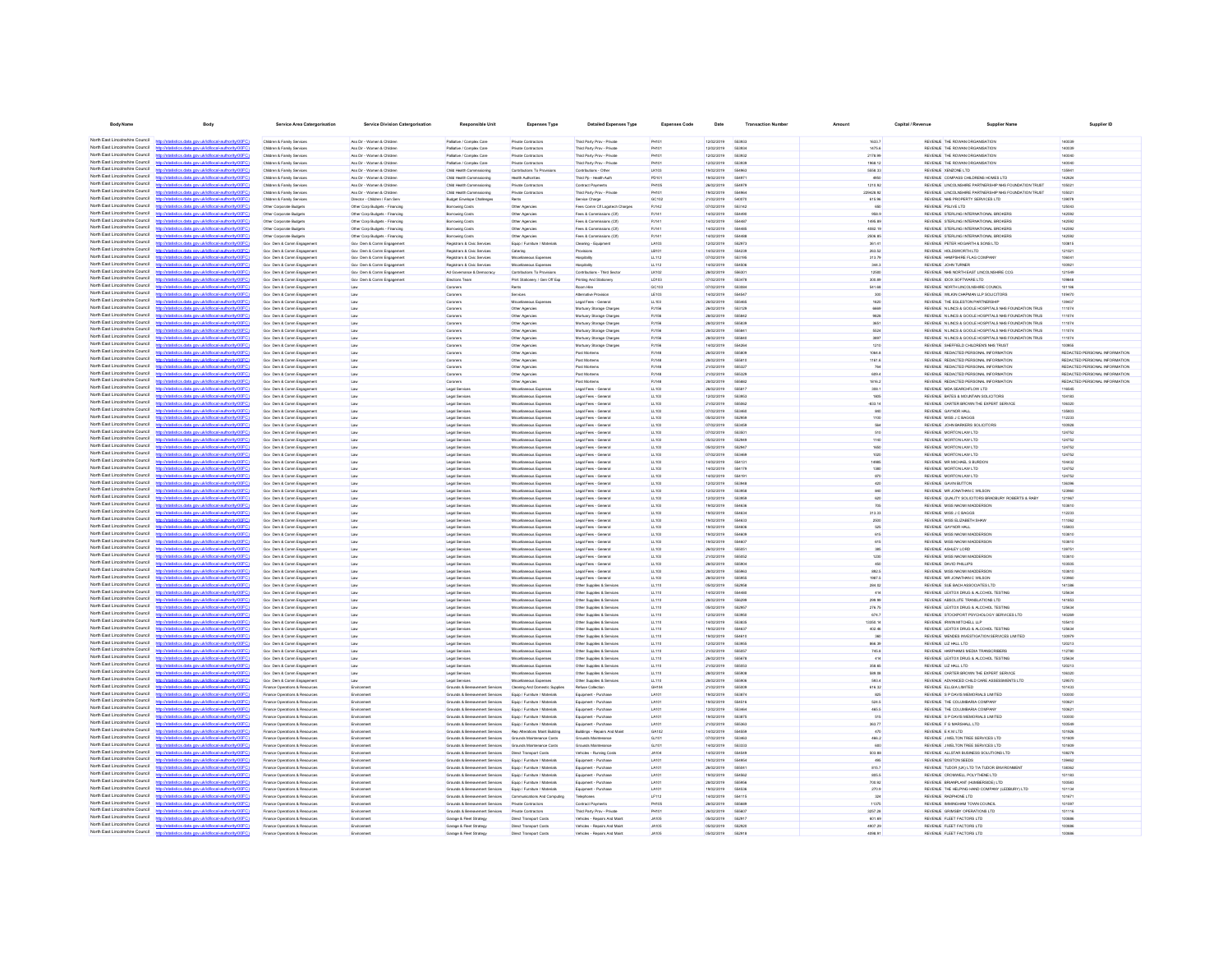| <b>Body Name</b>                                                   | Body                                                                                                                                                                                                                                 | <b>Service Area Catergorisation</b>                                         | Service Division Catergorisation                                 | Responsible Unit                                                 | <b>Expenses Type</b>                                           | <b>Detailed Expenses Type</b>                             | <b>Expenses Code</b>  | Date                     | <b>Transaction Number</b>     | Amount             | Capital / Revenue | <b>Supplier Name</b>                                                                                           | Supplier ID                                                    |
|--------------------------------------------------------------------|--------------------------------------------------------------------------------------------------------------------------------------------------------------------------------------------------------------------------------------|-----------------------------------------------------------------------------|------------------------------------------------------------------|------------------------------------------------------------------|----------------------------------------------------------------|-----------------------------------------------------------|-----------------------|--------------------------|-------------------------------|--------------------|-------------------|----------------------------------------------------------------------------------------------------------------|----------------------------------------------------------------|
|                                                                    | North East Lincolnshire Council http://statistics.data.gov.uk/id/local-authority/00FC)                                                                                                                                               | Children & Family Services                                                  | Ass Dir - Winman & Ohistron                                      | Poliche / Comdex Care                                            | Private Contractors                                            | Third Party Prov - Private                                | PHIM                  | encrons                  | scana                         | 1633.7             |                   | REVENLE, THE ROWAN ORGANISATION.                                                                               | sannee                                                         |
| North East Lincolnshire Council                                    | new skilled entertainment                                                                                                                                                                                                            | Children & Family Services                                                  | Ass Dir - Women & Children                                       | Palliative / Complex Care                                        | Private Contractors                                            | Third Party Prov - Private                                | PH101                 | 12/02/2019               | <b>GRADOL</b>                 | 1475.6             |                   | REVENUE THE ROWAN ORGANISATION                                                                                 | 140099                                                         |
| North East Lincolnshire Council                                    | http://statistics.data.gov.uk/id/local-authority/00FC)                                                                                                                                                                               | Children & Family Services                                                  | Ass Dir - Women & Children                                       | Palliative / Complex Care                                        | Private Contractors                                            | Third Party Prov - Private                                | PHIM                  | 12/02/2019               | 663932                        | 2178.99            |                   | REVENLE THE ROWAN ORGANISATION                                                                                 | 140040                                                         |
| North East Lincolnshire Council<br>North East Lincolnshire Council | Interdetationics data consideribocal authority(0000)<br>Seting data any ukiditoral suthorisiOOCC                                                                                                                                     | Children & Family Services<br>Children & Family Service                     | Ass Dir - Women & Children<br>Ass Dir - Women & Children         | Palliative / Complex Care<br>Child Health Commssioning           | Private Contractor:<br>Contributions To Provi                  | Third Party Prov - Private<br>Contributions - Other       | PHIO<br><b>LK103</b>  | 12/02/2019<br>19/02/2019 | ssaaa<br>554981               | 1968.12<br>5558.33 |                   | REVENUE THE ROWAN ORGANISATION<br>REVENUE XENZONE LTD                                                          | 140040<br>135941                                               |
| North East Lincolnshire Council                                    | statistics data ony uklid/ocal.authority/00FC                                                                                                                                                                                        | Children & Family Services                                                  | Ass Dir - Women & Children                                       | Child Health Commissioning                                       | <b>Health Authorities</b>                                      | Third Pp - Health Auth                                    | PD10                  | 19/02/2019               |                               |                    |                   | REVENUE COMPASS CHILDRENS HOMES LTD                                                                            | 142624                                                         |
| North East Lincolnshire Council                                    | http://statistics.data.onv.uk/d/ocal.authority/00EC                                                                                                                                                                                  | Children & Family Service                                                   | Ass Dir - Women & Children                                       | Child Health Commissioning                                       | Private Contracto                                              | Contract Payments                                         | PH10                  | 26/02/2019               | 554971                        | 1210.92            |                   | REVENUE LINCOLNSHIRE PARTNERSHIP NHS FOUNDATION TRUST                                                          | 105021                                                         |
| North East Lincolnshire Council<br>North East Lincolnshire Council | http://statistics.data.gov.uk/id/local-authority/00FC<br>r/ktatistics data ony uklidiocal authority/00FC                                                                                                                             | Children & Family Services                                                  | Ass Dir - Women & Children                                       | Child Health Commissioning                                       | Private Contractor                                             | Third Party Prov - Privat                                 | PH10                  | 19/02/2019               | 55498                         | 220428.92          |                   | REVENUE LINCOLNSHIRE PARTNERSHIP NHS FOUNDATION TRUST                                                          | 105021                                                         |
| North East Lincolnshire Council                                    | http://statistics.data.gov.uk/id/local-authority/00FC                                                                                                                                                                                | Children & Family Service<br>Other Corporate Budgets                        | Director - Children / Fam Serv<br>Other Corp Budgets - Financing | Budget Envelope Challenges<br><b>Borrowing Costs</b>             | Other Agencie                                                  | Service Charge<br>Fees Comm Of Logotech Charger           | GC102<br>PJ142        | 21/02/2019<br>07/02/2019 | 54007                         | 615.96             |                   | REVENUE NHS PROPERTY SERVICES LTD<br>REVENUE PSLIVE LTD                                                        | 139079<br>125043                                               |
| North Fast Lincolnshire Council                                    | p//statistics.data.gov.uk/id/local-authority/00F                                                                                                                                                                                     | Other Corporate Budgets                                                     | Other Corp Budgets - Financing                                   | Borrowing Costs                                                  | Other Agencies                                                 | Fees & Commissions (CIT)                                  | PJ141                 | 14/02/2019               | 55449                         | 958.9              |                   | REVENUE STERLING INTERNATIONAL BROKERS                                                                         | 142592                                                         |
| North East Lincolnshire Council<br>North Fast Lincolnshire Council | http://statistics.data.gov.uk/id/local-authority/00FC                                                                                                                                                                                | Other Corporate Budgets                                                     | Other Corp Budgets - Financing                                   | Borrowing Costs                                                  | Other Agencies                                                 | Fees & Commissions (CII)                                  | PJ141                 | 14/02/2019               |                               | 1495.89            |                   | REVENUE STERLING INTERNATIONAL BROKERS                                                                         | 142592                                                         |
| North Fast Lincolnshire Council                                    | istics.data.gov.uk/id/local-authority/00FC1                                                                                                                                                                                          | Other Corporate Budgets<br>Other Corporate Budgets                          | Other Corp Budgets - Financing<br>Other Corp Budgets - Financing | Borrowing Costs<br>Borrowing Costs                               | Other Agencies<br>Other Agencies                               | Fees & Commissions (CII)<br>Fees & Commissions (CIT)      | PJ141<br>PJ141        | 14/02/2019<br>14/02/2019 | 554485<br>554488              | 4082.19<br>2506.85 |                   | REVENUE STERLING INTERNATIONAL BROKERS<br>REVENUE STERLING INTERNATIONAL BROKERS                               | 142592<br>142592                                               |
| North Fast Lincolnshire Council                                    |                                                                                                                                                                                                                                      | Gov Dam & Comm Engagement                                                   | Gov Dem & Comm Engagement                                        | Registrars & Civic Services                                      | Equip / Furniture / Materials                                  | Cleaning - Equipment                                      | LA103                 | 12/02/2019               | 552973                        | 361.41             |                   | REVENUE PETER HOGARTH & SONS LTD                                                                               | 100815                                                         |
| North Fast Lincolnshire Council                                    | http://statistics.data.gov.uk/id/local-authority/00FC)                                                                                                                                                                               | Gov Dem & Comm Engagement                                                   | Gov Dem & Comm Engagement                                        | Registrars & Civic Services                                      | Catering                                                       | Provisions                                                | LB101                 | 14/02/2019               | 554239                        | 263.52             |                   | REVENUE HOLDSWORTH LTD                                                                                         | 121021                                                         |
| North East Lincolnshire Council<br>North East Lincolnshire Council | distins data one uklidihoral authoritement?                                                                                                                                                                                          | Gov Dem & Comm Engagement                                                   | Gov Dem & Comm Engagement                                        | Registrars & Chic Services                                       | Miscellaneous Expenses                                         | Hospitality                                               | LL112                 | 07/02/2019               | 553195<br>554506              | 313.79             |                   | REVENUE HAMPSHIRE FLAG COMPANY                                                                                 | 106041                                                         |
| North East Lincolnshire Council                                    | stics.data.gov.uk/id/local-authority/00FC)<br>stics data ony uklid/ocal.authority/00FC                                                                                                                                               | Gov Dam & Comm Engagement<br>Gov Dem & Comm Engagement                      | Gov Dem & Comm Engagement<br>Gov Dem & Comm Engagement           | Registrars & Civic Services<br>Ad Governance & Democracy         | Miscellaneous Expenses<br>Contributions To Provisions          | Hospitality<br>Contributions - Third Sector               | LL112<br>LK102        | 14/02/2019<br>28/02/2019 | 556301                        | 344.3<br>12500     |                   | REVENUE JOHN TURNER<br>REVENUE NHS NORTH EAST LINCOLNSHIRE CCG.                                                | 100921<br>121549                                               |
| North East Lincolnshire Council                                    | http://statistics.data.gov.uk/id/local-authority/00FC1                                                                                                                                                                               | Gov Dem & Comm Engagement                                                   | Gov Dem & Comm Engagement                                        | <b>Elections Team</b>                                            | Print Stationery / Gen Off Exp                                 | Printing And Stationery                                   | LD103                 | 07/02/2019               | 553478                        | 300.89             |                   | REVENUE IDOX SOFTWARE LTD                                                                                      | 109848                                                         |
| North East Lincolnshire Council<br>North East Lincolnshire Council | http://statistics.data.onv.uk/d/ocal.authority/00EC                                                                                                                                                                                  | Gov. Dam & Comm Ennanement                                                  | i on                                                             | Coroners                                                         | <b>Rents</b>                                                   | Room Hre                                                  | <b>GC103</b>          | energing                 | <b>ARMINA</b>                 | 541.68             |                   | REVENLE NORTH LINCOLNSHIRE COUNCIL                                                                             | 101186                                                         |
| North East Lincolnshire Council                                    | http://statistics.data.gov.uk/id/local-authority/00FC1<br>//statistics data ony riskt/local.authority/00FC                                                                                                                           | Gov Dem & Comm Engagement<br>Gov Dem & Comm Engagement                      | Link<br>Line                                                     | Coroners<br>Coroners                                             | Services<br>Misrellanenus Fynenses                             | Atemative Provision<br>Legal Fees - General               | LE103<br>LL103        | 14/02/2019<br>enovenes   | 554547<br><b>SSSARI</b>       | 300<br>1620        |                   | REVENUE WILKIN CHAPMAN LLP SOLICITORS<br>REVENUE THE FOLERTON PARTNERSHIP                                      | 109470<br>130437                                               |
| North East Lincolnshire Council                                    | http://statistics.data.oov.uk/id/ocal.authority/00FCI                                                                                                                                                                                | Gov. Dam & Comm Ennanement                                                  | Law                                                              | Coroners                                                         | Other Aneryles                                                 | Mortuary Storage Charge                                   | <b>P.ITFR</b>         | 2602/2019                | 663129                        | 6669               |                   | REVEN E N I INCS & GOOLE HOSPITALS NHS EQUIVOATION TRUS                                                        | 111074                                                         |
| North East Lincolnshire Council                                    | listatistics data one delidiocal authority(00EC                                                                                                                                                                                      | Gov Dam & Comm Engagemen                                                    |                                                                  | Coroners                                                         | Other Agencie                                                  | Mortuary Storage Charges                                  | PJ156                 | 28/02/2019               | <b>GGGRA</b>                  | 9828               |                   | REVENUE N LINCS & GOOLE HOSPITALS NHS FOUNDATION TRUS                                                          | 111074                                                         |
| North East Lincolnshire Council<br>North East Lincolnshire Council | http://statistics.data.gov.uk/id/local-authority/00FC)<br>http://etatietics.clats.com/ddidiocal.authority/DDEC                                                                                                                       | Gov Dam & Comm Engagemen<br>Gov Dam & Comm Engagemen                        |                                                                  | Coroners<br>Coroners                                             | Other Agencies<br>Other Agencies                               | Mortuary Storage Charge<br>Mortuary Storage Charges       | PJ156<br>PJ156        | 28/02/2019<br>28/02/2019 | <b>GGGRN</b><br><b>SSSRA</b>  | 3651<br>5524       |                   | REVENUE N LINCS & GOOLE HOSPITALS NHS FOUNDATION TRUS<br>REVENUE N LINCS & GOOLE HOSPITALS NHS FOUNDATION TRUS | 111074<br>111074                                               |
| North East Lincolnshire Council                                    | http://statistics.data.gov.uk/id/local-authority/00FC1                                                                                                                                                                               | Gov Dam & Comm Engagemen                                                    |                                                                  | Coroners                                                         | Other Agencies                                                 | Mortuary Storage Charge                                   | PJ156                 | 28/02/2019               | CCCOAL                        | 3897               |                   | REVENUE IN LINCS & GOOLE HOSPITALS NHS FOUNDATION TRUS                                                         | 111074                                                         |
| North East Lincolnshire Council                                    | ony ukłdłocal authority/00F                                                                                                                                                                                                          | Gov Dam & Comm Engagement                                                   | Law                                                              | Coroners                                                         | Other Agencies                                                 | Mortuary Storage Charges                                  | PJ156                 | 14/02/2019               |                               | 1210               |                   | REVENUE SHEFFIELD CHILDREN'S NHS TRUST                                                                         | 100955                                                         |
| North East Lincolnshire Council<br>North East Lincolnshire Council | ting and you did home a shortcast of                                                                                                                                                                                                 | Gov Dam & Comm Engagemen                                                    | Law                                                              | Coroners                                                         | Other Agencies                                                 | Post Mortems                                              | PJ148                 | 26/02/2019               |                               | 1064.8             |                   | REVENUE REDACTED PERSONAL INFORMATION                                                                          | REDACTED PERSONAL INFORMATION                                  |
| North East Lincolnshire Council                                    | http://statistics.data.gov.uk/id/local-authority/00FC                                                                                                                                                                                | Gov Dam & Comm Engagement<br>Gov Dam & Comm Engagemen                       | Link<br>Law                                                      | Coroners<br>Coroners                                             | Other Agencies<br>Other Agencies                               | Post Mortems<br>Post Mortems                              | PJ148<br>PJ148        | 28/02/2019<br>21/02/2019 | 555810<br>55532               | 1161.6<br>764      |                   | REVENUE REDACTED PERSONAL INFORMATION<br>REVENUE REDACTED PERSONAL INFORMATION                                 | REDACTED PERSONAL INFORMATION<br>REDACTED PERSONAL INFORMATION |
| North East Lincolnshire Council                                    | http://statistics.data.gov.uk/id/local-authority/00FC                                                                                                                                                                                | Gov Dam & Comm Engagemen                                                    | Law                                                              | Coroners                                                         | Other Agencies                                                 | Post Mortems                                              | PJ148                 | 21/02/2019               | 55532                         | 609.4              |                   | REVENUE REDACTED PERSONAL INFORMATION                                                                          | REDACTED PERSONAL INFORMATION                                  |
| North Fast Lincolnshire Council<br>North Fast Lincolnshire Council | pov.uk/id/local-authority/00                                                                                                                                                                                                         | Gov Dem & Comm Engagement                                                   | Law                                                              | Coroners                                                         | Other Agencies                                                 | Post Mortems                                              | PJ148                 | 28/02/2019               | 555883                        | 1816.2             |                   | REVENUE REDACTED PERSONAL INFORMATION                                                                          | REDACTED PERSONAL INFORMATION                                  |
| North Fast Lincolnshire Council                                    | tics.data.gov.uk/id/local-authority/00FC                                                                                                                                                                                             | Gov Dam & Comm Engagement                                                   | Law                                                              | Legal Services                                                   | Miscellaneous Expenses                                         | Legal Fees - General                                      | LL103                 | 26/02/2019               | 55581                         | 308.1              |                   | REVENUE MDA SEARCHFLOW LTD                                                                                     | 116545                                                         |
| North Fast Lincolnshire Council                                    | http://statistics.data.gov.uk/id/local-authority/00FC1                                                                                                                                                                               | Gov Dem & Comm Engagement<br>Gov Dem & Comm Engagement                      | Law<br>Law                                                       | Legal Services<br>Legal Services                                 | Miscellaneous Expenses<br>Miscellaneous Expenses               | Legal Fees - General<br>Legal Fees - General              | LL103<br>LL103        | 12/02/2019<br>21/02/2019 | 663953<br>555062              | 1805<br>$-833.14$  |                   | REVENUE BATES & MOUNTAIN SOLICITORS<br>REVENUE CARTER BROWN THE EXPERT SERVICE                                 | 104183<br>106320                                               |
| North East Lincolnshire Council                                    | stics data ony uklid/ocal-authority/00EC                                                                                                                                                                                             | Gov Dem & Comm Engagement                                                   | Law                                                              | Legal Services                                                   | Miscellaneous Expenses                                         | Legal Fees - General                                      | LL103                 | 07/02/2019               | 553460                        | 840                |                   | REVENUE GAYNOR HALL                                                                                            | 135803                                                         |
| North East Lincolnshire Council<br>North East Lincolnshire Council | tistics.data.gov.uk/id/local-authority/00FC)<br>http://st                                                                                                                                                                            | Gov Dem & Comm Engagement                                                   | Law                                                              | Legal Services                                                   | Miscellaneous Expenses                                         | Legal Fees - General                                      | LL103                 | 05/02/2019               | 552959                        | 1100               |                   | REVENUE MISS J C BAGGS                                                                                         | 112233                                                         |
| North East Lincolnshire Council                                    | istics data ony uklidiocal authority(00F<br>http://statistics.data.gov.uk/id/local-authority/00FC1                                                                                                                                   | Gov Dem & Comm Engagement<br>Gov Dem & Comm Engagement                      | Link<br>Law                                                      | Legal Services<br>Legal Services                                 | Miscellaneous Expenses<br>Miscellaneous Expenses               | Legal Fees - General<br>Legal Fees - General              | LL103<br>LL103        | 07/02/2019<br>07/02/2019 | 553459<br>553501              | 564<br>510         |                   | REVENUE JOHN BARKERS SOLICITORS<br>REVENUE MORTON LAW LTD                                                      | 100928<br>124752                                               |
| North East Lincolnshire Council                                    | http://statistics.data.onv.uk/d/ocal.authority/00EC                                                                                                                                                                                  | Gov Dem & Comm Engagement                                                   | Line                                                             | Legal Services                                                   | Miscellaneous Expenses                                         | Legal Fees - General                                      | LL103                 | 05/02/2019               | 552949                        | 1140               |                   | REVENUE MORTON LAW LTD                                                                                         | 124752                                                         |
| North East Lincolnshire Council                                    | http://statistics.data.gov.uk/id/local-authority/00FC1                                                                                                                                                                               | Gov Dem & Comm Engagement                                                   | Link                                                             | Legal Services                                                   | Miscellaneous Expenses                                         | Legal Fees - General                                      | LL103                 | 05/02/2019               | 552947                        | 1650               |                   | REVENUE MORTON LAW LTD                                                                                         | 124752                                                         |
| North East Lincolnshire Council<br>North East Lincolnshire Council | http://statistics.data.onv.uk/d/ocal.authority/00EC<br>http://statistics.data.oov.uk/id/ocal.authority/00FCI                                                                                                                         | Gov Dem & Comm Engagement<br>Gry Dam & Crymn Frenanement                    | Line                                                             | Legal Services<br><b>Longi Senires</b>                           | Misrolanovus Fynenses<br>Misrolanovus Fynenses                 | Legal Fees - General<br>Lenal Fees, General               | 111103<br><b>FOR</b>  | encrease<br>encronar     | <b>GRAAN</b><br>654131        | 1020<br>14985      |                   | REVEN E MORTON LAW LTD.<br>REVEN E MR MICHAEL S BLRDON                                                         | 124752<br>104432                                               |
| North East Lincolnshire Council                                    | our definitional authority (00)                                                                                                                                                                                                      | Gov Dam & Comm Engagemen                                                    |                                                                  | Legal Services                                                   | Miscellaneous Expense                                          | Legal Fees - General                                      | LL103                 | 14/02/2019               | 664176                        | 1380               |                   | REVENUE MORTON LAW LTD                                                                                         | 124752                                                         |
| North East Lincolnshire Council                                    | http://statistics.data.gov.uk/id/local-authority/00FC)                                                                                                                                                                               | Gov Dem & Comm Engagement                                                   |                                                                  | Legal Services                                                   | Miscellaneous Expense                                          | Legal Fees - General                                      | LL103                 | ernoronse                | 654191                        | 870                |                   | REVENLE MORTON LAW LTD.                                                                                        | 124752                                                         |
| North East Lincolnshire Council<br>North East Lincolnshire Council | Interdetationics data consideribocal authority(ODCC)                                                                                                                                                                                 | Gov Dam & Comm Engagemen                                                    |                                                                  | Legal Services                                                   | Miscellaneous Expense                                          | Legal Fees - General                                      | LL103                 | 12/02/2019<br>12/02/2019 | 55304                         | 420                |                   | REVENUE GAVIN BUTTON                                                                                           | 136396                                                         |
| North East Lincolnshire Council                                    | http://statistics.data.gov.uk/id/local-authority/00FC<br>n/ktatistics data ony uklid/ocal.authority/00FC                                                                                                                             | Gov Dam & Comm Engagemen<br>Gov Dam & Comm Engagemen                        | Line<br>Law                                                      | Legal Services<br>Legal Services                                 | Miscellaneous Expense<br><b>Ascelaneous Expenses</b>           | Legal Fees - General<br>Legal Fees - General              | LL103<br>LL103        | 12/02/2019               | 553958                        | 840<br>620         |                   | REVENUE MR JONATHAN C WILSON<br>REVENUE QUALITY SOLICITORS BRADBURY ROBERTS & RABY                             | 123960<br>121967                                               |
| North East Lincolnshire Council                                    | atistics.data.gov.uk/id/local-authority/00FC                                                                                                                                                                                         | Gov Dam & Comm Engagemen                                                    | Law                                                              | Legal Services                                                   | Miscellaneous Expense                                          | Legal Fees - General                                      | LL103                 | 19/02/2019               | 55463                         | 705                |                   | REVENUE MISS NAOMI MADDERSON                                                                                   | 103810                                                         |
| North East Lincolnshire Council<br>North East Lincolnshire Council | .<br>Taletje data ovu uklidio od suthoris (000                                                                                                                                                                                       | Gov Dam & Comm Engagement                                                   | Law                                                              | Legal Services                                                   | Miscellaneous Expenses                                         | Legal Fees - General                                      | LL103                 | 19/02/2019               | 55463                         | 313.33             |                   | REVENLE MISS J C BAGGS                                                                                         | 112233                                                         |
| North East Lincolnshire Council                                    | http://statistics.data.gov.uk/id/local-authority/00FC)                                                                                                                                                                               | Gov Dam & Comm Engagemen<br>Gov Dam & Comm Engagement                       | Law<br>Law                                                       | Legal Services<br>Legal Services                                 | Miscellaneous Expenses<br>Miscellaneous Expenses               | Legal Fees - General<br>Legal Fees - General              | LL103<br>LL103        | 19/02/2019<br>19/02/2019 | 55463<br>554606               | 2500<br>525        |                   | REVENUE MISS ELIZABETH SHAV<br>REVENUE GAYNOR HALL                                                             | 111062<br>135803                                               |
| North Fast Lincolnshire Council                                    | tics data ony ricktificcal authority/00FC                                                                                                                                                                                            | Gov Dem & Comm Engagement                                                   | Law                                                              | Legal Services                                                   | Miscellaneous Expenses                                         | Legal Fees - General                                      | LL103                 | 19/02/2019               | 554605                        | 615                |                   | REVENUE MISS NAOMI MADDERSON                                                                                   | 103810                                                         |
| North East Lincolnshire Council<br>North Fast Lincolnshire Council |                                                                                                                                                                                                                                      | Gov Dem & Comm Engagement                                                   | Law                                                              | Legal Services                                                   | Miscellaneous Expenses                                         | Legal Fees - General                                      | LL103                 | 19/02/2019               | 554607                        | 615                |                   | REVENLE MISS NAOMI MADDERSON                                                                                   | 103810                                                         |
| North Fast Lincolnshire Council                                    | ukidiocal.authority(00<br>distics.data.gov.uk/id/local-authority/00FC1                                                                                                                                                               | Gov Dem & Comm Engagement<br>Gov Dam & Comm Engagement                      | Law<br>Law                                                       | Legal Services<br>Legal Services                                 | Miscellaneous Expenses<br>Miscellaneous Expenses               | Legal Fees - General<br>Legal Fees - General              | LL103<br>LL103        | 26/02/2019<br>21/02/2019 | 55505<br>555052               | 385<br>1230        |                   | REVENUE ASHLEY LORD<br>REVENUE MISS NAOMI MADDERSON                                                            | 139751<br>103810                                               |
| North Fast Lincolnshire Council                                    | cal-authority/00                                                                                                                                                                                                                     | Gov Dam & Comm Engagement                                                   | Law                                                              | Legal Services                                                   | Miscellaneous Expenses                                         | Legal Fees - General                                      | LL103                 | 28/02/2019               | 555904                        | 450                |                   | REVENUE DAVID PHILLIPS                                                                                         | 103505                                                         |
| North Fast Lincolnshire Council                                    | http://statistics.data.gov.uk/id/local-authority/00FC)                                                                                                                                                                               | Gov Dem & Comm Engagement                                                   | Law                                                              | Legal Services                                                   | Miscellaneous Expenses                                         | Legal Fees - General                                      | LL103                 | 28/02/2019               | 555963                        | 892.5              |                   | REVENUE MISS NAOMI MADDERSON                                                                                   | 103810                                                         |
| North East Lincolnshire Council<br>North East Lincolnshire Council | http://statistics.data.onv.uk/d/ocal.authority/00EC<br>distics.data.gov.uk/id/local-authority/00FC1<br><b>http://et</b>                                                                                                              | Gov Dem & Comm Engagement<br>Gov Dem & Comm Engagement                      | Law<br>Law                                                       | Legal Services<br>Legal Services                                 | Miscellaneous Expenses<br>Miscellaneous Expenses               | Legal Fees - General<br>Other Supplies & Services         | LL103<br>LL110        | 28/02/2019<br>05/02/2019 | <b>ASSOCE</b><br>552958       | 1987.5<br>284.02   |                   | REVENUE MR JONATHAN C WILSON<br>REVENUE SUE BACH ASSOCIATES LTD                                                | 123960<br>141386                                               |
| North East Lincolnshire Council                                    | http://statistics.data.oov.uk/d/ocal.authority/00EC                                                                                                                                                                                  | Gov Dem & Comm Engagement                                                   | Link                                                             | Legal Services                                                   | Miscellaneous Expenses                                         | Other Supplies & Services                                 | LL110                 | 14/02/2019               | 554480                        | 414                |                   | REVENUE LEXTOX DRUG & ALCOHOL TESTING                                                                          | 125634                                                         |
| North East Lincolnshire Council                                    | http://statistics.data.gov.uk/id/local-authority/00FC1                                                                                                                                                                               | Gov Dem & Comm Engagement                                                   | Link                                                             | Legal Services                                                   | Miscellaneous Expenses                                         | Other Supplies & Services                                 | LL110                 | 28/02/2019               | 556299                        | 299.99             |                   | REVENUE ABSOLUTE TRANSLATIONS LTD                                                                              | 141853                                                         |
| North East Lincolnshire Council<br>North East Lincolnshire Council | http://statistics.data.onv.uk/d/ocal.authority/00EC                                                                                                                                                                                  | Gov Dem & Comm Engagement                                                   | i on                                                             | Legal Services                                                   | Misrolanovus Fynenses                                          | Other Supplies & Services                                 | 11110                 | enorgania                | 662053                        | 278.75             |                   | REVENUE LEXTOX DRUG & ALCOHOL TESTING                                                                          | 125634                                                         |
| North East Lincolnshire Council                                    | http://statistics.data.gov.uk/id/local-authority/00FC1<br>CONTRACTOR and more definitional authority (OCC)                                                                                                                           | Gov Dam & Comm Engagement<br>Gov Dam & Comm Engagement                      | Line                                                             | Legal Services<br>Legal Services                                 | Miscellaneous Expenses<br>Miscellaneous Expense                | Other Supplies & Services<br>Other Supplies & Services    | LL110<br>LL110        | 12/02/2019<br>14/02/2019 | 553950<br><b>GRARA</b>        | 674.7<br>13350.14  |                   | REVENUE STOCKPORT PSYCHOLOGY SERVICES LTD<br>REVENUE IRWIN MITCHELL LLP                                        | 140269<br>105410                                               |
| North East Lincolnshire Council                                    | http://statistics.data.oov.uk/id/ocal.authority/00FCI                                                                                                                                                                                | Gov. Dam & Comm Ennanement                                                  | Line                                                             | <b>Longi Senires</b>                                             | Misrolanovus Fynenses                                          | Other Supplies & Services                                 | LL110                 | encroner                 | <b>SS4R3</b>                  | 402.46             |                   | REVENUE LEXTOX DRUG & ALCOHOL TESTING                                                                          | 125634                                                         |
| North East Lincolnshire Council                                    | <b>Commission and construction and commission in the commission of the commission of the commission of the commission of the commission of the commission of the commission of the commission of the commission of the commissio</b> | Gov Dam & Comm Engagemen                                                    |                                                                  | Legal Services                                                   | Miscellaneous Expense                                          | Other Supplies & Service                                  | LL110                 | 19/02/2019               | <b>SS4R10</b>                 | 360                |                   | REVENUE MENDES INVESTIGATION SERVICES LIMITED                                                                  | 130979                                                         |
| North East Lincolnshire Council<br>North East Lincolnshire Council | http://statistics.data.gov.uk/id/local-authority/00FC)<br>http://etatietics.clats.com/ddidiocal.authority/DDEC                                                                                                                       | Gov Dam & Comm Engagement<br>Gov Dam & Comm Engagemen                       | Law                                                              | Legal Services<br>Legal Services                                 | Miscellaneous Expense<br>Miscellaneous Expense                 | Other Supplies & Services<br>Other Supplies & Service     | LL110<br>LL110        | 12/02/2019<br>21/02/2019 | 66306<br>565053               | 866.30<br>745.8    |                   | REVENUE LIZ HALL LTD<br>REVENUE HARPHAMS MEDIA TRANSCRIBER                                                     | 120213<br>112780                                               |
| North East Lincolnshire Council                                    | http://statistics.data.gov.uk/id/local-authority/00FC                                                                                                                                                                                | Gov Dam & Comm Engagemen                                                    | Line                                                             | Legal Services                                                   | Miscellaneous Expens                                           | Other Supplies & Services                                 | LL110                 | 26/02/2019               | 555671                        | 414                |                   | REVENUE LEXTOX DRUG & ALCOHOL TESTING                                                                          | 125634                                                         |
| North East Lincolnshire Council                                    | nny uklidincal authority/00F                                                                                                                                                                                                         | Gov Dam & Comm Engagement                                                   | Law                                                              | Legal Services                                                   | fiscelaneous Expenses                                          | Other Supplies & Services                                 | LL110                 | 21/02/2019               | 555053                        | 358.66             |                   | REVENUE LIZ HALL LTD                                                                                           | 120213                                                         |
| North East Lincolnshire Council<br>North East Lincolnshire Council | http://statistics.data.gov.uk/id/local-authority/00FC                                                                                                                                                                                | Gov Dam & Comm Engagement                                                   | Law                                                              | Legal Services                                                   | Miscellaneous Expenses                                         | Other Supplies & Services                                 | LL110                 | 28/02/2019               |                               | 589.08             |                   | REVENUE CARTER BROWN THE EXPERT SERVICE                                                                        | 106320                                                         |
| North East Lincolnshire Council                                    | distics.data.gov.uk/id/local-authority/00FC]                                                                                                                                                                                         | Gov Dam & Comm Engagement<br>Finance Operations & Resources                 | Law<br>Environme                                                 | Legal Services<br>Grounds & Bereavement Services                 | Miscellaneous Expenses<br>Cleaning And Domestic Supplie        | Other Supplies & Services<br>Refuse Collection            | LL110<br>GH104        | 28/02/2019<br>21/02/2019 | 555906<br>55500               | 593.4<br>616.32    |                   | REVENUE ADVANCED CHILD CARE ASSESSMENTS LTD<br>REVENUE ELLGIA LIMITED                                          | 129570<br>101433                                               |
| North East Lincolnshire Council                                    |                                                                                                                                                                                                                                      | Finance Operations & Resources                                              | Environment                                                      | Grounds & Bereavement Services                                   | Equip / Furniture / Materials                                  | Equipment - Purchase                                      | LA101                 | 19/02/2019               | 553874                        | 825                |                   | REVENUE S P DAVIS MEMORIALS LIMITED                                                                            | 130000                                                         |
| North Fast Lincolnshire Council                                    | ics.data.gov.uk/id/local-authority/00FC1                                                                                                                                                                                             | Finance Operations & Resources                                              | Environmen                                                       | Grounds & Beregyement Services                                   | Equip / Furniture / Materials                                  | Equipment - Purchase                                      | LA101                 | 19/02/2019               | 554516                        | 524.5              |                   | REVENUE THE COLUMBARIA COMPANY                                                                                 | 100621                                                         |
| North Fast Lincolnshire Council<br>North Fast Lincolnshire Council |                                                                                                                                                                                                                                      | Finance Operations & Resources                                              | Environment                                                      | Grounds & Bereavement Services                                   | Equip / Furniture / Materials                                  | Equipment - Purchase                                      | LA101                 | 12/02/2019               | 553464<br>553875              | 465.5              |                   | REVENUE THE COLUMBARIA COMPANY<br>REVENUE S P DAVIS MEMORIALS LIMITED                                          | 100621                                                         |
| North Fast Lincolnshire Council                                    | http://statistics.data.oov.uk/id/ocal.authority/00FCI                                                                                                                                                                                | Finance Operations & Resources<br>Finance Operations & Resources            | Environment<br>Environment                                       | Grounds & Bereavement Services<br>Grounds & Bereavement Services | Equip / Furniture / Materials<br>Equip / Furniture / Materials | Equipment - Purchase<br>Equipment - Purchase              | LA101<br>LA101        | 19/02/2019<br>21/02/2019 | 655363                        | 515<br>363.77      |                   | REVENUE F G MARSHALL LTD                                                                                       | 130000<br>100549                                               |
| North East Lincolnshire Council                                    | stics.data.gov.uk/id/local-authority/00FC                                                                                                                                                                                            | Finance Operations & Resources                                              | Environment                                                      | Grounds & Bereavement Services                                   | Rep Alterations Maint Building                                 | Buildings - Repairs And Maint                             | GA102                 | 14/02/2019               | 554550                        | 470                |                   | REVENUE E K M LTD                                                                                              | 101926                                                         |
| North East Lincolnshire Council<br>North East Lincolnshire Council | tistics.data.gov.uk/id/local-authority/00FC)<br>http://st                                                                                                                                                                            | Finance Operations & Resources                                              | Environment                                                      | Grounds & Bereavement Services                                   | Grounds Maintenance Costs                                      | Grounds Maintenance                                       | GJ101                 | 07/02/2019               | 553463                        | 466.2              |                   | REVENUE J MELTON TREE SERVICES LTD                                                                             | 101809                                                         |
| North East Lincolnshire Council                                    | istics data ony uklidiocal authority(00F<br>http://statistics.data.gov.uk/id/local-authority/00FC1                                                                                                                                   | Finance Operations & Resources<br>Finance Operations & Resources            | Environment<br>Environment                                       | Grounds & Bereavement Services<br>Grounds & Bereavement Services | Grounds Maintenance Costs<br>Direct Transport Costs            | Grounds Maintenance<br>Vehicles - Ruming Costs            | GJ101<br><b>JA104</b> | 14/02/2019<br>14/02/2019 | 663333<br>554549              | 600<br>503.88      |                   | REVENUE J MELTON TREE SERVICES LTD<br>REVENUE ALLSTAR BUSINESS SOLUTIONS LTD                                   | 101809<br>108278                                               |
| North East Lincolnshire Council                                    | http://statistics.data.onv.uk/d/ocal.authority/00EC                                                                                                                                                                                  | Finance Operations & Resources                                              | Environment                                                      | Grounds & Bereavement Services                                   | Equip / Furniture / Materials                                  | Equipment - Purchase                                      | LA101                 | 19/02/2019               | 554954                        | 495                |                   | REVENUE BOSTON SEEDS                                                                                           | 139462                                                         |
| North East Lincolnshire Council                                    | http://statistics.data.gov.uk/id/local-authority/00FC1                                                                                                                                                                               | Finance Operations & Resources                                              | Environment                                                      | Grounds & Bereavement Services                                   | Equip / Furniture / Materials                                  | Equipment - Purchase                                      | LA101                 | 26/02/2019               | 55504                         | 815.7              |                   | REVENUE TUDOR (UK) LTD T/A TUDOR ENVIRONMENT                                                                   | 138382                                                         |
| North East Lincolnshire Council<br>North East Lincolnshire Council | http://etatictics.clats.com/ddd/book.authoris/DDEC<br>http://statistics.data.onv.uk/id/ocal.authority/00FCI                                                                                                                          | Finance Operations & Resources<br><b>Finance Onerations &amp; Resources</b> | Environmen<br>Environment                                        | Grounds & Bereavement Services<br>Conunda & Receivement Services | Equip / Furniture / Materials<br>Fouin / Furniture / Materials | Equipment - Purchase<br>Freinment - Perchase              | 1.4101<br>LASOS       | encremen<br>28/02/2019   | 554562<br><b>ARADER</b>       | 805.5<br>700 so    |                   | REVENUE CROMWELL POLYTHENE LTD.<br>REVEN E BRIANPLANT (HI MRERSIDE) I TD                                       | 101183<br>100583                                               |
| North East Lincolnshire Council                                    | undertaken and and service (OO                                                                                                                                                                                                       | Finance Operations & Resources                                              | Environmer                                                       | Grounds & Bereavement Services                                   | Equip / Furniture / Materials                                  | Equipment - Purchase                                      | <b>LA101</b>          | 19/02/2019               | 664634                        | 270.9              |                   | REVENUE THE HELPING HAND COMPANY (LEDBURY) LTD                                                                 | 101134                                                         |
|                                                                    | North East Lincolnshire Council http://statistics.data.gov.uk/id/local-authority/00FC)                                                                                                                                               | Finance Operations & Resources                                              | Environmen                                                       | Grounds & Bereavement Services                                   | uningtimes And Commutin                                        | Teleritorne                                               | LF112                 | ernoronse                | 654116                        | 324                |                   | REVENUE RADPHONE LTD                                                                                           | 101671                                                         |
| North East Lincolnshire Council                                    | North East Lincolnshire Council   New Setwhetics Anti-Any defictive at authority inner<br>http://statistics.data.gov.uk/id/local-authority/00FC                                                                                      | Finance Operations & Resources                                              | Environmen                                                       | Grounds & Bereavement Services                                   | Private Contractor:<br>Private Contractor:                     | Contract Payment                                          |                       | 28/02/2019<br>26/02/2019 | <b>GGGGGH</b><br><b>SSSRD</b> | 11375              |                   | REVENUE IMMINGHAM TOWN COUNCI<br>REVENUE GRIMSBY OPERATIONS LTD                                                | 101597                                                         |
| North East Lincolnshire Council                                    | p://statistics.data.gov.uk/id/local-authority/00FC                                                                                                                                                                                   | Finance Operations & Resources<br>Finance Operations & Resources            | Environmen                                                       | Grounds & Bereavement Services<br>Garage & Fleet Strategy        | Direct Transport Cost                                          | Third Party Prov - Private<br>Vehicles - Repairs And Main | PHIO<br><b>JA105</b>  | 05/02/2019               |                               | 3257.28<br>601.69  |                   | REVENUE FLEET FACTORS LTD                                                                                      | 101116<br>100886                                               |
| North East Lincolnshire Council                                    | http://statistics.data.gov.uk/id/local-authority/00FC1                                                                                                                                                                               | Finance Operations & Resources                                              |                                                                  | Garage & Fleet Strategy                                          | Direct Transport Cost                                          | Vehicles - Repairs And Mair                               |                       | 05/02/2019               | 55292                         | 4907.29            |                   | REVENUE FLEET FACTORS LTD                                                                                      | 100886                                                         |
| North East Lincolnshire Council                                    |                                                                                                                                                                                                                                      | inns & Rosnunnos                                                            |                                                                  | Garane & Fleet Straterw                                          | Direct Trans                                                   | Vehirles - Renairs And Main                               | 14105                 | 05/02/2019               |                               | 4098.91            |                   | REVENLE ELEFT FACTORS LTD.                                                                                     |                                                                |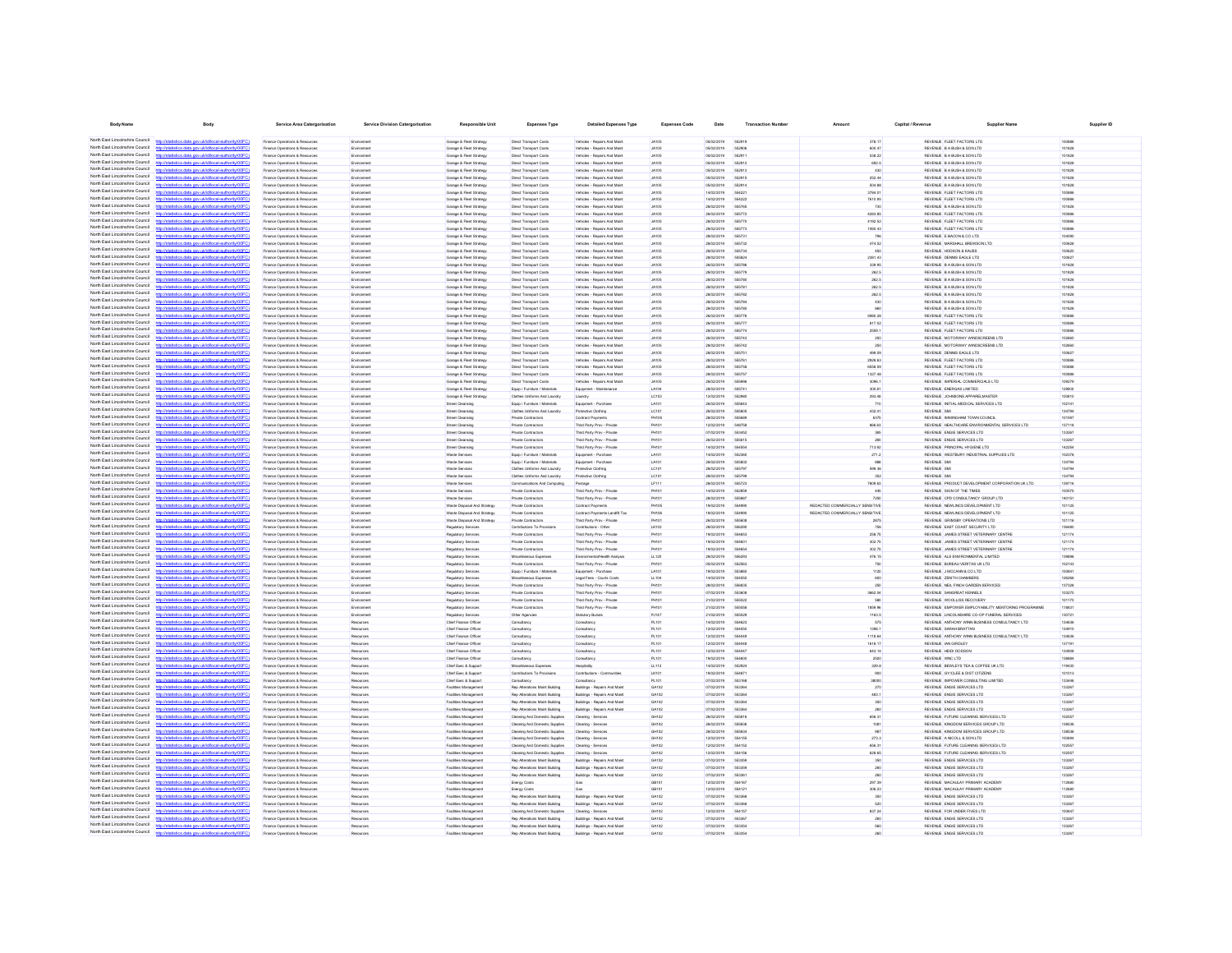| <b>Body Name</b>                                                   | <b>Body</b>                                                                                                              | Service Area Catergorisation                                          | <b>Service Division Catergorisation</b> | Responsible Unit                                      | <b>Expenses Type</b>                                             | <b>Detailed Expenses Type</b>                                  | <b>Expenses Code</b>         | Date                       | <b>Transaction Number</b> | Amount                          | Capital / Revenue | <b>Supplier Name</b>                                                                             |                  | Supplier ID |
|--------------------------------------------------------------------|--------------------------------------------------------------------------------------------------------------------------|-----------------------------------------------------------------------|-----------------------------------------|-------------------------------------------------------|------------------------------------------------------------------|----------------------------------------------------------------|------------------------------|----------------------------|---------------------------|---------------------------------|-------------------|--------------------------------------------------------------------------------------------------|------------------|-------------|
| North East Lincolnshire Council                                    | http://statistics.data.gov.uk/id/local-authority/00FC)                                                                   | Finance Onerations & Resources                                        | Environment                             | Garana & Float Straterw                               | Direct Transport Costs                                           | Vehirles - Renairs And Maint                                   | 20141-                       | entricional                | 662919                    | 378.17                          |                   | REVENUE ELEET FACTORS LTD                                                                        | 100886           |             |
| North East Lincolnshire Council                                    | www.ide.ide.incomi.com/investment20                                                                                      | Finance Operations & Resource                                         | Environment                             | Garage & Fleet Strategy                               | Direct Transport Cost                                            | Vehicles - Repairs And Maint                                   | <b>JA105</b>                 | 05/02/2019                 | 652906                    | 600.47                          |                   | REVENUE B A BUSH & SON LTD                                                                       | 101828           |             |
| North East Lincolnshire Council                                    | http://statistics.data.gov.uk/id/local-authority/00FC1                                                                   | Finance Operations & Resources                                        | Environment                             | Garage & Fleet Strategy                               | Direct Transport Costs                                           | Vehicles - Repairs And Maint                                   | <b>JA105</b>                 | enorgana                   | 662911                    | 538.22                          |                   | REVEN E BARISHASON TO                                                                            | 101828           |             |
| North East Lincolnshire Council                                    | will elimination whether your side influence and how in (DOCC)                                                           | Finance Operations & Resources                                        | Environmen                              | Garage & Fleet Strategy                               | Direct Transport Cost                                            | Vehicles - Repairs And Main                                    | <b>JA105</b>                 | 05/02/2019                 | 662912                    | 692.5                           |                   | REVENUE B A BUSH & SON LTD                                                                       | 101828           |             |
| North East Lincolnshire Council<br>North East Lincolnshire Council | .<br>2000 utilised turnidad behavior and a site<br>atistics data ony rickld/ocal.authority/00FC                          | Finance Operations & Resources                                        | Environment                             | Garage & Fleet Strategy                               | Direct Transport Cost                                            | Vehicles - Repairs And Main                                    | <b>JA105</b>                 | 05/02/2019                 | 552913                    | 430                             |                   | REVENUE BABUSH & SON LTD                                                                         | 101828           |             |
| North East Lincolnshire Council                                    | http://ataliating.clats.com/uk/id/onal.authority/00EC                                                                    | Finance Operations & Resources<br>Finance Operations & Resources      | Environment                             | Garage & Fleet Strategy<br>Garage & Fleet Strategy    | Direct Transport Cost<br>Direct Transport Cost                   | Vehicles - Repairs And Main<br>Vehicles - Repairs And Main     | <b>JA105</b><br><b>JA105</b> | 05/02/2019<br>05/02/2019   | 552915<br>552914          | 252.44<br>504.88                |                   | REVENUE B A BUSH & SON LTD<br>REVENUE B A BUSH & SON LTD                                         | 101828<br>101828 |             |
| North East Lincolnshire Council                                    | http://statistics.data.gov.uk/id/local-authority/00FC                                                                    | Finance Operations & Resources                                        | Environmen                              | Garage & Fleet Strategy                               | Direct Transport Cost                                            | Vehicles - Repairs And Main                                    | <b>JA105</b>                 | 14/02/2019                 | 55422                     | 3784.01                         |                   | REVENUE FLEET FACTORS LTD                                                                        | 100886           |             |
| North East Lincolnshire Council                                    | fistins data one rickfdocal authoritempor.                                                                               | -<br>Finance Operations & Resources                                   | Environment                             | Garage & Fleet Strategy                               | Direct Transport Cost                                            | Vehicles - Repairs And Main                                    | <b>JA105</b>                 | 14/02/2019                 | 55422                     | 7610.95                         |                   | REVENUE FLEET FACTORS LTD                                                                        | 100886           |             |
| North East Lincolnshire Council<br>North Fast Lincolnshire Council | p//statistics.data.gov.uk/id/local-authority/00F<br>tics data ony uklidiocal authority/00FC                              | Inance Operations & Resources<br>Finance Operations & Resources       | Environment                             | Garage & Fleet Strategy<br>Garage & Fleet Strategy    | Direct Transport Cost<br>Direct Transport Cost                   | Vehicles - Repairs And Main<br>Vehicles - Repairs And Main     | <b>JA105</b><br><b>JA105</b> | 28/02/2019<br>26/02/2019   | 555772                    | 4283.85                         |                   | REVENUE B A BUSH & SON LTD<br>REVENUE FLEET FACTORS LTD                                          | 101828<br>100886 |             |
| North East Lincolnshire Council                                    | http://statistics.data.gov.uk/id/local-authority/00FC                                                                    | -<br>Finance Operations & Resources                                   | Environment<br>Environment              | Garage & Fleet Strategy                               | Direct Transport Cost                                            | Vehicles - Repairs And Main                                    | <b>JA105</b>                 | 28/02/2019                 | 555770                    | 4192.52                         |                   | REVENUE FLEET FACTORS LTD                                                                        | 100886           |             |
| North Fast Lincolnshire Council                                    |                                                                                                                          | Finance Operations & Resources                                        | Environment                             | Garage & Fleet Strategy                               | Direct Transport Cost                                            | Vehicles - Repairs And Maint                                   | <b>JA105</b>                 | 28/02/2019                 | 555773                    | 1060.43                         |                   | REVENUE FLEET FACTORS LTD                                                                        | 100886           |             |
| North Fast Lincolnshire Council<br>North Fast Lincolnshire Council | cs.data.gov.uk/id/local-authority/00FC                                                                                   | Finance Operations & Resources                                        | Environment                             | Garage & Fleet Strategy                               | Direct Transport Costs                                           | Vehicles - Repairs And Maint                                   | <b>JA105</b>                 | 28/02/2019                 | 666731                    | 796                             |                   | REVENUE E BACON & CO LTD                                                                         | 104090           |             |
| North Fast Lincolnshire Council                                    | http://statistics.data.gov.ukfd/local-authority/00FC)                                                                    | Finance Operations & Resources                                        | Environment                             | Garage & Fleet Strategy                               | Direct Transport Costs                                           | Vehicles - Repairs And Maint                                   | <b>JA105</b>                 | 28/02/2019                 | 555732<br>555734          | 474.52<br>450                   |                   | REVENUE MARSHALL BREWSON LTD<br>REVENUE HODSON & KAUSS                                           | 100628           |             |
| North East Lincolnshire Council                                    | istics data ony ricid/ocal authority/00FC                                                                                | Finance Operations & Resources<br>Finance Operations & Resources      | Environment<br><b>Environment</b>       | Garage & Fleet Strategy<br>Garage & Fleet Strategy    | Direct Transport Costs<br>Direct Transport Costs                 | Vehicles - Repairs And Maint<br>Vehicles - Repairs And Maint   | <b>JA105</b><br><b>JA105</b> | 28/02/2019<br>28/02/2019   | 555824                    | 2381.43                         |                   | REVENUE DENNS EAGLE LTD                                                                          | 100620<br>100627 |             |
| North East Lincolnshire Council                                    | istics.data.gov.uk/id/local-authority/00FC)                                                                              | Finance Operations & Resources                                        | Environment                             | Garage & Fleet Strategy                               | Direct Transport Costs                                           | Vehicles - Repairs And Maint                                   | <b>JA105</b>                 | 26/02/2019                 | 555788                    | 339.95                          |                   | REVENUE B A BUSH & SON LTD                                                                       | 101828           |             |
| North East Lincolnshire Council                                    | stics data ony rikld/ocal.authority/00FC                                                                                 | Finance Operations & Resources                                        | Environment                             | Garage & Fleet Strategy                               | Direct Transport Costs                                           | Vehicles - Repairs And Maint                                   | <b>JA105</b>                 | 28/02/2019                 | 555779                    | 262.5                           |                   | REVENUE B A BUSH & SON LTD                                                                       | 101828           |             |
| North East Lincolnshire Council<br>North East Lincolnshire Council | distics.data.gov.uk/id/local-authority/00FC1<br>the data one debidonal autoraliant 0000                                  | Finance Operations & Resources<br>Finance Onerations & Resources      | Environment<br>Fruitrement              | Garage & Fleet Strategy<br>Garage & Fleet Strategy    | Direct Transport Costs<br>Direct Transport Cost                  | Vehicles - Repairs And Maint<br>Vehirles - Renairs And Maint   | <b>JA105</b><br>44105        | 28/02/2019<br>pensystemes. | 555780<br><b>666781</b>   | 262.5<br>282.5                  |                   | REVENUE B A BUSH & SON LTD<br>REVENIE RABISHASONITO                                              | 101828<br>101828 |             |
| North East Lincolnshire Council                                    | http://statistics.data.gov.uk/id/local-authority/00FC1                                                                   | Finance Operations & Resources                                        | Environment                             | Garage & Fleet Strategy                               | Direct Transport Costs                                           | Vehicles - Repairs And Maint                                   | <b>JA105</b>                 | 28/02/2019                 | 555782                    | 262.5                           |                   | REVENUE B A BUSH & SON LTD                                                                       | 101828           |             |
| North East Lincolnshire Council                                    | Waterios data nov uklidiocal authority/00FC                                                                              | Finance Operations & Resources                                        | Environment                             | Garage & Fleet Strateg                                | Direct Transport Cost                                            | Vehicles - Repairs And Maint                                   | 14105                        | pensystemes.               | <b>SSS784</b>             | 430                             |                   | REVENUE B A BUSH & SON LTD                                                                       | 101828           |             |
| North East Lincolnshire Council                                    | http://statistics.data.gov.uk/id/local-authority/00FC1                                                                   | Finance Onerations & Resources                                        | Fruitrement                             | Garage & Fleet Strategy                               | Direct Transport Costs                                           | Vehirles - Renairs And Maint                                   | 44105                        | pensystemes.               | 666786                    | 860                             |                   | REVENIE RABISHASONITO                                                                            | 101828           |             |
| North East Lincolnshire Council<br>North East Lincolnshire Council | any defational authority/DOEC                                                                                            | Finance Operations & Resources                                        | Environmen                              | Garage & Fleet Strategy                               | Direct Transport Cost                                            | Vehicles - Repairs And Main                                    | <b>JA105</b>                 | 26/02/2019                 | 666776                    | 5980.28                         |                   | REVENUE FLEET FACTORS LTD                                                                        | 100886           |             |
| North East Lincolnshire Council                                    | http://statistics.data.gov.uk/id/local-authority/00FC1<br>http://atatistics.chta.com/ddidiocal.authority/00EC            | Finance Operations & Resources<br>Finance Operations & Resources      | Environment<br>Environmen               | Garage & Fleet Strateg<br>Garage & Fleet Strategy     | Direct Transport Cost<br>Direct Transport Cost                   | Vehicles - Repairs And Maint<br>Vehicles - Repairs And Main    | <b>JA105</b><br><b>JA105</b> | sensyster<br>28/02/2019    | 666777<br>555774          | 817.02<br>2559.1                |                   | REVENUE FLEET FACTORS LTD<br>REVENUE FLEET FACTORS LTD                                           | 100886<br>100886 |             |
| North East Lincolnshire Council                                    | http://statistics.data.gov.uk/id/local-authority/00FC                                                                    | Finance Operations & Resources                                        |                                         | Garage & Fleet Strategy                               | Direct Transport Cost                                            | Vehicles - Repairs And Main                                    | <b>JA105</b>                 | 26/02/2019                 | 555743                    | 250                             |                   | REVENLIE MOTORWAY WINDSCREENS LTD                                                                | 102660           |             |
| North East Lincolnshire Council                                    | <b>Vistatistics data ony rickldingalauthority/DDFC</b>                                                                   | Finance Operations & Resources                                        | Environment                             | Garage & Fleet Strategy                               | Direct Transport Cost                                            | Vehicles - Repairs And Main                                    | <b>JA105</b>                 | 28/02/2019                 |                           |                                 |                   | REVENUE MOTORWAY WINDSCREENS LTD                                                                 | 02660            |             |
| North East Lincolnshire Council                                    | CONTRACTOR AND INSTALLATION INTO                                                                                         | Finance Operations & Resources                                        |                                         | Garage & Fleet Strategy                               | Direct Transport Cost                                            | Vehicles - Repairs And Main                                    | <b>JA105</b>                 | 28/02/2019                 | 55575                     | 499.09                          |                   | REVENUE DENNIS EAGLE LTD                                                                         | 100627           |             |
| North East Lincolnshire Council<br>North East Lincolnshire Council | n://statistics.data.onv.uk/d/ocal.authority/00FC                                                                         | Finance Operations & Resources                                        | Environment                             | Garage & Fleet Strategy                               | Direct Transport Costs                                           | Vehicles - Repairs And Maint                                   | <b>JA105</b>                 | 28/02/2019                 | 55576                     | 2928.63                         |                   | REVENUE FLEET FACTORS LTD                                                                        | 100886           |             |
| North East Lincolnshire Council                                    | //statistics.data.gov.uk/id/local-authority/00FC                                                                         | Finance Operations & Resources<br>-<br>Finance Operations & Resources | Environment<br>Environment              | Garage & Fleet Strategy<br>Garage & Fleet Strategy    | Direct Transport Cost<br>Direct Transport Cost                   | Vehicles - Repairs And Main<br>Vehicles - Repairs And Main     | <b>JA105</b><br><b>JA105</b> | 28/02/2019<br>28/02/2019   | 55575<br>55575            | 6658.50<br>1327.48              |                   | REVENUE FLEET FACTORS LTD<br>REVENUE FLEET FACTORS LTD                                           | 100886<br>100886 |             |
| North Fast Lincolnshire Council                                    | ny uklidihoalauthorityi00F                                                                                               | Finance Operations & Resources                                        | Environment                             | Garage & Fleet Strategy                               | Direct Transport Costs                                           | Vehicles - Repairs And Main                                    | <b>JA105</b>                 | 28/02/2019                 | 555996                    | 3096.1                          |                   | REVENUE IMPERIAL COMMERCIALS LTD                                                                 | 109279           |             |
| North Fast Lincolnshire Council                                    | http://statistics.data.gov.uk/id/local-authority/00FC)                                                                   | Finance Operations & Resources                                        | Environment                             | Garage & Fleet Strategy                               | Equip / Furniture / Materials                                    | Equipment - Maintenance                                        | LA104                        | 28/02/2019                 | 66674                     | 300.81                          |                   | REVENUE ENERGAS LIMITED                                                                          | 129000           |             |
| North East Lincolnshire Council                                    |                                                                                                                          | Finance Operations & Resources                                        | Environment                             | Garage & Fleet Strategy                               | Clothes Uniforms And Laundry                                     | Laundry                                                        | LC103                        | 12/02/2019                 | 552980                    | 293.48                          |                   | REVENUE JOHNSONS APPARELMASTER                                                                   | 100810           |             |
| North East Lincolnshire Council<br>North Fast Lincolnshire Council | stics.data.gov.uk/id/local-authority/00FC                                                                                | Finance Operations & Resources                                        | Environment                             | <b>Street Cleansing</b>                               | Equip / Furniture / Materials                                    | Equipment - Purchase                                           | LA101                        | 26/02/2019                 | 555643                    | 710                             |                   | REVENUE INITIAL MEDICAL SERVICES LTD                                                             | 102141           |             |
| North East Lincolnshire Council                                    | http://statistics.data.gov.uk/id/local-authority/00FC)                                                                   | Finance Operations & Resources<br>Finance Operations & Resources      | <b>Environment</b><br>Environment       | Street Cleansing<br><b>Street Cleansing</b>           | Clothes Uniforms And Laundry<br>Private Contractors              | Protective Clothing<br>Contract Payments                       | LC101<br><b>PH105</b>        | 26/02/2019<br>28/02/2019   | 665805<br>555689          | 432.41<br>6375                  |                   | <b>REVENUE SMI</b><br>REVENUE IMMINGHAM TOWN COUNCIL                                             | 134794<br>101597 |             |
| North East Lincolnshire Council                                    | distins data ony uklidiocal authority(00FC)                                                                              | Finance Operations & Resources                                        | <b>Environment</b>                      | Street Cleansing                                      | Private Contractors                                              | Third Party Prov - Private                                     | PH101                        | 12/02/2019                 | 548758                    | 866.63                          |                   | REVENUE HEALTHCARE ENVIRONMENTAL SERVICES LTD                                                    | 137118           |             |
| North East Lincolnshire Council                                    | istics.data.gov.uk/id/local-authority/00FC1<br>http://e                                                                  | Finance Operations & Resources                                        | Environment                             | Street Cleansing                                      | Private Contractors                                              | Third Party Prov - Private                                     | PH101                        | 07/02/2019                 | 553452                    | 385                             |                   | REVENUE ENGIE SERVICES LTD                                                                       | 133267           |             |
| North East Lincolnshire Council                                    | istics data ony ricid/ocal authority/00FC                                                                                | Finance Operations & Resources                                        | Environment                             | Street Cleansing                                      | Private Contractors                                              | Third Party Prov - Private                                     | PH101                        | 26/02/2019                 | 555615                    | 280                             |                   | REVENUE ENGIE SERVICES LTD                                                                       | 133267           |             |
| North East Lincolnshire Council<br>North East Lincolnshire Council | istics.data.gov.uk/id/local-authority/00FC1<br>intime when your relationships throughout CO                              | Finance Operations & Resources                                        | Environment                             | Street Cleansing<br>Waste Services                    | Private Contractors                                              | Third Party Prov - Private                                     | PH101                        | 14/02/2019<br>encronar     | 554554                    | 713.92                          |                   | REVENUE PRINCIPAL HYGIENE LTD                                                                    | 142254<br>102378 |             |
| North East Lincolnshire Council                                    | http://statistics.data.oov.uk/id/ocal.authority/00FCI                                                                    | Finance Operations & Resources<br>Finance Onerations & Resources      | Environment<br>Fruitrement              | Waste Renáres                                         | Equip / Furniture / Material<br>Frein / Furniture / Materials    | Equipment - Purchase<br>Freinmert - Perchase                   | 1.4101<br>1.4101             | encrones                   | 552360<br>666802          | 271.2<br>888                    |                   | REVENUE WESTBURY INDUSTRIAL SUPPLIES LTD<br><b>REVENLIE</b> SMI                                  | 134704           |             |
| North East Lincolnshire Council                                    | Waterios data ony ricklingal authority/00FC                                                                              | Finance Operations & Resources                                        | Environment                             | Waste Service                                         | Clothes Uniforms And Laundry                                     | Protective Clothing                                            | LC101                        | 28/02/2019                 | 666707                    | 599.36                          |                   | <b>REVENUE</b> SMI                                                                               | 134794           |             |
| North East Lincolnshire Council                                    | http://statistics.data.gov.uk/id/local-authority/00FC1                                                                   | Finance Operations & Resources                                        | Environment                             | Waste Renéres                                         | Clothes Uniforms And Laundry                                     | Protective Circhien                                            | LC101                        | <b>28022019</b>            | 666700                    | 352                             |                   | <b>REVENUE</b> SMI                                                                               | 134704           |             |
| North East Lincolnshire Council                                    | <b>CONTRACTOR</b> AND CONTRACTOR                                                                                         | Finance Operations & Resources                                        | Environmen                              | Waste Services                                        | inications And Computing                                         |                                                                | LF11                         | 28/02/2019                 | 666723                    | 7809.63                         |                   | REVENUE PRODUCT DEVELOPMENT CORPORATION UK LTD                                                   | 139716           |             |
| North East Lincolnshire Council<br>North East Lincolnshire Council | http://statistics.data.gov.uk/id/local-authority/00FC<br>http://etatietics.clats.com/ddidiocal.authority/DDEC            | Finance Operations & Resources                                        | Environmen                              | Waste Service                                         | Private Contractor                                               | Third Party Prov - Private                                     | PH10                         | 14/02/2019                 | 552859                    |                                 |                   | REVENUE SIGN OF THE TIMES                                                                        | 100575           |             |
| North East Lincolnshire Council                                    | datistics.data.gov.uk/id/local-authority/00FC                                                                            | Finance Operations & Resources<br>-<br>Finance Operations & Resources | Environment                             | Waste Services<br>Waste Disposal And Strategy         | Private Contractors<br>Private Contractor:                       | Third Party Prov - Private<br>Contract Payments                | PH10<br>PH10                 | 28/02/2019<br>19/02/2019   | 55499                     | REDACTED COMMERCIALLY SENSITIVE |                   | REVENUE CPD CONSULTANCY GROUP LTD<br>REVENUE NEWLINCS DEVELOPMENT LTD                            | 140151<br>101125 |             |
| North East Lincolnshire Council                                    |                                                                                                                          | Finance Operations & Resources                                        | Environment                             | Waste Disposal And Strategy                           | Private Contractors                                              | Contract Payments Landfil T                                    | PH106                        | 19/02/2019                 | 554990                    | REDACTED COMMERCIALLY SENSITIVE |                   | REVENUE NEWLINCS DEVELOPMENT LTD                                                                 | 101125           |             |
| North East Lincolnshire Council                                    | tistics.data.gov.uk/id/local-authority/00FC                                                                              | Finance Operations & Resources                                        |                                         | Waste Disposal And Strategy                           | Private Contractors                                              | Third Party Prov - Private                                     | PH10                         | 26/02/2019                 | 55560                     | 2875                            |                   | REVENUE GRIMSBY OPERATIONS LTD                                                                   | 101116           |             |
| North East Lincolnshire Council<br>North Fast Lincolnshire Council | m delettroni authoris (ODC)                                                                                              | Finance Operations & Resources                                        | Environment                             | Regulatory Services                                   | Contributions To Provision                                       | Contributions - Other                                          | <b>LK103</b><br><b>PH101</b> | 28/02/2019<br>19/02/2019   | 556290<br>554653          | 756<br>258.75                   |                   | REVENUE EAST COAST SECURITY LTD<br>REVENUE JAMES STREET VETERINARY CENTR                         | 136480<br>121174 |             |
| North East Lincolnshire Council                                    |                                                                                                                          | Finance Operations & Resources<br>Finance Operations & Resources      | Environment<br>Environment              | Regulatory Service<br>Regulatory Services             | Private Contractors<br>Private Contractors                       | Third Party Prov - Private<br>Third Party Prov - Private       | <b>PH101</b>                 | 19/02/2019                 | 554601                    | 302.75                          |                   | REVENUE JAMES STREET VETERINARY CENTRE                                                           | 121174           |             |
| North Fast Lincolnshire Council                                    | calauthoritymne                                                                                                          | Finance Operations & Resources                                        | Environment                             | Regulatory Service                                    | Private Contractors                                              | Third Party Prov - Private                                     | <b>PH101</b>                 | 19/02/2019                 | 554654                    | 302.75                          |                   | REVENUE JAMES STREET VETERINARY CENTRE                                                           | 121174           |             |
| North Fast Lincolnshire Council                                    | http://statistics.data.gov.uk/id/local-authority/00FC1                                                                   | Finance Operations & Resources                                        | Environment                             | Regulatory Service                                    | Miscellaneous Expenses                                           | Environmental/Health Analysis                                  | LL120                        | 28/02/2019                 | 556293                    | 476.15                          |                   | REVENUE ALS ENVIRONMENTAL LIMITED                                                                | 139898           |             |
| North East Lincolnshire Council<br>North East Lincolnshire Council | cal-authority/00FC                                                                                                       | Finance Operations & Resources                                        | Environment                             | Regulatory Service                                    | Private Contractors                                              | Third Party Prov - Private                                     | PH101                        | 05/02/2019                 | 652563                    | 750                             |                   | REVENUE BUREAU VERITAS UK LTD                                                                    | 102143           |             |
| North East Lincolnshire Council                                    | stics.data.gov.uk/id/local-authority/00FC1<br>alauthority                                                                | Finance Operations & Resources<br>Finance Operations & Resources      | Environment<br>Environment              | Regulatory Services<br>Regulatory Services            | Equip / Furniture / Materials<br>Miscellaneous Expenses          | Equipment - Purchase<br>Legal Fees - Courts Costs              | LA101<br>LL104               | 19/02/2019<br>14/02/2019   | 553860<br>654550          | 1120<br>600                     |                   | REVENUE J MCCANN & CO LTD<br>REVENUE ZEN TH CHAMBERS                                             | 100841<br>126266 |             |
| North East Lincolnshire Council                                    | http://statistics.data.gov.uk/id/local-authority/00FC1                                                                   | Finance Operations & Resources                                        | Environment                             | Regulatory Services                                   | Private Contractors                                              | Third Party Prov - Private                                     | PH101                        | 28/02/2019                 | 556835                    | 250                             |                   | REVENUE NEIL FINCH GARDEN SERVICES                                                               | 137328           |             |
| North East Lincolnshire Council                                    | http://statistics.data.oov.uk/d/ocal.authority/00EC                                                                      | Finance Operations & Resources                                        | Environment                             | Regulatory Service                                    | Private Contractors                                              | Third Party Prov - Private                                     | PH101                        | 07/02/2019                 | 553608                    | 3662.04                         |                   | REVENUE SANGREAT KENNELS                                                                         | 103270           |             |
| North East Lincolnshire Council<br>North East Lincolnshire Council | distics.data.gov.uk/id/local-authority/00FC1                                                                             | Finance Operations & Resources                                        | Environment                             | Regulatory Services                                   | Private Contractors                                              | Third Party Prov - Private                                     | PH101                        | 21/02/2019                 | 555022                    | 580                             |                   | REVENUE WOOLLISS RECOVERY                                                                        | 101170           |             |
| North East Lincolnshire Council                                    | distins data one uklid/ocal authorite/00FC<br>http://statistics.data.gov.uk/id/local-authority/00FC1                     | Finance Onerations & Resources<br>Finance Operations & Resources      | Fruitrement<br>Environment              | Regulatory Service<br>Regulatory Services             | Private Contractor<br>Other Agencies                             | Third Party Prov., Private<br>Statutory Burials                | PHILIP<br>PJ147              | 21/02/2019<br>21/02/2019   | 555058<br>555029          | 1850.06<br>1163.5               |                   | REVEN E EMPOWER FMPLOYARILITY MENTORING PROGRAMME<br>REVENUE LINCOLNSHIRE CO-OP FUNERAL SERVICES | 118831<br>130721 |             |
| North East Lincolnshire Council                                    | ation data over delighteral autority (ODE)                                                                               | Finance Operations & Resources                                        |                                         | Chief Finance Office                                  | Consultanc                                                       | Consultanc                                                     | <b>PL101</b>                 | 14/02/2019                 | <b>554823</b>             | 575                             |                   | REVENUE ANTHONY WINN BUSINESS CONSULTANCY LTD                                                    | 134636           |             |
| North East Lincolnshire Council                                    | http://statistics.data.gov.uk/id/local-authority/00FC1                                                                   | Finance Operations & Resources                                        | Resources                               | Chief Finance Office                                  | Consultancy                                                      | Consultanc                                                     | PL101                        | encronse                   | 554050                    | 1398.1                          |                   | REVEN E SARAH BRATTAN                                                                            | 134910           |             |
| North East Lincolnshire Council                                    | http://statistics.data.oov.uk/id/ocal.authority/00FCI                                                                    | Finance Operations & Resources                                        |                                         | Chief Finance Office                                  | Consultanc                                                       | Consultancy                                                    | PL101                        | 12/02/2019                 | <b>SS404</b>              | 1118.64                         |                   | REVENUE ANTHONY WINN BUSINESS CONSULTANCY LTD                                                    | 134636           |             |
| North East Lincolnshire Council<br>North East Lincolnshire Council | http://statistics.data.gov.uk/id/local-authority/00FC<br>stigting data over skiddenska disoritet (DOCC)                  | Finance Operations & Resources                                        | Resources                               | Chief Finance Office                                  | Consultancy                                                      | Consultanc                                                     | <b>PL101</b>                 | 12/02/2019                 | 55404                     | 1618.17                         |                   | REVENUE IAN GIRDLEY                                                                              | 137191           |             |
| North East Lincolnshire Council                                    | tistics data ony ukld/ocal-authority/00FC                                                                                | Finance Operations & Resources<br>nance Operations & Resources        |                                         | Chief Finance Office<br>Chief Finance Offic           | Consultancy<br>Consultancy                                       | Consultancy<br>Consultance                                     | PL10<br>PL10                 | 12/02/2019<br>19/02/2019   | 55404<br>SS4AN            | 643.14<br>2500                  |                   | REVENUE HEIDI DODSON<br>REVENUE WNC LTD                                                          | 134908<br>138884 |             |
| North East Lincolnshire Council                                    | distribution state concretible coloration the distribution                                                               | Inance Operations & Resources                                         | Resources                               | Chief Exec & Support                                  | Miscellaneous Expenses                                           | Hospitality                                                    | LL112                        | 14/02/2019                 | 55292                     | 329.8                           |                   | REVENUE BEWLEYS TEA & COFFEE UK LTD                                                              | 119430           |             |
| North East Lincolnshire Council                                    | http://statistics.data.gov.uk/id/local-authority/00FC                                                                    | -<br>Finance Operations & Resources                                   | Resources                               | Chief Exec & Suppo                                    | Contributions To Provision                                       | Contributions - Commun                                         | LK10                         | 19/02/2019                 |                           | 900                             |                   | REVENUE GY/CLEE & DIST CITIZEN                                                                   | 101013           |             |
| North East Lincolnshire Council                                    |                                                                                                                          | Finance Operations & Resources                                        | Resources                               | Chief Exec & Support                                  | Consultancy                                                      | Consultancy                                                    | PL101                        | 07/02/2019                 | 553168                    | 38000                           |                   | REVENUE IMPOWER CONSULTING LIMITED                                                               | 133446           |             |
| North East Lincolnshire Council<br>North East Lincolnshire Council | stics.data.gov.uk/id/local-authority/00FC                                                                                | Finance Operations & Resources                                        | Resources                               | Facilities Managemen                                  | Rep Alterations Maint Building                                   | Buildings - Repairs And Maint                                  | GA102                        | 07/02/2019                 | 55336                     | 270                             |                   | REVENUE ENGIE SERVICES LTD                                                                       | 133267           |             |
| North Fast Lincolnshire Council                                    | tics.data.gov.uk/id/local-authority/00FC1                                                                                | Finance Operations & Resources<br>Finance Operations & Resources      | Resources<br>Resources                  | Facilities Management<br>Facilities Management        | Rep Alterations Maint Building<br>Rep Alterations Maint Building | Buildings - Repairs And Maint<br>Buildings - Repairs And Maint | GA102<br>GA102               | 07/02/2019<br>07/02/2019   | 553364<br>553364          | 483.1<br>350                    |                   | REVENUE ENGIE SERVICES LTD<br>REVENUE ENGIE SERVICES LTD                                         | 133267<br>133267 |             |
| North Fast Lincolnshire Council                                    |                                                                                                                          | Finance Operations & Resources                                        | Resources                               | Facilities Management                                 | Rep Alterations Maint Building                                   | Buildings - Repairs And Maint                                  | GA102                        | 07/02/2019                 | 663364                    | 260                             |                   | REVENUE ENGIE SERVICES LTD                                                                       | 133267           |             |
| North Fast Lincolnshire Council                                    |                                                                                                                          | Finance Operations & Resources                                        | Resources                               | Facilities Management                                 | Cleaning And Domestic Supplies                                   | Cleaning - Services                                            | GH102                        | 26/02/2019                 | 555816                    | 656.31                          |                   | REVENUE FUTURE CLEANING SERVICES LTD                                                             | 102557           |             |
| North Fast Lincolnshire Council                                    | distics.data.gov.uk/id/local-authority/00FC                                                                              | Finance Operations & Resources                                        | Resources                               | <b>Facilities Management</b>                          | Cleaning And Domestic Supplies                                   | Cleaning - Services                                            | GH102                        | 26/02/2019                 | 555836                    | 1081                            |                   | REVENUE KINGDOM SERVICES GROUP LTD                                                               | 138536           |             |
| North East Lincolnshire Council<br>North East Lincolnshire Council | calauthority(00F<br>tics data ony uklid                                                                                  | Finance Operations & Resources                                        | Resources                               | Facilities Management                                 | Cleaning And Domestic Supplies                                   | Cleaning - Services                                            | GH102                        | 26/02/2019                 | <b>GGGR34</b><br>554155   | 987                             |                   | REVENUE KINGDOM SERVICES GROUP LTD                                                               | 138536           |             |
| North East Lincolnshire Council                                    | istics.data.gov.uk/id/local-authority/00FC)<br>tics data ony uklid/ocal.authority/00                                     | Finance Operations & Resources<br>Finance Operations & Resources      | Resources<br>Resources                  | Facilities Management<br><b>Facilities Management</b> | Cleaning And Domestic Supplies<br>Cleaning And Domestic Supplies | Cleaning - Services<br>Cleaning - Services                     | GH102<br>GH102               | 12/02/2019<br>12/02/2019   | 554152                    | 273.3<br>656.31                 |                   | REVENUE A NCOLL & SON LTD<br>REVENUE FUTURE CLEANING SERVICES LTD                                | 100694<br>102557 |             |
| North East Lincolnshire Council                                    | http://statistics.data.gov.uk/id/local-authority/00FC1                                                                   | Finance Operations & Resources                                        | Resources                               | <b>Facilities Management</b>                          | Cleaning And Domestic Supplies                                   | Cleaning - Services                                            | GH102                        | 12/02/2019                 | 554156                    | 628.65                          |                   | REVENUE FUTURE CLEANING SERVICES LTD                                                             | 102557           |             |
| North East Lincolnshire Council                                    | http://statistics.data.gov.uk/id/local-authority/00FC                                                                    | Finance Operations & Resources                                        | Resources                               | Facilities Management                                 | Rep Alterations Maint Building                                   | Buildings - Repairs And Maint                                  | GA102                        | 07/02/2019                 | 553359                    | 350                             |                   | REVENUE ENGIE SERVICES LTD                                                                       | 133267           |             |
| North East Lincolnshire Council<br>North East Lincolnshire Council | http://statistics.data.gov.uk/id/local-authority/00FC1                                                                   | Finance Operations & Resources                                        | Resources                               | <b>Facilities Management</b>                          | Rep Alterations Maint Building                                   | Buildings - Repairs And Maint                                  | GA102                        | 07/02/2019                 | 553359                    | 260                             |                   | REVENUE ENGIE SERVICES LTD                                                                       | 133267           |             |
| North East Lincolnshire Council                                    | distribution state and delighteral authority (OCC)<br>atistics data one rickfdocal authoritement?<br><b>Batter State</b> | Finance Operations & Resources<br>Finance Onerations & Resources      | Reserves<br>Reserves                    | Facilities Managemen<br>Facilities Management         | Rep Alterations Maint Building<br>Energy Costs                   | Buildings - Repairs And Maint                                  | GA102<br>CR101               | encrease<br>encronse       | 663361<br><b>654167</b>   | 260<br>207.30                   |                   | REVEN E ENGIE SERVICES I TO<br>REVENLE, MACALLAY PRIMARY ACADEMY                                 | 133267<br>112680 |             |
| North East Lincolnshire Council                                    | ukidasal subsciound                                                                                                      | Finance Operations & Resources                                        |                                         | Facilities Managemen                                  | Energy Costs                                                     |                                                                | GB101                        | 12/02/2019                 | 55412                     | 306.23                          |                   | REVENUE MACAULAY PRIMARY ACADEMY                                                                 | 112680           |             |
| North East Lincolnshire Council                                    | http://statistics.data.gov.uk/id/local-authority/00FC1                                                                   | Finance Operations & Resources                                        | Resources                               | Facilities Managemen                                  | Rep Alterations Maint Building                                   | Buildings - Repairs And Main                                   | GA102                        | oznaransa                  | 653368                    | 350                             |                   | REVENUE ENGIE SERVICES LTD                                                                       | 133267           |             |
|                                                                    | North East Lincolnshire Council   New Setwhetics Anti-Any defictive at authority inner                                   | Finance Operations & Resources                                        |                                         | Facilities Manageme                                   | Rep Alterations Maint Building                                   | Buildings - Repairs And Main                                   | GA102                        | 07/02/2019                 | 55336                     | 520                             |                   | REVENUE ENGIE SERVICES LTD                                                                       | 133267           |             |
| North East Lincolnshire Council<br>North East Lincolnshire Council | http://statistics.data.gov.uk/id/local-authority/00FC                                                                    | Finance Operations & Resource                                         |                                         | Facilities Managemen                                  | Cleaning And Domestic Supplie                                    | Cleaning - Services                                            | GH102                        | 12/02/2019                 | 554157                    | 837.24                          |                   | REVENUE FOR UNDER FIVES LTD                                                                      | 100647           |             |
| North East Lincolnshire Council                                    | //statistics.data.gov.uk/id/ocal-authority/00FC<br>distics.data.gov.uk/id/local-authority/00FC                           | Finance Operations & Resources<br>Finance Operations & Resources      |                                         | Facilities Managemen<br>Facilities Managemen          | Rep Alterations Maint Building<br>Rep Alterations Maint Building | Buildings - Repairs And Maint<br>Buildings - Repairs And Main  | GA102<br>GA102               | 07/02/2019<br>07/02/2019   | 55335                     |                                 |                   | REVENUE ENGIE SERVICES LTD<br>REVENUE ENGIE SERVICES LTD                                         | 133267<br>133267 |             |
| North East Lincolnshire Council                                    |                                                                                                                          | nna & Rea                                                             |                                         | Farilities Ma                                         | Ren Alterations Maint Rubling                                    | Ruildinns - Ronairs And Maint                                  | GA102                        | 07/02/2019                 |                           |                                 |                   | REVEN E ENGIE SERVICES I TO                                                                      | 133267           |             |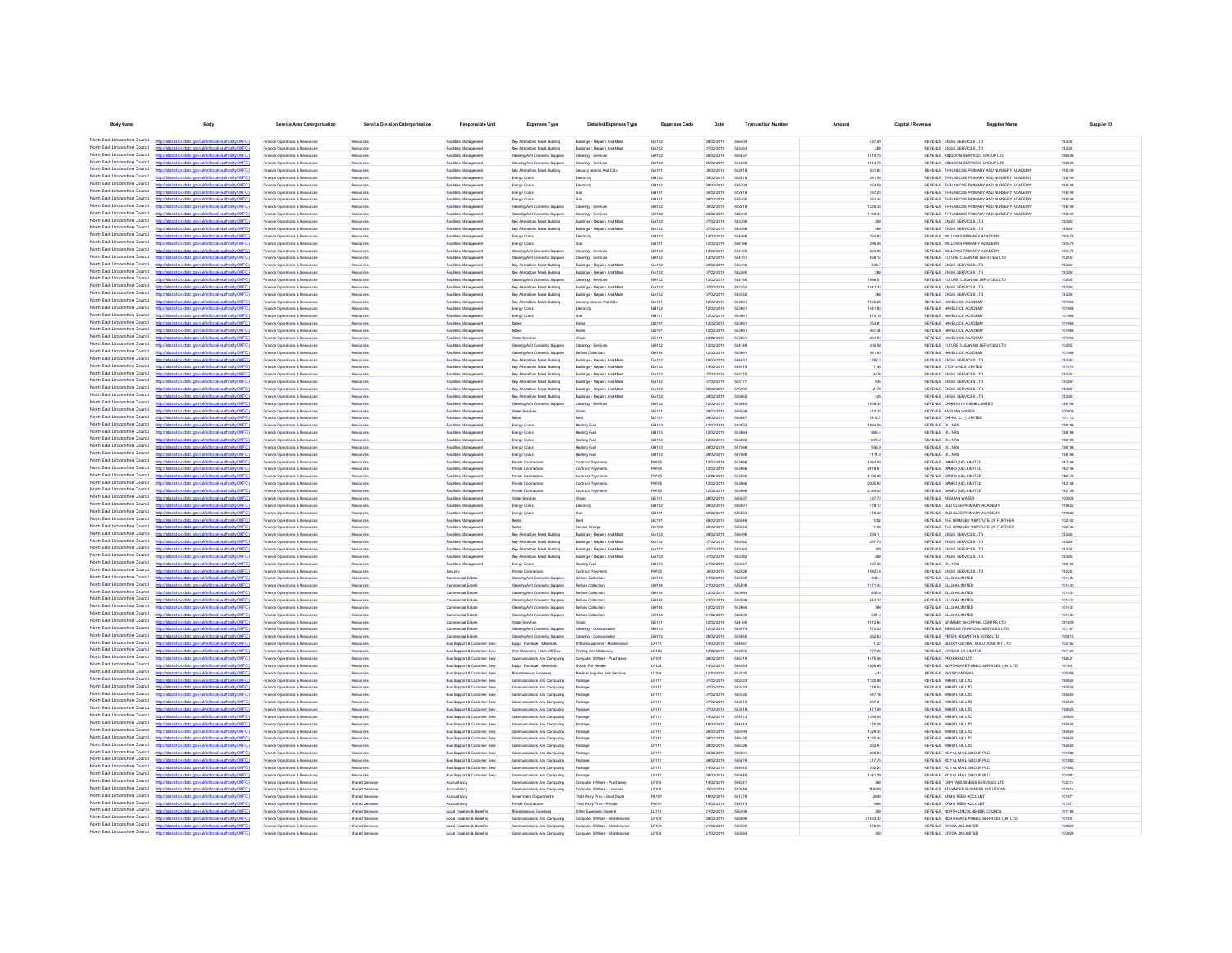| <b>Body Name</b>                                                   | Body                                                                                                             | Service Area Catergorisation                                          | <b>Service Division Catergorisation</b>  | <b>Responsible Unit</b>                                      | Expenses Type                                                    | <b>Detailed Expenses Type</b>                                  | <b>Expenses Code</b> | Date                        | <b>Transaction Number</b> | Amount             | Capital / Revenue | <b>Supplier Name</b>                                                                           | Supplier ID            |
|--------------------------------------------------------------------|------------------------------------------------------------------------------------------------------------------|-----------------------------------------------------------------------|------------------------------------------|--------------------------------------------------------------|------------------------------------------------------------------|----------------------------------------------------------------|----------------------|-----------------------------|---------------------------|--------------------|-------------------|------------------------------------------------------------------------------------------------|------------------------|
| North East Lincolnshire Council                                    |                                                                                                                  |                                                                       |                                          |                                                              |                                                                  |                                                                |                      |                             |                           |                    |                   |                                                                                                |                        |
| North East Lincolnshire Council                                    | http://statistics.data.gov.uk/id/local-authority/00FC)<br>http://statistics.data.gov.uk/id/local-authority/00FC1 | Finance Operations & Resources<br>Finance Operations & Resources      | Reserves<br>Resources                    | <b>Facilities Management</b><br><b>Facilities Management</b> | Rep Alterations Maint Building<br>Rep Alterations Maint Building | Buildings - Repairs And Maint<br>Buildings - Repairs And Maint | GA102<br>GA102       | 28/02/2019<br>07/02/2019    | 556404<br>663363          | 437.09             |                   | REVENUE ENGIE SERVICES LTD<br>REVENUE ENGIE SERVICES LTD                                       | 133267<br>133267       |
| North East Lincolnshire Council                                    | http://statistics.data.gov.uk/id/local-authority/00FC1                                                           | Finance Operations & Resources                                        | Resources                                | <b>Facilities Management</b>                                 | Cleaning And Domestic Supplies                                   | Cleaning - Services                                            | GH102                | 26/02/2019                  | 555837                    | 1014.75            |                   | REVENUE KINGDOM SERVICES GROUP LTD                                                             | 138536                 |
| North East Lincolnshire Council                                    | distins data one uklid/ocal authorite/00FC                                                                       | Finance Onerations & Resources                                        | Reserves                                 | Facilities Management                                        | Cleaning And Domestic Supplies                                   | Cleaning - Services                                            | CHINO                | encrone                     | <b>GGGRSG</b>             | 1014.75            |                   | REVENLE KINGDOM SERVICES GROUP LTD.                                                            | 138536                 |
| North East Lincolnshire Council<br>North East Lincolnshire Council | cs.data.gov.uk/id/local-authority/00FC<br>OZietatistica data oso ukidistoral authoritumDC                        | Finance Operations & Resources<br>Finance Operations & Resources      | Resources                                | Facilities Management<br>Facilities Managemen                | Rep Alterations Maint Building                                   | Security Alarms And Coty                                       | GA101<br>CR102       | 05/02/2019<br>enorgana      | 552618<br><b>652618</b>   | 501.84             |                   | REVENUE THRUNSCOE PRIMARY AND NURSERY ACADEMY<br>REVENUE THRUNSCOE PRIMARY AND NURSERY ACADEMY | 118749                 |
| North East Lincolnshire Council                                    | http://statistics.data.onv.uk/d/ocal.authority/00EC                                                              | Finance Operations & Resources                                        | Resources                                | Facilities Management                                        | <b>Energy Costs</b><br><b>Energy Costs</b>                       | Electricity<br>Flertrinity                                     | CR102                | pensystemes.                | 665700                    | 291.06<br>253.58   |                   | REVENUE. THRUNSCOF PRIMARY AND NURSERY ACADEMY                                                 | 118749<br>118749       |
| North East Lincolnshire Council                                    | http://statistics.data.oov.uk/id/ocal.authority/00FCI                                                            | Finance Onerations & Resources                                        | Reserves                                 | Facilities Management                                        | Energy Costs                                                     | Gas                                                            | CR101                | enorgania                   | <b>652618</b>             | 757.23             |                   | REVENUE. THRUNSCOF PRIMARY AND NURSERY ACADEMY                                                 | 118749                 |
| North East Lincolnshire Council<br>North East Lincolnshire Council | fistins data one rickfdocal authoritempor.<br>http://statistics.data.onv.uk/d/ocal.authority/00EC                | Finance Operations & Resources                                        | Resources                                | Facilities Management                                        | Energy Costs                                                     | Gas                                                            | GB101                | <b>28022019</b><br>enorgana | 555700                    | 351.44             |                   | REVENUE THRUNSCOE PRIMARY AND NURSERY ACADEMY                                                  | 118749                 |
| North East Lincolnshire Council                                    | .<br>Statistické oblase na uklidánce kadanika (DOEC)                                                             | Finance Operations & Resources<br>-<br>Finance Operations & Resources |                                          | Facilities Managemen<br>Facilities Manageme                  | Cleaning And Domestic Supplies<br>Cleaning And Domestic Supplies | Cleaning - Services<br>Cleaning - Services                     | CHINO<br>GH102       | 28/02/2019                  | <b>652618</b><br>55570    | 1225.33<br>1190.34 |                   | REVENUE THRUNSCOE PRIMARY AND NURSERY ACADEMY<br>REVENUE THRUNSCOE PRIMARY AND NURSERY ACADEMY | 118749<br>118749       |
| North East Lincolnshire Council                                    | http://statistics.data.gov.uk/id/local-authority/00FC                                                            | Finance Operations & Resources                                        |                                          | Facilities Managemen                                         | Rep Alterations Maint Building                                   | Buildings - Repairs And Mail                                   | GA102                | 07/02/2019                  | 66335                     | 350                |                   | REVENUE ENGIE SERVICES LTD                                                                     | 133267                 |
| North East Lincolnshire Council                                    | http://statistics.data.onv.uk/d/ocal.authority/00EC                                                              | Inance Operations & Resources                                         |                                          | Facilities Managemen                                         | Rep Alterations Maint Building                                   | Buildings - Repairs And Main                                   | GA102                | 07/02/2019                  | 55335                     | 260                |                   | REVENUE ENGIE SERVICES LTD                                                                     | 133267                 |
| North East Lincolnshire Council<br>North Fast Lincolnshire Council | http://statistics.data.gov.uk/id/local-authority/00FC<br>ony rickfihrcal authority/DDF                           | Inance Operations & Resources<br>Finance Operations & Resources       |                                          | Facilities Manageme<br>Facilities Management                 | Energy Costs                                                     | Electricity                                                    | GB102<br>GB101       | 14/02/2019<br>12/02/2019    | 554166                    | 753.93<br>295.06   |                   | REVENUE WILLOWS PRIMARY ACADEM<br>REVENUE WILLOWS PRIMARY ACADEMY                              | 120478<br>120478       |
| North East Lincolnshire Council                                    | tics.data.gov.uk/id/local-authority/00FC                                                                         | Finance Operations & Resources                                        | Resources<br>Resources                   | Facilities Management                                        | Energy Costs<br>Cleaning And Domestic Supplies                   | Cleaning - Services                                            | GH102                | 12/02/2019                  | 554165                    | $-063.96$          |                   | REVENUE WILLOWS PRIMARY ACADEMY                                                                | 120478                 |
| North Fast Lincolnshire Council                                    |                                                                                                                  | Finance Operations & Resources                                        | Resources                                | Facilities Management                                        | Cleaning And Domestic Supplies                                   | Cleaning - Services                                            | GH102                | 12/02/2019                  | 554151                    | 856.14             |                   | REVENUE FUTURE CLEANING SERVICES LTD                                                           | 102557                 |
| North Fast Lincolnshire Council<br>North East Lincolnshire Council | http://statistics.data.gov.uk/id/local-authority/00FC1                                                           | Finance Operations & Resources                                        | Resources                                | Facilities Management                                        | Rep Alterations Maint Building                                   | Buildings - Repairs And Maint                                  | GA102                | 28/02/2019                  | 556398                    | 438.7              |                   | REVENUE ENGIE SERVICES LTD                                                                     | 133267                 |
| North East Lincolnshire Council                                    | cal-authority/00FC<br>cs.data.gov.ukld<br>istics.data.gov.uk/id/local-authority/00FC                             | Finance Operations & Resources<br>Finance Operations & Resources      | Resources<br>Resources                   | <b>Facilities Management</b><br><b>Facilities Management</b> | Rep Alterations Maint Building<br>Cleaning And Domestic Supplies | Buildings - Repairs And Maint<br>Cleaning - Services           | GA102<br>GH102       | 07/02/2019<br>12/02/2019    | 553360<br>554150          | 260<br>1066.01     |                   | REVENUE ENGIE SERVICES LTD<br>REVENUE FUTURE CLEANING SERVICES LTD                             | 133267<br>102557       |
| North Fast Lincolnshire Council                                    | ics data ony uklidiocal authority(00)                                                                            | Finance Operations & Resources                                        | Resources                                | <b>Facilities Management</b>                                 | Rep Alterations Maint Building                                   | Buildings - Repairs And Maint                                  | GA102                | 07/02/2019                  | 663352                    | 1441.32            |                   | REVENUE ENGIE SERVICES LTD                                                                     | 133267                 |
| North East Lincolnshire Council                                    | distics.data.gov.uk/id/local-authority/00FC1                                                                     | Finance Operations & Resources                                        | Resources                                | <b>Facilities Management</b>                                 | Rep Alterations Maint Building                                   | Buildings - Repairs And Maint                                  | GA102                | 07/02/2019                  | 663352                    | 260                |                   | REVENUE ENGIE SERVICES LTD                                                                     | 133267                 |
| North East Lincolnshire Council<br>North East Lincolnshire Council | tistics data ony rigidiocal authority(00FC)                                                                      | Finance Operations & Resources                                        | Resources                                | Facilities Management                                        | Rep Alterations Maint Building                                   | Security Alarms And Coty                                       | GA101                | 12/02/2019                  | 553961                    | 1955.25            |                   | REVENUE HAVELOCK ACADEMY                                                                       | 101968                 |
| North East Lincolnshire Council                                    | http://statistics.data.gov.uk/id/local-authority/00FC1<br>statistics data ony ricidiocal authority(00FC)         | Finance Operations & Resources<br>Finance Onerations & Resources      | Resources<br>Reserves                    | <b>Facilities Management</b><br>Facilities Management        | Energy Costs<br>Energy Costs                                     | Electricity<br>Cos                                             | GB102<br>CR101       | 12/02/2019<br>encronse      | 553961<br>653981          | 1541.83<br>670.15  |                   | REVENUE HAVELOCK ACADEMY<br>REVENUE HAVELOCK ACADEMY                                           | 101968<br>101968       |
| North East Lincolnshire Council                                    | stics.data.gov.uk/id/local-authority/00FC1                                                                       | Finance Operations & Resources                                        | Resources                                | Facilities Management                                        | Rates                                                            | Rates                                                          | GD101                | 12/02/2019                  | 553961                    | 753.81             |                   | REVENUE HAVELOCK ACADEMY                                                                       | 101968                 |
| North East Lincolnshire Council<br>North East Lincolnshire Council | undertaken and and service (OO                                                                                   | Finance Operations & Resources                                        |                                          | Facilities Managemen                                         | Rates                                                            | Rates                                                          | costs                | 12/02/2019                  | 66306                     | 467.36             |                   | REVENUE HAVELOCK ACADEMY                                                                       | 101968                 |
| North East Lincolnshire Council                                    | http://statistics.data.gov.uk/id/local-authority/00FC1<br>Interdetationics data consideribocal authority(0000)   | Finance Operations & Resources<br>Finance Operations & Resources      | Resources                                | Facilities Management<br>Facilities Managemen                | Water Services<br>Cleaning And Domestic Supplier                 | Water<br>Cleaning - Services                                   | GE101<br>GH102       | 12/02/2019<br>12/02/2019    | 653981<br>65414           | 254.92<br>405.58   |                   | REVENUE HAVELOCK ACADEMY<br>REVENUE FUTURE CLEANING SERVICES LTD                               | 101968<br>102557       |
| North East Lincolnshire Council                                    | The data and deliveral automation of                                                                             | Finance Operations & Resources                                        | Resources                                | Facilities Management                                        | Cleaning And Domestic Supplier                                   | Refuse Collection                                              | GH104                | 12/02/2019                  | 55308                     | 361.93             |                   | REVENUE HAVELOCK ACADEMY                                                                       | 101968                 |
| North East Lincolnshire Council                                    | <b>University of New York (DOCC)</b>                                                                             | Finance Operations & Resources                                        |                                          | Facilities Managemen                                         | Rep Alterations Maint Building                                   | Buildings - Repairs And Main                                   | GA102                | 19/02/2019                  |                           | 1292.2             |                   | REVENUE ENGIE SERVICES LTD                                                                     | 133267                 |
| North East Lincolnshire Council                                    | intime state computabilities allow the initial                                                                   | Finance Operations & Resources                                        |                                          | Facilities Manageme                                          | Rep Alterations Maint Building                                   | Buildings - Repairs And Main                                   | GA102                | 14/02/2019                  | 554519                    | 1145               |                   | REVENUE ETON-LINCS LIMITED                                                                     | 101510                 |
| North East Lincolnshire Council<br>North East Lincolnshire Council | http://statistics.data.onv.uk/d/hoal.authority/00FC<br>Waterios data nov uklidiocal authority/00FC               | Finance Operations & Resources<br>-<br>Finance Operations & Resources | Resources                                | Facilities Managemen<br>Facilities Managemen                 | Rep Alterations Maint Building<br>Rep Alterations Maint Building | Buildings - Repairs And Main<br>Buildings - Repairs And Main   | GA102<br>GA102       | 07/02/2019<br>07/02/2019    | 553175<br>55317           | 3476<br>935        |                   | REVENUE ENGIE SERVICES LTD<br>REVENUE ENGIE SERVICES LTD                                       | 133267<br>133267       |
| North East Lincolnshire Council                                    | http://statistics.data.gov.uk/id/local-authority/00FC                                                            | Inance Operations & Resources                                         | Resources                                | Facilities Managemen                                         | Rep Alterations Maint Building                                   | Buildings - Repairs And Main                                   | GA102                | 26/02/2019                  |                           | 2170               |                   | REVENUE ENGIE SERVICES LTD                                                                     | 133267                 |
| North Fast Lincolnshire Council                                    | stins data ony uklidihoral authority(00F)                                                                        | Finance Operations & Resources                                        | Resources                                | Facilities Management                                        | Rep Alterations Maint Building                                   | Buildings - Repairs And Main                                   | GA102                | 28/02/2019                  | 55586                     | 425                |                   | REVENUE ENGIE SERVICES LTD                                                                     | 133267                 |
| North East Lincolnshire Council<br>North Fast Lincolnshire Council | http://statistics.data.gov.uk/id/local-authority/00FC                                                            | Finance Operations & Resources                                        | Resources                                | Facilities Management                                        | Cleaning And Domestic Supplies                                   | Cleaning - Services                                            | GH102                | 12/02/2019                  | 55394                     | 1909.32            |                   | REVENUE CANNON HYGIENE LIMITED                                                                 | 139195                 |
| North Fast Lincolnshire Council                                    | stics.data.gov.uk/id/local-authority/00FC                                                                        | Finance Operations & Resources<br>Finance Operations & Resources      | Resources<br>Resources                   | Facilities Management<br>Facilities Management               | Water Services<br>Rents                                          | Water<br>Rent                                                  | GE101<br>GC101       | 28/02/2019<br>28/02/2019    | 555936<br>55584           | 312.32<br>7412.5   |                   | REVENUE ANGLIAN WATER<br>REVENUE CAPAX (C I ) LIMITED                                          | 100508<br>101112       |
| North Fast Lincolnshire Council                                    |                                                                                                                  | Finance Operations & Resources                                        | Resources                                | <b>Facilities Management</b>                                 | Energy Costs                                                     | <b>Heating Fuel</b>                                            | GB103                | 12/02/2019                  | 663053                    | 1084.06            |                   | REVENUE OIL NRG                                                                                | 138198                 |
| North East Lincolnshire Council                                    | http://statistics.data.gov.uk/id/local-authority/00FC)                                                           | Finance Operations & Resources                                        | Resources                                | Facilities Management                                        | Energy Costs                                                     | <b>Heating Fuel</b>                                            | GB103                | 12/02/2019                  | 553864                    | 806.4              |                   | REVENUE OIL NRG                                                                                | 138198                 |
| North East Lincolnshire Council<br>North East Lincolnshire Council | http://statistics.data.oov.uk/d/ocal.authority/00EC                                                              | Finance Operations & Resources                                        | Resources                                | <b>Facilities Management</b>                                 | Energy Costs                                                     | Heating Fuel                                                   | GB103                | 12/02/2019                  | <b>GRANGE</b>             | 1075.2             |                   | REVENUE OIL NRG                                                                                | 138198                 |
| North East Lincolnshire Council                                    | istics.data.gov.uk/id/local-authority/00FC1<br>tics data ony rickldocal authority/00FC                           | Finance Operations & Resources<br>Finance Operations & Resources      | Resources<br>Resources                   | <b>Facilities Management</b><br><b>Facilities Management</b> | Energy Costs<br>Energy Costs                                     | Heating Fuel<br>Heating Fuel                                   | GB103<br>GB103       | 28/02/2019<br>28/02/2019    | 557068<br>557069          | 555.9<br>1111.8    |                   | REVENUE OIL NRG<br>REVENLE OIL NRG                                                             | 138198<br>138198       |
| North East Lincolnshire Council                                    | http://statistics.data.gov.uk/id/local-authority/00FC1                                                           | Finance Operations & Resources                                        | Resources                                | <b>Facilities Management</b>                                 | Private Contractor:                                              | Contract Payments                                              | PH105                | 12/02/2019                  | 553966                    | 1764.58            |                   | REVENUE DANFO (UK) LIMITED                                                                     | 142148                 |
| North East Lincolnshire Council                                    | http://etatietics.clats.com/ddidiocal.authority/DDEC                                                             | Finance Operations & Resources                                        | Reserves                                 | Facilities Management                                        | Private Contractor                                               | Contract Payments                                              | <b>PHIOS</b>         | encronse                    | 553966                    | 2618.67            |                   | REVENUE DANED (UK) LIMITED.                                                                    | 142148                 |
| North East Lincolnshire Council<br>North East Lincolnshire Council | http://statistics.data.gov.uk/id/local-authority/00FC1                                                           | Finance Operations & Resources                                        | Resources                                | Facilities Management                                        | Private Contractors                                              | Contract Payments                                              | PHIOS                | 12/02/2019                  | 553966                    | 4185.08            |                   | REVENUE DANFO (UK) LIMITED                                                                     | 142148                 |
| North East Lincolnshire Council                                    | //statistics data nov ukidiocal authority/00FC<br>http://statistics.data.oov.uk/id/ocal.authority/00FCI          | Finance Operations & Resources<br>Finance Onerations & Resources      | Reserves                                 | Facilities Managemen<br>Facilities Management                | Private Contractor:<br>Private Cretractors                       | Contract Payments<br>Contract Payments                         | PHING<br>PHIOS       | encronse<br>12/02/2019      | 65308<br>553966           | 2200.92<br>2184.42 |                   | REVENUE DANFO (UK) LIMITED<br>REVENUE DANFO (UK) LIMITED                                       | 142148<br>142148       |
| North East Lincolnshire Council                                    | <b>CONTRACTOR</b> AND CONTRACTOR                                                                                 | Finance Operations & Resources                                        |                                          | Facilities Managemen                                         | Water Services                                                   |                                                                | GE101                | 28/02/2019                  | sssor                     | 337.72             |                   | REVENUE ANGLIAN WATER                                                                          | 100508                 |
| North East Lincolnshire Council<br>North East Lincolnshire Council | http://statistics.data.gov.uk/id/local-authority/00FC                                                            | Finance Operations & Resources                                        | Resources                                | Facilities Managemen                                         | Energy Costs                                                     | Electricity                                                    | GB102                | 26/02/2019                  | <b>GGGBG</b>              | 478.12             |                   | REVENUE OLD CLEE PRIMARY ACADEMY                                                               | 119822                 |
| North East Lincolnshire Council                                    | http://atatistics.chta.com/ddidiocal.authority/00EC<br>http://statistics.data.gov.uk/id/local-authority/00FC     | Inance Operations & Resources<br>Finance Operations & Resources       |                                          | Facilities Managemen<br>Facilities Managemen                 | Energy Costs                                                     | Ren                                                            | GB101<br>GC101       | 26/02/2019<br>26/02/2019    | 55504                     | 778.32<br>1250     |                   | REVENUE OLD CLEE PRIMARY ACADEMY<br>REVENUE THE GRIMSBY INSTITUTE OF FURTHE                    | 119822<br>102742       |
| North East Lincolnshire Council                                    |                                                                                                                  | Finance Operations & Resources                                        | Resources                                | Facilities Management                                        | Rents                                                            | Service Charge                                                 | GC102                | 26/02/2019                  |                           | 1100               |                   | REVENUE THE GRIMSBY INSTITUTE OF FURTHER                                                       | 102742                 |
| North East Lincolnshire Council                                    | ios data ony uklidiocal authority/00FC                                                                           | Finance Operations & Resources                                        | Resources                                | Facilities Managemen                                         | Rep Alterations Maint Building                                   | Buildings - Repairs And Main                                   | GA102                | 28/02/2019                  | 556396                    | 255.11             |                   | REVENUE ENGIE SERVICES LTD                                                                     | 133267                 |
| North East Lincolnshire Council<br>North Fast Lincolnshire Council | .<br>Nasara masara ang pangalangan na managalang pang mang                                                       | Finance Operations & Resources                                        | Resources                                | Facilities Management                                        | Rep Alterations Maint Building                                   | Buildings - Repairs And Maint                                  | GA102                | 07/02/2019                  | 553362                    | 257.78             |                   | REVENUE ENGIE SERVICES LTD<br>REVENUE ENGIE SERVICES LTD                                       | 133267                 |
| North East Lincolnshire Council                                    | http://statistics.data.gov.uk/id/local-authority/00FC                                                            | Finance Operations & Resources<br>Finance Operations & Resources      | Resources<br>Resources                   | Facilities Management<br>Facilities Management               | Rep Alterations Maint Building<br>Rep Alterations Maint Building | Buildings - Repairs And Maint<br>Buildings - Repairs And Main  | GA102<br>GA102       | 07/02/2019<br>07/02/2019    | 553362<br>55336           | 350<br>260         |                   | REVENUE ENGIE SERVICES LTD                                                                     | 133267<br>133267       |
| North Fast Lincolnshire Council                                    |                                                                                                                  | Finance Operations & Resources                                        | Resources                                | Facilities Managemen                                         | Energy Costs                                                     | <b>Heating Fuel</b>                                            | GB103                | 21/02/2019                  | 555047                    | 537.06             |                   | REVENLE OIL NRG                                                                                | 138198                 |
| North Fast Lincolnshire Council                                    | stics.data.gov.uk/id/local-authority/00FC                                                                        | Finance Operations & Resources                                        | Resources                                | Security                                                     | Private Contractors                                              | Contract Payments                                              | PH105                | 05/02/2019                  | 552926                    | 19820.6            |                   | REVENUE ENGIE SERVICES LTD                                                                     | 133267                 |
| North Fast Lincolnshire Council<br>North East Lincolnshire Council | tatistics.data.gov.uk/id/local-authority/00FC1                                                                   | Finance Operations & Resources                                        | Resources                                | Commercial Estate                                            | Cleaning And Domestic Supplies                                   | Refuse Collection                                              | GH104                | 21/02/2019                  | 555009<br>555009          | 344.4              |                   | REVENJE ELLGIA LIMITED<br>REVENJE ELLGIA LIMITED                                               | 101433                 |
| North East Lincolnshire Council                                    | distins data one uklidihoral authoritement?                                                                      | Finance Operations & Resources<br>Finance Operations & Resources      | Resources<br>Resources                   | Commercial Estate<br>Commercial Estate                       | Cleaning And Domestic Supplies<br>Cleaning And Domestic Supplies | Refuse Collection<br>Refuse Collection                         | GH104<br>GH104       | 21/02/2019<br>12/02/2019    | <b>SS30RA</b>             | 1371.24<br>636.6   |                   | REVENUE ELLGIA LIMITED                                                                         | 101433<br>101433       |
| North East Lincolnshire Council                                    | http://statistics.data.gov.uk/id/local-authority/00FC1                                                           | Finance Operations & Resources                                        | Resources                                | Commercial Estate                                            | Cleaning And Domestic Supplies                                   | Refuse Collection                                              | GH104                | 21/02/2019                  | 555009                    | 643.32             |                   | REVENUE ELLGIA LIMITED                                                                         | 101433                 |
| North East Lincolnshire Council<br>North East Lincolnshire Council | http://statistics.data.gov.uk/id/local-authority/00FC                                                            | Finance Operations & Resources                                        | Resources                                | Commercial Estate                                            | Cleaning And Domestic Supplies                                   | Refuse Collection                                              | GH104                | 12/02/2019                  | 553964                    | 399                |                   | REVENUE ELLGIA LIMITED                                                                         | 101433                 |
| North East Lincolnshire Council                                    | http://statistics.data.gov.uk/id/local-authority/00FC1<br>tion about your deliable calculation in OCC            | Finance Operations & Resources<br>Finance Operations & Resources      | Resources<br>Reserves                    | Commercial Estate<br>Commercial Estate                       | Cleaning And Domestic Supplies<br>Water Services                 | Refuse Collection<br><b>Moto</b>                               | GH104<br>GE101       | 21/02/2019<br>encronse      | 555009<br>554165          | 501.3<br>1972.94   |                   | REVENUE ELLGIA LIMITED<br>REVEN E GRIMSRY SHOPPING CENTRE I TO                                 | 101433<br>131809       |
| North East Lincolnshire Council                                    | http://statistics.data.oov.uk/id/ocal.authority/00FCI                                                            | Finance Onerations & Resources                                        | Reserves                                 | Commercial Fstate                                            | Cleaning And Domestic Supplies                                   | Cleaning - Consumables                                         | CHIOS                | encronse                    | 663974                    | 572.53             |                   | REVENUE SIEMENS FINANCIAL SERVICES LTD.                                                        | 101161                 |
| North East Lincolnshire Council                                    | n://statistics.data.onv.uk/d/ocal.authority/00FC                                                                 | Finance Operations & Resources                                        |                                          | Commercial Estate                                            | Cleaning And Domestic Supplies                                   | Cleaning - Consumables                                         | CHIOS                | 26/02/2019                  | 666850                    | 262.63             |                   | REVENUE PETER HOGARTH & SONS LTD                                                               | 100815                 |
| North East Lincolnshire Council<br>North East Lincolnshire Council | http://statistics.data.gov.uk/id/local-authority/00FC1<br>militarizine data non delidioent autoritumment         | Finance Operations & Resources                                        | Resources                                | Bus Support & Customer Ser                                   | Equip / Furniture / Materials                                    | Office Equipment - Mainte                                      | 1.4111               | sampronse                   | 554567<br><b>SS30SI</b>   | 1122               |                   | REVENUE GLORY GLOBAL SOLUTIONS INT LTD                                                         | 102782                 |
| North East Lincolnshire Council                                    | http://statistics.data.gov.uk/id/local-authority/00FC1                                                           | Finance Operations & Resources<br>Finance Operations & Resources      | Resources                                | Bus Support & Customer Ser<br>Bus Support & Customer Ser     | Print Stationary / Gen Off Exp<br>munications And Computing      | Printing And Stationery<br>Computer S/Ware - Purch             | LD103<br>LF10        | 12/02/2019<br>26/02/2019    | 555419                    | 777.26<br>1475.46  |                   | REVENUE LYRECO UK LIMITED<br>REVENUE PROBRAND LTD                                              | 101120<br>138421       |
| North East Lincolnshire Council                                    | OZietatistica data oso ukidistoral authoritumDC                                                                  | Finance Operations & Resources                                        | Resources                                | Bus Support & Customer Serv                                  | Equip / Furniture / Materials                                    | Goods For Resale                                               | LA123                | 14/02/2019                  |                           | 1265.85            |                   | REVENUE NORTHGATE PUBLIC SERVICES (UK) LTD                                                     | 01841                  |
| North East Lincolnshire Council                                    | http://statistics.data.gov.uk/id/local-authority/00FC                                                            | -<br>Finance Operations & Resources                                   | Resources                                | Bus Support & Customer Ser                                   | Viscellaneous Expenses                                           | Medical Supples And S                                          | LL109                | 12/02/2019                  | 55303                     | 432                |                   | REVENUE PHYSIO-WORKS                                                                           | 106269                 |
| North East Lincolnshire Council<br>North East Lincolnshire Council | distics.data.gov.uk/id/local-authority/00F                                                                       | Inance Operations & Resources                                         | Resources                                | Bus Support & Customer Serv                                  | Communications And Computing                                     | Postage                                                        | LF111                | 07/02/2019                  | 663423                    | 1125.88            |                   | REVENUE WHISTL UK LTD                                                                          | 135925                 |
| North East Lincolnshire Council                                    | istics.data.gov.uk/id/local-authority/00FC                                                                       | -<br>Finance Operations & Resources<br>Finance Operations & Resources | Resources                                | Bus Support & Customer Serv<br>Bus Support & Customer Serv   | nunications And Computing<br>Communications And Computing        | Postage<br>Postage                                             | LF111<br>LF111       | 07/02/2019<br>07/02/2019    | 55342<br>663425           | 378.54<br>447.16   |                   | REVENUE WHISTL UK LTD<br>REVENUE WHISTL UK LTD                                                 | 135925<br>135925       |
| North Fast Lincolnshire Council                                    | stics.data.gov.uk/id/local-authority/00FC                                                                        | Finance Operations & Resources                                        | Resources                                | Bus Support & Customer Serv                                  | Communications And Computing                                     | Postage                                                        | LE111                | 07/02/2019                  | 553515                    | 297.21             |                   | REVENUE WHISTL UK LTD                                                                          | 135925                 |
| North East Lincolnshire Council                                    |                                                                                                                  | Finance Operations & Resources                                        | Resources                                | Bus Support & Customer Serv                                  | Communications And Computing                                     | Postage                                                        | LF111                | 07/02/2019                  | 553516                    | 671.50             |                   | REVENUE WHISTL UK LTD                                                                          | 135925                 |
| North Fast Lincolnshire Council<br>North Fast Lincolnshire Council | distins data ony uklidiocal authority(OFC)                                                                       | Finance Operations & Resources                                        | Resources                                | Bus Support & Customer Serv                                  | Communications And Computing                                     | Postage                                                        | LF111                | 14/02/2019                  | 554512                    | 1254.08            |                   | REVENUE WHISTL UK LTD                                                                          | 135925                 |
| North East Lincolnshire Council                                    |                                                                                                                  | Finance Operations & Resources<br>Finance Operations & Resources      | Resources<br>Resources                   | Bus Support & Customer Serv<br>Bus Support & Customer Serv   | Communications And Computing<br>Communications And Computing     | Postage<br>Postage                                             | LF111<br>LF111       | 19/02/2019<br>26/02/2019    | 554514<br>665304          | 475.36<br>1729.34  |                   | REVENUE WHISTL UK LTD<br>REVENUE WHISTL UK LTD                                                 | 135925<br>135925       |
| North East Lincolnshire Council                                    | istics.data.gov.uk/id/local-authority/00FC)                                                                      | Finance Operations & Resources                                        | Resources                                | Bus Support & Customer Serv                                  | Communications And Computing                                     | Postage                                                        | LF111                | 28/02/2019                  | 556335                    | 1325.44            |                   | REVENUE WHISTL UK LTD                                                                          | 135925                 |
| North East Lincolnshire Council<br>North East Lincolnshire Council | ics data ony uklidiocal authority(00)                                                                            | Finance Operations & Resources                                        | Resources                                | Bus Support & Customer Serv                                  | Communications And Computing                                     | Postage                                                        | LF111                | 28/02/2019                  | 556326                    | 252.97             |                   | REVENUE WHISTL UK LTD                                                                          | 135925                 |
| North East Lincolnshire Council                                    | http://statistics.data.gov.uk/id/local-authority/00FC1<br>http://statistics.data.onv.uk/d/ocal.authority/00EC    | Finance Operations & Resources<br>Finance Operations & Resources      | Resources<br>Resources                   | Bus Support & Customer Serv<br>Bus Support & Customer Serv   | Communications And Computing<br>Communications And Computing     | Postage<br>Postage                                             | LF111<br>LE111       | 26/02/2019<br>28/02/2019    | 555001<br>555679          | 288.93<br>317.75   |                   | REVENUE ROYAL MAIL GROUP PLC<br>REVENUE ROYAL MAIL GROUP PLC                                   | 101082<br>101082       |
| North East Lincolnshire Council                                    | http://statistics.data.gov.uk/id/local-authority/00FC1                                                           | Finance Operations & Resources                                        | Resources                                | Bus Support & Customer Serv                                  | Communications And Computing                                     | Postage                                                        | LF111                | 14/02/2019                  | 554543                    | 702.24             |                   | REVENUE ROYAL MAIL GROUP PLC                                                                   | 101082                 |
| North East Lincolnshire Council                                    | http://statistics.data.onv.uk/d/ocal.authority/00EC                                                              | Finance Operations & Resources                                        | Resources                                | Bus Support & Customer Serv                                  | Communications And Computing                                     | Postano                                                        | <b>IF111</b>         | pensystemes.                | SSSRAS                    | 1141.29            |                   | REVENLE ROYAL MAIL GROUP PLC                                                                   | 101082                 |
| North East Lincolnshire Council                                    | distins data one uklidiocal authoriteDOFCI<br><b>Batter State</b>                                                | Finance Onerations & Resources                                        | <b>Shared Service</b>                    | Arrowtons                                                    | Communications And Commuting                                     | Computer HWare - Punchase                                      | <b>I F105</b>        | encronar                    | 654241                    | 360                |                   | REVENLE CAPITA BLISNESS SERVICES LTD                                                           | 102314                 |
| North East Lincolnshire Council<br>North East Lincolnshire Council | ukidasal subsciound<br>http://statistics.data.gov.uk/id/local-authority/00FC1                                    | Finance Operations & Resources<br>Finance Operations & Resources      | Shared Service<br><b>Shared Services</b> | Accountanc<br>Accountancy                                    | Communications And Computing<br>Government Departments           | Computer S/Ware - Licence<br>Third Party Prov - Govt Dept      | LF103<br>PE101       | 05/02/2019<br>encroner      | 55304<br>661779           | 145000<br>2040     |                   | REVENUE ADVANCED BUSINESS SOLUTION<br>REVENUE KPMG FEES ACCOUNT                                | 101614<br>101071       |
| North East Lincolnshire Council                                    | http://etnietica.data.ong/ddibboat.authority/00001                                                               | Finance Operations & Resource                                         | Shared Service                           | Accountancy                                                  | Private Contractors                                              | Third Party Prov - Private                                     | PH10                 | 14/02/2019                  | 654573                    |                    |                   | REVENUE KPMG FEES ACCOUN                                                                       | 01071                  |
| North East Lincolnshire Council                                    | http://statistics.data.gov.uk/id/local-authority/00FC                                                            | Finance Operations & Resource                                         | <b>Shared Services</b>                   | Local Taxation & Benefits                                    | Viscelaneous Expense                                             | Other Expenses General                                         | LL119                | 21/02/2019                  | 555406                    |                    |                   | REVENUE NORTH LINCOLNSHIRE COUNCI                                                              | 101186                 |
| North East Lincolnshire Council<br>North East Lincolnshire Council | Wetatistics data nov uklidihoral authority/00FC<br>distics.data.gov.uk/id/local-authority/00FC                   | Finance Operations & Resources<br>Finance Operations & Resources      | <b>Shared Services</b>                   | Local Taxation & Benefits<br>Local Taxation & Benefit        | Communications And Computing                                     | Computer S/Ware - Maintenance<br>Computer S/Ware - Maintenance | LF102<br>LF102       | 28/02/2019<br>21/02/2019    | 555055                    | 21833.32           |                   | REVENUE NORTHGATE PUBLIC SERVICES (UK) LTD<br>REVENUE CIVICA UK LIMITED                        | 01841<br><b>LOBOOS</b> |
| North East Lincolnshire Council                                    |                                                                                                                  | nna & Rea                                                             | Shared Service                           | Local Taxation & Renefits                                    |                                                                  | iter S/Ware - Mai                                              | LE100                | 21/02/2019                  |                           |                    |                   | REVEN E CIVICA LIK LIMITED                                                                     | 103025                 |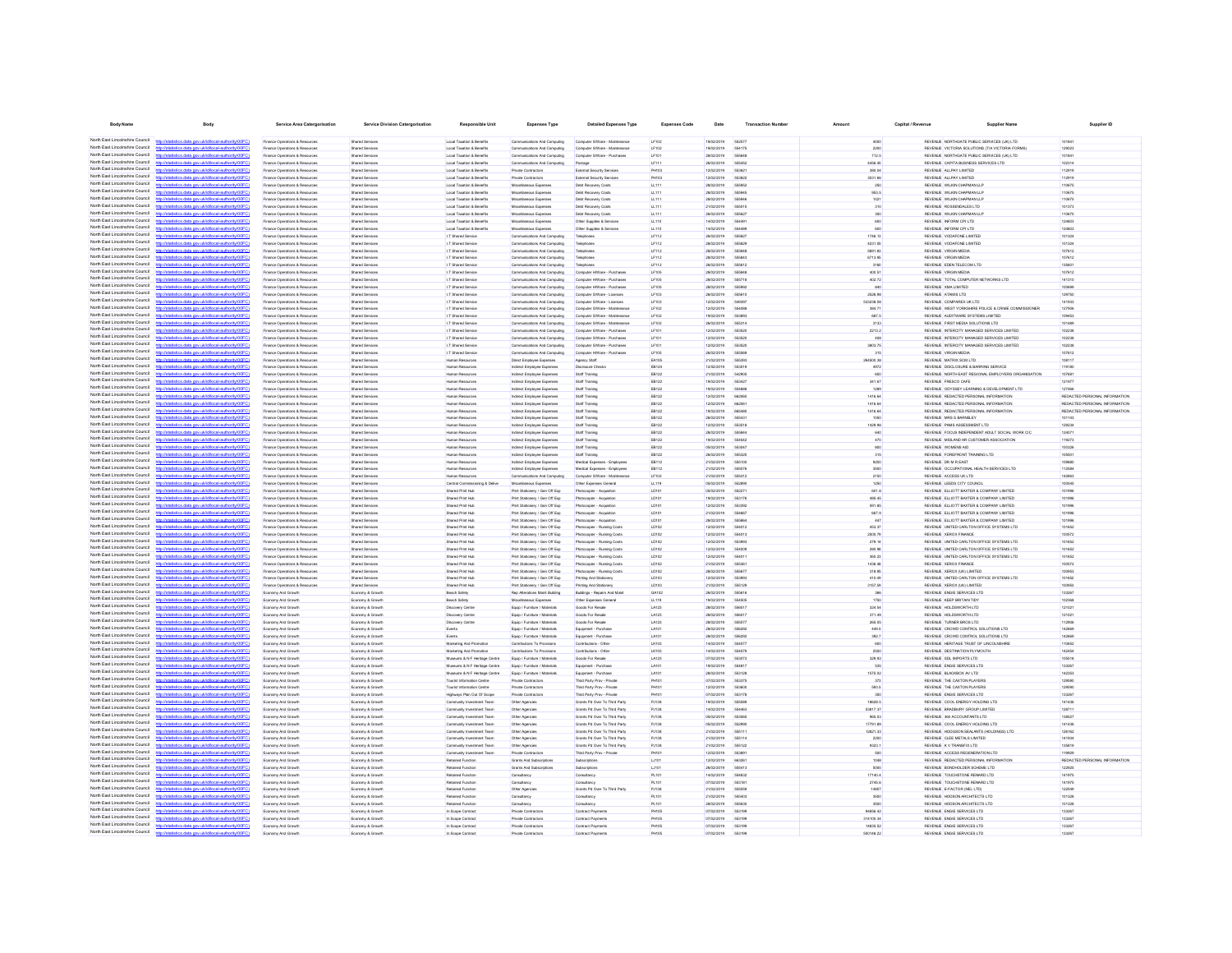| <b>Body Name</b>                                                   | Body                                                                                                      | Service Area Catergorisation                                               | Service Division Catergorisation                 | Responsible Unit                                               | <b>Expenses Type</b>                                             | <b>Detailed Expenses Type</b>                                  | <b>Expenses Code</b>          | Date                     | <b>Transaction Numbe</b> | Amount                | Capital / Revenue | <b>Supplier Name</b>                                                                     | Supplier ID                   |
|--------------------------------------------------------------------|-----------------------------------------------------------------------------------------------------------|----------------------------------------------------------------------------|--------------------------------------------------|----------------------------------------------------------------|------------------------------------------------------------------|----------------------------------------------------------------|-------------------------------|--------------------------|--------------------------|-----------------------|-------------------|------------------------------------------------------------------------------------------|-------------------------------|
|                                                                    | North East Lincolnshire Council http://statistics.data.gov.ukild/local-authority/00FC)                    | Finance Onerations & Resources                                             | <b>Shared Services</b>                           | <b>Local Taxation &amp; Renefits</b>                           | Communications And Commuting                                     | Computer S/Ware - Maintenance                                  | <b>I F102</b>                 | entricitat               | 662677                   | 4000                  |                   | REVEN E MORTHOATE PUBLIC SERVICES (UK) LTD.                                              | 101841                        |
| North East Lincolnshire Council                                    |                                                                                                           | Finance Operations & Resource                                              | <b>Shared Service</b>                            | Local Taxation & Benefits                                      | Communications And Computing                                     | Computer S/Ware - Maintena                                     | LF102                         | 19/02/2019               | 554175                   | 2200                  |                   | REVENUE VICTORIA SOLUTIONS (T/A VICTORIA FORMS)                                          | 129023                        |
| North East Lincolnshire Council                                    | http://statistics.data.gov.uk/id/local-authority/00FC)                                                    | Finance Operations & Resources                                             | <b>Shared Services</b>                           | Local Taxation & Benefits                                      | Communications And Computing                                     | Computer S/Ware - Purchases                                    | LF101                         | 28/02/2019               | SSSRAS                   | 712.5                 |                   | REVENUE NORTHGATE PUBLIC SERVICES (UK) LTD                                               | 101841                        |
| North East Lincolnshire Council                                    | distribution data one delidioent authoritat (DCC)                                                         | Prance Operations & Resource                                               | Shared Service                                   | Local Taxation & Benefits                                      | Communications And Computing                                     |                                                                | LF111                         | 26/02/2019               | 555453                   | 4456.45               |                   | REVENUE CAPITA BUSINESS SERVICES LTD                                                     | 102314                        |
| North East Lincolnshire Council<br>North East Lincolnshire Council | ting state over delightered authority (DOEC)                                                              | Finance Operations & Resources<br>Finance Operations & Resources           | Shared Service<br>Shared Services                | Local Taxation & Benefits<br>Local Taxation & Benefits         | Private Contractor<br>Private Contractors                        | External Security Services<br>External Security Services       | PH103<br>PH103                | 12/02/2019<br>12/02/2019 | 55382                    | 380.04<br>3031.66     |                   | REVENJE ALLPAY LIMITED<br>REVENUE ALLPAY LIMITED                                         | 112919<br>112919              |
| North East Lincolnshire Council                                    | ting data over skildhood authoritation                                                                    | -<br>Finance Operations & Resources                                        | Shared Service                                   | Local Taxation & Benefits                                      | Miscellaneous Expense                                            | Debt Recovery Costs                                            | LL111                         | 28/02/2019               | 55595                    |                       |                   | REVENUE WILKIN CHAPMAN LLE                                                               | 110675                        |
| North East Lincolnshire Council                                    | //statistics.data.gov.uk/id/local-authority/00FC                                                          | Finance Operations & Resource                                              | Shared Service                                   | Local Taxation & Benefits                                      | Miscellaneous Expense                                            | Debt Recovery Costs                                            | LL111                         | 28/02/2019               | 55504                    | 963.5                 |                   | REVENUE WILKIN CHAPMAN LLF                                                               | 110675                        |
| North East Lincolnshire Council                                    | fistins data one riklid/ocal authority/00FC                                                               | -<br>Finance Operations & Resources                                        | <b>Shared Services</b>                           | Local Taxation & Benefits                                      | Miscellaneous Expense                                            | Debt Recovery Costs                                            | LL111                         | 28/02/2019               |                          | 1021                  |                   | REVENUE WILKIN CHAPMAN LLE                                                               | 110675                        |
| North East Lincolnshire Council<br>North Fast Lincolnshire Council | http://statistics.data.gov.uk/id/local-authority/00FC1<br>ny iskldihoodauthority(00                       | Inance Operations & Resources                                              | <b>Shared Services</b>                           | Local Taxation & Benefits<br>Local Taxation & Benefits         | Viscelaneous Expense                                             | Debt Recovery Costs                                            | LL111                         | 21/02/2019               |                          | 310                   |                   | REVENUE ROSSENDALES LTD                                                                  | 101373<br>110675              |
| North East Lincolnshire Council                                    | atistics.data.gov.uk/id/local-authority/00FC)                                                             | Finance Operations & Resources<br>Finance Operations & Resources           | <b>Shared Services</b><br><b>Shared Services</b> | Local Taxation & Benefits                                      | Miscellaneous Expenses<br>Miscellaneous Expenses                 | Debt Recovery Costs<br>Other Supplies & Services               | LL111<br>LL110                | 26/02/2019<br>14/02/2019 | 55582                    | 350<br>600            |                   | REVENUE WILKIN CHAPMAN LLE<br>REVENUE INFORM CPI LTD                                     | 124803                        |
| North Fast Lincolnshire Council                                    |                                                                                                           | Finance Operations & Resources                                             | Shared Services                                  | Local Taxation & Benefits                                      | Miscellaneous Expenses                                           | Other Supplies & Services                                      | LL110                         | 14/02/2019               | 554489                   | 600                   |                   | REVENUE INFORM CPI LTD                                                                   | 124803                        |
| North Fast Lincolnshire Council                                    | tics.data.gov.uk/id/local-authority/00FC1                                                                 | Finance Operations & Resources                                             | <b>Shared Services</b>                           | I.T Shared Service                                             | Communications And Computing                                     | Telephones                                                     | LF112                         | 26/02/2019               | 55582                    | 1746.13               |                   | REVENUE VODAFONE LIMITED                                                                 | 101324                        |
| North East Lincolnshire Council<br>North Fast Lincolnshire Council |                                                                                                           | Finance Operations & Resources                                             | <b>Shared Services</b>                           | I.T Shared Service                                             | Communications And Computing                                     | Telephones                                                     | LF112                         | 28/02/2019               | 555829                   | 4231.55               |                   | REVENUE VODAFONE LIMITED                                                                 | 101324                        |
| North East Lincolnshire Council                                    | http://statistics.data.gov.uk/id/local-authority/00FC)<br>stics data ony rickldocal authority/00EC        | Finance Operations & Resources<br>Finance Operations & Resources           | Shared Services<br><b>Shared Services</b>        | I.T Shared Service<br>I.T Shared Service                       | Communications And Computing<br>Communications And Computing     | Telephones<br>Telephones                                       | LF112<br>LF112                | 28/02/2019<br>28/02/2019 | 555848<br><b>GGGRAS</b>  | 5691.83<br>6713.95    |                   | REVENUE VIRGIN MEDIA<br>REVENUE VIRGIN MEDIA                                             | 107612<br>107612              |
| North East Lincolnshire Council                                    | stics.data.gov.uk/id/local-authority/00FC)                                                                | Finance Operations & Resources                                             | <b>Shared Services</b>                           | I.T Shared Service                                             | Communications And Computing                                     | Telephones                                                     | LF112                         | 26/02/2019               | <b>665812</b>            | 3160                  |                   | REVENUE EDEN TELECOM LTD                                                                 | 135601                        |
| North East Lincolnshire Council                                    | stics data ony uklidiocal authority                                                                       | Finance Operations & Resources                                             | <b>Shared Services</b>                           | I.T Shared Service                                             | Communications And Computing                                     | Computer HWare - Purchaser                                     | <b>LF105</b>                  | 28/02/2019               | SSSRAP                   | 400.51                |                   | REVENUE VIRGIN MEDIA                                                                     | 107612                        |
| North East Lincolnshire Council<br>North East Lincolnshire Council | http://statistics.data.gov.uk/id/local-authority/00FC)                                                    | Finance Operations & Resources                                             | <b>Shared Services</b>                           | I.T Shared Service                                             | Communications And Computing                                     | Computer HWare - Purchases                                     | <b>LF105</b>                  | 28/02/2019               | 555718                   | 402.72                |                   | REVENUE TOTAL COMPUTER NETWORKS LTD                                                      | 141310                        |
| North East Lincolnshire Council                                    | Interior data con delighteral authoritation DCC<br>http://statistics.data.gov.uk/id/local-authority/00FC) | Finance Onerations & Resources<br>Finance Operations & Resources           | <b>Shared Services</b><br><b>Shared Services</b> | IT Shared Service<br>I.T Shared Service                        | Communications And Computing<br>Communications And Computing     | Computer HWare - Purchase<br>Computer S/Ware - Licences        | <b>I F105</b><br><b>LF103</b> | 28/02/2019<br>26/02/2019 | 555990                   | 840<br>2528.98        |                   | REVENLE XMA LIMITED.<br>REVENUE ATAMIS LTD                                               | 100609<br>129750              |
| North East Lincolnshire Council                                    | now ideal discoulant book (000                                                                            | Finance Operations & Resources                                             | <b>Shared Services</b>                           | I.T Shared Service                                             | Communications And Computing                                     | Computer S/Ware - Licences                                     | <b>LF103</b>                  | 12/02/2019               | 555610<br>549397         | 533238.08             |                   | REVENUE COMPAREX UK LTD                                                                  | 141933                        |
| North East Lincolnshire Council                                    | http://statistics.data.oov.uk/d/ocal.authority/00EC)                                                      | Finance Onerations & Resources                                             | <b>Shared Services</b>                           | IT Shared Service                                              | Communications And Commuting                                     | Computer S/Ware - Maintenance                                  | <b>I F102</b>                 | 12/02/2019               | <b>SS4088</b>            | 384.71                |                   | REVENUE WEST YORKSHIRE POLICE & CRIME COMMISSIONER                                       | 127908                        |
| North East Lincolnshire Council                                    |                                                                                                           | Finance Operations & Resource                                              | Shared Service                                   | I.T Shared Service                                             | Communications And Computing                                     | Computer S/Ware - Maintenanc                                   | LF102                         | 19/02/2019               | 66390                    | 687.5                 |                   | REVENUE AUDITWARE SYSTEMS LIMITED                                                        | 109453                        |
| North East Lincolnshire Council<br>North East Lincolnshire Council | http://statistics.data.gov.uk/id/local-authority/00FC1                                                    | Finance Operations & Resources                                             | Shared Service                                   | I.T Shared Service                                             | Communications And Computing                                     | Computer S/Ware - Maintenanc                                   | LF102                         | 26/02/2019               | 666314                   | 3133                  |                   | REVENUE FIRST MEDIA SOLUTIONS LTD                                                        | 101489                        |
| North East Lincolnshire Council                                    | distribution data con delidiocal authority(DOEC)<br>distics.data.gov.uk/id/local-authority/00FC           | Inance Operations & Resources<br>-<br>Finance Operations & Resources       | Shared Services<br><b>Shared Service</b>         | I.T Shared Service<br>I.T Shared Service                       | Communications And Computing<br>Communications And Computing     | Computer S/Ware - Purchases<br>Computer S/Ware - Purchase      | LF101<br>LF101                | 12/02/2019<br>12/02/2019 | 55352<br>553520          | 2213.2                |                   | REVENUE INTERCITY MANAGED SERVICES LIMITED<br>REVENUE INTERCITY MANAGED SERVICES LIMITED | 102238<br>102238              |
| North East Lincolnshire Council                                    |                                                                                                           | Finance Operations & Resources                                             | <b>Shared Services</b>                           | I.T Shared Service                                             | Communications And Computing                                     | Computer S/Ware - Purchases                                    | LF101                         | 12/02/2019               | 553520                   | 3803.75               |                   | REVENUE INTERCITY MANAGED SERVICES LIMITED                                               | 102235                        |
| North East Lincolnshire Council                                    | m delettrant noticeitum CC                                                                                | -<br>Finance Operations & Resources                                        | <b>Shared Services</b>                           | I.T Shared Service                                             | Communications And Computing                                     | Computer HWare - Purchases                                     | LF105                         | 26/02/2019               |                          | 315                   |                   | REVENUE VIRGIN MEDU                                                                      | 107612                        |
| North East Lincolnshire Council                                    |                                                                                                           | Finance Operations & Resources                                             | <b>Shared Services</b>                           | Human Resources                                                | Direct Employee Expenses                                         | Agency Staff                                                   | EA105                         | 21/02/2019               | 666393                   | 264500.38             |                   | REVENUE MATRIX SCM LTD                                                                   | 108117                        |
| North East Lincolnshire Council<br>North East Lincolnshire Council | istics data ony rikld/ocal authority/00F6                                                                 | Finance Operations & Resources                                             | <b>Shared Services</b>                           | Human Resources                                                | Indirect Employee Expenses                                       | Disclosure Check                                               | EB124                         | 12/02/2019               | 553519                   | 4972                  |                   | REVENUE DISCLOSURE & BARRING SERVICE                                                     | 119180                        |
| North Fast Lincolnshire Council                                    | //statistics.data.gov.uk/id/local-authority/00FC)                                                         | -<br>Finance Operations & Resources<br>Finance Operations & Resources      | <b>Shared Services</b><br><b>Shared Services</b> | Human Resources                                                | Indirect Employee Expenses                                       | Staff Training<br>Staff Training                               | EB122<br>EB122                | 21/02/2019               | 54290<br>553427          | 341.67                |                   | REVENUE NORTH EAST REGIONAL EMPLOYERS ORGANISATION<br>REVENUE FRESCO CAFE                | 107681<br>121977              |
| North Fast Lincolnshire Council                                    | tics.data.gov.uk/id/local-authority/00FC)                                                                 | Finance Operations & Resources                                             | <b>Shared Services</b>                           | Human Resources<br>Human Resources                             | Indirect Employee Expenses<br>Indirect Employee Expenses         | Staff Training                                                 | EB122                         | 19/02/2019<br>19/02/2019 | 554888                   | 1289                  |                   | REVENLE ODYSSEY LEARNING & DEVELOPMENT LTD                                               | 127466                        |
| North Fast Lincolnshire Council                                    |                                                                                                           | Finance Operations & Resources                                             | Shared Services                                  | Human Resources                                                | Indirect Employee Expenses                                       | Staff Training                                                 | EB122                         | 12/02/2019               | 662060                   | 1416.64               |                   | REVENUE REDACTED PERSONAL INFORMATION                                                    | REDACTED PERSONAL INFORMATION |
| North Fast Lincolnshire Council                                    | http://statistics.data.gov.uk/id/local-authority/00FC)                                                    | Finance Operations & Resources                                             | <b>Shared Services</b>                           | Human Resources                                                | Indirect Employee Expenses                                       | Staff Training                                                 | EB122                         | 12/02/2019               | 662061                   | 1416.64               |                   | REVENUE REDACTED PERSONAL INFORMATION                                                    | REDACTED PERSONAL INFORMATION |
| North East Lincolnshire Council<br>North East Lincolnshire Council | calauthorityinnEC                                                                                         | Finance Operations & Resources                                             | <b>Shared Services</b>                           | Human Resources                                                | Indirect Employee Expenses                                       | Staff Training                                                 | EB122                         | 19/02/2019               | <b>BREAK</b>             | 1416.64               |                   | REVENUE REDACTED PERSONAL INFORMATION                                                    | REDACTED PERSONAL INFORMATION |
| North East Lincolnshire Council                                    | stics.data.gov.uk/id/local-authority/00FC)<br>tics data ony uklidiocal authority!"                        | Finance Operations & Resources<br>Finance Operations & Resources           | <b>Shared Services</b><br><b>Shared Services</b> | Human Resources<br>Human Resources                             | Indirect Employee Expenses<br>Indirect Employee Expenses         | Staff Training<br>Staff Training                               | EB122<br>EB122                | 26/02/2019<br>12/02/2019 | 555431<br>553518         | 1050<br>1429.98       |                   | REVENUE MRS S BARNSLEY<br>REVENUE PAMS ASSESSMENT LTD                                    | 101143<br>129234              |
| North East Lincolnshire Council                                    | Vstatistics.data.gov.uk/id/local-authority/00FC)<br>https                                                 | Finance Operations & Resources                                             | <b>Shared Services</b>                           | Human Resources                                                | Indirect Employee Expenses                                       | Staff Training                                                 | EB122                         | 28/02/2019               | 555844                   | 640                   |                   | REVENUE FOCUS INDEPENDENT ADULT SOCIAL WORK CIC                                          | 124071                        |
| North East Lincolnshire Council                                    | fistins data one riklid/ocal authority/00FC                                                               | Finance Operations & Resources                                             | <b>Shared Services</b>                           | Human Resources                                                | Indirect Employee Expenses                                       | Staff Training                                                 | EB122                         | 19/02/2019               | 554542                   | 470                   |                   | REVENUE MIDLAND HR CUSTOMER ASSOCIATION                                                  | 119273                        |
| North East Lincolnshire Council                                    | http://statistics.data.gov.uk/id/local-authority/00FC)                                                    | Finance Operations & Resources                                             | <b>Shared Services</b>                           | Human Resources                                                | Indirect Employee Expenses                                       | Staff Training                                                 | EB122                         | 05/02/2019               | 553047                   | 800                   |                   | REVENUE WOMENS AID                                                                       | 100326                        |
| North East Lincolnshire Council<br>North East Lincolnshire Council | Interfering state and deliveration though (OOC)<br>http://statistics.data.oov.uk/d/ocal.authority/00EC)   | Finance Onerations & Resources<br>Finance Onerations & Resources           | <b>Shared Services</b><br><b>Shared Services</b> | Human Resources<br>Human Resources                             | Indirect Employee Expenses<br>Infinet Emninuse Finanses          | Staff Training<br>Medical Expenses - Frenkye                   | FR122<br><b>FR112</b>         | 26/02/2019<br>21/02/2019 | 666300                   | 315                   |                   | REVEN E FOREFRONT TRAINING I TO<br>REVENLE DR M R FAST                                   | 106501<br>109880              |
| North East Lincolnshire Council                                    |                                                                                                           | Finance Operations & Resource                                              | Shared Service                                   | Human Resource                                                 | ndirect Employee Expense                                         | Medical Expenses - Employee                                    | EB112                         | 21/02/2019               | 555100<br>555076         | sonn<br>3500          |                   | REVENUE OCCUPATIONAL HEALTH SERVICES LTD                                                 | 112584                        |
| North East Lincolnshire Council                                    | http://statistics.data.gov.uk/id/local-authority/00FC1                                                    | Inance Operations & Resources                                              | <b>Shared Services</b>                           | Human Resources                                                | Communications And Computin                                      | Computer S/Ware - Maintena                                     | LF102                         | 21/02/2019               | 555412                   | 2150                  |                   | REVENUE ACCESS UK LTD                                                                    | 142663                        |
| North East Lincolnshire Council                                    | distribution data one delidioent authoritat (DCC)                                                         | Inance Operations & Resource                                               | Shared Service                                   | Central Commissioning & Delive                                 | Miscellaneous Expense                                            | Other Expenses General                                         | LL119                         | 05/02/2019               | 55289                    | 1250                  |                   | REVENUE LEEDS CITY COUNCIL                                                               | 100545                        |
| North East Lincolnshire Council                                    | http://statistics.data.gov.uk/id/local-authority/00FC                                                     | Finance Operations & Resources                                             | Shared Service                                   | <b>Shared Print Hub</b>                                        | Print Stationery / Gen Off Exp                                   | Photocopier - Acquistio                                        | LD101                         | 05/02/2019               | 55227                    | 601.8                 |                   | REVENUE ELLIOTT BAXTER & COMPANY LIMITED                                                 | 101996                        |
| North East Lincolnshire Council<br>North East Lincolnshire Council | stics.data.gov.uk/id/local-authority/00F0                                                                 | -<br>Finance Operations & Resources<br>-<br>Finance Operations & Resources | <b>Shared Services</b><br>Shared Service         | <b>Shared Print Hub</b><br>Shared Print Hub                    | Print Stationery / Gen Off Exp<br>Print Stationary / Gen Off Exp | Photocopier - Acquistice<br>Photocopier - Acquistio            | LD101<br>LD101                | 19/02/2019<br>12/02/2019 | 55317<br>55339           | 485.45<br>591.85      |                   | REVENUE ELLIOTT BAXTER & COMPANY LIMITED<br>REVENUE ELLIOTT BAXTER & COMPANY LIMITED     | 101996                        |
| North East Lincolnshire Council                                    |                                                                                                           | Finance Operations & Resources                                             | <b>Shared Services</b>                           | Shared Print Hub                                               | Print Stationery / Gen Off Exp                                   | Photocopier - Acquistion                                       | LD101                         | 21/02/2019               | 55466                    | 667.9                 |                   | REVENUE ELLIOTT BAXTER & COMPANY LIMITED                                                 | 101996                        |
| North East Lincolnshire Council                                    | tistics.data.gov.uk/id/local-authority/00FC)                                                              | Finance Operations & Resources                                             | Shared Services                                  | Shared Print Hub                                               | Print Stationary / Gen Off Exp                                   | Photocopier - Acquistion                                       | LD101                         | 28/02/2019               |                          |                       |                   | REVENUE ELLIOTT BAXTER & COMPANY LIMITED                                                 | 101996                        |
| North East Lincolnshire Council                                    |                                                                                                           | Finance Operations & Resources                                             | <b>Shared Services</b>                           | Shared Print Hub                                               | Print Stationery / Gen Off Exp                                   | Photocopier - Running Costs                                    | LD102                         | 12/02/2019               | 554012                   | 453.37                |                   | REVENUE UNITED CARLTON OFFICE SYSTEMS LTD                                                | 101652                        |
| North Fast Lincolnshire Council<br>North East Lincolnshire Council | my rikld/ocal.authority/00F                                                                               | Finance Operations & Resources                                             | <b>Shared Services</b>                           | Shared Print Hub                                               | Print Stationary / Gen Off Exp                                   | Photocopier - Running Costs                                    | LD102                         | 12/02/2019               | 554013                   | 2500.79               |                   | REVENUE XEROX FINANCE                                                                    | 100572                        |
| North Fast Lincolnshire Council                                    |                                                                                                           | Finance Operations & Resources<br>Finance Operations & Resources           | Shared Services<br>Shared Services               | Shared Print Hub<br>Shared Print Hub                           | Print Stationary / Gen Off Exp<br>Print Stationary / Gen Off Exp | Photocopier - Running Costs<br>Photocopier - Running Costs     | LD102<br>LD102                | 12/02/2019<br>12/02/2019 | 553993<br>554009         | 279.14<br>280.98      |                   | REVENUE UNITED CARLTON OFFICE SYSTEMS LTD<br>REVENUE UNITED CARLTON OFFICE SYSTEMS LTD   | 101652<br>101652              |
| North Fast Lincolnshire Council                                    | tics.data.gov.uk/id/local-authority/00FC1                                                                 | Finance Operations & Resources                                             | <b>Shared Services</b>                           | Shared Print Hub                                               | Print Stationery / Gen Off Exp                                   | Photocopier - Running Costs                                    | LD102                         | 12/02/2019               | 55401                    | 360.23                |                   | REVENUE UNITED CARLTON OFFICE SYSTEMS LTD                                                | 101652                        |
| North East Lincolnshire Council                                    |                                                                                                           | Finance Operations & Resources                                             | <b>Shared Services</b>                           | Shared Print Hub                                               | Print Stationery / Gen Off Exp                                   | Photocopier - Running Costs                                    | LD102                         | 21/02/2019               | 555361                   | 1436.48               |                   | REVENUE XEROX FINANCE                                                                    | 100572                        |
| North East Lincolnshire Council<br>North East Lincolnshire Council | http://statistics.data.gov.uk/id/local-authority/00FC)                                                    | Finance Operations & Resources                                             | Shared Services                                  | Shared Print Hub                                               | Print Stationary / Gen Off Exp                                   | Photocopier - Running Costs                                    | LD102                         | 28/02/2019               | 555677                   | 318.95                |                   | REVENUE XEROX (UK) LIMITED                                                               | 100963                        |
| North East Lincolnshire Council                                    | tics data ony uklidiocal authority(00F)<br>stics.data.gov.uk/id/local-authority/00FC1                     | Finance Operations & Resources<br>Finance Operations & Resources           | Shared Services<br>Shared Services               | Shared Print Hub<br>Shared Print Hub                           | Print Stationery / Gen Off Exp<br>Print Stationery / Gen Off Exp | Printing And Stationery<br>Printing And Stationery             | LD103<br>LD103                | 12/02/2019<br>21/02/2019 | 663003<br>555129         | 410.49<br>3157.59     |                   | REVENUE UNITED CARLTON OFFICE SYSTEMS LTD<br>REVENUE XEROX (UK) LIMITED                  | 101652<br>100953              |
| North East Lincolnshire Council                                    | istics data ony uklidiocal authority!"                                                                    | Economy And Growth                                                         | Economy & Growth                                 | Beach Safety                                                   | Rep Alterations Maint Building                                   | Buildings - Repairs And Main                                   | GA102                         | 26/02/2019               | 555616                   | 366                   |                   | REVENUE ENGIE SERVICES LTD                                                               | 133267                        |
| North East Lincolnshire Council                                    | http://statistics.data.gov.uk/id/local-authority/00FC)                                                    | Economy And Growth                                                         | Economy & Growth                                 | Beach Safety                                                   | Miscellaneous Expenses                                           | Other Expenses General                                         | LL119                         | 19/02/2019               | 554505                   | 1750                  |                   | REVENUE KEEP BRITAIN TIDY                                                                | 102368                        |
| North East Lincolnshire Council<br>North East Lincolnshire Council | http://etatietica.clats.com/ddidiocal.authority/00EC                                                      | Economy And Growth                                                         | Economy & Growth                                 | Disnovery Centre                                               | Fourin / Furniture / Materials                                   | <b>Greats For Resale</b>                                       | 1.4123                        | 28/02/2019               | 698617                   | 324.54                |                   | REVENUE HOLDSWORTH LTD.                                                                  | 121021                        |
| North East Lincolnshire Council                                    | http://statistics.data.gov.uk/id/local-authority/00FC)<br>Officeirodase Jesophiska von etels anita        | Economy And Growth                                                         | Economy & Growth                                 | Discovery Centre                                               | Equip / Furniture / Materials                                    | Goods For Resale<br>Goods For Resale                           | LA123                         | 28/02/2019<br>28/02/2019 | 556517<br>555077         | 371.49<br>265.05      |                   | REVENUE HOLDSWORTH LTD<br>REVENUE TURNER BROS LTD                                        | 121021                        |
| North East Lincolnshire Council                                    | http://statistics.data.oov.uk/d/ocal.authority/00EC)                                                      | Economy And Growth<br>Economy And Growth                                   | Economy & Growth<br>Economy & Growt              | <b>Discovery Centre</b><br>Puerto                              | Equip / Furniture / Material<br>Frein / Furniture / Materials    | Equipment - Purchase                                           | LA123<br>1.4101               | 28/02/2019               | 556202                   | 449.5                 |                   | REVENUE CROWD CONTROL SOLUTIONS LTD                                                      | 112906<br>142669              |
| North East Lincolnshire Council                                    |                                                                                                           | Economy And Growt                                                          | Economy & Growt                                  | Events                                                         | Equip / Furniture / Material                                     | Equipment - Purchas                                            | <b>LA101</b>                  | 28/02/2019               | 556292                   | 392.7                 |                   | REVENUE CROWD CONTROL SOLUTIONS LTD                                                      | 142669                        |
| North East Lincolnshire Council                                    | http://statistics.data.gov.uk/id/local-authority/00FC)                                                    | Economy And Growth                                                         | Economy & Growt                                  | Marketing And Promotic                                         | Contributions To Provisions                                      | Contributions - Other                                          | <b>LK103</b>                  | 14/02/2019               | 554577                   | 600                   |                   | REVENUE HERITAGE TRUST OF LINCOLNSHIRE                                                   | 110652                        |
| North East Lincolnshire Council<br>North East Lincolnshire Council | distribution data con delidiocal authority(DOEC)                                                          | Economy And Grow                                                           | Economy & Growt                                  | Marketing And Promotio                                         | Contributions To Provisions                                      | Contributions - Othe                                           | LK103                         | 14/02/2019               | 55457<br>663073          | 2500                  |                   | REVENUE DESTINATION PLYMOUTH                                                             | 142454                        |
| North East Lincolnshire Council                                    | tistics.data.gov.uk/id/local-authority/00FC                                                               | Economy And Growt<br>Economy And Growt                                     | Economy & Growt<br>Economy & Growth              | Museums & N F Heritage Centry<br>Museums & N F Heritage Centre | Equip / Furniture / Material<br>Equip / Furniture / Materials    | <b>Goods For Resale</b><br>Equipment - Purchase                | LA123<br><b>LA101</b>         | 07/02/2019<br>19/02/2019 |                          | 329.93<br>535         |                   | REVENUE SOL IMPORTS LTD<br>REVENUE ENGIE SERVICES LTD                                    | 105518<br>133267              |
| North East Lincolnshire Council                                    | stics.data.gov.uk/id/local-authority/00FC1                                                                | Economy And Growt                                                          | Economy & Growt                                  | Auseums & N F Heritage Centre                                  | Equip / Furniture / Material                                     | Equipment - Purchase                                           | <b>LA101</b>                  | 28/02/2019               | 55312                    | 1575.02               |                   | REVENUE BLACKBOX AV LTD                                                                  | 142353                        |
| North East Lincolnshire Council                                    |                                                                                                           | Economy And Growth                                                         | Economy & Growth                                 | Tourist Information Centre                                     | Private Contractors                                              | Third Party Prov - Private                                     | <b>PH101</b>                  | 07/02/2019               | 553375                   | 373                   |                   | REVENUE THE CAXTON PLAYERS                                                               | 129590                        |
| North East Lincolnshire Council                                    | stics.data.gov.uk/id/local-authority/00FC)                                                                | Economy And Growt                                                          | Economy & Growt                                  | Tourist Information Centre                                     | Private Contractor                                               | Third Party Prov - Private                                     | PH101                         | 12/02/2019               | 55360                    | 593.5                 |                   | REVENUE THE CAXTON PLAYERS                                                               | 129590                        |
| North East Lincolnshire Council<br>North Fast Lincolnshire Council |                                                                                                           | Economy And Growth                                                         | Economy & Growth                                 | Highways Plan Out Of Scope                                     | Private Contractors                                              | Third Party Prov - Private                                     | PH101                         | 07/02/2019               | 553178                   | 350                   |                   | REVENUE ENGIE SERVICES LTD                                                               | 133267                        |
| North Fast Lincolnshire Council                                    | tics.data.gov.uk/id/local-authority/00FC1                                                                 | Economy And Growth<br>Economy And Growth                                   | Economy & Growth<br>Economy & Growth             | Community Investment Team<br>Community Investment Team         | Other Agencies<br>Other Agencies                                 | Grants Pd Over To Third Party<br>Grants Pd Over To Third Party | PJ138<br>PJ138                | 19/02/2019<br>14/02/2019 | 555089<br>554463         | 18628.5<br>53817.37   |                   | REVENUE COOL ENERGY HOLDING LTD<br>REVENUE BRADBURY GROUP LIMITED                        | 141436<br>128711              |
| North Fast Lincolnshire Council                                    |                                                                                                           | Economy And Growth                                                         | Economy & Growth                                 | Community Investment Team                                      | Other Agencies                                                   | Grants Pd Over To Third Party                                  | PJ138                         | 05/02/2019               | 553065                   | 965.03                |                   | REVENUE 360 ACCOUNTANTS LTD                                                              | 138527                        |
| North Fast Lincolnshire Council                                    | fistins data ony uklidiocal authority(00FC)<br>https                                                      | Economy And Growth                                                         | Economy & Growth                                 | Community Investment Team                                      | Other Agencies                                                   | Grants Pd Over To Third Party                                  | PJ138                         | 05/02/2019               | 552990                   | 17791.89              |                   | REVENUE COOL ENERGY HOLDING LTD                                                          | 141436                        |
| North East Lincolnshire Council                                    |                                                                                                           | Economy And Growth                                                         | Economy & Growth                                 | Community Investment Team                                      | Other Agencies                                                   | Grants Pd Over To Third Party                                  | PJ138                         | 21/02/2019               | 666111                   | 12821.33              |                   | REVENUE HODGSON SEALANTS (HOLDINGS) LTD                                                  | 126162                        |
| North East Lincolnshire Council<br>North East Lincolnshire Council | stics.data.gov.uk/id/local-authority/00FC)                                                                | Economy And Growth                                                         | Economy & Growth                                 | Community Investment Team                                      | Other Agencies                                                   | Grants Pd Over To Third Party                                  | PJ138                         | 21/02/2019               | 555114                   | 2200                  |                   | REVENUE CLEE METALS LIMITED                                                              | 141934                        |
| North East Lincolnshire Council                                    | stics data ony uklidiocal authority<br>tistics.data.gov.uk/id/local-authority/00FC1<br>https              | Economy And Growth<br>Economy And Growth                                   | Economy & Growth<br>Economy & Growth             | Community Investment Team<br>Community Investment Team         | Other Agencies<br>Private Contractors                            | Grants Pd Over To Third Party<br>Third Party Prov - Private    | PJ138<br><b>PH101</b>         | 21/02/2019<br>12/02/2019 | 555122<br>553891         | 9323.1<br>500         |                   | REVENUE K V TRANSFIX LTD<br>REVENUE ACCESS REGENERATION LTD                              | 135819<br>119929              |
| North East Lincolnshire Council                                    | tistics data ony uklidiocal authority(00                                                                  | Economy And Growth                                                         | Economy & Growth                                 | <b>Retained Function</b>                                       | Grants And Subscription                                          | Subscriptions                                                  | Lutot                         | 12/02/2019               | 663261                   | 1048                  |                   | REVENUE REDACTED PERSONAL INFORMATION                                                    | REDACTED PERSONAL INFORMATION |
| North East Lincolnshire Council                                    | http://statistics.data.gov.uk/id/local-authority/00FC)                                                    | Economy And Growth                                                         | Economy & Growth                                 | Retained Function                                              | Grants And Subscriptions                                         | Subscriptions                                                  | LJ101                         | 26/02/2019               | 555413                   | 5000                  |                   | REVENUE BONDHOLDER SCHEME LTD                                                            | 122925                        |
| North East Lincolnshire Council<br>North East Lincolnshire Council | statistics state one skildhood active/Artist                                                              | Economy And Growth                                                         | Economy & Growth                                 | <b>Retained Function</b>                                       | Considero                                                        | Consultanc                                                     | PL101                         | 14/02/2019               | <b>SSARRS</b>            | 17140.4               |                   | REVENUE TOUCHSTONE RENARD LTD.                                                           | 141975                        |
| North East Lincolnshire Council                                    | listics data one uklid/ocal-authorite/00FCI<br><b>Banch</b>                                               | Economy And Growth<br>Economy And Growt                                    | Economy & Growth<br>Economy & Growt              | <b>Retained Function</b><br>Retained Function                  | Consistence<br>Other Agencie                                     | Consistenc<br>Grants Pd Over To Third Part                     | PL101<br>PJ138                | oznaransa<br>21/02/2019  | 663181<br>56505          | 2745 B<br>14857       |                   | REVENUE TOUCHSTONE RENARD LTD<br>REVENUE E-FACTOR (NEL LTD)                              | 141975<br>122549              |
|                                                                    | North East Lincolnshire Council http://statistics.data.gov.uk/id/local-authority/00FC)                    | Economy And Growt                                                          | Economy & Growt                                  | <b>Retained Function</b>                                       | Consultancy                                                      | Consultano                                                     | <b>PL101</b>                  | 21/02/2019               | 555403                   | 3500                  |                   | REVENUE HODSON ARCHITECTS LTD                                                            | 101328                        |
|                                                                    | North East Lincolnshire Council   New Setwhetics Anti-Any defictive at authority inner                    | Economy And Grow                                                           | Economy & Growt                                  | Retained Functio                                               | Consultancy                                                      | Consultancy                                                    |                               | 28/02/2019               | 55563                    |                       |                   | REVENUE HODSON ARCHITECTS LTD                                                            | 101328                        |
| North East Lincolnshire Council                                    | http://statistics.data.gov.uk/id/local-authority/00FC                                                     | Economy And Growt                                                          | Economy & Growt                                  | In Scope Contrac                                               | Private Contracto                                                | Contract Paymen                                                | PH105                         | 07/02/2019               | 553195                   | 94656.42              |                   | REVENUE ENGIE SERVICES LTD                                                               | 133267                        |
| North East Lincolnshire Council<br>North East Lincolnshire Council | tistics.data.gov.uk/id/local-authority/00FC1                                                              | Economy And Growt<br>Economy And Grow                                      | Economy & Growt<br>Economy & Grow                | In Scope Contract<br>In Scope Contrac                          | Private Contractor<br>Private Contractor                         | Contract Payment<br>Contract Payment                           | PH105<br>PHIO                 | 07/02/2019<br>07/02/2019 |                          | 314100.34<br>14835.52 |                   | REVENUE ENGIE SERVICES LTD<br>REVENUE ENGIE SERVICES LTD                                 | 133267<br>133267              |
| North East Lincolnshire Council                                    |                                                                                                           | nomy And Canwa                                                             | Fononew & Grow                                   |                                                                | Private Cret                                                     | Contract Payment                                               | PHIN                          | 07/02/2019               |                          | 500148.22             |                   | REVEN E ENGIE SERVICES I TD.                                                             | 133267                        |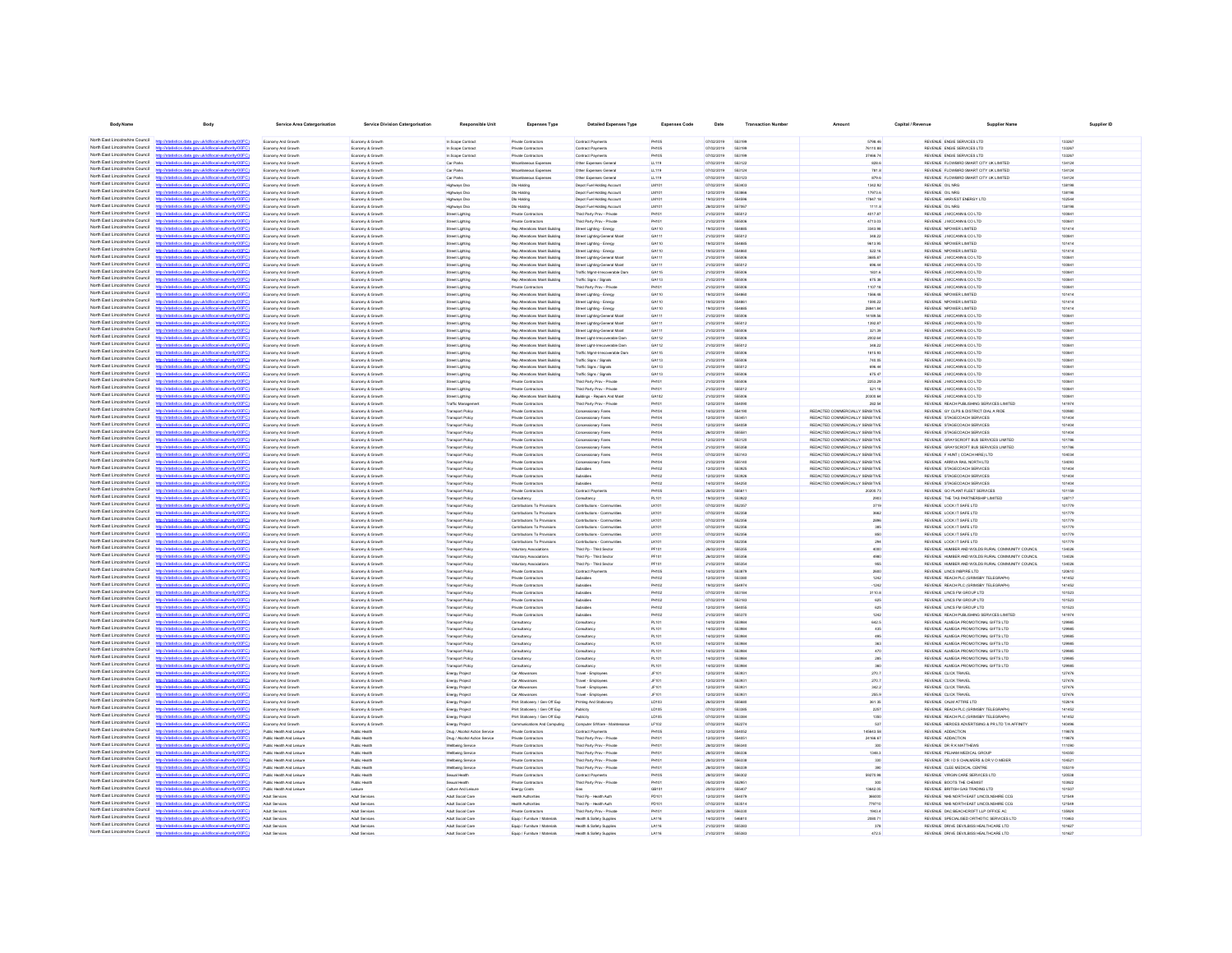| <b>Body Name</b>                                                   | Body                                                                                                                                            | <b>Service Area Catergorisation</b>                    | <b>Service Division Catergorisation</b> | <b>Responsible Unit</b>                            | <b>Expenses Type</b>                                             | <b>Detailed Expenses Type</b>                                   | <b>Expenses Code</b>         | Date                            | <b>Transaction Numbe</b>     | Amount                                                             | Capital / Revenue | <b>Supplier Name</b>                                                                | Supplier ID      |  |
|--------------------------------------------------------------------|-------------------------------------------------------------------------------------------------------------------------------------------------|--------------------------------------------------------|-----------------------------------------|----------------------------------------------------|------------------------------------------------------------------|-----------------------------------------------------------------|------------------------------|---------------------------------|------------------------------|--------------------------------------------------------------------|-------------------|-------------------------------------------------------------------------------------|------------------|--|
|                                                                    |                                                                                                                                                 |                                                        |                                         |                                                    |                                                                  |                                                                 |                              |                                 |                              |                                                                    |                   |                                                                                     |                  |  |
| North East Lincolnshire Council                                    | North East Lincolnshire Council http://statistics.data.gov.uk/id/local-authority/00FC)<br>http://statistics.data.gov.uk/id/local-authority/00FC | Economy And Growth<br>Economy And Growth               | Economy & Growth<br>Economy & Growth    | In Scope Contract<br>In Scope Contract             | Private Contractors<br>Private Contractors                       | Contract Payments<br>Contract Payments                          | PH105<br>PH105               | 07/02/2019 553199<br>07/02/2019 | 553199                       | 5798.46<br>76110.88                                                |                   | REVENUE ENGIE SERVICES LTD<br>REVENUE ENGIE SERVICES LTD                            | 133267<br>133267 |  |
| North East Lincolnshire Council                                    | distics.data.gov.uk/id/local-authority/00FC)<br><b>Introder</b>                                                                                 | Economy And Growth                                     | Economy & Growth                        | In Scope Contract                                  | Private Contractors                                              | Contract Payments                                               | PH105                        | 07/02/2019                      | 553199                       | 37466.74                                                           |                   | REVENUE ENGIE SERVICES LTD                                                          | 133267           |  |
| North East Lincolnshire Council                                    | interestata anni delebbent antivorità (OO)                                                                                                      | Economy And Growth                                     | Economy & Growth                        | Car Parks                                          | Misrelatenus Finensi                                             | Other Expenses General                                          | 11119                        | encrento                        | 663122                       | <b>RORA</b>                                                        |                   | REVENLE ELOWBIRD SMART CITY LK LIMITED.                                             | 134124           |  |
| North East Lincolnshire Council                                    | ios data ony ukłdłocal authority                                                                                                                | Economy And Growth                                     | Economy & Growth                        | Car Parks                                          | Miscellaneous Expenses                                           | Other Expenses General                                          | LL119                        | 07/02/2019                      | 553124                       | 781.8                                                              |                   | REVENUE FLOWBIRD SMART CITY UK LIMITED                                              | 134124           |  |
| North East Lincolnshire Council<br>North East Lincolnshire Council | Interfering data and definitional authoritations?<br>http://statistics.data.onv.uk/d/ocal.authority/00EC                                        | Economy And Growth<br>Economy And Growth               | Economy & Growth<br>Economy & Growth    | Car Parks                                          | Miscellaneous Expense<br>Dio Holding                             | Other Expenses General<br>Depot Fuel Holding Account            | LL119<br><b>IM101</b>        | 07/02/2019<br>07/02/2019        | 663123<br>653403             | 879.6<br>1342.92                                                   |                   | REVENUE FLOWBIRD SMART CITY UK LIMITED<br>REVENUE OIL NRG                           | 134124<br>138198 |  |
| North East Lincolnshire Council                                    | http://statistics.data.oov.uk/d/ocal.authority/00EC)                                                                                            | Economy And Growth                                     | Economy & Growth                        | Highways Dsc<br>Highways Dso                       | Dio Holding                                                      | Depot Fuel Holding Account                                      | <b>IM101</b>                 | encroner                        | <b>SS38RR</b>                | 17073.6                                                            |                   | REVENLE OIL NRG                                                                     | 138198           |  |
| North East Lincolnshire Council                                    | tics data one uklidiocal authority/00FC                                                                                                         | Economy And Growth                                     | Economy & Growt                         | Highways Dsc                                       | Dio Holding                                                      | Depot Fuel Holding Account                                      | LM101                        | 19/02/2019                      | 55459                        | 17847.18                                                           |                   | REVENUE HARVEST ENERGY LTD                                                          | 102544           |  |
| North East Lincolnshire Council                                    | http://statistics.data.onv.uk/id/ocal.authority/00EC                                                                                            | Economy And Growth                                     | Economy & Growth                        | Hghways Dsc                                        | Dio Holding                                                      | Depot Fuel Holding Accoun                                       | LM101                        | 28/02/2019                      | 557067                       | 1111.8                                                             |                   | REVENUE OIL NRG                                                                     | 138195           |  |
| North East Lincolnshire Council<br>North East Lincolnshire Council | ation data over skildhood authority(IDDEC                                                                                                       | <b>Economy And Growt</b>                               | Economy & Growt                         | <b>Street Lighting</b>                             | Private Contractor                                               | Third Party Prov - Private                                      | PHIO                         | 21/02/2019                      | 555012                       | 4017.87                                                            |                   | REVENUE J MCCANN & CO LTD                                                           | 100841           |  |
| North East Lincolnshire Council                                    | //statistics.data.gov.uk/id/local-authority/00F<br>//statistics.data.gov.uk/id/local-authority/00FC                                             | <b>Economy And Growt</b><br><b>Economy And Grow</b>    | Economy & Growt<br>Economy & Growt      | <b>Street Lighting</b><br><b>Street Lighting</b>   | Private Contractors<br>Rep Alterations Maint Building            | Third Party Prov - Private<br>Street Lighting - Energy          | PH10<br>GA110                | 21/02/2019<br>19/02/2019        | 55500                        | 4713.03<br>3343.98                                                 |                   | REVENUE J MCCANN & CO LTD<br>REVENUE NPOWER LIMITED                                 | 00841<br>101414  |  |
| North East Lincolnshire Council                                    | p://statistics.data.gov.uk/id/local-authority/00F0                                                                                              | <b>Economy And Grow</b>                                | Economy & Growt                         | <b>Street Lighting</b>                             | Rep Alterations Maint Building                                   | Street Lighting-General Mai                                     |                              | 21/02/2019                      |                              | 348.22                                                             |                   | REVENUE J MCCANN & CO LTD                                                           | 100841           |  |
| North Fast Lincolnshire Council                                    |                                                                                                                                                 | Economy And Growth                                     | Economy & Growth                        | Street Lighting                                    | Rep Alterations Maint Building                                   | Street Lighting - Energy                                        | GA110                        | 19/02/2019                      | 554885                       | 9613.95                                                            |                   | REVENUE NPOWER LIMITED                                                              | 101414           |  |
| North East Lincolnshire Council                                    |                                                                                                                                                 | Economy And Growth                                     | Economy & Growth                        | Street Lighting                                    | Rep Alterations Maint Building                                   | Street Lighting - Energy                                        | GA110                        | 19/02/2019                      | 55486                        | 522.16                                                             |                   | REVENUE NPOWER LIMITED                                                              | 101414           |  |
| North Fast Lincolnshire Council<br>North Fast Lincolnshire Council |                                                                                                                                                 | Economy And Growth                                     | Economy & Growth                        | Street Lighting                                    | Rep Alterations Maint Building                                   | Street Lighting-General Main                                    | GA111                        | 21/02/2019                      | 555006                       | 3685.87                                                            |                   | REVENUE J MCCANN & CO LTD                                                           | 100841           |  |
| North East Lincolnshire Council                                    | http://statistics.data.gov.uk/id/local-authority/00FC)<br>cal-authority!                                                                        | Economy And Growth<br>Economy And Growth               | Economy & Growth<br>Economy & Growth    | Street Lighting<br>Street Lighting                 | Rep Alterations Maint Building<br>Rep Alterations Maint Building | Street Lighting-General Maint<br>Traffic Mgmt-Irrecoverable Dan | GA111<br>GA115               | 21/02/2019<br>21/02/2019        | 555012<br>555006             | 696.44<br>1831.6                                                   |                   | REVENUE J MCCANN & CO LTD<br>REVENUE J MCCANN & CO LTD                              | 100841<br>100841 |  |
| North East Lincolnshire Council                                    | stics.data.gov.uk/id/local-authority/00FC                                                                                                       | Economy And Growth                                     | Economy & Growth                        | Street Lighting                                    | Rep Alterations Maint Building                                   | Traffic Signs / Signals                                         | GA113                        | 21/02/2019                      | 555006                       | 675.38                                                             |                   | REVENUE J MCCANN & CO LTD                                                           | 100841           |  |
| North Fast Lincolnshire Council                                    | ios data ony uklidiocal authority                                                                                                               | Economy And Growth                                     | Economy & Growth                        | Street Lighting                                    | Private Contractors                                              | Third Party Prov - Private                                      | <b>PH101</b>                 | 21/02/2019                      | 555006                       | 1107.18                                                            |                   | REVENUE J MCCANN & CO LTD                                                           | 100841           |  |
| North East Lincolnshire Council<br>North East Lincolnshire Council | istics data nov uklid/ocal.authority/00FC                                                                                                       | Economy And Growth                                     | Economy & Growth                        | Street Lighting                                    | Rep Alterations Maint Building                                   | Street Lighting - Energy                                        | GA110                        | 19/02/2019                      | 554860                       | 1566.48                                                            |                   | REVENUE NPOWER LIMITED                                                              | 101414           |  |
| North East Lincolnshire Council                                    | listics data ony uklidiocal authority (OFC)<br>distics.data.gov.uk/id/local-authority/00FC)<br><b>Introder</b>                                  | Economy And Growth<br>Economy And Growth               | Economy & Growth<br>Economy & Growth    | Street Lighting<br>Street Lighting                 | Rep Alterations Maint Building<br>Rep Alterations Maint Building | Street Lighting - Energy<br>Street Lighting - Energy            | GA110<br>GA110               | 19/02/2019<br>19/02/2019        | 554861<br>554885             | 1590.22<br>28841.84                                                |                   | REVENUE NPOWER LIMITED<br>REVENUE NPOWER LIMITED                                    | 101414<br>101414 |  |
| North East Lincolnshire Council                                    | fields a state and definitional authority (OOCC)                                                                                                | Economy And Growth                                     | Economy & Growth                        | Street Lighting                                    | Rep Alterations Maint Building                                   | Street Lighting-General Main                                    | GA111                        | 21/02/2019                      | 555006                       | 14180.56                                                           |                   | REVENLE J MCCANN & CO LTD.                                                          | 100841           |  |
| North East Lincolnshire Council                                    | stics.data.gov.uk/id/local-authority/00FC)                                                                                                      | Economy And Growth                                     | Economy & Growth                        | Street Lighting                                    | Rep Alterations Maint Building                                   | Street Lighting-General Maint                                   | GA111                        | 21/02/2019                      | 555012                       | 1392.87                                                            |                   | REVENUE J MCCANN & CO LTD                                                           | 100841           |  |
| North East Lincolnshire Council                                    |                                                                                                                                                 | Economy And Growth                                     | Economy & Growth                        | Street Lighting                                    | Rep Alterations Maint Building                                   | Street Lighting-General Main                                    | GA111                        | 21/02/2019                      | 555006                       | 321.39                                                             |                   | REVENUE J MCCANN & CO LTD                                                           | 100841           |  |
| North East Lincolnshire Council<br>North East Lincolnshire Council | http://statistics.data.oov.uk/d/ocal.authority/00EC)                                                                                            | Economy And Growth                                     | Economy & Growth                        | <b>Street Lighting</b>                             | Rep Alterations Maint Building                                   | Street Light-Irrecoverable Dan                                  | GA112                        | 21/02/2019                      | 555006                       | 2002.64                                                            |                   | REVENUE J MCCANN & CO LTD                                                           | 100841           |  |
| North East Lincolnshire Council                                    | "STOCK discussion and information and interest<br>mu uk lidihondi nuthoritul00EC                                                                | Economy And Growth                                     | Economy & Growth                        | Street Lighting                                    | Rep Alterations Maint Building                                   | Street Light-Irrecoverable Dan                                  | GA112                        | 21/02/2019                      | 665012                       | 348.22                                                             |                   | REVENUE J MCCANN & CO LTD                                                           | 100841           |  |
| North East Lincolnshire Council                                    |                                                                                                                                                 | Economy And Growth<br><b>Economy And Growt</b>         | Economy & Growth<br>Economy & Growt     | <b>Street Lighting</b><br><b>Street Lighting</b>   | Rep Alterations Maint Building<br>Rep Alterations Maint Building | Traffic Mgmt-Irrecoverable Dan<br>Traffic Signs / Signals       | GA115<br>GA113               | 21/02/2019<br>21/02/2019        | 555006                       | 1815.93<br>740.06                                                  |                   | REVENUE J MCCANN & CO LTD<br>REVENUE J MCCANN & CO LTD                              | 100841<br>100841 |  |
| North East Lincolnshire Council                                    | ting data one skildhood authority(DDE)                                                                                                          | Economy And Growt                                      | Economy & Growt                         | <b>Street Lighting</b>                             | Rep Alterations Maint Building                                   | Traffic Signs / Signals                                         | GA113                        | 21/02/2019                      | 555013                       | 696.44                                                             |                   | REVENUE J MCCANN & CO LTD                                                           | 100841           |  |
| North East Lincolnshire Council                                    | Vstatistics.data.gov.uk/id/local-authority/00F0                                                                                                 | Economy And Growth                                     | Economy & Growt                         | <b>Street Lighting</b>                             | Rep Alterations Maint Building                                   | Traffic Signs / Signals                                         | GA113                        | 21/02/2019                      | 55500                        | 675.47                                                             |                   | REVENUE J MCCANN & CO LTD                                                           | 100841           |  |
| North East Lincolnshire Council                                    | tistics.data.gov.uk/id/local-authority/00FC                                                                                                     | Economy And Growt                                      | Economy & Growt                         | <b>Street Lighting</b>                             | Private Contractor                                               | Third Party Prov - Private                                      | PH10                         | 21/02/2019                      | 55500                        | 2253.29                                                            |                   | REVENUE J MCCANN & CO LTD                                                           | 100841           |  |
| North East Lincolnshire Council<br>North Fast Lincolnshire Council | http://statistics.data.gov.uk/id/local-authority/00FC                                                                                           | <b>Economy And Grow</b>                                | Economy & Growt                         | <b>Street Lighting</b>                             | Private Contractors                                              | Third Party Prov - Private                                      | H10                          | 21/02/2019                      | 555013                       | 521.18<br>20300.64                                                 |                   | REVENUE J MCCANN & CO LTD                                                           | 100841           |  |
| North East Lincolnshire Council                                    | tatistics.data.gov.uk/id/local-authority/00FC                                                                                                   | Economy And Growth<br>Economy And Growth               | Economy & Growth<br>Economy & Growth    | Street Lighting<br>Traffic Managemen               | Rep Alterations Maint Building<br>Private Contractors            | Buildings - Repairs And Main<br>Third Party Prov - Private      | GA102<br>PH101               | 21/02/2019<br>12/02/2019        | 555006<br>55409              | 282.54                                                             |                   | REVENUE J MCCANN & CO LTD<br>REVENUE REACH PUBLISHING SERVICES LIMITED              | 100841<br>141974 |  |
| North Fast Lincolnshire Council                                    |                                                                                                                                                 | Economy And Growth                                     | Economy & Growth                        | <b>Transport Policy</b>                            | Private Contractors                                              | Concessionary Fares                                             | PH104                        | 14/02/2019                      | 554190                       | REDACTED COMMERCIALLY SENSITIVE                                    |                   | REVENUE GY CLPS & DISTRICT DIAL A RIDE                                              | 100980           |  |
| North Fast Lincolnshire Council                                    | tics.data.gov.uk/id/local-authority/00FC                                                                                                        | Economy And Growth                                     | Economy & Growth                        | <b>Transport Policy</b>                            | Private Contractors                                              | Concessionary Fares                                             | PHIO                         | 12/02/2019                      | 55345                        | REDACTED COMMERCIALLY SENSITIVE                                    |                   | REVENUE STAGECOACH SERVICES                                                         | 101404           |  |
| North Fast Lincolnshire Council                                    |                                                                                                                                                 | Economy And Growth                                     | Economy & Growth                        | <b>Transport Policy</b>                            | Private Contractors                                              | Concessionary Fares                                             | PH104                        | 12/02/2019                      | 554059                       | REDACTED COMMERCIALLY SENSITIVE                                    |                   | REVENUE STAGECOACH SERVICES                                                         | 101404           |  |
| North East Lincolnshire Council<br>North East Lincolnshire Council | http://statistics.data.gov.uk/id/local-authority/00FC)                                                                                          | Economy And Growth                                     | Economy & Growth                        | <b>Transport Policy</b>                            | Private Contractors                                              | Concessionary Fares                                             | PH104                        | 26/02/2019                      | 65558                        | REDACTED COMMERCIALLY SENSITIVE                                    |                   | REVENUE STAGECOACH SERVICES                                                         | 101404           |  |
| North East Lincolnshire Council                                    | listics data ony uklid/ocal.authority/00FC<br>stics.data.gov.uk/id/local-authority/00FC                                                         | Economy And Growth<br>Economy And Growth               | Economy & Growth<br>Economy & Growth    | <b>Transport Policy</b><br><b>Transport Policy</b> | Private Contractors<br>Private Contractors                       | Concessionary Fares<br>Concessionary Fares                      | <b>PH104</b><br><b>PH104</b> | 12/02/2019<br>21/02/2019        | 553120<br>555358             | REDACTED COMMERCIALLY SENSITIVE<br>REDACTED COMMERCIALLY SENSITIVE |                   | REVENUE GRAYSCROFT BUS SERVICES LIMITED<br>REVENUE GRAYSCROFT BUS SERVICES LIMITED  | 101786<br>101786 |  |
| North East Lincolnshire Council                                    | stics data ony uklidiocal authority(1)                                                                                                          | Economy And Growth                                     | Economy & Growth                        | <b>Transport Policy</b>                            | Private Contractors                                              | Concessionary Fares                                             | <b>PH104</b>                 | 07/02/2019                      | 553143                       | REDACTED COMMERCIALLY SENSITIVE                                    |                   | REVENUE F HUNT ( COACH HIRE) LTD                                                    | 104034           |  |
| North East Lincolnshire Council                                    | http://statistics.data.gov.uk/id/local-authority/00FC)                                                                                          | Economy And Growth                                     | Economy & Growth                        | <b>Transport Policy</b>                            | Private Contractors                                              | Concessionary Fares                                             | <b>PH104</b>                 | 21/02/2019                      | 555140                       | REDACTED COMMERCIALLY SENSITIVE                                    |                   | REVENUE ARRIVA RAIL NORTH LTD                                                       | 134093           |  |
| North East Lincolnshire Council                                    | International entry your skilled boost audiovals (DOCC)                                                                                         | Economy And Growth                                     | Economy & Growth                        | Transport Policy                                   | Private Contractors                                              | <b>Rubsidian</b>                                                | PH102                        | encroner                        | 553925                       | REDACTED COMMERCIALLY SENSITIVE                                    |                   | REVEN E STAGECOACH SERVICES                                                         | 101404           |  |
| North East Lincolnshire Council<br>North East Lincolnshire Council | http://statistics.data.gov.uk/id/local-authority/00FC)                                                                                          | Economy And Growth                                     | Economy & Growth                        | Transport Policy                                   | Private Contractors                                              | Subsidies                                                       | PH102                        | 12/02/2019                      | 553926                       | REDACTED COMMERCIALLY SENSITIVE                                    |                   | REVENUE STAGECOACH SERVICES                                                         | 101404           |  |
| North East Lincolnshire Council                                    | detailed and any skills and automated DOCC<br>http://statistics.data.onv.uk/d/ocal.authority/00EC)                                              | Economy And Growth<br>Economy And Growth               | Economy & Growth<br>Economy & Growth    | <b>Transport Policy</b><br><b>Transport Print</b>  | Private Contractors<br>Private Cretractors                       | Subsidies<br>Contract Payments                                  | PH102<br>PHIOS               | 14/02/2019<br>encrones          | 554250<br>666811             | REDACTED COMMERCIALLY SENSITIVE<br>20200.23                        |                   | REVENUE STAGECOACH SERVICES<br>REVENUE GO PLANT FLEET SERVICES                      | 101404<br>101159 |  |
| North East Lincolnshire Council                                    |                                                                                                                                                 | Economy And Growth                                     | Economy & Growt                         | Transport Policy                                   | Consultancy                                                      | Consultancy                                                     | PL101                        | 19/02/2019                      | 553922                       | 2903                                                               |                   | REVENUE THE TAS PARTNERSHIP LIMITED                                                 | 128717           |  |
| North East Lincolnshire Council                                    | http://statistics.data.gov.uk/id/local-authority/00FC                                                                                           | Economy And Growth                                     | Economy & Growt                         | Transport Policy                                   | Contributions To Provision                                       | Contributions - Communiti                                       | LK101                        | 07/02/2019                      | 552357                       | 3719                                                               |                   | REVENUE LOCK IT SAFE LTD                                                            | 101779           |  |
| North East Lincolnshire Council                                    | distribution data con delidiocal authority(DOEC)                                                                                                | <b>Economy And Growt</b>                               | Economy & Growt                         | Transport Policy                                   | Contributions To Provisions                                      | Contributions - Communiti                                       | LK101                        | 07/02/2019                      | 55235                        | 3662                                                               |                   | REVENUE LOCK IT SAFE LTD                                                            | 101779           |  |
| North East Lincolnshire Council<br>North East Lincolnshire Council | atistics.data.gov.uk/id/local-authority/00FC                                                                                                    | Economy And Growth                                     | Economy & Growt                         | Transport Policy<br>Transport Policy               | Contributions To Provision<br>Contributions To Provisions        | Contributions - Communitie                                      | LK101                        | 07/02/2019<br>07/02/2019        | 55235                        | 2896                                                               |                   | REVENUE LOCK IT SAFE LTD<br>REVENUE LOCK IT SAFE LTD                                | 101779           |  |
| North East Lincolnshire Council                                    | gov.uk/id/ocal.authoritumncr                                                                                                                    | Economy And Growth<br>Economy And Growt                | Economy & Growth<br>Economy & Growt     | Transport Policy                                   | Contributions To Provisions                                      | Contributions - Communities<br>Contributions - Communities      | LK101<br>LK101               | 07/02/2019                      | 55235<br>55235               | 385<br>850                                                         |                   | REVENUE LOCK IT SAFE LTD                                                            | 101779<br>101779 |  |
| North East Lincolnshire Council                                    |                                                                                                                                                 | Economy And Growth                                     | Economy & Growth                        | <b>Transport Policy</b>                            | Contributions To Provisions                                      | Contributions - Communities                                     | LK101                        | 07/02/2019                      | 552356                       | 294                                                                |                   | REVENUE LOCK IT SAFE LTD                                                            | 101779           |  |
| North Fast Lincolnshire Council                                    | <b>CONTRACTOR</b> CONTRACTOR                                                                                                                    | Economy And Growth                                     | Economy & Growth                        | Transport Policy                                   | Voluntary Associations                                           | Third Pp - Third Sector                                         | PF101                        | 26/02/2019                      | 666356                       | 4000                                                               |                   | REVENUE HUMBER AND WOLDS RURAL COMMUNITY COUNCIL                                    | 134026           |  |
| North East Lincolnshire Council<br>North Fast Lincolnshire Council | //statistics.data.gov.uk/id/local-authority/00FC                                                                                                | Economy And Growt                                      | Economy & Growth                        | Transport Policy                                   | Voluntary Associations                                           | Third Pp - Third Sector                                         | PF101                        | 26/02/2019                      | 555356                       | 4980                                                               |                   | REVENUE HUMBER AND WOLDS RURAL COMMUNITY COUNCIL                                    | 134026           |  |
| North Fast Lincolnshire Council                                    | stics.data.gov.uk/id/local-authority/00FC                                                                                                       | Economy And Growth<br>Economy And Growth               | Economy & Growth<br>Economy & Growth    | Transport Policy<br><b>Transport Policy</b>        | Voluntary Associations<br>Private Contractors                    | Third Pp - Third Secto<br>Contract Payments                     | PF101<br><b>PH105</b>        | 21/02/2019<br>14/02/2019        | 666354<br>553879             | 955<br>2600                                                        |                   | REVENUE HUMBER AND WOLDS RURAL COMMUNITY COUNCIL<br>REVENUE LINCS INSPIRE LTD       | 134026<br>120610 |  |
| North East Lincolnshire Council                                    |                                                                                                                                                 | Economy And Growth                                     | Economy & Growth                        | <b>Transport Policy</b>                            | Private Contractors                                              | Subsidies                                                       | PH102                        | 12/02/2019                      | 553380                       | 1242                                                               |                   | REVENUE REACH PLC (GRIMSBY TELEGRAPH)                                               | 141452           |  |
| North East Lincolnshire Council                                    | tistics.data.gov.uk/id/local-authority/00FC)<br>http:                                                                                           | Economy And Growth                                     | Economy & Growth                        | <b>Transport Policy</b>                            | Private Contractors                                              | Subsidies                                                       | PH102                        | 19/02/2019                      | 554974                       | $-1242$                                                            |                   | REVENUE REACH PLC (GRIMSBY TELEGRAPH)                                               | 141452           |  |
| North East Lincolnshire Council                                    | listics data one uklidiocal authoritempt?<br>https                                                                                              | Economy And Growth                                     | Economy & Growth                        | <b>Transport Policy</b>                            | Private Contractors                                              | Subsidies                                                       | PH102                        | 07/02/2019                      | 553184                       | 3110.8                                                             |                   | REVENUE LINCS FM GROUP LTD                                                          | 101523           |  |
| North East Lincolnshire Council<br>North East Lincolnshire Council | http://statistics.data.gov.uk/id/local-authority/00FC)                                                                                          | Economy And Growth                                     | Economy & Growth                        | <b>Transport Policy</b>                            | Private Contractors                                              | Subsidies                                                       | PH102                        | 07/02/2019                      | 553183                       | 625                                                                |                   | REVENUE LINCS FM GROUP LTD                                                          | 101523           |  |
| North East Lincolnshire Council                                    | http://statistics.data.onv.uk/d/ocal.authority/00EC<br>distics.data.gov.uk/id/local-authority/00FC)<br>http://st                                | Economy And Growth<br>Economy And Growth               | Economy & Growth<br>Economy & Growth    | Transport Policy<br><b>Transport Policy</b>        | Private Contractors<br>Private Contractors                       | Subsidies<br>Subsidies                                          | PH102<br>PH102               | 12/02/2019<br>21/02/2019        | 554055<br>555370             | 625<br>1242                                                        |                   | REVENUE LINCS FM GROUP LTD<br>REVENUE REACH PUBLISHING SERVICES LIMITED             | 101523<br>141974 |  |
| North East Lincolnshire Council                                    | mm skildhood matherinal?                                                                                                                        | Economy And Growth                                     | Economy & Growth                        | Transport Policy                                   | Consultance                                                      | Consistent                                                      | PL101                        | encronar                        | <b>GRAGES</b>                | 642.5                                                              |                   | REVENLE ALMEGA PROMOTIONAL GIFTS LTD.                                               | 120585           |  |
| North East Lincolnshire Council                                    | http://statistics.data.oov.uk/d/ocal.authority/00EC)                                                                                            | Economy And Growth                                     | Economy & Growth                        | <b>Transport Print</b>                             | Consultance                                                      | Consultanc                                                      | PL101                        | encronar                        | <b>GRAGES</b>                | 435                                                                |                   | REVEN E ALMEGA PROMOTIONAL GIFTS ITD                                                | 120985           |  |
| North East Lincolnshire Council                                    | sticting state over definitional authority (OOCC)                                                                                               | Economy And Growth                                     | Economy & Growth                        | <b>Transport Policy</b>                            | Consultano                                                       | Consultano                                                      | PL101                        | 14/02/2019                      | <b>GR308</b>                 | 495                                                                |                   | REVENUE ALMEGA PROMOTIONAL GIFTS LTD                                                | 129985           |  |
| North East Lincolnshire Council<br>North East Lincolnshire Council | http://statistics.data.gov.uk/id/local-authority/00FC<br>"STOCK discussion and information and interest                                         | Economy And Growth<br>Economy And Growth               | Economy & Growth<br>Economy & Growt     | <b>Transport Print</b><br>Transport Policy         | Consultancy<br>Consultancy                                       | Consistent<br>Consultanc                                        | PL101<br>PL101               | 14/02/2019<br>14/02/2019        | <b>GR308</b><br><b>SERGR</b> | 363<br>470                                                         |                   | REVENUE ALMEGA PROMOTIONAL GIFTS LTD<br>REVENUE ALMEGA PROMOTIONAL GIFTS LTD        | 129985<br>129985 |  |
| North East Lincolnshire Council                                    | http://statistics.data.gov.uk/id/local-authority/00FC1                                                                                          | Economy And Growth                                     | Economy & Growt                         | Transport Polic                                    | Consultancy                                                      | Consultano                                                      | <b>PL101</b>                 | 14/02/2019                      | 55398                        | 285                                                                |                   | REVENUE ALMEGA PROMOTIONAL GIFTS LTD                                                | 129985           |  |
| North East Lincolnshire Council                                    |                                                                                                                                                 | Economy And Growt                                      | Economy & Growt                         | ransport Policy                                    | Consultancy                                                      | Consultancy                                                     | PL101                        | 14/02/2019                      |                              |                                                                    |                   | REVENLE ALMEGA PROMOTIONAL GIFTS LTD                                                | 129985           |  |
| North East Lincolnshire Council                                    | atistics.data.gov.uk/id/local-authority/00FC                                                                                                    | Economy And Growt                                      | Economy & Growt                         | Energy Projec                                      | Car Allowances                                                   | Travel - Employee                                               | JF101                        | 12/02/2019                      | 55393                        | 270.7                                                              |                   | REVENUE CLICK TRAVEL                                                                | 127476           |  |
| North East Lincolnshire Council                                    |                                                                                                                                                 | Economy And Growth                                     | Economy & Growth                        | Energy Project                                     | Car Allowances                                                   | Travel - Employees                                              | JF101                        | 12/02/2019                      | 55393                        | 270.7                                                              |                   | REVENUE CLICK TRAVEL                                                                | 127476           |  |
| North East Lincolnshire Council<br>North East Lincolnshire Council | stics.data.gov.uk/id/local-authority/00FC                                                                                                       | Economy And Growt                                      | Economy & Growt                         | Energy Project                                     | Car Allowances                                                   | Travel - Employees                                              | JF101                        | 12/02/2019                      | 55393                        | 342.2                                                              |                   | REVENUE CLICK TRAVEL                                                                | 127476           |  |
| North Fast Lincolnshire Council                                    | tics.data.gov.uk/id/local-authority/00FC1                                                                                                       | Economy And Growth<br>Economy And Growth               | Economy & Growth<br>Economy & Growth    | Energy Project<br><b>Energy Project</b>            | Car Allowances<br>Print Stationery / Gen Off Exp                 | Travel - Employees<br>Printing And Stationery                   | JF101<br>LD103               | 12/02/2019<br>26/02/2019        | 55393<br>555686              | 255.9<br>361.35                                                    |                   | REVENUE CLICK TRAVEL<br>REVENUE CALM ATTIRE LTD                                     | 127476<br>102616 |  |
| North East Lincolnshire Council                                    |                                                                                                                                                 | Economy And Growth                                     | Economy & Growth                        | Energy Project                                     | Print Stationery / Gen Off Exp.                                  | Publicity                                                       | LD105                        | 07/02/2019                      | 663385                       | 2257                                                               |                   | REVENUE REACH PLC (GRIMSBY TELEGRAPH)                                               | 141452           |  |
| North Fast Lincolnshire Council                                    |                                                                                                                                                 | Economy And Growth                                     | Economy & Growth                        | <b>Energy Project</b>                              | Print Stationery / Gen Off Exp                                   | Publicity                                                       | LD105                        | 07/02/2019                      | 553384                       | 1350                                                               |                   | REVENUE REACH PLC (GRIMSBY TELEGRAPH)                                               | 141452           |  |
| North Fast Lincolnshire Council                                    | stics data ony uklid/ocal-authority/00FC<br>https                                                                                               | Economy And Growth                                     | Economy & Growth                        | <b>Energy Project</b>                              | Communications And Computing                                     | Computer S/Ware - Maintenance                                   | LF102                        | 07/02/2019                      | 552274                       | 537                                                                |                   | REVENUE HEROES ADVERTISING & PR LTD T/A AFFINITY                                    | 140496           |  |
| North East Lincolnshire Council<br>North East Lincolnshire Council |                                                                                                                                                 | Public Health And Leisure                              | Public Health                           | Drug / Alcohol Action Service                      | Private Contractors                                              | Contract Payments                                               | PH105                        | 12/02/2019                      | 554052                       | 145643.58                                                          |                   | REVENUE ADDACTION                                                                   | 119878           |  |
| North East Lincolnshire Council                                    | stics.data.gov.uk/id/local-authority/00FC<br>tics data ony ukldihoal authority                                                                  | Public Health And Leisure<br>Public Health And Leisure | Public Health<br>Public Health          | Drug / Alcohol Action Service<br>Welbeing Service  | Private Contractors<br>Private Contractors                       | Third Party Prov - Private<br>Third Party Prov - Private        | PH101<br><b>PH101</b>        | 12/02/2019<br>28/02/2019        | 554051<br>556340             | 24166.67<br>300                                                    |                   | REVENUE ADDACTION<br>REVENUE DR R K MATTHEWS                                        | 119878<br>111090 |  |
| North East Lincolnshire Council                                    | distics.data.gov.uk/id/local-authority/00FC)<br><b>http://etg</b>                                                                               | Public Health And Leisure                              | Public Health                           | Welbeing Service                                   | Private Contractors                                              | Third Party Prov - Private                                      | <b>PH101</b>                 | 28/02/2019                      | 556336                       | 1348.3                                                             |                   | REVENUE PELHAM MEDICAL GROUP                                                        | 104350           |  |
| North East Lincolnshire Council                                    | http://statistics.data.onv.uk/d/ocal.authority/00EC                                                                                             | Public Health And Leisure                              | Public Health                           | Welbeing Service                                   | Private Contractors                                              | Third Party Prov - Private                                      | PH101                        | 28/02/2019                      | 556338                       | 330                                                                |                   | REVENUE DR I D S CHALMERS & DR V O MEIER                                            | 104521           |  |
| North East Lincolnshire Council<br>North East Lincolnshire Council | http://statistics.data.gov.uk/id/local-authority/00FC)                                                                                          | Public Health And Leisure                              | Public Health                           | Welbeing Service                                   | Private Contractors                                              | Third Party Prov - Private                                      | <b>PH101</b>                 | 28/02/2019                      | 556339                       | 390                                                                |                   | REVENUE CLEE MEDICAL CENTRE                                                         | 105319           |  |
| North East Lincolnshire Council                                    | Interfection states are a skilled from Laudhorina (100)<br>stics data nov uklidiocal authority(DDEC)<br><b>Banch</b>                            | Public Health And Leisure<br>Public Health And Leisure | Public Health<br>Public Health          | <b>Revised Health</b><br><b>Reveal Health</b>      | Private Cretractors<br>Private Contractors                       | Contract Payments<br>Third Party Prov - Private                 | PHIOS<br>PHIM                | pencycnec<br>enerenzo           | <b>GRAND</b><br>662051       | 59270.98<br>300                                                    |                   | REVENUE VIRGIN CARE SERVICES LTD.<br>REVENUE BOOTS THE CHEMIST                      | 120538<br>103922 |  |
| North East Lincolnshire Council                                    |                                                                                                                                                 | Public Health And Leisury                              |                                         | Culture And Leisur                                 | Energy Costs                                                     |                                                                 | GB101                        | 20/02/2019                      | 555403                       | 13642.05                                                           |                   | REVENUE BRITISH GAS TRADING LTD                                                     | 101507           |  |
|                                                                    | North East Lincolnshire Council http://statistics.data.gov.uk/id/local-authority/00FC)                                                          | Adult Service                                          | Adult Service                           | Adult Social Care                                  | <b>Health Authorities</b>                                        | Third Pp - Health Auth                                          | PO101                        | 12/02/2019                      | 554079                       | 366000                                                             |                   | REVENUE NHS NORTH EAST LINCOLNSHIRE CCC                                             | 121549           |  |
|                                                                    | North East Lincolnshire Council   New Setwheting Hata and details and authority inner                                                           | Adult Service                                          | Adult Service                           | Adult Social Care                                  | <b>Health Authorities</b>                                        | Third Pp - Health Auth                                          | PD101                        | 07/02/2019                      | 553514                       | 779710                                                             |                   | REVENUE NHS NORTH EAST LINCOLNSHIRE CCG                                             | 121549           |  |
| North East Lincolnshire Council<br>North East Lincolnshire Council | http://statistics.data.gov.uk/id/local-authority/00FC                                                                                           | Adult Service                                          | Adult Service                           | Adult Social Care                                  | Private Contractor                                               | Third Party Prov - Private                                      | PHIO                         | 28/02/2019                      | 556330                       | 1943.4                                                             |                   | REVENUE DAC BEACHCROFT LLP OFFICE AC                                                | 135924           |  |
| North East Lincolnshire Council                                    | tistics.data.gov.uk/id/local-authority/00FC                                                                                                     | Adult Service<br>Adult Service                         | Adult Services<br>Adult Service         | Adult Social Care<br>Adult Social Car              | Equip / Furniture / Material<br>Equip / Furniture / Material     | Health & Safety Supplies<br>Health & Safety Supplie             | LA116<br><b>LA116</b>        | 14/02/2019<br>21/02/2019        | 666383                       | 2080.71                                                            |                   | REVENUE SPECIALISED ORTHOTIC SERVICES LTD<br>REVENUE DRIVE DEVILBISS HEALTHCARE LTD | 110463<br>01627  |  |
| North East Lincolnshire Council                                    |                                                                                                                                                 |                                                        | Arkill Renére                           | Arkit Sevial Case                                  | Foulo / Furniture / Materials                                    | Health & Safety Sup                                             | 1.4116                       | 21/02/2019                      |                              | 472.5                                                              |                   | REVENUE, DRIVE DEVILAISS HEALTHCARE LTD                                             | 101627           |  |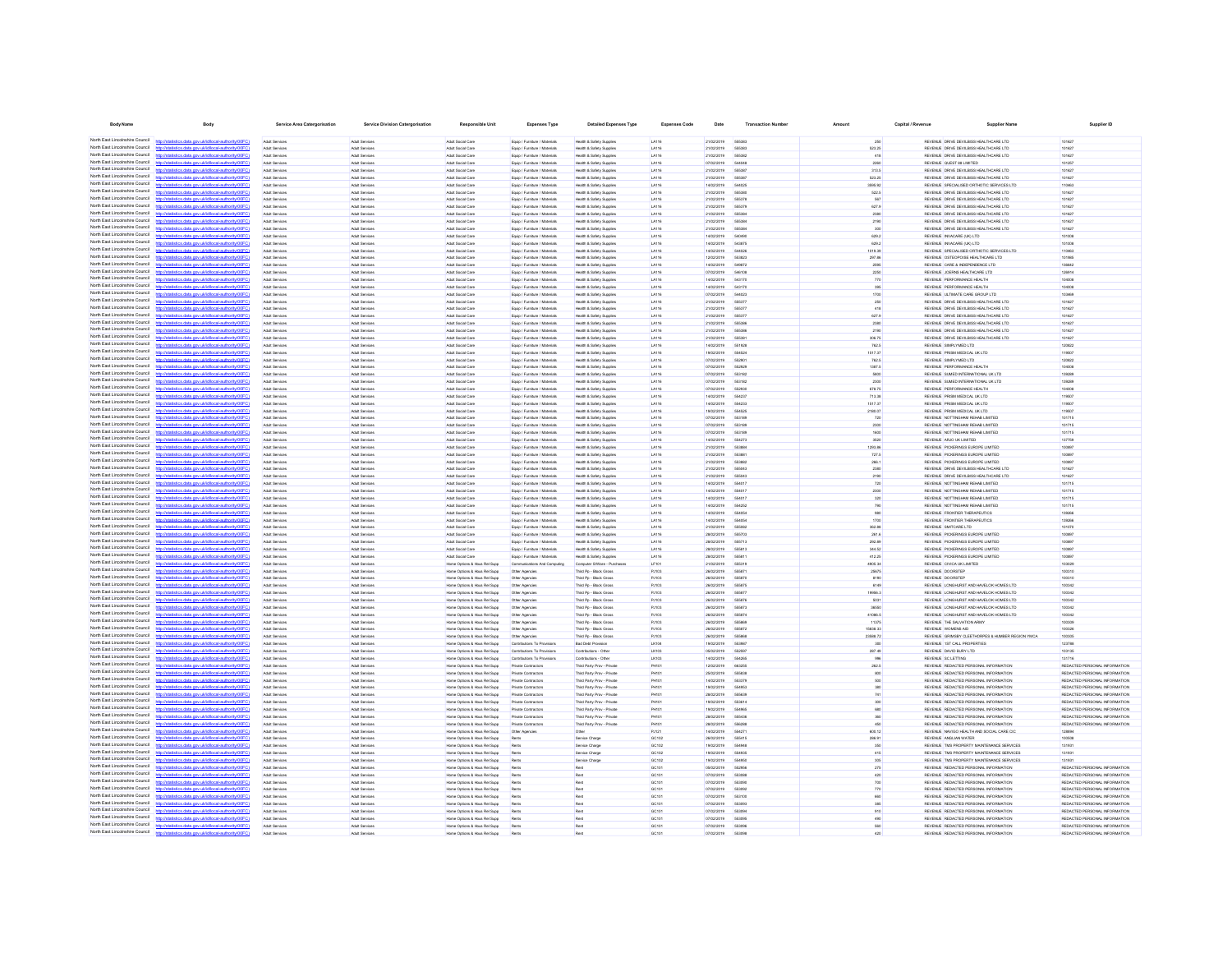| <b>Body Name</b>                                                   | <b>Body</b>                                                                                                        | Service Area Catergorisation            | Service Division Catergorisation | Responsible Unit                                             | <b>Expenses Type</b>                                           | <b>Detailed Expenses Type</b>                            | <b>Expenses Code</b>         | Date                          | <b>Transaction Number</b>    | Amount             | Capital / Revenue | <b>Supplier Name</b>                                                                | Supplier ID                                                    |
|--------------------------------------------------------------------|--------------------------------------------------------------------------------------------------------------------|-----------------------------------------|----------------------------------|--------------------------------------------------------------|----------------------------------------------------------------|----------------------------------------------------------|------------------------------|-------------------------------|------------------------------|--------------------|-------------------|-------------------------------------------------------------------------------------|----------------------------------------------------------------|
|                                                                    | North East Lincolnshire Council http://statistics.data.gov.uk/id/local-authority/00FC)                             | Arkit Services                          | Arkit Renérer                    | Arkit Sovial Care                                            | Fourn / Furniture / Materials                                  | Health & Safety Sunnies                                  | 14116                        | 21/02/2019                    | <b>AGENER</b>                | 250                |                   | REVENUE DRIVE DEVILABS HEALTHCARE LTD.                                              | 101627                                                         |
| North East Lincolnshire Council                                    |                                                                                                                    | Adult Service                           | Adult Service                    | Adult Social Care                                            | Equip / Furniture / Materials                                  | Health & Safety Supplies                                 | LA116                        | 21/02/2019                    | 555383                       | 523.25             |                   | REVENUE DRIVE DEVILBISS HEALTHCARE LTD                                              | 101627                                                         |
| North East Lincolnshire Council                                    | http://statistics.data.oov.uk/d/ocal.authority/00EC)                                                               | Adult Services                          | Adult Services                   | Arkit Sovial Care                                            | Equip / Furniture / Materials                                  | Health & Safety Supples                                  | LA116                        | 21/02/2019                    | 666382                       | 418                |                   | REVENUE DRIVE DEVILBISS HEALTHCARE LTD                                              | 101627                                                         |
| North East Lincolnshire Council                                    | distribution data and debtivershed to discrimination                                                               | <b>Adult Service</b>                    | Adult Service                    | Adult Social Care                                            | Equip / Furniture / Material                                   | Health & Safety Supplier                                 | <b>LA116</b>                 | 07/02/2019                    | 54404                        | 2260               |                   | REVENUE QUEST 88 LIMITED                                                            | 101257                                                         |
| North East Lincolnshire Council<br>North East Lincolnshire Council |                                                                                                                    | Adult Service<br><b>Adult Services</b>  | Adult Services<br>Adult Services | Adult Social Care<br>Adult Social Care                       | Equip / Furniture / Materials<br>Equip / Furniture / Materials | Health & Safety Supplie<br>Health & Safety Supplier      | LA116<br><b>LA116</b>        | 21/02/2019<br>21/02/2019      | 666383                       | 313.5<br>523.25    |                   | REVENUE DRIVE DEVILBISS HEALTHCARE LTD<br>REVENUE DRIVE DEVILBISS HEALTHCARE LTD    | 101627<br>101627                                               |
| North East Lincolnshire Council                                    | ting and you skill head authoritation                                                                              | Adult Service                           | Adult Services                   | Adult Social Care                                            | Equip / Furniture / Material                                   | Health & Safety Supplie                                  | <b>LA116</b>                 | 14/02/2019                    | 54402                        | 3595.92            |                   | REVENUE SPECIALISED ORTHOTIC SERVICES LTD                                           | 110463                                                         |
| North East Lincolnshire Council                                    | v<br>statistics.data.gov.ukld/local-authority/00F6                                                                 | Adult Service                           | Adult Service                    | Adult Social Care                                            | Equip / Furniture / Material                                   | Health & Safety Supplie                                  | LA116                        | 21/02/2019                    | 55538                        | 522.5              |                   | REVENUE DRIVE DEVILBISS HEALTHCARE LTD                                              | 101627                                                         |
| North East Lincolnshire Council<br>North East Lincolnshire Council | listics data one uklidiocal authority (OFC)                                                                        | Adult Services                          | Adult Services                   | Adult Social Care                                            | Equip / Furniture / Materials                                  | Health & Safety Supplier                                 | LA116                        | 21/02/2019                    | 55537                        | 567                |                   | REVENUE DRIVE DEVILBISS HEALTHCARE LTD                                              | 101627                                                         |
| North Fast Lincolnshire Council                                    | http://statistics.data.gov.uk/id/local-authority/00FC                                                              | Adult Services<br>Adult Services        | Adult Services<br>Adult Services | Adult Social Care<br>Adult Social Care                       | Equip / Furniture / Materials<br>Equip / Furniture / Materials | Health & Safety Supplier<br>Health & Safety Supples      | <b>LA116</b><br>LA116        | 21/02/2019<br>21/02/2019      | 55537<br>555384              | 627.9<br>2380      |                   | REVENUE DRIVE DEVILBISS HEALTHCARE LTD<br>REVENUE DRIVE DEVILBISS HEALTHCARE LTD    | 101627<br>101627                                               |
| North East Lincolnshire Council                                    | tistics.data.gov.uk/id/local-authority/00FC                                                                        | Adult Services                          | Adult Services                   | Adult Social Care                                            | Equip / Furniture / Materials                                  | Health & Safety Supplier                                 | LA116                        | 21/02/2019                    | 55538                        | 2190               |                   | REVENUE DRIVE DEVILBISS HEALTHCARE LTD                                              | 101627                                                         |
| North Fast Lincolnshire Council                                    |                                                                                                                    | Adult Services                          | Adult Services                   | Adult Social Care                                            | Equip / Furniture / Materials                                  | Health & Safety Supplies                                 | LA116                        | 21/02/2019                    | 555384                       | 300                |                   | REVENUE DRIVE DEVILBISS HEALTHCARE LTD                                              | 101627                                                         |
| North Fast Lincolnshire Council                                    | tics.data.gov.uk/id/local-authority/00FC1                                                                          | Adult Services                          | Adult Services                   | Adult Social Care                                            | Equip / Furniture / Materials                                  | Health & Safety Supplies                                 | LA116                        | 14/02/2019                    | 540496                       | 629.2              |                   | REVENUE INVACARE (UK) LTD                                                           | 101008                                                         |
| North East Lincolnshire Council<br>North East Lincolnshire Council | http://statistics.data.gov.uk/id/local-authority/00FC)                                                             | <b>Adult Services</b>                   | Adult Services                   | Adult Social Care                                            | Equip / Furniture / Materials                                  | Health & Safety Supplies                                 | LA116                        | 14/02/2019                    | 543875<br>544026             | 629.2              |                   | REVENUE INVACARE (UK) LTD                                                           | 101008                                                         |
| North East Lincolnshire Council                                    | tics data ony uklidiocal authority/DDFC                                                                            | Adult Services<br>Adult Services        | Adult Services<br>Adult Services | Adult Social Care<br>Adult Social Care                       | Equip / Furniture / Materials<br>Equip / Furniture / Materials | Health & Safety Supplies<br>Health & Safety Supplies     | LA116<br>LA116               | 14/02/2019<br>12/02/2019      | 553823                       | 1019.39<br>297.86  |                   | REVENUE SPECIALISED ORTHOTIC SERVICES LTD<br>REVENUE OSTEOPOISE HEALTHCARE LTD      | 110463<br>101985                                               |
| North East Lincolnshire Council                                    | stics.data.gov.uk/id/local-authority/00FC)                                                                         | Adult Services                          | Adult Services                   | Adult Social Care                                            | Equip / Furniture / Materials                                  | Health & Safety Supplies                                 | LA116                        | 14/02/2019                    | 549872                       | 2596               |                   | REVENUE CARE & INDEPENDENCE LTD                                                     | 136642                                                         |
| North East Lincolnshire Council                                    | stics data ony uklidiocal authority                                                                                | Adult Services                          | Adult Services                   | Adult Social Care                                            | Equip / Furniture / Materials                                  | Health & Safety Supplies                                 | LA116                        | 07/02/2019                    | 546108                       | 2250               |                   | REVENUE JOERNS HEALTHCARE LTD                                                       | 126914                                                         |
| North East Lincolnshire Council<br>North East Lincolnshire Council | atistics.data.oov.uk/id/local-authority/00FC)<br><b>Introder</b><br>Seting data one skildhood authority(DDEC)      | Adult Services<br>Arkit Services        | Adult Services<br>Arkit Renéres  | Adult Social Care<br>Arkit Sovial Care                       | Equip / Furniture / Materials<br>Fourn / Furniture / Materials | Health & Safety Supplies<br>Health & Rafety Runnler      | LA116<br>1.4116              | 14/02/2019<br>ernovans        | 543170<br>543170             | 770<br>395         |                   | REVENUE PERFORMANCE HEALTH<br>REVEN E PERFORMANCE HEALTH.                           | 104008<br>tnanna                                               |
| North East Lincolnshire Council                                    | distics.data.gov.uk/id/local-authority/00FC)<br>http://                                                            | Adult Services                          | Adult Services                   | Adult Social Care                                            | Equip / Furniture / Materials                                  | Health & Safety Supplies                                 | LA116                        | 07/02/2019                    | 544023                       | 1700               |                   | REVENUE ULTIMATE CARE GROUP LTD                                                     | 103469                                                         |
| North East Lincolnshire Council                                    | Officer and a state about the con-                                                                                 | Adult Service                           | Adult Services                   | Adult Social Care                                            | Equip / Furniture / Materials                                  | Health & Safety Supplies                                 | LA116                        | 21/02/2019                    | 666377                       | 250                |                   | REVENUE DRIVE DEVILBISS HEALTHCARE LTD                                              | 101627                                                         |
| North East Lincolnshire Council                                    | http://statistics.data.onv.uk/d/ocal.authority/00EC)                                                               | Arkit Services                          | Arkit Renéres                    | Arkit Sovial Care                                            | Frein / Furniture / Materials                                  | Health & Safety Supplier                                 | 1.4116                       | 21/02/2019                    | 666373                       | 418                |                   | REVENUE DRIVE DEVILBISS HEALTHCARE LTD                                              | 101627                                                         |
| North East Lincolnshire Council<br>North East Lincolnshire Council |                                                                                                                    | Adult Service                           | Adult Service                    | Adult Social Care                                            | Equip / Furniture / Material                                   | Health & Safety Supplier                                 | <b>LA116</b>                 | 21/02/2019                    | 666377                       | 627.9              |                   | REVENUE DRIVE DEVILBISS HEALTHCARE LTD                                              | 101627                                                         |
| North East Lincolnshire Council                                    | http://statistics.data.gov.uk/id/local-authority/00FC1<br>distribution state concelebritographs throughout CO      | Adult Service<br><b>Adult Service</b>   | Adult Services<br>Adult Services | Adult Social Care<br>Adult Social Care                       | Equip / Furniture / Materials<br>Equip / Furniture / Materials | Health & Safety Supplie<br>Health & Safety Supplier      | LA116<br><b>LA116</b>        | 21/02/2019<br>21/02/2019      | 666384                       | 2380<br>2190       |                   | REVENUE DRIVE DEVILBISS HEALTHCARE LTD<br>REVENUE DRIVE DEVILBISS HEALTHCARE LTD    | 101627<br>101627                                               |
| North East Lincolnshire Council                                    | tistics.data.gov.uk/id/local-authority/00FC                                                                        | Adult Service                           | Adult Service                    | Adult Social Care                                            | <b>Equip / Furniture / Material:</b>                           | Health & Safety Supplie                                  | <b>LA116</b>                 | 21/02/2019                    | 55538                        | 306.75             |                   | REVENUE DRIVE DEVILBISS HEALTHCARE LTD                                              | 101627                                                         |
| North East Lincolnshire Council                                    |                                                                                                                    | <b>Adult Services</b>                   | Adult Services                   | Adult Social Care                                            | Equip / Furniture / Materials                                  | Health & Safety Supplier                                 | LA116                        | 14/02/2019                    | 551921                       | 762.5              |                   | REVENUE SIMPLYMED LTD                                                               | 120822                                                         |
| North East Lincolnshire Council<br>North East Lincolnshire Council |                                                                                                                    | Adult Services                          | Adult Services                   | Adult Social Care                                            | Equip / Furniture / Materials                                  | Health & Safety Supplier                                 | <b>LA116</b>                 | 19/02/2019                    | 55452                        | 1517.37            |                   | REVENUE PRISM MEDICAL UK LTD                                                        | 119507                                                         |
| North East Lincolnshire Council                                    | m delettrent notheris (DDD)                                                                                        | <b>Adult Services</b>                   | Adult Services                   | Adult Social Care<br>Adult Social Care                       | Equip / Furniture / Materials                                  | Health & Safety Supples                                  | LA116                        | 07/02/2019                    | 552901                       | 762.5<br>1387.5    |                   | REVENUE SIMPLYMED LTD                                                               | 120822                                                         |
| North East Lincolnshire Council                                    | tatistics.data.gov.uk/id/local-authority/00FC                                                                      | Adult Services<br>Adult Services        | Adult Services<br>Adult Services | Adult Social Care                                            | Equip / Furniture / Materials<br>Equip / Furniture / Materials | Health & Safety Supplier<br>Health & Safety Supplier     | LA116<br>LA116               | 07/02/2019<br>07/02/2019      | 552921<br>55318              | 5800               |                   | REVENUE PERFORMANCE HEALTH<br>REVENUE SUMED INTERNATIONAL UK LTD                    | 104008<br>139289                                               |
| North Fast Lincolnshire Council                                    |                                                                                                                    | Adult Services                          | Adult Services                   | Adult Social Care                                            | Equip / Furniture / Materials                                  | Health & Safety Suppler                                  | LA116                        | 07/02/2019                    | 553182                       | 2300               |                   | REVENUE SUMED INTERNATIONAL UK LTD                                                  | 139289                                                         |
| North Fast Lincolnshire Council                                    |                                                                                                                    | Adult Services                          | Adult Services                   | Adult Social Care                                            | Equip / Furniture / Materials                                  | Health & Safety Supplies                                 | LA116                        | 07/02/2019                    | 552930                       | 678.75             |                   | REVENUE PERFORMANCE HEALTH                                                          | 104008                                                         |
| North Fast Lincolnshire Council<br>North Fast Lincolnshire Council |                                                                                                                    | Adult Services                          | Adult Services                   | Adult Social Care                                            | Equip / Furniture / Materials                                  | Health & Safety Supplies                                 | LA116                        | 14/02/2019                    | 55423                        | 713.38             |                   | REVENUE PRISM MEDICAL UK LTD                                                        | 119507                                                         |
| North East Lincolnshire Council                                    | http://statistics.data.gov.uk/id/local-authority/00FC)                                                             | Adult Services<br>Adult Services        | Adult Services<br>Adult Services | Adult Social Care<br>Adult Social Care                       | Equip / Furniture / Materials<br>Equip / Furniture / Materials | Health & Safety Supplies<br>Health & Safety Supplies     | LA116<br>LA116               | 14/02/2019<br>19/02/2019      | 554233<br>554525             | 1517.37<br>2180.07 |                   | REVENUE PRISM MEDICAL UK LTD<br>REVENUE PRISM MEDICAL UK LTD                        | 119507<br>119507                                               |
| North East Lincolnshire Council                                    | stics.data.gov.uk/id/local-authority/00FC)                                                                         | Adult Services                          | Adult Services                   | Adult Social Care                                            | Equip / Furniture / Materials                                  | Health & Safety Supplies                                 | LA116                        | 07/02/2019                    | 553189                       | 720                |                   | REVENUE NOTTINGHAM REHAB LIMITED                                                    | 101715                                                         |
| North East Lincolnshire Council                                    | tics data ony uklidiocal authority!"                                                                               | Adult Services                          | Adult Services                   | Adult Social Care                                            | Equip / Furniture / Materials                                  | Health & Safety Supplies                                 | LA116                        | 07/02/2019                    | 553181                       | 2300               |                   | REVENUE NOTTINGHAM REHAB LIMITED                                                    | 101715                                                         |
| North East Lincolnshire Council                                    | tistics.data.gov.uk/id/local-authority/00FC1<br>http                                                               | Adult Services                          | Adult Services                   | Adult Social Care                                            | Equip / Furniture / Materials                                  | Health & Safety Supplies                                 | LA116                        | 07/02/2019                    | 553189                       | 1600               |                   | REVENUE NOTTINGHAM REHAB LIMITED                                                    | 101715                                                         |
| North East Lincolnshire Council<br>North East Lincolnshire Council | listics data one uklidihoal authorite IDDFC                                                                        | Adult Services                          | Adult Services                   | Adult Social Care                                            | Equip / Furniture / Materials                                  | Health & Safety Supples                                  | LA116                        | 14/02/2019                    | 554273                       | 3520               |                   | REVENUE ARJO UK LIMITED                                                             | 137759                                                         |
| North East Lincolnshire Council                                    | distics.data.gov.uk/id/local-authority/00FC)<br>http://<br>fields and group delivery throughout in the             | Adult Services<br><b>Arkit Servines</b> | Adult Services<br>Arkit Renérer  | Adult Social Care<br>Arkit Sovial Care                       | Equip / Furniture / Materials<br>Equip / Furniture / Materials | Health & Safety Supplies<br>Health & Safety Supples      | LA116<br>1.4116              | 21/02/2019<br>21/02/2019      | 553884<br>66388              | 1293.86<br>727.5   |                   | REVENUE PICKERINGS EUROPE LIMITED<br>REVENUE PICKERINGS EUROPE LIMITED              | 100897<br>100807                                               |
| North East Lincolnshire Council                                    | fistins data one uklidiocal authoritement?)                                                                        | Arkit Services                          | Arkit Renéres                    | Arkit Sovial Care                                            | Frein / Furniture / Materials                                  | Health & Rafety Runnler                                  | 1.4116                       | 21/02/2019                    | 663882                       | 266.1              |                   | REVENUE PICKERINGS EUROPE UMITED                                                    | 100807                                                         |
| North East Lincolnshire Council                                    |                                                                                                                    | Adult Service                           | Adult Services                   | Adult Social Care                                            | Equip / Furniture / Materials                                  | Health & Safety Supplies                                 | LA116                        | 21/02/2019                    | 555041                       | 2380               |                   | REVENUE DRIVE DEVILBISS HEALTHCARE LTD                                              | 101627                                                         |
| North East Lincolnshire Council<br>North East Lincolnshire Council | http://statistics.data.gov.uk/id/local-authority/00FC1                                                             | Adult Service                           | Adult Services                   | Adult Social Care                                            | Equip / Furniture / Materials                                  | Health & Safety Supplies                                 | LA116                        | 21/02/2019                    | 555041                       | 2190               |                   | REVENUE DRIVE DEVILBISS HEALTHCARE LTD                                              | 101627                                                         |
| North East Lincolnshire Council                                    | .<br>1980 - Patrick Andrews, amerikansk politiker (d. 1980)<br>distics.data.gov.uk/id/local-authority/00FC         | Adult Service<br>Adult Service          | Adult Services<br>Adult Services | Adult Social Care<br>Adult Social Care                       | Equip / Furniture / Material<br>Equip / Furniture / Materials  | Health & Safety Supplier<br>Health & Safety Supplie      | <b>LA116</b><br><b>LA116</b> | 14/02/2019<br>14/02/2019      | <b>SS401</b><br><b>SS401</b> | 720                |                   | REVENUE NOTTINGHAM REHAB LIMITED<br>REVENUE NOTTINGHAM REHAB LIMITED                | 101715<br>101715                                               |
| North East Lincolnshire Council                                    |                                                                                                                    | <b>Adult Services</b>                   | Adult Services                   | Adult Social Care                                            | Equip / Furniture / Materials                                  | Health & Safety Supplier                                 | LA116                        | 14/02/2019                    |                              | 2300<br>320        |                   | REVENUE NOTTINGHAM REHAB LIMITED                                                    | 101715                                                         |
| North East Lincolnshire Council                                    | tics data ony uklidiocal authority/00FC                                                                            | Adult Service                           | Adult Services                   | Adult Social Care                                            | Equip / Furniture / Material                                   | Health & Safety Supplie                                  | <b>LA116</b>                 | 14/02/2019                    | 55425                        | 790                |                   | REVENUE NOTTINGHAM REHAB LIMITED                                                    | 101715                                                         |
| North East Lincolnshire Council                                    |                                                                                                                    | <b>Adult Services</b>                   | Adult Services                   | Adult Social Care                                            | Equip / Furniture / Materials                                  | Health & Safety Supplies                                 | LA116                        | 14/02/2019                    | 55405                        | 980                |                   | REVENUE FRONTIER THERAPEUTICS                                                       | 139266                                                         |
| North East Lincolnshire Council<br>North East Lincolnshire Council | tistics.data.gov.uk/id/local-authority/00FC                                                                        | Adult Services                          | Adult Services                   | Adult Social Care                                            | Equip / Furniture / Materials                                  | Health & Safety Supplier                                 | LA116                        | 14/02/2019                    | 55405                        | 1700               |                   | REVENUE FRONTIER THERAPEUTICS                                                       | 139266                                                         |
| North Fast Lincolnshire Council                                    | v ukldincalauthorityi00F                                                                                           | <b>Adult Services</b><br>Adult Services | Adult Services<br>Adult Services | Adult Social Care<br>Adult Social Care                       | Equip / Furniture / Materials<br>Equip / Furniture / Materials | Health & Safety Supplies<br>Health & Safety Suppler      | LA116<br>LA116               | 21/02/2019<br>28/02/2019      | 555082<br>555703             | 362.88<br>261.6    |                   | REVENUE SMITCARE LTD<br>REVENUE PICKERINGS EUROPE LIMITED                           | 101070<br>100897                                               |
| North East Lincolnshire Council                                    |                                                                                                                    | Adult Services                          | Adult Services                   | Adult Social Care                                            | Equip / Furniture / Materials                                  | Health & Safety Supplies                                 | LA116                        | 28/02/2019                    | 555713                       | 292.89             |                   | REVENUE PICKERINGS EUROPE LIMITED                                                   | 100897                                                         |
| North Fast Lincolnshire Council                                    |                                                                                                                    | Adult Services                          | Adult Services                   | Adult Social Care                                            | Equip / Furniture / Materials                                  | Health & Safety Supplies                                 | LA116                        | 28/02/2019                    | 555813                       | 344.52             |                   | REVENUE PICKERINGS EUROPE LIMITED                                                   | 100897                                                         |
| North Fast Lincolnshire Council<br>North East Lincolnshire Council | tics.data.gov.uk/id/local-authority/00FC1                                                                          | Adult Services                          | Adult Services                   | Adult Social Care                                            | Equip / Furniture / Materials                                  | Health & Safety Supplies                                 | LA116                        | 28/02/2019                    | 55581                        | 412.25             |                   | REVENUE PICKERINGS EUROPE LIMITED                                                   | 100897                                                         |
| North East Lincolnshire Council                                    | http://statistics.data.gov.uk/id/local-authority/00FC)                                                             | Adult Services<br>Adult Services        | Adult Services<br>Adult Services | Home Options & Hous Rel Supp<br>Home Options & Hous Rel Supp | Communications And Computing<br>Other Agencies                 | Computer S/Ware - Purchases<br>Third Pp - Block Gross    | LF101<br>PJ103               | 21/02/2019<br>26/02/2019      | 555319<br>55587              | 4905.34<br>25675   |                   | REVENUE CIVICA UK LIMITED<br>REVENUE DOORSTEP                                       | 103029<br>100310                                               |
| North East Lincolnshire Council                                    | Oftwing that day in the day were stab and                                                                          | Adult Services                          | Adult Services                   | Home Options & Hous Rel Supp                                 | Other Agencies                                                 | Third Po - Block Gross                                   | PJ103                        | 26/02/2019                    | 666871                       | 8190               |                   | <b>REVENUE DOORSTEP</b>                                                             | 100310                                                         |
| North East Lincolnshire Council                                    | stics.data.gov.uk/id/local-authority/00FC1                                                                         | Adult Services                          | Adult Services                   | Home Options & Hous Rel Supp                                 | Other Agencies                                                 | Third Po - Block Gross                                   | PJ103                        | 26/02/2019                    | 555875                       | 6149               |                   | REVENUE LONGHURST AND HAVELOK HOMES LTD                                             | 100342                                                         |
| North East Lincolnshire Council<br>North East Lincolnshire Council | stics data ony uklidiocal authority(0)                                                                             | Adult Services                          | Adult Services                   | Home Options & Hous Rel Supp                                 | Other Agencies                                                 | Third Po - Block Gross                                   | PJ103                        | 26/02/2019                    | 55587                        | 19956.3            |                   | REVENUE LONGHURST AND HAVELOK HOMES LTD                                             | 100342                                                         |
| North East Lincolnshire Council                                    | atistics.data.oov.uk/id/local-authority/00FC)<br><b>http://etg</b><br>letatistics data onu ukšdiocal authoritu00EC | Adult Services<br>Arkit Services        | Adult Services<br>Arkit Renéres  | Home Options & Hous Rel Supp<br>Home Ontions & Hous Rel Sums | Other Agencies<br>Other Agencies                               | Third Po - Block Gross<br>Third Pn - Rivek Gross         | PJ103<br>PJ103               | 26/02/2019<br><b>Phocogas</b> | 555876<br>666873             | 5031<br>36550      |                   | REVENUE LONGHURST AND HAVELOK HOMES LTD<br>REVEN E LONGH RST AND HAVELOK HOMES LTD. | 100342<br>100342                                               |
| North East Lincolnshire Council                                    | http://statistics.data.gov.uk/id/local-authority/00FC)                                                             | Adult Services                          | Adult Services                   | Home Options & Hous Rel Supp                                 | Other Agencies                                                 | Third Po - Block Gross                                   | PJ103                        | 26/02/2019                    | 555874                       | 41086.5            |                   | REVENUE LONGHURST AND HAVELOK HOMES LTD                                             | 100342                                                         |
| North East Lincolnshire Council                                    | nny ukildhood authoritainnE                                                                                        | Adult Service                           | Adult Services                   | Home Options & Hous Rel Supp                                 | Other Agencies                                                 | Third Pp - Block Gros                                    | PJ103                        | 26/02/2019                    | <b>GGGRA</b>                 | 11375              |                   | REVENUE THE SALVATION ARMY                                                          | 100309                                                         |
| North East Lincolnshire Council<br>North East Lincolnshire Council | fistins data one uklidiocal authoritement?)                                                                        | <b>Arkit Servines</b>                   | Arkit Renérer                    | Home Options & Hous Rel Supp                                 | Other Agencies                                                 | Third Po - Block Gross                                   | PJ103                        | 26/02/2019                    | 666872                       | 15838.33           |                   | REVEN E WOMENS AID                                                                  | 100326                                                         |
| North East Lincolnshire Council                                    | http://statistics.data.gov.uk/id/local-authority/00FC                                                              | Adult Service<br>Adult Service          | Adult Services<br>Adult Services | Home Options & Hous Rel Supp<br>Home Options & Hous Rel Supp | Other Agencies<br>Contributions To Pro                         | Third Pp - Block Gros<br><b>Bad Debt Provision</b>       | PJ103<br><b>LK104</b>        | 26/02/2019<br>19/02/2019      | 663083                       | 23588.72<br>300    |                   | REVENUE GRIMSBY CLEETHORPES & HUMBER REGION YMCA<br>REVENUE 1ST CALL PROPERTIES     | 100305<br>123788                                               |
| North East Lincolnshire Council                                    | distribution data con delidiocal authority(DOEC)                                                                   | Adult Service                           | Adult Services                   | Home Options & Hous Rel Supp                                 | Contributions To Provision                                     | Contributions - Othe                                     | LK103                        | 05/02/2019                    |                              | 287.49             |                   | REVENUE DAVID BURY LTD                                                              | 103135                                                         |
| North East Lincolnshire Council                                    | stics.data.gov.uk/id/local-authority/00FC                                                                          | Adult Service                           | Adult Service                    | Home Options & Hous Rel Supp                                 | Contributions To Provis                                        | Contributions - Othe                                     | LK103                        | 14/02/2019                    | 55426                        | 996                |                   | REVENUE SC LETTING                                                                  | 131716                                                         |
| North East Lincolnshire Council                                    |                                                                                                                    | Adult Services                          | Adult Services                   | Home Options & Hous Rel Supp                                 | Private Contractors                                            | Third Party Prov - Private                               | <b>PH101</b>                 | 12/02/2019                    | 66325                        | 262.5              |                   | REVENUE REDACTED PERSONAL INFORMATION                                               | REDACTED PERSONAL INFORMATION                                  |
| North East Lincolnshire Council<br>North East Lincolnshire Council | stics.data.gov.uk/id/local-authority/00FC1                                                                         | Adult Services                          | Adult Services                   | Home Options & Hous Rel Supp                                 | Private Contractor:                                            | Third Party Prov - Private                               | PH101                        | 25/02/2019                    |                              | 800                |                   | REVENUE REDACTED PERSONAL INFORMATION                                               | REDACTED PERSONAL INFORMATION                                  |
| North East Lincolnshire Council                                    | stics.data.gov.uk/id/local-authority/00FC]                                                                         | <b>Adult Services</b><br>Adult Services | Adult Services<br>Adult Services | Home Options & Hous Rel Supp<br>Home Options & Hous Rel Supp | Private Contractor:<br>Private Contractor:                     | Third Party Prov - Private<br>Third Party Prov - Private | <b>PH101</b><br>PH101        | 14/02/2019<br>19/02/2019      | 553371<br>55495              | 500<br>380         |                   | REVENUE REDACTED PERSONAL INFORMATION<br>REVENUE REDACTED PERSONAL INFORMATION      | REDACTED PERSONAL INFORMATION<br>REDACTED PERSONAL INFORMATION |
| North East Lincolnshire Council                                    |                                                                                                                    | Adult Services                          | Adult Services                   | Home Options & Hous Rel Supp                                 | Private Contractors                                            | Third Party Prov - Private                               | <b>PH101</b>                 | 28/02/2019                    | 555636                       | 741                |                   | REVENUE REDACTED PERSONAL INFORMATION                                               | REDACTED PERSONAL INFORMATION                                  |
| North Fast Lincolnshire Council                                    | ics.data.gov.uk/id/local-authority/00FC1                                                                           | Adult Services                          | Adult Services                   | Home Options & Hous Rel Supp                                 | Private Contractor:                                            | Third Party Prov - Private                               | <b>PH101</b>                 | 19/02/2019                    | 553614                       | 300                |                   | REVENUE REDACTED PERSONAL INFORMATION                                               | REDACTED PERSONAL INFORMATION                                  |
| North Fast Lincolnshire Council<br>North Fast Lincolnshire Council |                                                                                                                    | Adult Services                          | Adult Services                   | Home Options & Hous Rel Supp                                 | Private Contractor:                                            | Third Party Prov - Private                               | PH101                        | 19/02/2019                    | 554965                       | 680                |                   | REVENUE REDACTED PERSONAL INFORMATION                                               | REDACTED PERSONAL INFORMATION                                  |
| North Fast Lincolnshire Council                                    | istics data ony riklid/ocal.authority/00FCI<br>http                                                                | Adult Services<br>Adult Services        | Adult Services<br>Adult Services | Home Options & Hous Rel Supp<br>Home Options & Hous Rel Supp | Private Contractors<br>Private Contractor:                     | Third Party Prov - Private<br>Third Party Prov - Private | <b>PH101</b><br>PH101        | 28/02/2019<br>28/02/2019      | 555436<br>556288             | 360<br>450         |                   | REVENUE REDACTED PERSONAL INFORMATION<br>REVENUE REDACTED PERSONAL INFORMATION      | REDACTED PERSONAL INFORMATION<br>REDACTED PERSONAL INFORMATION |
| North East Lincolnshire Council                                    |                                                                                                                    | Adult Services                          | Adult Services                   | Home Options & Hous Rel Supp                                 | Other Agencies                                                 | Other                                                    | PJ121                        | 14/02/2019                    | 65427                        | 600.12             |                   | REVENUE NAVIGO HEALTH AND SOCIAL CARE CIC                                           | 128804                                                         |
| North East Lincolnshire Council                                    | stics.data.gov.uk/id/local-authority/00FC)                                                                         | Adult Services                          | Adult Services                   | Home Options & Hous Rel Supp                                 | Rents                                                          | Service Charge                                           | GC102                        | 26/02/2019                    | 555415                       | 286.91             |                   | REVENUE ANGLIAN WATER                                                               | 100508                                                         |
| North East Lincolnshire Council                                    | tics data ony uklidiocal authority!"                                                                               | Adult Services                          | Adult Services                   | Home Options & Hous Rel Supp                                 | Rents                                                          | Service Charge                                           | GC102                        | 19/02/2019                    | 554948                       | 350                |                   | REVENUE TMS PROPERTY MAINTENANCE SERVICES                                           | 131931                                                         |
| North East Lincolnshire Council<br>North East Lincolnshire Council | stics.data.gov.uk/id/local-authority/00FC1<br>http                                                                 | Adult Services                          | Adult Services                   | Home Options & Hous Rel Supp                                 | Rents                                                          | Service Charge                                           | GC102                        | 19/02/2019                    | 554935                       | 415                |                   | REVENUE TMS PROPERTY MAINTENANCE SERVICES                                           | 131931                                                         |
| North East Lincolnshire Council                                    | stics data ony rickthocal authority(00)<br>http://statistics.data.gov.uk/id/local-authority/00FC)                  | Adult Services<br>Adult Services        | Adult Services<br>Adult Services | Home Options & Hous Rel Supp<br>Home Options & Hous Rel Supp | Rents<br>Rents                                                 | Service Charg<br>Rent                                    | GC102<br>GC101               | 19/02/2019<br>05/02/2019      | 55495<br>552956              | 305<br>275         |                   | REVENUE TMS PROPERTY MAINTENANCE SERVICES<br>REVENUE REDACTED PERSONAL INFORMATION  | 131931<br>REDACTED PERSONAL INFORMATION                        |
| North East Lincolnshire Council                                    | inter data any sididaced autocological                                                                             | Adult Services                          | Adult Services                   | Home Options & Hous Rel Supp                                 | <b>Rents</b>                                                   |                                                          | GC101                        | ernsystem                     | 663088                       | 420                |                   | REVENUE REDACTED PERSONAL INFORMATION                                               | REDUCTED PERSONAL INFORMATION                                  |
| North East Lincolnshire Council                                    | stics data nov uklidiocal authority(DDEC)                                                                          | Arkit Services                          | Arkit Renéres                    | Home Ontions & Hous Rel Sums                                 | <b>Rents</b>                                                   | Rent                                                     | octor.                       | 07/02/2019                    | 663094                       | 700                |                   | REVEN E REDACTED PERSONAL INFORMATION                                               | REDUCTED PERSONAL INFORMATION                                  |
| North East Lincolnshire Council                                    | North East Lincolnshire Council http://statistics.data.gov.uk/id/local-authority/00FC1                             | Adult Service                           | Adult Service                    | Home Options & Hous Rel Supp                                 |                                                                |                                                          | GC101                        | 07/02/2019                    | 663090                       | 770                |                   | REVENUE REDACTED PERSONAL INFORMATION                                               | REDACTED PERSONAL INFORMATION                                  |
|                                                                    | North East Lincolnshire Council   New Setwhetics Anti-Any defictive at authority inner                             | Adult Service<br>Adult Service          | Adult Services<br>Adult Service  | Home Options & Hous Rel Supp<br>Home Options & Hous Rel Supp | Rents                                                          | Rent                                                     | GC101<br>GC101               | 07/02/2019<br>07/02/2019      | 663100<br>55309              | 660                |                   | REVENUE REDACTED PERSONAL INFORMATION<br>REVENUE REDACTED PERSONAL INFORMATION      | REDACTED PERSONAL INFORMATION<br>REDACTED PERSONAL INFORMATION |
| North East Lincolnshire Council                                    | itistics.data.gov.uklid/local-authority/00FC                                                                       | Adult Service                           | Adult Service                    | Home Options & Hous Rel Supp                                 |                                                                |                                                          | GC101                        | 07/02/2019                    | 55309                        | 910                |                   | REVENUE REDACTED PERSONAL INFORMATION                                               | REDACTED PERSONAL INFORMATION                                  |
| North East Lincolnshire Council                                    |                                                                                                                    | Adult Service                           | Adult Services                   | Home Options & Hous Rel Supp                                 |                                                                |                                                          | GC101                        | 07/02/2019                    |                              |                    |                   | REVENUE REDACTED PERSONAL INFORMATION                                               | REDACTED PERSONAL INFORMATION                                  |
| North East Lincolnshire Council<br>North East Lincolnshire Council | tics data ony rickthocal authority(00EC)                                                                           | Adult Service                           | Adult Service                    | Home Options & Hous Rel Supp                                 |                                                                |                                                          | GC10                         | 07/02/2019                    |                              |                    |                   | REVENUE REDACTED PERSONAL INFORMATION                                               | REDACTED PERSONAL INFORMATION                                  |
|                                                                    |                                                                                                                    |                                         | Arkit Renére                     | Inma Ordinas & Hous Rel Sunn                                 |                                                                |                                                          | GC101                        | 07/02/2019                    |                              |                    |                   | REVEN E REDACTED PERSONAL INFORM                                                    | REDACTED PERSONAL INFORMAT                                     |